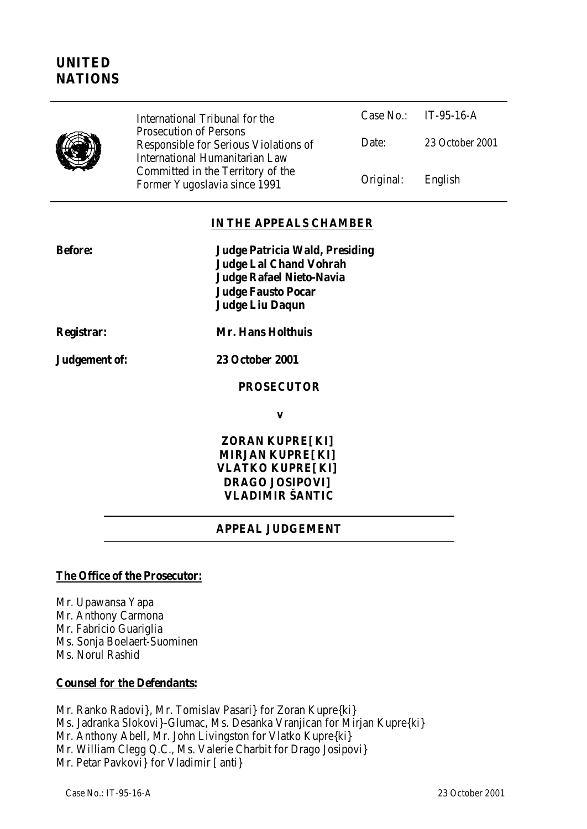

Case No.: IT-95-16-A Date: 23 October 2001 International Tribunal for the Prosecution of Persons Responsible for Serious Violations of International Humanitarian Law Committed in the Territory of the Former Yugoslavia since 1991 Contract Conducts Conducts Conducts Conducts Conducts Conducts Conducts Conducts C

#### **IN THE APPEALS CHAMBER**

| Before:    | Judge Patricia Wald, Presiding<br><b>Judge Lal Chand Vohrah</b><br>Judge Rafael Nieto-Navia |  |
|------------|---------------------------------------------------------------------------------------------|--|
|            | <b>Judge Fausto Pocar</b><br>Judge Liu Dagun                                                |  |
| Registrar: | <b>Mr. Hans Holthuis</b>                                                                    |  |

**Judgement of: 23 October 2001**

**PROSECUTOR**

**v**

**ZORAN KUPRE[KI] MIRJAN KUPRE[KI] VLATKO KUPRE[KI] DRAGO JOSIPOVI] VLADIMIR ŠANTIC**

# **APPEAL JUDGEMENT**

#### **The Office of the Prosecutor:**

Mr. Upawansa Yapa Mr. Anthony Carmona Mr. Fabricio Guariglia Ms. Sonja Boelaert-Suominen Ms. Norul Rashid

#### **Counsel for the Defendants:**

Mr. Ranko Radovi}, Mr. Tomislav Pasari} for Zoran Kupre{ki} Ms. Jadranka Slokovi}-Glumac, Ms. Desanka Vranjican for Mirjan Kupre{ki} Mr. Anthony Abell, Mr. John Livingston for Vlatko Kupre{ki} Mr. William Clegg Q.C., Ms. Valerie Charbit for Drago Josipovi} Mr. Petar Pavkovi} for Vladimir [anti}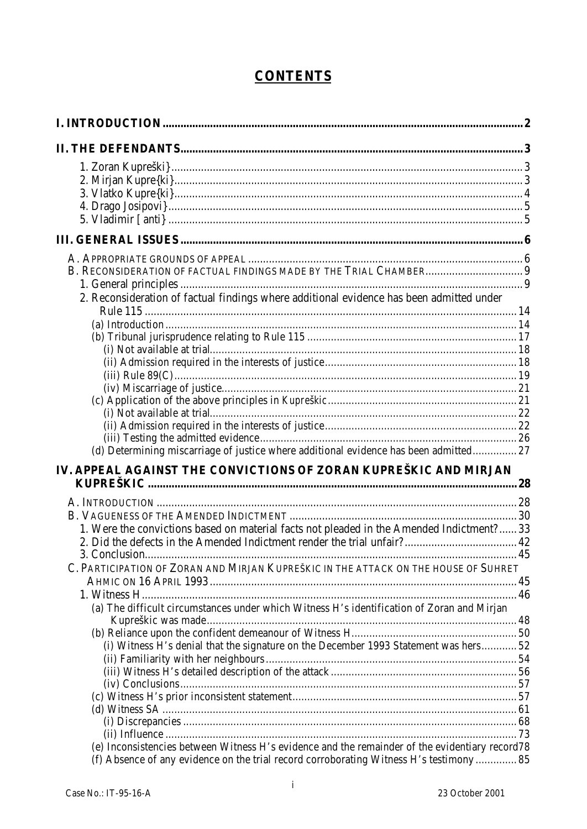# **CONTENTS**

| 2. Reconsideration of factual findings where additional evidence has been admitted under                                                                                                  |    |
|-------------------------------------------------------------------------------------------------------------------------------------------------------------------------------------------|----|
|                                                                                                                                                                                           |    |
|                                                                                                                                                                                           |    |
|                                                                                                                                                                                           |    |
|                                                                                                                                                                                           |    |
|                                                                                                                                                                                           |    |
|                                                                                                                                                                                           |    |
|                                                                                                                                                                                           |    |
|                                                                                                                                                                                           |    |
|                                                                                                                                                                                           |    |
| (d) Determining miscarriage of justice where additional evidence has been admitted 27                                                                                                     |    |
|                                                                                                                                                                                           |    |
| IV. APPEAL AGAINST THE CONVICTIONS OF ZORAN KUPREŠKIC AND MIRJAN                                                                                                                          |    |
|                                                                                                                                                                                           |    |
|                                                                                                                                                                                           |    |
| 1. Were the convictions based on material facts not pleaded in the Amended Indictment? 33                                                                                                 |    |
|                                                                                                                                                                                           |    |
| 3 Conclusion                                                                                                                                                                              | 45 |
| C. PARTICIPATION OF ZORAN AND MIRJAN KUPREŠKIC IN THE ATTACK ON THE HOUSE OF SUHRET                                                                                                       |    |
|                                                                                                                                                                                           |    |
| (a) The difficult circumstances under which Witness H's identification of Zoran and Mirjan                                                                                                |    |
|                                                                                                                                                                                           |    |
|                                                                                                                                                                                           |    |
| (i) Witness H's denial that the signature on the December 1993 Statement was hers 52                                                                                                      |    |
|                                                                                                                                                                                           |    |
|                                                                                                                                                                                           |    |
|                                                                                                                                                                                           |    |
|                                                                                                                                                                                           |    |
|                                                                                                                                                                                           |    |
|                                                                                                                                                                                           |    |
| (e) Inconsistencies between Witness H's evidence and the remainder of the evidentiary record78<br>(f) Absence of any evidence on the trial record corroborating Witness H's testimony  85 |    |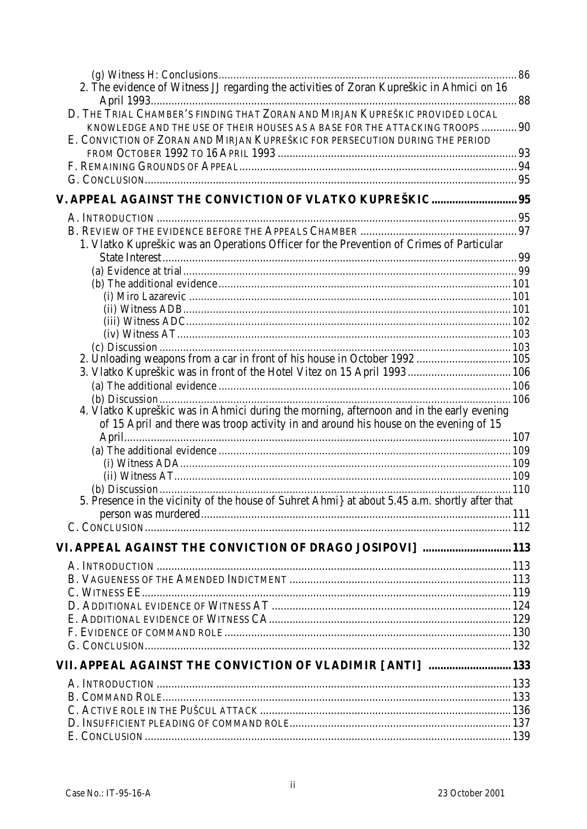|                                                                                                                                                                                   | 86 |
|-----------------------------------------------------------------------------------------------------------------------------------------------------------------------------------|----|
| 2. The evidence of Witness JJ regarding the activities of Zoran Kupreškic in Ahmici on 16                                                                                         |    |
| D. THE TRIAL CHAMBER'S FINDING THAT ZORAN AND MIRJAN KUPREŠKIC PROVIDED LOCAL<br>KNOWLEDGE AND THE USE OF THEIR HOUSES AS A BASE FOR THE ATTACKING TROOPS  90                     |    |
| E. CONVICTION OF ZORAN AND MIRJAN KUPREŠKIC FOR PERSECUTION DURING THE PERIOD                                                                                                     |    |
|                                                                                                                                                                                   |    |
|                                                                                                                                                                                   |    |
| V. APPEAL AGAINST THE CONVICTION OF VLATKO KUPREŠKIC 95                                                                                                                           |    |
|                                                                                                                                                                                   |    |
|                                                                                                                                                                                   |    |
| 1. Vlatko Kupreškic was an Operations Officer for the Prevention of Crimes of Particular                                                                                          |    |
|                                                                                                                                                                                   |    |
|                                                                                                                                                                                   |    |
|                                                                                                                                                                                   |    |
|                                                                                                                                                                                   |    |
|                                                                                                                                                                                   |    |
|                                                                                                                                                                                   |    |
| 2. Unloading weapons from a car in front of his house in October 1992  105                                                                                                        |    |
| 3. Vlatko Kupreškic was in front of the Hotel Vitez on 15 April 1993 106                                                                                                          |    |
|                                                                                                                                                                                   |    |
|                                                                                                                                                                                   |    |
| 4. Vlatko Kupreškic was in Ahmici during the morning, afternoon and in the early evening<br>of 15 April and there was troop activity in and around his house on the evening of 15 |    |
|                                                                                                                                                                                   |    |
|                                                                                                                                                                                   |    |
|                                                                                                                                                                                   |    |
|                                                                                                                                                                                   |    |
| 5. Presence in the vicinity of the house of Suhret Ahmi} at about 5.45 a.m. shortly after that                                                                                    |    |
|                                                                                                                                                                                   |    |
|                                                                                                                                                                                   |    |
| VI. APPEAL AGAINST THE CONVICTION OF DRAGO JOSIPOVI]  113                                                                                                                         |    |
|                                                                                                                                                                                   |    |
|                                                                                                                                                                                   |    |
|                                                                                                                                                                                   |    |
|                                                                                                                                                                                   |    |
|                                                                                                                                                                                   |    |
|                                                                                                                                                                                   |    |
|                                                                                                                                                                                   |    |
| VII. APPEAL AGAINST THE CONVICTION OF VLADIMIR [ANTI]  133                                                                                                                        |    |
|                                                                                                                                                                                   |    |
|                                                                                                                                                                                   |    |
|                                                                                                                                                                                   |    |
|                                                                                                                                                                                   |    |
|                                                                                                                                                                                   |    |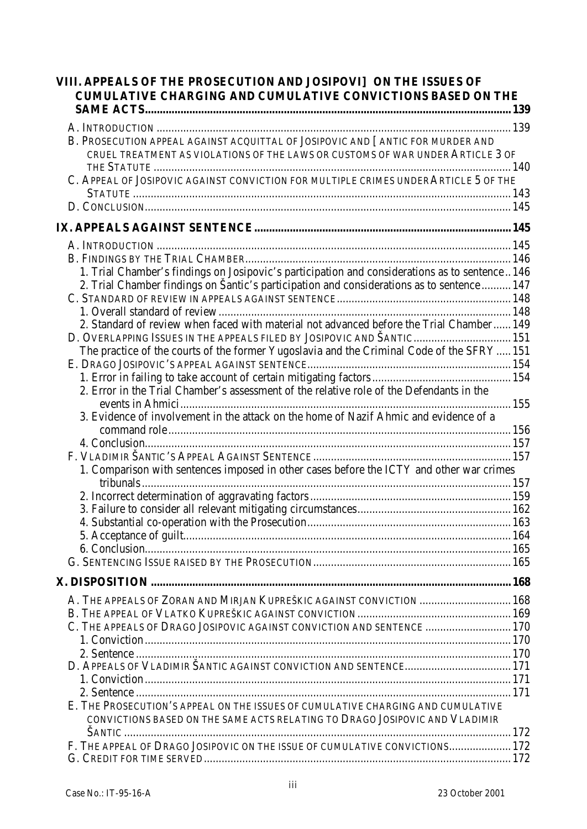| VIII. APPEALS OF THE PROSECUTION AND JOSIPOVI] ON THE ISSUES OF<br>CUMULATIVE CHARGING AND CUMULATIVE CONVICTIONS BASED ON THE                                   |  |
|------------------------------------------------------------------------------------------------------------------------------------------------------------------|--|
|                                                                                                                                                                  |  |
| B. PROSECUTION APPEAL AGAINST ACQUITTAL OF JOSIPOVIC AND [ANTIC FOR MURDER AND<br>CRUEL TREATMENT AS VIOLATIONS OF THE LAWS OR CUSTOMS OF WAR UNDER ARTICLE 3 OF |  |
| C. APPEAL OF JOSIPOVIC AGAINST CONVICTION FOR MULTIPLE CRIMES UNDER ARTICLE 5 OF THE                                                                             |  |
|                                                                                                                                                                  |  |
|                                                                                                                                                                  |  |
|                                                                                                                                                                  |  |
|                                                                                                                                                                  |  |
| 1. Trial Chamber's findings on Josipovic's participation and considerations as to sentence 146                                                                   |  |
| 2. Trial Chamber findings on Šantic's participation and considerations as to sentence  147                                                                       |  |
|                                                                                                                                                                  |  |
|                                                                                                                                                                  |  |
| 2. Standard of review when faced with material not advanced before the Trial Chamber 149                                                                         |  |
| D. OVERLAPPING ISSUES IN THE APPEALS FILED BY JOSIPOVIC AND ŠANTIC 151                                                                                           |  |
| The practice of the courts of the former Yugoslavia and the Criminal Code of the SFRY151                                                                         |  |
|                                                                                                                                                                  |  |
|                                                                                                                                                                  |  |
| 2. Error in the Trial Chamber's assessment of the relative role of the Defendants in the                                                                         |  |
|                                                                                                                                                                  |  |
| 3. Evidence of involvement in the attack on the home of Nazif Ahmic and evidence of a                                                                            |  |
|                                                                                                                                                                  |  |
|                                                                                                                                                                  |  |
|                                                                                                                                                                  |  |
| 1. Comparison with sentences imposed in other cases before the ICTY and other war crimes                                                                         |  |
|                                                                                                                                                                  |  |
|                                                                                                                                                                  |  |
|                                                                                                                                                                  |  |
|                                                                                                                                                                  |  |
|                                                                                                                                                                  |  |
|                                                                                                                                                                  |  |
|                                                                                                                                                                  |  |
|                                                                                                                                                                  |  |
| A. THE APPEALS OF ZORAN AND MIRJAN KUPREŠKIC AGAINST CONVICTION  168                                                                                             |  |
|                                                                                                                                                                  |  |
| C. THE APPEALS OF DRAGO JOSIPOVIC AGAINST CONVICTION AND SENTENCE  170                                                                                           |  |
|                                                                                                                                                                  |  |
|                                                                                                                                                                  |  |
|                                                                                                                                                                  |  |
|                                                                                                                                                                  |  |
|                                                                                                                                                                  |  |
| E. THE PROSECUTION'S APPEAL ON THE ISSUES OF CUMULATIVE CHARGING AND CUMULATIVE                                                                                  |  |
| CONVICTIONS BASED ON THE SAME ACTS RELATING TO DRAGO JOSIPOVIC AND VLADIMIR                                                                                      |  |
|                                                                                                                                                                  |  |
| F. THE APPEAL OF DRAGO JOSIPOVIC ON THE ISSUE OF CUMULATIVE CONVICTIONS 172                                                                                      |  |
|                                                                                                                                                                  |  |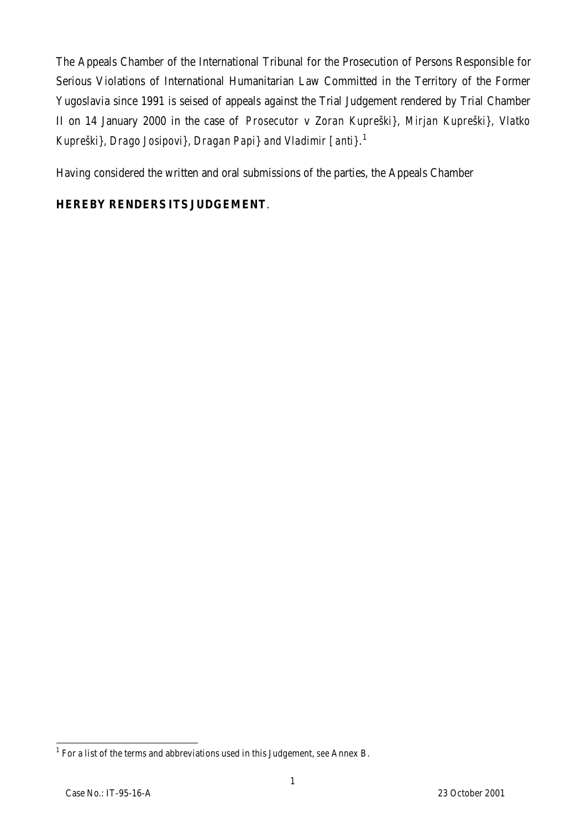The Appeals Chamber of the International Tribunal for the Prosecution of Persons Responsible for Serious Violations of International Humanitarian Law Committed in the Territory of the Former Yugoslavia since 1991 is seised of appeals against the Trial Judgement rendered by Trial Chamber II on 14 January 2000 in the case of *Prosecutor* v *Zoran Kupreški}, Mirjan Kupreški}, Vlatko Kupreški}, Drago Josipovi}, Dragan Papi} and Vladimir [anti}*. 1

Having considered the written and oral submissions of the parties, the Appeals Chamber

# **HEREBY RENDERS ITS JUDGEMENT**.

 1 For a list of the terms and abbreviations used in this Judgement, *see* Annex B.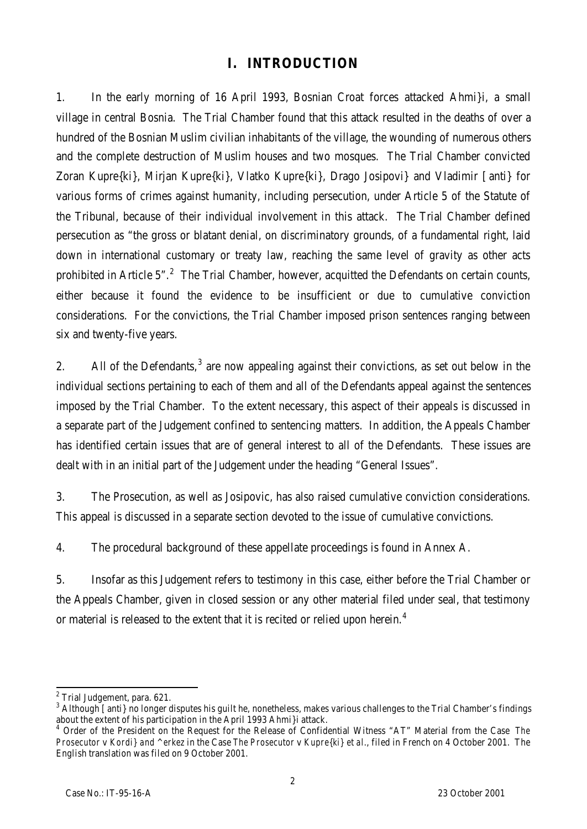# **I. INTRODUCTION**

1. In the early morning of 16 April 1993, Bosnian Croat forces attacked Ahmi}i, a small village in central Bosnia. The Trial Chamber found that this attack resulted in the deaths of over a hundred of the Bosnian Muslim civilian inhabitants of the village, the wounding of numerous others and the complete destruction of Muslim houses and two mosques. The Trial Chamber convicted Zoran Kupre{ki}, Mirjan Kupre{ki}, Vlatko Kupre{ki}, Drago Josipovi} and Vladimir [anti} for various forms of crimes against humanity, including persecution, under Article 5 of the Statute of the Tribunal, because of their individual involvement in this attack. The Trial Chamber defined persecution as "the gross or blatant denial, on discriminatory grounds, of a fundamental right, laid down in international customary or treaty law, reaching the same level of gravity as other acts prohibited in Article 5".<sup>2</sup> The Trial Chamber, however, acquitted the Defendants on certain counts, either because it found the evidence to be insufficient or due to cumulative conviction considerations. For the convictions, the Trial Chamber imposed prison sentences ranging between six and twenty-five years.

2. All of the Defendants,  $3$  are now appealing against their convictions, as set out below in the individual sections pertaining to each of them and all of the Defendants appeal against the sentences imposed by the Trial Chamber. To the extent necessary, this aspect of their appeals is discussed in a separate part of the Judgement confined to sentencing matters. In addition, the Appeals Chamber has identified certain issues that are of general interest to all of the Defendants. These issues are dealt with in an initial part of the Judgement under the heading "General Issues".

3. The Prosecution, as well as Josipovic, has also raised cumulative conviction considerations. This appeal is discussed in a separate section devoted to the issue of cumulative convictions.

4. The procedural background of these appellate proceedings is found in Annex A.

5. Insofar as this Judgement refers to testimony in this case, either before the Trial Chamber or the Appeals Chamber, given in closed session or any other material filed under seal, that testimony or material is released to the extent that it is recited or relied upon herein.<sup>4</sup>

<sup>&</sup>lt;sup>2</sup> Trial Judgement, para. 621.

 $^3$  Although [anti} no longer disputes his guilt he, nonetheless, makes various challenges to the Trial Chamber's findings about the extent of his participation in the April 1993 Ahmi}i attack.

<sup>4</sup> Order of the President on the Request for the Release of Confidential Witness "AT" Material from the Case *The Prosecutor* v *Kordi} and ^erkez* in the Case *The Prosecutor* v *Kupre{ki} et al*., filed in French on 4 October 2001. The English translation was filed on 9 October 2001.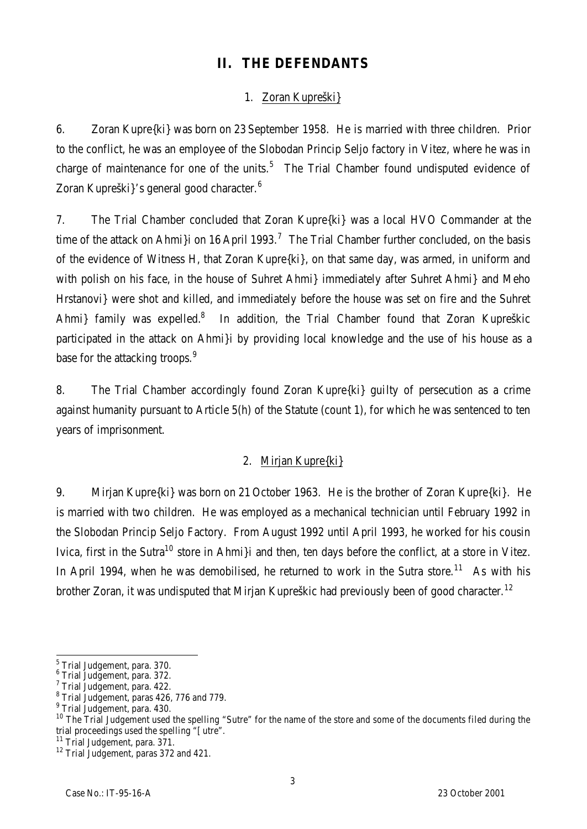# **II. THE DEFENDANTS**

# 1. Zoran Kupreški}

6. Zoran Kupre{ki} was born on 23 September 1958. He is married with three children. Prior to the conflict, he was an employee of the Slobodan Princip Seljo factory in Vitez, where he was in charge of maintenance for one of the units.<sup>5</sup> The Trial Chamber found undisputed evidence of Zoran Kupreški}'s general good character.<sup>6</sup>

7. The Trial Chamber concluded that Zoran Kupre{ki} was a local HVO Commander at the time of the attack on Ahmi}i on 16 April 1993.<sup>7</sup> The Trial Chamber further concluded, on the basis of the evidence of Witness H, that Zoran Kupre{ki}, on that same day, was armed, in uniform and with polish on his face, in the house of Suhret Ahmi} immediately after Suhret Ahmi} and Meho Hrstanovi} were shot and killed, and immediately before the house was set on fire and the Suhret Ahmi} family was expelled.<sup>8</sup> In addition, the Trial Chamber found that Zoran Kupreškic participated in the attack on Ahmi}i by providing local knowledge and the use of his house as a base for the attacking troops.<sup>9</sup>

8. The Trial Chamber accordingly found Zoran Kupre{ki} guilty of persecution as a crime against humanity pursuant to Article 5(h) of the Statute (count 1), for which he was sentenced to ten years of imprisonment.

# 2. Mirjan Kupre{ki}

9. Mirjan Kupre{ki} was born on 21 October 1963. He is the brother of Zoran Kupre{ki}. He is married with two children. He was employed as a mechanical technician until February 1992 in the Slobodan Princip Seljo Factory. From August 1992 until April 1993, he worked for his cousin Ivica, first in the Sutra<sup>10</sup> store in Ahmi}i and then, ten days before the conflict, at a store in Vitez. In April 1994, when he was demobilised, he returned to work in the Sutra store.<sup>11</sup> As with his brother Zoran, it was undisputed that Mirjan Kupreškic had previously been of good character.<sup>12</sup>

<sup>&</sup>lt;u>s</u><br>ETrial Judgement, para. 370.

<sup>6</sup> Trial Judgement, para. 372.

 $7$  Trial Judgement, para. 422.

 $8$  Trial Judgement, paras 426, 776 and 779.

<sup>&</sup>lt;sup>9</sup> Trial Judgement, para. 430.

 $10$  The Trial Judgement used the spelling "Sutre" for the name of the store and some of the documents filed during the trial proceedings used the spelling " [utre".

 $11$  Trial Judgement, para.  $371$ .

<sup>&</sup>lt;sup>12</sup> Trial Judgement, paras 372 and 421.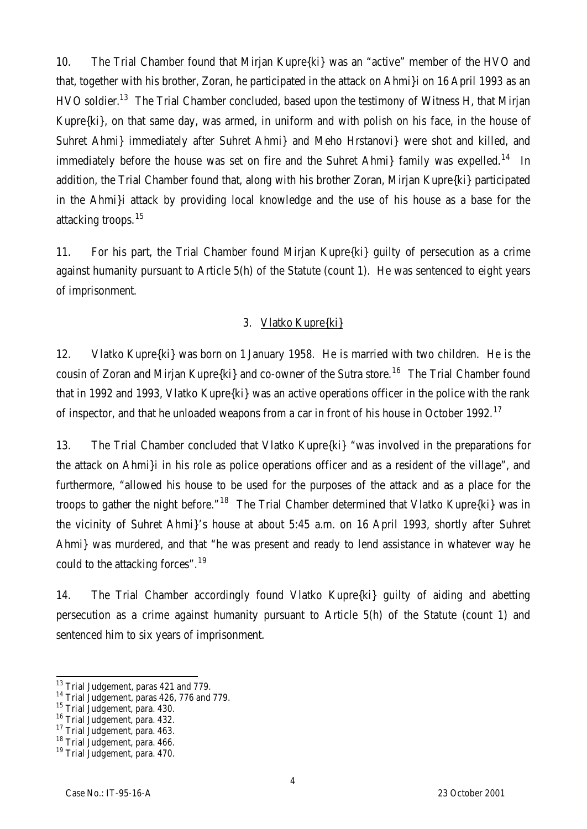10. The Trial Chamber found that Mirjan Kupre{ki} was an "active" member of the HVO and that, together with his brother, Zoran, he participated in the attack on Ahmi}i on 16 April 1993 as an HVO soldier.<sup>13</sup> The Trial Chamber concluded, based upon the testimony of Witness H, that Mirjan Kupre{ki}, on that same day, was armed, in uniform and with polish on his face, in the house of Suhret Ahmi} immediately after Suhret Ahmi} and Meho Hrstanovi} were shot and killed, and immediately before the house was set on fire and the Suhret Ahmi} family was expelled.<sup>14</sup> In addition, the Trial Chamber found that, along with his brother Zoran, Mirjan Kupre{ki} participated in the Ahmi}i attack by providing local knowledge and the use of his house as a base for the attacking troops.<sup>15</sup>

11. For his part, the Trial Chamber found Mirjan Kupre{ki} guilty of persecution as a crime against humanity pursuant to Article 5(h) of the Statute (count 1). He was sentenced to eight years of imprisonment.

#### 3. Vlatko Kupre{ki}

12. Vlatko Kupre{ki} was born on 1 January 1958. He is married with two children. He is the cousin of Zoran and Mirjan Kupre $\{ki\}$  and co-owner of the Sutra store.<sup>16</sup> The Trial Chamber found that in 1992 and 1993, Vlatko Kupre{ki} was an active operations officer in the police with the rank of inspector, and that he unloaded weapons from a car in front of his house in October 1992.<sup>17</sup>

13. The Trial Chamber concluded that Vlatko Kupre{ki} "was involved in the preparations for the attack on Ahmi}i in his role as police operations officer and as a resident of the village", and furthermore, "allowed his house to be used for the purposes of the attack and as a place for the troops to gather the night before."<sup>18</sup> The Trial Chamber determined that Vlatko Kupre{ki} was in the vicinity of Suhret Ahmi}'s house at about 5:45 a.m. on 16 April 1993, shortly after Suhret Ahmi} was murdered, and that "he was present and ready to lend assistance in whatever way he could to the attacking forces".<sup>19</sup>

14. The Trial Chamber accordingly found Vlatko Kupre{ki} guilty of aiding and abetting persecution as a crime against humanity pursuant to Article 5(h) of the Statute (count 1) and sentenced him to six years of imprisonment.

 $\overline{a}$ 

<sup>&</sup>lt;sup>13</sup> Trial Judgement, paras 421 and 779.

<sup>&</sup>lt;sup>14</sup> Trial Judgement, paras 426, 776 and 779.

<sup>&</sup>lt;sup>15</sup> Trial Judgement, para. 430.

<sup>&</sup>lt;sup>16</sup> Trial Judgement, para. 432.

<sup>&</sup>lt;sup>17</sup> Trial Judgement, para. 463.

<sup>&</sup>lt;sup>18</sup> Trial Judgement, para. 466.

<sup>&</sup>lt;sup>19</sup> Trial Judgement, para. 470.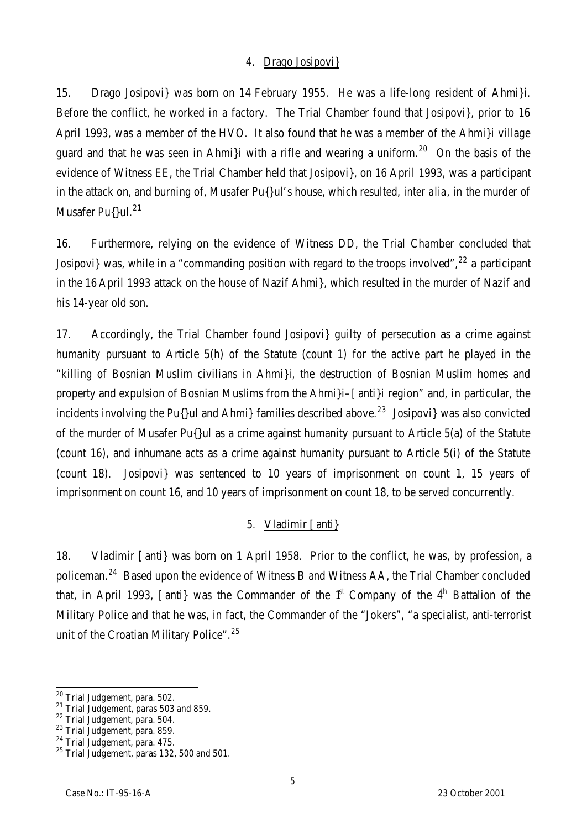#### 4. Drago Josipovi}

15. Drago Josipovi} was born on 14 February 1955. He was a life-long resident of Ahmi}i. Before the conflict, he worked in a factory. The Trial Chamber found that Josipovi}, prior to 16 April 1993, was a member of the HVO. It also found that he was a member of the Ahmi}i village guard and that he was seen in Ahmi i with a rifle and wearing a uniform.<sup>20</sup> On the basis of the evidence of Witness EE, the Trial Chamber held that Josipovi}, on 16 April 1993, was a participant in the attack on, and burning of, Musafer Pu{}ul's house, which resulted, *inter alia*, in the murder of Musafer Pu{}ul.<sup>21</sup>

16. Furthermore, relying on the evidence of Witness DD, the Trial Chamber concluded that Josipovi} was, while in a "commanding position with regard to the troops involved",  $22$  a participant in the 16 April 1993 attack on the house of Nazif Ahmi}, which resulted in the murder of Nazif and his 14-year old son.

17. Accordingly, the Trial Chamber found Josipovi} guilty of persecution as a crime against humanity pursuant to Article 5(h) of the Statute (count 1) for the active part he played in the "killing of Bosnian Muslim civilians in Ahmi}i, the destruction of Bosnian Muslim homes and property and expulsion of Bosnian Muslims from the Ahmi}i–[anti}i region" and, in particular, the incidents involving the Pu $\{$ ul and Ahmi $\}$  families described above.<sup>23</sup> Josipovi $\}$  was also convicted of the murder of Musafer Pu{}ul as a crime against humanity pursuant to Article 5(a) of the Statute (count 16), and inhumane acts as a crime against humanity pursuant to Article 5(i) of the Statute (count 18). Josipovi} was sentenced to 10 years of imprisonment on count 1, 15 years of imprisonment on count 16, and 10 years of imprisonment on count 18, to be served concurrently.

# 5. Vladimir [anti}

18. Vladimir [anti} was born on 1 April 1958. Prior to the conflict, he was, by profession, a policeman.<sup>24</sup> Based upon the evidence of Witness B and Witness AA, the Trial Chamber concluded that, in April 1993, [anti] was the Commander of the  $1<sup>st</sup>$  Company of the  $4<sup>th</sup>$  Battalion of the Military Police and that he was, in fact, the Commander of the "Jokers", "a specialist, anti-terrorist unit of the Croatian Military Police".<sup>25</sup>

 $\overline{a}$ 

<sup>&</sup>lt;sup>20</sup> Trial Judgement, para. 502.

<sup>&</sup>lt;sup>21</sup> Trial Judgement, paras 503 and 859.

<sup>22</sup> Trial Judgement, para. 504.

<sup>23</sup> Trial Judgement, para. 859.

<sup>24</sup> Trial Judgement, para. 475.

 $25$  Trial Judgement, paras 132, 500 and 501.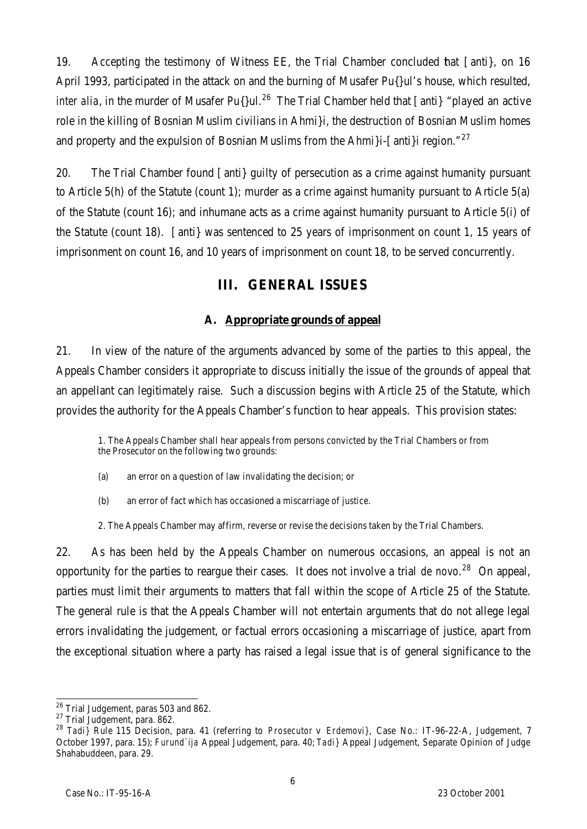19. Accepting the testimony of Witness EE, the Trial Chamber concluded that [anti}, on 16 April 1993, participated in the attack on and the burning of Musafer Pu{}ul's house, which resulted, *inter alia*, in the murder of Musafer Pu{}ul.<sup>26</sup> The Trial Chamber held that [anti} "played an active role in the killing of Bosnian Muslim civilians in Ahmi}i, the destruction of Bosnian Muslim homes and property and the expulsion of Bosnian Muslims from the Ahmi}i-[anti}i region."<sup>27</sup>

20. The Trial Chamber found [anti} guilty of persecution as a crime against humanity pursuant to Article 5(h) of the Statute (count 1); murder as a crime against humanity pursuant to Article 5(a) of the Statute (count 16); and inhumane acts as a crime against humanity pursuant to Article 5(i) of the Statute (count 18). [anti} was sentenced to 25 years of imprisonment on count 1, 15 years of imprisonment on count 16, and 10 years of imprisonment on count 18, to be served concurrently.

# **III. GENERAL ISSUES**

# **A. Appropriate grounds of appeal**

21. In view of the nature of the arguments advanced by some of the parties to this appeal, the Appeals Chamber considers it appropriate to discuss initially the issue of the grounds of appeal that an appellant can legitimately raise. Such a discussion begins with Article 25 of the Statute, which provides the authority for the Appeals Chamber's function to hear appeals. This provision states:

1. The Appeals Chamber shall hear appeals from persons convicted by the Trial Chambers or from the Prosecutor on the following two grounds:

- (a) an error on a question of law invalidating the decision; or
- (b) an error of fact which has occasioned a miscarriage of justice.
- 2. The Appeals Chamber may affirm, reverse or revise the decisions taken by the Trial Chambers.

22. As has been held by the Appeals Chamber on numerous occasions, an appeal is not an opportunity for the parties to reargue their cases. It does not involve a trial *de novo*. <sup>28</sup> On appeal, parties must limit their arguments to matters that fall within the scope of Article 25 of the Statute. The general rule is that the Appeals Chamber will not entertain arguments that do not allege legal errors invalidating the judgement, or factual errors occasioning a miscarriage of justice, apart from the exceptional situation where a party has raised a legal issue that is of general significance to the

 $\overline{a}$  $^{26}$  Trial Judgement, paras 503 and 862.

<sup>27</sup> Trial Judgement, para. 862.

<sup>28</sup> *Tadi}* Rule 115 Decision, para. 41 (referring to *Prosecutor* v *Erdemovi}*, Case No.: IT-96-22-A, Judgement, 7 October 1997, para. 15); *Furund`ija* Appeal Judgement, para. 40; *Tadi}* Appeal Judgement, Separate Opinion of Judge Shahabuddeen, para. 29.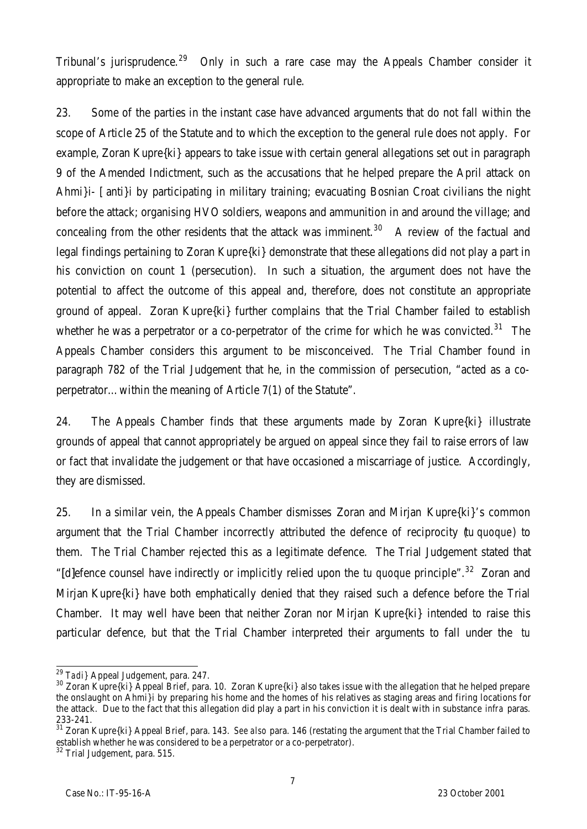Tribunal's jurisprudence.<sup>29</sup> Only in such a rare case may the Appeals Chamber consider it appropriate to make an exception to the general rule.

23. Some of the parties in the instant case have advanced arguments that do not fall within the scope of Article 25 of the Statute and to which the exception to the general rule does not apply. For example, Zoran Kupre{ki} appears to take issue with certain general allegations set out in paragraph 9 of the Amended Indictment, such as the accusations that he helped prepare the April attack on Ahmi}i- [anti}i by participating in military training; evacuating Bosnian Croat civilians the night before the attack; organising HVO soldiers, weapons and ammunition in and around the village; and concealing from the other residents that the attack was imminent.<sup>30</sup> A review of the factual and legal findings pertaining to Zoran Kupre{ki} demonstrate that these allegations did not play a part in his conviction on count 1 (persecution). In such a situation, the argument does not have the potential to affect the outcome of this appeal and, therefore, does not constitute an appropriate ground of appeal. Zoran Kupre{ki} further complains that the Trial Chamber failed to establish whether he was a perpetrator or a co-perpetrator of the crime for which he was convicted.<sup>31</sup> The Appeals Chamber considers this argument to be misconceived. The Trial Chamber found in paragraph 782 of the Trial Judgement that he, in the commission of persecution, "acted as a coperpetrator…within the meaning of Article 7(1) of the Statute".

24. The Appeals Chamber finds that these arguments made by Zoran Kupre{ki} illustrate grounds of appeal that cannot appropriately be argued on appeal since they fail to raise errors of law or fact that invalidate the judgement or that have occasioned a miscarriage of justice. Accordingly, they are dismissed.

25. In a similar vein, the Appeals Chamber dismisses Zoran and Mirjan Kupre{ki}'s common argument that the Trial Chamber incorrectly attributed the defence of reciprocity (*tu quoque*) to them. The Trial Chamber rejected this as a legitimate defence. The Trial Judgement stated that "[d]efence counsel have indirectly or implicitly relied upon the *tu quoque* principle".<sup>32</sup> Zoran and Mirjan Kupre{ki} have both emphatically denied that they raised such a defence before the Trial Chamber. It may well have been that neither Zoran nor Mirjan Kupre{ki} intended to raise this particular defence, but that the Trial Chamber interpreted their arguments to fall under the *tu*

 $\overline{\phantom{0}}$ <sup>29</sup> *Tadi}* Appeal Judgement, para. 247.

<sup>&</sup>lt;sup>30</sup> Zoran Kupre{ki} Appeal Brief, para. 10. Zoran Kupre{ki} also takes issue with the allegation that he helped prepare the onslaught on Ahmi}i by preparing his home and the homes of his relatives as staging areas and firing locations for the attack. Due to the fact that this allegation did play a part in his conviction it is dealt with in substance *infra* paras. 233-241.

<sup>31</sup> Zoran Kupre{ki} Appeal Brief, para. 143. *See also* para. 146 (restating the argument that the Trial Chamber failed to establish whether he was considered to be a perpetrator or a co-perpetrator).

 $32$  Trial Judgement, para. 515.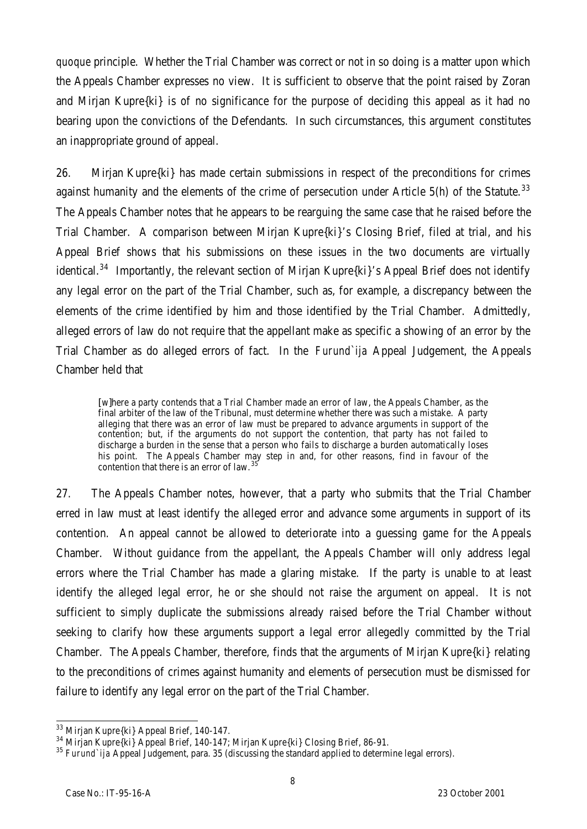*quoque* principle. Whether the Trial Chamber was correct or not in so doing is a matter upon which the Appeals Chamber expresses no view. It is sufficient to observe that the point raised by Zoran and Mirjan Kupre{ki} is of no significance for the purpose of deciding this appeal as it had no bearing upon the convictions of the Defendants. In such circumstances, this argument constitutes an inappropriate ground of appeal.

26. Mirjan Kupre{ki} has made certain submissions in respect of the preconditions for crimes against humanity and the elements of the crime of persecution under Article  $5(h)$  of the Statute.<sup>33</sup> The Appeals Chamber notes that he appears to be rearguing the same case that he raised before the Trial Chamber. A comparison between Mirjan Kupre{ki}'s Closing Brief, filed at trial, and his Appeal Brief shows that his submissions on these issues in the two documents are virtually identical.<sup>34</sup> Importantly, the relevant section of Mirjan Kupre{ki}'s Appeal Brief does not identify any legal error on the part of the Trial Chamber, such as, for example, a discrepancy between the elements of the crime identified by him and those identified by the Trial Chamber. Admittedly, alleged errors of law do not require that the appellant make as specific a showing of an error by the Trial Chamber as do alleged errors of fact. In the *Furund`ija* Appeal Judgement, the Appeals Chamber held that

[w]here a party contends that a Trial Chamber made an error of law, the Appeals Chamber, as the final arbiter of the law of the Tribunal, must determine whether there was such a mistake. A party alleging that there was an error of law must be prepared to advance arguments in support of the contention; but, if the arguments do not support the contention, that party has not failed to discharge a burden in the sense that a person who fails to discharge a burden automatically loses his point. The Appeals Chamber may step in and, for other reasons, find in favour of the contention that there is an error of law.<sup>35</sup>

27. The Appeals Chamber notes, however, that a party who submits that the Trial Chamber erred in law must at least identify the alleged error and advance some arguments in support of its contention. An appeal cannot be allowed to deteriorate into a guessing game for the Appeals Chamber. Without guidance from the appellant, the Appeals Chamber will only address legal errors where the Trial Chamber has made a glaring mistake. If the party is unable to at least identify the alleged legal error, he or she should not raise the argument on appeal. It is not sufficient to simply duplicate the submissions already raised before the Trial Chamber without seeking to clarify how these arguments support a legal error allegedly committed by the Trial Chamber. The Appeals Chamber, therefore, finds that the arguments of Mirjan Kupre{ki} relating to the preconditions of crimes against humanity and elements of persecution must be dismissed for failure to identify any legal error on the part of the Trial Chamber.

 $\overline{a}$  $^{33}$  Mirjan Kupre{ki} Appeal Brief, 140-147.

<sup>34</sup> Mirjan Kupre{ki} Appeal Brief, 140-147; Mirjan Kupre{ki} Closing Brief, 86-91.

<sup>35</sup> *Furund`ija* Appeal Judgement, para. 35 (discussing the standard applied to determine legal errors).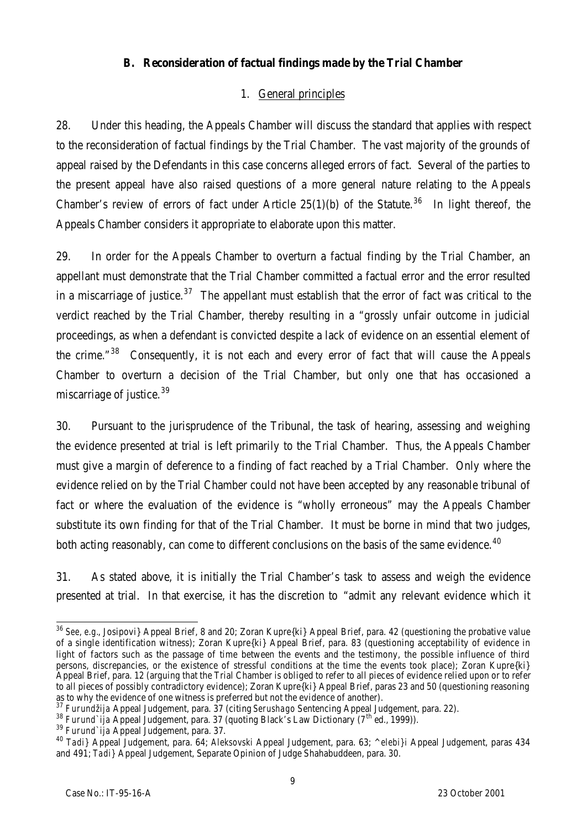# **B. Reconsideration of factual findings made by the Trial Chamber**

# 1. General principles

28. Under this heading, the Appeals Chamber will discuss the standard that applies with respect to the reconsideration of factual findings by the Trial Chamber. The vast majority of the grounds of appeal raised by the Defendants in this case concerns alleged errors of fact. Several of the parties to the present appeal have also raised questions of a more general nature relating to the Appeals Chamber's review of errors of fact under Article 25(1)(b) of the Statute.<sup>36</sup> In light thereof, the Appeals Chamber considers it appropriate to elaborate upon this matter.

29. In order for the Appeals Chamber to overturn a factual finding by the Trial Chamber, an appellant must demonstrate that the Trial Chamber committed a factual error and the error resulted in a miscarriage of justice.<sup>37</sup> The appellant must establish that the error of fact was critical to the verdict reached by the Trial Chamber, thereby resulting in a "grossly unfair outcome in judicial proceedings, as when a defendant is convicted despite a lack of evidence on an essential element of the crime. $138$  Consequently, it is not each and every error of fact that will cause the Appeals Chamber to overturn a decision of the Trial Chamber, but only one that has occasioned a miscarriage of justice.<sup>39</sup>

30. Pursuant to the jurisprudence of the Tribunal, the task of hearing, assessing and weighing the evidence presented at trial is left primarily to the Trial Chamber. Thus, the Appeals Chamber must give a margin of deference to a finding of fact reached by a Trial Chamber. Only where the evidence relied on by the Trial Chamber could not have been accepted by any reasonable tribunal of fact or where the evaluation of the evidence is "wholly erroneous" may the Appeals Chamber substitute its own finding for that of the Trial Chamber. It must be borne in mind that two judges, both acting reasonably, can come to different conclusions on the basis of the same evidence.<sup>40</sup>

31. As stated above, it is initially the Trial Chamber's task to assess and weigh the evidence presented at trial. In that exercise, it has the discretion to "admit any relevant evidence which it

 $\overline{a}$ <sup>36</sup> See, e.g., Josipovi} Appeal Brief, 8 and 20; Zoran Kupre{ki} Appeal Brief, para. 42 (questioning the probative value of a single identification witness); Zoran Kupre{ki} Appeal Brief, para. 83 (questioning acceptability of evidence in light of factors such as the passage of time between the events and the testimony, the possible influence of third persons, discrepancies, or the existence of stressful conditions at the time the events took place); Zoran Kupre{ki} Appeal Brief, para. 12 (arguing that the Trial Chamber is obliged to refer to all pieces of evidence relied upon or to refer to all pieces of possibly contradictory evidence); Zoran Kupre{ki} Appeal Brief, paras 23 and 50 (questioning reasoning as to why the evidence of one witness is preferred but not the evidence of another).

<sup>37</sup> *Furundžija* Appeal Judgement, para. 37 (citing *Serushago* Sentencing Appeal Judgement, para. 22).

<sup>38</sup> *Furund`ija* Appeal Judgement, para. 37 (quoting Black's Law Dictionary (7th ed., 1999)).

<sup>39</sup> *Furund`ija* Appeal Judgement, para. 37.

<sup>40</sup> *Tadi}* Appeal Judgement, para. 64; *Aleksovski* Appeal Judgement, para. 63; *^elebi}i* Appeal Judgement, paras 434 and 491; *Tadi}* Appeal Judgement, Separate Opinion of Judge Shahabuddeen, para. 30.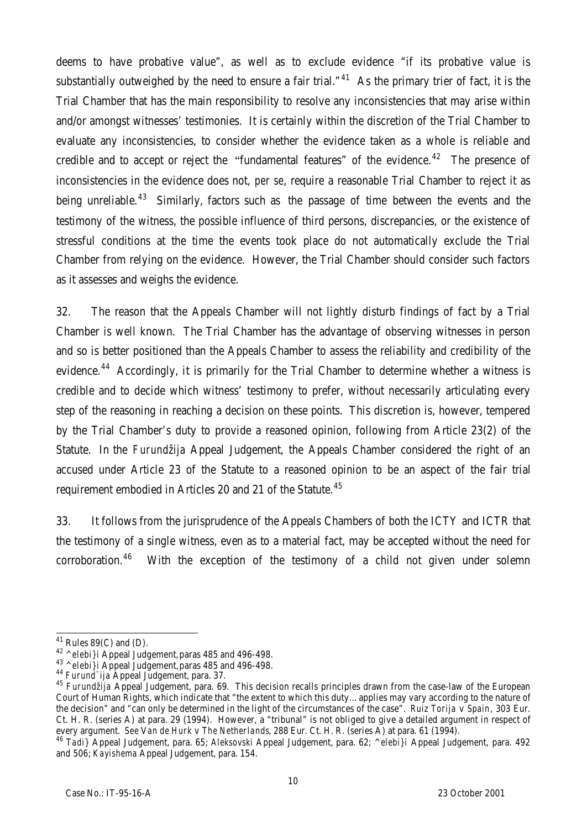deems to have probative value", as well as to exclude evidence "if its probative value is substantially outweighed by the need to ensure a fair trial."<sup>41</sup> As the primary trier of fact, it is the Trial Chamber that has the main responsibility to resolve any inconsistencies that may arise within and/or amongst witnesses' testimonies. It is certainly within the discretion of the Trial Chamber to evaluate any inconsistencies, to consider whether the evidence taken as a whole is reliable and credible and to accept or reject the "fundamental features" of the evidence.<sup>42</sup> The presence of inconsistencies in the evidence does not, *per se*, require a reasonable Trial Chamber to reject it as being unreliable.<sup>43</sup> Similarly, factors such as the passage of time between the events and the testimony of the witness, the possible influence of third persons, discrepancies, or the existence of stressful conditions at the time the events took place do not automatically exclude the Trial Chamber from relying on the evidence. However, the Trial Chamber should consider such factors as it assesses and weighs the evidence.

32. The reason that the Appeals Chamber will not lightly disturb findings of fact by a Trial Chamber is well known. The Trial Chamber has the advantage of observing witnesses in person and so is better positioned than the Appeals Chamber to assess the reliability and credibility of the evidence.<sup>44</sup> Accordingly, it is primarily for the Trial Chamber to determine whether a witness is credible and to decide which witness' testimony to prefer, without necessarily articulating every step of the reasoning in reaching a decision on these points. This discretion is, however, tempered by the Trial Chamber's duty to provide a reasoned opinion, following from Article 23(2) of the Statute. In the *Furundžija* Appeal Judgement, the Appeals Chamber considered the right of an accused under Article 23 of the Statute to a reasoned opinion to be an aspect of the fair trial requirement embodied in Articles 20 and 21 of the Statute.<sup>45</sup>

33. It follows from the jurisprudence of the Appeals Chambers of both the ICTY and ICTR that the testimony of a single witness, even as to a material fact, may be accepted without the need for corroboration.<sup>46</sup> With the exception of the testimony of a child not given under solemn

 $\overline{a}$  $41$  Rules 89(C) and (D).

<sup>42</sup> *^elebi}i* Appeal Judgement,paras 485 and 496-498.

<sup>43</sup> *^elebi}i* Appeal Judgement,paras 485 and 496-498.

<sup>44</sup> *Furund`ija* Appeal Judgement, para. 37.

<sup>45</sup> *Furundžija* Appeal Judgement, para. 69. This decision recalls principles drawn from the case-law of the European Court of Human Rights, which indicate that "the extent to which this duty…applies may vary according to the nature of the decision" and "can only be determined in the light of the circumstances of the case". *Ruiz Torija* v *Spain*, 303 Eur. Ct. H. R. (series A) at para. 29 (1994). However, a "tribunal" is not obliged to give a detailed argument in respect of every argument. *See* V*an de Hurk* v *The Netherlands*, 288 Eur. Ct. H. R. (series A) at para. 61 (1994).

<sup>46</sup> *Tadi}* Appeal Judgement, para. 65; *Aleksovski* Appeal Judgement, para. 62; *^elebi}i* Appeal Judgement, para. 492 and 506; *Kayishema* Appeal Judgement, para. 154.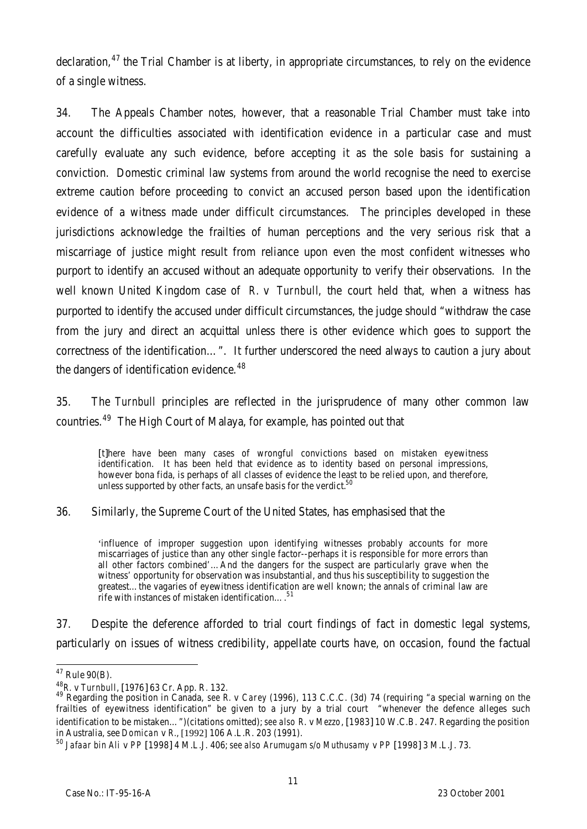declaration,<sup>47</sup> the Trial Chamber is at liberty, in appropriate circumstances, to rely on the evidence of a single witness.

34. The Appeals Chamber notes, however, that a reasonable Trial Chamber must take into account the difficulties associated with identification evidence in a particular case and must carefully evaluate any such evidence, before accepting it as the sole basis for sustaining a conviction. Domestic criminal law systems from around the world recognise the need to exercise extreme caution before proceeding to convict an accused person based upon the identification evidence of a witness made under difficult circumstances. The principles developed in these jurisdictions acknowledge the frailties of human perceptions and the very serious risk that a miscarriage of justice might result from reliance upon even the most confident witnesses who purport to identify an accused without an adequate opportunity to verify their observations. In the well known United Kingdom case of *R.* v *Turnbull*, the court held that, when a witness has purported to identify the accused under difficult circumstances, the judge should "withdraw the case from the jury and direct an acquittal unless there is other evidence which goes to support the correctness of the identification…". It further underscored the need always to caution a jury about the dangers of identification evidence.<sup>48</sup>

35. The *Turnbull* principles are reflected in the jurisprudence of many other common law countries.<sup>49</sup> The High Court of Malaya, for example, has pointed out that

[t]here have been many cases of wrongful convictions based on mistaken eyewitness identification. It has been held that evidence as to identity based on personal impressions, however bona fida, is perhaps of all classes of evidence the least to be relied upon, and therefore, unless supported by other facts, an unsafe basis for the verdict.<sup>50</sup>

36. Similarly, the Supreme Court of the United States, has emphasised that the

'influence of improper suggestion upon identifying witnesses probably accounts for more miscarriages of justice than any other single factor--perhaps it is responsible for more errors than all other factors combined'…And the dangers for the suspect are particularly grave when the witness' opportunity for observation was insubstantial, and thus his susceptibility to suggestion the greatest…the vagaries of eyewitness identification are well known; the annals of criminal law are rife with instances of mistaken identification...

37. Despite the deference afforded to trial court findings of fact in domestic legal systems, particularly on issues of witness credibility, appellate courts have, on occasion, found the factual

 $\overline{a}$  $47$  Rule 90(B).

<sup>48</sup>*R.* v *Turnbull*, [1976] 63 Cr. App. R. 132.

<sup>49</sup> Regarding the position in Canada, *see R.* v *Carey* (1996), 113 C.C.C. (3d) 74 (requiring "a special warning on the frailties of eyewitness identification" be given to a jury by a trial court "whenever the defence alleges such identification to be mistaken…")(citations omitted); *see also R*. v *Mezzo*, [1983] 10 W.C.B. 247. Regarding the position in Australia, see *Domican* v *R.*, [1992] 106 A.L.R. 203 (1991).

<sup>50</sup> *Jafaar bin Ali* v *PP* [1998] 4 M.L.J. 406; *see also Arumugam s/o Muthusamy* v *PP* [1998] 3 M.L.J. 73.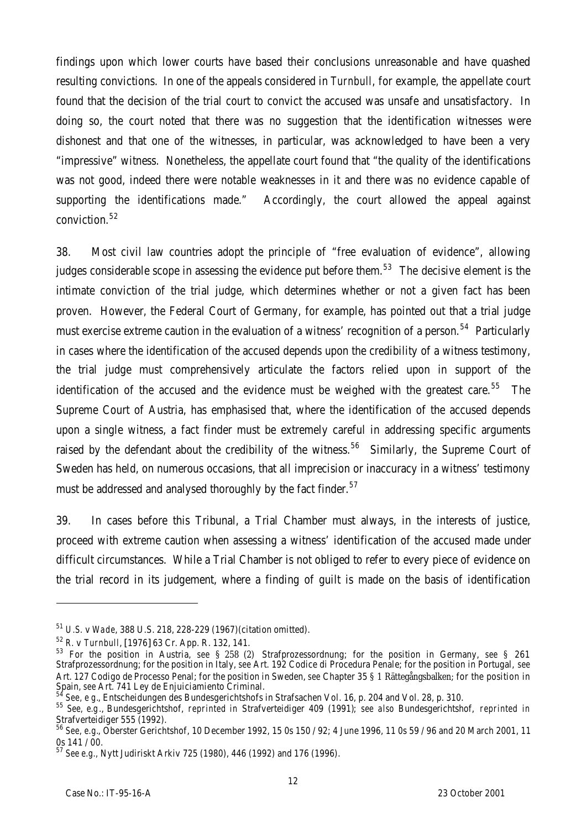findings upon which lower courts have based their conclusions unreasonable and have quashed resulting convictions. In one of the appeals considered in *Turnbull*, for example, the appellate court found that the decision of the trial court to convict the accused was unsafe and unsatisfactory. In doing so, the court noted that there was no suggestion that the identification witnesses were dishonest and that one of the witnesses, in particular, was acknowledged to have been a very "impressive" witness. Nonetheless, the appellate court found that "the quality of the identifications was not good, indeed there were notable weaknesses in it and there was no evidence capable of supporting the identifications made." Accordingly, the court allowed the appeal against conviction.<sup>52</sup>

38. Most civil law countries adopt the principle of "free evaluation of evidence", allowing judges considerable scope in assessing the evidence put before them.<sup>53</sup> The decisive element is the intimate conviction of the trial judge, which determines whether or not a given fact has been proven. However, the Federal Court of Germany, for example, has pointed out that a trial judge must exercise extreme caution in the evaluation of a witness' recognition of a person.<sup>54</sup> Particularly in cases where the identification of the accused depends upon the credibility of a witness testimony, the trial judge must comprehensively articulate the factors relied upon in support of the identification of the accused and the evidence must be weighed with the greatest care.<sup>55</sup> The Supreme Court of Austria, has emphasised that, where the identification of the accused depends upon a single witness, a fact finder must be extremely careful in addressing specific arguments raised by the defendant about the credibility of the witness.<sup>56</sup> Similarly, the Supreme Court of Sweden has held, on numerous occasions, that all imprecision or inaccuracy in a witness' testimony must be addressed and analysed thoroughly by the fact finder.<sup>57</sup>

39. In cases before this Tribunal, a Trial Chamber must always, in the interests of justice, proceed with extreme caution when assessing a witness' identification of the accused made under difficult circumstances. While a Trial Chamber is not obliged to refer to every piece of evidence on the trial record in its judgement, where a finding of guilt is made on the basis of identification

<sup>51</sup> *U.S.* v *Wade*, 388 U.S. 218, 228-229 (1967)(citation omitted).

<sup>52</sup> *R.* v *Turnbull*, [1976] 63 Cr. App. R. 132, 141.

<sup>53</sup> For the position in Austria, *see* § 258 (2) Strafprozessordnung; for the position in Germany, *see* § 261 Strafprozessordnung; for the position in Italy, *see* Art. 192 Codice di Procedura Penale; for the position in Portugal, *see* Art. 127 Codigo de Processo Penal; for the position in Sweden, *see* Chapter 35 § 1 Rättegångsbalken; for the position in Spain, see Art. 741 Ley de Enjuiciamiento Criminal.

<sup>54</sup> *See, e g.*, Entscheidungen des Bundesgerichtshofs in Strafsachen Vol. 16, p. 204 and Vol. 28, p. 310.

<sup>55</sup> *See, e.g*., Bundesgerichtshof, *reprinted in* Strafverteidiger 409 (1991); *see also* Bundesgerichtshof, *reprinted in* Strafverteidiger 555 (1992).

<sup>56</sup> *See, e.g.*, Oberster Gerichtshof, 10 December 1992, 15 0s 150 / 92; 4 June 1996, 11 0s 59 / 96 and 20 March 2001, 11 0s 141 / 00.

<sup>57</sup> *See e.g.,* Nytt Judiriskt Arkiv 725 (1980), 446 (1992) and 176 (1996).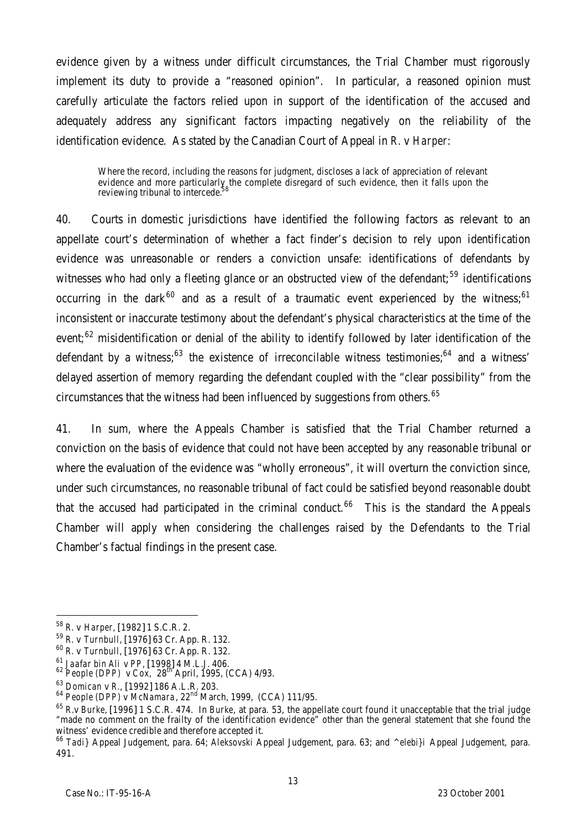evidence given by a witness under difficult circumstances, the Trial Chamber must rigorously implement its duty to provide a "reasoned opinion". In particular, a reasoned opinion must carefully articulate the factors relied upon in support of the identification of the accused and adequately address any significant factors impacting negatively on the reliability of the identification evidence. As stated by the Canadian Court of Appeal in *R.* v *Harper*:

Where the record, including the reasons for judgment, discloses a lack of appreciation of relevant evidence and more particularly the complete disregard of such evidence, then it falls upon the reviewing tribunal to intercede.<sup>58</sup>

40. Courts in domestic jurisdictions have identified the following factors as relevant to an appellate court's determination of whether a fact finder's decision to rely upon identification evidence was unreasonable or renders a conviction unsafe: identifications of defendants by witnesses who had only a fleeting glance or an obstructed view of the defendant;<sup>59</sup> identifications occurring in the dark<sup>60</sup> and as a result of a traumatic event experienced by the witness;<sup>61</sup> inconsistent or inaccurate testimony about the defendant's physical characteristics at the time of the event;<sup>62</sup> misidentification or denial of the ability to identify followed by later identification of the defendant by a witness;<sup>63</sup> the existence of irreconcilable witness testimonies;<sup>64</sup> and a witness' delayed assertion of memory regarding the defendant coupled with the "clear possibility" from the circumstances that the witness had been influenced by suggestions from others.<sup>65</sup>

41. In sum, where the Appeals Chamber is satisfied that the Trial Chamber returned a conviction on the basis of evidence that could not have been accepted by any reasonable tribunal or where the evaluation of the evidence was "wholly erroneous", it will overturn the conviction since, under such circumstances, no reasonable tribunal of fact could be satisfied beyond reasonable doubt that the accused had participated in the criminal conduct.<sup>66</sup> This is the standard the Appeals Chamber will apply when considering the challenges raised by the Defendants to the Trial Chamber's factual findings in the present case.

<sup>58</sup> *R.* v *Harper*, [1982] 1 S.C.R. 2.

<sup>59</sup> *R.* v *Turnbull*, [1976] 63 Cr. App. R. 132.

<sup>60</sup> *R.* v *Turnbull*, [1976] 63 Cr. App. R. 132.

<sup>61</sup> *Jaafar bin Ali* v *PP*, [1998] 4 M.L.J. 406.

<sup>62</sup> *People (DPP)* v *Cox*, 28th April, 1995, (CCA) 4/93.

<sup>63</sup> *Domican* v *R*., [1992] 186 A.L.R. 203.

<sup>64</sup> *People (DPP)* v *McNamara*, 22nd March, 1999, (CCA) 111/95.

<sup>65</sup> *R*.v *Burke*, [1996] 1 S.C.R. 474. In *Burke*, at para. 53, the appellate court found it unacceptable that the trial judge "made no comment on the frailty of the identification evidence" other than the general statement that she found the witness' evidence credible and therefore accepted it.

<sup>66</sup> *Tadi}* Appeal Judgement, para. 64; *Aleksovski* Appeal Judgement, para. 63; and *^elebi}i* Appeal Judgement, para. 491.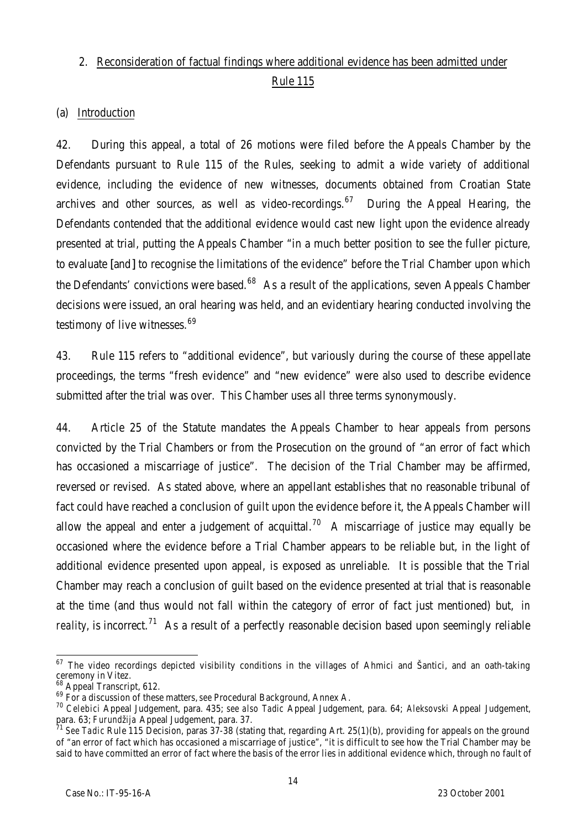# 2. Reconsideration of factual findings where additional evidence has been admitted under Rule 115

#### (a) Introduction

42. During this appeal, a total of 26 motions were filed before the Appeals Chamber by the Defendants pursuant to Rule 115 of the Rules, seeking to admit a wide variety of additional evidence, including the evidence of new witnesses, documents obtained from Croatian State archives and other sources, as well as video-recordings.<sup>67</sup> During the Appeal Hearing, the Defendants contended that the additional evidence would cast new light upon the evidence already presented at trial, putting the Appeals Chamber "in a much better position to see the fuller picture, to evaluate [and] to recognise the limitations of the evidence" before the Trial Chamber upon which the Defendants' convictions were based.<sup>68</sup> As a result of the applications, seven Appeals Chamber decisions were issued, an oral hearing was held, and an evidentiary hearing conducted involving the testimony of live witnesses.<sup>69</sup>

43. Rule 115 refers to "additional evidence", but variously during the course of these appellate proceedings, the terms "fresh evidence" and "new evidence" were also used to describe evidence submitted after the trial was over. This Chamber uses all three terms synonymously.

44. Article 25 of the Statute mandates the Appeals Chamber to hear appeals from persons convicted by the Trial Chambers or from the Prosecution on the ground of "an error of fact which has occasioned a miscarriage of justice". The decision of the Trial Chamber may be affirmed, reversed or revised. As stated above, where an appellant establishes that no reasonable tribunal of fact could have reached a conclusion of quilt upon the evidence before it, the Appeals Chamber will allow the appeal and enter a judgement of acquittal.<sup>70</sup> A miscarriage of justice may equally be occasioned where the evidence before a Trial Chamber appears to be reliable but, in the light of additional evidence presented upon appeal, is exposed as unreliable. It is possible that the Trial Chamber may reach a conclusion of guilt based on the evidence presented at trial that is reasonable at the time (and thus would not fall within the category of error of fact just mentioned) but, *in* reality, is incorrect.<sup>71</sup> As a result of a perfectly reasonable decision based upon seemingly reliable

 $\overline{a}$  $^{67}$  The video recordings depicted visibility conditions in the villages of Ahmici and Šantici, and an oath-taking ceremony in Vitez.

<sup>&</sup>lt;sup>68</sup> Appeal Transcript, 612.

<sup>69</sup> For a discussion of these matters, *see* Procedural Background, Annex A.

<sup>70</sup> *Celebici* Appeal Judgement, para. 435; *see also Tadic* Appeal Judgement, para. 64; *Aleksovski* Appeal Judgement, para. 63; *Furundžija* Appeal Judgement, para. 37.

<sup>71</sup> *See Tadic* Rule 115 Decision, paras 37-38 (stating that, regarding Art. 25(1)(b), providing for appeals on the ground of "an error of fact which has occasioned a miscarriage of justice", "it is difficult to see how the Trial Chamber may be said to have committed an error of fact where the basis of the error lies in additional evidence which, through no fault of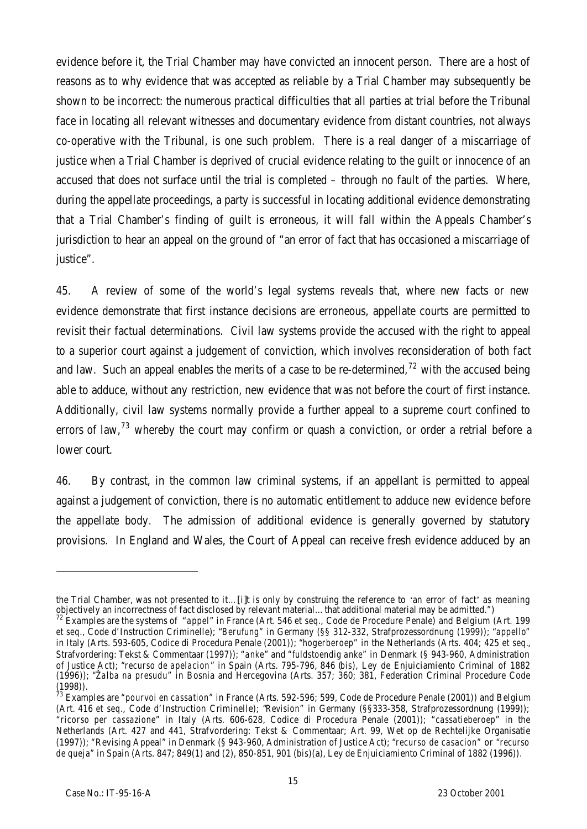evidence before it, the Trial Chamber may have convicted an innocent person. There are a host of reasons as to why evidence that was accepted as reliable by a Trial Chamber may subsequently be shown to be incorrect: the numerous practical difficulties that all parties at trial before the Tribunal face in locating all relevant witnesses and documentary evidence from distant countries, not always co-operative with the Tribunal, is one such problem. There is a real danger of a miscarriage of justice when a Trial Chamber is deprived of crucial evidence relating to the quilt or innocence of an accused that does not surface until the trial is completed – through no fault of the parties. Where, during the appellate proceedings, a party is successful in locating additional evidence demonstrating that a Trial Chamber's finding of guilt is erroneous, it will fall within the Appeals Chamber's jurisdiction to hear an appeal on the ground of "an error of fact that has occasioned a miscarriage of justice".

45. A review of some of the world's legal systems reveals that, where new facts or new evidence demonstrate that first instance decisions are erroneous, appellate courts are permitted to revisit their factual determinations. Civil law systems provide the accused with the right to appeal to a superior court against a judgement of conviction, which involves reconsideration of both fact and law. Such an appeal enables the merits of a case to be re-determined,  $72$  with the accused being able to adduce, without any restriction, new evidence that was not before the court of first instance. Additionally, civil law systems normally provide a further appeal to a supreme court confined to errors of law,  $73$  whereby the court may confirm or quash a conviction, or order a retrial before a lower court.

46. By contrast, in the common law criminal systems, if an appellant is permitted to appeal against a judgement of conviction, there is no automatic entitlement to adduce new evidence before the appellate body. The admission of additional evidence is generally governed by statutory provisions. In England and Wales, the Court of Appeal can receive fresh evidence adduced by an

the Trial Chamber, was not presented to it…[i]t is only by construing the reference to 'an error of fact' as meaning objectively an incorrectness of fact disclosed by relevant material…that additional material may be admitted.")

<sup>72</sup> Examples are the systems of "*appel*" in France (Art. 546 *et seq*., Code de Procedure Penale) and Belgium (Art. 199 *et seq*., Code d'Instruction Criminelle); "*Berufung*" in Germany (§§ 312-332, Strafprozessordnung (1999)); "*appello*" in Italy (Arts. 593-605, Codice di Procedura Penale (2001)); "*hogerberoep*" in the Netherlands (Arts. 404; 425 *et seq.*, Strafvordering: Tekst & Commentaar (1997)); "*anke*" and "*fuldstoendig anke*" in Denmark (§ 943-960, Administration of Justice Act); "*recurso de apelacion*" in Spain (Arts. 795-796, 846 (*bis*), Ley de Enjuiciamiento Criminal of 1882 (1996)); "*Žalba na presudu*" in Bosnia and Hercegovina (Arts. 357; 360; 381, Federation Criminal Procedure Code (1998)).

<sup>73</sup> Examples are "*pourvoi en cassation*" in France (Arts. 592-596; 599, Code de Procedure Penale (2001)) and Belgium (Art. 416 *et seq*., Code d'Instruction Criminelle); "*Revision*" in Germany (§§333-358, Strafprozessordnung (1999)); "*ricorso per cassazione*" in Italy (Arts. 606-628, Codice di Procedura Penale (2001)); "*cassatieberoep*" in the Netherlands (Art. 427 and 441, Strafvordering: Tekst & Commentaar; Art. 99, Wet op de Rechtelijke Organisatie (1997)); "Revising Appeal" in Denmark (§ 943-960, Administration of Justice Act); "*recurso de casacion*" or "*recurso de queja*" in Spain (Arts. 847; 849(1) and (2), 850-851, 901 (*bis*)(a), Ley de Enjuiciamiento Criminal of 1882 (1996)).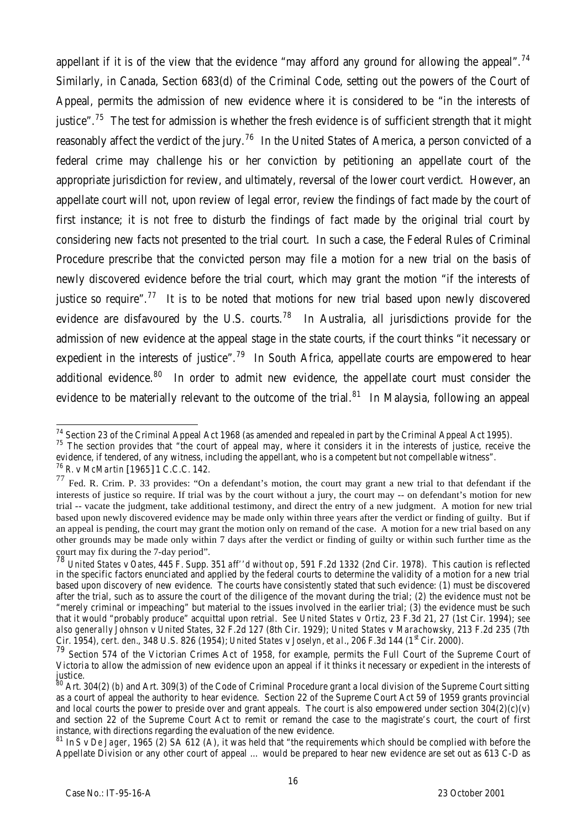appellant if it is of the view that the evidence "may afford any ground for allowing the appeal".<sup>74</sup> Similarly, in Canada, Section 683(d) of the Criminal Code, setting out the powers of the Court of Appeal, permits the admission of new evidence where it is considered to be "in the interests of justice".<sup>75</sup> The test for admission is whether the fresh evidence is of sufficient strength that it might reasonably affect the verdict of the jury.<sup>76</sup> In the United States of America, a person convicted of a federal crime may challenge his or her conviction by petitioning an appellate court of the appropriate jurisdiction for review, and ultimately, reversal of the lower court verdict. However, an appellate court will not, upon review of legal error, review the findings of fact made by the court of first instance; it is not free to disturb the findings of fact made by the original trial court by considering new facts not presented to the trial court. In such a case, the Federal Rules of Criminal Procedure prescribe that the convicted person may file a motion for a new trial on the basis of newly discovered evidence before the trial court, which may grant the motion "if the interests of justice so require".<sup>77</sup> It is to be noted that motions for new trial based upon newly discovered evidence are disfavoured by the U.S. courts.<sup>78</sup> In Australia, all jurisdictions provide for the admission of new evidence at the appeal stage in the state courts, if the court thinks "it necessary or expedient in the interests of justice".<sup>79</sup> In South Africa, appellate courts are empowered to hear additional evidence.<sup>80</sup> In order to admit new evidence, the appellate court must consider the evidence to be materially relevant to the outcome of the trial.<sup>81</sup> In Malaysia, following an appeal

evidence, if tendered, of any witness, including the appellant, who is a competent but not compellable witness".

j  $^{74}$  Section 23 of the Criminal Appeal Act 1968 (as amended and repealed in part by the Criminal Appeal Act 1995).

 $75$  The section provides that "the court of appeal may, where it considers it in the interests of justice, receive the

<sup>76</sup> *R.* v *McMartin* [1965] 1 C.C.C. 142.

 $77$  Fed. R. Crim. P. 33 provides: "On a defendant's motion, the court may grant a new trial to that defendant if the interests of justice so require. If trial was by the court without a jury, the court may -- on defendant's motion for new trial -- vacate the judgment, take additional testimony, and direct the entry of a new judgment. A motion for new trial based upon newly discovered evidence may be made only within three years after the verdict or finding of guilty. But if an appeal is pending, the court may grant the motion only on remand of the case. A motion for a new trial based on any other grounds may be made only within 7 days after the verdict or finding of guilty or within such further time as the court may fix during the 7-day period".

<sup>78</sup> *United States* v *Oates*, 445 F. Supp. 351 *aff''d without op*, 591 F.2d 1332 (2nd Cir. 1978). This caution is reflected in the specific factors enunciated and applied by the federal courts to determine the validity of a motion for a new trial based upon discovery of new evidence. The courts have consistently stated that such evidence: (1) must be discovered after the trial, such as to assure the court of the diligence of the movant during the trial; (2) the evidence must not be "merely criminal or impeaching" but material to the issues involved in the earlier trial; (3) the evidence must be such that it would "probably produce" acquittal upon retrial. *See United States* v *Ortiz*, 23 F.3d 21, 27 (1st Cir. 1994); *see also generally Johnson* v *United States*, 32 F.2d 127 (8th Cir. 1929); *United States* v *Marachowsky*, 213 F.2d 235 (7th Cir. 1954), *cert. den.*, 348 U.S. 826 (1954); *United States v Joselyn*, *et al.*, 206 F.3d 144 (1<sup>st</sup> Cir. 2000).

<sup>79</sup> Section 574 of the Victorian Crimes Act of 1958, for example, permits the Full Court of the Supreme Court of Victoria to allow the admission of new evidence upon an appeal if it thinks it necessary or expedient in the interests of justice.

<sup>80</sup> Art. 304(2) (*b*) and Art. 309(3) of the Code of Criminal Procedure grant a local division of the Supreme Court sitting as a court of appeal the authority to hear evidence. Section 22 of the Supreme Court Act 59 of 1959 grants provincial and local courts the power to preside over and grant appeals. The court is also empowered under section 304(2)(c)(v) and section 22 of the Supreme Court Act to remit or remand the case to the magistrate's court, the court of first instance, with directions regarding the evaluation of the new evidence.

<sup>81</sup> In *S* v *De Jager*, 1965 (2) SA 612 (A), it was held that "the requirements which should be complied with before the Appellate Division or any other court of appeal … would be prepared to hear new evidence are set out as 613 C-D as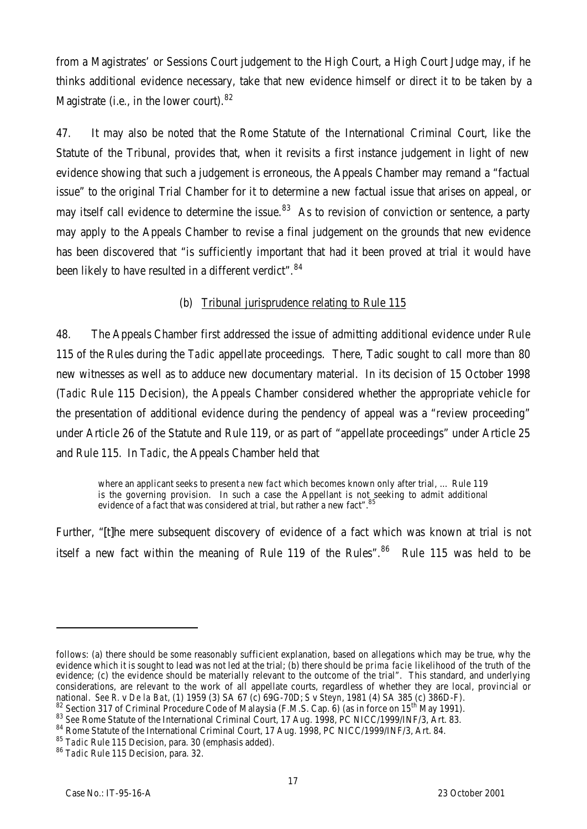from a Magistrates' or Sessions Court judgement to the High Court, a High Court Judge may, if he thinks additional evidence necessary, take that new evidence himself or direct it to be taken by a Magistrate (i.e., in the lower court).<sup>82</sup>

47. It may also be noted that the Rome Statute of the International Criminal Court, like the Statute of the Tribunal, provides that, when it revisits a first instance judgement in light of new evidence showing that such a judgement is erroneous, the Appeals Chamber may remand a "factual issue" to the original Trial Chamber for it to determine a new factual issue that arises on appeal, or may itself call evidence to determine the issue.<sup>83</sup> As to revision of conviction or sentence, a party may apply to the Appeals Chamber to revise a final judgement on the grounds that new evidence has been discovered that "is sufficiently important that had it been proved at trial it would have been likely to have resulted in a different verdict".<sup>84</sup>

# (b) Tribunal jurisprudence relating to Rule 115

48. The Appeals Chamber first addressed the issue of admitting additional evidence under Rule 115 of the Rules during the *Tadic* appellate proceedings. There, Tadic sought to call more than 80 new witnesses as well as to adduce new documentary material. In its decision of 15 October 1998 (*Tadic* Rule 115 Decision), the Appeals Chamber considered whether the appropriate vehicle for the presentation of additional evidence during the pendency of appeal was a "review proceeding" under Article 26 of the Statute and Rule 119, or as part of "appellate proceedings" under Article 25 and Rule 115. In *Tadic*, the Appeals Chamber held that

where an applicant seeks to present *a new fact* which becomes known only after trial, … Rule 119 is the governing provision. In such a case the Appellant is not seeking to admit additional evidence of a fact that was considered at trial, but rather a new fact".

Further, "[t]he mere subsequent discovery of evidence of a fact which was known at trial is not itself a new fact within the meaning of Rule 119 of the Rules". $86$  Rule 115 was held to be

follows: (a) there should be some reasonably sufficient explanation, based on allegations which may be true, why the evidence which it is sought to lead was not led at the trial; (b) there should be *prima facie* likelihood of the truth of the evidence; (c) the evidence should be materially relevant to the outcome of the trial". This standard, and underlying considerations, are relevant to the work of all appellate courts, regardless of whether they are local, provincial or national. *See R.* v *De la Bat*, (1) 1959 (3) SA 67 (c) 69G-70D; *S* v *Steyn*, 1981 (4) SA 385 (c) 386D-F).

<sup>82</sup> Section 317 of Criminal Procedure Code of Malaysia (F.M.S. Cap. 6) (as in force on 15<sup>th</sup> May 1991).

<sup>83</sup> See Rome Statute of the International Criminal Court, 17 Aug. 1998, PC NICC/1999/INF/3, Art. 83.

<sup>84</sup> Rome Statute of the International Criminal Court, 17 Aug. 1998, PC NICC/1999/INF/3, Art. 84.

<sup>85</sup> *Tadic* Rule 115 Decision, para. 30 (emphasis added).

<sup>86</sup> *Tadic* Rule 115 Decision, para. 32.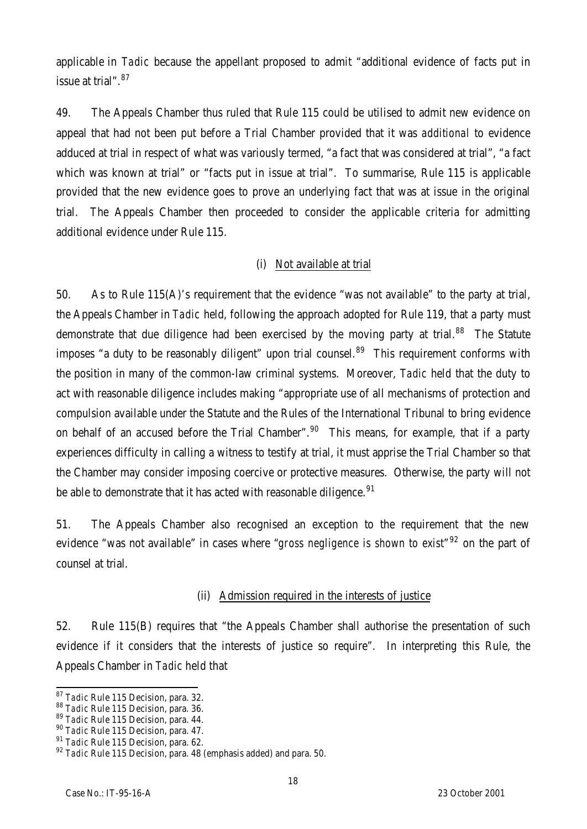applicable in *Tadic* because the appellant proposed to admit "additional evidence of facts put in issue at trial".<sup>87</sup>

49. The Appeals Chamber thus ruled that Rule 115 could be utilised to admit new evidence on appeal that had not been put before a Trial Chamber provided that it was *additional* to evidence adduced at trial in respect of what was variously termed, "a fact that was considered at trial", "a fact which was known at trial" or "facts put in issue at trial". To summarise, Rule 115 is applicable provided that the new evidence goes to prove an underlying fact that was at issue in the original trial. The Appeals Chamber then proceeded to consider the applicable criteria for admitting additional evidence under Rule 115.

# (i) Not available at trial

50. As to Rule 115(A)'s requirement that the evidence "was not available" to the party at trial, the Appeals Chamber in *Tadic* held, following the approach adopted for Rule 119, that a party must demonstrate that due diligence had been exercised by the moving party at trial.<sup>88</sup> The Statute imposes "a duty to be reasonably diligent" upon trial counsel. $89$  This requirement conforms with the position in many of the common-law criminal systems. Moreover, *Tadic* held that the duty to act with reasonable diligence includes making "appropriate use of all mechanisms of protection and compulsion available under the Statute and the Rules of the International Tribunal to bring evidence on behalf of an accused before the Trial Chamber".<sup>90</sup> This means, for example, that if a party experiences difficulty in calling a witness to testify at trial, it must apprise the Trial Chamber so that the Chamber may consider imposing coercive or protective measures. Otherwise, the party will not be able to demonstrate that it has acted with reasonable diligence.<sup>91</sup>

51. The Appeals Chamber also recognised an exception to the requirement that the new evidence "was not available" in cases where "*gross negligence is shown to exist*" <sup>92</sup> on the part of counsel at trial.

# (ii) Admission required in the interests of justice

52. Rule 115(B) requires that "the Appeals Chamber shall authorise the presentation of such evidence if it considers that the interests of justice so require". In interpreting this Rule, the Appeals Chamber in *Tadic* held that

 $\overline{a}$ <sup>87</sup> *Tadic* Rule 115 Decision, para. 32.

<sup>88</sup> *Tadic* Rule 115 Decision, para. 36.

<sup>89</sup> *Tadic* Rule 115 Decision, para. 44.

<sup>90</sup> *Tadic* Rule 115 Decision, para. 47.

<sup>91</sup> *Tadic* Rule 115 Decision, para. 62.

<sup>92</sup> *Tadic* Rule 115 Decision, para. 48 (emphasis added) and para. 50.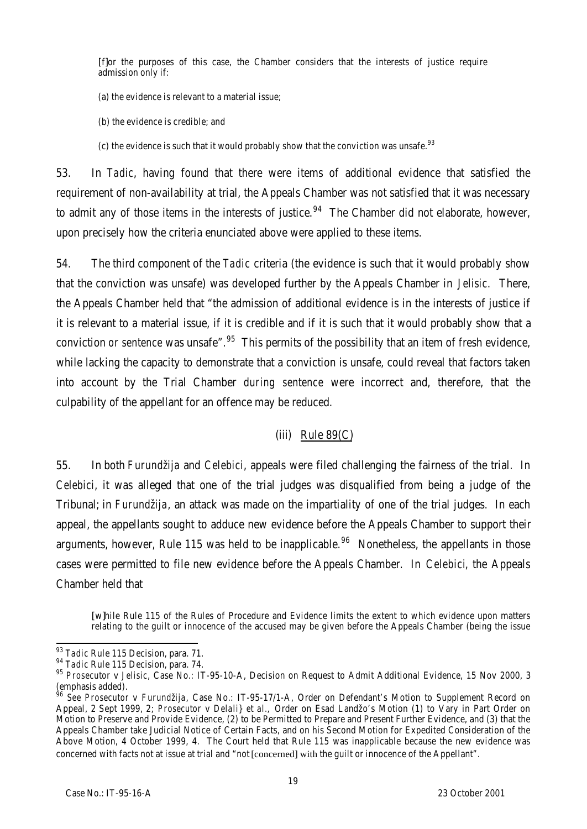[f]or the purposes of this case, the Chamber considers that the interests of justice require admission only if:

- (a) the evidence is relevant to a material issue;
- (b) the evidence is credible; and
- (c) the evidence is such that it would probably show that the conviction was unsafe.  $93$

53. In *Tadic*, having found that there were items of additional evidence that satisfied the requirement of non-availability at trial, the Appeals Chamber was not satisfied that it was necessary to admit any of those items in the interests of justice.<sup>94</sup> The Chamber did not elaborate, however, upon precisely how the criteria enunciated above were applied to these items.

54. The third component of the *Tadic* criteria (the evidence is such that it would probably show that the conviction was unsafe) was developed further by the Appeals Chamber in *Jelisic*. There, the Appeals Chamber held that "the admission of additional evidence is in the interests of justice if it is relevant to a material issue, if it is credible and if it is such that it would probably show that a conviction *or sentence* was unsafe".<sup>95</sup> This permits of the possibility that an item of fresh evidence, while lacking the capacity to demonstrate that a conviction is unsafe, could reveal that factors taken into account by the Trial Chamber *during sentence* were incorrect and, therefore, that the culpability of the appellant for an offence may be reduced.

# (iii) Rule 89(C)

55. In both *Furundžija* and *Celebici*, appeals were filed challenging the fairness of the trial. In *Celebici*, it was alleged that one of the trial judges was disqualified from being a judge of the Tribunal; in *Furundžija*, an attack was made on the impartiality of one of the trial judges. In each appeal, the appellants sought to adduce new evidence before the Appeals Chamber to support their arguments, however, Rule 115 was held to be inapplicable.<sup>96</sup> Nonetheless, the appellants in those cases were permitted to file new evidence before the Appeals Chamber. In *Celebici*, the Appeals Chamber held that

[w]hile Rule 115 of the Rules of Procedure and Evidence limits the extent to which evidence upon matters relating to the guilt or innocence of the accused may be given before the Appeals Chamber (being the issue

 $\overline{\phantom{a}}$ 

<sup>93</sup> *Tadic* Rule 115 Decision, para. 71.

<sup>94</sup> *Tadic* Rule 115 Decision, para. 74.

<sup>95</sup> *Prosecutor* v *Jelisic*, Case No.: IT-95-10-A, Decision on Request to Admit Additional Evidence, 15 Nov 2000, 3 (emphasis added).

<sup>96</sup> *See Prosecutor* v *Furundžija*, Case No.: IT-95-17/1-A, Order on Defendant's Motion to Supplement Record on Appeal, 2 Sept 1999, 2; *Prosecutor* v *Delali} et al.,* Order on Esad Landžo's Motion (1) to Vary in Part Order on Motion to Preserve and Provide Evidence, (2) to be Permitted to Prepare and Present Further Evidence, and (3) that the Appeals Chamber take Judicial Notice of Certain Facts, and on his Second Motion for Expedited Consideration of the Above Motion, 4 October 1999, 4. The Court held that Rule 115 was inapplicable because the new evidence was concerned with facts not at issue at trial and "not [concerned] with the guilt or innocence of the Appellant".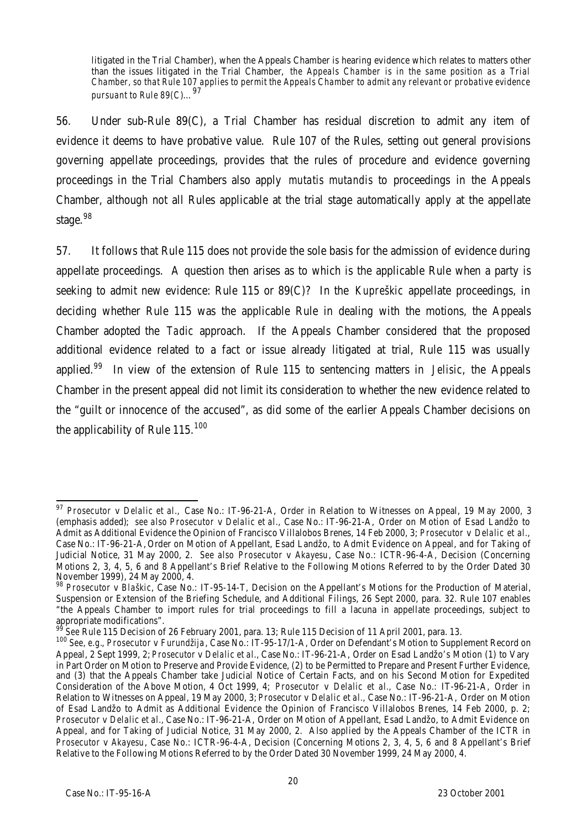litigated in the Trial Chamber), when the Appeals Chamber is hearing evidence which relates to matters other than the issues litigated in the Trial Chamber, *the Appeals Chamber is in the same position as a Trial Chamber, so that Rule 107 applies to permit the Appeals Chamber to admit any relevant or probative evidence pursuant to Rule 89(C)*… 97

56. Under sub-Rule 89(C), a Trial Chamber has residual discretion to admit any item of evidence it deems to have probative value. Rule 107 of the Rules, setting out general provisions governing appellate proceedings, provides that the rules of procedure and evidence governing proceedings in the Trial Chambers also apply *mutatis mutandis* to proceedings in the Appeals Chamber, although not all Rules applicable at the trial stage automatically apply at the appellate stage.<sup>98</sup>

57. It follows that Rule 115 does not provide the sole basis for the admission of evidence during appellate proceedings. A question then arises as to which is the applicable Rule when a party is seeking to admit new evidence: Rule 115 or 89(C)? In the *Kupreškic* appellate proceedings, in deciding whether Rule 115 was the applicable Rule in dealing with the motions, the Appeals Chamber adopted the *Tadic* approach. If the Appeals Chamber considered that the proposed additional evidence related to a fact or issue already litigated at trial, Rule 115 was usually applied.<sup>99</sup> In view of the extension of Rule 115 to sentencing matters in *Jelisic*, the Appeals Chamber in the present appeal did not limit its consideration to whether the new evidence related to the "guilt or innocence of the accused", as did some of the earlier Appeals Chamber decisions on the applicability of Rule 115.<sup>100</sup>

j <sup>97</sup> *Prosecutor* v *Delalic et al.,* Case No.: IT-96-21-A, Order in Relation to Witnesses on Appeal, 19 May 2000, 3 (emphasis added); *see also Prosecutor* v *Delalic et al.,* Case No.: IT-96-21-A, Order on Motion of Esad Landžo to Admit as Additional Evidence the Opinion of Francisco Villalobos Brenes, 14 Feb 2000, 3; *Prosecutor* v *Delalic et al.,* Case No.: IT-96-21-A, Order on Motion of Appellant, Esad Landžo, to Admit Evidence on Appeal, and for Taking of Judicial Notice, 31 May 2000, 2. *See also Prosecutor* v *Akayesu*, Case No.: ICTR-96-4-A, Decision (Concerning Motions 2, 3, 4, 5, 6 and 8 Appellant's Brief Relative to the Following Motions Referred to by the Order Dated 30 November 1999), 24 May 2000, 4.

<sup>98</sup> *Prosecutor* v *Blaškic*, Case No.: IT-95-14-T, Decision on the Appellant's Motions for the Production of Material, Suspension or Extension of the Briefing Schedule, and Additional Filings, 26 Sept 2000, para. 32. Rule 107 enables "the Appeals Chamber to import rules for trial proceedings to fill a lacuna in appellate proceedings, subject to appropriate modifications".

<sup>99</sup> *See* Rule 115 Decision of 26 February 2001, para. 13; Rule 115 Decision of 11 April 2001, para. 13.

<sup>100</sup> *See, e.g.*, *Prosecutor* v *Furundžija*, Case No.: IT-95-17/1-A, Order on Defendant's Motion to Supplement Record on Appeal, 2 Sept 1999, 2; *Prosecutor* v *Delalic et al.,* Case No.: IT-96-21-A, Order on Esad Landžo's Motion (1) to Vary in Part Order on Motion to Preserve and Provide Evidence, (2) to be Permitted to Prepare and Present Further Evidence, and (3) that the Appeals Chamber take Judicial Notice of Certain Facts, and on his Second Motion for Expedited Consideration of the Above Motion, 4 Oct 1999, 4; *Prosecutor* v *Delalic et al.,* Case No.: IT-96-21-A, Order in Relation to Witnesses on Appeal, 19 May 2000, 3; *Prosecutor* v *Delalic et al.,* Case No.: IT-96-21-A, Order on Motion of Esad Landžo to Admit as Additional Evidence the Opinion of Francisco Villalobos Brenes, 14 Feb 2000, p. 2; *Prosecutor* v *Delalic et al.,* Case No.: IT-96-21-A, Order on Motion of Appellant, Esad Landžo, to Admit Evidence on Appeal, and for Taking of Judicial Notice, 31 May 2000, 2. Also applied by the Appeals Chamber of the ICTR in *Prosecutor* v *Akayesu*, Case No.: ICTR-96-4-A, Decision (Concerning Motions 2, 3, 4, 5, 6 and 8 Appellant's Brief Relative to the Following Motions Referred to by the Order Dated 30 November 1999, 24 May 2000, 4.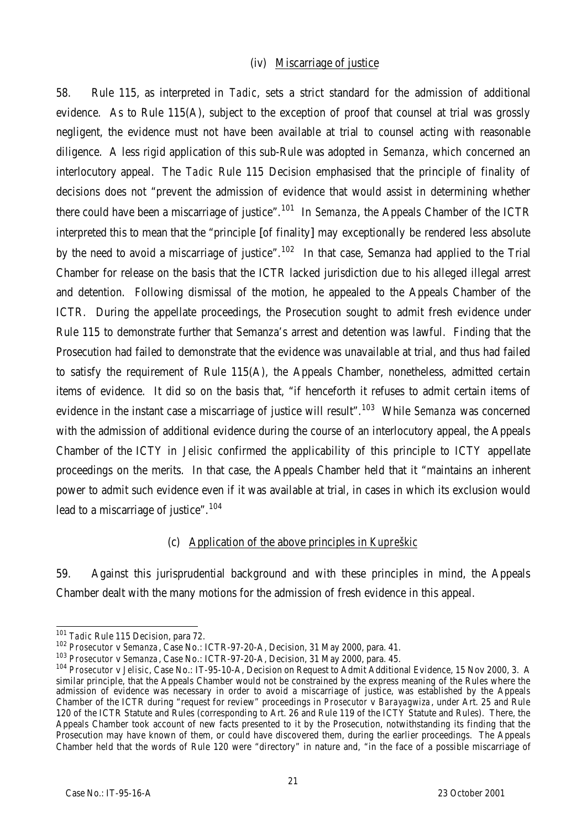#### (iv) Miscarriage of justice

58. Rule 115, as interpreted in *Tadic*, sets a strict standard for the admission of additional evidence. As to Rule 115(A), subject to the exception of proof that counsel at trial was grossly negligent, the evidence must not have been available at trial to counsel acting with reasonable diligence. A less rigid application of this sub-Rule was adopted in *Semanza*, which concerned an interlocutory appeal. The *Tadic* Rule 115 Decision emphasised that the principle of finality of decisions does not "prevent the admission of evidence that would assist in determining whether there could have been a miscarriage of justice".<sup>101</sup> In *Semanza*, the Appeals Chamber of the ICTR interpreted this to mean that the "principle [of finality] may exceptionally be rendered less absolute by the need to avoid a miscarriage of justice".<sup>102</sup> In that case, Semanza had applied to the Trial Chamber for release on the basis that the ICTR lacked jurisdiction due to his alleged illegal arrest and detention. Following dismissal of the motion, he appealed to the Appeals Chamber of the ICTR. During the appellate proceedings, the Prosecution sought to admit fresh evidence under Rule 115 to demonstrate further that Semanza's arrest and detention was lawful. Finding that the Prosecution had failed to demonstrate that the evidence was unavailable at trial, and thus had failed to satisfy the requirement of Rule 115(A), the Appeals Chamber, nonetheless, admitted certain items of evidence. It did so on the basis that, "if henceforth it refuses to admit certain items of evidence in the instant case a miscarriage of justice will result".<sup>103</sup> While *Semanza* was concerned with the admission of additional evidence during the course of an interlocutory appeal, the Appeals Chamber of the ICTY in *Jelisic* confirmed the applicability of this principle to ICTY appellate proceedings on the merits. In that case, the Appeals Chamber held that it "maintains an inherent power to admit such evidence even if it was available at trial, in cases in which its exclusion would lead to a miscarriage of justice".<sup>104</sup>

#### (c) Application of the above principles in *Kupreškic*

59. Against this jurisprudential background and with these principles in mind, the Appeals Chamber dealt with the many motions for the admission of fresh evidence in this appeal.

 $\overline{a}$ <sup>101</sup> *Tadic* Rule 115 Decision, para 72.

<sup>102</sup> *Prosecutor* v *Semanza*, Case No.: ICTR-97-20-A, Decision, 31 May 2000, para. 41.

<sup>103</sup> *Prosecutor* v *Semanza*, Case No.: ICTR-97-20-A, Decision, 31 May 2000, para. 45.

<sup>104</sup> *Prosecutor* v *Jelisic*, Case No.: IT-95-10-A, Decision on Request to Admit Additional Evidence, 15 Nov 2000, 3. A similar principle, that the Appeals Chamber would not be constrained by the express meaning of the Rules where the admission of evidence was necessary in order to avoid a miscarriage of justice, was established by the Appeals Chamber of the ICTR during "request for review" proceedings in *Prosecutor* v *Barayagwiza*, under Art. 25 and Rule 120 of the ICTR Statute and Rules (corresponding to Art. 26 and Rule 119 of the ICTY Statute and Rules). There, the Appeals Chamber took account of new facts presented to it by the Prosecution, notwithstanding its finding that the Prosecution may have known of them, or could have discovered them, during the earlier proceedings. The Appeals Chamber held that the words of Rule 120 were "directory" in nature and, "in the face of a possible miscarriage of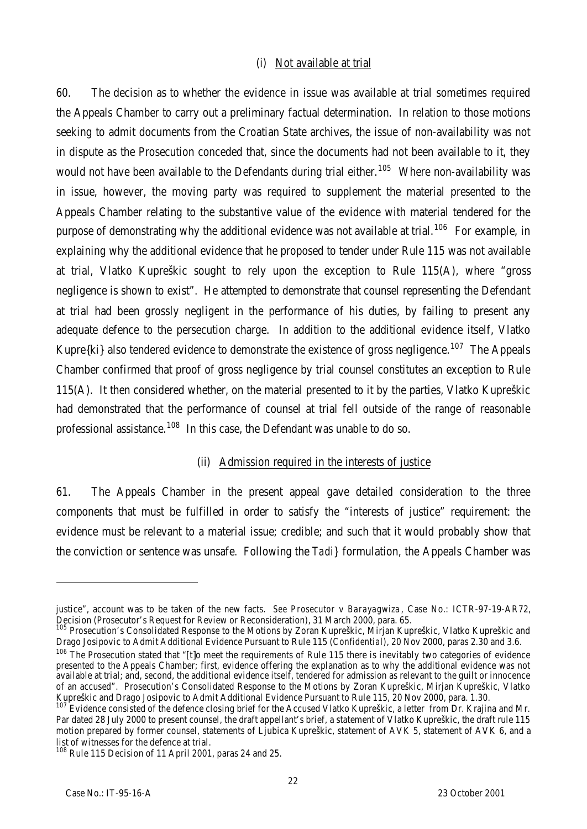#### (i) Not available at trial

60. The decision as to whether the evidence in issue was available at trial sometimes required the Appeals Chamber to carry out a preliminary factual determination. In relation to those motions seeking to admit documents from the Croatian State archives, the issue of non-availability was not in dispute as the Prosecution conceded that, since the documents had not been available to it, they would not have been available to the Defendants during trial either.<sup>105</sup> Where non-availability was in issue, however, the moving party was required to supplement the material presented to the Appeals Chamber relating to the substantive value of the evidence with material tendered for the purpose of demonstrating why the additional evidence was not available at trial.<sup>106</sup> For example, in explaining why the additional evidence that he proposed to tender under Rule 115 was not available at trial, Vlatko Kupreškic sought to rely upon the exception to Rule 115(A), where "gross negligence is shown to exist". He attempted to demonstrate that counsel representing the Defendant at trial had been grossly negligent in the performance of his duties, by failing to present any adequate defence to the persecution charge. In addition to the additional evidence itself, Vlatko Kupre{ki} also tendered evidence to demonstrate the existence of gross negligence.<sup>107</sup> The Appeals Chamber confirmed that proof of gross negligence by trial counsel constitutes an exception to Rule 115(A). It then considered whether, on the material presented to it by the parties, Vlatko Kupreškic had demonstrated that the performance of counsel at trial fell outside of the range of reasonable professional assistance.<sup>108</sup> In this case, the Defendant was unable to do so.

# (ii) Admission required in the interests of justice

61. The Appeals Chamber in the present appeal gave detailed consideration to the three components that must be fulfilled in order to satisfy the "interests of justice" requirement: the evidence must be relevant to a material issue; credible; and such that it would probably show that the conviction or sentence was unsafe. Following the *Tadi}* formulation, the Appeals Chamber was

justice", account was to be taken of the new facts. *See Prosecutor* v *Barayagwiza*, Case No.: ICTR-97-19-AR72, Decision (Prosecutor's Request for Review or Reconsideration), 31 March 2000, para. 65.

<sup>&</sup>lt;sup>105</sup> Prosecution's Consolidated Response to the Motions by Zoran Kupreškic, Mirjan Kupreškic, Vlatko Kupreškic and Drago Josipovic to Admit Additional Evidence Pursuant to Rule 115 (*Confidential*), 20 Nov 2000, paras 2.30 and 3.6.

 $106$  The Prosecution stated that "[t]o meet the requirements of Rule 115 there is inevitably two categories of evidence presented to the Appeals Chamber; first, evidence offering the explanation as to why the additional evidence was not available at trial; and, second, the additional evidence itself, tendered for admission as relevant to the guilt or innocence of an accused". Prosecution's Consolidated Response to the Motions by Zoran Kupreškic, Mirjan Kupreškic, Vlatko Kupreškic and Drago Josipovic to Admit Additional Evidence Pursuant to Rule 115, 20 Nov 2000, para. 1.30.

<sup>107</sup> Evidence consisted of the defence closing brief for the Accused Vlatko Kupreškic, a letter from Dr. Krajina and Mr. Par dated 28 July 2000 to present counsel, the draft appellant's brief, a statement of Vlatko Kupreškic, the draft rule 115 motion prepared by former counsel, statements of Ljubica Kupreškic, statement of AVK 5, statement of AVK 6, and a list of witnesses for the defence at trial.

<sup>&</sup>lt;sup>108</sup> Rule 115 Decision of 11 April 2001, paras 24 and 25.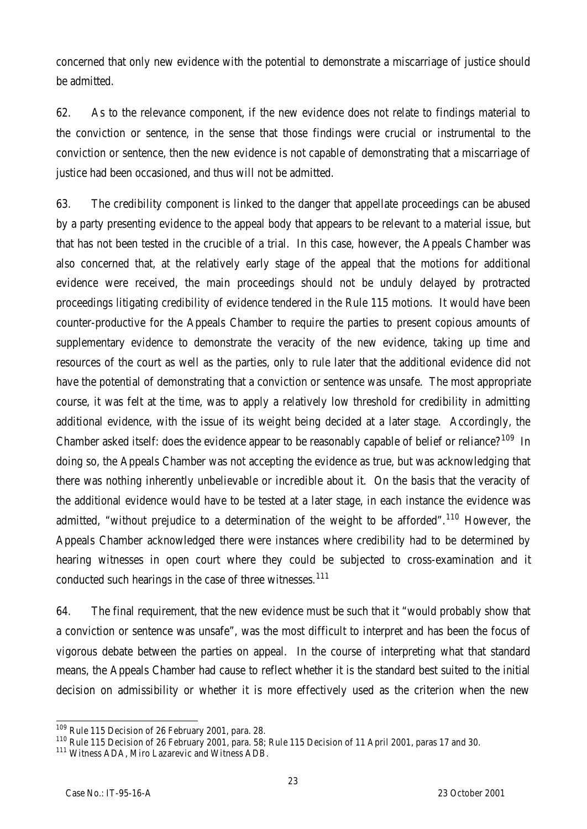concerned that only new evidence with the potential to demonstrate a miscarriage of justice should be admitted.

62. As to the relevance component, if the new evidence does not relate to findings material to the conviction or sentence, in the sense that those findings were crucial or instrumental to the conviction or sentence, then the new evidence is not capable of demonstrating that a miscarriage of justice had been occasioned, and thus will not be admitted.

63. The credibility component is linked to the danger that appellate proceedings can be abused by a party presenting evidence to the appeal body that appears to be relevant to a material issue, but that has not been tested in the crucible of a trial. In this case, however, the Appeals Chamber was also concerned that, at the relatively early stage of the appeal that the motions for additional evidence were received, the main proceedings should not be unduly delayed by protracted proceedings litigating credibility of evidence tendered in the Rule 115 motions. It would have been counter-productive for the Appeals Chamber to require the parties to present copious amounts of supplementary evidence to demonstrate the veracity of the new evidence, taking up time and resources of the court as well as the parties, only to rule later that the additional evidence did not have the potential of demonstrating that a conviction or sentence was unsafe. The most appropriate course, it was felt at the time, was to apply a relatively low threshold for credibility in admitting additional evidence, with the issue of its weight being decided at a later stage. Accordingly, the Chamber asked itself: does the evidence appear to be reasonably capable of belief or reliance?<sup>109</sup> In doing so, the Appeals Chamber was not accepting the evidence as true, but was acknowledging that there was nothing inherently unbelievable or incredible about it. On the basis that the veracity of the additional evidence would have to be tested at a later stage, in each instance the evidence was admitted, "without prejudice to a determination of the weight to be afforded".<sup>110</sup> However, the Appeals Chamber acknowledged there were instances where credibility had to be determined by hearing witnesses in open court where they could be subjected to cross-examination and it conducted such hearings in the case of three witnesses.<sup>111</sup>

64. The final requirement, that the new evidence must be such that it "would probably show that a conviction or sentence was unsafe", was the most difficult to interpret and has been the focus of vigorous debate between the parties on appeal. In the course of interpreting what that standard means, the Appeals Chamber had cause to reflect whether it is the standard best suited to the initial decision on admissibility or whether it is more effectively used as the criterion when the new

 $\overline{a}$ <sup>109</sup> Rule 115 Decision of 26 February 2001, para. 28.

<sup>110</sup> Rule 115 Decision of 26 February 2001, para. 58; Rule 115 Decision of 11 April 2001, paras 17 and 30.

<sup>&</sup>lt;sup>111</sup> Witness ADA, Miro Lazarevic and Witness ADB.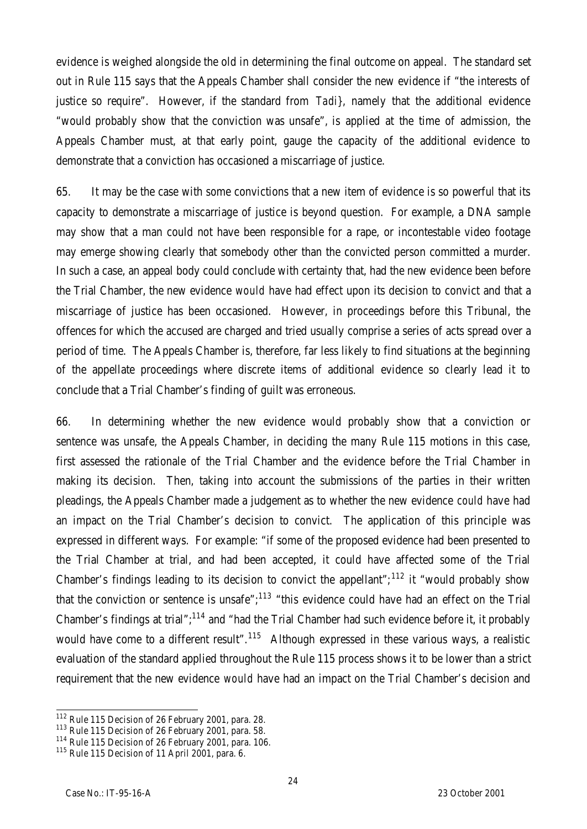evidence is weighed alongside the old in determining the final outcome on appeal. The standard set out in Rule 115 says that the Appeals Chamber shall consider the new evidence if "the interests of justice so require". However, if the standard from *Tadi}*, namely that the additional evidence "would probably show that the conviction was unsafe", is applied at the time of admission, the Appeals Chamber must, at that early point, gauge the capacity of the additional evidence to demonstrate that a conviction has occasioned a miscarriage of justice.

65. It may be the case with some convictions that a new item of evidence is so powerful that its capacity to demonstrate a miscarriage of justice is beyond question. For example, a DNA sample may show that a man could not have been responsible for a rape, or incontestable video footage may emerge showing clearly that somebody other than the convicted person committed a murder. In such a case, an appeal body could conclude with certainty that, had the new evidence been before the Trial Chamber, the new evidence *would* have had effect upon its decision to convict and that a miscarriage of justice has been occasioned. However, in proceedings before this Tribunal, the offences for which the accused are charged and tried usually comprise a series of acts spread over a period of time. The Appeals Chamber is, therefore, far less likely to find situations at the beginning of the appellate proceedings where discrete items of additional evidence so clearly lead it to conclude that a Trial Chamber's finding of guilt was erroneous.

66. In determining whether the new evidence would probably show that a conviction or sentence was unsafe, the Appeals Chamber, in deciding the many Rule 115 motions in this case, first assessed the rationale of the Trial Chamber and the evidence before the Trial Chamber in making its decision. Then, taking into account the submissions of the parties in their written pleadings, the Appeals Chamber made a judgement as to whether the new evidence *could* have had an impact on the Trial Chamber's decision to convict. The application of this principle was expressed in different ways. For example: "if some of the proposed evidence had been presented to the Trial Chamber at trial, and had been accepted, it could have affected some of the Trial Chamber's findings leading to its decision to convict the appellant";<sup>112</sup> it "would probably show that the conviction or sentence is unsafe";<sup>113</sup> "this evidence could have had an effect on the Trial Chamber's findings at trial";<sup>114</sup> and "had the Trial Chamber had such evidence before it, it probably would have come to a different result".<sup>115</sup> Although expressed in these various ways, a realistic evaluation of the standard applied throughout the Rule 115 process shows it to be lower than a strict requirement that the new evidence *would* have had an impact on the Trial Chamber's decision and

 $\overline{a}$ 

<sup>&</sup>lt;sup>112</sup> Rule 115 Decision of 26 February 2001, para. 28.

<sup>&</sup>lt;sup>113</sup> Rule 115 Decision of 26 February 2001, para. 58.

<sup>&</sup>lt;sup>114</sup> Rule 115 Decision of 26 February 2001, para. 106.

 $115$  Rule 115 Decision of 11 April 2001, para. 6.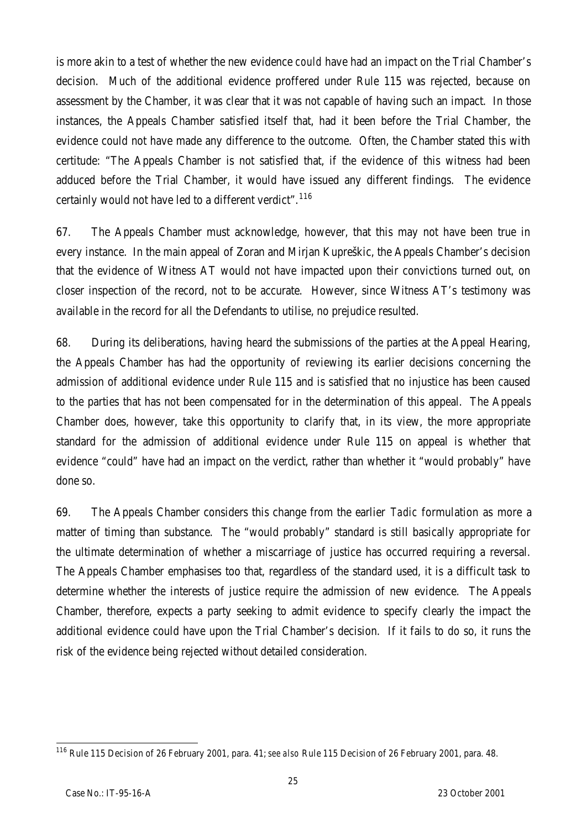is more akin to a test of whether the new evidence *could* have had an impact on the Trial Chamber's decision. Much of the additional evidence proffered under Rule 115 was rejected, because on assessment by the Chamber, it was clear that it was not capable of having such an impact. In those instances, the Appeals Chamber satisfied itself that, had it been before the Trial Chamber, the evidence could not have made any difference to the outcome. Often, the Chamber stated this with certitude: "The Appeals Chamber is not satisfied that, if the evidence of this witness had been adduced before the Trial Chamber, it would have issued any different findings. The evidence certainly would not have led to a different verdict".<sup>116</sup>

67. The Appeals Chamber must acknowledge, however, that this may not have been true in every instance. In the main appeal of Zoran and Mirjan Kupreškic, the Appeals Chamber's decision that the evidence of Witness AT would not have impacted upon their convictions turned out, on closer inspection of the record, not to be accurate. However, since Witness AT's testimony was available in the record for all the Defendants to utilise, no prejudice resulted.

68. During its deliberations, having heard the submissions of the parties at the Appeal Hearing, the Appeals Chamber has had the opportunity of reviewing its earlier decisions concerning the admission of additional evidence under Rule 115 and is satisfied that no injustice has been caused to the parties that has not been compensated for in the determination of this appeal. The Appeals Chamber does, however, take this opportunity to clarify that, in its view, the more appropriate standard for the admission of additional evidence under Rule 115 on appeal is whether that evidence "could" have had an impact on the verdict, rather than whether it "would probably" have done so.

69. The Appeals Chamber considers this change from the earlier *Tadic* formulation as more a matter of timing than substance. The "would probably" standard is still basically appropriate for the ultimate determination of whether a miscarriage of justice has occurred requiring a reversal. The Appeals Chamber emphasises too that, regardless of the standard used, it is a difficult task to determine whether the interests of justice require the admission of new evidence. The Appeals Chamber, therefore, expects a party seeking to admit evidence to specify clearly the impact the additional evidence could have upon the Trial Chamber's decision. If it fails to do so, it runs the risk of the evidence being rejected without detailed consideration.

 $\overline{a}$ <sup>116</sup> Rule 115 Decision of 26 February 2001, para. 41; *see also* Rule 115 Decision of 26 February 2001, para. 48.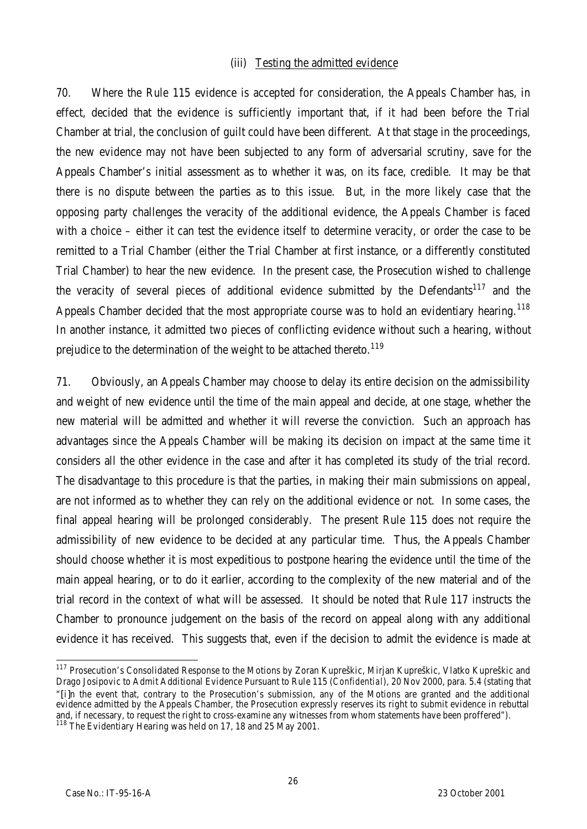#### (iii) Testing the admitted evidence

70. Where the Rule 115 evidence is accepted for consideration, the Appeals Chamber has, in effect, decided that the evidence is sufficiently important that, if it had been before the Trial Chamber at trial, the conclusion of guilt could have been different. At that stage in the proceedings, the new evidence may not have been subjected to any form of adversarial scrutiny, save for the Appeals Chamber's initial assessment as to whether it was, on its face, credible. It may be that there is no dispute between the parties as to this issue. But, in the more likely case that the opposing party challenges the veracity of the additional evidence, the Appeals Chamber is faced with a choice – either it can test the evidence itself to determine veracity, or order the case to be remitted to a Trial Chamber (either the Trial Chamber at first instance, or a differently constituted Trial Chamber) to hear the new evidence. In the present case, the Prosecution wished to challenge the veracity of several pieces of additional evidence submitted by the Defendants<sup>117</sup> and the Appeals Chamber decided that the most appropriate course was to hold an evidentiary hearing.<sup>118</sup> In another instance, it admitted two pieces of conflicting evidence without such a hearing, without prejudice to the determination of the weight to be attached thereto.<sup>119</sup>

71. Obviously, an Appeals Chamber may choose to delay its entire decision on the admissibility and weight of new evidence until the time of the main appeal and decide, at one stage, whether the new material will be admitted and whether it will reverse the conviction. Such an approach has advantages since the Appeals Chamber will be making its decision on impact at the same time it considers all the other evidence in the case and after it has completed its study of the trial record. The disadvantage to this procedure is that the parties, in making their main submissions on appeal, are not informed as to whether they can rely on the additional evidence or not. In some cases, the final appeal hearing will be prolonged considerably. The present Rule 115 does not require the admissibility of new evidence to be decided at any particular time. Thus, the Appeals Chamber should choose whether it is most expeditious to postpone hearing the evidence until the time of the main appeal hearing, or to do it earlier, according to the complexity of the new material and of the trial record in the context of what will be assessed. It should be noted that Rule 117 instructs the Chamber to pronounce judgement on the basis of the record on appeal along with any additional evidence it has received. This suggests that, even if the decision to admit the evidence is made at

 $\overline{a}$ <sup>117</sup> Prosecution's Consolidated Response to the Motions by Zoran Kupreškic, Mirjan Kupreškic, Vlatko Kupreškic and Drago Josipovic to Admit Additional Evidence Pursuant to Rule 115 (*Confidential*), 20 Nov 2000, para. 5.4 (stating that "[i]n the event that, contrary to the Prosecution's submission, any of the Motions are granted and the additional evidence admitted by the Appeals Chamber, the Prosecution expressly reserves its right to submit evidence in rebuttal and, if necessary, to request the right to cross-examine any witnesses from whom statements have been proffered").

<sup>&</sup>lt;sup>118</sup> The Evidentiary Hearing was held on 17, 18 and 25 May 2001.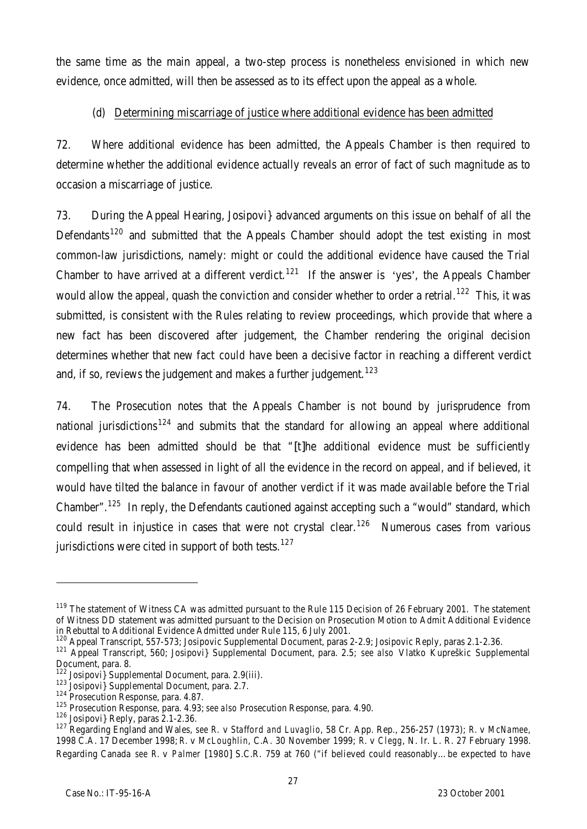the same time as the main appeal, a two-step process is nonetheless envisioned in which new evidence, once admitted, will then be assessed as to its effect upon the appeal as a whole.

# (d) Determining miscarriage of justice where additional evidence has been admitted

72. Where additional evidence has been admitted, the Appeals Chamber is then required to determine whether the additional evidence actually reveals an error of fact of such magnitude as to occasion a miscarriage of justice.

73. During the Appeal Hearing, Josipovi} advanced arguments on this issue on behalf of all the Defendants<sup>120</sup> and submitted that the Appeals Chamber should adopt the test existing in most common-law jurisdictions, namely: might or could the additional evidence have caused the Trial Chamber to have arrived at a different verdict.<sup>121</sup> If the answer is 'yes', the Appeals Chamber would allow the appeal, quash the conviction and consider whether to order a retrial.<sup>122</sup> This, it was submitted, is consistent with the Rules relating to review proceedings, which provide that where a new fact has been discovered after judgement, the Chamber rendering the original decision determines whether that new fact *could* have been a decisive factor in reaching a different verdict and, if so, reviews the judgement and makes a further judgement.<sup>123</sup>

74. The Prosecution notes that the Appeals Chamber is not bound by jurisprudence from national jurisdictions<sup>124</sup> and submits that the standard for allowing an appeal where additional evidence has been admitted should be that "[t]he additional evidence must be sufficiently compelling that when assessed in light of all the evidence in the record on appeal, and if believed, it would have tilted the balance in favour of another verdict if it was made available before the Trial Chamber".<sup>125</sup> In reply, the Defendants cautioned against accepting such a "would" standard, which could result in injustice in cases that were not crystal clear.<sup>126</sup> Numerous cases from various jurisdictions were cited in support of both tests.<sup>127</sup>

<sup>&</sup>lt;sup>119</sup> The statement of Witness CA was admitted pursuant to the Rule 115 Decision of 26 February 2001. The statement of Witness DD statement was admitted pursuant to the Decision on Prosecution Motion to Admit Additional Evidence in Rebuttal to Additional Evidence Admitted under Rule 115, 6 July 2001.

<sup>&</sup>lt;sup>120</sup> Appeal Transcript, 557-573; Josipovic Supplemental Document, paras 2-2.9; Josipovic Reply, paras 2.1-2.36.

<sup>121</sup> Appeal Transcript, 560; Josipovi} Supplemental Document, para. 2.5; *see also* Vlatko Kupreškic Supplemental Document, para. 8.

<sup>122</sup> Josipovi} Supplemental Document, para. 2.9(iii).

<sup>123</sup> Josipovi J Supplemental Document, para. 2.7.

<sup>124</sup> Prosecution Response, para. 4.87.

<sup>125</sup> Prosecution Response, para. 4.93; *see also* Prosecution Response, para. 4.90.

<sup>126</sup> Josipovi} Reply, paras 2.1-2.36.

<sup>127</sup> Regarding England and Wales, *see R.* v *Stafford and Luvaglio*, 58 Cr. App. Rep., 256-257 (1973); *R.* v *McNamee*, 1998 C.A. 17 December 1998; *R.* v *McLoughlin*, C.A. 30 November 1999; *R.* v *Clegg*, N. Ir. L. R. 27 February 1998. Regarding Canada *see R.* v *Palmer* [1980] S.C.R. 759 at 760 ("if believed could reasonably…be expected to have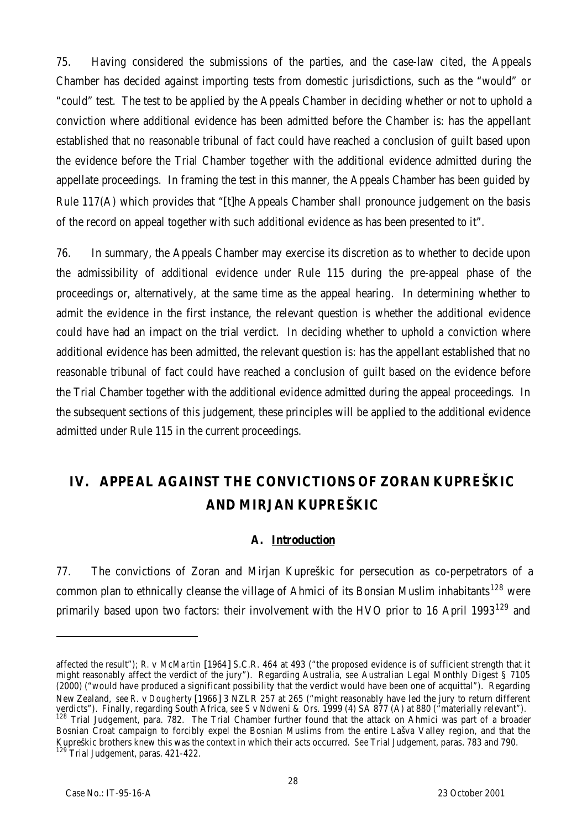75. Having considered the submissions of the parties, and the case-law cited, the Appeals Chamber has decided against importing tests from domestic jurisdictions, such as the "would" or "could" test. The test to be applied by the Appeals Chamber in deciding whether or not to uphold a conviction where additional evidence has been admitted before the Chamber is: has the appellant established that no reasonable tribunal of fact could have reached a conclusion of guilt based upon the evidence before the Trial Chamber together with the additional evidence admitted during the appellate proceedings. In framing the test in this manner, the Appeals Chamber has been guided by Rule 117(A) which provides that "[t]he Appeals Chamber shall pronounce judgement on the basis of the record on appeal together with such additional evidence as has been presented to it".

76. In summary, the Appeals Chamber may exercise its discretion as to whether to decide upon the admissibility of additional evidence under Rule 115 during the pre-appeal phase of the proceedings or, alternatively, at the same time as the appeal hearing. In determining whether to admit the evidence in the first instance, the relevant question is whether the additional evidence could have had an impact on the trial verdict. In deciding whether to uphold a conviction where additional evidence has been admitted, the relevant question is: has the appellant established that no reasonable tribunal of fact could have reached a conclusion of guilt based on the evidence before the Trial Chamber together with the additional evidence admitted during the appeal proceedings. In the subsequent sections of this judgement, these principles will be applied to the additional evidence admitted under Rule 115 in the current proceedings.

# **IV. APPEAL AGAINST THE CONVICTIONS OF ZORAN KUPREŠKIC AND MIRJAN KUPREŠKIC**

# **A. Introduction**

77. The convictions of Zoran and Mirjan Kupreškic for persecution as co-perpetrators of a common plan to ethnically cleanse the village of Ahmici of its Bonsian Muslim inhabitants<sup>128</sup> were primarily based upon two factors: their involvement with the HVO prior to 16 April 1993<sup>129</sup> and

affected the result"); *R.* v *McMartin* [1964] S.C.R. 464 at 493 ("the proposed evidence is of sufficient strength that it might reasonably affect the verdict of the jury"). Regarding Australia, *see* Australian Legal Monthly Digest § 7105 (2000) ("would have produced a significant possibility that the verdict would have been one of acquittal"). Regarding New Zealand, *see R.* v *Dougherty* [1966] 3 NZLR 257 at 265 ("might reasonably have led the jury to return different verdicts"). Finally, regarding South Africa, *see S* v *Ndweni & Ors.* 1999 (4) SA 877 (A) at 880 ("materially relevant"). 128 Trial Judgement, para. 782. The Trial Chamber further found that the attack on Ahmici was part of a broader Bosnian Croat campaign to forcibly expel the Bosnian Muslims from the entire Lašva Valley region, and that the Kupreškic brothers knew this was the context in which their acts occurred. *See* Trial Judgement, paras. 783 and 790. <sup>129</sup> Trial Judgement, paras. 421-422.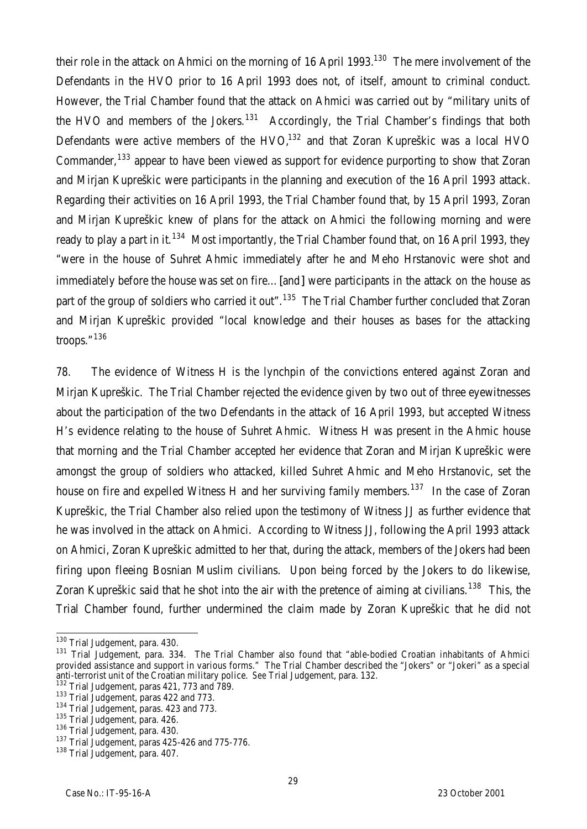their role in the attack on Ahmici on the morning of 16 April 1993.<sup>130</sup> The mere involvement of the Defendants in the HVO prior to 16 April 1993 does not, of itself, amount to criminal conduct. However, the Trial Chamber found that the attack on Ahmici was carried out by "military units of the HVO and members of the Jokers.<sup>131</sup> Accordingly, the Trial Chamber's findings that both Defendants were active members of the HVO, $132$  and that Zoran Kupreškic was a local HVO Commander,  $133$  appear to have been viewed as support for evidence purporting to show that Zoran and Mirjan Kupreškic were participants in the planning and execution of the 16 April 1993 attack. Regarding their activities on 16 April 1993, the Trial Chamber found that, by 15 April 1993, Zoran and Mirjan Kupreškic knew of plans for the attack on Ahmici the following morning and were ready to play a part in it.<sup>134</sup> Most importantly, the Trial Chamber found that, on 16 April 1993, they "were in the house of Suhret Ahmic immediately after he and Meho Hrstanovic were shot and immediately before the house was set on fire...[and] were participants in the attack on the house as part of the group of soldiers who carried it out".<sup>135</sup> The Trial Chamber further concluded that Zoran and Mirjan Kupreškic provided "local knowledge and their houses as bases for the attacking troops. $136$ 

78. The evidence of Witness H is the lynchpin of the convictions entered against Zoran and Mirjan Kupreškic. The Trial Chamber rejected the evidence given by two out of three eyewitnesses about the participation of the two Defendants in the attack of 16 April 1993, but accepted Witness H's evidence relating to the house of Suhret Ahmic. Witness H was present in the Ahmic house that morning and the Trial Chamber accepted her evidence that Zoran and Mirjan Kupreškic were amongst the group of soldiers who attacked, killed Suhret Ahmic and Meho Hrstanovic, set the house on fire and expelled Witness H and her surviving family members.<sup>137</sup> In the case of Zoran Kupreškic, the Trial Chamber also relied upon the testimony of Witness JJ as further evidence that he was involved in the attack on Ahmici. According to Witness JJ, following the April 1993 attack on Ahmici, Zoran Kupreškic admitted to her that, during the attack, members of the Jokers had been firing upon fleeing Bosnian Muslim civilians. Upon being forced by the Jokers to do likewise, Zoran Kupreškic said that he shot into the air with the pretence of aiming at civilians.<sup>138</sup> This, the Trial Chamber found, further undermined the claim made by Zoran Kupreškic that he did not

 $\overline{a}$ <sup>130</sup> Trial Judgement, para. 430.

<sup>131</sup> Trial Judgement, para. 334. The Trial Chamber also found that "able-bodied Croatian inhabitants of Ahmici provided assistance and support in various forms." The Trial Chamber described the "Jokers" or "Jokeri" as a special anti-terrorist unit of the Croatian military police. *See* Trial Judgement, para. 132.

 $132$  Trial Judgement, paras 421, 773 and 789.

<sup>&</sup>lt;sup>133</sup> Trial Judgement, paras 422 and 773.

<sup>&</sup>lt;sup>134</sup> Trial Judgement, paras. 423 and 773.

<sup>&</sup>lt;sup>135</sup> Trial Judgement, para. 426.

<sup>136</sup> Trial Judgement, para. 430.

<sup>137</sup> Trial Judgement, paras 425-426 and 775-776.

<sup>138</sup> Trial Judgement, para. 407.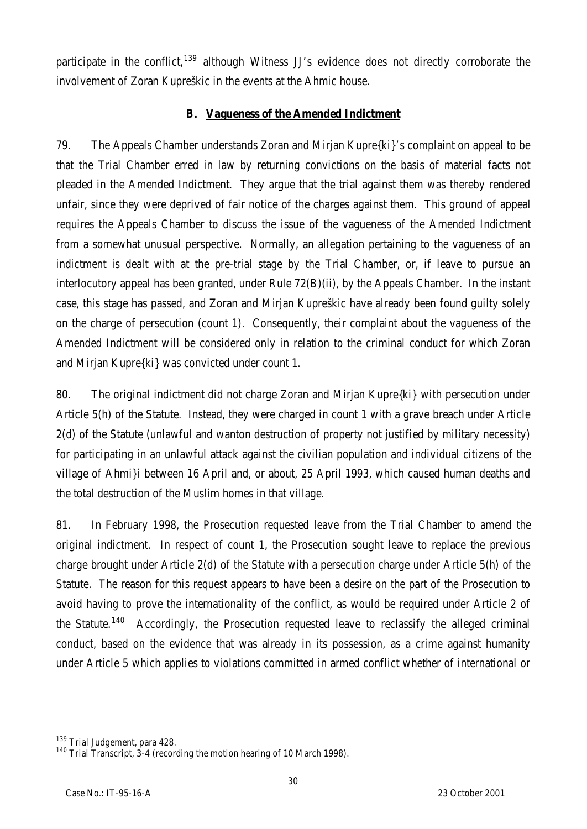participate in the conflict,  $139$  although Witness JJ's evidence does not directly corroborate the involvement of Zoran Kupreškic in the events at the Ahmic house.

# **B. Vagueness of the Amended Indictment**

79. The Appeals Chamber understands Zoran and Mirjan Kupre{ki}'s complaint on appeal to be that the Trial Chamber erred in law by returning convictions on the basis of material facts not pleaded in the Amended Indictment. They argue that the trial against them was thereby rendered unfair, since they were deprived of fair notice of the charges against them. This ground of appeal requires the Appeals Chamber to discuss the issue of the vagueness of the Amended Indictment from a somewhat unusual perspective. Normally, an allegation pertaining to the vagueness of an indictment is dealt with at the pre-trial stage by the Trial Chamber, or, if leave to pursue an interlocutory appeal has been granted, under Rule 72(B)(ii), by the Appeals Chamber. In the instant case, this stage has passed, and Zoran and Mirjan Kupreškic have already been found guilty solely on the charge of persecution (count 1). Consequently, their complaint about the vagueness of the Amended Indictment will be considered only in relation to the criminal conduct for which Zoran and Mirjan Kupre{ki} was convicted under count 1.

80. The original indictment did not charge Zoran and Mirjan Kupre{ki} with persecution under Article 5(h) of the Statute. Instead, they were charged in count 1 with a grave breach under Article 2(d) of the Statute (unlawful and wanton destruction of property not justified by military necessity) for participating in an unlawful attack against the civilian population and individual citizens of the village of Ahmi}i between 16 April and, or about, 25 April 1993, which caused human deaths and the total destruction of the Muslim homes in that village.

81. In February 1998, the Prosecution requested leave from the Trial Chamber to amend the original indictment. In respect of count 1, the Prosecution sought leave to replace the previous charge brought under Article 2(d) of the Statute with a persecution charge under Article 5(h) of the Statute. The reason for this request appears to have been a desire on the part of the Prosecution to avoid having to prove the internationality of the conflict, as would be required under Article 2 of the Statute.<sup>140</sup> Accordingly, the Prosecution requested leave to reclassify the alleged criminal conduct, based on the evidence that was already in its possession, as a crime against humanity under Article 5 which applies to violations committed in armed conflict whether of international or

 $\overline{a}$ <sup>139</sup> Trial Judgement, para 428.

<sup>&</sup>lt;sup>140</sup> Trial Transcript, 3-4 (recording the motion hearing of 10 March 1998).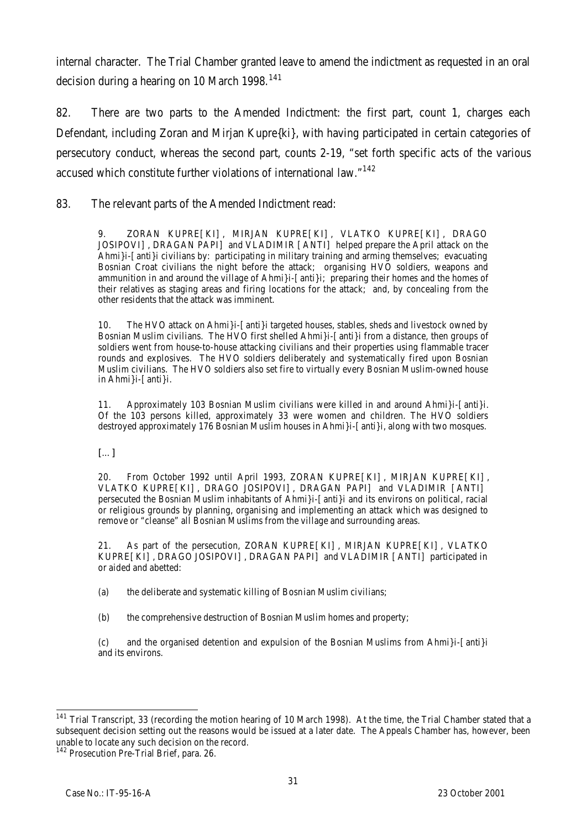internal character. The Trial Chamber granted leave to amend the indictment as requested in an oral decision during a hearing on 10 March 1998.<sup>141</sup>

82. There are two parts to the Amended Indictment: the first part, count 1, charges each Defendant, including Zoran and Mirjan Kupre{ki}, with having participated in certain categories of persecutory conduct, whereas the second part, counts 2-19, "set forth specific acts of the various accused which constitute further violations of international law."<sup>142</sup>

83. The relevant parts of the Amended Indictment read:

9. ZORAN KUPRE[KI], MIRJAN KUPRE[KI], VLATKO KUPRE[KI], DRAGO JOSIPOVI], DRAGAN PAPI] and VLADIMIR [ANTI] helped prepare the April attack on the Ahmi}i-[anti}i civilians by: participating in military training and arming themselves; evacuating Bosnian Croat civilians the night before the attack; organising HVO soldiers, weapons and ammunition in and around the village of Ahmi i- [anti i; preparing their homes and the homes of their relatives as staging areas and firing locations for the attack; and, by concealing from the other residents that the attack was imminent.

10. The HVO attack on Ahmi}i-[anti}i targeted houses, stables, sheds and livestock owned by Bosnian Muslim civilians. The HVO first shelled Ahmi}i-[anti}i from a distance, then groups of soldiers went from house-to-house attacking civilians and their properties using flammable tracer rounds and explosives. The HVO soldiers deliberately and systematically fired upon Bosnian Muslim civilians. The HVO soldiers also set fire to virtually every Bosnian Muslim-owned house in Ahmi}i-[anti}i.

11. Approximately 103 Bosnian Muslim civilians were killed in and around Ahmi}i-[anti}i. Of the 103 persons killed, approximately 33 were women and children. The HVO soldiers destroyed approximately 176 Bosnian Muslim houses in Ahmi}i-[anti}i, along with two mosques.

[…]

20. From October 1992 until April 1993, ZORAN KUPRE[KI], MIRJAN KUPRE[KI], VLATKO KUPRE[KI], DRAGO JOSIPOVI], DRAGAN PAPI] and VLADIMIR [ANTI] persecuted the Bosnian Muslim inhabitants of Ahmi}i-[anti}i and its environs on political, racial or religious grounds by planning, organising and implementing an attack which was designed to remove or "cleanse" all Bosnian Muslims from the village and surrounding areas.

21. As part of the persecution, ZORAN KUPRE[KI], MIRJAN KUPRE[KI], VLATKO KUPRE[KI], DRAGO JOSIPOVI], DRAGAN PAPI] and VLADIMIR [ANTI] participated in or aided and abetted:

(a) the deliberate and systematic killing of Bosnian Muslim civilians;

(b) the comprehensive destruction of Bosnian Muslim homes and property;

(c) and the organised detention and expulsion of the Bosnian Muslims from Ahmi}i-[anti}i and its environs.

 $\overline{a}$ <sup>141</sup> Trial Transcript, 33 (recording the motion hearing of 10 March 1998). At the time, the Trial Chamber stated that a subsequent decision setting out the reasons would be issued at a later date. The Appeals Chamber has, however, been unable to locate any such decision on the record.

<sup>&</sup>lt;sup>142</sup> Prosecution Pre-Trial Brief, para. 26.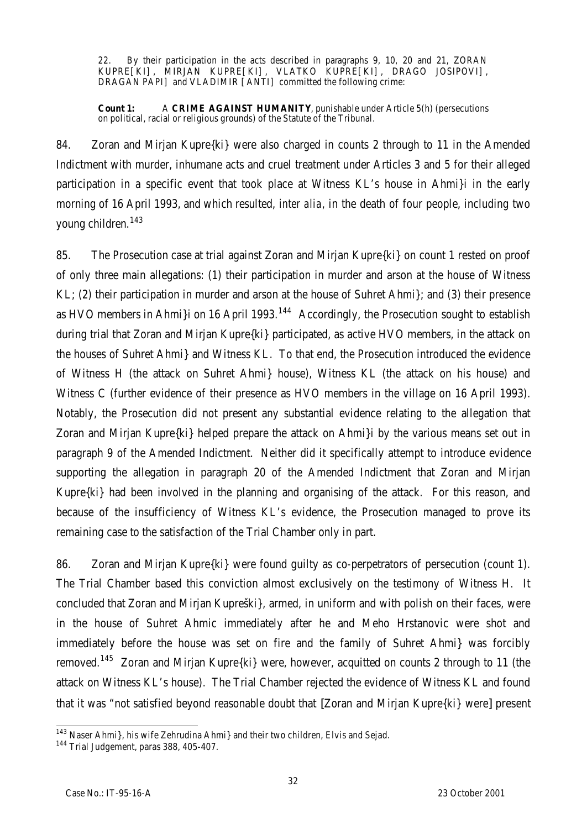22. By their participation in the acts described in paragraphs 9, 10, 20 and 21, ZORAN KUPRE[KI], MIRJAN KUPRE[KI], VLATKO KUPRE[KI], DRAGO JOSIPOVI], DRAGAN PAPI] and VLADIMIR [ANTI] committed the following crime:

**Count 1:** A **CRIME AGAINST HUMANITY**, punishable under Article 5(h) (persecutions on political, racial or religious grounds) of the Statute of the Tribunal.

84. Zoran and Mirjan Kupre{ki} were also charged in counts 2 through to 11 in the Amended Indictment with murder, inhumane acts and cruel treatment under Articles 3 and 5 for their alleged participation in a specific event that took place at Witness KL's house in Ahmi}i in the early morning of 16 April 1993, and which resulted, *inter alia*, in the death of four people, including two young children.<sup>143</sup>

85. The Prosecution case at trial against Zoran and Mirjan Kupre{ki} on count 1 rested on proof of only three main allegations: (1) their participation in murder and arson at the house of Witness KL; (2) their participation in murder and arson at the house of Suhret Ahmi}; and (3) their presence as HVO members in Ahmi}i on 16 April 1993.<sup>144</sup> Accordingly, the Prosecution sought to establish during trial that Zoran and Mirjan Kupre{ki} participated, as active HVO members, in the attack on the houses of Suhret Ahmi} and Witness KL. To that end, the Prosecution introduced the evidence of Witness H (the attack on Suhret Ahmi} house), Witness KL (the attack on his house) and Witness C (further evidence of their presence as HVO members in the village on 16 April 1993). Notably, the Prosecution did not present any substantial evidence relating to the allegation that Zoran and Mirjan Kupre{ki} helped prepare the attack on Ahmi}i by the various means set out in paragraph 9 of the Amended Indictment. Neither did it specifically attempt to introduce evidence supporting the allegation in paragraph 20 of the Amended Indictment that Zoran and Mirjan Kupre{ki} had been involved in the planning and organising of the attack. For this reason, and because of the insufficiency of Witness KL's evidence, the Prosecution managed to prove its remaining case to the satisfaction of the Trial Chamber only in part.

86. Zoran and Mirjan Kupre{ki} were found guilty as co-perpetrators of persecution (count 1). The Trial Chamber based this conviction almost exclusively on the testimony of Witness H. It concluded that Zoran and Mirjan Kupreški}, armed, in uniform and with polish on their faces, were in the house of Suhret Ahmic immediately after he and Meho Hrstanovic were shot and immediately before the house was set on fire and the family of Suhret Ahmi} was forcibly removed.<sup>145</sup> Zoran and Mirjan Kupre{ki} were, however, acquitted on counts 2 through to 11 (the attack on Witness KL's house). The Trial Chamber rejected the evidence of Witness KL and found that it was "not satisfied beyond reasonable doubt that [Zoran and Mirjan Kupre{ki} were] present

 $\overline{a}$  $^{143}$  Naser Ahmi}, his wife Zehrudina Ahmi} and their two children, Elvis and Sejad.

<sup>&</sup>lt;sup>144</sup> Trial Judgement, paras 388, 405-407.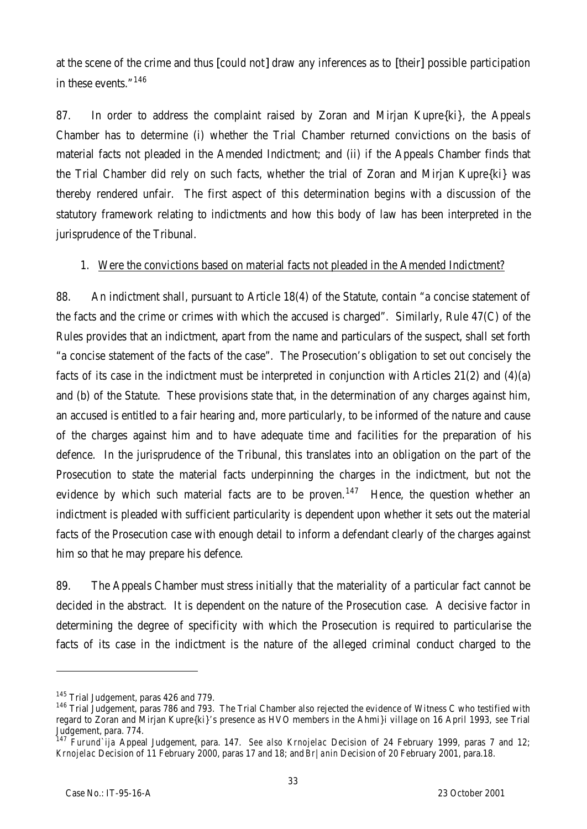at the scene of the crime and thus [could not] draw any inferences as to [their] possible participation in these events."<sup>146</sup>

87. In order to address the complaint raised by Zoran and Mirjan Kupre{ki}, the Appeals Chamber has to determine (i) whether the Trial Chamber returned convictions on the basis of material facts not pleaded in the Amended Indictment; and (ii) if the Appeals Chamber finds that the Trial Chamber did rely on such facts, whether the trial of Zoran and Mirjan Kupre{ki} was thereby rendered unfair. The first aspect of this determination begins with a discussion of the statutory framework relating to indictments and how this body of law has been interpreted in the jurisprudence of the Tribunal.

## 1. Were the convictions based on material facts not pleaded in the Amended Indictment?

88. An indictment shall, pursuant to Article 18(4) of the Statute, contain "a concise statement of the facts and the crime or crimes with which the accused is charged". Similarly, Rule 47(C) of the Rules provides that an indictment, apart from the name and particulars of the suspect, shall set forth "a concise statement of the facts of the case". The Prosecution's obligation to set out concisely the facts of its case in the indictment must be interpreted in conjunction with Articles 21(2) and (4)(a) and (b) of the Statute. These provisions state that, in the determination of any charges against him, an accused is entitled to a fair hearing and, more particularly, to be informed of the nature and cause of the charges against him and to have adequate time and facilities for the preparation of his defence. In the jurisprudence of the Tribunal, this translates into an obligation on the part of the Prosecution to state the material facts underpinning the charges in the indictment, but not the evidence by which such material facts are to be proven.<sup>147</sup> Hence, the question whether an indictment is pleaded with sufficient particularity is dependent upon whether it sets out the material facts of the Prosecution case with enough detail to inform a defendant clearly of the charges against him so that he may prepare his defence.

89. The Appeals Chamber must stress initially that the materiality of a particular fact cannot be decided in the abstract. It is dependent on the nature of the Prosecution case. A decisive factor in determining the degree of specificity with which the Prosecution is required to particularise the facts of its case in the indictment is the nature of the alleged criminal conduct charged to the

l

<sup>&</sup>lt;sup>145</sup> Trial Judgement, paras 426 and 779.

<sup>&</sup>lt;sup>146</sup> Trial Judgement, paras 786 and 793. The Trial Chamber also rejected the evidence of Witness C who testified with regard to Zoran and Mirjan Kupre{ki}'s presence as HVO members in the Ahmi}i village on 16 April 1993, *see* Trial Judgement, para. 774.

<sup>147</sup> *Furund`ija* Appeal Judgement, para. 147. *See also Krnojelac* Decision of 24 February 1999, paras 7 and 12; *Krnojelac* Decision of 11 February 2000, paras 17 and 18; and *Br|anin* Decision of 20 February 2001, para.18.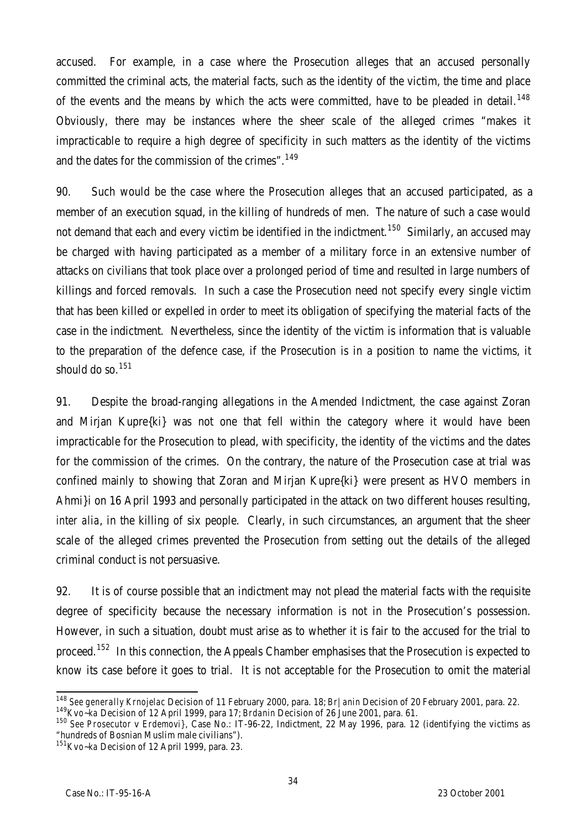accused. For example, in a case where the Prosecution alleges that an accused personally committed the criminal acts, the material facts, such as the identity of the victim, the time and place of the events and the means by which the acts were committed, have to be pleaded in detail.<sup>148</sup> Obviously, there may be instances where the sheer scale of the alleged crimes "makes it impracticable to require a high degree of specificity in such matters as the identity of the victims and the dates for the commission of the crimes".<sup>149</sup>

90. Such would be the case where the Prosecution alleges that an accused participated, as a member of an execution squad, in the killing of hundreds of men. The nature of such a case would not demand that each and every victim be identified in the indictment.<sup>150</sup> Similarly, an accused may be charged with having participated as a member of a military force in an extensive number of attacks on civilians that took place over a prolonged period of time and resulted in large numbers of killings and forced removals. In such a case the Prosecution need not specify every single victim that has been killed or expelled in order to meet its obligation of specifying the material facts of the case in the indictment. Nevertheless, since the identity of the victim is information that is valuable to the preparation of the defence case, if the Prosecution is in a position to name the victims, it should do so.<sup>151</sup>

91. Despite the broad-ranging allegations in the Amended Indictment, the case against Zoran and Mirjan Kupre{ki} was not one that fell within the category where it would have been impracticable for the Prosecution to plead, with specificity, the identity of the victims and the dates for the commission of the crimes. On the contrary, the nature of the Prosecution case at trial was confined mainly to showing that Zoran and Mirjan Kupre{ki} were present as HVO members in Ahmi}i on 16 April 1993 and personally participated in the attack on two different houses resulting, *inter alia*, in the killing of six people. Clearly, in such circumstances, an argument that the sheer scale of the alleged crimes prevented the Prosecution from setting out the details of the alleged criminal conduct is not persuasive.

92. It is of course possible that an indictment may not plead the material facts with the requisite degree of specificity because the necessary information is not in the Prosecution's possession. However, in such a situation, doubt must arise as to whether it is fair to the accused for the trial to proceed.<sup>152</sup> In this connection, the Appeals Chamber emphasises that the Prosecution is expected to know its case before it goes to trial. It is not acceptable for the Prosecution to omit the material

 $\overline{a}$ <sup>148</sup> *See generally Krnojelac* Decision of 11 February 2000, para. 18; *Br|anin* Decision of 20 February 2001, para. 22.

<sup>149</sup>*K*v*o~ka* Decision of 12 April 1999, para 17; *Brdanin* Decision of 26 June 2001, para. 61.

<sup>150</sup> *See Prosecutor* v *Erdemovi}*, Case No.: IT-96-22, Indictment, 22 May 1996, para. 12 (identifying the victims as "hundreds of Bosnian Muslim male civilians").

<sup>151</sup>*K*v*o~ka* Decision of 12 April 1999, para. 23.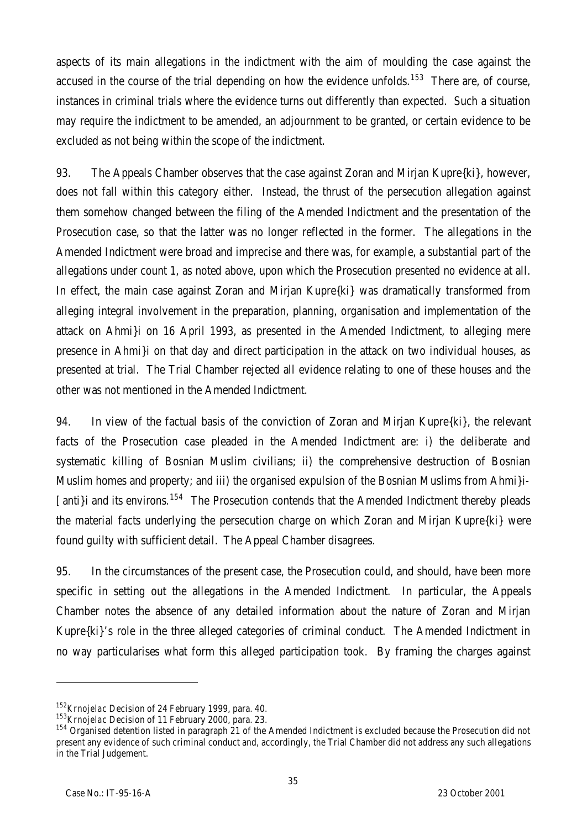aspects of its main allegations in the indictment with the aim of moulding the case against the accused in the course of the trial depending on how the evidence unfolds.<sup>153</sup> There are, of course, instances in criminal trials where the evidence turns out differently than expected. Such a situation may require the indictment to be amended, an adjournment to be granted, or certain evidence to be excluded as not being within the scope of the indictment.

93. The Appeals Chamber observes that the case against Zoran and Mirjan Kupre{ki}, however, does not fall within this category either. Instead, the thrust of the persecution allegation against them somehow changed between the filing of the Amended Indictment and the presentation of the Prosecution case, so that the latter was no longer reflected in the former. The allegations in the Amended Indictment were broad and imprecise and there was, for example, a substantial part of the allegations under count 1, as noted above, upon which the Prosecution presented no evidence at all. In effect, the main case against Zoran and Mirjan Kupre{ki} was dramatically transformed from alleging integral involvement in the preparation, planning, organisation and implementation of the attack on Ahmi}i on 16 April 1993, as presented in the Amended Indictment, to alleging mere presence in Ahmi}i on that day and direct participation in the attack on two individual houses, as presented at trial. The Trial Chamber rejected all evidence relating to one of these houses and the other was not mentioned in the Amended Indictment.

94. In view of the factual basis of the conviction of Zoran and Mirjan Kupre{ki}, the relevant facts of the Prosecution case pleaded in the Amended Indictment are: i) the deliberate and systematic killing of Bosnian Muslim civilians; ii) the comprehensive destruction of Bosnian Muslim homes and property; and iii) the organised expulsion of the Bosnian Muslims from Ahmi}i- [anti}i and its environs.<sup>154</sup> The Prosecution contends that the Amended Indictment thereby pleads the material facts underlying the persecution charge on which Zoran and Mirjan Kupre{ki} were found guilty with sufficient detail. The Appeal Chamber disagrees.

95. In the circumstances of the present case, the Prosecution could, and should, have been more specific in setting out the allegations in the Amended Indictment. In particular, the Appeals Chamber notes the absence of any detailed information about the nature of Zoran and Mirjan Kupre{ki}'s role in the three alleged categories of criminal conduct. The Amended Indictment in no way particularises what form this alleged participation took. By framing the charges against

l

<sup>152</sup>*Krnojelac* Decision of 24 February 1999, para. 40.

<sup>153</sup>*Krnojelac* Decision of 11 February 2000, para. 23.

<sup>&</sup>lt;sup>154</sup> Organised detention listed in paragraph 21 of the Amended Indictment is excluded because the Prosecution did not present any evidence of such criminal conduct and, accordingly, the Trial Chamber did not address any such allegations .<br>in the Trial Judgement.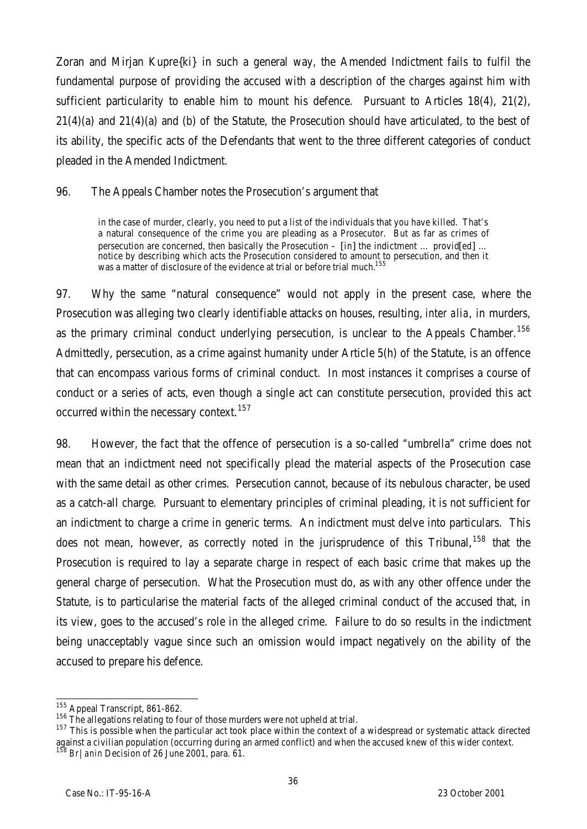Zoran and Mirjan Kupre{ki} in such a general way, the Amended Indictment fails to fulfil the fundamental purpose of providing the accused with a description of the charges against him with sufficient particularity to enable him to mount his defence. Pursuant to Articles 18(4), 21(2), 21(4)(a) and 21(4)(a) and (b) of the Statute, the Prosecution should have articulated, to the best of its ability, the specific acts of the Defendants that went to the three different categories of conduct pleaded in the Amended Indictment.

96. The Appeals Chamber notes the Prosecution's argument that

in the case of murder, clearly, you need to put a list of the individuals that you have killed. That's a natural consequence of the crime you are pleading as a Prosecutor. But as far as crimes of persecution are concerned, then basically the Prosecution – [in] the indictment ... provid[ed] ... notice by describing which acts the Prosecution considered to amount to persecution, and then it was a matter of disclosure of the evidence at trial or before trial much.<sup>155</sup>

97. Why the same "natural consequence" would not apply in the present case, where the Prosecution was alleging two clearly identifiable attacks on houses, resulting, *inter alia*, in murders, as the primary criminal conduct underlying persecution, is unclear to the Appeals Chamber.<sup>156</sup> Admittedly, persecution, as a crime against humanity under Article 5(h) of the Statute, is an offence that can encompass various forms of criminal conduct. In most instances it comprises a course of conduct or a series of acts, even though a single act can constitute persecution, provided this act occurred within the necessary context.<sup>157</sup>

98. However, the fact that the offence of persecution is a so-called "umbrella" crime does not mean that an indictment need not specifically plead the material aspects of the Prosecution case with the same detail as other crimes. Persecution cannot, because of its nebulous character, be used as a catch-all charge. Pursuant to elementary principles of criminal pleading, it is not sufficient for an indictment to charge a crime in generic terms. An indictment must delve into particulars. This does not mean, however, as correctly noted in the jurisprudence of this Tribunal,  $158$  that the Prosecution is required to lay a separate charge in respect of each basic crime that makes up the general charge of persecution. What the Prosecution must do, as with any other offence under the Statute, is to particularise the material facts of the alleged criminal conduct of the accused that, in its view, goes to the accused's role in the alleged crime. Failure to do so results in the indictment being unacceptably vague since such an omission would impact negatively on the ability of the accused to prepare his defence.

 $\overline{a}$ <sup>155</sup> Appeal Transcript, 861-862.

<sup>&</sup>lt;sup>156</sup> The allegations relating to four of those murders were not upheld at trial.

<sup>&</sup>lt;sup>157</sup> This is possible when the particular act took place within the context of a widespread or systematic attack directed against a civilian population (occurring during an armed conflict) and when the accused knew of this wider context. <sup>158</sup> *Br|anin* Decision of 26 June 2001, para. 61.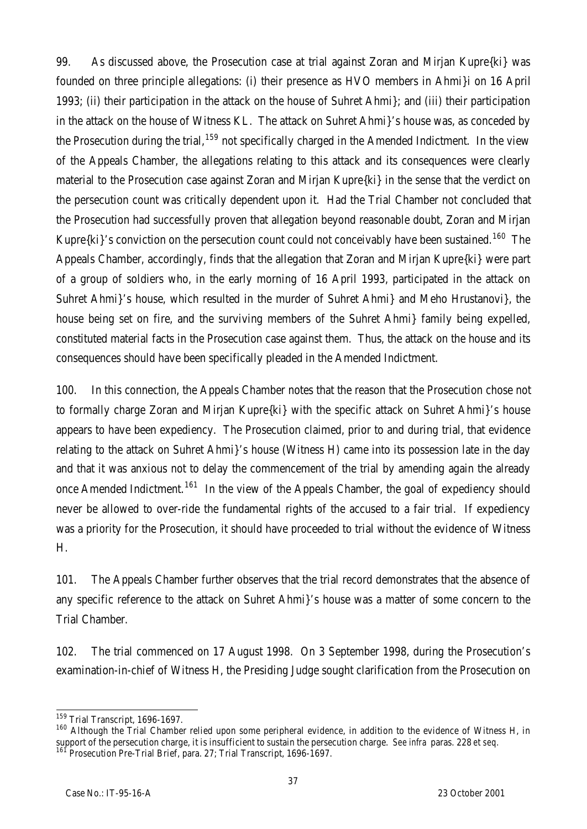99. As discussed above, the Prosecution case at trial against Zoran and Mirjan Kupre{ki} was founded on three principle allegations: (i) their presence as HVO members in Ahmi}i on 16 April 1993; (ii) their participation in the attack on the house of Suhret Ahmi}; and (iii) their participation in the attack on the house of Witness KL. The attack on Suhret Ahmi}'s house was, as conceded by the Prosecution during the trial,  $159$  not specifically charged in the Amended Indictment. In the view of the Appeals Chamber, the allegations relating to this attack and its consequences were clearly material to the Prosecution case against Zoran and Mirjan Kupre{ki} in the sense that the verdict on the persecution count was critically dependent upon it. Had the Trial Chamber not concluded that the Prosecution had successfully proven that allegation beyond reasonable doubt, Zoran and Mirjan Kupre $\{ki\}'s$  conviction on the persecution count could not conceivably have been sustained.<sup>160</sup> The Appeals Chamber, accordingly, finds that the allegation that Zoran and Mirjan Kupre{ki} were part of a group of soldiers who, in the early morning of 16 April 1993, participated in the attack on Suhret Ahmi}'s house, which resulted in the murder of Suhret Ahmi} and Meho Hrustanovi}, the house being set on fire, and the surviving members of the Suhret Ahmi} family being expelled, constituted material facts in the Prosecution case against them. Thus, the attack on the house and its consequences should have been specifically pleaded in the Amended Indictment.

100. In this connection, the Appeals Chamber notes that the reason that the Prosecution chose not to formally charge Zoran and Mirjan Kupre{ki} with the specific attack on Suhret Ahmi}'s house appears to have been expediency. The Prosecution claimed, prior to and during trial, that evidence relating to the attack on Suhret Ahmi}'s house (Witness H) came into its possession late in the day and that it was anxious not to delay the commencement of the trial by amending again the already once Amended Indictment.<sup>161</sup> In the view of the Appeals Chamber, the goal of expediency should never be allowed to over-ride the fundamental rights of the accused to a fair trial. If expediency was a priority for the Prosecution, it should have proceeded to trial without the evidence of Witness H.

101. The Appeals Chamber further observes that the trial record demonstrates that the absence of any specific reference to the attack on Suhret Ahmi}'s house was a matter of some concern to the Trial Chamber.

102. The trial commenced on 17 August 1998. On 3 September 1998, during the Prosecution's examination-in-chief of Witness H, the Presiding Judge sought clarification from the Prosecution on

 $\overline{a}$ <sup>159</sup> Trial Transcript, 1696-1697.

<sup>160</sup> Although the Trial Chamber relied upon some peripheral evidence, in addition to the evidence of Witness H, in support of the persecution charge, it is insufficient to sustain the persecution charge. *See infra* paras. 228 *et seq.*  $161$  Prosecution Pre-Trial Brief, para. 27; Trial Transcript, 1696-1697.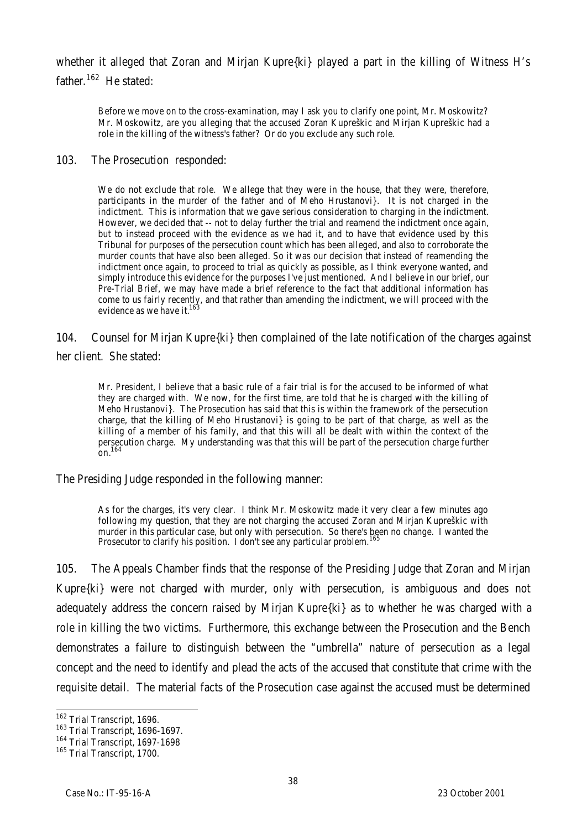whether it alleged that Zoran and Mirjan Kupre{ki} played a part in the killing of Witness H's father.<sup>162</sup> He stated:

Before we move on to the cross-examination, may I ask you to clarify one point, Mr. Moskowitz? Mr. Moskowitz, are you alleging that the accused Zoran Kupreškic and Mirjan Kupreškic had a role in the killing of the witness's father? Or do you exclude any such role.

#### 103. The Prosecution responded:

We do not exclude that role. We allege that they were in the house, that they were, therefore, participants in the murder of the father and of Meho Hrustanovi}. It is not charged in the indictment. This is information that we gave serious consideration to charging in the indictment. However, we decided that -- not to delay further the trial and reamend the indictment once again, but to instead proceed with the evidence as we had it, and to have that evidence used by this Tribunal for purposes of the persecution count which has been alleged, and also to corroborate the murder counts that have also been alleged. So it was our decision that instead of reamending the indictment once again, to proceed to trial as quickly as possible, as I think everyone wanted, and simply introduce this evidence for the purposes I've just mentioned. And I believe in our brief, our Pre-Trial Brief, we may have made a brief reference to the fact that additional information has come to us fairly recently, and that rather than amending the indictment, we will proceed with the evidence as we have it. $16$ 

# 104. Counsel for Mirjan Kupre{ki} then complained of the late notification of the charges against

her client. She stated:

Mr. President, I believe that a basic rule of a fair trial is for the accused to be informed of what they are charged with. We now, for the first time, are told that he is charged with the killing of Meho Hrustanovi}. The Prosecution has said that this is within the framework of the persecution charge, that the killing of Meho Hrustanovi} is going to be part of that charge, as well as the killing of a member of his family, and that this will all be dealt with within the context of the persecution charge. My understanding was that this will be part of the persecution charge further on. $164$ 

The Presiding Judge responded in the following manner:

As for the charges, it's very clear. I think Mr. Moskowitz made it very clear a few minutes ago following my question, that they are not charging the accused Zoran and Mirjan Kupreškic with murder in this particular case, but only with persecution. So there's been no change. I wanted the Prosecutor to clarify his position. I don't see any particular problem.<sup>16</sup>

105. The Appeals Chamber finds that the response of the Presiding Judge that Zoran and Mirjan Kupre{ki} were not charged with murder, *only* with persecution, is ambiguous and does not adequately address the concern raised by Mirjan Kupre{ki} as to whether he was charged with a role in killing the two victims. Furthermore, this exchange between the Prosecution and the Bench demonstrates a failure to distinguish between the "umbrella" nature of persecution as a legal concept and the need to identify and plead the acts of the accused that constitute that crime with the requisite detail. The material facts of the Prosecution case against the accused must be determined

 $\overline{a}$ <sup>162</sup> Trial Transcript, 1696.

<sup>163</sup> Trial Transcript, 1696-1697.

<sup>164</sup> Trial Transcript, 1697-1698

<sup>&</sup>lt;sup>165</sup> Trial Transcript, 1700.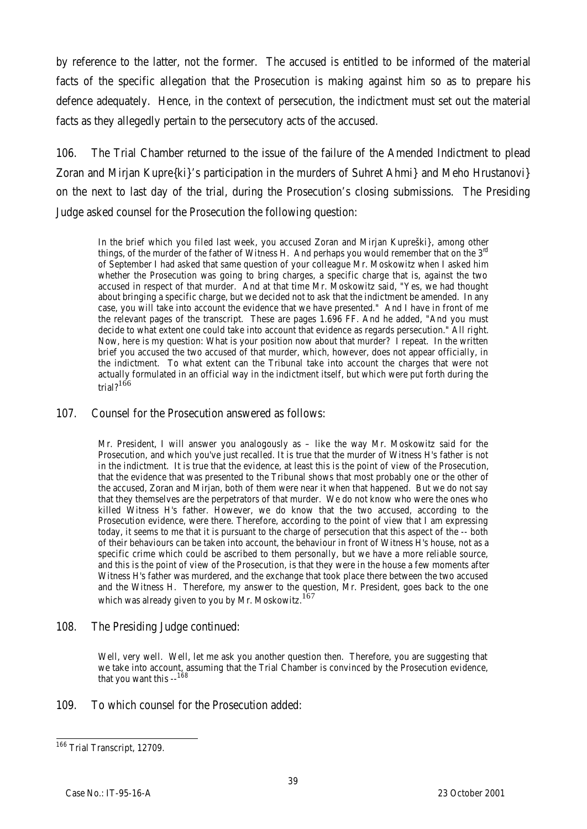by reference to the latter, not the former. The accused is entitled to be informed of the material facts of the specific allegation that the Prosecution is making against him so as to prepare his defence adequately. Hence, in the context of persecution, the indictment must set out the material facts as they allegedly pertain to the persecutory acts of the accused.

106. The Trial Chamber returned to the issue of the failure of the Amended Indictment to plead Zoran and Mirjan Kupre{ki}'s participation in the murders of Suhret Ahmi} and Meho Hrustanovi} on the next to last day of the trial, during the Prosecution's closing submissions. The Presiding Judge asked counsel for the Prosecution the following question:

In the brief which you filed last week, you accused Zoran and Mirjan Kupreški}, among other things, of the murder of the father of Witness H. And perhaps you would remember that on the  $3<sup>rd</sup>$ of September I had asked that same question of your colleague Mr. Moskowitz when I asked him whether the Prosecution was going to bring charges, a specific charge that is, against the two accused in respect of that murder. And at that time Mr. Moskowitz said, "Yes, we had thought about bringing a specific charge, but we decided not to ask that the indictment be amended. In any case, you will take into account the evidence that we have presented." And I have in front of me the relevant pages of the transcript. These are pages 1.696 FF. And he added, "And you must decide to what extent one could take into account that evidence as regards persecution." All right. Now, here is my question: What is your position now about that murder? I repeat. In the written brief you accused the two accused of that murder, which, however, does not appear officially, in the indictment. To what extent can the Tribunal take into account the charges that were not actually formulated in an official way in the indictment itself, but which were put forth during the trial? $166$ 

#### 107. Counsel for the Prosecution answered as follows:

Mr. President, I will answer you analogously as – like the way Mr. Moskowitz said for the Prosecution, and which you've just recalled. It is true that the murder of Witness H's father is not in the indictment. It is true that the evidence, at least this is the point of view of the Prosecution, that the evidence that was presented to the Tribunal shows that most probably one or the other of the accused, Zoran and Mirjan, both of them were near it when that happened. But we do not say that they themselves are the perpetrators of that murder. We do not know who were the ones who killed Witness H's father. However, we do know that the two accused, according to the Prosecution evidence, were there. Therefore, according to the point of view that I am expressing today, it seems to me that it is pursuant to the charge of persecution that this aspect of the -- both of their behaviours can be taken into account, the behaviour in front of Witness H's house, not as a specific crime which could be ascribed to them personally, but we have a more reliable source, and this is the point of view of the Prosecution, is that they were in the house a few moments after Witness H's father was murdered, and the exchange that took place there between the two accused and the Witness H. Therefore, my answer to the question, Mr. President, goes back to the one which was already given to you by Mr. Moskowitz.<sup>167</sup>

## 108. The Presiding Judge continued:

Well, very well. Well, let me ask you another question then. Therefore, you are suggesting that we take into account, assuming that the Trial Chamber is convinced by the Prosecution evidence, that you want this  $-168$ 

109. To which counsel for the Prosecution added:

 $\overline{a}$ <sup>166</sup> Trial Transcript, 12709.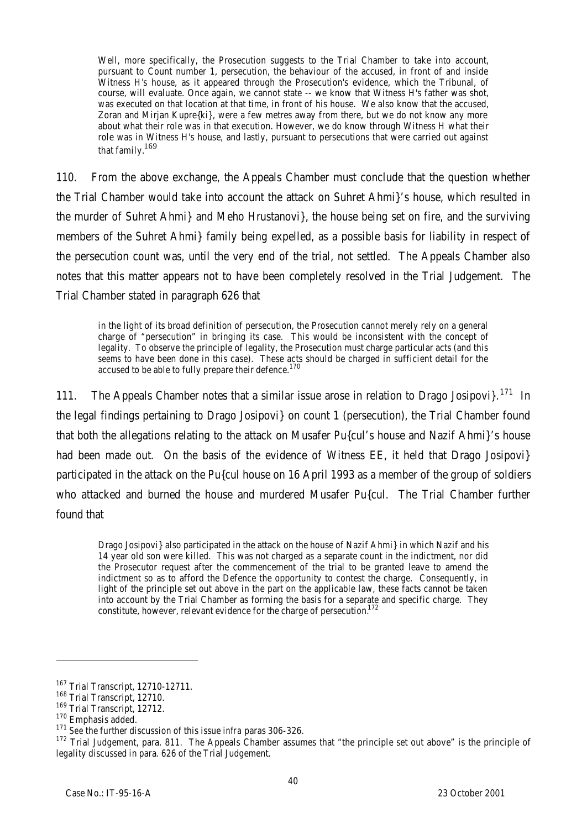Well, more specifically, the Prosecution suggests to the Trial Chamber to take into account, pursuant to Count number 1, persecution, the behaviour of the accused, in front of and inside Witness H's house, as it appeared through the Prosecution's evidence, which the Tribunal, of course, will evaluate. Once again, we cannot state -- we know that Witness H's father was shot, was executed on that location at that time, in front of his house. We also know that the accused, Zoran and Mirjan Kupre{ki}, were a few metres away from there, but we do not know any more about what their role was in that execution. However, we do know through Witness H what their role was in Witness H's house, and lastly, pursuant to persecutions that were carried out against that family.<sup>169</sup>

110. From the above exchange, the Appeals Chamber must conclude that the question whether the Trial Chamber would take into account the attack on Suhret Ahmi}'s house, which resulted in the murder of Suhret Ahmi} and Meho Hrustanovi}, the house being set on fire, and the surviving members of the Suhret Ahmi} family being expelled, as a possible basis for liability in respect of the persecution count was, until the very end of the trial, not settled. The Appeals Chamber also notes that this matter appears not to have been completely resolved in the Trial Judgement. The Trial Chamber stated in paragraph 626 that

in the light of its broad definition of persecution, the Prosecution cannot merely rely on a general charge of "persecution" in bringing its case. This would be inconsistent with the concept of legality. To observe the principle of legality, the Prosecution must charge particular acts (and this *seems* to have been done in this case). These acts should be charged in sufficient detail for the accused to be able to fully prepare their defence.<sup>170</sup>

111. The Appeals Chamber notes that a similar issue arose in relation to Drago Josipovi $3.171$  In the legal findings pertaining to Drago Josipovi} on count 1 (persecution), the Trial Chamber found that both the allegations relating to the attack on Musafer Pu{cul's house and Nazif Ahmi}'s house had been made out. On the basis of the evidence of Witness EE, it held that Drago Josipovi} participated in the attack on the Pu{cul house on 16 April 1993 as a member of the group of soldiers who attacked and burned the house and murdered Musafer Pu{cul. The Trial Chamber further found that

Drago Josipovi} also participated in the attack on the house of Nazif Ahmi} in which Nazif and his 14 year old son were killed. This was not charged as a separate count in the indictment, nor did the Prosecutor request after the commencement of the trial to be granted leave to amend the indictment so as to afford the Defence the opportunity to contest the charge. Consequently, in light of the principle set out above in the part on the applicable law, these facts cannot be taken into account by the Trial Chamber as forming the basis for a separate and specific charge. They constitute, however, relevant evidence for the charge of persecution.<sup>172</sup>

l

<sup>167</sup> Trial Transcript, 12710-12711.

<sup>&</sup>lt;sup>168</sup> Trial Transcript, 12710.

<sup>169</sup> Trial Transcript, 12712.

<sup>170</sup> Emphasis added.

<sup>171</sup> *See* the further discussion of this issue *infra* paras 306-326.

<sup>172</sup> Trial Judgement, para. 811. The Appeals Chamber assumes that "the principle set out above" is the principle of legality discussed in para. 626 of the Trial Judgement.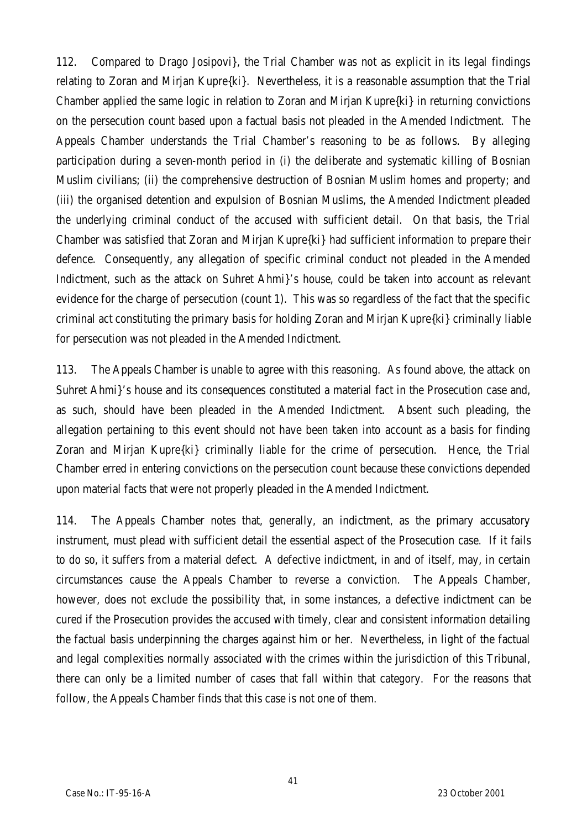112. Compared to Drago Josipovi}, the Trial Chamber was not as explicit in its legal findings relating to Zoran and Mirjan Kupre{ki}. Nevertheless, it is a reasonable assumption that the Trial Chamber applied the same logic in relation to Zoran and Mirjan Kupre{ki} in returning convictions on the persecution count based upon a factual basis not pleaded in the Amended Indictment. The Appeals Chamber understands the Trial Chamber's reasoning to be as follows. By alleging participation during a seven-month period in (i) the deliberate and systematic killing of Bosnian Muslim civilians; (ii) the comprehensive destruction of Bosnian Muslim homes and property; and (iii) the organised detention and expulsion of Bosnian Muslims, the Amended Indictment pleaded the underlying criminal conduct of the accused with sufficient detail. On that basis, the Trial Chamber was satisfied that Zoran and Mirjan Kupre{ki} had sufficient information to prepare their defence. Consequently, any allegation of specific criminal conduct not pleaded in the Amended Indictment, such as the attack on Suhret Ahmi}'s house, could be taken into account as relevant evidence for the charge of persecution (count 1). This was so regardless of the fact that the specific criminal act constituting the primary basis for holding Zoran and Mirjan Kupre{ki} criminally liable for persecution was not pleaded in the Amended Indictment.

113. The Appeals Chamber is unable to agree with this reasoning. As found above, the attack on Suhret Ahmi}'s house and its consequences constituted a material fact in the Prosecution case and, as such, should have been pleaded in the Amended Indictment. Absent such pleading, the allegation pertaining to this event should not have been taken into account as a basis for finding Zoran and Mirjan Kupre{ki} criminally liable for the crime of persecution. Hence, the Trial Chamber erred in entering convictions on the persecution count because these convictions depended upon material facts that were not properly pleaded in the Amended Indictment.

114. The Appeals Chamber notes that, generally, an indictment, as the primary accusatory instrument, must plead with sufficient detail the essential aspect of the Prosecution case. If it fails to do so, it suffers from a material defect. A defective indictment, in and of itself, may, in certain circumstances cause the Appeals Chamber to reverse a conviction. The Appeals Chamber, however, does not exclude the possibility that, in some instances, a defective indictment can be cured if the Prosecution provides the accused with timely, clear and consistent information detailing the factual basis underpinning the charges against him or her. Nevertheless, in light of the factual and legal complexities normally associated with the crimes within the jurisdiction of this Tribunal, there can only be a limited number of cases that fall within that category. For the reasons that follow, the Appeals Chamber finds that this case is not one of them.

41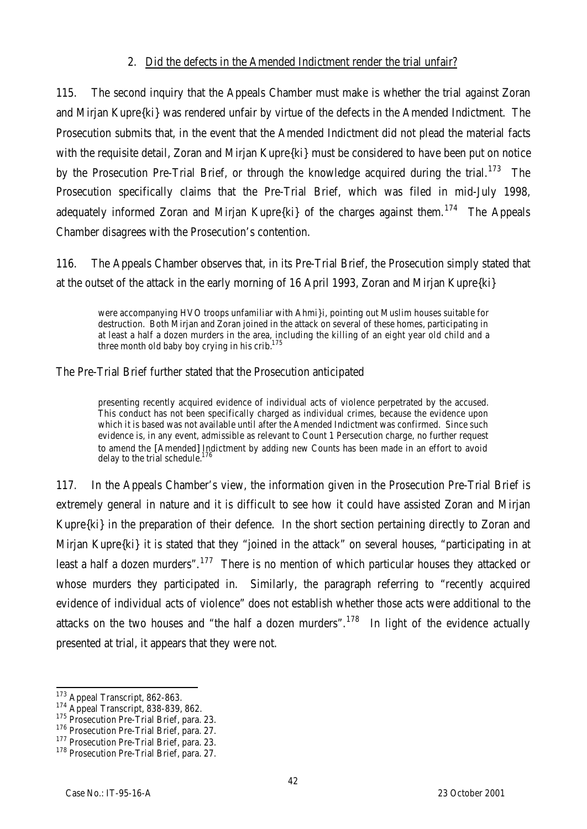## 2. Did the defects in the Amended Indictment render the trial unfair?

115. The second inquiry that the Appeals Chamber must make is whether the trial against Zoran and Mirjan Kupre{ki} was rendered unfair by virtue of the defects in the Amended Indictment. The Prosecution submits that, in the event that the Amended Indictment did not plead the material facts with the requisite detail, Zoran and Mirjan Kupre{ki} must be considered to have been put on notice by the Prosecution Pre-Trial Brief, or through the knowledge acquired during the trial.<sup>173</sup> The Prosecution specifically claims that the Pre-Trial Brief, which was filed in mid-July 1998, adequately informed Zoran and Mirjan Kupre $\{ki\}$  of the charges against them.<sup>174</sup> The Appeals Chamber disagrees with the Prosecution's contention.

116. The Appeals Chamber observes that, in its Pre-Trial Brief, the Prosecution simply stated that at the outset of the attack in the early morning of 16 April 1993, Zoran and Mirjan Kupre{ki}

were accompanying HVO troops unfamiliar with Ahmi}i, pointing out Muslim houses suitable for destruction. Both Mirjan and Zoran joined in the attack on several of these homes, participating in at least a half a dozen murders in the area, including the killing of an eight year old child and a three month old baby boy crying in his crib. $^{175}$ 

The Pre-Trial Brief further stated that the Prosecution anticipated

presenting recently acquired evidence of individual acts of violence perpetrated by the accused. This conduct has not been specifically charged as individual crimes, because the evidence upon which it is based was not available until after the Amended Indictment was confirmed. Since such evidence is, in any event, admissible as relevant to Count 1 Persecution charge, no further request to amend the [Amended] Indictment by adding new Counts has been made in an effort to avoid delay to the trial schedule.<sup>176</sup>

117. In the Appeals Chamber's view, the information given in the Prosecution Pre-Trial Brief is extremely general in nature and it is difficult to see how it could have assisted Zoran and Mirjan Kupre{ki} in the preparation of their defence. In the short section pertaining directly to Zoran and Mirjan Kupre{ki} it is stated that they "joined in the attack" on several houses, "participating in at least a half a dozen murders".<sup>177</sup> There is no mention of which particular houses they attacked or whose murders they participated in. Similarly, the paragraph referring to "recently acquired evidence of individual acts of violence" does not establish whether those acts were additional to the attacks on the two houses and "the half a dozen murders".<sup>178</sup> In light of the evidence actually presented at trial, it appears that they were not.

 $\overline{a}$ 

<sup>&</sup>lt;sup>173</sup> Appeal Transcript, 862-863.

<sup>174</sup> Appeal Transcript, 838-839, 862.

<sup>&</sup>lt;sup>175</sup> Prosecution Pre-Trial Brief, para. 23.

<sup>176</sup> Prosecution Pre-Trial Brief, para. 27.

<sup>&</sup>lt;sup>177</sup> Prosecution Pre-Trial Brief, para. 23.

<sup>&</sup>lt;sup>178</sup> Prosecution Pre-Trial Brief, para. 27.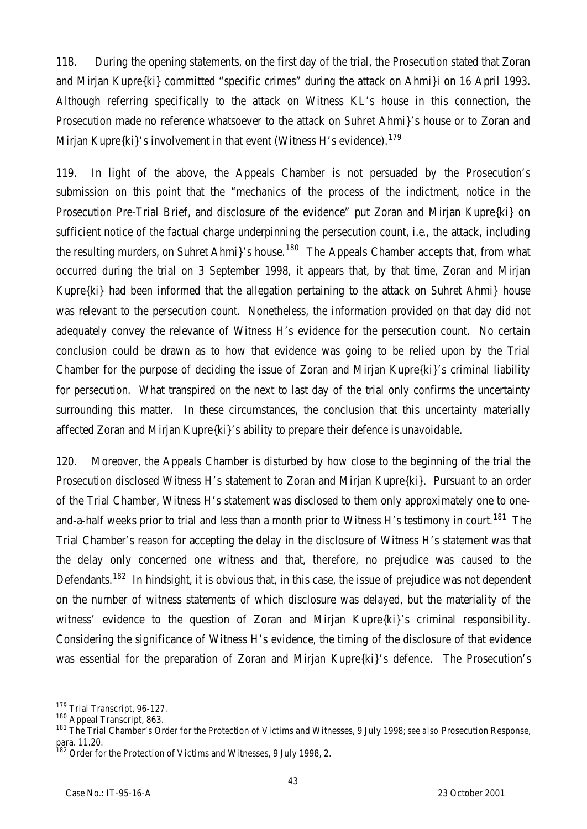118. During the opening statements, on the first day of the trial, the Prosecution stated that Zoran and Mirjan Kupre{ki} committed "specific crimes" during the attack on Ahmi}i on 16 April 1993. Although referring specifically to the attack on Witness KL's house in this connection, the Prosecution made no reference whatsoever to the attack on Suhret Ahmi}'s house or to Zoran and Mirjan Kupre $\{ki\}'s$  involvement in that event (Witness H's evidence).<sup>179</sup>

119. In light of the above, the Appeals Chamber is not persuaded by the Prosecution's submission on this point that the "mechanics of the process of the indictment, notice in the Prosecution Pre-Trial Brief, and disclosure of the evidence" put Zoran and Mirjan Kupre{ki} on sufficient notice of the factual charge underpinning the persecution count, i.e*.*, the attack, including the resulting murders, on Suhret Ahmi}'s house.<sup>180</sup> The Appeals Chamber accepts that, from what occurred during the trial on 3 September 1998, it appears that, by that time, Zoran and Mirjan Kupre{ki} had been informed that the allegation pertaining to the attack on Suhret Ahmi} house was relevant to the persecution count. Nonetheless, the information provided on that day did not adequately convey the relevance of Witness H's evidence for the persecution count. No certain conclusion could be drawn as to how that evidence was going to be relied upon by the Trial Chamber for the purpose of deciding the issue of Zoran and Mirjan Kupre{ki}'s criminal liability for persecution. What transpired on the next to last day of the trial only confirms the uncertainty surrounding this matter. In these circumstances, the conclusion that this uncertainty materially affected Zoran and Mirjan Kupre{ki}'s ability to prepare their defence is unavoidable.

120. Moreover, the Appeals Chamber is disturbed by how close to the beginning of the trial the Prosecution disclosed Witness H's statement to Zoran and Mirjan Kupre{ki}. Pursuant to an order of the Trial Chamber, Witness H's statement was disclosed to them only approximately one to oneand-a-half weeks prior to trial and less than a month prior to Witness H's testimony in court.<sup>181</sup> The Trial Chamber's reason for accepting the delay in the disclosure of Witness H's statement was that the delay only concerned one witness and that, therefore, no prejudice was caused to the Defendants.<sup>182</sup> In hindsight, it is obvious that, in this case, the issue of prejudice was not dependent on the number of witness statements of which disclosure was delayed, but the materiality of the witness' evidence to the question of Zoran and Mirjan Kupre $\{ki\}'s$  criminal responsibility. Considering the significance of Witness H's evidence, the timing of the disclosure of that evidence was essential for the preparation of Zoran and Mirjan Kupre{ki}'s defence. The Prosecution's

 $\overline{a}$ <sup>179</sup> Trial Transcript, 96-127.

<sup>180</sup> Appeal Transcript, 863.

<sup>181</sup> The Trial Chamber's Order for the Protection of Victims and Witnesses, 9 July 1998; *see also* Prosecution Response, para. 11.20.

<sup>&</sup>lt;sup>182</sup> Order for the Protection of Victims and Witnesses, 9 July 1998, 2.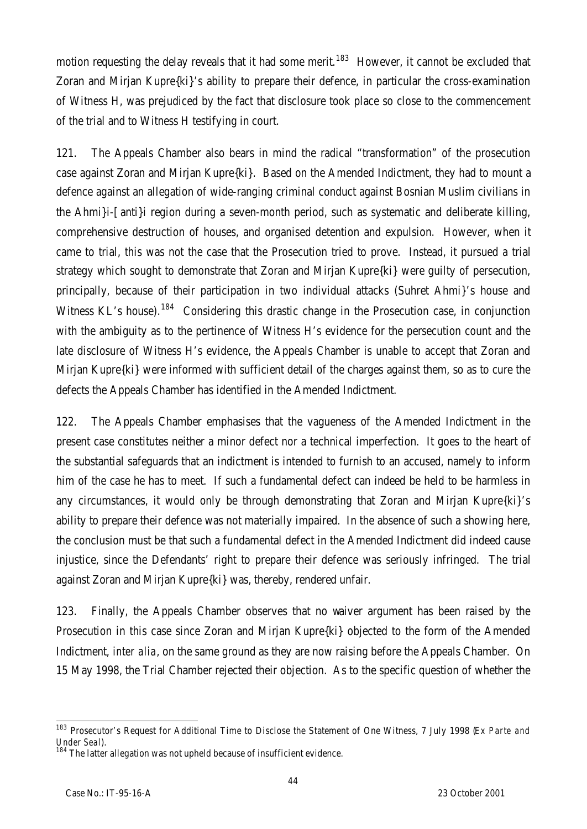motion requesting the delay reveals that it had some merit.<sup>183</sup> However, it cannot be excluded that Zoran and Mirjan Kupre{ki}'s ability to prepare their defence, in particular the cross-examination of Witness H, was prejudiced by the fact that disclosure took place so close to the commencement of the trial and to Witness H testifying in court.

121. The Appeals Chamber also bears in mind the radical "transformation" of the prosecution case against Zoran and Mirjan Kupre{ki}. Based on the Amended Indictment, they had to mount a defence against an allegation of wide-ranging criminal conduct against Bosnian Muslim civilians in the Ahmi}i-[anti}i region during a seven-month period, such as systematic and deliberate killing, comprehensive destruction of houses, and organised detention and expulsion. However, when it came to trial, this was not the case that the Prosecution tried to prove. Instead, it pursued a trial strategy which sought to demonstrate that Zoran and Mirjan Kupre{ki} were guilty of persecution, principally, because of their participation in two individual attacks (Suhret Ahmi}'s house and Witness KL's house).<sup>184</sup> Considering this drastic change in the Prosecution case, in conjunction with the ambiguity as to the pertinence of Witness H's evidence for the persecution count and the late disclosure of Witness H's evidence, the Appeals Chamber is unable to accept that Zoran and Mirjan Kupre{ki} were informed with sufficient detail of the charges against them, so as to cure the defects the Appeals Chamber has identified in the Amended Indictment.

122. The Appeals Chamber emphasises that the vagueness of the Amended Indictment in the present case constitutes neither a minor defect nor a technical imperfection. It goes to the heart of the substantial safeguards that an indictment is intended to furnish to an accused, namely to inform him of the case he has to meet. If such a fundamental defect can indeed be held to be harmless in any circumstances, it would only be through demonstrating that Zoran and Mirjan Kupre{ki}'s ability to prepare their defence was not materially impaired. In the absence of such a showing here, the conclusion must be that such a fundamental defect in the Amended Indictment did indeed cause injustice, since the Defendants' right to prepare their defence was seriously infringed. The trial against Zoran and Mirjan Kupre{ki} was, thereby, rendered unfair.

123. Finally, the Appeals Chamber observes that no waiver argument has been raised by the Prosecution in this case since Zoran and Mirjan Kupre{ki} objected to the form of the Amended Indictment, *inter alia*, on the same ground as they are now raising before the Appeals Chamber. On 15 May 1998, the Trial Chamber rejected their objection. As to the specific question of whether the

 $\overline{a}$ 

<sup>183</sup> Prosecutor's Request for Additional Time to Disclose the Statement of One Witness, 7 July 1998 (*Ex Parte and Under Seal*).

 $184$  The latter allegation was not upheld because of insufficient evidence.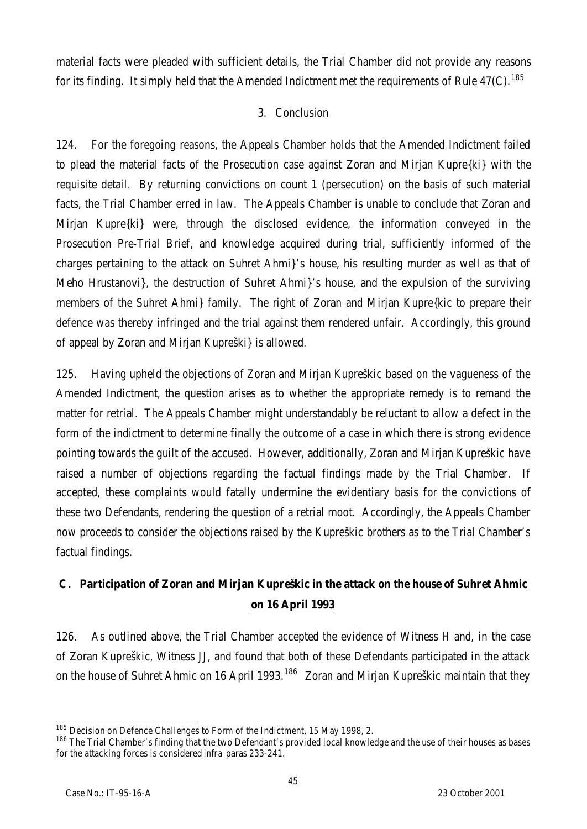material facts were pleaded with sufficient details, the Trial Chamber did not provide any reasons for its finding. It simply held that the Amended Indictment met the requirements of Rule  $47(C)$ .<sup>185</sup>

# 3. Conclusion

124. For the foregoing reasons, the Appeals Chamber holds that the Amended Indictment failed to plead the material facts of the Prosecution case against Zoran and Mirjan Kupre{ki} with the requisite detail. By returning convictions on count 1 (persecution) on the basis of such material facts, the Trial Chamber erred in law. The Appeals Chamber is unable to conclude that Zoran and Mirjan Kupre{ki} were, through the disclosed evidence, the information conveyed in the Prosecution Pre-Trial Brief, and knowledge acquired during trial, sufficiently informed of the charges pertaining to the attack on Suhret Ahmi}'s house, his resulting murder as well as that of Meho Hrustanovi}, the destruction of Suhret Ahmi}'s house, and the expulsion of the surviving members of the Suhret Ahmi} family. The right of Zoran and Mirjan Kupre{kic to prepare their defence was thereby infringed and the trial against them rendered unfair. Accordingly, this ground of appeal by Zoran and Mirjan Kupreški} is allowed.

125. Having upheld the objections of Zoran and Mirjan Kupreškic based on the vagueness of the Amended Indictment, the question arises as to whether the appropriate remedy is to remand the matter for retrial. The Appeals Chamber might understandably be reluctant to allow a defect in the form of the indictment to determine finally the outcome of a case in which there is strong evidence pointing towards the guilt of the accused. However, additionally, Zoran and Mirjan Kupreškic have raised a number of objections regarding the factual findings made by the Trial Chamber. If accepted, these complaints would fatally undermine the evidentiary basis for the convictions of these two Defendants, rendering the question of a retrial moot. Accordingly, the Appeals Chamber now proceeds to consider the objections raised by the Kupreškic brothers as to the Trial Chamber's factual findings.

# **C. Participation of Zoran and Mirjan Kupreškic in the attack on the house of Suhret Ahmic on 16 April 1993**

126. As outlined above, the Trial Chamber accepted the evidence of Witness H and, in the case of Zoran Kupreškic, Witness JJ, and found that both of these Defendants participated in the attack on the house of Suhret Ahmic on 16 April 1993.<sup>186</sup> Zoran and Mirjan Kupreškic maintain that they

 $\overline{a}$  $^{185}$  Decision on Defence Challenges to Form of the Indictment, 15 May 1998, 2.

<sup>186</sup> The Trial Chamber's finding that the two Defendant's provided local knowledge and the use of their houses as bases for the attacking forces is considered *infra* paras 233-241.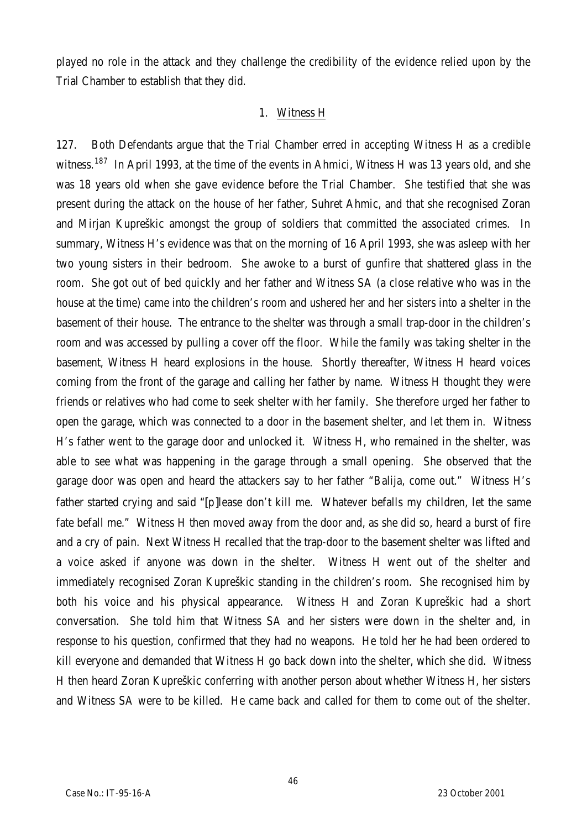played no role in the attack and they challenge the credibility of the evidence relied upon by the Trial Chamber to establish that they did.

## 1. Witness H

127. Both Defendants argue that the Trial Chamber erred in accepting Witness H as a credible witness.<sup>187</sup> In April 1993, at the time of the events in Ahmici, Witness H was 13 years old, and she was 18 years old when she gave evidence before the Trial Chamber. She testified that she was present during the attack on the house of her father, Suhret Ahmic, and that she recognised Zoran and Mirjan Kupreškic amongst the group of soldiers that committed the associated crimes. In summary, Witness H's evidence was that on the morning of 16 April 1993, she was asleep with her two young sisters in their bedroom. She awoke to a burst of gunfire that shattered glass in the room. She got out of bed quickly and her father and Witness SA (a close relative who was in the house at the time) came into the children's room and ushered her and her sisters into a shelter in the basement of their house. The entrance to the shelter was through a small trap-door in the children's room and was accessed by pulling a cover off the floor. While the family was taking shelter in the basement, Witness H heard explosions in the house. Shortly thereafter, Witness H heard voices coming from the front of the garage and calling her father by name. Witness H thought they were friends or relatives who had come to seek shelter with her family. She therefore urged her father to open the garage, which was connected to a door in the basement shelter, and let them in. Witness H's father went to the garage door and unlocked it. Witness H, who remained in the shelter, was able to see what was happening in the garage through a small opening. She observed that the garage door was open and heard the attackers say to her father "Balija, come out." Witness H's father started crying and said "[p]lease don't kill me. Whatever befalls my children, let the same fate befall me." Witness H then moved away from the door and, as she did so, heard a burst of fire and a cry of pain. Next Witness H recalled that the trap-door to the basement shelter was lifted and a voice asked if anyone was down in the shelter. Witness H went out of the shelter and immediately recognised Zoran Kupreškic standing in the children's room. She recognised him by both his voice and his physical appearance. Witness H and Zoran Kupreškic had a short conversation. She told him that Witness SA and her sisters were down in the shelter and, in response to his question, confirmed that they had no weapons. He told her he had been ordered to kill everyone and demanded that Witness H go back down into the shelter, which she did. Witness H then heard Zoran Kupreškic conferring with another person about whether Witness H, her sisters and Witness SA were to be killed. He came back and called for them to come out of the shelter.

46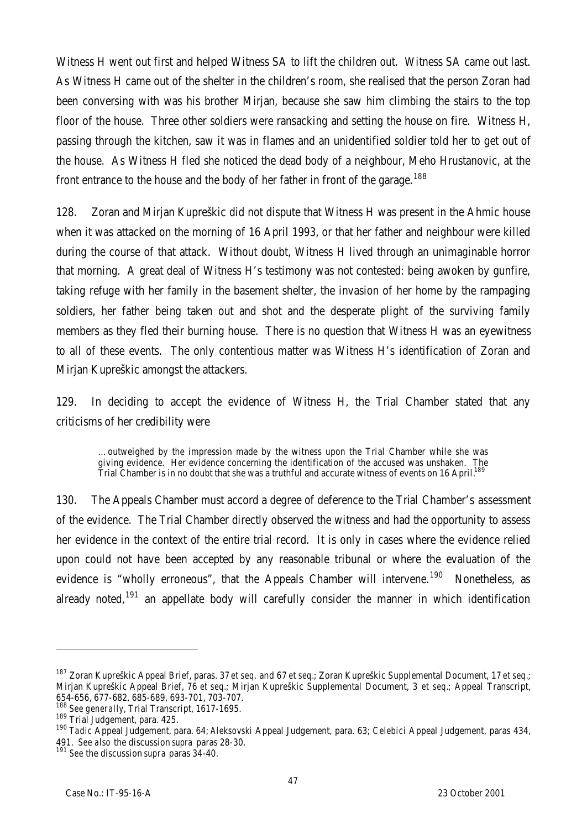Witness H went out first and helped Witness SA to lift the children out. Witness SA came out last. As Witness H came out of the shelter in the children's room, she realised that the person Zoran had been conversing with was his brother Mirjan, because she saw him climbing the stairs to the top floor of the house. Three other soldiers were ransacking and setting the house on fire. Witness H, passing through the kitchen, saw it was in flames and an unidentified soldier told her to get out of the house. As Witness H fled she noticed the dead body of a neighbour, Meho Hrustanovic, at the front entrance to the house and the body of her father in front of the garage.<sup>188</sup>

128. Zoran and Mirjan Kupreškic did not dispute that Witness H was present in the Ahmic house when it was attacked on the morning of 16 April 1993, or that her father and neighbour were killed during the course of that attack. Without doubt, Witness H lived through an unimaginable horror that morning. A great deal of Witness H's testimony was not contested: being awoken by gunfire, taking refuge with her family in the basement shelter, the invasion of her home by the rampaging soldiers, her father being taken out and shot and the desperate plight of the surviving family members as they fled their burning house. There is no question that Witness H was an eyewitness to all of these events. The only contentious matter was Witness H's identification of Zoran and Mirjan Kupreškic amongst the attackers.

129. In deciding to accept the evidence of Witness H, the Trial Chamber stated that any criticisms of her credibility were

…outweighed by the impression made by the witness upon the Trial Chamber while she was giving evidence. Her evidence concerning the identification of the accused was unshaken. The Trial Chamber is in no doubt that she was a truthful and accurate witness of events on 16 April.<sup>189</sup>

130. The Appeals Chamber must accord a degree of deference to the Trial Chamber's assessment of the evidence. The Trial Chamber directly observed the witness and had the opportunity to assess her evidence in the context of the entire trial record. It is only in cases where the evidence relied upon could not have been accepted by any reasonable tribunal or where the evaluation of the evidence is "wholly erroneous", that the Appeals Chamber will intervene.<sup>190</sup> Nonetheless, as already noted,<sup>191</sup> an appellate body will carefully consider the manner in which identification

l

<sup>187</sup> Zoran Kupreškic Appeal Brief, paras. 37 *et seq.* and 67 *et seq.*; Zoran Kupreškic Supplemental Document, 17 *et seq.*; Mirjan Kupreškic Appeal Brief, 76 *et seq.*; Mirjan Kupreškic Supplemental Document, 3 *et seq.*; Appeal Transcript, 654-656, 677-682, 685-689, 693-701, 703-707.

<sup>188</sup> *See generally,* Trial Transcript, 1617-1695.

<sup>189</sup> Trial Judgement, para. 425.

<sup>190</sup> *Tadic* Appeal Judgement, para. 64; *Aleksovski* Appeal Judgement, para. 63; *Celebici* Appeal Judgement, paras 434, 491. *See also* the discussion *supra* paras 28-30.

<sup>191</sup> *See* the discussion *supra* paras 34-40.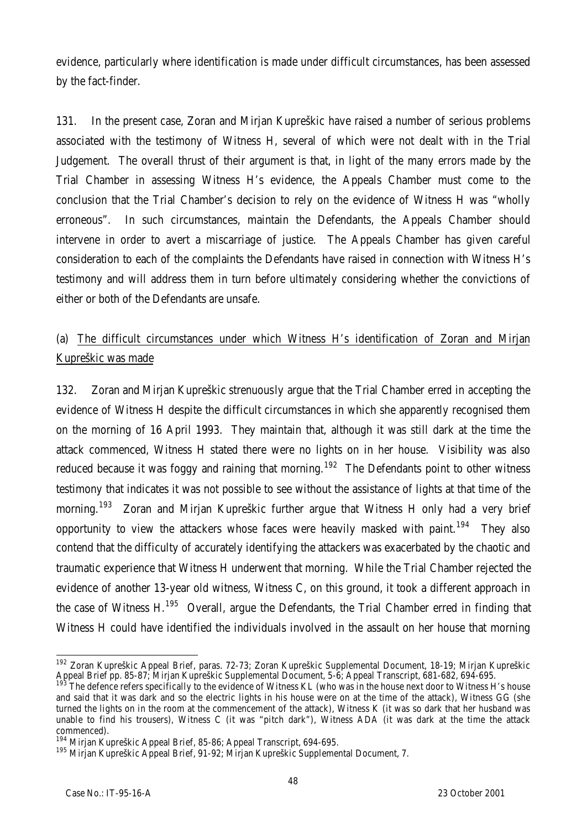evidence, particularly where identification is made under difficult circumstances, has been assessed by the fact-finder.

131. In the present case, Zoran and Mirjan Kupreškic have raised a number of serious problems associated with the testimony of Witness H, several of which were not dealt with in the Trial Judgement. The overall thrust of their argument is that, in light of the many errors made by the Trial Chamber in assessing Witness H's evidence, the Appeals Chamber must come to the conclusion that the Trial Chamber's decision to rely on the evidence of Witness H was "wholly erroneous". In such circumstances, maintain the Defendants, the Appeals Chamber should intervene in order to avert a miscarriage of justice. The Appeals Chamber has given careful consideration to each of the complaints the Defendants have raised in connection with Witness H's testimony and will address them in turn before ultimately considering whether the convictions of either or both of the Defendants are unsafe.

# (a) The difficult circumstances under which Witness H's identification of Zoran and Mirjan Kupreškic was made

132. Zoran and Mirjan Kupreškic strenuously argue that the Trial Chamber erred in accepting the evidence of Witness H despite the difficult circumstances in which she apparently recognised them on the morning of 16 April 1993. They maintain that, although it was still dark at the time the attack commenced, Witness H stated there were no lights on in her house. Visibility was also reduced because it was foggy and raining that morning.<sup>192</sup> The Defendants point to other witness testimony that indicates it was not possible to see without the assistance of lights at that time of the morning.<sup>193</sup> Zoran and Mirjan Kupreškic further arque that Witness H only had a very brief opportunity to view the attackers whose faces were heavily masked with paint.<sup>194</sup> They also contend that the difficulty of accurately identifying the attackers was exacerbated by the chaotic and traumatic experience that Witness H underwent that morning. While the Trial Chamber rejected the evidence of another 13-year old witness, Witness C, on this ground, it took a different approach in the case of Witness H.<sup>195</sup> Overall, argue the Defendants, the Trial Chamber erred in finding that Witness H could have identified the individuals involved in the assault on her house that morning

 $\overline{a}$ <sup>192</sup> Zoran Kupreškic Appeal Brief, paras. 72-73; Zoran Kupreškic Supplemental Document, 18-19; Mirjan Kupreškic Appeal Brief pp. 85-87; Mirjan Kupreškic Supplemental Document, 5-6; Appeal Transcript, 681-682, 694-695.

The defence refers specifically to the evidence of Witness KL (who was in the house next door to Witness H's house and said that it was dark and so the electric lights in his house were on at the time of the attack), Witness GG (she turned the lights on in the room at the commencement of the attack), Witness K (it was so dark that her husband was unable to find his trousers), Witness C (it was "pitch dark"), Witness ADA (it was dark at the time the attack commenced).

<sup>&</sup>lt;sup>194</sup> Mirjan Kupreškic Appeal Brief, 85-86; Appeal Transcript, 694-695.

<sup>195</sup> Mirjan Kupreškic Appeal Brief, 91-92; Mirjan Kupreškic Supplemental Document, 7.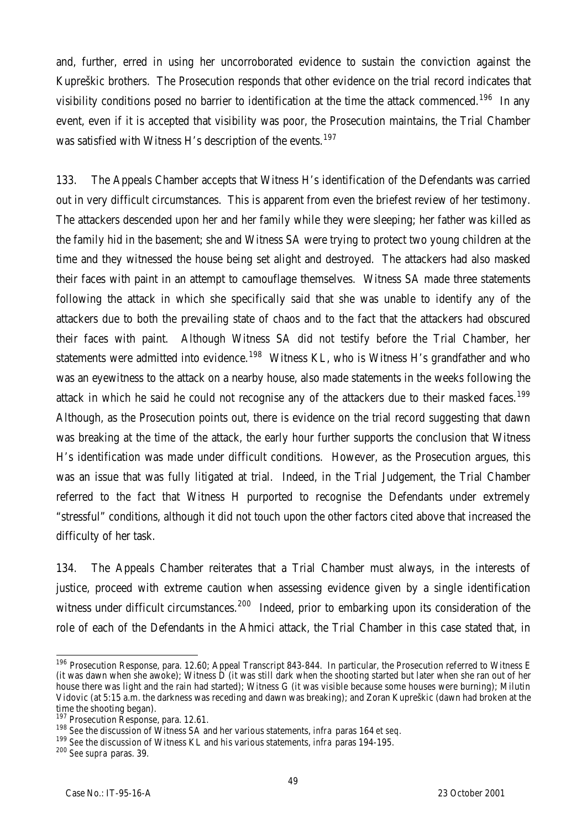and, further, erred in using her uncorroborated evidence to sustain the conviction against the Kupreškic brothers. The Prosecution responds that other evidence on the trial record indicates that visibility conditions posed no barrier to identification at the time the attack commenced.<sup>196</sup> In any event, even if it is accepted that visibility was poor, the Prosecution maintains, the Trial Chamber was satisfied with Witness H's description of the events.<sup>197</sup>

133. The Appeals Chamber accepts that Witness H's identification of the Defendants was carried out in very difficult circumstances. This is apparent from even the briefest review of her testimony. The attackers descended upon her and her family while they were sleeping; her father was killed as the family hid in the basement; she and Witness SA were trying to protect two young children at the time and they witnessed the house being set alight and destroyed. The attackers had also masked their faces with paint in an attempt to camouflage themselves. Witness SA made three statements following the attack in which she specifically said that she was unable to identify any of the attackers due to both the prevailing state of chaos and to the fact that the attackers had obscured their faces with paint. Although Witness SA did not testify before the Trial Chamber, her statements were admitted into evidence.<sup>198</sup> Witness KL, who is Witness H's grandfather and who was an eyewitness to the attack on a nearby house, also made statements in the weeks following the attack in which he said he could not recognise any of the attackers due to their masked faces.<sup>199</sup> Although, as the Prosecution points out, there is evidence on the trial record suggesting that dawn was breaking at the time of the attack, the early hour further supports the conclusion that Witness H's identification was made under difficult conditions. However, as the Prosecution argues, this was an issue that was fully litigated at trial. Indeed, in the Trial Judgement, the Trial Chamber referred to the fact that Witness H purported to recognise the Defendants under extremely "stressful" conditions, although it did not touch upon the other factors cited above that increased the difficulty of her task.

134. The Appeals Chamber reiterates that a Trial Chamber must always, in the interests of justice, proceed with extreme caution when assessing evidence given by a single identification witness under difficult circumstances.<sup>200</sup> Indeed, prior to embarking upon its consideration of the role of each of the Defendants in the Ahmici attack, the Trial Chamber in this case stated that, in

 $\overline{a}$ <sup>196</sup> Prosecution Response, para. 12.60; Appeal Transcript 843-844. In particular, the Prosecution referred to Witness E (it was dawn when she awoke); Witness D (it was still dark when the shooting started but later when she ran out of her house there was light and the rain had started); Witness G (it was visible because some houses were burning); Milutin Vidovic (at 5:15 a.m. the darkness was receding and dawn was breaking); and Zoran Kupreškic (dawn had broken at the time the shooting began).

<sup>&</sup>lt;sup>197</sup> Prosecution Response, para. 12.61.

<sup>198</sup> *See* the discussion of Witness SA and her various statements, *infra* paras 164 *et seq.*

<sup>199</sup> *See* the discussion of Witness KL and his various statements, *infra* paras 194-195.

<sup>200</sup> *See supra* paras. 39.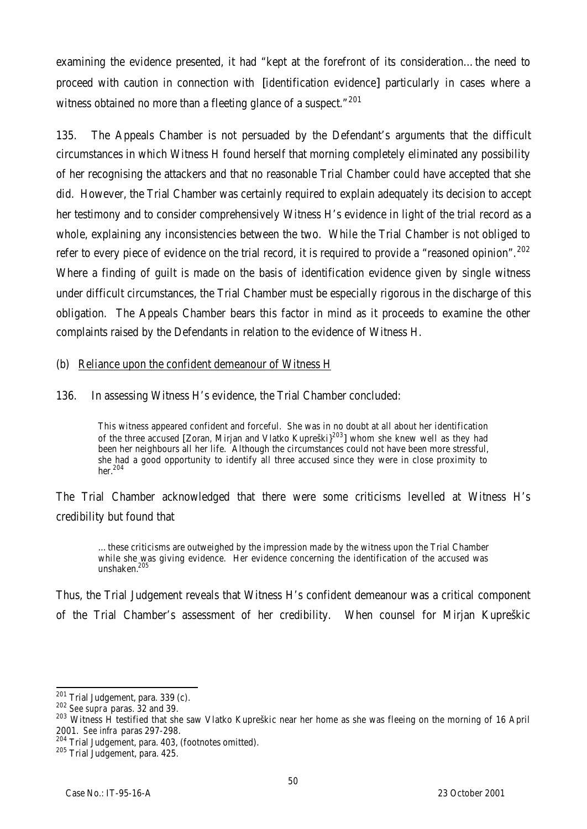examining the evidence presented, it had "kept at the forefront of its consideration…the need to proceed with caution in connection with [identification evidence] particularly in cases where a witness obtained no more than a fleeting glance of a suspect."<sup>201</sup>

135. The Appeals Chamber is not persuaded by the Defendant's arguments that the difficult circumstances in which Witness H found herself that morning completely eliminated any possibility of her recognising the attackers and that no reasonable Trial Chamber could have accepted that she did. However, the Trial Chamber was certainly required to explain adequately its decision to accept her testimony and to consider comprehensively Witness H's evidence in light of the trial record as a whole, explaining any inconsistencies between the two. While the Trial Chamber is not obliged to refer to every piece of evidence on the trial record, it is required to provide a "reasoned opinion".<sup>202</sup> Where a finding of guilt is made on the basis of identification evidence given by single witness under difficult circumstances, the Trial Chamber must be especially rigorous in the discharge of this obligation. The Appeals Chamber bears this factor in mind as it proceeds to examine the other complaints raised by the Defendants in relation to the evidence of Witness H.

### (b) Reliance upon the confident demeanour of Witness H

136. In assessing Witness H's evidence, the Trial Chamber concluded:

This witness appeared confident and forceful. She was in no doubt at all about her identification of the three accused [Zoran, Mirjan and Vlatko Kupreški}<sup>203</sup>] whom she knew well as they had been her neighbours all her life. Although the circumstances could not have been more stressful, she had a good opportunity to identify all three accused since they were in close proximity to her. 204

The Trial Chamber acknowledged that there were some criticisms levelled at Witness H's credibility but found that

…these criticisms are outweighed by the impression made by the witness upon the Trial Chamber while she was giving evidence. Her evidence concerning the identification of the accused was unshaken<sup>205</sup>

Thus, the Trial Judgement reveals that Witness H's confident demeanour was a critical component of the Trial Chamber's assessment of her credibility. When counsel for Mirjan Kupreškic

 $\overline{a}$ 

<sup>&</sup>lt;sup>201</sup> Trial Judgement, para. 339 (c).

<sup>202</sup> *See supra* paras. 32 and 39.

<sup>&</sup>lt;sup>203</sup> Witness H testified that she saw Vlatko Kupreškic near her home as she was fleeing on the morning of 16 April 2001. *See infra* paras 297-298.

<sup>204</sup> Trial Judgement, para. 403, (footnotes omitted).

<sup>205</sup> Trial Judgement, para. 425.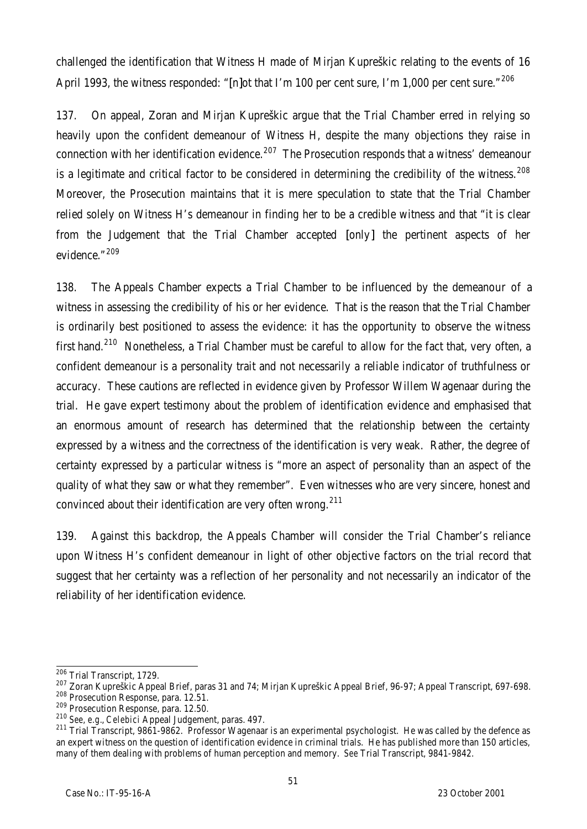challenged the identification that Witness H made of Mirjan Kupreškic relating to the events of 16 April 1993, the witness responded: "[n]ot that I'm 100 per cent sure, I'm 1,000 per cent sure."<sup>206</sup>

137. On appeal, Zoran and Mirjan Kupreškic argue that the Trial Chamber erred in relying so heavily upon the confident demeanour of Witness H, despite the many objections they raise in connection with her identification evidence.<sup>207</sup> The Prosecution responds that a witness' demeanour is a legitimate and critical factor to be considered in determining the credibility of the witness.  $208$ Moreover, the Prosecution maintains that it is mere speculation to state that the Trial Chamber relied solely on Witness H's demeanour in finding her to be a credible witness and that "it is clear from the Judgement that the Trial Chamber accepted [only] the pertinent aspects of her evidence."<sup>209</sup>

138. The Appeals Chamber expects a Trial Chamber to be influenced by the demeanour of a witness in assessing the credibility of his or her evidence. That is the reason that the Trial Chamber is ordinarily best positioned to assess the evidence: it has the opportunity to observe the witness first hand.<sup>210</sup> Nonetheless, a Trial Chamber must be careful to allow for the fact that, very often, a confident demeanour is a personality trait and not necessarily a reliable indicator of truthfulness or accuracy. These cautions are reflected in evidence given by Professor Willem Wagenaar during the trial. He gave expert testimony about the problem of identification evidence and emphasised that an enormous amount of research has determined that the relationship between the certainty expressed by a witness and the correctness of the identification is very weak. Rather, the degree of certainty expressed by a particular witness is "more an aspect of personality than an aspect of the quality of what they saw or what they remember". Even witnesses who are very sincere, honest and convinced about their identification are very often wrong.<sup>211</sup>

139. Against this backdrop, the Appeals Chamber will consider the Trial Chamber's reliance upon Witness H's confident demeanour in light of other objective factors on the trial record that suggest that her certainty was a reflection of her personality and not necessarily an indicator of the reliability of her identification evidence.

 $\overline{\phantom{a}}$ <sup>206</sup> Trial Transcript, 1729.

<sup>207</sup> Zoran Kupreškic Appeal Brief, paras 31 and 74; Mirjan Kupreškic Appeal Brief, 96-97; Appeal Transcript, 697-698.

<sup>&</sup>lt;sup>208</sup> Prosecution Response, para. 12.51. <sup>209</sup> Prosecution Response, para. 12.50.

<sup>210</sup> *See, e.g.*, *Celebici* Appeal Judgement, paras. 497.

<sup>&</sup>lt;sup>211</sup> Trial Transcript, 9861-9862. Professor Wagenaar is an experimental psychologist. He was called by the defence as an expert witness on the question of identification evidence in criminal trials. He has published more than 150 articles, many of them dealing with problems of human perception and memory. *See* Trial Transcript, 9841-9842.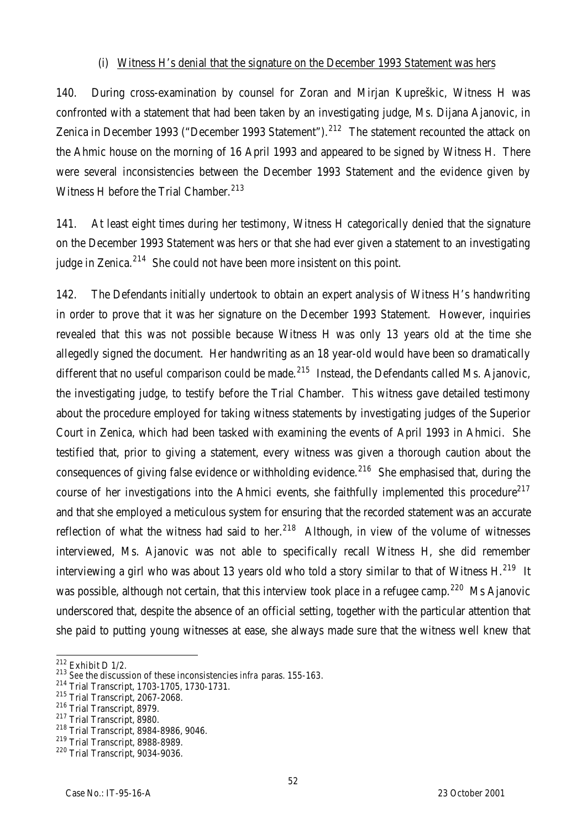## (i) Witness H's denial that the signature on the December 1993 Statement was hers

140. During cross-examination by counsel for Zoran and Mirjan Kupreškic, Witness H was confronted with a statement that had been taken by an investigating judge, Ms. Dijana Ajanovic, in Zenica in December 1993 ("December 1993 Statement").<sup>212</sup> The statement recounted the attack on the Ahmic house on the morning of 16 April 1993 and appeared to be signed by Witness H. There were several inconsistencies between the December 1993 Statement and the evidence given by Witness H before the Trial Chamber.<sup>213</sup>

141. At least eight times during her testimony, Witness H categorically denied that the signature on the December 1993 Statement was hers or that she had ever given a statement to an investigating judge in Zenica. $214$  She could not have been more insistent on this point.

142. The Defendants initially undertook to obtain an expert analysis of Witness H's handwriting in order to prove that it was her signature on the December 1993 Statement. However, inquiries revealed that this was not possible because Witness H was only 13 years old at the time she allegedly signed the document. Her handwriting as an 18 year-old would have been so dramatically different that no useful comparison could be made.<sup>215</sup> Instead, the Defendants called Ms. Ajanovic, the investigating judge, to testify before the Trial Chamber. This witness gave detailed testimony about the procedure employed for taking witness statements by investigating judges of the Superior Court in Zenica, which had been tasked with examining the events of April 1993 in Ahmici. She testified that, prior to giving a statement, every witness was given a thorough caution about the consequences of giving false evidence or withholding evidence.<sup>216</sup> She emphasised that, during the course of her investigations into the Ahmici events, she faithfully implemented this procedure<sup>217</sup> and that she employed a meticulous system for ensuring that the recorded statement was an accurate reflection of what the witness had said to her.<sup>218</sup> Although, in view of the volume of witnesses interviewed, Ms. Ajanovic was not able to specifically recall Witness H, she did remember interviewing a girl who was about 13 years old who told a story similar to that of Witness H.<sup>219</sup> It was possible, although not certain, that this interview took place in a refugee camp.<sup>220</sup> Ms Ajanovic underscored that, despite the absence of an official setting, together with the particular attention that she paid to putting young witnesses at ease, she always made sure that the witness well knew that

 $\overline{a}$  $^{212}$  Exhibit D 1/2.

<sup>213</sup> *See* the discussion of these inconsistencies *infra* paras. 155-163.

<sup>214</sup> Trial Transcript, 1703-1705, 1730-1731.

<sup>215</sup> Trial Transcript, 2067-2068.

<sup>216</sup> Trial Transcript, 8979.

<sup>&</sup>lt;sup>217</sup> Trial Transcript, 8980.

<sup>218</sup> Trial Transcript, 8984-8986, 9046.

<sup>219</sup> Trial Transcript, 8988-8989.

<sup>220</sup> Trial Transcript, 9034-9036.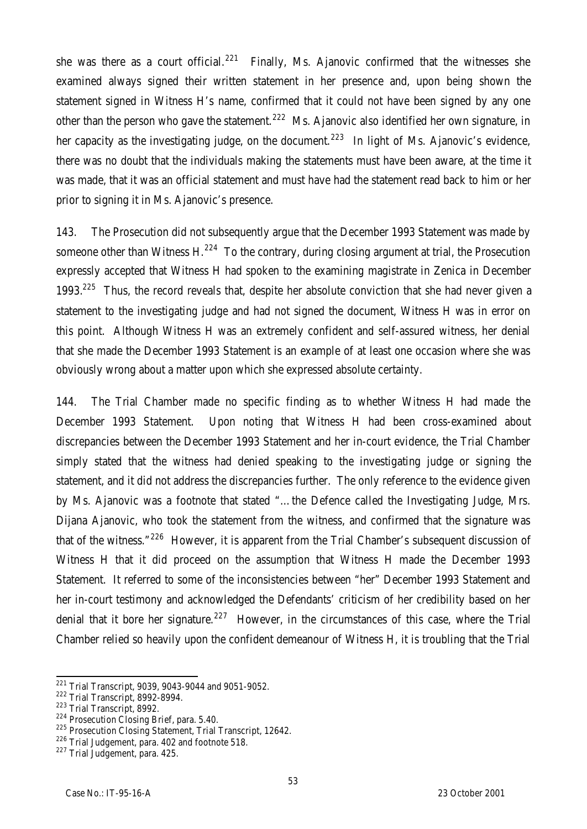she was there as a court official.<sup>221</sup> Finally, Ms. Ajanovic confirmed that the witnesses she examined always signed their written statement in her presence and, upon being shown the statement signed in Witness H's name, confirmed that it could not have been signed by any one other than the person who gave the statement.<sup>222</sup> Ms. Ajanovic also identified her own signature, in her capacity as the investigating judge, on the document.<sup>223</sup> In light of Ms. Ajanovic's evidence, there was no doubt that the individuals making the statements must have been aware, at the time it was made, that it was an official statement and must have had the statement read back to him or her prior to signing it in Ms. Ajanovic's presence.

143. The Prosecution did not subsequently argue that the December 1993 Statement was made by someone other than Witness H.<sup>224</sup> To the contrary, during closing argument at trial, the Prosecution expressly accepted that Witness H had spoken to the examining magistrate in Zenica in December 1993.<sup>225</sup> Thus, the record reveals that, despite her absolute conviction that she had never given a statement to the investigating judge and had not signed the document, Witness H was in error on this point. Although Witness H was an extremely confident and self-assured witness, her denial that she made the December 1993 Statement is an example of at least one occasion where she was obviously wrong about a matter upon which she expressed absolute certainty.

144. The Trial Chamber made no specific finding as to whether Witness H had made the December 1993 Statement. Upon noting that Witness H had been cross-examined about discrepancies between the December 1993 Statement and her in-court evidence, the Trial Chamber simply stated that the witness had denied speaking to the investigating judge or signing the statement, and it did not address the discrepancies further. The only reference to the evidence given by Ms. Ajanovic was a footnote that stated "…the Defence called the Investigating Judge, Mrs. Dijana Ajanovic, who took the statement from the witness, and confirmed that the signature was that of the witness."<sup>226</sup> However, it is apparent from the Trial Chamber's subsequent discussion of Witness H that it did proceed on the assumption that Witness H made the December 1993 Statement. It referred to some of the inconsistencies between "her" December 1993 Statement and her in-court testimony and acknowledged the Defendants' criticism of her credibility based on her denial that it bore her signature.<sup>227</sup> However, in the circumstances of this case, where the Trial Chamber relied so heavily upon the confident demeanour of Witness H, it is troubling that the Trial

 $\overline{a}$  $221$  Trial Transcript, 9039, 9043-9044 and 9051-9052.

<sup>222</sup> Trial Transcript, 8992-8994.

<sup>223</sup> Trial Transcript, 8992.

<sup>&</sup>lt;sup>224</sup> Prosecution Closing Brief, para. 5.40.

<sup>&</sup>lt;sup>225</sup> Prosecution Closing Statement, Trial Transcript, 12642.

<sup>&</sup>lt;sup>226</sup> Trial Judgement, para. 402 and footnote 518.

<sup>&</sup>lt;sup>227</sup> Trial Judgement, para. 425.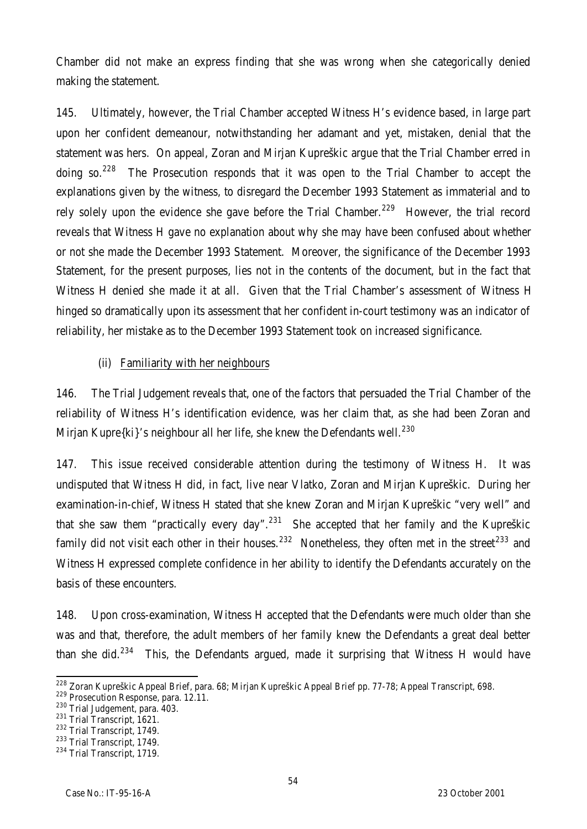Chamber did not make an express finding that she was wrong when she categorically denied making the statement.

145. Ultimately, however, the Trial Chamber accepted Witness H's evidence based, in large part upon her confident demeanour, notwithstanding her adamant and yet, mistaken, denial that the statement was hers. On appeal, Zoran and Mirjan Kupreškic argue that the Trial Chamber erred in doing so. $228$  The Prosecution responds that it was open to the Trial Chamber to accept the explanations given by the witness, to disregard the December 1993 Statement as immaterial and to rely solely upon the evidence she gave before the Trial Chamber.<sup>229</sup> However, the trial record reveals that Witness H gave no explanation about why she may have been confused about whether or not she made the December 1993 Statement. Moreover, the significance of the December 1993 Statement, for the present purposes, lies not in the contents of the document, but in the fact that Witness H denied she made it at all. Given that the Trial Chamber's assessment of Witness H hinged so dramatically upon its assessment that her confident in-court testimony was an indicator of reliability, her mistake as to the December 1993 Statement took on increased significance.

## (ii) Familiarity with her neighbours

146. The Trial Judgement reveals that, one of the factors that persuaded the Trial Chamber of the reliability of Witness H's identification evidence, was her claim that, as she had been Zoran and Mirjan Kupre $\{ki\}'$ s neighbour all her life, she knew the Defendants well.<sup>230</sup>

147. This issue received considerable attention during the testimony of Witness H. It was undisputed that Witness H did, in fact, live near Vlatko, Zoran and Mirjan Kupreškic. During her examination-in-chief, Witness H stated that she knew Zoran and Mirjan Kupreškic "very well" and that she saw them "practically every day".<sup>231</sup> She accepted that her family and the Kupreškic family did not visit each other in their houses.<sup>232</sup> Nonetheless, they often met in the street<sup>233</sup> and Witness H expressed complete confidence in her ability to identify the Defendants accurately on the basis of these encounters.

148. Upon cross-examination, Witness H accepted that the Defendants were much older than she was and that, therefore, the adult members of her family knew the Defendants a great deal better than she did.<sup>234</sup> This, the Defendants argued, made it surprising that Witness H would have

 $\overline{a}$ <sup>228</sup> Zoran Kupreškic Appeal Brief, para. 68; Mirjan Kupreškic Appeal Brief pp. 77-78; Appeal Transcript, 698.

<sup>229</sup> Prosecution Response, para. 12.11.

<sup>230</sup> Trial Judgement, para. 403.

<sup>&</sup>lt;sup>231</sup> Trial Transcript, 1621.

<sup>232</sup> Trial Transcript, 1749.

<sup>&</sup>lt;sup>233</sup> Trial Transcript, 1749.

<sup>&</sup>lt;sup>234</sup> Trial Transcript, 1719.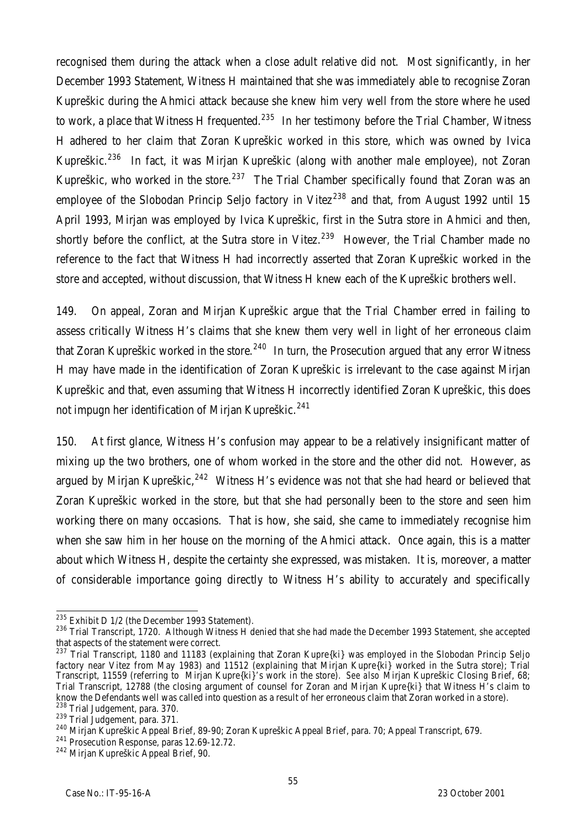recognised them during the attack when a close adult relative did not. Most significantly, in her December 1993 Statement, Witness H maintained that she was immediately able to recognise Zoran Kupreškic during the Ahmici attack because she knew him very well from the store where he used to work, a place that Witness H frequented.<sup>235</sup> In her testimony before the Trial Chamber, Witness H adhered to her claim that Zoran Kupreškic worked in this store, which was owned by Ivica Kupreškic.<sup>236</sup> In fact, it was Mirjan Kupreškic (along with another male employee), not Zoran Kupreškic, who worked in the store.<sup>237</sup> The Trial Chamber specifically found that Zoran was an employee of the Slobodan Princip Seljo factory in Vitez<sup>238</sup> and that, from August 1992 until 15 April 1993, Mirjan was employed by Ivica Kupreškic, first in the Sutra store in Ahmici and then, shortly before the conflict, at the Sutra store in Vitez.<sup>239</sup> However, the Trial Chamber made no reference to the fact that Witness H had incorrectly asserted that Zoran Kupreškic worked in the store and accepted, without discussion, that Witness H knew each of the Kupreškic brothers well.

149. On appeal, Zoran and Mirjan Kupreškic argue that the Trial Chamber erred in failing to assess critically Witness H's claims that she knew them very well in light of her erroneous claim that Zoran Kupreškic worked in the store.<sup>240</sup> In turn, the Prosecution argued that any error Witness H may have made in the identification of Zoran Kupreškic is irrelevant to the case against Mirjan Kupreškic and that, even assuming that Witness H incorrectly identified Zoran Kupreškic, this does not impugn her identification of Mirjan Kupreškic.<sup>241</sup>

150. At first glance, Witness H's confusion may appear to be a relatively insignificant matter of mixing up the two brothers, one of whom worked in the store and the other did not. However, as argued by Mirjan Kupreškic,  $242$  Witness H's evidence was not that she had heard or believed that Zoran Kupreškic worked in the store, but that she had personally been to the store and seen him working there on many occasions. That is how, she said, she came to immediately recognise him when she saw him in her house on the morning of the Ahmici attack. Once again, this is a matter about which Witness H, despite the certainty she expressed, was mistaken. It is, moreover, a matter of considerable importance going directly to Witness H's ability to accurately and specifically

 $\overline{a}$  $^{235}$  Exhibit D 1/2 (the December 1993 Statement).

<sup>&</sup>lt;sup>236</sup> Trial Transcript, 1720. Although Witness H denied that she had made the December 1993 Statement, she accepted that aspects of the statement were correct.

 $^{237}$  Trial Transcript, 1180 and 11183 (explaining that Zoran Kupre{ki} was employed in the Slobodan Princip Seljo factory near Vitez from May 1983) and 11512 (explaining that Mirjan Kupre{ki} worked in the Sutra store); Trial Transcript, 11559 (referring to Mirjan Kupre{ki}'s work in the store). *See also* Mirjan Kupreškic Closing Brief, 68; Trial Transcript, 12788 (the closing argument of counsel for Zoran and Mirjan Kupre{ki} that Witness H's claim to know the Defendants well was called into question as a result of her erroneous claim that Zoran worked in a store). <sup>238</sup> Trial Judgement, para. 370.

<sup>&</sup>lt;sup>239</sup> Trial Judgement, para. 371.

<sup>240</sup> Mirjan Kupreškic Appeal Brief, 89-90; Zoran Kupreškic Appeal Brief, para. 70; Appeal Transcript, 679.

<sup>241</sup> Prosecution Response, paras 12.69-12.72.

<sup>242</sup> Mirjan Kupreškic Appeal Brief, 90.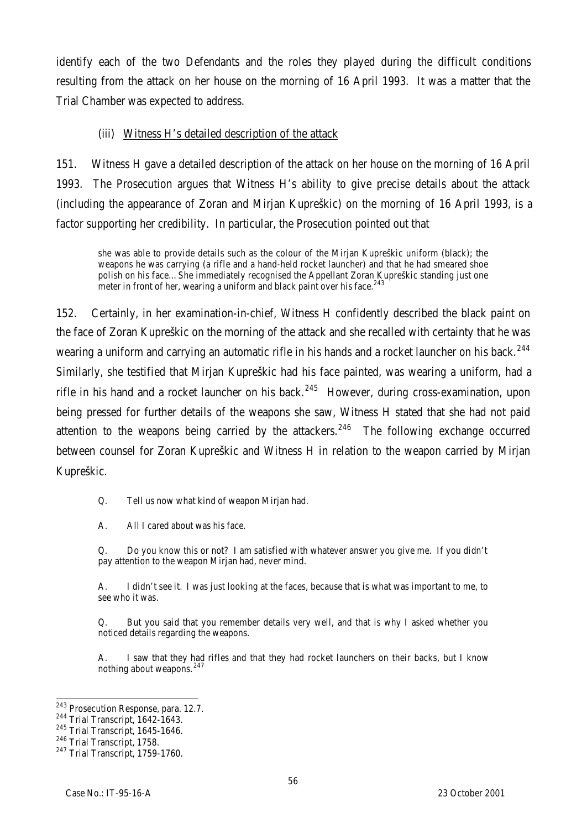identify each of the two Defendants and the roles they played during the difficult conditions resulting from the attack on her house on the morning of 16 April 1993. It was a matter that the Trial Chamber was expected to address.

## (iii) Witness H's detailed description of the attack

151. Witness H gave a detailed description of the attack on her house on the morning of 16 April 1993. The Prosecution argues that Witness H's ability to give precise details about the attack (including the appearance of Zoran and Mirjan Kupreškic) on the morning of 16 April 1993, is a factor supporting her credibility. In particular, the Prosecution pointed out that

she was able to provide details such as the colour of the Mirjan Kupreškic uniform (black); the weapons he was carrying (a rifle and a hand-held rocket launcher) and that he had smeared shoe polish on his face…She immediately recognised the Appellant Zoran Kupreškic standing just one meter in front of her, wearing a uniform and black paint over his face.<sup>243</sup>

152. Certainly, in her examination-in-chief, Witness H confidently described the black paint on the face of Zoran Kupreškic on the morning of the attack and she recalled with certainty that he was wearing a uniform and carrying an automatic rifle in his hands and a rocket launcher on his back.<sup>244</sup> Similarly, she testified that Mirjan Kupreškic had his face painted, was wearing a uniform, had a rifle in his hand and a rocket launcher on his back.<sup>245</sup> However, during cross-examination, upon being pressed for further details of the weapons she saw, Witness H stated that she had not paid attention to the weapons being carried by the attackers.<sup>246</sup> The following exchange occurred between counsel for Zoran Kupreškic and Witness H in relation to the weapon carried by Mirjan Kupreškic.

Q. Tell us now what kind of weapon Mirjan had.

A. All I cared about was his face.

Q. Do you know this or not? I am satisfied with whatever answer you give me. If you didn't pay attention to the weapon Mirjan had, never mind.

A. I didn't see it. I was just looking at the faces, because that is what was important to me, to see who it was.

Q. But you said that you remember details very well, and that is why I asked whether you noticed details regarding the weapons.

A. I saw that they had rifles and that they had rocket launchers on their backs, but I know nothing about weapons.<sup>247</sup>

 $\overline{a}$ 

<sup>&</sup>lt;sup>243</sup> Prosecution Response, para. 12.7.

<sup>244</sup> Trial Transcript, 1642-1643.

<sup>245</sup> Trial Transcript, 1645-1646.

<sup>&</sup>lt;sup>246</sup> Trial Transcript, 1758.

<sup>247</sup> Trial Transcript, 1759-1760.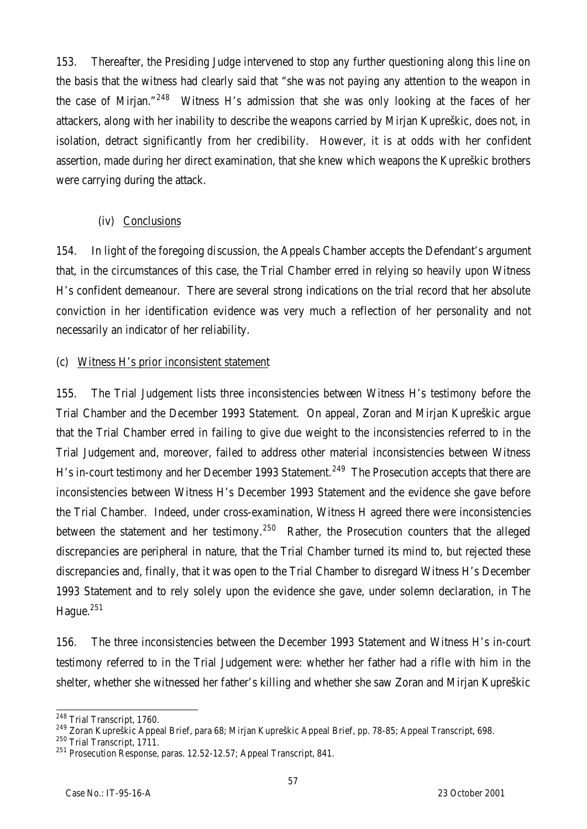153. Thereafter, the Presiding Judge intervened to stop any further questioning along this line on the basis that the witness had clearly said that "she was not paying any attention to the weapon in the case of Mirjan."<sup>248</sup> Witness H's admission that she was only looking at the faces of her attackers, along with her inability to describe the weapons carried by Mirjan Kupreškic, does not, in isolation, detract significantly from her credibility. However, it is at odds with her confident assertion, made during her direct examination, that she knew which weapons the Kupreškic brothers were carrying during the attack.

## (iv) Conclusions

154. In light of the foregoing discussion, the Appeals Chamber accepts the Defendant's argument that, in the circumstances of this case, the Trial Chamber erred in relying so heavily upon Witness H's confident demeanour. There are several strong indications on the trial record that her absolute conviction in her identification evidence was very much a reflection of her personality and not necessarily an indicator of her reliability.

## (c) Witness H's prior inconsistent statement

155. The Trial Judgement lists three inconsistencies between Witness H's testimony before the Trial Chamber and the December 1993 Statement. On appeal, Zoran and Mirjan Kupreškic argue that the Trial Chamber erred in failing to give due weight to the inconsistencies referred to in the Trial Judgement and, moreover, failed to address other material inconsistencies between Witness H's in-court testimony and her December 1993 Statement.<sup>249</sup> The Prosecution accepts that there are inconsistencies between Witness H's December 1993 Statement and the evidence she gave before the Trial Chamber. Indeed, under cross-examination, Witness H agreed there were inconsistencies between the statement and her testimony.<sup>250</sup> Rather, the Prosecution counters that the alleged discrepancies are peripheral in nature, that the Trial Chamber turned its mind to, but rejected these discrepancies and, finally, that it was open to the Trial Chamber to disregard Witness H's December 1993 Statement and to rely solely upon the evidence she gave, under solemn declaration, in The Hague.<sup>251</sup>

156. The three inconsistencies between the December 1993 Statement and Witness H's in-court testimony referred to in the Trial Judgement were: whether her father had a rifle with him in the shelter, whether she witnessed her father's killing and whether she saw Zoran and Mirjan Kupreškic

 $\overline{a}$ <sup>248</sup> Trial Transcript, 1760.

<sup>249</sup> Zoran Kupreškic Appeal Brief, para 68; Mirjan Kupreškic Appeal Brief, pp. 78-85; Appeal Transcript, 698.

<sup>&</sup>lt;sup>250</sup> Trial Transcript, 1711.

<sup>&</sup>lt;sup>251</sup> Prosecution Response, paras. 12.52-12.57; Appeal Transcript, 841.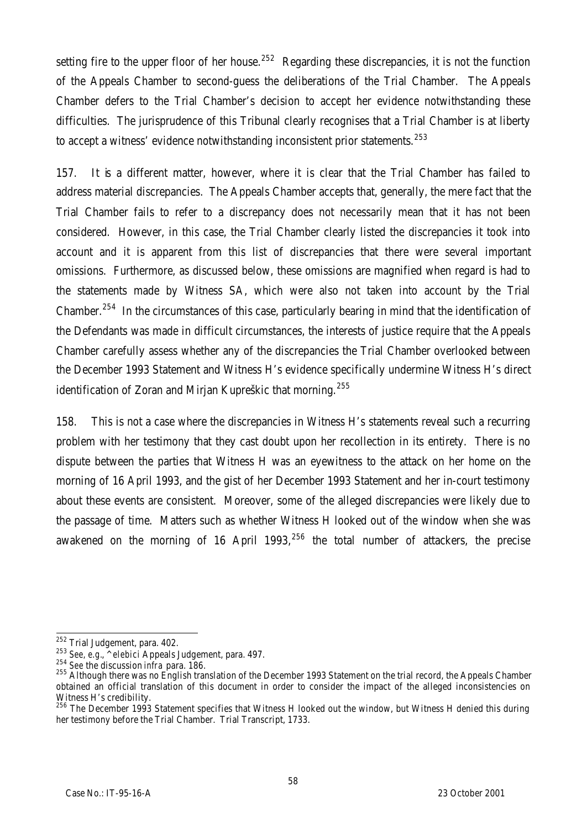setting fire to the upper floor of her house.<sup>252</sup> Regarding these discrepancies, it is not the function of the Appeals Chamber to second-guess the deliberations of the Trial Chamber. The Appeals Chamber defers to the Trial Chamber's decision to accept her evidence notwithstanding these difficulties. The jurisprudence of this Tribunal clearly recognises that a Trial Chamber is at liberty to accept a witness' evidence notwithstanding inconsistent prior statements.<sup>253</sup>

157. It is a different matter, however, where it is clear that the Trial Chamber has failed to address material discrepancies. The Appeals Chamber accepts that, generally, the mere fact that the Trial Chamber fails to refer to a discrepancy does not necessarily mean that it has not been considered. However, in this case, the Trial Chamber clearly listed the discrepancies it took into account and it is apparent from this list of discrepancies that there were several important omissions. Furthermore, as discussed below, these omissions are magnified when regard is had to the statements made by Witness SA, which were also not taken into account by the Trial Chamber.<sup>254</sup> In the circumstances of this case, particularly bearing in mind that the identification of the Defendants was made in difficult circumstances, the interests of justice require that the Appeals Chamber carefully assess whether any of the discrepancies the Trial Chamber overlooked between the December 1993 Statement and Witness H's evidence specifically undermine Witness H's direct identification of Zoran and Mirjan Kupreškic that morning.<sup>255</sup>

158. This is not a case where the discrepancies in Witness H's statements reveal such a recurring problem with her testimony that they cast doubt upon her recollection in its entirety. There is no dispute between the parties that Witness H was an eyewitness to the attack on her home on the morning of 16 April 1993, and the gist of her December 1993 Statement and her in-court testimony about these events are consistent. Moreover, some of the alleged discrepancies were likely due to the passage of time. Matters such as whether Witness H looked out of the window when she was awakened on the morning of 16 April 1993, $256$  the total number of attackers, the precise

 $\overline{a}$ <sup>252</sup> Trial Judgement, para. 402.

<sup>253</sup> *See, e.g.*, *^elebici* Appeals Judgement, para. 497.

<sup>254</sup> *See* the discussion *infra* para. 186.

<sup>255</sup> Although there was no English translation of the December 1993 Statement on the trial record, the Appeals Chamber obtained an official translation of this document in order to consider the impact of the alleged inconsistencies on Witness H's credibility.

 $^{256}$  The December 1993 Statement specifies that Witness H looked out the window, but Witness H denied this during her testimony before the Trial Chamber. Trial Transcript, 1733.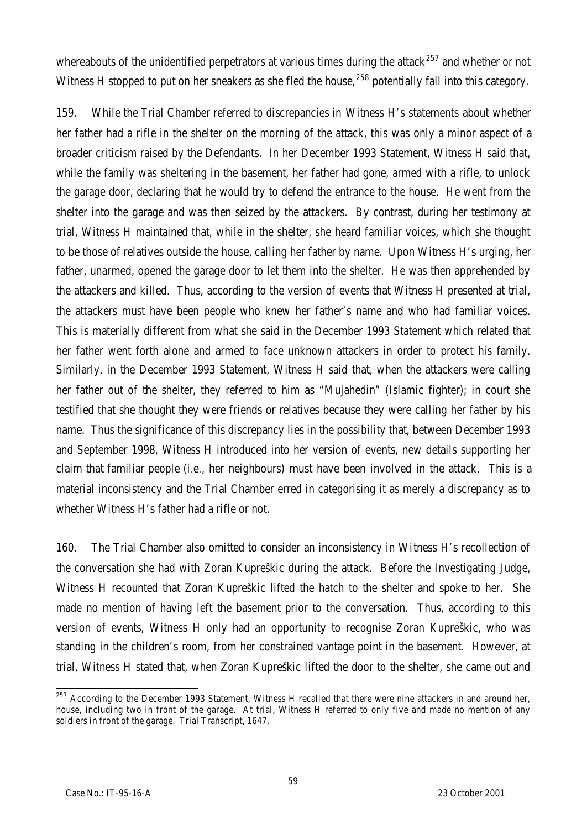whereabouts of the unidentified perpetrators at various times during the attack<sup>257</sup> and whether or not Witness H stopped to put on her sneakers as she fled the house,  $^{258}$  potentially fall into this category.

159. While the Trial Chamber referred to discrepancies in Witness H's statements about whether her father had a rifle in the shelter on the morning of the attack, this was only a minor aspect of a broader criticism raised by the Defendants. In her December 1993 Statement, Witness H said that, while the family was sheltering in the basement, her father had gone, armed with a rifle, to unlock the garage door, declaring that he would try to defend the entrance to the house. He went from the shelter into the garage and was then seized by the attackers. By contrast, during her testimony at trial, Witness H maintained that, while in the shelter, she heard familiar voices, which she thought to be those of relatives outside the house, calling her father by name. Upon Witness H's urging, her father, unarmed, opened the garage door to let them into the shelter. He was then apprehended by the attackers and killed. Thus, according to the version of events that Witness H presented at trial, the attackers must have been people who knew her father's name and who had familiar voices. This is materially different from what she said in the December 1993 Statement which related that her father went forth alone and armed to face unknown attackers in order to protect his family. Similarly, in the December 1993 Statement, Witness H said that, when the attackers were calling her father out of the shelter, they referred to him as "Mujahedin" (Islamic fighter); in court she testified that she thought they were friends or relatives because they were calling her father by his name. Thus the significance of this discrepancy lies in the possibility that, between December 1993 and September 1998, Witness H introduced into her version of events, new details supporting her claim that familiar people (i.e*.*, her neighbours) must have been involved in the attack. This is a material inconsistency and the Trial Chamber erred in categorising it as merely a discrepancy as to whether Witness H's father had a rifle or not.

160. The Trial Chamber also omitted to consider an inconsistency in Witness H's recollection of the conversation she had with Zoran Kupreškic during the attack. Before the Investigating Judge, Witness H recounted that Zoran Kupreškic lifted the hatch to the shelter and spoke to her. She made no mention of having left the basement prior to the conversation. Thus, according to this version of events, Witness H only had an opportunity to recognise Zoran Kupreškic, who was standing in the children's room, from her constrained vantage point in the basement. However, at trial, Witness H stated that, when Zoran Kupreškic lifted the door to the shelter, she came out and

 $\overline{a}$  $^{257}$  According to the December 1993 Statement, Witness H recalled that there were nine attackers in and around her, house, including two in front of the garage. At trial, Witness H referred to only five and made no mention of any soldiers in front of the garage. Trial Transcript, 1647.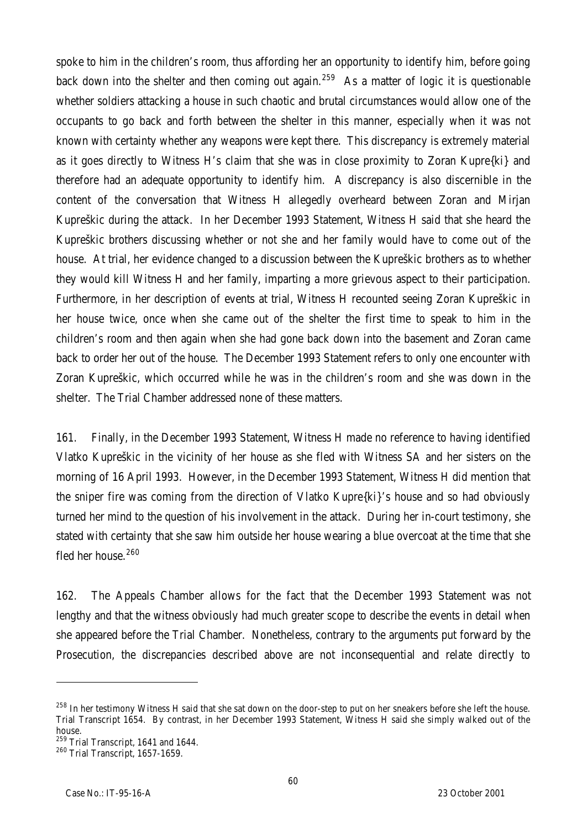spoke to him in the children's room, thus affording her an opportunity to identify him, before going back down into the shelter and then coming out again.<sup>259</sup> As a matter of logic it is questionable whether soldiers attacking a house in such chaotic and brutal circumstances would allow one of the occupants to go back and forth between the shelter in this manner, especially when it was not known with certainty whether any weapons were kept there. This discrepancy is extremely material as it goes directly to Witness H's claim that she was in close proximity to Zoran Kupre{ki} and therefore had an adequate opportunity to identify him. A discrepancy is also discernible in the content of the conversation that Witness H allegedly overheard between Zoran and Mirjan Kupreškic during the attack. In her December 1993 Statement, Witness H said that she heard the Kupreškic brothers discussing whether or not she and her family would have to come out of the house. At trial, her evidence changed to a discussion between the Kupreškic brothers as to whether they would kill Witness H and her family, imparting a more grievous aspect to their participation. Furthermore, in her description of events at trial, Witness H recounted seeing Zoran Kupreškic in her house twice, once when she came out of the shelter the first time to speak to him in the children's room and then again when she had gone back down into the basement and Zoran came back to order her out of the house. The December 1993 Statement refers to only one encounter with Zoran Kupreškic, which occurred while he was in the children's room and she was down in the shelter. The Trial Chamber addressed none of these matters.

161. Finally, in the December 1993 Statement, Witness H made no reference to having identified Vlatko Kupreškic in the vicinity of her house as she fled with Witness SA and her sisters on the morning of 16 April 1993. However, in the December 1993 Statement, Witness H did mention that the sniper fire was coming from the direction of Vlatko Kupre{ki}'s house and so had obviously turned her mind to the question of his involvement in the attack. During her in-court testimony, she stated with certainty that she saw him outside her house wearing a blue overcoat at the time that she fled her house.<sup>260</sup>

162. The Appeals Chamber allows for the fact that the December 1993 Statement was not lengthy and that the witness obviously had much greater scope to describe the events in detail when she appeared before the Trial Chamber. Nonetheless, contrary to the arguments put forward by the Prosecution, the discrepancies described above are not inconsequential and relate directly to

l

<sup>&</sup>lt;sup>258</sup> In her testimony Witness H said that she sat down on the door-step to put on her sneakers before she left the house. Trial Transcript 1654. By contrast, in her December 1993 Statement, Witness H said she simply walked out of the house.

<sup>&</sup>lt;sup>259</sup> Trial Transcript, 1641 and 1644.

<sup>260</sup> Trial Transcript, 1657-1659.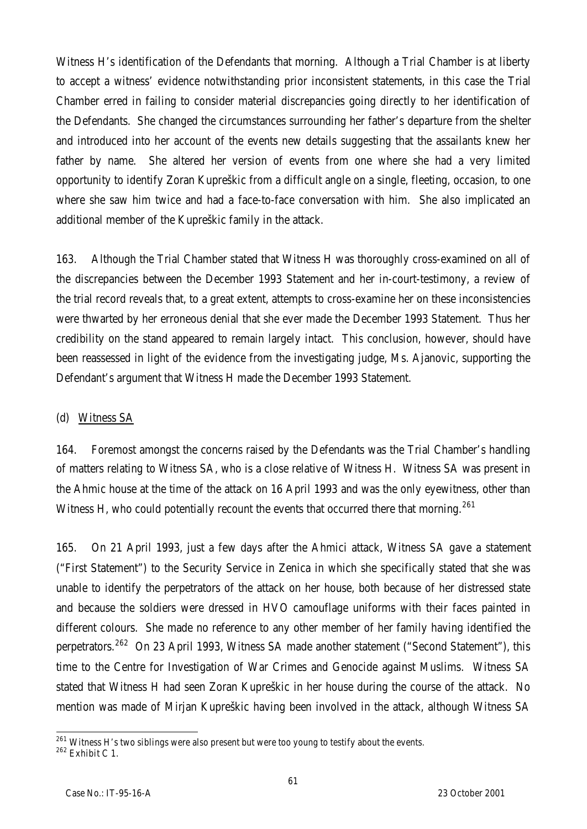Witness H's identification of the Defendants that morning. Although a Trial Chamber is at liberty to accept a witness' evidence notwithstanding prior inconsistent statements, in this case the Trial Chamber erred in failing to consider material discrepancies going directly to her identification of the Defendants. She changed the circumstances surrounding her father's departure from the shelter and introduced into her account of the events new details suggesting that the assailants knew her father by name. She altered her version of events from one where she had a very limited opportunity to identify Zoran Kupreškic from a difficult angle on a single, fleeting, occasion, to one where she saw him twice and had a face-to-face conversation with him. She also implicated an additional member of the Kupreškic family in the attack.

163. Although the Trial Chamber stated that Witness H was thoroughly cross-examined on all of the discrepancies between the December 1993 Statement and her in-court-testimony, a review of the trial record reveals that, to a great extent, attempts to cross-examine her on these inconsistencies were thwarted by her erroneous denial that she ever made the December 1993 Statement. Thus her credibility on the stand appeared to remain largely intact. This conclusion, however, should have been reassessed in light of the evidence from the investigating judge, Ms. Ajanovic, supporting the Defendant's argument that Witness H made the December 1993 Statement.

## (d) Witness SA

164. Foremost amongst the concerns raised by the Defendants was the Trial Chamber's handling of matters relating to Witness SA, who is a close relative of Witness H. Witness SA was present in the Ahmic house at the time of the attack on 16 April 1993 and was the only eyewitness, other than Witness H, who could potentially recount the events that occurred there that morning.<sup>261</sup>

165. On 21 April 1993, just a few days after the Ahmici attack, Witness SA gave a statement ("First Statement") to the Security Service in Zenica in which she specifically stated that she was unable to identify the perpetrators of the attack on her house, both because of her distressed state and because the soldiers were dressed in HVO camouflage uniforms with their faces painted in different colours. She made no reference to any other member of her family having identified the perpetrators.<sup>262</sup> On 23 April 1993, Witness SA made another statement ("Second Statement"), this time to the Centre for Investigation of War Crimes and Genocide against Muslims. Witness SA stated that Witness H had seen Zoran Kupreškic in her house during the course of the attack. No mention was made of Mirjan Kupreškic having been involved in the attack, although Witness SA

 $\overline{a}$  $^{261}$  Witness H's two siblings were also present but were too young to testify about the events.

 $262$  Exhibit C 1.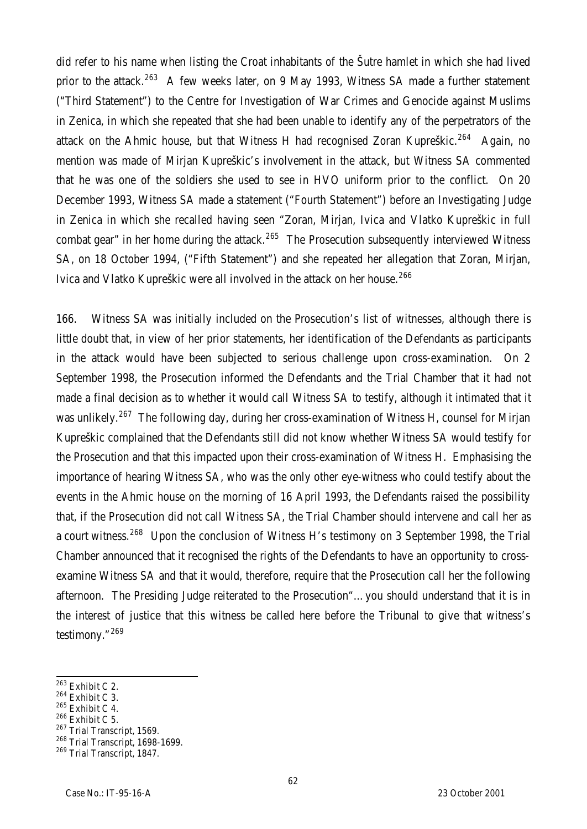did refer to his name when listing the Croat inhabitants of the Šutre hamlet in which she had lived prior to the attack.<sup>263</sup> A few weeks later, on 9 May 1993, Witness SA made a further statement ("Third Statement") to the Centre for Investigation of War Crimes and Genocide against Muslims in Zenica, in which she repeated that she had been unable to identify any of the perpetrators of the attack on the Ahmic house, but that Witness H had recognised Zoran Kupreškic.<sup>264</sup> Again, no mention was made of Mirjan Kupreškic's involvement in the attack, but Witness SA commented that he was one of the soldiers she used to see in HVO uniform prior to the conflict. On 20 December 1993, Witness SA made a statement ("Fourth Statement") before an Investigating Judge in Zenica in which she recalled having seen "Zoran, Mirjan, Ivica and Vlatko Kupreškic in full combat gear" in her home during the attack.<sup>265</sup> The Prosecution subsequently interviewed Witness SA, on 18 October 1994, ("Fifth Statement") and she repeated her allegation that Zoran, Mirjan, Ivica and Vlatko Kupreškic were all involved in the attack on her house.<sup>266</sup>

166. Witness SA was initially included on the Prosecution's list of witnesses, although there is little doubt that, in view of her prior statements, her identification of the Defendants as participants in the attack would have been subjected to serious challenge upon cross-examination. On 2 September 1998, the Prosecution informed the Defendants and the Trial Chamber that it had not made a final decision as to whether it would call Witness SA to testify, although it intimated that it was unlikely.<sup>267</sup> The following day, during her cross-examination of Witness H, counsel for Mirjan Kupreškic complained that the Defendants still did not know whether Witness SA would testify for the Prosecution and that this impacted upon their cross-examination of Witness H. Emphasising the importance of hearing Witness SA, who was the only other eye-witness who could testify about the events in the Ahmic house on the morning of 16 April 1993, the Defendants raised the possibility that, if the Prosecution did not call Witness SA, the Trial Chamber should intervene and call her as a court witness.<sup>268</sup> Upon the conclusion of Witness H's testimony on 3 September 1998, the Trial Chamber announced that it recognised the rights of the Defendants to have an opportunity to crossexamine Witness SA and that it would, therefore, require that the Prosecution call her the following afternoon. The Presiding Judge reiterated to the Prosecution"…you should understand that it is in the interest of justice that this witness be called here before the Tribunal to give that witness's testimony."<sup>269</sup>

 $\overline{a}$ 

- <sup>264</sup> Exhibit C 3.
- $265$  Exhibit C 4.
- $266$  Exhibit C 5.
- <sup>267</sup> Trial Transcript, 1569.

 $263$  Exhibit C 2.

<sup>268</sup> Trial Transcript, 1698-1699. <sup>269</sup> Trial Transcript, 1847.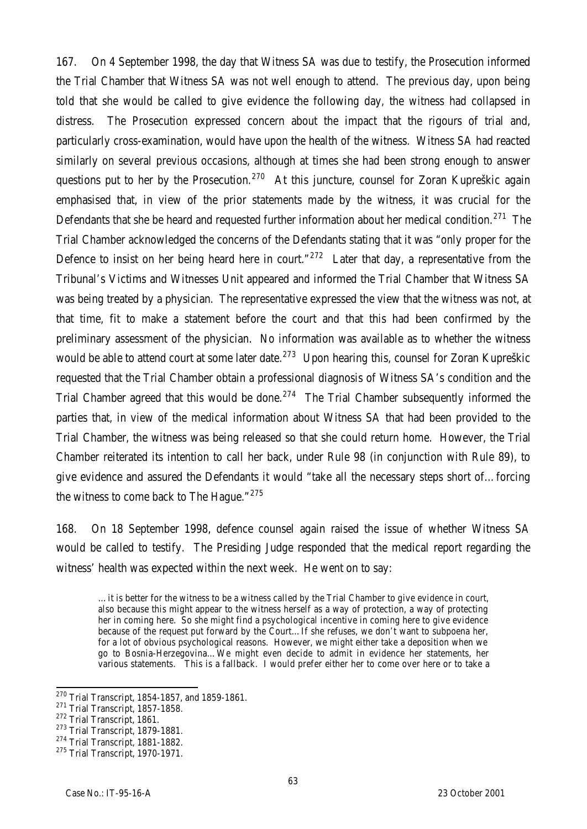167. On 4 September 1998, the day that Witness SA was due to testify, the Prosecution informed the Trial Chamber that Witness SA was not well enough to attend. The previous day, upon being told that she would be called to give evidence the following day, the witness had collapsed in distress. The Prosecution expressed concern about the impact that the rigours of trial and, particularly cross-examination, would have upon the health of the witness. Witness SA had reacted similarly on several previous occasions, although at times she had been strong enough to answer questions put to her by the Prosecution.<sup>270</sup> At this juncture, counsel for Zoran Kupreškic again emphasised that, in view of the prior statements made by the witness, it was crucial for the Defendants that she be heard and requested further information about her medical condition.<sup>271</sup> The Trial Chamber acknowledged the concerns of the Defendants stating that it was "only proper for the Defence to insist on her being heard here in court." $272$  Later that day, a representative from the Tribunal's Victims and Witnesses Unit appeared and informed the Trial Chamber that Witness SA was being treated by a physician. The representative expressed the view that the witness was not, at that time, fit to make a statement before the court and that this had been confirmed by the preliminary assessment of the physician. No information was available as to whether the witness would be able to attend court at some later date.<sup>273</sup> Upon hearing this, counsel for Zoran Kupreškic requested that the Trial Chamber obtain a professional diagnosis of Witness SA's condition and the Trial Chamber agreed that this would be done.<sup>274</sup> The Trial Chamber subsequently informed the parties that, in view of the medical information about Witness SA that had been provided to the Trial Chamber, the witness was being released so that she could return home. However, the Trial Chamber reiterated its intention to call her back, under Rule 98 (in conjunction with Rule 89), to give evidence and assured the Defendants it would "take all the necessary steps short of…forcing the witness to come back to The Haque." $275$ 

168. On 18 September 1998, defence counsel again raised the issue of whether Witness SA would be called to testify. The Presiding Judge responded that the medical report regarding the witness' health was expected within the next week. He went on to say:

…it is better for the witness to be a witness called by the Trial Chamber to give evidence in court, also because this might appear to the witness herself as a way of protection, a way of protecting her in coming here. So she might find a psychological incentive in coming here to give evidence because of the request put forward by the Court…If she refuses, we don't want to subpoena her, for a lot of obvious psychological reasons. However, we might either take a deposition when we go to Bosnia-Herzegovina…We might even decide to admit in evidence her statements, her various statements. This is a fallback. I would prefer either her to come over here or to take a

 $\overline{a}$ 

 $^{270}$  Trial Transcript, 1854-1857, and 1859-1861.

<sup>271</sup> Trial Transcript, 1857-1858.

<sup>272</sup> Trial Transcript, 1861.

<sup>273</sup> Trial Transcript, 1879-1881.

<sup>274</sup> Trial Transcript, 1881-1882.

<sup>275</sup> Trial Transcript, 1970-1971.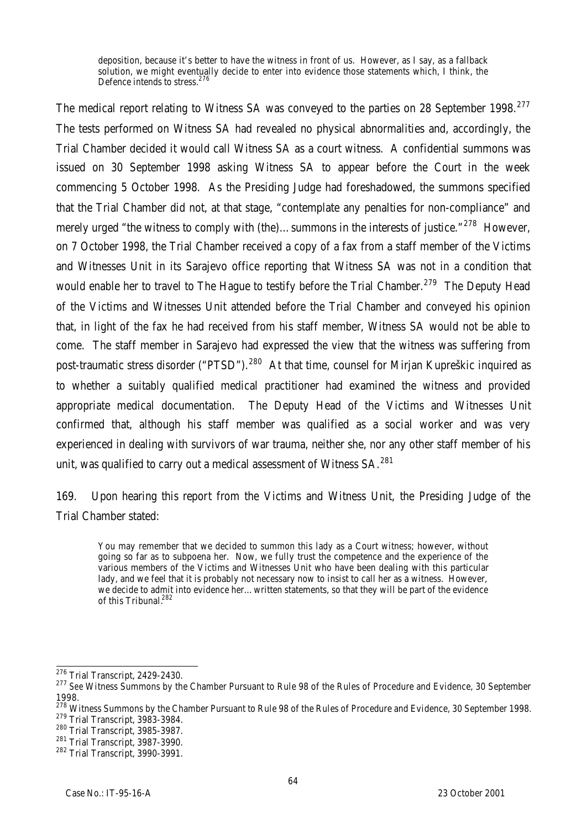deposition, because it's better to have the witness in front of us. However, as I say, as a fallback solution, we might eventually decide to enter into evidence those statements which, I think, the Defence intends to stress.<sup>276</sup>

The medical report relating to Witness SA was conveyed to the parties on 28 September 1998.<sup>277</sup> The tests performed on Witness SA had revealed no physical abnormalities and, accordingly, the Trial Chamber decided it would call Witness SA as a court witness. A confidential summons was issued on 30 September 1998 asking Witness SA to appear before the Court in the week commencing 5 October 1998. As the Presiding Judge had foreshadowed, the summons specified that the Trial Chamber did not, at that stage, "contemplate any penalties for non-compliance" and merely urged "the witness to comply with (the)...summons in the interests of justice." $^{278}$  However, on 7 October 1998, the Trial Chamber received a copy of a fax from a staff member of the Victims and Witnesses Unit in its Sarajevo office reporting that Witness SA was not in a condition that would enable her to travel to The Hague to testify before the Trial Chamber.<sup>279</sup> The Deputy Head of the Victims and Witnesses Unit attended before the Trial Chamber and conveyed his opinion that, in light of the fax he had received from his staff member, Witness SA would not be able to come. The staff member in Sarajevo had expressed the view that the witness was suffering from post-traumatic stress disorder ("PTSD").<sup>280</sup> At that time, counsel for Mirjan Kupreškic inquired as to whether a suitably qualified medical practitioner had examined the witness and provided appropriate medical documentation. The Deputy Head of the Victims and Witnesses Unit confirmed that, although his staff member was qualified as a social worker and was very experienced in dealing with survivors of war trauma, neither she, nor any other staff member of his unit, was qualified to carry out a medical assessment of Witness SA.<sup>281</sup>

169. Upon hearing this report from the Victims and Witness Unit, the Presiding Judge of the Trial Chamber stated:

You may remember that we decided to summon this lady as a Court witness; however, without going so far as to subpoena her. Now, we fully trust the competence and the experience of the various members of the Victims and Witnesses Unit who have been dealing with this particular lady, and we feel that it is probably not necessary now to insist to call her as a witness. However, we decide to admit into evidence her…written statements, so that they will be part of the evidence of this Tribunal.<sup>282</sup>

 $\overline{\phantom{a}}$ <sup>276</sup> Trial Transcript, 2429-2430.

<sup>&</sup>lt;sup>277</sup> See Witness Summons by the Chamber Pursuant to Rule 98 of the Rules of Procedure and Evidence, 30 September 1998.

<sup>&</sup>lt;sup>278</sup> Witness Summons by the Chamber Pursuant to Rule 98 of the Rules of Procedure and Evidence, 30 September 1998. <sup>279</sup> Trial Transcript, 3983-3984.

<sup>280</sup> Trial Transcript, 3985-3987.

<sup>281</sup> Trial Transcript, 3987-3990.

<sup>282</sup> Trial Transcript, 3990-3991.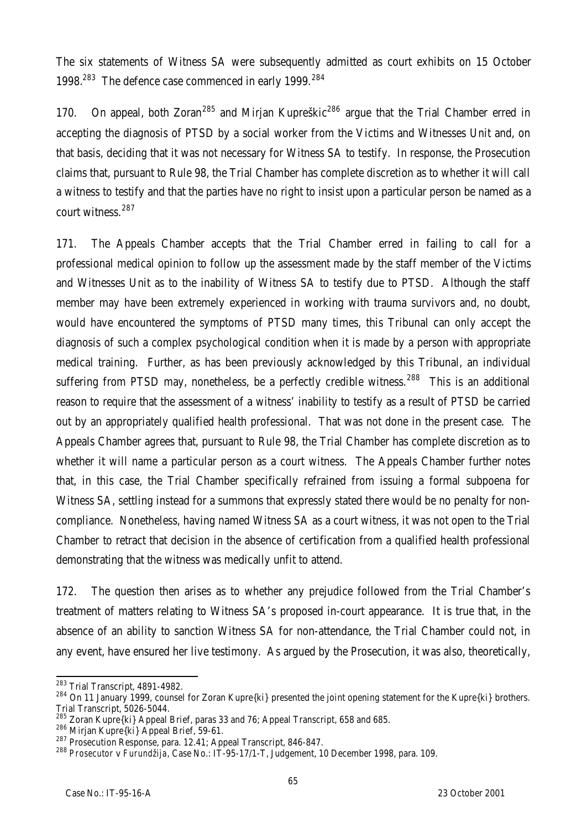The six statements of Witness SA were subsequently admitted as court exhibits on 15 October 1998.<sup>283</sup> The defence case commenced in early 1999.<sup>284</sup>

170. On appeal, both Zoran<sup>285</sup> and Mirjan Kupreškic<sup>286</sup> argue that the Trial Chamber erred in accepting the diagnosis of PTSD by a social worker from the Victims and Witnesses Unit and, on that basis, deciding that it was not necessary for Witness SA to testify. In response, the Prosecution claims that, pursuant to Rule 98, the Trial Chamber has complete discretion as to whether it will call a witness to testify and that the parties have no right to insist upon a particular person be named as a court witness.<sup>287</sup>

171. The Appeals Chamber accepts that the Trial Chamber erred in failing to call for a professional medical opinion to follow up the assessment made by the staff member of the Victims and Witnesses Unit as to the inability of Witness SA to testify due to PTSD. Although the staff member may have been extremely experienced in working with trauma survivors and, no doubt, would have encountered the symptoms of PTSD many times, this Tribunal can only accept the diagnosis of such a complex psychological condition when it is made by a person with appropriate medical training. Further, as has been previously acknowledged by this Tribunal, an individual suffering from PTSD may, nonetheless, be a perfectly credible witness.<sup>288</sup> This is an additional reason to require that the assessment of a witness' inability to testify as a result of PTSD be carried out by an appropriately qualified health professional. That was not done in the present case. The Appeals Chamber agrees that, pursuant to Rule 98, the Trial Chamber has complete discretion as to whether it will name a particular person as a court witness. The Appeals Chamber further notes that, in this case, the Trial Chamber specifically refrained from issuing a formal subpoena for Witness SA, settling instead for a summons that expressly stated there would be no penalty for noncompliance. Nonetheless, having named Witness SA as a court witness, it was not open to the Trial Chamber to retract that decision in the absence of certification from a qualified health professional demonstrating that the witness was medically unfit to attend.

172. The question then arises as to whether any prejudice followed from the Trial Chamber's treatment of matters relating to Witness SA's proposed in-court appearance. It is true that, in the absence of an ability to sanction Witness SA for non-attendance, the Trial Chamber could not, in any event, have ensured her live testimony. As argued by the Prosecution, it was also, theoretically,

<sup>286</sup> Mirjan Kupre{ki} Appeal Brief, 59-61.

 $\overline{a}$  $^{283}$  Trial Transcript, 4891-4982.

<sup>&</sup>lt;sup>284</sup> On 11 January 1999, counsel for Zoran Kupre{ki} presented the joint opening statement for the Kupre{ki} brothers. Trial Transcript, 5026-5044.

<sup>&</sup>lt;sup>285</sup> Zoran Kupre{ki} Appeal Brief, paras 33 and 76; Appeal Transcript, 658 and 685.

<sup>&</sup>lt;sup>287</sup> Prosecution Response, para. 12.41; Appeal Transcript, 846-847.

<sup>288</sup> *Prosecutor* v *Furundžija,* Case No.: IT-95-17/1-T, Judgement, 10 December 1998, para. 109.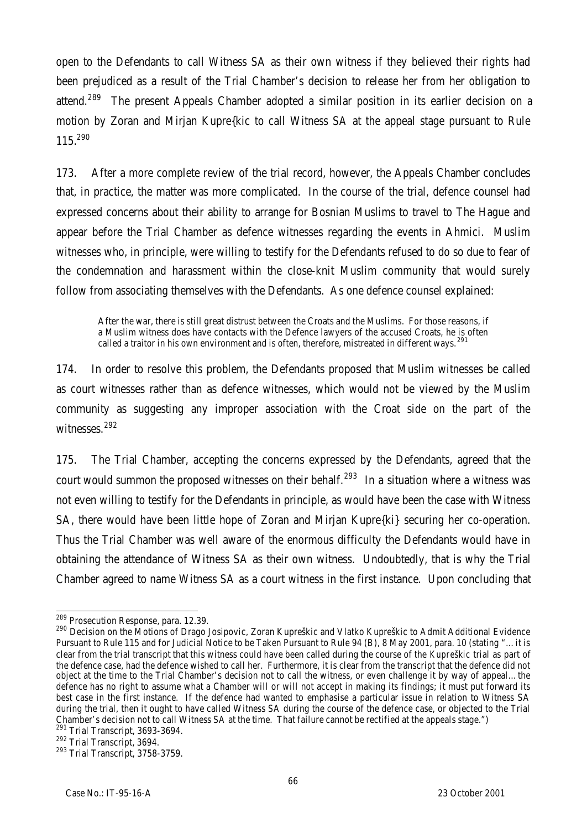open to the Defendants to call Witness SA as their own witness if they believed their rights had been prejudiced as a result of the Trial Chamber's decision to release her from her obligation to attend.<sup>289</sup> The present Appeals Chamber adopted a similar position in its earlier decision on a motion by Zoran and Mirjan Kupre{kic to call Witness SA at the appeal stage pursuant to Rule 115.<sup>290</sup>

173. After a more complete review of the trial record, however, the Appeals Chamber concludes that, in practice, the matter was more complicated. In the course of the trial, defence counsel had expressed concerns about their ability to arrange for Bosnian Muslims to travel to The Hague and appear before the Trial Chamber as defence witnesses regarding the events in Ahmici. Muslim witnesses who, in principle, were willing to testify for the Defendants refused to do so due to fear of the condemnation and harassment within the close-knit Muslim community that would surely follow from associating themselves with the Defendants. As one defence counsel explained:

After the war, there is still great distrust between the Croats and the Muslims. For those reasons, if a Muslim witness does have contacts with the Defence lawyers of the accused Croats, he is often called a traitor in his own environment and is often, therefore, mistreated in different ways. <sup>29</sup>

174. In order to resolve this problem, the Defendants proposed that Muslim witnesses be called as court witnesses rather than as defence witnesses, which would not be viewed by the Muslim community as suggesting any improper association with the Croat side on the part of the witnesses.<sup>292</sup>

175. The Trial Chamber, accepting the concerns expressed by the Defendants, agreed that the court would summon the proposed witnesses on their behalf.<sup>293</sup> In a situation where a witness was not even willing to testify for the Defendants in principle, as would have been the case with Witness SA, there would have been little hope of Zoran and Mirjan Kupre{ki} securing her co-operation. Thus the Trial Chamber was well aware of the enormous difficulty the Defendants would have in obtaining the attendance of Witness SA as their own witness. Undoubtedly, that is why the Trial Chamber agreed to name Witness SA as a court witness in the first instance. Upon concluding that

 $\overline{a}$ <sup>289</sup> Prosecution Response, para. 12.39.

<sup>&</sup>lt;sup>290</sup> Decision on the Motions of Drago Josipovic, Zoran Kupreškic and Vlatko Kupreškic to Admit Additional Evidence Pursuant to Rule 115 and for Judicial Notice to be Taken Pursuant to Rule 94 (B), 8 May 2001, para. 10 (stating "…it is clear from the trial transcript that this witness could have been called during the course of the *Kupreškic* trial as part of the defence case, had the defence wished to call her. Furthermore, it is clear from the transcript that the defence did not object at the time to the Trial Chamber's decision not to call the witness, or even challenge it by way of appeal…the defence has no right to assume what a Chamber will or will not accept in making its findings; it must put forward its best case in the first instance. If the defence had wanted to emphasise a particular issue in relation to Witness SA during the trial, then it ought to have called Witness SA during the course of the defence case, or objected to the Trial Chamber's decision not to call Witness SA at the time. That failure cannot be rectified at the appeals stage.") <sup>291</sup> Trial Transcript, 3693-3694.

<sup>&</sup>lt;sup>292</sup> Trial Transcript, 3694.

<sup>293</sup> Trial Transcript, 3758-3759.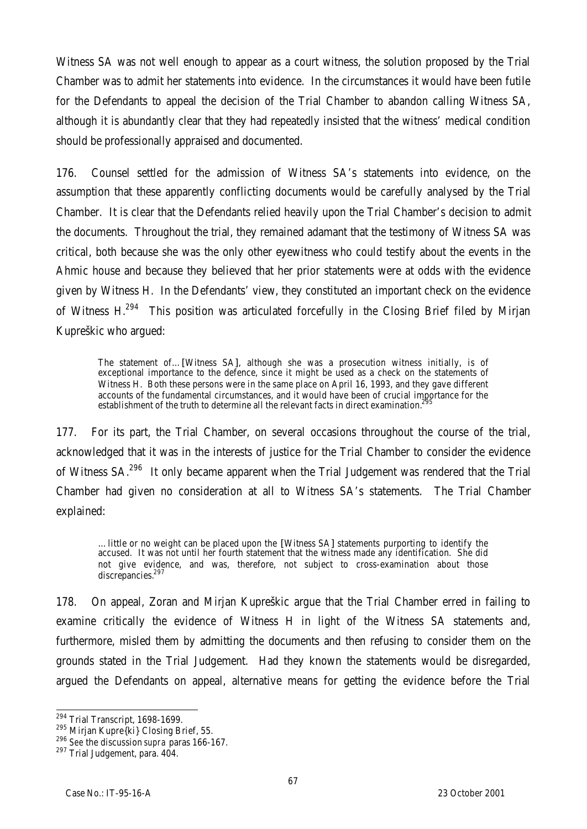Witness SA was not well enough to appear as a court witness, the solution proposed by the Trial Chamber was to admit her statements into evidence. In the circumstances it would have been futile for the Defendants to appeal the decision of the Trial Chamber to abandon calling Witness SA, although it is abundantly clear that they had repeatedly insisted that the witness' medical condition should be professionally appraised and documented.

176. Counsel settled for the admission of Witness SA's statements into evidence, on the assumption that these apparently conflicting documents would be carefully analysed by the Trial Chamber. It is clear that the Defendants relied heavily upon the Trial Chamber's decision to admit the documents. Throughout the trial, they remained adamant that the testimony of Witness SA was critical, both because she was the only other eyewitness who could testify about the events in the Ahmic house and because they believed that her prior statements were at odds with the evidence given by Witness H. In the Defendants' view, they constituted an important check on the evidence of Witness H.<sup>294</sup> This position was articulated forcefully in the Closing Brief filed by Mirjan Kupreškic who argued:

The statement of…[Witness SA], although she was a prosecution witness initially, is of exceptional importance to the defence, since it might be used as a check on the statements of Witness H. Both these persons were in the same place on April 16, 1993, and they gave different accounts of the fundamental circumstances, and it would have been of crucial importance for the establishment of the truth to determine all the relevant facts in direct examination.

177. For its part, the Trial Chamber, on several occasions throughout the course of the trial, acknowledged that it was in the interests of justice for the Trial Chamber to consider the evidence of Witness SA.<sup>296</sup> It only became apparent when the Trial Judgement was rendered that the Trial Chamber had given no consideration at all to Witness SA's statements. The Trial Chamber explained:

…little or no weight can be placed upon the [Witness SA] statements purporting to identify the accused. It was not until her fourth statement that the witness made any identification. She did not give evidence, and was, therefore, not subject to cross-examination about those discrepancies.<sup>297</sup>

178. On appeal, Zoran and Mirjan Kupreškic argue that the Trial Chamber erred in failing to examine critically the evidence of Witness H in light of the Witness SA statements and, furthermore, misled them by admitting the documents and then refusing to consider them on the grounds stated in the Trial Judgement. Had they known the statements would be disregarded, argued the Defendants on appeal, alternative means for getting the evidence before the Trial

 $\overline{a}$ 

<sup>&</sup>lt;sup>294</sup> Trial Transcript, 1698-1699.

<sup>&</sup>lt;sup>295</sup> Mirjan Kupre{ki} Closing Brief, 55.

<sup>296</sup> *See* the discussion *supra* paras 166-167.

<sup>297</sup> Trial Judgement, para. 404.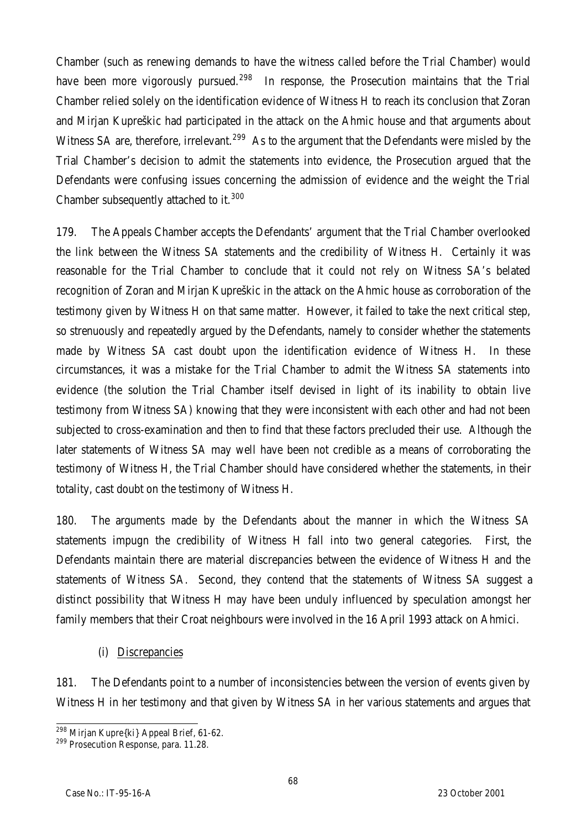Chamber (such as renewing demands to have the witness called before the Trial Chamber) would have been more vigorously pursued.<sup>298</sup> In response, the Prosecution maintains that the Trial Chamber relied solely on the identification evidence of Witness H to reach its conclusion that Zoran and Mirjan Kupreškic had participated in the attack on the Ahmic house and that arguments about Witness SA are, therefore, irrelevant.<sup>299</sup> As to the argument that the Defendants were misled by the Trial Chamber's decision to admit the statements into evidence, the Prosecution argued that the Defendants were confusing issues concerning the admission of evidence and the weight the Trial Chamber subsequently attached to it.<sup>300</sup>

179. The Appeals Chamber accepts the Defendants' argument that the Trial Chamber overlooked the link between the Witness SA statements and the credibility of Witness H. Certainly it was reasonable for the Trial Chamber to conclude that it could not rely on Witness SA's belated recognition of Zoran and Mirjan Kupreškic in the attack on the Ahmic house as corroboration of the testimony given by Witness H on that same matter. However, it failed to take the next critical step, so strenuously and repeatedly argued by the Defendants, namely to consider whether the statements made by Witness SA cast doubt upon the identification evidence of Witness H. In these circumstances, it was a mistake for the Trial Chamber to admit the Witness SA statements into evidence (the solution the Trial Chamber itself devised in light of its inability to obtain live testimony from Witness SA) knowing that they were inconsistent with each other and had not been subjected to cross-examination and then to find that these factors precluded their use. Although the later statements of Witness SA may well have been not credible as a means of corroborating the testimony of Witness H, the Trial Chamber should have considered whether the statements, in their totality, cast doubt on the testimony of Witness H.

180. The arguments made by the Defendants about the manner in which the Witness SA statements impugn the credibility of Witness H fall into two general categories. First, the Defendants maintain there are material discrepancies between the evidence of Witness H and the statements of Witness SA. Second, they contend that the statements of Witness SA suggest a distinct possibility that Witness H may have been unduly influenced by speculation amongst her family members that their Croat neighbours were involved in the 16 April 1993 attack on Ahmici.

(i) Discrepancies

181. The Defendants point to a number of inconsistencies between the version of events given by Witness H in her testimony and that given by Witness SA in her various statements and argues that

 $\overline{\phantom{0}}$ <sup>298</sup> Mirjan Kupre{ki} Appeal Brief, 61-62.

<sup>&</sup>lt;sup>299</sup> Prosecution Response, para. 11.28.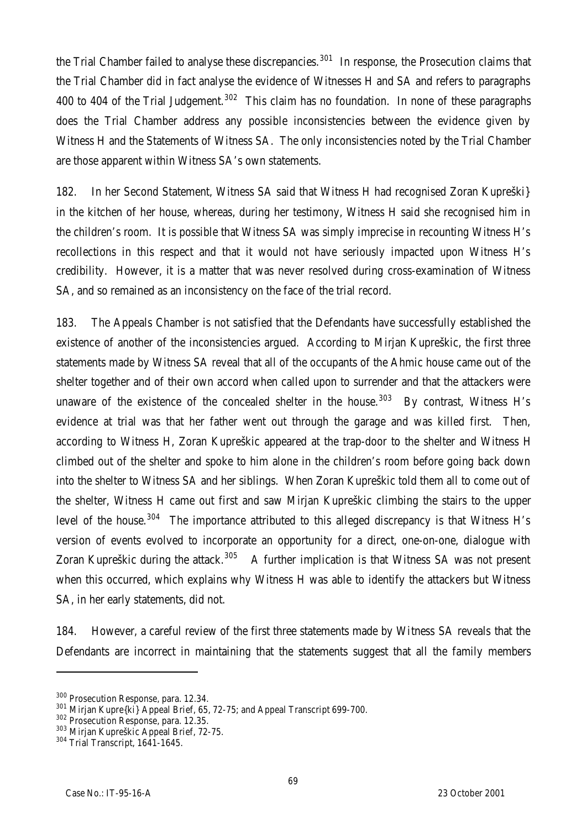the Trial Chamber failed to analyse these discrepancies.<sup>301</sup> In response, the Prosecution claims that the Trial Chamber did in fact analyse the evidence of Witnesses H and SA and refers to paragraphs 400 to 404 of the Trial Judgement.<sup>302</sup> This claim has no foundation. In none of these paragraphs does the Trial Chamber address any possible inconsistencies between the evidence given by Witness H and the Statements of Witness SA. The only inconsistencies noted by the Trial Chamber are those apparent within Witness SA's own statements.

182. In her Second Statement, Witness SA said that Witness H had recognised Zoran Kupreški} in the kitchen of her house, whereas, during her testimony, Witness H said she recognised him in the children's room. It is possible that Witness SA was simply imprecise in recounting Witness H's recollections in this respect and that it would not have seriously impacted upon Witness H's credibility. However, it is a matter that was never resolved during cross-examination of Witness SA, and so remained as an inconsistency on the face of the trial record.

183. The Appeals Chamber is not satisfied that the Defendants have successfully established the existence of another of the inconsistencies argued. According to Mirjan Kupreškic, the first three statements made by Witness SA reveal that all of the occupants of the Ahmic house came out of the shelter together and of their own accord when called upon to surrender and that the attackers were unaware of the existence of the concealed shelter in the house.<sup>303</sup> By contrast, Witness H's evidence at trial was that her father went out through the garage and was killed first. Then, according to Witness H, Zoran Kupreškic appeared at the trap-door to the shelter and Witness H climbed out of the shelter and spoke to him alone in the children's room before going back down into the shelter to Witness SA and her siblings. When Zoran Kupreškic told them all to come out of the shelter, Witness H came out first and saw Mirjan Kupreškic climbing the stairs to the upper level of the house.<sup>304</sup> The importance attributed to this alleged discrepancy is that Witness H's version of events evolved to incorporate an opportunity for a direct, one-on-one, dialogue with Zoran Kupreškic during the attack.<sup>305</sup> A further implication is that Witness SA was not present when this occurred, which explains why Witness H was able to identify the attackers but Witness SA, in her early statements, did not.

184. However, a careful review of the first three statements made by Witness SA reveals that the Defendants are incorrect in maintaining that the statements suggest that all the family members

<sup>300</sup> Prosecution Response, para. 12.34.

<sup>&</sup>lt;sup>301</sup> Mirjan Kupre{ki} Appeal Brief, 65, 72-75; and Appeal Transcript 699-700.

<sup>302</sup> Prosecution Response, para. 12.35.

<sup>303</sup> Mirjan Kupreškic Appeal Brief, 72-75.

<sup>304</sup> Trial Transcript, 1641-1645.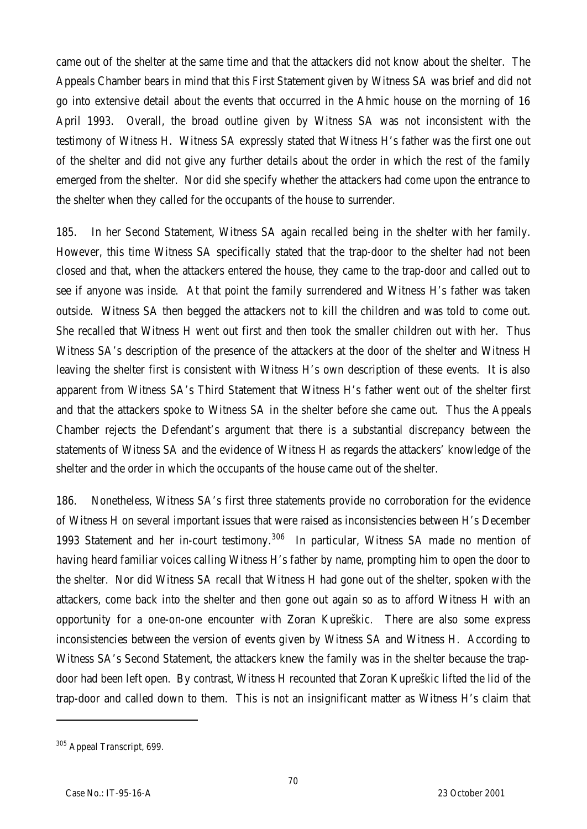came out of the shelter at the same time and that the attackers did not know about the shelter. The Appeals Chamber bears in mind that this First Statement given by Witness SA was brief and did not go into extensive detail about the events that occurred in the Ahmic house on the morning of 16 April 1993. Overall, the broad outline given by Witness SA was not inconsistent with the testimony of Witness H. Witness SA expressly stated that Witness H's father was the first one out of the shelter and did not give any further details about the order in which the rest of the family emerged from the shelter. Nor did she specify whether the attackers had come upon the entrance to the shelter when they called for the occupants of the house to surrender.

185. In her Second Statement, Witness SA again recalled being in the shelter with her family. However, this time Witness SA specifically stated that the trap-door to the shelter had not been closed and that, when the attackers entered the house, they came to the trap-door and called out to see if anyone was inside. At that point the family surrendered and Witness H's father was taken outside. Witness SA then begged the attackers not to kill the children and was told to come out. She recalled that Witness H went out first and then took the smaller children out with her. Thus Witness SA's description of the presence of the attackers at the door of the shelter and Witness H leaving the shelter first is consistent with Witness H's own description of these events. It is also apparent from Witness SA's Third Statement that Witness H's father went out of the shelter first and that the attackers spoke to Witness SA in the shelter before she came out. Thus the Appeals Chamber rejects the Defendant's argument that there is a substantial discrepancy between the statements of Witness SA and the evidence of Witness H as regards the attackers' knowledge of the shelter and the order in which the occupants of the house came out of the shelter.

186. Nonetheless, Witness SA's first three statements provide no corroboration for the evidence of Witness H on several important issues that were raised as inconsistencies between H's December 1993 Statement and her in-court testimony.<sup>306</sup> In particular, Witness SA made no mention of having heard familiar voices calling Witness H's father by name, prompting him to open the door to the shelter. Nor did Witness SA recall that Witness H had gone out of the shelter, spoken with the attackers, come back into the shelter and then gone out again so as to afford Witness H with an opportunity for a one-on-one encounter with Zoran Kupreškic. There are also some express inconsistencies between the version of events given by Witness SA and Witness H. According to Witness SA's Second Statement, the attackers knew the family was in the shelter because the trapdoor had been left open. By contrast, Witness H recounted that Zoran Kupreškic lifted the lid of the trap-door and called down to them. This is not an insignificant matter as Witness H's claim that

<sup>&</sup>lt;sup>305</sup> Appeal Transcript, 699.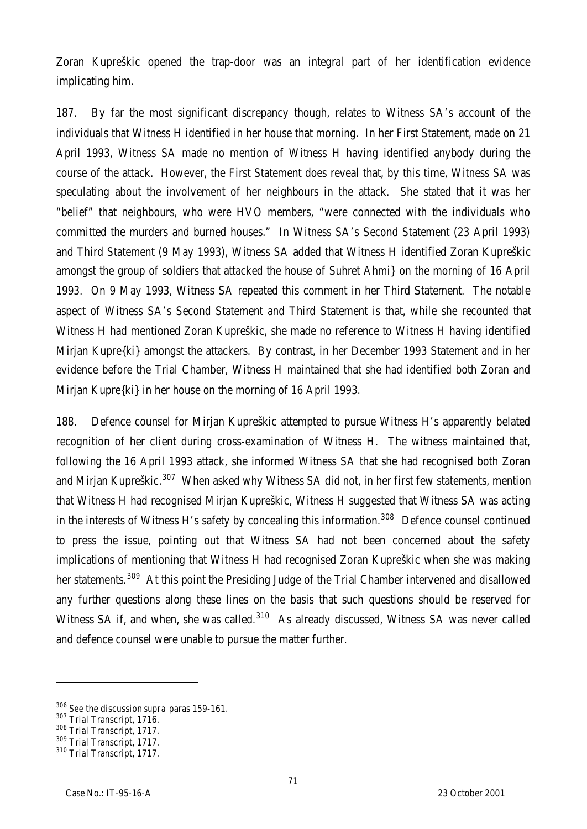Zoran Kupreškic opened the trap-door was an integral part of her identification evidence implicating him.

187. By far the most significant discrepancy though, relates to Witness SA's account of the individuals that Witness H identified in her house that morning. In her First Statement, made on 21 April 1993, Witness SA made no mention of Witness H having identified anybody during the course of the attack. However, the First Statement does reveal that, by this time, Witness SA was speculating about the involvement of her neighbours in the attack. She stated that it was her "belief" that neighbours, who were HVO members, "were connected with the individuals who committed the murders and burned houses." In Witness SA's Second Statement (23 April 1993) and Third Statement (9 May 1993), Witness SA added that Witness H identified Zoran Kupreškic amongst the group of soldiers that attacked the house of Suhret Ahmi} on the morning of 16 April 1993. On 9 May 1993, Witness SA repeated this comment in her Third Statement. The notable aspect of Witness SA's Second Statement and Third Statement is that, while she recounted that Witness H had mentioned Zoran Kupreškic, she made no reference to Witness H having identified Mirjan Kupre{ki} amongst the attackers. By contrast, in her December 1993 Statement and in her evidence before the Trial Chamber, Witness H maintained that she had identified both Zoran and Mirjan Kupre{ki} in her house on the morning of 16 April 1993.

188. Defence counsel for Mirjan Kupreškic attempted to pursue Witness H's apparently belated recognition of her client during cross-examination of Witness H. The witness maintained that, following the 16 April 1993 attack, she informed Witness SA that she had recognised both Zoran and Mirjan Kupreškic.<sup>307</sup> When asked why Witness SA did not, in her first few statements, mention that Witness H had recognised Mirjan Kupreškic, Witness H suggested that Witness SA was acting in the interests of Witness H's safety by concealing this information.<sup>308</sup> Defence counsel continued to press the issue, pointing out that Witness SA had not been concerned about the safety implications of mentioning that Witness H had recognised Zoran Kupreškic when she was making her statements.<sup>309</sup> At this point the Presiding Judge of the Trial Chamber intervened and disallowed any further questions along these lines on the basis that such questions should be reserved for Witness SA if, and when, she was called.<sup>310</sup> As already discussed, Witness SA was never called and defence counsel were unable to pursue the matter further.

<sup>306</sup> *See* the discussion *supra* paras 159-161.

<sup>307</sup> Trial Transcript, 1716.

<sup>308</sup> Trial Transcript, 1717.

<sup>309</sup> Trial Transcript, 1717.

<sup>310</sup> Trial Transcript, 1717.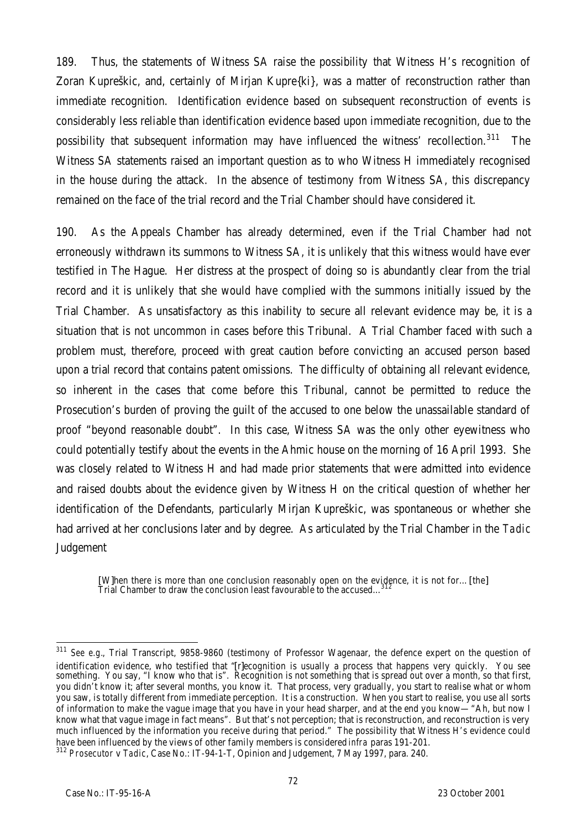189. Thus, the statements of Witness SA raise the possibility that Witness H's recognition of Zoran Kupreškic, and, certainly of Mirjan Kupre{ki}, was a matter of reconstruction rather than immediate recognition. Identification evidence based on subsequent reconstruction of events is considerably less reliable than identification evidence based upon immediate recognition, due to the possibility that subsequent information may have influenced the witness' recollection.<sup>311</sup> The Witness SA statements raised an important question as to who Witness H immediately recognised in the house during the attack. In the absence of testimony from Witness SA, this discrepancy remained on the face of the trial record and the Trial Chamber should have considered it.

190. As the Appeals Chamber has already determined, even if the Trial Chamber had not erroneously withdrawn its summons to Witness SA, it is unlikely that this witness would have ever testified in The Hague. Her distress at the prospect of doing so is abundantly clear from the trial record and it is unlikely that she would have complied with the summons initially issued by the Trial Chamber. As unsatisfactory as this inability to secure all relevant evidence may be, it is a situation that is not uncommon in cases before this Tribunal. A Trial Chamber faced with such a problem must, therefore, proceed with great caution before convicting an accused person based upon a trial record that contains patent omissions. The difficulty of obtaining all relevant evidence, so inherent in the cases that come before this Tribunal, cannot be permitted to reduce the Prosecution's burden of proving the guilt of the accused to one below the unassailable standard of proof "beyond reasonable doubt". In this case, Witness SA was the only other eyewitness who could potentially testify about the events in the Ahmic house on the morning of 16 April 1993. She was closely related to Witness H and had made prior statements that were admitted into evidence and raised doubts about the evidence given by Witness H on the critical question of whether her identification of the Defendants, particularly Mirjan Kupreškic, was spontaneous or whether she had arrived at her conclusions later and by degree. As articulated by the Trial Chamber in the *Tadic* **Judgement** 

[W]hen there is more than one conclusion reasonably open on the evidence, it is not for...[the]<br>Trial Chamber to draw the conclusion least favourable to the accused...<sup>312</sup>

 $\overline{a}$ <sup>311</sup> *See e.g.*, Trial Transcript, 9858-9860 (testimony of Professor Wagenaar, the defence expert on the question of identification evidence, who testified that "[r]ecognition is usually a process that happens very quickly. You see something. You say, "I know who that is". Recognition is not something that is spread out over a month, so that first, you didn't know it; after several months, you know it. That process, very gradually, you start to realise what or whom you saw, is totally different from immediate perception. It is a construction. When you start to realise, you use all sorts of information to make the vague image that you have in your head sharper, and at the end you know—"Ah, but now I know what that vague image in fact means". But that's not perception; that is reconstruction, and reconstruction is very much influenced by the information you receive during that period." The possibility that Witness H's evidence could have been influenced by the views of other family members is considered *infra* paras 191-201.

<sup>312</sup> *Prosecutor* v *Tadic*, Case No.: IT-94-1-T, Opinion and Judgement, 7 May 1997, para. 240.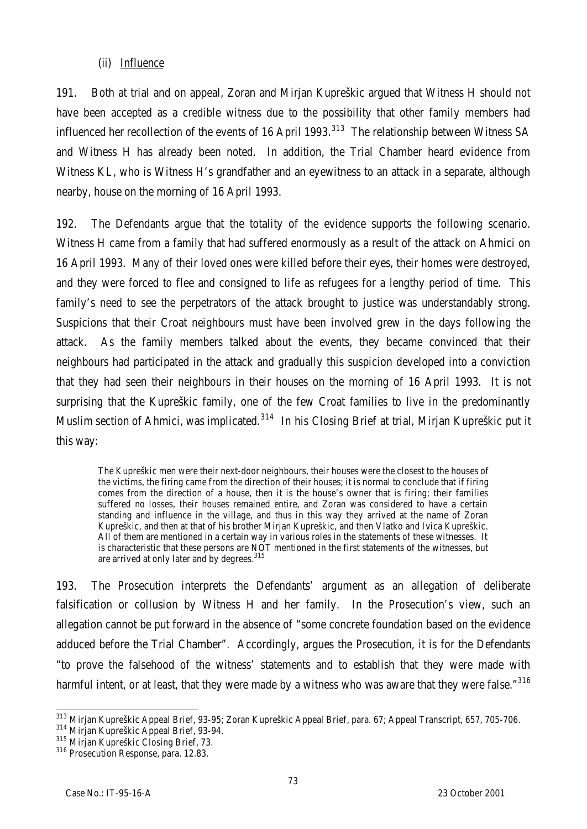### (ii) Influence

191. Both at trial and on appeal, Zoran and Mirjan Kupreškic argued that Witness H should not have been accepted as a credible witness due to the possibility that other family members had influenced her recollection of the events of 16 April 1993.<sup>313</sup> The relationship between Witness SA and Witness H has already been noted. In addition, the Trial Chamber heard evidence from Witness KL, who is Witness H's grandfather and an eyewitness to an attack in a separate, although nearby, house on the morning of 16 April 1993.

192. The Defendants argue that the totality of the evidence supports the following scenario. Witness H came from a family that had suffered enormously as a result of the attack on Ahmici on 16 April 1993. Many of their loved ones were killed before their eyes, their homes were destroyed, and they were forced to flee and consigned to life as refugees for a lengthy period of time. This family's need to see the perpetrators of the attack brought to justice was understandably strong. Suspicions that their Croat neighbours must have been involved grew in the days following the attack. As the family members talked about the events, they became convinced that their neighbours had participated in the attack and gradually this suspicion developed into a conviction that they had seen their neighbours in their houses on the morning of 16 April 1993. It is not surprising that the Kupreškic family, one of the few Croat families to live in the predominantly Muslim section of Ahmici, was implicated.<sup>314</sup> In his Closing Brief at trial, Mirjan Kupreškic put it this way:

The Kupreškic men were their next-door neighbours, their houses were the closest to the houses of the victims, the firing came from the direction of their houses; it is normal to conclude that if firing comes from the direction of a house, then it is the house's owner that is firing; their families suffered no losses, their houses remained entire, and Zoran was considered to have a certain standing and influence in the village, and thus in this way they arrived at the name of Zoran Kupreškic, and then at that of his brother Mirjan Kupreškic, and then Vlatko and Ivica Kupreškic. All of them are mentioned in a certain way in various roles in the statements of these witnesses. It is characteristic that these persons are NOT mentioned in the first statements of the witnesses, but are arrived at only later and by degrees.<sup>315</sup>

193. The Prosecution interprets the Defendants' argument as an allegation of deliberate falsification or collusion by Witness H and her family. In the Prosecution's view, such an allegation cannot be put forward in the absence of "some concrete foundation based on the evidence adduced before the Trial Chamber". Accordingly, argues the Prosecution, it is for the Defendants "to prove the falsehood of the witness' statements and to establish that they were made with harmful intent, or at least, that they were made by a witness who was aware that they were false."316

 $\overline{a}$ <sup>313</sup> Mirjan Kupreškic Appeal Brief, 93-95; Zoran Kupreškic Appeal Brief, para. 67; Appeal Transcript, 657, 705-706.

<sup>314</sup> Mirjan Kupreškic Appeal Brief, 93-94.

<sup>315</sup> Mirjan Kupreškic Closing Brief, 73.

<sup>&</sup>lt;sup>316</sup> Prosecution Response, para. 12.83.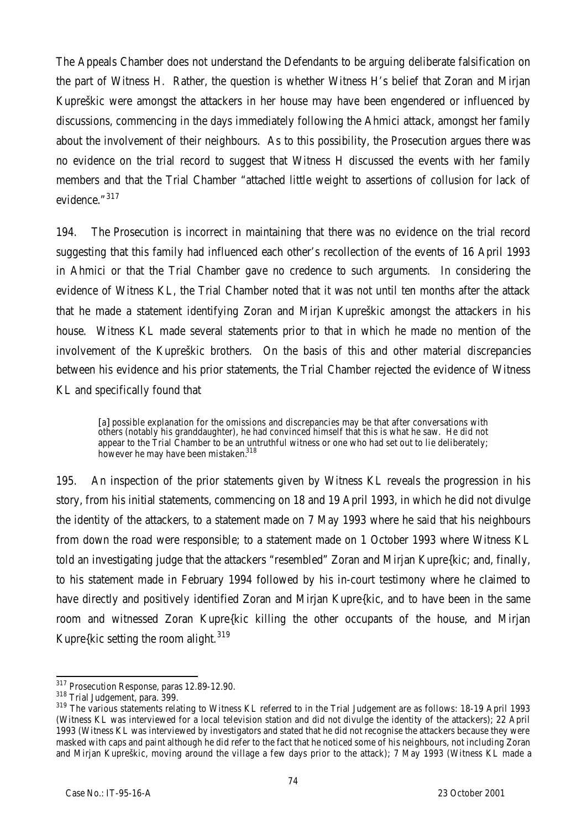The Appeals Chamber does not understand the Defendants to be arguing deliberate falsification on the part of Witness H. Rather, the question is whether Witness H's belief that Zoran and Mirjan Kupreškic were amongst the attackers in her house may have been engendered or influenced by discussions, commencing in the days immediately following the Ahmici attack, amongst her family about the involvement of their neighbours. As to this possibility, the Prosecution argues there was no evidence on the trial record to suggest that Witness H discussed the events with her family members and that the Trial Chamber "attached little weight to assertions of collusion for lack of evidence." 317

194. The Prosecution is incorrect in maintaining that there was no evidence on the trial record suggesting that this family had influenced each other's recollection of the events of 16 April 1993 in Ahmici or that the Trial Chamber gave no credence to such arguments. In considering the evidence of Witness KL, the Trial Chamber noted that it was not until ten months after the attack that he made a statement identifying Zoran and Mirjan Kupreškic amongst the attackers in his house. Witness KL made several statements prior to that in which he made no mention of the involvement of the Kupreškic brothers. On the basis of this and other material discrepancies between his evidence and his prior statements, the Trial Chamber rejected the evidence of Witness KL and specifically found that

[a] possible explanation for the omissions and discrepancies may be that after conversations with others (notably his granddaughter), he had convinced himself that this is what he saw. He did not appear to the Trial Chamber to be an untruthful witness or one who had set out to lie deliberately; however he may have been mistaken.<sup>318</sup>

195. An inspection of the prior statements given by Witness KL reveals the progression in his story, from his initial statements, commencing on 18 and 19 April 1993, in which he did not divulge the identity of the attackers, to a statement made on 7 May 1993 where he said that his neighbours from down the road were responsible; to a statement made on 1 October 1993 where Witness KL told an investigating judge that the attackers "resembled" Zoran and Mirjan Kupre{kic; and, finally, to his statement made in February 1994 followed by his in-court testimony where he claimed to have directly and positively identified Zoran and Mirjan Kupre{kic, and to have been in the same room and witnessed Zoran Kupre{kic killing the other occupants of the house, and Mirjan Kupre $\{$ kic setting the room alight.<sup>319</sup>

 $\overline{a}$ <sup>317</sup> Prosecution Response, paras 12.89-12.90.

<sup>318</sup> Trial Judgement, para. 399.

<sup>&</sup>lt;sup>319</sup> The various statements relating to Witness KL referred to in the Trial Judgement are as follows: 18-19 April 1993 (Witness KL was interviewed for a local television station and did not divulge the identity of the attackers); 22 April 1993 (Witness KL was interviewed by investigators and stated that he did not recognise the attackers because they were masked with caps and paint although he did refer to the fact that he noticed some of his neighbours, not including Zoran and Mirjan Kupreškic, moving around the village a few days prior to the attack); 7 May 1993 (Witness KL made a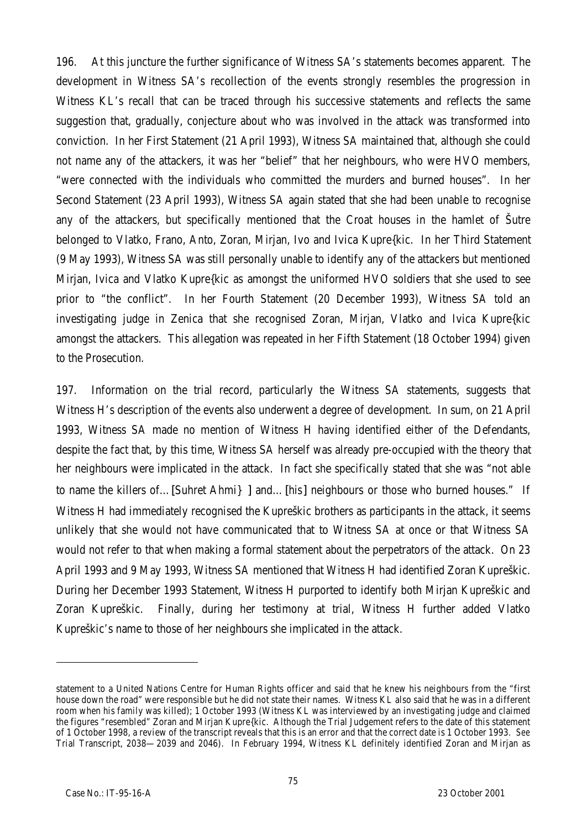196. At this juncture the further significance of Witness SA's statements becomes apparent. The development in Witness SA's recollection of the events strongly resembles the progression in Witness KL's recall that can be traced through his successive statements and reflects the same suggestion that, gradually, conjecture about who was involved in the attack was transformed into conviction. In her First Statement (21 April 1993), Witness SA maintained that, although she could not name any of the attackers, it was her "belief" that her neighbours, who were HVO members, "were connected with the individuals who committed the murders and burned houses". In her Second Statement (23 April 1993), Witness SA again stated that she had been unable to recognise any of the attackers, but specifically mentioned that the Croat houses in the hamlet of Šutre belonged to Vlatko, Frano, Anto, Zoran, Mirjan, Ivo and Ivica Kupre{kic. In her Third Statement (9 May 1993), Witness SA was still personally unable to identify any of the attackers but mentioned Mirjan, Ivica and Vlatko Kupre{kic as amongst the uniformed HVO soldiers that she used to see prior to "the conflict". In her Fourth Statement (20 December 1993), Witness SA told an investigating judge in Zenica that she recognised Zoran, Mirjan, Vlatko and Ivica Kupre{kic amongst the attackers. This allegation was repeated in her Fifth Statement (18 October 1994) given to the Prosecution.

197. Information on the trial record, particularly the Witness SA statements, suggests that Witness H's description of the events also underwent a degree of development. In sum, on 21 April 1993, Witness SA made no mention of Witness H having identified either of the Defendants, despite the fact that, by this time, Witness SA herself was already pre-occupied with the theory that her neighbours were implicated in the attack. In fact she specifically stated that she was "not able to name the killers of...[Suhret Ahmi} 1 and...[his] neighbours or those who burned houses." If Witness H had immediately recognised the Kupreškic brothers as participants in the attack, it seems unlikely that she would not have communicated that to Witness SA at once or that Witness SA would not refer to that when making a formal statement about the perpetrators of the attack. On 23 April 1993 and 9 May 1993, Witness SA mentioned that Witness H had identified Zoran Kupreškic. During her December 1993 Statement, Witness H purported to identify both Mirjan Kupreškic and Zoran Kupreškic. Finally, during her testimony at trial, Witness H further added Vlatko Kupreškic's name to those of her neighbours she implicated in the attack.

statement to a United Nations Centre for Human Rights officer and said that he knew his neighbours from the "first house down the road" were responsible but he did not state their names. Witness KL also said that he was in a different room when his family was killed); 1 October 1993 (Witness KL was interviewed by an investigating judge and claimed the figures "resembled" Zoran and Mirjan Kupre{kic. Although the Trial Judgement refers to the date of this statement of 1 October 1998, a review of the transcript reveals that this is an error and that the correct date is 1 October 1993. *See* Trial Transcript, 2038—2039 and 2046). In February 1994, Witness KL definitely identified Zoran and Mirjan as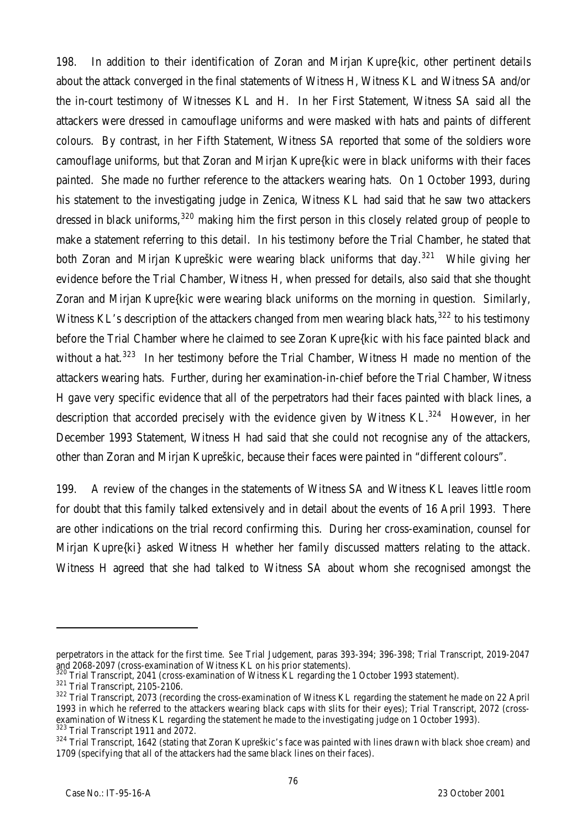198. In addition to their identification of Zoran and Mirjan Kupre{kic, other pertinent details about the attack converged in the final statements of Witness H, Witness KL and Witness SA and/or the in-court testimony of Witnesses KL and H. In her First Statement, Witness SA said all the attackers were dressed in camouflage uniforms and were masked with hats and paints of different colours. By contrast, in her Fifth Statement, Witness SA reported that some of the soldiers wore camouflage uniforms, but that Zoran and Mirjan Kupre{kic were in black uniforms with their faces painted. She made no further reference to the attackers wearing hats. On 1 October 1993, during his statement to the investigating judge in Zenica, Witness KL had said that he saw two attackers dressed in black uniforms,  $320$  making him the first person in this closely related group of people to make a statement referring to this detail. In his testimony before the Trial Chamber, he stated that both Zoran and Mirjan Kupreškic were wearing black uniforms that day.<sup>321</sup> While giving her evidence before the Trial Chamber, Witness H, when pressed for details, also said that she thought Zoran and Mirjan Kupre{kic were wearing black uniforms on the morning in question. Similarly, Witness KL's description of the attackers changed from men wearing black hats,<sup>322</sup> to his testimony before the Trial Chamber where he claimed to see Zoran Kupre{kic with his face painted black and without a hat.<sup>323</sup> In her testimony before the Trial Chamber, Witness H made no mention of the attackers wearing hats. Further, during her examination-in-chief before the Trial Chamber, Witness H gave very specific evidence that all of the perpetrators had their faces painted with black lines, a description that accorded precisely with the evidence given by Witness  $KL^{324}$  However, in her December 1993 Statement, Witness H had said that she could not recognise any of the attackers, other than Zoran and Mirjan Kupreškic, because their faces were painted in "different colours".

199. A review of the changes in the statements of Witness SA and Witness KL leaves little room for doubt that this family talked extensively and in detail about the events of 16 April 1993. There are other indications on the trial record confirming this. During her cross-examination, counsel for Mirjan Kupre{ki} asked Witness H whether her family discussed matters relating to the attack. Witness H agreed that she had talked to Witness SA about whom she recognised amongst the

perpetrators in the attack for the first time. *See* Trial Judgement, paras 393-394; 396-398; Trial Transcript, 2019-2047 and 2068-2097 (cross-examination of Witness KL on his prior statements).

Trial Transcript, 2041 (cross-examination of Witness KL regarding the 1 October 1993 statement).

<sup>321</sup> Trial Transcript, 2105-2106.

<sup>&</sup>lt;sup>322</sup> Trial Transcript, 2073 (recording the cross-examination of Witness KL regarding the statement he made on 22 April 1993 in which he referred to the attackers wearing black caps with slits for their eyes); Trial Transcript, 2072 (crossexamination of Witness KL regarding the statement he made to the investigating judge on 1 October 1993). <sup>323</sup> Trial Transcript 1911 and 2072.

<sup>&</sup>lt;sup>324</sup> Trial Transcript, 1642 (stating that Zoran Kupreškic's face was painted with lines drawn with black shoe cream) and 1709 (specifying that all of the attackers had the same black lines on their faces).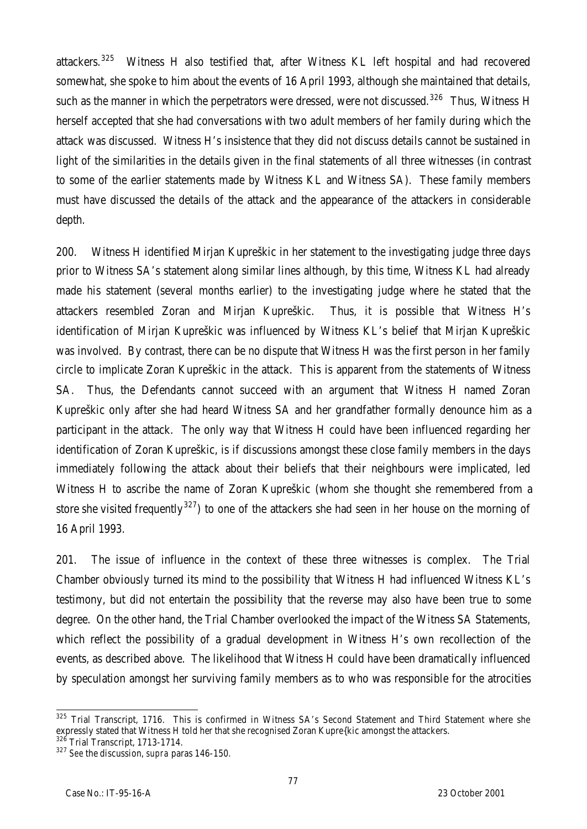attackers.<sup>325</sup> Witness H also testified that, after Witness KL left hospital and had recovered somewhat, she spoke to him about the events of 16 April 1993, although she maintained that details, such as the manner in which the perpetrators were dressed, were not discussed.<sup>326</sup> Thus, Witness H herself accepted that she had conversations with two adult members of her family during which the attack was discussed. Witness H's insistence that they did not discuss details cannot be sustained in light of the similarities in the details given in the final statements of all three witnesses (in contrast to some of the earlier statements made by Witness KL and Witness SA). These family members must have discussed the details of the attack and the appearance of the attackers in considerable depth.

200. Witness H identified Mirjan Kupreškic in her statement to the investigating judge three days prior to Witness SA's statement along similar lines although, by this time, Witness KL had already made his statement (several months earlier) to the investigating judge where he stated that the attackers resembled Zoran and Mirjan Kupreškic. Thus, it is possible that Witness H's identification of Mirjan Kupreškic was influenced by Witness KL's belief that Mirjan Kupreškic was involved. By contrast, there can be no dispute that Witness H was the first person in her family circle to implicate Zoran Kupreškic in the attack. This is apparent from the statements of Witness SA. Thus, the Defendants cannot succeed with an argument that Witness H named Zoran Kupreškic only after she had heard Witness SA and her grandfather formally denounce him as a participant in the attack. The only way that Witness H could have been influenced regarding her identification of Zoran Kupreškic, is if discussions amongst these close family members in the days immediately following the attack about their beliefs that their neighbours were implicated, led Witness H to ascribe the name of Zoran Kupreškic (whom she thought she remembered from a store she visited frequently<sup>327</sup>) to one of the attackers she had seen in her house on the morning of 16 April 1993.

201. The issue of influence in the context of these three witnesses is complex. The Trial Chamber obviously turned its mind to the possibility that Witness H had influenced Witness KL's testimony, but did not entertain the possibility that the reverse may also have been true to some degree. On the other hand, the Trial Chamber overlooked the impact of the Witness SA Statements, which reflect the possibility of a gradual development in Witness H's own recollection of the events, as described above. The likelihood that Witness H could have been dramatically influenced by speculation amongst her surviving family members as to who was responsible for the atrocities

 $\overline{a}$ <sup>325</sup> Trial Transcript, 1716. This is confirmed in Witness SA's Second Statement and Third Statement where she expressly stated that Witness H told her that she recognised Zoran Kupre{kic amongst the attackers.

<sup>&</sup>lt;sup>326</sup> Trial Transcript, 1713-1714.

<sup>327</sup> *See* the discussion, *supra* paras 146-150.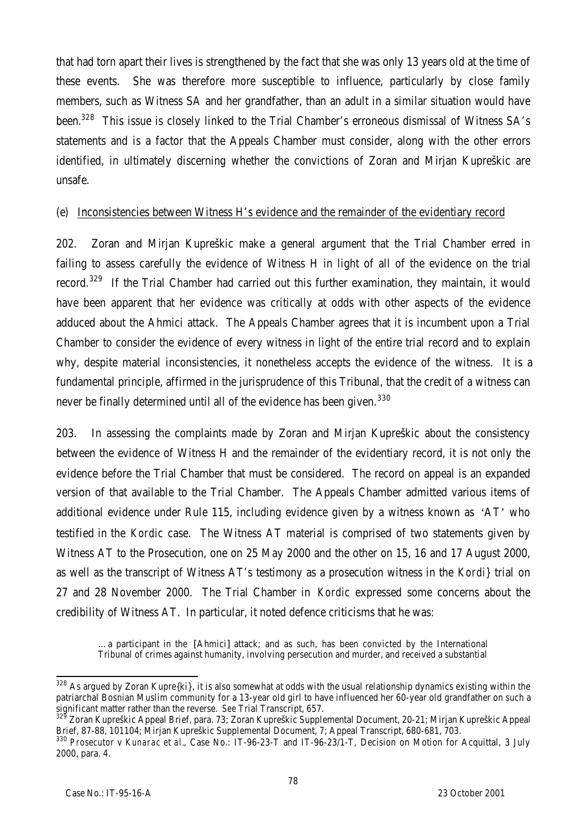that had torn apart their lives is strengthened by the fact that she was only 13 years old at the time of these events. She was therefore more susceptible to influence, particularly by close family members, such as Witness SA and her grandfather, than an adult in a similar situation would have been.<sup>328</sup> This issue is closely linked to the Trial Chamber's erroneous dismissal of Witness SA's statements and is a factor that the Appeals Chamber must consider, along with the other errors identified, in ultimately discerning whether the convictions of Zoran and Mirjan Kupreškic are unsafe.

#### (e) Inconsistencies between Witness H's evidence and the remainder of the evidentiary record

202. Zoran and Mirjan Kupreškic make a general argument that the Trial Chamber erred in failing to assess carefully the evidence of Witness H in light of all of the evidence on the trial record.<sup>329</sup> If the Trial Chamber had carried out this further examination, they maintain, it would have been apparent that her evidence was critically at odds with other aspects of the evidence adduced about the Ahmici attack. The Appeals Chamber agrees that it is incumbent upon a Trial Chamber to consider the evidence of every witness in light of the entire trial record and to explain why, despite material inconsistencies, it nonetheless accepts the evidence of the witness. It is a fundamental principle, affirmed in the jurisprudence of this Tribunal, that the credit of a witness can never be finally determined until all of the evidence has been given.<sup>330</sup>

203. In assessing the complaints made by Zoran and Mirjan Kupreškic about the consistency between the evidence of Witness H and the remainder of the evidentiary record, it is not only the evidence before the Trial Chamber that must be considered. The record on appeal is an expanded version of that available to the Trial Chamber. The Appeals Chamber admitted various items of additional evidence under Rule 115, including evidence given by a witness known as 'AT' who testified in the *Kordic* case. The Witness AT material is comprised of two statements given by Witness AT to the Prosecution, one on 25 May 2000 and the other on 15, 16 and 17 August 2000, as well as the transcript of Witness AT's testimony as a prosecution witness in the *Kordi}* trial on 27 and 28 November 2000. The Trial Chamber in *Kordic* expressed some concerns about the credibility of Witness AT. In particular, it noted defence criticisms that he was:

…a participant in the [Ahmici] attack; and as such, has been convicted by the International Tribunal of crimes against humanity, involving persecution and murder, and received a substantial

 $\overline{a}$  $328$  As argued by Zoran Kupre{ki}, it is also somewhat at odds with the usual relationship dynamics existing within the patriarchal Bosnian Muslim community for a 13-year old girl to have influenced her 60-year old grandfather on such a significant matter rather than the reverse. *See* Trial Transcript, 657.

<sup>329</sup> Zoran Kupreškic Appeal Brief, para. 73; Zoran Kupreškic Supplemental Document, 20-21; Mirjan Kupreškic Appeal Brief, 87-88, 101104; Mirjan Kupreškic Supplemental Document, 7; Appeal Transcript, 680-681, 703.

<sup>330</sup> *Prosecutor* v *Kunarac et al.*, Case No.: IT-96-23-T and IT-96-23/1-T, Decision on Motion for Acquittal, 3 July 2000, para. 4.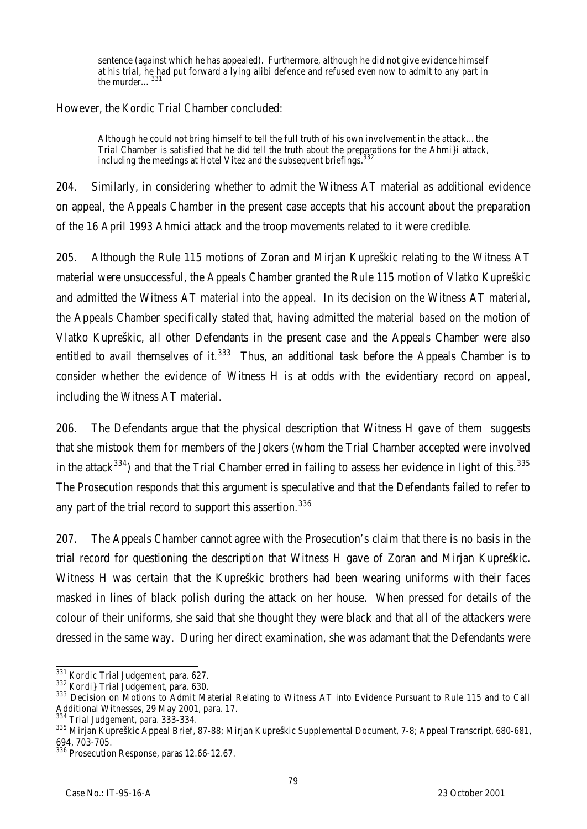sentence (against which he has appealed). Furthermore, although he did not give evidence himself at his trial, he had put forward a lying alibi defence and refused even now to admit to any part in the murder...<sup>331</sup>

However, the *Kordic* Trial Chamber concluded:

Although he could not bring himself to tell the full truth of his own involvement in the attack…the Trial Chamber is satisfied that he did tell the truth about the preparations for the Ahmi}i attack, including the meetings at Hotel Vitez and the subsequent briefings. 332

204. Similarly, in considering whether to admit the Witness AT material as additional evidence on appeal, the Appeals Chamber in the present case accepts that his account about the preparation of the 16 April 1993 Ahmici attack and the troop movements related to it were credible.

205. Although the Rule 115 motions of Zoran and Mirjan Kupreškic relating to the Witness AT material were unsuccessful, the Appeals Chamber granted the Rule 115 motion of Vlatko Kupreškic and admitted the Witness AT material into the appeal. In its decision on the Witness AT material, the Appeals Chamber specifically stated that, having admitted the material based on the motion of Vlatko Kupreškic, all other Defendants in the present case and the Appeals Chamber were also entitled to avail themselves of it.<sup>333</sup> Thus, an additional task before the Appeals Chamber is to consider whether the evidence of Witness H is at odds with the evidentiary record on appeal, including the Witness AT material.

206. The Defendants argue that the physical description that Witness H gave of them suggests that she mistook them for members of the Jokers (whom the Trial Chamber accepted were involved in the attack<sup>334</sup>) and that the Trial Chamber erred in failing to assess her evidence in light of this.<sup>335</sup> The Prosecution responds that this argument is speculative and that the Defendants failed to refer to any part of the trial record to support this assertion.<sup>336</sup>

207. The Appeals Chamber cannot agree with the Prosecution's claim that there is no basis in the trial record for questioning the description that Witness H gave of Zoran and Mirjan Kupreškic. Witness H was certain that the Kupreškic brothers had been wearing uniforms with their faces masked in lines of black polish during the attack on her house. When pressed for details of the colour of their uniforms, she said that she thought they were black and that all of the attackers were dressed in the same way. During her direct examination, she was adamant that the Defendants were

 $\overline{a}$ <sup>331</sup> *Kordic* Trial Judgement, para. 627.

<sup>332</sup> *Kordi}* Trial Judgement, para. 630.

<sup>333</sup> Decision on Motions to Admit Material Relating to Witness AT into Evidence Pursuant to Rule 115 and to Call Additional Witnesses, 29 May 2001, para. 17.

<sup>334</sup> Trial Judgement, para. 333-334.

<sup>335</sup> Mirjan Kupreškic Appeal Brief, 87-88; Mirjan Kupreškic Supplemental Document, 7-8; Appeal Transcript, 680-681, 694, 703-705.

<sup>336</sup> Prosecution Response, paras 12.66-12.67.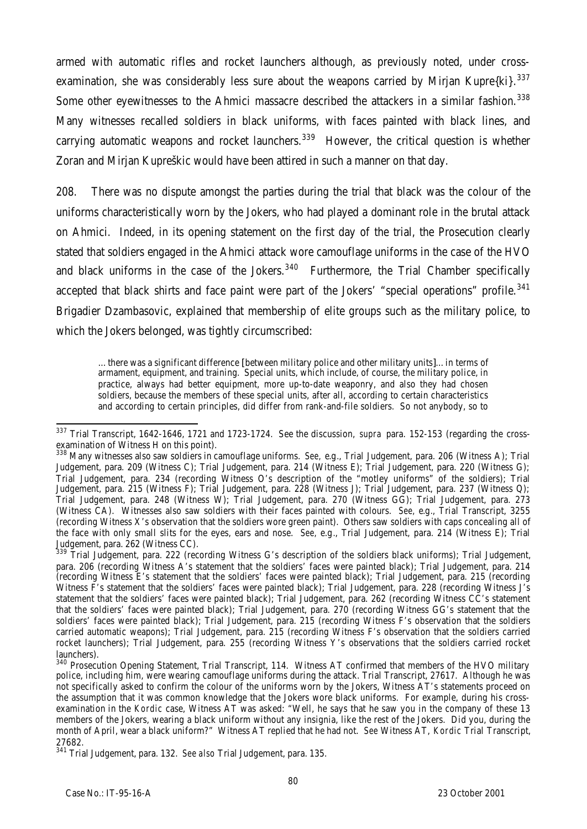armed with automatic rifles and rocket launchers although, as previously noted, under crossexamination, she was considerably less sure about the weapons carried by Mirjan Kupre $\{k_i\}$ . 337 Some other eyewitnesses to the Ahmici massacre described the attackers in a similar fashion.<sup>338</sup> Many witnesses recalled soldiers in black uniforms, with faces painted with black lines, and carrying automatic weapons and rocket launchers.<sup>339</sup> However, the critical question is whether Zoran and Mirjan Kupreškic would have been attired in such a manner on that day.

208. There was no dispute amongst the parties during the trial that black was the colour of the uniforms characteristically worn by the Jokers, who had played a dominant role in the brutal attack on Ahmici. Indeed, in its opening statement on the first day of the trial, the Prosecution clearly stated that soldiers engaged in the Ahmici attack wore camouflage uniforms in the case of the HVO and black uniforms in the case of the Jokers. $340$  Furthermore, the Trial Chamber specifically accepted that black shirts and face paint were part of the Jokers' "special operations" profile.<sup>341</sup> Brigadier Dzambasovic, explained that membership of elite groups such as the military police, to which the Jokers belonged, was tightly circumscribed:

…there was a significant difference [between military police and other military units]…in terms of armament, equipment, and training. Special units, which include, of course, the military police, in practice, always had better equipment, more up-to-date weaponry, and also they had chosen soldiers, because the members of these special units, after all, according to certain characteristics and according to certain principles, did differ from rank-and-file soldiers. So not anybody, so to

j <sup>337</sup> Trial Transcript, 1642-1646, 1721 and 1723-1724. See the discussion, *supra* para. 152-153 (regarding the crossexamination of Witness H on this point).

<sup>338</sup> Many witnesses also saw soldiers in camouflage uniforms. *See,* e.g*.*, Trial Judgement, para. 206 (Witness A); Trial Judgement, para. 209 (Witness C); Trial Judgement, para. 214 (Witness E); Trial Judgement, para. 220 (Witness G); Trial Judgement, para. 234 (recording Witness O's description of the "motley uniforms" of the soldiers); Trial Judgement, para. 215 (Witness F); Trial Judgement, para. 228 (Witness J); Trial Judgement, para. 237 (Witness Q); Trial Judgement, para. 248 (Witness W); Trial Judgement, para. 270 (Witness GG); Trial Judgement, para. 273 (Witness CA). Witnesses also saw soldiers with their faces painted with colours. *See,* e.g*.*, Trial Transcript, 3255 (recording Witness X's observation that the soldiers wore green paint). Others saw soldiers with caps concealing all of the face with only small slits for the eyes, ears and nose. *See,* e.g*.*, Trial Judgement, para. 214 (Witness E); Trial Judgement, para. 262 (Witness CC).

<sup>339</sup> Trial Judgement, para. 222 (recording Witness G's description of the soldiers black uniforms); Trial Judgement, para. 206 (recording Witness A's statement that the soldiers' faces were painted black); Trial Judgement, para. 214 (recording Witness E's statement that the soldiers' faces were painted black); Trial Judgement, para. 215 (recording Witness F's statement that the soldiers' faces were painted black); Trial Judgement, para. 228 (recording Witness J's statement that the soldiers' faces were painted black); Trial Judgement, para. 262 (recording Witness CC's statement that the soldiers' faces were painted black); Trial Judgement, para. 270 (recording Witness GG's statement that the soldiers' faces were painted black); Trial Judgement, para. 215 (recording Witness F's observation that the soldiers carried automatic weapons); Trial Judgement, para. 215 (recording Witness F's observation that the soldiers carried rocket launchers); Trial Judgement, para. 255 (recording Witness Y's observations that the soldiers carried rocket launchers).

<sup>&</sup>lt;sup>340</sup> Prosecution Opening Statement, Trial Transcript, 114. Witness AT confirmed that members of the HVO military police, including him, were wearing camouflage uniforms during the attack. Trial Transcript, 27617. Although he was not specifically asked to confirm the colour of the uniforms worn by the Jokers, Witness AT's statements proceed on the assumption that it was common knowledge that the Jokers wore black uniforms. For example, during his crossexamination in the *Kordic* case, Witness AT was asked: "Well, he says that he saw you in the company of these 13 members of the Jokers, wearing a black uniform without any insignia, like the rest of the Jokers. Did you, during the month of April, wear a black uniform?" Witness AT replied that he had not. *See* Witness AT, *Kordic* Trial Transcript, 27682.

<sup>341</sup> Trial Judgement, para. 132. *See also* Trial Judgement, para. 135.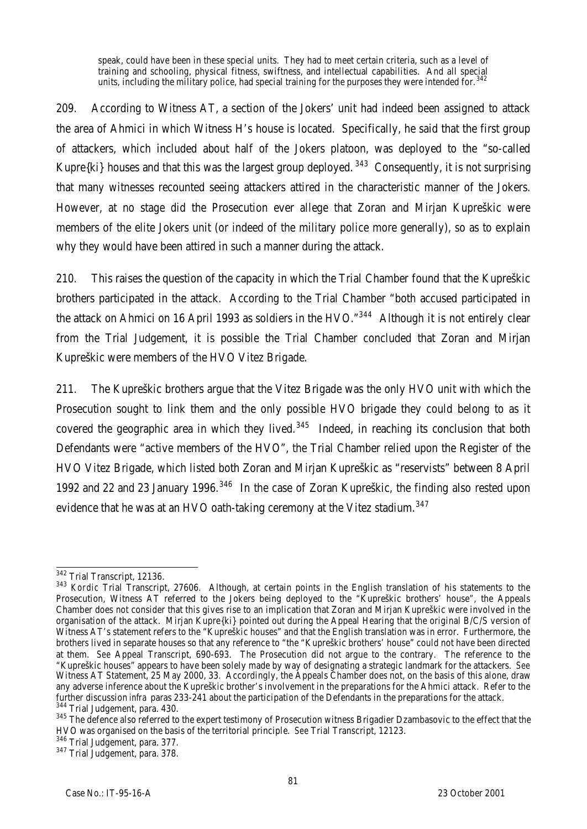speak, could have been in these special units. They had to meet certain criteria, such as a level of training and schooling, physical fitness, swiftness, and intellectual capabilities. And all special units, including the military police, had special training for the purposes they were intended for.<sup>342</sup>

209. According to Witness AT, a section of the Jokers' unit had indeed been assigned to attack the area of Ahmici in which Witness H's house is located. Specifically, he said that the first group of attackers, which included about half of the Jokers platoon, was deployed to the "so-called Kupre $\{ki\}$  houses and that this was the largest group deployed.  $343$  Consequently, it is not surprising that many witnesses recounted seeing attackers attired in the characteristic manner of the Jokers. However, at no stage did the Prosecution ever allege that Zoran and Mirjan Kupreškic were members of the elite Jokers unit (or indeed of the military police more generally), so as to explain why they would have been attired in such a manner during the attack.

210. This raises the question of the capacity in which the Trial Chamber found that the Kupreškic brothers participated in the attack. According to the Trial Chamber "both accused participated in the attack on Ahmici on 16 April 1993 as soldiers in the HVO. $^{n344}$  Although it is not entirely clear from the Trial Judgement, it is possible the Trial Chamber concluded that Zoran and Mirjan Kupreškic were members of the HVO Vitez Brigade.

211. The Kupreškic brothers argue that the Vitez Brigade was the only HVO unit with which the Prosecution sought to link them and the only possible HVO brigade they could belong to as it covered the geographic area in which they lived.<sup>345</sup> Indeed, in reaching its conclusion that both Defendants were "active members of the HVO", the Trial Chamber relied upon the Register of the HVO Vitez Brigade, which listed both Zoran and Mirjan Kupreškic as "reservists" between 8 April 1992 and 22 and 23 January 1996.<sup>346</sup> In the case of Zoran Kupreškic, the finding also rested upon evidence that he was at an HVO oath-taking ceremony at the Vitez stadium.<sup>347</sup>

 $\overline{a}$ <sup>342</sup> Trial Transcript, 12136.

<sup>343</sup> *Kordic* Trial Transcript, 27606. Although, at certain points in the English translation of his statements to the Prosecution, Witness AT referred to the Jokers being deployed to the "Kupreškic brothers' house", the Appeals Chamber does not consider that this gives rise to an implication that Zoran and Mirjan Kupreškic were involved in the organisation of the attack. Mirjan Kupre{ki} pointed out during the Appeal Hearing that the original B/C/S version of Witness AT's statement refers to the "Kupreškic houses" and that the English translation was in error. Furthermore, the brothers lived in separate houses so that any reference to "the "Kupreškic brothers' house" could not have been directed at them. *See* Appeal Transcript, 690-693. The Prosecution did not argue to the contrary. The reference to the "Kupreškic houses" appears to have been solely made by way of designating a strategic landmark for the attackers. *See* Witness AT Statement, 25 May 2000, 33. Accordingly, the Appeals Chamber does not, on the basis of this alone, draw any adverse inference about the Kupreškic brother's involvement in the preparations for the Ahmici attack. Refer to the further discussion *infra* paras 233-241 about the participation of the Defendants in the preparations for the attack.  $4$  Trial Judgement, para. 430.

<sup>345</sup> The defence also referred to the expert testimony of Prosecution witness Brigadier Dzambasovic to the effect that the HVO was organised on the basis of the territorial principle. *See* Trial Transcript, 12123.

<sup>346</sup> Trial Judgement, para. 377.

<sup>347</sup> Trial Judgement, para. 378.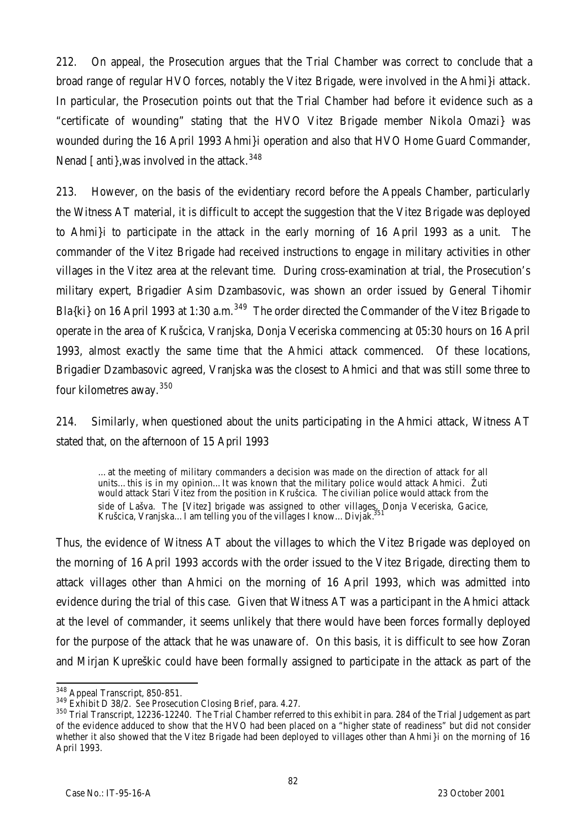212. On appeal, the Prosecution argues that the Trial Chamber was correct to conclude that a broad range of regular HVO forces, notably the Vitez Brigade, were involved in the Ahmi}i attack. In particular, the Prosecution points out that the Trial Chamber had before it evidence such as a "certificate of wounding" stating that the HVO Vitez Brigade member Nikola Omazi} was wounded during the 16 April 1993 Ahmi}i operation and also that HVO Home Guard Commander, Nenad [anti], was involved in the attack.  $348$ 

213. However, on the basis of the evidentiary record before the Appeals Chamber, particularly the Witness AT material, it is difficult to accept the suggestion that the Vitez Brigade was deployed to Ahmi}i to participate in the attack in the early morning of 16 April 1993 as a unit. The commander of the Vitez Brigade had received instructions to engage in military activities in other villages in the Vitez area at the relevant time. During cross-examination at trial, the Prosecution's military expert, Brigadier Asim Dzambasovic, was shown an order issued by General Tihomir Bla{ki} on 16 April 1993 at 1:30 a.m.<sup>349</sup> The order directed the Commander of the Vitez Brigade to operate in the area of Krušcica, Vranjska, Donja Veceriska commencing at 05:30 hours on 16 April 1993, almost exactly the same time that the Ahmici attack commenced. Of these locations, Brigadier Dzambasovic agreed, Vranjska was the closest to Ahmici and that was still some three to four kilometres away. 350

214. Similarly, when questioned about the units participating in the Ahmici attack, Witness AT stated that, on the afternoon of 15 April 1993

…at the meeting of military commanders a decision was made on the direction of attack for all units...this is in my opinion...It was known that the military police would attack Ahmici. Žuti would attack Stari Vitez from the position in Krušcica. The civilian police would attack from the side of Lašva. The [Vitez] brigade was assigned to other villages, Donja Veceriska, Gacice, Krušcica, Vranjska... I am telling you of the villages I know... Divjak.

Thus, the evidence of Witness AT about the villages to which the Vitez Brigade was deployed on the morning of 16 April 1993 accords with the order issued to the Vitez Brigade, directing them to attack villages other than Ahmici on the morning of 16 April 1993, which was admitted into evidence during the trial of this case. Given that Witness AT was a participant in the Ahmici attack at the level of commander, it seems unlikely that there would have been forces formally deployed for the purpose of the attack that he was unaware of. On this basis, it is difficult to see how Zoran and Mirjan Kupreškic could have been formally assigned to participate in the attack as part of the

 $\overline{a}$  $^{348}_{12}$  Appeal Transcript, 850-851.

<sup>349</sup> Exhibit D 38/2. *See* Prosecution Closing Brief, para. 4.27.

<sup>&</sup>lt;sup>350</sup> Trial Transcript, 12236-12240. The Trial Chamber referred to this exhibit in para. 284 of the Trial Judgement as part of the evidence adduced to show that the HVO had been placed on a "higher state of readiness" but did not consider whether it also showed that the Vitez Brigade had been deployed to villages other than Ahmi }i on the morning of 16 April 1993.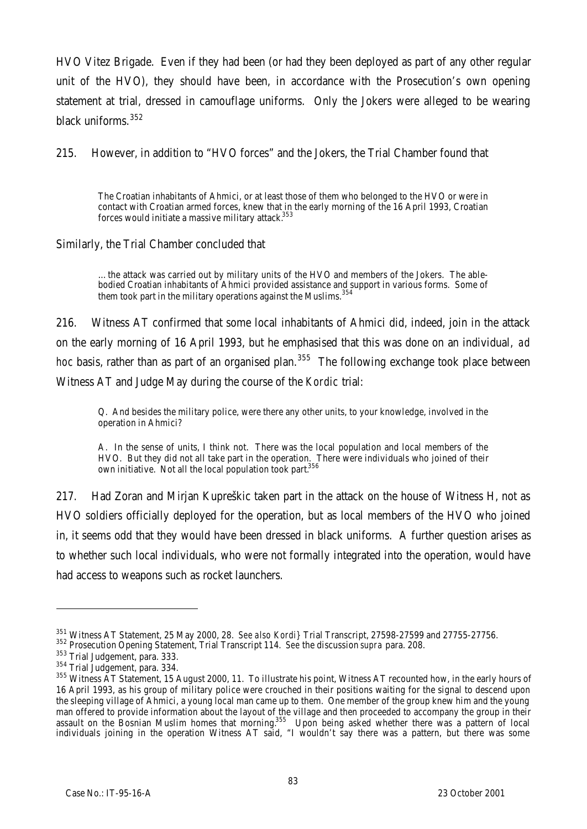HVO Vitez Brigade. Even if they had been (or had they been deployed as part of any other regular unit of the HVO), they should have been, in accordance with the Prosecution's own opening statement at trial, dressed in camouflage uniforms. Only the Jokers were alleged to be wearing black uniforms.<sup>352</sup>

215. However, in addition to "HVO forces" and the Jokers, the Trial Chamber found that

The Croatian inhabitants of Ahmici, or at least those of them who belonged to the HVO or were in contact with Croatian armed forces, knew that in the early morning of the 16 April 1993, Croatian forces would initiate a massive military attack.<sup>353</sup>

Similarly, the Trial Chamber concluded that

…the attack was carried out by military units of the HVO and members of the Jokers. The ablebodied Croatian inhabitants of Ahmici provided assistance and support in various forms. Some of them took part in the military operations against the Muslims.<sup>354</sup>

216. Witness AT confirmed that some local inhabitants of Ahmici did, indeed, join in the attack on the early morning of 16 April 1993, but he emphasised that this was done on an individual, *ad hoc* basis, rather than as part of an organised plan.<sup>355</sup> The following exchange took place between Witness AT and Judge May during the course of the *Kordic* trial:

Q. And besides the military police, were there any other units, to your knowledge, involved in the operation in Ahmici?

A. In the sense of units, I think not. There was the local population and local members of the HVO. But they did not all take part in the operation. There were individuals who joined of their own initiative. Not all the local population took part.<sup>356</sup>

217. Had Zoran and Mirjan Kupreškic taken part in the attack on the house of Witness H, not as HVO soldiers officially deployed for the operation, but as local members of the HVO who joined in, it seems odd that they would have been dressed in black uniforms. A further question arises as to whether such local individuals, who were not formally integrated into the operation, would have had access to weapons such as rocket launchers.

<sup>351</sup> Witness AT Statement, 25 May 2000, 28. *See also Kordi}* Trial Transcript, 27598-27599 and 27755-27756.

<sup>352</sup> Prosecution Opening Statement, Trial Transcript 114. *See* the discussion *supra* para. 208.

<sup>353</sup> Trial Judgement, para. 333.

<sup>354</sup> Trial Judgement, para. 334.

<sup>&</sup>lt;sup>355</sup> Witness AT Statement, 15 August 2000, 11. To illustrate his point, Witness AT recounted how, in the early hours of 16 April 1993, as his group of military police were crouched in their positions waiting for the signal to descend upon the sleeping village of Ahmici, a young local man came up to them. One member of the group knew him and the young man offered to provide information about the layout of the village and then proceeded to accompany the group in their assault on the Bosnian Muslim homes that morning.<sup>355</sup> Upon being asked whether there was a pattern of local individuals joining in the operation Witness AT said, "I wouldn't say there was a pattern, but there was some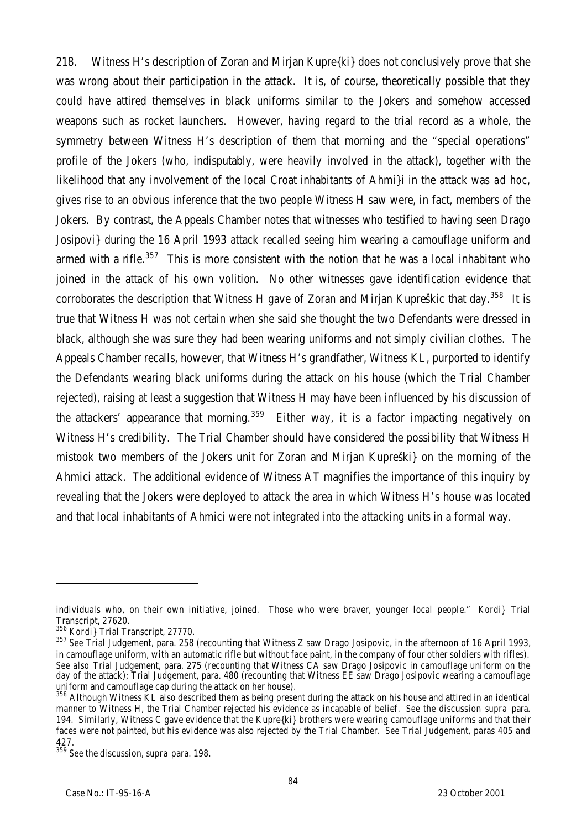218. Witness H's description of Zoran and Mirjan Kupre{ki} does not conclusively prove that she was wrong about their participation in the attack. It is, of course, theoretically possible that they could have attired themselves in black uniforms similar to the Jokers and somehow accessed weapons such as rocket launchers. However, having regard to the trial record as a whole, the symmetry between Witness H's description of them that morning and the "special operations" profile of the Jokers (who, indisputably, were heavily involved in the attack), together with the likelihood that any involvement of the local Croat inhabitants of Ahmi}i in the attack was *ad hoc*, gives rise to an obvious inference that the two people Witness H saw were, in fact, members of the Jokers. By contrast, the Appeals Chamber notes that witnesses who testified to having seen Drago Josipovi} during the 16 April 1993 attack recalled seeing him wearing a camouflage uniform and armed with a rifle.<sup>357</sup> This is more consistent with the notion that he was a local inhabitant who joined in the attack of his own volition. No other witnesses gave identification evidence that corroborates the description that Witness H gave of Zoran and Mirjan Kupreškic that day.<sup>358</sup> It is true that Witness H was not certain when she said she thought the two Defendants were dressed in black, although she was sure they had been wearing uniforms and not simply civilian clothes. The Appeals Chamber recalls, however, that Witness H's grandfather, Witness KL, purported to identify the Defendants wearing black uniforms during the attack on his house (which the Trial Chamber rejected), raising at least a suggestion that Witness H may have been influenced by his discussion of the attackers' appearance that morning.<sup>359</sup> Either way, it is a factor impacting negatively on Witness H's credibility. The Trial Chamber should have considered the possibility that Witness H mistook two members of the Jokers unit for Zoran and Mirjan Kupreški} on the morning of the Ahmici attack. The additional evidence of Witness AT magnifies the importance of this inquiry by revealing that the Jokers were deployed to attack the area in which Witness H's house was located and that local inhabitants of Ahmici were not integrated into the attacking units in a formal way.

individuals who, on their own initiative, joined. Those who were braver, younger local people." *Kordi}* Trial Transcript, 27620.

<sup>356</sup> *Kordi}* Trial Transcript, 27770.

<sup>357</sup> *See* Trial Judgement, para. 258 (recounting that Witness Z saw Drago Josipovic, in the afternoon of 16 April 1993, in camouflage uniform, with an automatic rifle but without face paint, in the company of four other soldiers with rifles). *See also* Trial Judgement, para. 275 (recounting that Witness CA saw Drago Josipovic in camouflage uniform on the day of the attack); Trial Judgement, para. 480 (recounting that Witness EE saw Drago Josipovic wearing a camouflage uniform and camouflage cap during the attack on her house).

<sup>&</sup>lt;sup>358</sup> Although Witness KL also described them as being present during the attack on his house and attired in an identical manner to Witness H, the Trial Chamber rejected his evidence as incapable of belief. *See* the discussion *supra* para. 194. Similarly, Witness C gave evidence that the Kupre{ki} brothers were wearing camouflage uniforms and that their faces were not painted, but his evidence was also rejected by the Trial Chamber. *See* Trial Judgement, paras 405 and 427.

<sup>359</sup> *See* the discussion, *supra* para. 198.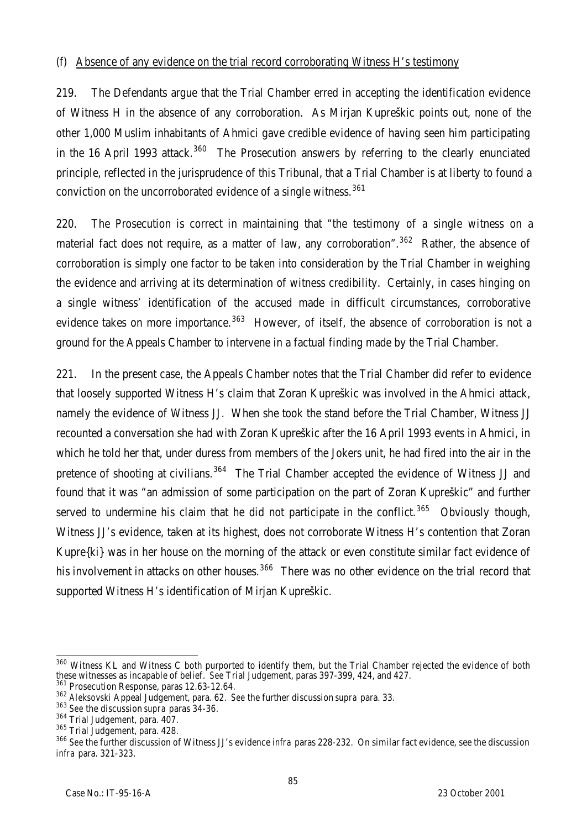#### (f) Absence of any evidence on the trial record corroborating Witness H's testimony

219. The Defendants argue that the Trial Chamber erred in accepting the identification evidence of Witness H in the absence of any corroboration. As Mirjan Kupreškic points out, none of the other 1,000 Muslim inhabitants of Ahmici gave credible evidence of having seen him participating in the 16 April 1993 attack.<sup>360</sup> The Prosecution answers by referring to the clearly enunciated principle, reflected in the jurisprudence of this Tribunal, that a Trial Chamber is at liberty to found a conviction on the uncorroborated evidence of a single witness.<sup>361</sup>

220. The Prosecution is correct in maintaining that "the testimony of a single witness on a material fact does not require, as a matter of law, any corroboration".<sup>362</sup> Rather, the absence of corroboration is simply one factor to be taken into consideration by the Trial Chamber in weighing the evidence and arriving at its determination of witness credibility. Certainly, in cases hinging on a single witness' identification of the accused made in difficult circumstances, corroborative evidence takes on more importance.<sup>363</sup> However, of itself, the absence of corroboration is not a ground for the Appeals Chamber to intervene in a factual finding made by the Trial Chamber.

221. In the present case, the Appeals Chamber notes that the Trial Chamber did refer to evidence that loosely supported Witness H's claim that Zoran Kupreškic was involved in the Ahmici attack, namely the evidence of Witness JJ. When she took the stand before the Trial Chamber, Witness JJ recounted a conversation she had with Zoran Kupreškic after the 16 April 1993 events in Ahmici, in which he told her that, under duress from members of the Jokers unit, he had fired into the air in the pretence of shooting at civilians.<sup>364</sup> The Trial Chamber accepted the evidence of Witness JJ and found that it was "an admission of some participation on the part of Zoran Kupreškic" and further served to undermine his claim that he did not participate in the conflict.<sup>365</sup> Obviously though, Witness JJ's evidence, taken at its highest, does not corroborate Witness H's contention that Zoran Kupre{ki} was in her house on the morning of the attack or even constitute similar fact evidence of his involvement in attacks on other houses.<sup>366</sup> There was no other evidence on the trial record that supported Witness H's identification of Mirjan Kupreškic.

 $\overline{a}$ <sup>360</sup> Witness KL and Witness C both purported to identify them, but the Trial Chamber rejected the evidence of both these witnesses as incapable of belief. *See* Trial Judgement, paras 397-399, 424, and 427.

<sup>&</sup>lt;sup>361</sup> Prosecution Response, paras 12.63-12.64.

<sup>362</sup> *Aleksovski* Appeal Judgement, para. 62. *See* the further discussion *supra* para. 33.

<sup>363</sup> *See* the discussion *supra* paras 34-36.

<sup>364</sup> Trial Judgement, para. 407.

<sup>365</sup> Trial Judgement, para. 428.

<sup>366</sup> *See* the further discussion of Witness JJ's evidence *infra* paras 228-232. On similar fact evidence, see the discussion *infra* para. 321-323.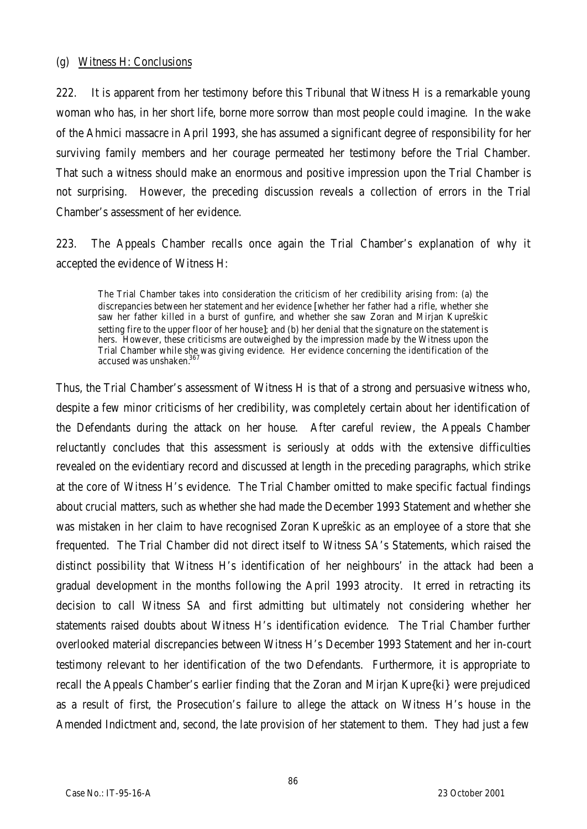#### (g) Witness H: Conclusions

222. It is apparent from her testimony before this Tribunal that Witness H is a remarkable young woman who has, in her short life, borne more sorrow than most people could imagine. In the wake of the Ahmici massacre in April 1993, she has assumed a significant degree of responsibility for her surviving family members and her courage permeated her testimony before the Trial Chamber. That such a witness should make an enormous and positive impression upon the Trial Chamber is not surprising. However, the preceding discussion reveals a collection of errors in the Trial Chamber's assessment of her evidence.

223. The Appeals Chamber recalls once again the Trial Chamber's explanation of why it accepted the evidence of Witness H:

The Trial Chamber takes into consideration the criticism of her credibility arising from: (a) the discrepancies between her statement and her evidence [whether her father had a rifle, whether she saw her father killed in a burst of gunfire, and whether she saw Zoran and Mirjan Kupreškic setting fire to the upper floor of her house]; and (b) her denial that the signature on the statement is hers. However, these criticisms are outweighed by the impression made by the Witness upon the Trial Chamber while she was giving evidence. Her evidence concerning the identification of the accused was unshaken.<sup>36</sup>

Thus, the Trial Chamber's assessment of Witness H is that of a strong and persuasive witness who, despite a few minor criticisms of her credibility, was completely certain about her identification of the Defendants during the attack on her house. After careful review, the Appeals Chamber reluctantly concludes that this assessment is seriously at odds with the extensive difficulties revealed on the evidentiary record and discussed at length in the preceding paragraphs, which strike at the core of Witness H's evidence. The Trial Chamber omitted to make specific factual findings about crucial matters, such as whether she had made the December 1993 Statement and whether she was mistaken in her claim to have recognised Zoran Kupreškic as an employee of a store that she frequented. The Trial Chamber did not direct itself to Witness SA's Statements, which raised the distinct possibility that Witness H's identification of her neighbours' in the attack had been a gradual development in the months following the April 1993 atrocity. It erred in retracting its decision to call Witness SA and first admitting but ultimately not considering whether her statements raised doubts about Witness H's identification evidence. The Trial Chamber further overlooked material discrepancies between Witness H's December 1993 Statement and her in-court testimony relevant to her identification of the two Defendants. Furthermore, it is appropriate to recall the Appeals Chamber's earlier finding that the Zoran and Mirjan Kupre{ki} were prejudiced as a result of first, the Prosecution's failure to allege the attack on Witness H's house in the Amended Indictment and, second, the late provision of her statement to them. They had just a few

86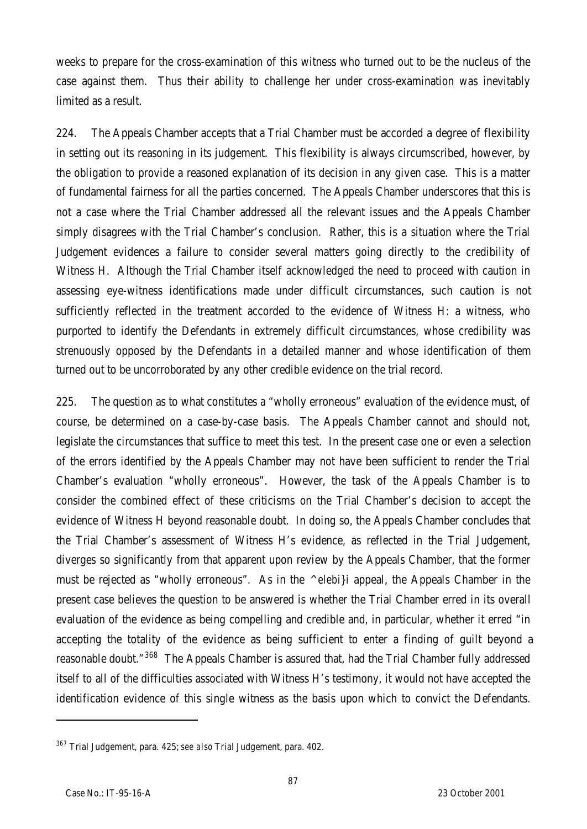weeks to prepare for the cross-examination of this witness who turned out to be the nucleus of the case against them. Thus their ability to challenge her under cross-examination was inevitably limited as a result.

224. The Appeals Chamber accepts that a Trial Chamber must be accorded a degree of flexibility in setting out its reasoning in its judgement. This flexibility is always circumscribed, however, by the obligation to provide a reasoned explanation of its decision in any given case. This is a matter of fundamental fairness for all the parties concerned. The Appeals Chamber underscores that this is not a case where the Trial Chamber addressed all the relevant issues and the Appeals Chamber simply disagrees with the Trial Chamber's conclusion. Rather, this is a situation where the Trial Judgement evidences a failure to consider several matters going directly to the credibility of Witness H. Although the Trial Chamber itself acknowledged the need to proceed with caution in assessing eye-witness identifications made under difficult circumstances, such caution is not sufficiently reflected in the treatment accorded to the evidence of Witness H: a witness, who purported to identify the Defendants in extremely difficult circumstances, whose credibility was strenuously opposed by the Defendants in a detailed manner and whose identification of them turned out to be uncorroborated by any other credible evidence on the trial record.

225. The question as to what constitutes a "wholly erroneous" evaluation of the evidence must, of course, be determined on a case-by-case basis. The Appeals Chamber cannot and should not, legislate the circumstances that suffice to meet this test. In the present case one or even a selection of the errors identified by the Appeals Chamber may not have been sufficient to render the Trial Chamber's evaluation "wholly erroneous". However, the task of the Appeals Chamber is to consider the combined effect of these criticisms on the Trial Chamber's decision to accept the evidence of Witness H beyond reasonable doubt. In doing so, the Appeals Chamber concludes that the Trial Chamber's assessment of Witness H's evidence, as reflected in the Trial Judgement, diverges so significantly from that apparent upon review by the Appeals Chamber, that the former must be rejected as "wholly erroneous". As in the *^elebi}i* appeal, the Appeals Chamber in the present case believes the question to be answered is whether the Trial Chamber erred in its overall evaluation of the evidence as being compelling and credible and, in particular, whether it erred "in accepting the totality of the evidence as being sufficient to enter a finding of guilt beyond a reasonable doubt."<sup>368</sup> The Appeals Chamber is assured that, had the Trial Chamber fully addressed itself to all of the difficulties associated with Witness H's testimony, it would not have accepted the identification evidence of this single witness as the basis upon which to convict the Defendants.

<sup>367</sup> Trial Judgement, para. 425; *see also* Trial Judgement, para. 402.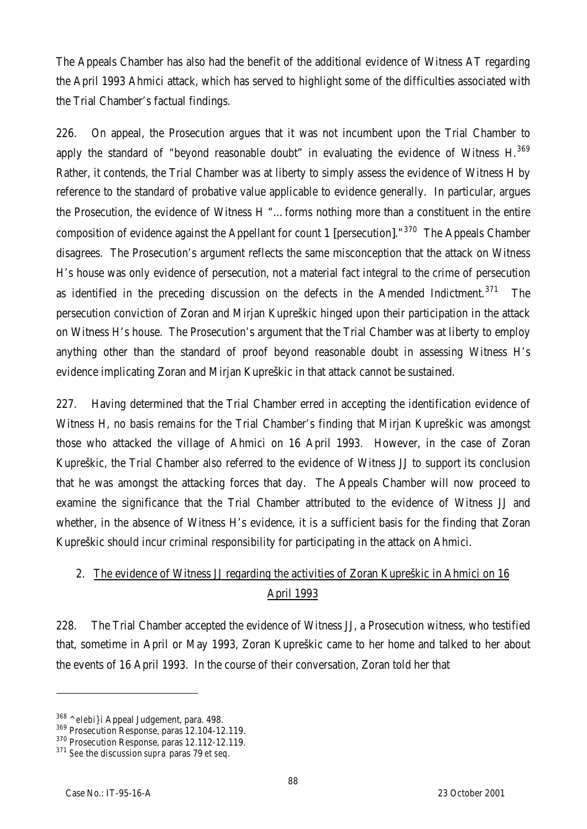The Appeals Chamber has also had the benefit of the additional evidence of Witness AT regarding the April 1993 Ahmici attack, which has served to highlight some of the difficulties associated with the Trial Chamber's factual findings.

226. On appeal, the Prosecution argues that it was not incumbent upon the Trial Chamber to apply the standard of "beyond reasonable doubt" in evaluating the evidence of Witness H. $369$ Rather, it contends, the Trial Chamber was at liberty to simply assess the evidence of Witness H by reference to the standard of probative value applicable to evidence generally. In particular, argues the Prosecution, the evidence of Witness H "…forms nothing more than a constituent in the entire composition of evidence against the Appellant for count 1 [persecution]."<sup>370</sup> The Appeals Chamber disagrees. The Prosecution's argument reflects the same misconception that the attack on Witness H's house was only evidence of persecution, not a material fact integral to the crime of persecution as identified in the preceding discussion on the defects in the Amended Indictment.<sup>371</sup> The persecution conviction of Zoran and Mirjan Kupreškic hinged upon their participation in the attack on Witness H's house. The Prosecution's argument that the Trial Chamber was at liberty to employ anything other than the standard of proof beyond reasonable doubt in assessing Witness H's evidence implicating Zoran and Mirjan Kupreškic in that attack cannot be sustained.

227. Having determined that the Trial Chamber erred in accepting the identification evidence of Witness H, no basis remains for the Trial Chamber's finding that Mirjan Kupreškic was amongst those who attacked the village of Ahmici on 16 April 1993. However, in the case of Zoran Kupreškic, the Trial Chamber also referred to the evidence of Witness JJ to support its conclusion that he was amongst the attacking forces that day. The Appeals Chamber will now proceed to examine the significance that the Trial Chamber attributed to the evidence of Witness JJ and whether, in the absence of Witness H's evidence, it is a sufficient basis for the finding that Zoran Kupreškic should incur criminal responsibility for participating in the attack on Ahmici.

# 2. The evidence of Witness JJ regarding the activities of Zoran Kupreškic in Ahmici on 16 April 1993

228. The Trial Chamber accepted the evidence of Witness JJ, a Prosecution witness, who testified that, sometime in April or May 1993, Zoran Kupreškic came to her home and talked to her about the events of 16 April 1993. In the course of their conversation, Zoran told her that

<sup>369</sup> Prosecution Response, paras 12.104-12.119.

<sup>368</sup> *^elebi}i* Appeal Judgement, para. 498.

<sup>&</sup>lt;sup>370</sup> Prosecution Response, paras 12.112-12.119.

<sup>371</sup> *See* the discussion *supra* paras 79 *et seq.*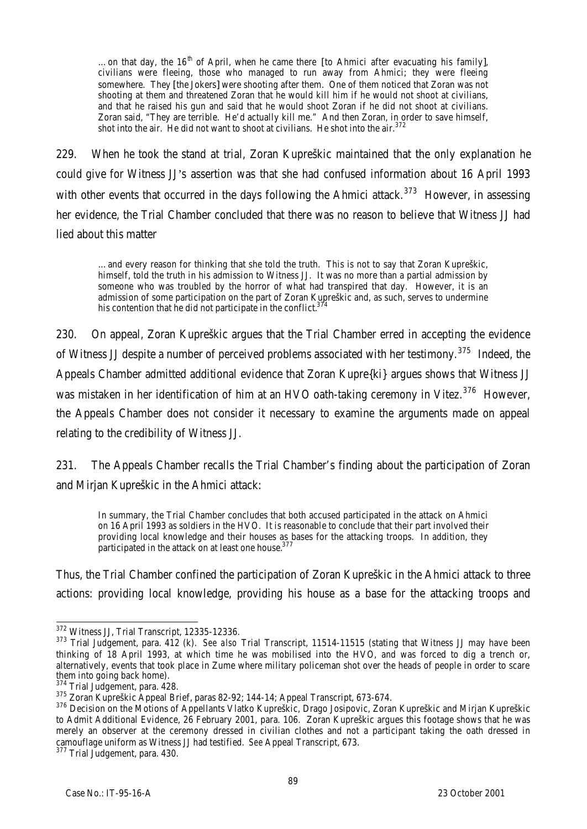...on that day, the 16<sup>th</sup> of April, when he came there [to Ahmici after evacuating his family], civilians were fleeing, those who managed to run away from Ahmici; they were fleeing somewhere. They [the Jokers] were shooting after them. One of them noticed that Zoran was not shooting at them and threatened Zoran that he would kill him if he would not shoot at civilians, and that he raised his gun and said that he would shoot Zoran if he did not shoot at civilians. Zoran said, "They are terrible. He'd actually kill me." And then Zoran, in order to save himself, shot into the air. He did not want to shoot at civilians. He shot into the air. $372$ 

229. When he took the stand at trial, Zoran Kupreškic maintained that the only explanation he could give for Witness JJ's assertion was that she had confused information about 16 April 1993 with other events that occurred in the days following the Ahmici attack.<sup>373</sup> However, in assessing her evidence, the Trial Chamber concluded that there was no reason to believe that Witness JJ had lied about this matter

…and every reason for thinking that she told the truth. This is not to say that Zoran Kupreškic, himself, told the truth in his admission to Witness JJ. It was no more than a partial admission by someone who was troubled by the horror of what had transpired that day. However, it is an admission of some participation on the part of Zoran Kupreškic and, as such, serves to undermine his contention that he did not participate in the conflict. $37$ 

230. On appeal, Zoran Kupreškic argues that the Trial Chamber erred in accepting the evidence of Witness JJ despite a number of perceived problems associated with her testimony.<sup>375</sup> Indeed, the Appeals Chamber admitted additional evidence that Zoran Kupre{ki} argues shows that Witness JJ was mistaken in her identification of him at an HVO oath-taking ceremony in Vitez.<sup>376</sup> However, the Appeals Chamber does not consider it necessary to examine the arguments made on appeal relating to the credibility of Witness JJ.

231. The Appeals Chamber recalls the Trial Chamber's finding about the participation of Zoran and Mirjan Kupreškic in the Ahmici attack:

In summary, the Trial Chamber concludes that both accused participated in the attack on Ahmici on 16 April 1993 as soldiers in the HVO. It is reasonable to conclude that their part involved their providing local knowledge and their houses as bases for the attacking troops. In addition, they participated in the attack on at least one house.<sup>3</sup>

Thus, the Trial Chamber confined the participation of Zoran Kupreškic in the Ahmici attack to three actions: providing local knowledge, providing his house as a base for the attacking troops and

 $\overline{a}$ <sup>372</sup> Witness JJ, Trial Transcript, 12335-12336.

<sup>373</sup> Trial Judgement, para. 412 (k). *See also* Trial Transcript, 11514-11515 (stating that Witness JJ may have been thinking of 18 April 1993, at which time he was mobilised into the HVO, and was forced to dig a trench or, alternatively, events that took place in Zume where military policeman shot over the heads of people in order to scare them into going back home).

<sup>&</sup>lt;sup>374</sup> Trial Judgement, para. 428.

<sup>375</sup> Zoran Kupreškic Appeal Brief, paras 82-92; 144-14; Appeal Transcript, 673-674.

<sup>376</sup> Decision on the Motions of Appellants Vlatko Kupreškic, Drago Josipovic, Zoran Kupreškic and Mirjan Kupreškic to Admit Additional Evidence, 26 February 2001, para. 106. Zoran Kupreškic argues this footage shows that he was merely an observer at the ceremony dressed in civilian clothes and not a participant taking the oath dressed in camouflage uniform as Witness JJ had testified. *See* Appeal Transcript, 673.

<sup>377</sup> Trial Judgement, para. 430.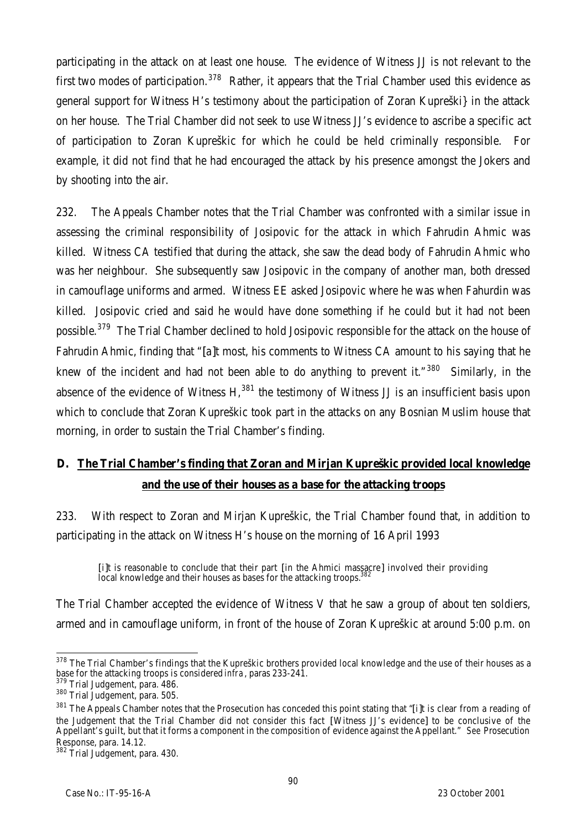participating in the attack on at least one house. The evidence of Witness JJ is not relevant to the first two modes of participation.<sup>378</sup> Rather, it appears that the Trial Chamber used this evidence as general support for Witness H's testimony about the participation of Zoran Kupreški} in the attack on her house. The Trial Chamber did not seek to use Witness JJ's evidence to ascribe a specific act of participation to Zoran Kupreškic for which he could be held criminally responsible. For example, it did not find that he had encouraged the attack by his presence amongst the Jokers and by shooting into the air.

232. The Appeals Chamber notes that the Trial Chamber was confronted with a similar issue in assessing the criminal responsibility of Josipovic for the attack in which Fahrudin Ahmic was killed. Witness CA testified that during the attack, she saw the dead body of Fahrudin Ahmic who was her neighbour. She subsequently saw Josipovic in the company of another man, both dressed in camouflage uniforms and armed. Witness EE asked Josipovic where he was when Fahurdin was killed. Josipovic cried and said he would have done something if he could but it had not been possible.<sup>379</sup> The Trial Chamber declined to hold Josipovic responsible for the attack on the house of Fahrudin Ahmic, finding that "[a]t most, his comments to Witness CA amount to his saying that he knew of the incident and had not been able to do anything to prevent it. $"380$  Similarly, in the absence of the evidence of Witness  $H<sub>1</sub><sup>381</sup>$  the testimony of Witness JJ is an insufficient basis upon which to conclude that Zoran Kupreškic took part in the attacks on any Bosnian Muslim house that morning, in order to sustain the Trial Chamber's finding.

# **D. The Trial Chamber's finding that Zoran and Mirjan Kupreškic provided local knowledge and the use of their houses as a base for the attacking troops**

233. With respect to Zoran and Mirjan Kupreškic, the Trial Chamber found that, in addition to participating in the attack on Witness H's house on the morning of 16 April 1993

[i]t is reasonable to conclude that their part [in the Ahmici massacre] involved their providing local knowledge and their houses as bases for the attacking troops.

The Trial Chamber accepted the evidence of Witness V that he saw a group of about ten soldiers, armed and in camouflage uniform, in front of the house of Zoran Kupreškic at around 5:00 p.m. on

 $\overline{a}$  $378$  The Trial Chamber's findings that the Kupreškic brothers provided local knowledge and the use of their houses as a base for the attacking troops is considered *infra*, paras 233-241.

<sup>&</sup>lt;sup>379</sup> Trial Judgement, para. 486.

<sup>380</sup> Trial Judgement, para. 505.

<sup>&</sup>lt;sup>381</sup> The Appeals Chamber notes that the Prosecution has conceded this point stating that "[i]t is clear from a reading of the Judgement that the Trial Chamber did not consider this fact [Witness JJ's evidence] to be conclusive of the Appellant's guilt, but that it forms a component in the composition of evidence against the Appellant." *See* Prosecution Response, para. 14.12.

<sup>382</sup> Trial Judgement, para. 430.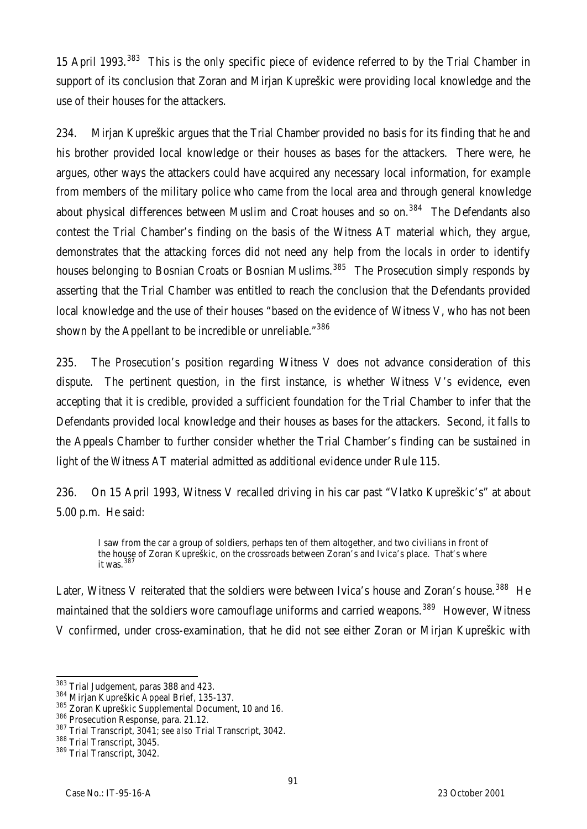15 April 1993.<sup>383</sup> This is the only specific piece of evidence referred to by the Trial Chamber in support of its conclusion that Zoran and Mirjan Kupreškic were providing local knowledge and the use of their houses for the attackers.

234. Mirjan Kupreškic argues that the Trial Chamber provided no basis for its finding that he and his brother provided local knowledge or their houses as bases for the attackers. There were, he argues, other ways the attackers could have acquired any necessary local information, for example from members of the military police who came from the local area and through general knowledge about physical differences between Muslim and Croat houses and so on.<sup>384</sup> The Defendants also contest the Trial Chamber's finding on the basis of the Witness AT material which, they argue, demonstrates that the attacking forces did not need any help from the locals in order to identify houses belonging to Bosnian Croats or Bosnian Muslims.<sup>385</sup> The Prosecution simply responds by asserting that the Trial Chamber was entitled to reach the conclusion that the Defendants provided local knowledge and the use of their houses "based on the evidence of Witness V, who has not been shown by the Appellant to be incredible or unreliable."<sup>386</sup>

235. The Prosecution's position regarding Witness V does not advance consideration of this dispute. The pertinent question, in the first instance, is whether Witness V's evidence, even accepting that it is credible, provided a sufficient foundation for the Trial Chamber to infer that the Defendants provided local knowledge and their houses as bases for the attackers. Second, it falls to the Appeals Chamber to further consider whether the Trial Chamber's finding can be sustained in light of the Witness AT material admitted as additional evidence under Rule 115.

236. On 15 April 1993, Witness V recalled driving in his car past "Vlatko Kupreškic's" at about 5.00 p.m. He said:

I saw from the car a group of soldiers, perhaps ten of them altogether, and two civilians in front of the house of Zoran Kupreškic, on the crossroads between Zoran's and Ivica's place. That's where it was. $3$ 

Later, Witness V reiterated that the soldiers were between Ivica's house and Zoran's house.<sup>388</sup> He maintained that the soldiers wore camouflage uniforms and carried weapons.<sup>389</sup> However, Witness V confirmed, under cross-examination, that he did not see either Zoran or Mirjan Kupreškic with

 $\overline{a}$  $383$  Trial Judgement, paras 388 and 423.

<sup>384</sup> Mirjan Kupreškic Appeal Brief, 135-137.

<sup>385</sup> Zoran Kupreškic Supplemental Document, 10 and 16.

<sup>386</sup> Prosecution Response, para. 21.12.

<sup>387</sup> Trial Transcript, 3041; *see also* Trial Transcript, 3042.

<sup>388</sup> Trial Transcript, 3045.

<sup>389</sup> Trial Transcript, 3042.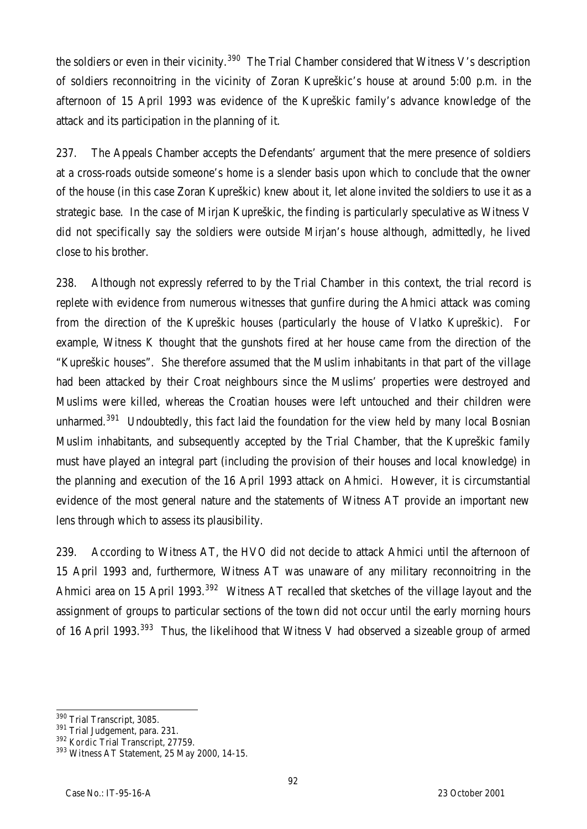the soldiers or even in their vicinity.<sup>390</sup> The Trial Chamber considered that Witness V's description of soldiers reconnoitring in the vicinity of Zoran Kupreškic's house at around 5:00 p.m. in the afternoon of 15 April 1993 was evidence of the Kupreškic family's advance knowledge of the attack and its participation in the planning of it.

237. The Appeals Chamber accepts the Defendants' argument that the mere presence of soldiers at a cross-roads outside someone's home is a slender basis upon which to conclude that the owner of the house (in this case Zoran Kupreškic) knew about it, let alone invited the soldiers to use it as a strategic base. In the case of Mirjan Kupreškic, the finding is particularly speculative as Witness V did not specifically say the soldiers were outside Mirjan's house although, admittedly, he lived close to his brother.

238. Although not expressly referred to by the Trial Chamber in this context, the trial record is replete with evidence from numerous witnesses that gunfire during the Ahmici attack was coming from the direction of the Kupreškic houses (particularly the house of Vlatko Kupreškic). For example, Witness K thought that the gunshots fired at her house came from the direction of the "Kupreškic houses". She therefore assumed that the Muslim inhabitants in that part of the village had been attacked by their Croat neighbours since the Muslims' properties were destroyed and Muslims were killed, whereas the Croatian houses were left untouched and their children were unharmed.<sup>391</sup> Undoubtedly, this fact laid the foundation for the view held by many local Bosnian Muslim inhabitants, and subsequently accepted by the Trial Chamber, that the Kupreškic family must have played an integral part (including the provision of their houses and local knowledge) in the planning and execution of the 16 April 1993 attack on Ahmici. However, it is circumstantial evidence of the most general nature and the statements of Witness AT provide an important new lens through which to assess its plausibility.

239. According to Witness AT, the HVO did not decide to attack Ahmici until the afternoon of 15 April 1993 and, furthermore, Witness AT was unaware of any military reconnoitring in the Ahmici area on 15 April 1993.<sup>392</sup> Witness AT recalled that sketches of the village layout and the assignment of groups to particular sections of the town did not occur until the early morning hours of 16 April 1993.<sup>393</sup> Thus, the likelihood that Witness V had observed a sizeable group of armed

 $\overline{a}$ <sup>390</sup> Trial Transcript, 3085.

<sup>391</sup> Trial Judgement, para. 231.

<sup>392</sup> *Kordic* Trial Transcript, 27759.

<sup>393</sup> Witness AT Statement, 25 May 2000, 14-15.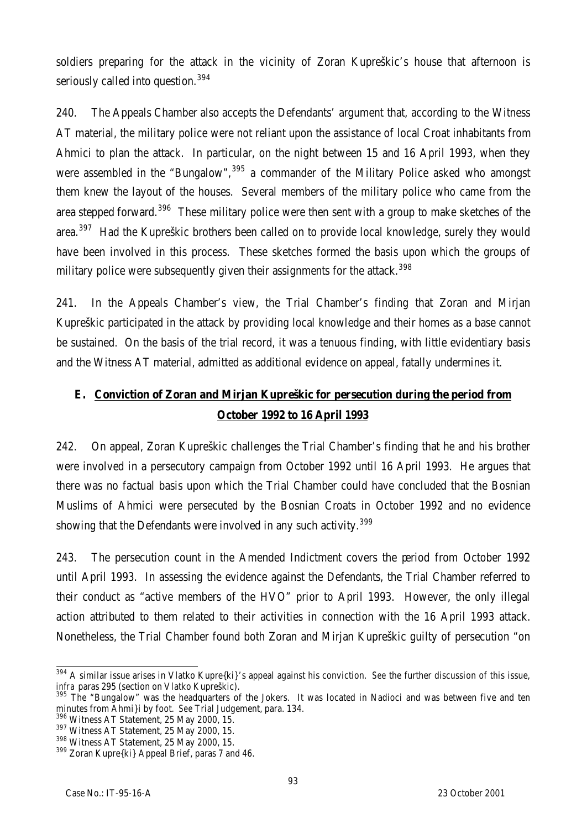soldiers preparing for the attack in the vicinity of Zoran Kupreškic's house that afternoon is seriously called into question.<sup>394</sup>

240. The Appeals Chamber also accepts the Defendants' argument that, according to the Witness AT material, the military police were not reliant upon the assistance of local Croat inhabitants from Ahmici to plan the attack. In particular, on the night between 15 and 16 April 1993, when they were assembled in the "Bungalow",<sup>395</sup> a commander of the Military Police asked who amongst them knew the layout of the houses. Several members of the military police who came from the area stepped forward.<sup>396</sup> These military police were then sent with a group to make sketches of the area.<sup>397</sup> Had the Kupreškic brothers been called on to provide local knowledge, surely they would have been involved in this process. These sketches formed the basis upon which the groups of military police were subsequently given their assignments for the attack.<sup>398</sup>

241. In the Appeals Chamber's view, the Trial Chamber's finding that Zoran and Mirjan Kupreškic participated in the attack by providing local knowledge and their homes as a base cannot be sustained. On the basis of the trial record, it was a tenuous finding, with little evidentiary basis and the Witness AT material, admitted as additional evidence on appeal, fatally undermines it.

# **E. Conviction of Zoran and Mirjan Kupreškic for persecution during the period from October 1992 to 16 April 1993**

242. On appeal, Zoran Kupreškic challenges the Trial Chamber's finding that he and his brother were involved in a persecutory campaign from October 1992 until 16 April 1993. He argues that there was no factual basis upon which the Trial Chamber could have concluded that the Bosnian Muslims of Ahmici were persecuted by the Bosnian Croats in October 1992 and no evidence showing that the Defendants were involved in any such activity.  $399$ 

243. The persecution count in the Amended Indictment covers the period from October 1992 until April 1993. In assessing the evidence against the Defendants, the Trial Chamber referred to their conduct as "active members of the HVO" prior to April 1993. However, the only illegal action attributed to them related to their activities in connection with the 16 April 1993 attack. Nonetheless, the Trial Chamber found both Zoran and Mirjan Kupreškic guilty of persecution "on

 $\overline{a}$ <sup>394</sup> A similar issue arises in Vlatko Kupre{ki}'s appeal against his conviction. *See* the further discussion of this issue, *infra* paras 295 (section on Vlatko Kupreškic).

<sup>&</sup>lt;sup>395</sup> The "Bungalow" was the headquarters of the Jokers. It was located in Nadioci and was between five and ten minutes from Ahmi}i by foot. *See* Trial Judgement, para. 134.

<sup>396</sup> Witness AT Statement, 25 May 2000, 15.

<sup>397</sup> Witness AT Statement, 25 May 2000, 15.

<sup>&</sup>lt;sup>398</sup> Witness AT Statement, 25 May 2000, 15.

<sup>&</sup>lt;sup>399</sup> Zoran Kupre{ki} Appeal Brief, paras 7 and 46.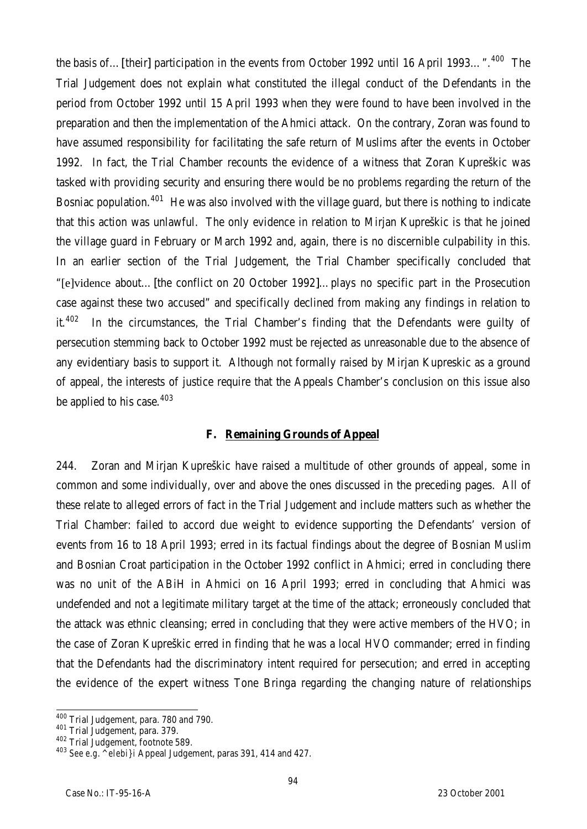the basis of...[their] participation in the events from October 1992 until 16 April 1993...".<sup>400</sup> The Trial Judgement does not explain what constituted the illegal conduct of the Defendants in the period from October 1992 until 15 April 1993 when they were found to have been involved in the preparation and then the implementation of the Ahmici attack. On the contrary, Zoran was found to have assumed responsibility for facilitating the safe return of Muslims after the events in October 1992. In fact, the Trial Chamber recounts the evidence of a witness that Zoran Kupreškic was tasked with providing security and ensuring there would be no problems regarding the return of the Bosniac population.<sup>401</sup> He was also involved with the village guard, but there is nothing to indicate that this action was unlawful. The only evidence in relation to Mirjan Kupreškic is that he joined the village guard in February or March 1992 and, again, there is no discernible culpability in this. In an earlier section of the Trial Judgement, the Trial Chamber specifically concluded that "[e]vidence about…[the conflict on 20 October 1992]…plays no specific part in the Prosecution case against these two accused" and specifically declined from making any findings in relation to it.<sup>402</sup> In the circumstances, the Trial Chamber's finding that the Defendants were quilty of persecution stemming back to October 1992 must be rejected as unreasonable due to the absence of any evidentiary basis to support it. Although not formally raised by Mirjan Kupreskic as a ground of appeal, the interests of justice require that the Appeals Chamber's conclusion on this issue also be applied to his case.<sup>403</sup>

## **F. Remaining Grounds of Appeal**

244. Zoran and Mirjan Kupreškic have raised a multitude of other grounds of appeal, some in common and some individually, over and above the ones discussed in the preceding pages. All of these relate to alleged errors of fact in the Trial Judgement and include matters such as whether the Trial Chamber: failed to accord due weight to evidence supporting the Defendants' version of events from 16 to 18 April 1993; erred in its factual findings about the degree of Bosnian Muslim and Bosnian Croat participation in the October 1992 conflict in Ahmici; erred in concluding there was no unit of the ABiH in Ahmici on 16 April 1993; erred in concluding that Ahmici was undefended and not a legitimate military target at the time of the attack; erroneously concluded that the attack was ethnic cleansing; erred in concluding that they were active members of the HVO; in the case of Zoran Kupreškic erred in finding that he was a local HVO commander; erred in finding that the Defendants had the discriminatory intent required for persecution; and erred in accepting the evidence of the expert witness Tone Bringa regarding the changing nature of relationships

 $\overline{a}$ <sup>400</sup> Trial Judgement, para. 780 and 790.

<sup>401</sup> Trial Judgement, para. 379.

<sup>402</sup> Trial Judgement, footnote 589.

<sup>403</sup> *See e.g. ^elebi}i* Appeal Judgement, paras 391, 414 and 427.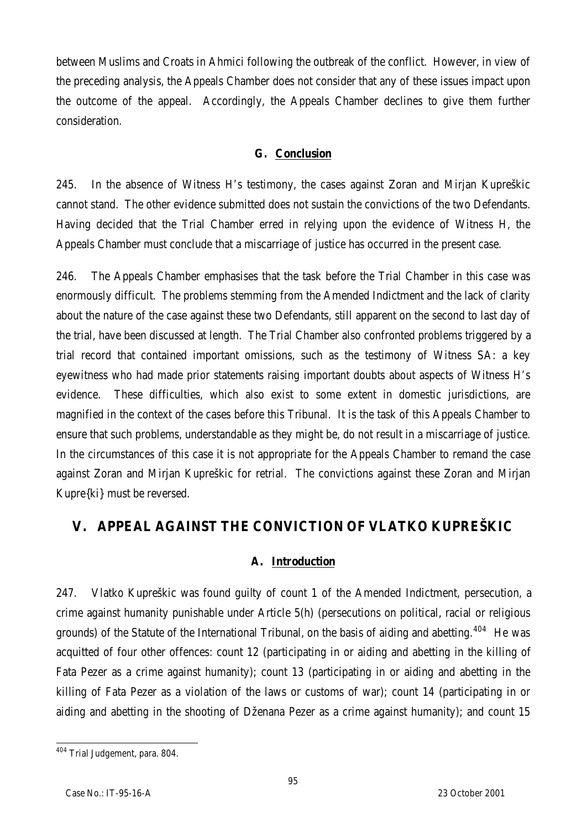between Muslims and Croats in Ahmici following the outbreak of the conflict. However, in view of the preceding analysis, the Appeals Chamber does not consider that any of these issues impact upon the outcome of the appeal. Accordingly, the Appeals Chamber declines to give them further consideration.

## **G. Conclusion**

245. In the absence of Witness H's testimony, the cases against Zoran and Mirjan Kupreškic cannot stand. The other evidence submitted does not sustain the convictions of the two Defendants. Having decided that the Trial Chamber erred in relying upon the evidence of Witness H, the Appeals Chamber must conclude that a miscarriage of justice has occurred in the present case.

246. The Appeals Chamber emphasises that the task before the Trial Chamber in this case was enormously difficult. The problems stemming from the Amended Indictment and the lack of clarity about the nature of the case against these two Defendants, still apparent on the second to last day of the trial, have been discussed at length. The Trial Chamber also confronted problems triggered by a trial record that contained important omissions, such as the testimony of Witness SA: a key eyewitness who had made prior statements raising important doubts about aspects of Witness H's evidence. These difficulties, which also exist to some extent in domestic jurisdictions, are magnified in the context of the cases before this Tribunal. It is the task of this Appeals Chamber to ensure that such problems, understandable as they might be, do not result in a miscarriage of justice. In the circumstances of this case it is not appropriate for the Appeals Chamber to remand the case against Zoran and Mirjan Kupreškic for retrial. The convictions against these Zoran and Mirjan Kupre{ki} must be reversed.

# **V. APPEAL AGAINST THE CONVICTION OF VLATKO KUPREŠKIC**

# **A. Introduction**

247. Vlatko Kupreškic was found guilty of count 1 of the Amended Indictment, persecution, a crime against humanity punishable under Article 5(h) (persecutions on political, racial or religious grounds) of the Statute of the International Tribunal, on the basis of aiding and abetting.<sup>404</sup> He was acquitted of four other offences: count 12 (participating in or aiding and abetting in the killing of Fata Pezer as a crime against humanity); count 13 (participating in or aiding and abetting in the killing of Fata Pezer as a violation of the laws or customs of war); count 14 (participating in or aiding and abetting in the shooting of Dženana Pezer as a crime against humanity); and count 15

 $\overline{a}$ <sup>404</sup> Trial Judgement, para. 804.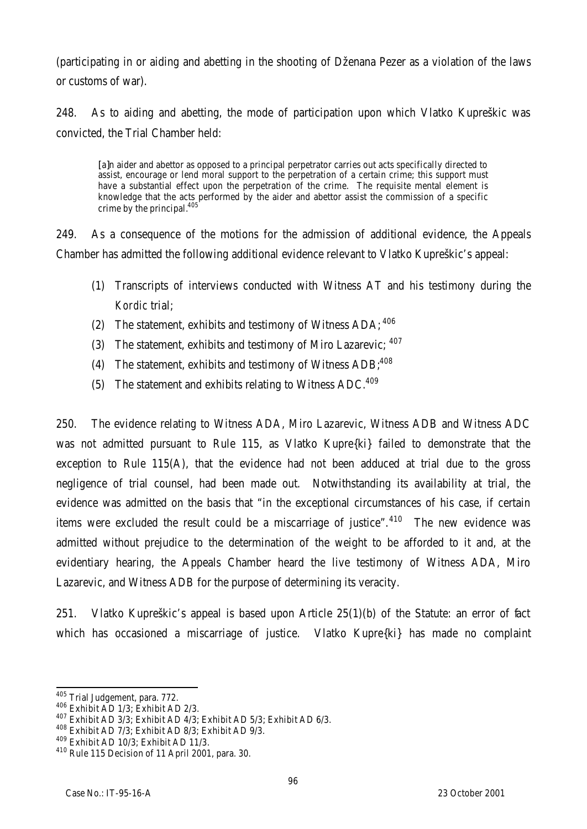(participating in or aiding and abetting in the shooting of Dženana Pezer as a violation of the laws or customs of war).

248. As to aiding and abetting, the mode of participation upon which Vlatko Kupreškic was convicted, the Trial Chamber held:

[a]n aider and abettor as opposed to a principal perpetrator carries out acts specifically directed to assist, encourage or lend moral support to the perpetration of a certain crime; this support must have a substantial effect upon the perpetration of the crime. The requisite mental element is knowledge that the acts performed by the aider and abettor assist the commission of a specific crime by the principal.<sup>405</sup>

249. As a consequence of the motions for the admission of additional evidence, the Appeals Chamber has admitted the following additional evidence relevant to Vlatko Kupreškic's appeal:

- (1) Transcripts of interviews conducted with Witness AT and his testimony during the *Kordic* trial;
- (2) The statement, exhibits and testimony of Witness  $ADA: <sup>406</sup>$
- (3) The statement, exhibits and testimony of Miro Lazarevic;  $407$
- (4) The statement, exhibits and testimony of Witness  $\text{ADB}^{408}$
- (5) The statement and exhibits relating to Witness ADC.<sup>409</sup>

250. The evidence relating to Witness ADA, Miro Lazarevic, Witness ADB and Witness ADC was not admitted pursuant to Rule 115, as Vlatko Kupre{ki} failed to demonstrate that the exception to Rule 115(A), that the evidence had not been adduced at trial due to the gross negligence of trial counsel, had been made out. Notwithstanding its availability at trial, the evidence was admitted on the basis that "in the exceptional circumstances of his case, if certain items were excluded the result could be a miscarriage of justice". $410$  The new evidence was admitted without prejudice to the determination of the weight to be afforded to it and, at the evidentiary hearing, the Appeals Chamber heard the live testimony of Witness ADA, Miro Lazarevic, and Witness ADB for the purpose of determining its veracity.

251. Vlatko Kupreškic's appeal is based upon Article 25(1)(b) of the Statute: an error of fact which has occasioned a miscarriage of justice. Vlatko Kupre{ki} has made no complaint

 $\overline{a}$ 

<sup>&</sup>lt;sup>405</sup> Trial Judgement, para. 772.

<sup>406</sup> Exhibit AD 1/3; Exhibit AD 2/3.

<sup>407</sup> Exhibit AD 3/3; Exhibit AD 4/3; Exhibit AD 5/3; Exhibit AD 6/3.

<sup>408</sup> Exhibit AD 7/3; Exhibit AD 8/3; Exhibit AD 9/3.

<sup>409</sup> Exhibit AD 10/3; Exhibit AD 11/3.

<sup>410</sup> Rule 115 Decision of 11 April 2001, para. 30.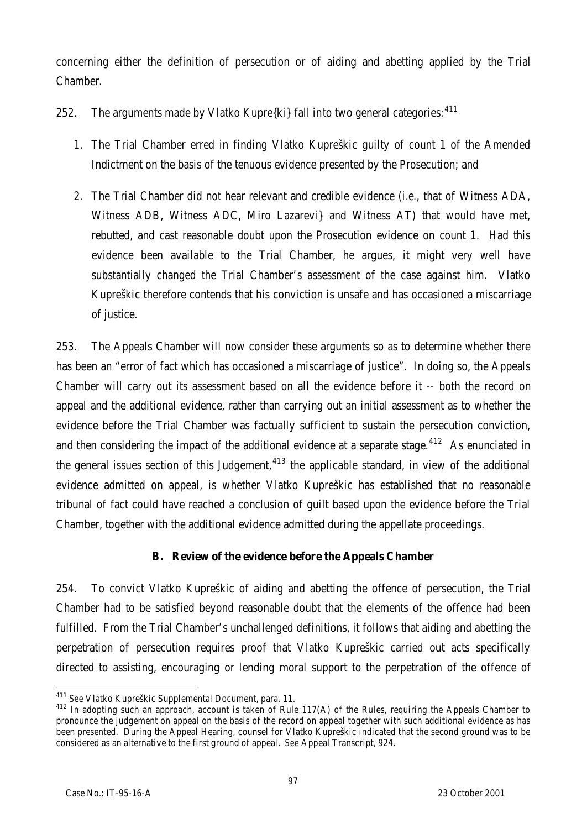concerning either the definition of persecution or of aiding and abetting applied by the Trial Chamber.

- 252. The arguments made by Vlatko Kupre $\{ki\}$  fall into two general categories:  $411$ 
	- 1. The Trial Chamber erred in finding Vlatko Kupreškic guilty of count 1 of the Amended Indictment on the basis of the tenuous evidence presented by the Prosecution; and
	- 2. The Trial Chamber did not hear relevant and credible evidence (i.e*.*, that of Witness ADA, Witness ADB, Witness ADC, Miro Lazarevi} and Witness AT) that would have met, rebutted, and cast reasonable doubt upon the Prosecution evidence on count 1. Had this evidence been available to the Trial Chamber, he argues, it might very well have substantially changed the Trial Chamber's assessment of the case against him. Vlatko Kupreškic therefore contends that his conviction is unsafe and has occasioned a miscarriage of justice.

253. The Appeals Chamber will now consider these arguments so as to determine whether there has been an "error of fact which has occasioned a miscarriage of justice". In doing so, the Appeals Chamber will carry out its assessment based on all the evidence before it -- both the record on appeal and the additional evidence, rather than carrying out an initial assessment as to whether the evidence before the Trial Chamber was factually sufficient to sustain the persecution conviction, and then considering the impact of the additional evidence at a separate stage.<sup>412</sup> As enunciated in the general issues section of this Judgement, $413$  the applicable standard, in view of the additional evidence admitted on appeal, is whether Vlatko Kupreškic has established that no reasonable tribunal of fact could have reached a conclusion of guilt based upon the evidence before the Trial Chamber, together with the additional evidence admitted during the appellate proceedings.

# **B. Review of the evidence before the Appeals Chamber**

254. To convict Vlatko Kupreškic of aiding and abetting the offence of persecution, the Trial Chamber had to be satisfied beyond reasonable doubt that the elements of the offence had been fulfilled. From the Trial Chamber's unchallenged definitions, it follows that aiding and abetting the perpetration of persecution requires proof that Vlatko Kupreškic carried out acts specifically directed to assisting, encouraging or lending moral support to the perpetration of the offence of

 $\overline{a}$ <sup>411</sup> *See* Vlatko Kupreškic Supplemental Document, para. 11.

<sup>&</sup>lt;sup>412</sup> In adopting such an approach, account is taken of Rule 117(A) of the Rules, requiring the Appeals Chamber to pronounce the judgement on appeal on the basis of the record on appeal together with such additional evidence as has been presented. During the Appeal Hearing, counsel for Vlatko Kupreškic indicated that the second ground was to be considered as an alternative to the first ground of appeal. *See* Appeal Transcript, 924.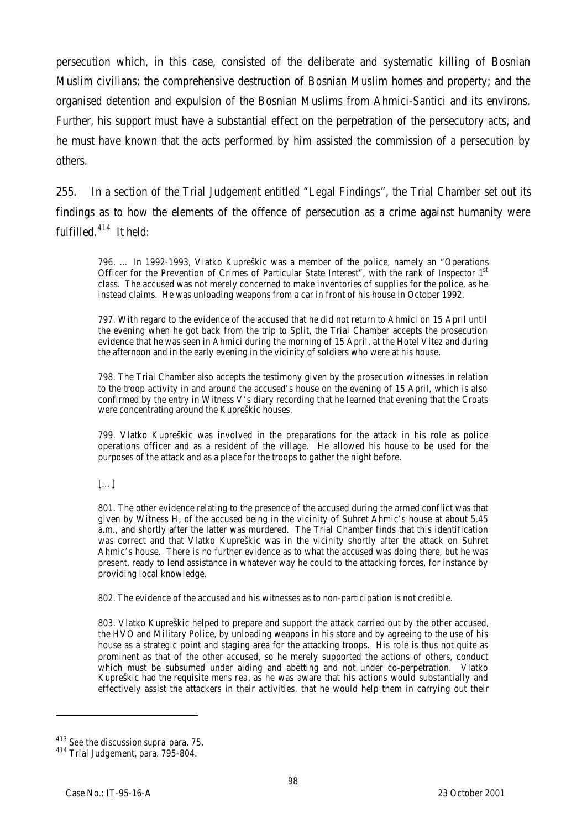persecution which, in this case, consisted of the deliberate and systematic killing of Bosnian Muslim civilians; the comprehensive destruction of Bosnian Muslim homes and property; and the organised detention and expulsion of the Bosnian Muslims from Ahmici-Santici and its environs. Further, his support must have a substantial effect on the perpetration of the persecutory acts, and he must have known that the acts performed by him assisted the commission of a persecution by others.

255. In a section of the Trial Judgement entitled "Legal Findings", the Trial Chamber set out its findings as to how the elements of the offence of persecution as a crime against humanity were fulfilled.<sup>414</sup> It held:

796. … In 1992-1993, Vlatko Kupreškic was a member of the police, namely an "Operations Officer for the Prevention of Crimes of Particular State Interest", with the rank of Inspector 1st class. The accused was not merely concerned to make inventories of supplies for the police, as he instead claims. He was unloading weapons from a car in front of his house in October 1992.

797. With regard to the evidence of the accused that he did not return to Ahmici on 15 April until the evening when he got back from the trip to Split, the Trial Chamber accepts the prosecution evidence that he was seen in Ahmici during the morning of 15 April, at the Hotel Vitez and during the afternoon and in the early evening in the vicinity of soldiers who were at his house.

798. The Trial Chamber also accepts the testimony given by the prosecution witnesses in relation to the troop activity in and around the accused's house on the evening of 15 April, which is also confirmed by the entry in Witness V's diary recording that he learned that evening that the Croats were concentrating around the Kupreškic houses.

799. Vlatko Kupreškic was involved in the preparations for the attack in his role as police operations officer and as a resident of the village. He allowed his house to be used for the purposes of the attack and as a place for the troops to gather the night before.

 $[\ldots]$ 

801. The other evidence relating to the presence of the accused during the armed conflict was that given by Witness H, of the accused being in the vicinity of Suhret Ahmic's house at about 5.45 a.m., and shortly after the latter was murdered. The Trial Chamber finds that this identification was correct and that Vlatko Kupreškic was in the vicinity shortly after the attack on Suhret Ahmic's house. There is no further evidence as to what the accused was doing there, but he was present, ready to lend assistance in whatever way he could to the attacking forces, for instance by providing local knowledge.

802. The evidence of the accused and his witnesses as to non-participation is not credible.

803. Vlatko Kupreškic helped to prepare and support the attack carried out by the other accused, the HVO and Military Police, by unloading weapons in his store and by agreeing to the use of his house as a strategic point and staging area for the attacking troops. His role is thus not quite as prominent as that of the other accused, so he merely supported the actions of others, conduct which must be subsumed under aiding and abetting and not under co-perpetration. Vlatko Kupreškic had the requisite *mens rea*, as he was aware that his actions would substantially and effectively assist the attackers in their activities, that he would help them in carrying out their

<sup>413</sup> *See* the discussion *supra* para. 75.

<sup>414</sup> Trial Judgement, para. 795-804.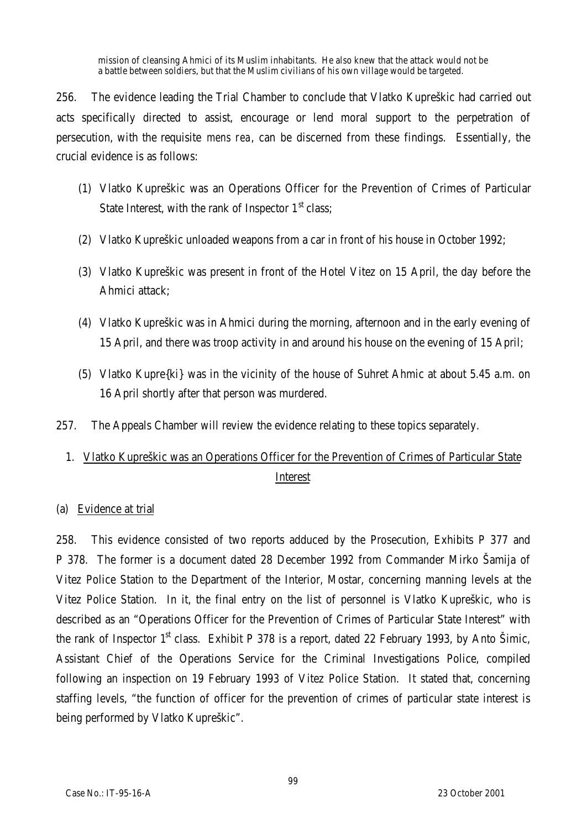mission of cleansing Ahmici of its Muslim inhabitants. He also knew that the attack would not be a battle between soldiers, but that the Muslim civilians of his own village would be targeted.

256. The evidence leading the Trial Chamber to conclude that Vlatko Kupreškic had carried out acts specifically directed to assist, encourage or lend moral support to the perpetration of persecution, with the requisite *mens rea*, can be discerned from these findings. Essentially, the crucial evidence is as follows:

- (1) Vlatko Kupreškic was an Operations Officer for the Prevention of Crimes of Particular State Interest, with the rank of Inspector  $1<sup>st</sup>$  class;
- (2) Vlatko Kupreškic unloaded weapons from a car in front of his house in October 1992;
- (3) Vlatko Kupreškic was present in front of the Hotel Vitez on 15 April, the day before the Ahmici attack;
- (4) Vlatko Kupreškic was in Ahmici during the morning, afternoon and in the early evening of 15 April, and there was troop activity in and around his house on the evening of 15 April;
- (5) Vlatko Kupre{ki} was in the vicinity of the house of Suhret Ahmic at about 5.45 a.m. on 16 April shortly after that person was murdered.
- 257. The Appeals Chamber will review the evidence relating to these topics separately.
	- 1. Vlatko Kupreškic was an Operations Officer for the Prevention of Crimes of Particular State Interest

## (a) Evidence at trial

258. This evidence consisted of two reports adduced by the Prosecution, Exhibits P 377 and P 378. The former is a document dated 28 December 1992 from Commander Mirko Šamija of Vitez Police Station to the Department of the Interior, Mostar, concerning manning levels at the Vitez Police Station. In it, the final entry on the list of personnel is Vlatko Kupreškic, who is described as an "Operations Officer for the Prevention of Crimes of Particular State Interest" with the rank of Inspector  $1<sup>st</sup>$  class. Exhibit P 378 is a report, dated 22 February 1993, by Anto Šimic, Assistant Chief of the Operations Service for the Criminal Investigations Police, compiled following an inspection on 19 February 1993 of Vitez Police Station. It stated that, concerning staffing levels, "the function of officer for the prevention of crimes of particular state interest is being performed by Vlatko Kupreškic".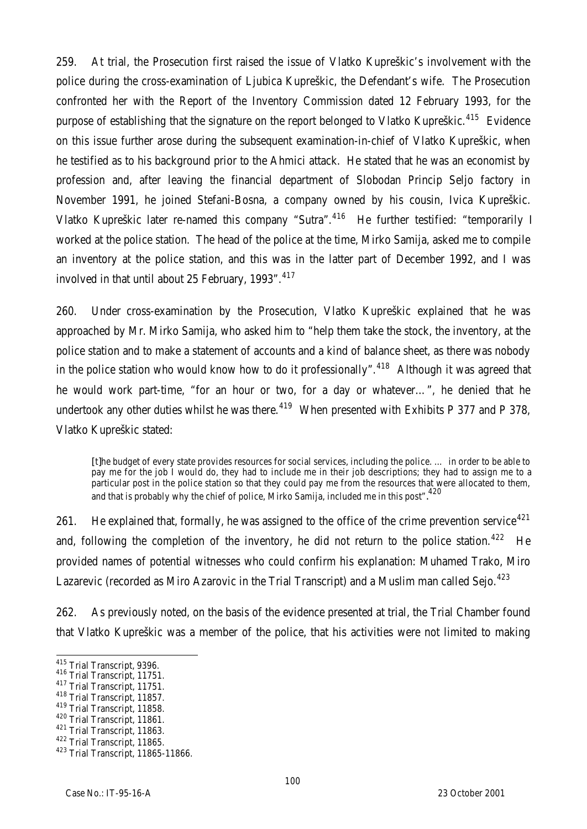259. At trial, the Prosecution first raised the issue of Vlatko Kupreškic's involvement with the police during the cross-examination of Ljubica Kupreškic, the Defendant's wife. The Prosecution confronted her with the Report of the Inventory Commission dated 12 February 1993, for the purpose of establishing that the signature on the report belonged to Vlatko Kupreškic.<sup>415</sup> Evidence on this issue further arose during the subsequent examination-in-chief of Vlatko Kupreškic, when he testified as to his background prior to the Ahmici attack. He stated that he was an economist by profession and, after leaving the financial department of Slobodan Princip Seljo factory in November 1991, he joined Stefani-Bosna, a company owned by his cousin, Ivica Kupreškic. Vlatko Kupreškic later re-named this company "Sutra".<sup>416</sup> He further testified: "temporarily I worked at the police station. The head of the police at the time, Mirko Samija, asked me to compile an inventory at the police station, and this was in the latter part of December 1992, and I was involved in that until about 25 February, 1993".<sup>417</sup>

260. Under cross-examination by the Prosecution, Vlatko Kupreškic explained that he was approached by Mr. Mirko Samija, who asked him to "help them take the stock, the inventory, at the police station and to make a statement of accounts and a kind of balance sheet, as there was nobody in the police station who would know how to do it professionally".<sup>418</sup> Although it was agreed that he would work part-time, "for an hour or two, for a day or whatever…", he denied that he undertook any other duties whilst he was there.<sup>419</sup> When presented with Exhibits P 377 and P 378, Vlatko Kupreškic stated:

[t]he budget of every state provides resources for social services, including the police. ... in order to be able to pay me for the job I would do, they had to include me in their job descriptions; they had to assign me to a particular post in the police station so that they could pay me from the resources that were allocated to them, .<br>and that is probably why the chief of police, Mirko Samija, included me in this post". <sup>420</sup>

261. He explained that, formally, he was assigned to the office of the crime prevention service<sup>421</sup> and, following the completion of the inventory, he did not return to the police station.<sup>422</sup> He provided names of potential witnesses who could confirm his explanation: Muhamed Trako, Miro Lazarevic (recorded as Miro Azarovic in the Trial Transcript) and a Muslim man called Sejo.<sup>423</sup>

262. As previously noted, on the basis of the evidence presented at trial, the Trial Chamber found that Vlatko Kupreškic was a member of the police, that his activities were not limited to making

- <sup>417</sup> Trial Transcript, 11751.
- <sup>418</sup> Trial Transcript, 11857.
- <sup>419</sup> Trial Transcript, 11858.

<sup>421</sup> Trial Transcript, 11863.

 $\overline{a}$  $^{415}_{11}$  Trial Transcript, 9396.

<sup>416</sup> Trial Transcript, 11751.

<sup>420</sup> Trial Transcript, 11861.

<sup>422</sup> Trial Transcript, 11865.

<sup>423</sup> Trial Transcript, 11865-11866.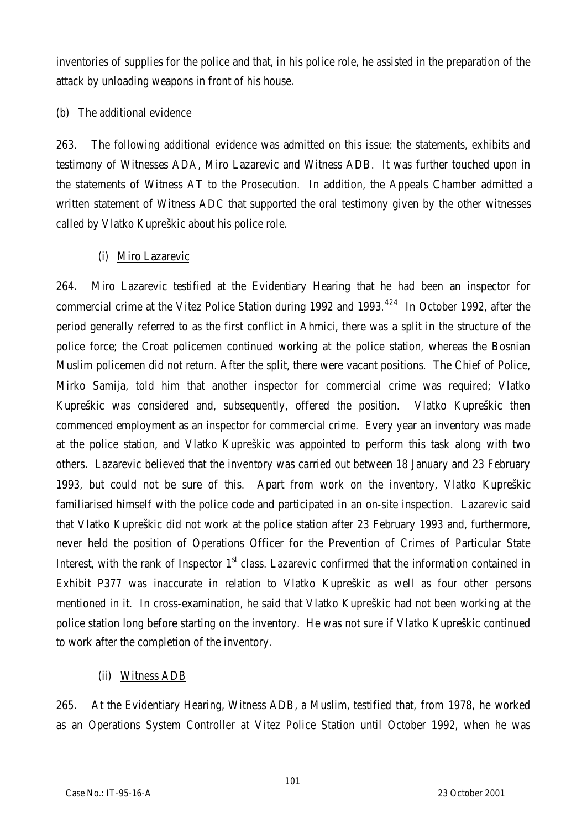inventories of supplies for the police and that, in his police role, he assisted in the preparation of the attack by unloading weapons in front of his house.

## (b) The additional evidence

263. The following additional evidence was admitted on this issue: the statements, exhibits and testimony of Witnesses ADA, Miro Lazarevic and Witness ADB. It was further touched upon in the statements of Witness AT to the Prosecution. In addition, the Appeals Chamber admitted a written statement of Witness ADC that supported the oral testimony given by the other witnesses called by Vlatko Kupreškic about his police role.

# (i) Miro Lazarevic

264. Miro Lazarevic testified at the Evidentiary Hearing that he had been an inspector for commercial crime at the Vitez Police Station during 1992 and 1993.<sup>424</sup> In October 1992, after the period generally referred to as the first conflict in Ahmici, there was a split in the structure of the police force; the Croat policemen continued working at the police station, whereas the Bosnian Muslim policemen did not return. After the split, there were vacant positions. The Chief of Police, Mirko Samija, told him that another inspector for commercial crime was required; Vlatko Kupreškic was considered and, subsequently, offered the position. Vlatko Kupreškic then commenced employment as an inspector for commercial crime. Every year an inventory was made at the police station, and Vlatko Kupreškic was appointed to perform this task along with two others. Lazarevic believed that the inventory was carried out between 18 January and 23 February 1993, but could not be sure of this. Apart from work on the inventory, Vlatko Kupreškic familiarised himself with the police code and participated in an on-site inspection. Lazarevic said that Vlatko Kupreškic did not work at the police station after 23 February 1993 and, furthermore, never held the position of Operations Officer for the Prevention of Crimes of Particular State Interest, with the rank of Inspector 1<sup>st</sup> class. Lazarevic confirmed that the information contained in Exhibit P377 was inaccurate in relation to Vlatko Kupreškic as well as four other persons mentioned in it. In cross-examination, he said that Vlatko Kupreškic had not been working at the police station long before starting on the inventory. He was not sure if Vlatko Kupreškic continued to work after the completion of the inventory.

# (ii) Witness ADB

265. At the Evidentiary Hearing, Witness ADB, a Muslim, testified that, from 1978, he worked as an Operations System Controller at Vitez Police Station until October 1992, when he was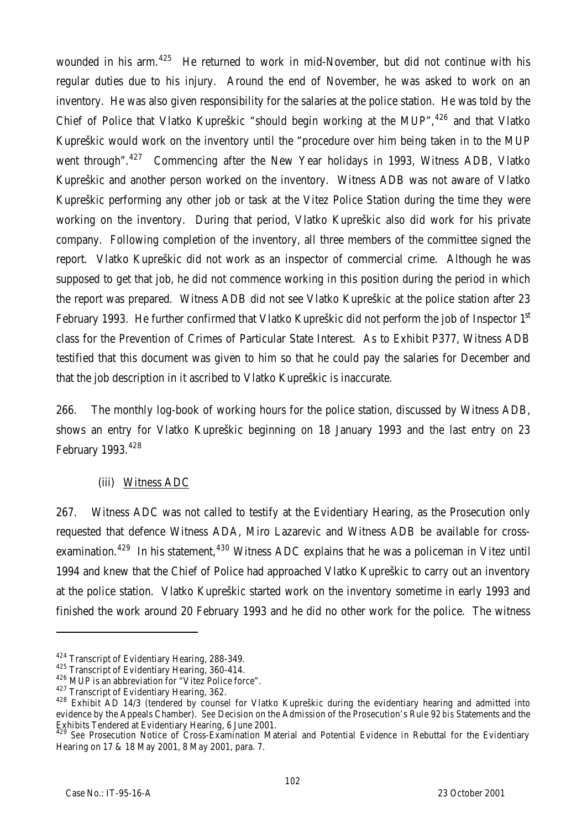wounded in his arm.<sup>425</sup> He returned to work in mid-November, but did not continue with his regular duties due to his injury. Around the end of November, he was asked to work on an inventory. He was also given responsibility for the salaries at the police station. He was told by the Chief of Police that Vlatko Kupreškic "should begin working at the MUP",  $426$  and that Vlatko Kupreškic would work on the inventory until the "procedure over him being taken in to the MUP went through".<sup>427</sup> Commencing after the New Year holidays in 1993, Witness ADB, Vlatko Kupreškic and another person worked on the inventory. Witness ADB was not aware of Vlatko Kupreškic performing any other job or task at the Vitez Police Station during the time they were working on the inventory. During that period, Vlatko Kupreškic also did work for his private company. Following completion of the inventory, all three members of the committee signed the report. Vlatko Kupreškic did not work as an inspector of commercial crime. Although he was supposed to get that job, he did not commence working in this position during the period in which the report was prepared. Witness ADB did not see Vlatko Kupreškic at the police station after 23 February 1993. He further confirmed that Vlatko Kupreškic did not perform the job of Inspector 1<sup>st</sup> class for the Prevention of Crimes of Particular State Interest. As to Exhibit P377, Witness ADB testified that this document was given to him so that he could pay the salaries for December and that the job description in it ascribed to Vlatko Kupreškic is inaccurate.

266. The monthly log-book of working hours for the police station, discussed by Witness ADB, shows an entry for Vlatko Kupreškic beginning on 18 January 1993 and the last entry on 23 February 1993.<sup>428</sup>

## (iii) Witness ADC

267. Witness ADC was not called to testify at the Evidentiary Hearing, as the Prosecution only requested that defence Witness ADA, Miro Lazarevic and Witness ADB be available for crossexamination.<sup>429</sup> In his statement,<sup>430</sup> Witness ADC explains that he was a policeman in Vitez until 1994 and knew that the Chief of Police had approached Vlatko Kupreškic to carry out an inventory at the police station. Vlatko Kupreškic started work on the inventory sometime in early 1993 and finished the work around 20 February 1993 and he did no other work for the police. The witness

<sup>424</sup> Transcript of Evidentiary Hearing, 288-349.

<sup>425</sup> Transcript of Evidentiary Hearing, 360-414.

<sup>426</sup> MUP is an abbreviation for "Vitez Police force".

<sup>427</sup> Transcript of Evidentiary Hearing, 362.

<sup>&</sup>lt;sup>428</sup> Exhibit AD 14/3 (tendered by counsel for Vlatko Kupreškic during the evidentiary hearing and admitted into evidence by the Appeals Chamber). *See* Decision on the Admission of the Prosecution's Rule 92 *bis* Statements and the Exhibits Tendered at Evidentiary Hearing, 6 June 2001.

<sup>&</sup>lt;sup>2</sup> See Prosecution Notice of Cross-Examination Material and Potential Evidence in Rebuttal for the Evidentiary Hearing on 17 & 18 May 2001, 8 May 2001, para. 7.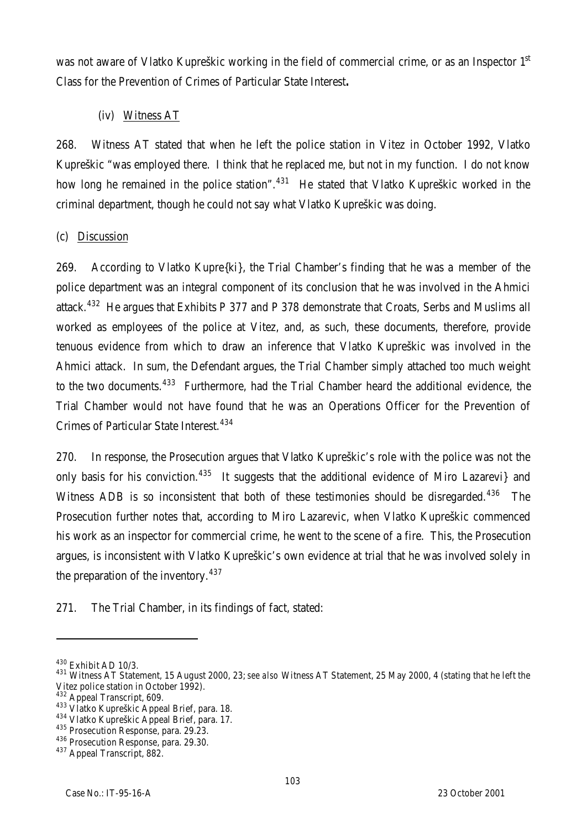was not aware of Vlatko Kupreškic working in the field of commercial crime, or as an Inspector 1<sup>st</sup> Class for the Prevention of Crimes of Particular State Interest**.**

# (iv) Witness AT

268. Witness AT stated that when he left the police station in Vitez in October 1992, Vlatko Kupreškic "was employed there. I think that he replaced me, but not in my function. I do not know how long he remained in the police station".<sup>431</sup> He stated that Vlatko Kupreškic worked in the criminal department, though he could not say what Vlatko Kupreškic was doing.

## (c) Discussion

269. According to Vlatko Kupre{ki}, the Trial Chamber's finding that he was a member of the police department was an integral component of its conclusion that he was involved in the Ahmici attack.<sup>432</sup> He arques that Exhibits P 377 and P 378 demonstrate that Croats, Serbs and Muslims all worked as employees of the police at Vitez, and, as such, these documents, therefore, provide tenuous evidence from which to draw an inference that Vlatko Kupreškic was involved in the Ahmici attack. In sum, the Defendant argues, the Trial Chamber simply attached too much weight to the two documents.<sup>433</sup> Furthermore, had the Trial Chamber heard the additional evidence, the Trial Chamber would not have found that he was an Operations Officer for the Prevention of Crimes of Particular State Interest.<sup>434</sup>

270. In response, the Prosecution argues that Vlatko Kupreškic's role with the police was not the only basis for his conviction.<sup>435</sup> It suggests that the additional evidence of Miro Lazarevi} and Witness ADB is so inconsistent that both of these testimonies should be disregarded.<sup>436</sup> The Prosecution further notes that, according to Miro Lazarevic, when Vlatko Kupreškic commenced his work as an inspector for commercial crime, he went to the scene of a fire. This, the Prosecution argues, is inconsistent with Vlatko Kupreškic's own evidence at trial that he was involved solely in the preparation of the inventory.  $437$ 

271. The Trial Chamber, in its findings of fact, stated:

<sup>430</sup> Exhibit AD 10/3.

<sup>431</sup> Witness AT Statement, 15 August 2000, 23; *see also* Witness AT Statement, 25 May 2000, 4 (stating that he left the Vitez police station in October 1992).

<sup>432</sup> Appeal Transcript, 609.

<sup>433</sup> Vlatko Kupreškic Appeal Brief, para. 18.

<sup>434</sup> Vlatko Kupreškic Appeal Brief, para. 17.

<sup>&</sup>lt;sup>435</sup> Prosecution Response, para. 29.23.

<sup>436</sup> Prosecution Response, para. 29.30.

<sup>437</sup> Appeal Transcript, 882.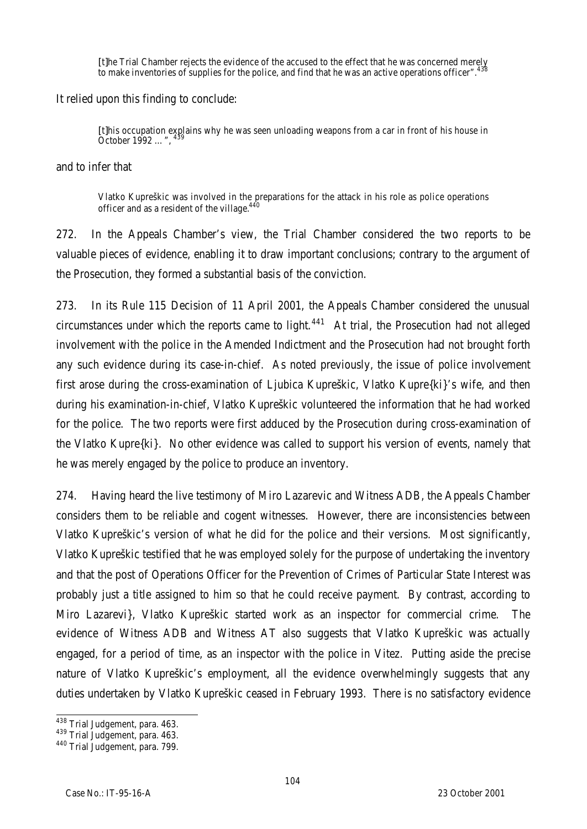[t]he Trial Chamber rejects the evidence of the accused to the effect that he was concerned merely to make inventories of supplies for the police, and find that he was an active operations officer".

It relied upon this finding to conclude:

[t]his occupation explains why he was seen unloading weapons from a car in front of his house in October 1992 ...",

and to infer that

Vlatko Kupreškic was involved in the preparations for the attack in his role as police operations officer and as a resident of the village.<sup>440</sup>

272. In the Appeals Chamber's view, the Trial Chamber considered the two reports to be valuable pieces of evidence, enabling it to draw important conclusions; contrary to the argument of the Prosecution, they formed a substantial basis of the conviction.

273. In its Rule 115 Decision of 11 April 2001, the Appeals Chamber considered the unusual circumstances under which the reports came to light.<sup>441</sup> At trial, the Prosecution had not alleged involvement with the police in the Amended Indictment and the Prosecution had not brought forth any such evidence during its case-in-chief. As noted previously, the issue of police involvement first arose during the cross-examination of Ljubica Kupreškic, Vlatko Kupre{ki}'s wife, and then during his examination-in-chief, Vlatko Kupreškic volunteered the information that he had worked for the police. The two reports were first adduced by the Prosecution during cross-examination of the Vlatko Kupre{ki}. No other evidence was called to support his version of events, namely that he was merely engaged by the police to produce an inventory.

274. Having heard the live testimony of Miro Lazarevic and Witness ADB, the Appeals Chamber considers them to be reliable and cogent witnesses. However, there are inconsistencies between Vlatko Kupreškic's version of what he did for the police and their versions. Most significantly, Vlatko Kupreškic testified that he was employed solely for the purpose of undertaking the inventory and that the post of Operations Officer for the Prevention of Crimes of Particular State Interest was probably just a title assigned to him so that he could receive payment. By contrast, according to Miro Lazarevi}, Vlatko Kupreškic started work as an inspector for commercial crime. The evidence of Witness ADB and Witness AT also suggests that Vlatko Kupreškic was actually engaged, for a period of time, as an inspector with the police in Vitez. Putting aside the precise nature of Vlatko Kupreškic's employment, all the evidence overwhelmingly suggests that any duties undertaken by Vlatko Kupreškic ceased in February 1993. There is no satisfactory evidence

 $\overline{a}$ <sup>438</sup> Trial Judgement, para. 463.

<sup>439</sup> Trial Judgement, para. 463.

<sup>440</sup> Trial Judgement, para. 799.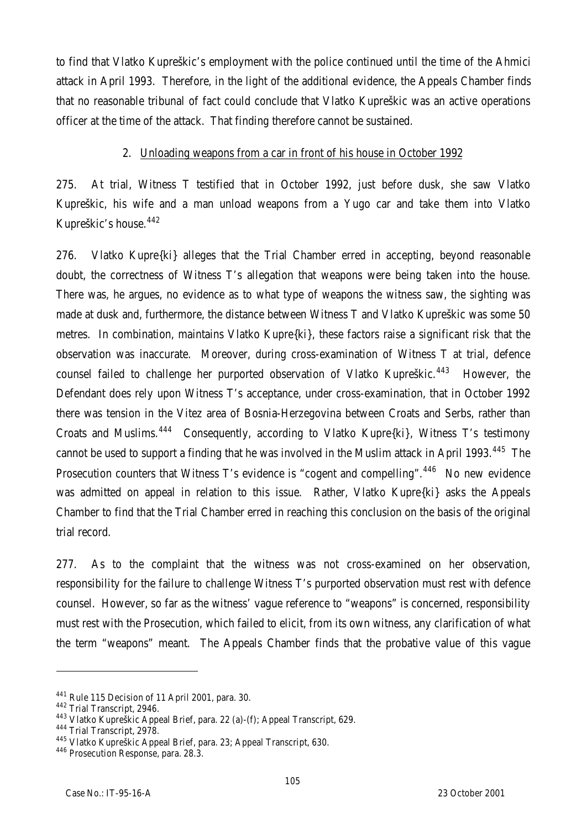to find that Vlatko Kupreškic's employment with the police continued until the time of the Ahmici attack in April 1993. Therefore, in the light of the additional evidence, the Appeals Chamber finds that no reasonable tribunal of fact could conclude that Vlatko Kupreškic was an active operations officer at the time of the attack. That finding therefore cannot be sustained.

#### 2. Unloading weapons from a car in front of his house in October 1992

275. At trial, Witness T testified that in October 1992, just before dusk, she saw Vlatko Kupreškic, his wife and a man unload weapons from a Yugo car and take them into Vlatko Kupreškic's house.<sup>442</sup>

276. Vlatko Kupre{ki} alleges that the Trial Chamber erred in accepting, beyond reasonable doubt, the correctness of Witness T's allegation that weapons were being taken into the house. There was, he argues, no evidence as to what type of weapons the witness saw, the sighting was made at dusk and, furthermore, the distance between Witness T and Vlatko Kupreškic was some 50 metres. In combination, maintains Vlatko Kupre{ki}, these factors raise a significant risk that the observation was inaccurate. Moreover, during cross-examination of Witness T at trial, defence counsel failed to challenge her purported observation of Vlatko Kupreškic.<sup>443</sup> However, the Defendant does rely upon Witness T's acceptance, under cross-examination, that in October 1992 there was tension in the Vitez area of Bosnia-Herzegovina between Croats and Serbs, rather than Croats and Muslims.<sup>444</sup> Consequently, according to Vlatko Kupre{ki}, Witness T's testimony cannot be used to support a finding that he was involved in the Muslim attack in April 1993.<sup>445</sup> The Prosecution counters that Witness T's evidence is "cogent and compelling".<sup>446</sup> No new evidence was admitted on appeal in relation to this issue. Rather, Vlatko Kupre{ki} asks the Appeals Chamber to find that the Trial Chamber erred in reaching this conclusion on the basis of the original trial record.

277. As to the complaint that the witness was not cross-examined on her observation, responsibility for the failure to challenge Witness T's purported observation must rest with defence counsel. However, so far as the witness' vague reference to "weapons" is concerned, responsibility must rest with the Prosecution, which failed to elicit, from its own witness, any clarification of what the term "weapons" meant. The Appeals Chamber finds that the probative value of this vague

<sup>441</sup> Rule 115 Decision of 11 April 2001, para. 30.

<sup>442</sup> Trial Transcript, 2946.

<sup>443</sup> Vlatko Kupreškic Appeal Brief, para. 22 (a)-(f); Appeal Transcript, 629.

<sup>444</sup> Trial Transcript, 2978.

<sup>445</sup> Vlatko Kupreškic Appeal Brief, para. 23; Appeal Transcript, 630.

<sup>446</sup> Prosecution Response, para. 28.3.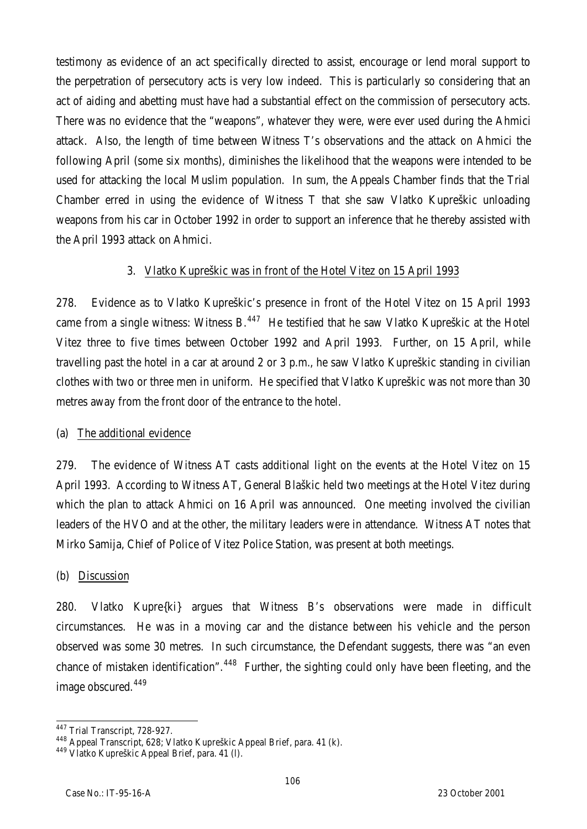testimony as evidence of an act specifically directed to assist, encourage or lend moral support to the perpetration of persecutory acts is very low indeed. This is particularly so considering that an act of aiding and abetting must have had a substantial effect on the commission of persecutory acts. There was no evidence that the "weapons", whatever they were, were ever used during the Ahmici attack. Also, the length of time between Witness T's observations and the attack on Ahmici the following April (some six months), diminishes the likelihood that the weapons were intended to be used for attacking the local Muslim population. In sum, the Appeals Chamber finds that the Trial Chamber erred in using the evidence of Witness T that she saw Vlatko Kupreškic unloading weapons from his car in October 1992 in order to support an inference that he thereby assisted with the April 1993 attack on Ahmici.

## 3. Vlatko Kupreškic was in front of the Hotel Vitez on 15 April 1993

278. Evidence as to Vlatko Kupreškic's presence in front of the Hotel Vitez on 15 April 1993 came from a single witness: Witness  $B<sub>.447</sub>$  He testified that he saw Vlatko Kupreškic at the Hotel Vitez three to five times between October 1992 and April 1993. Further, on 15 April, while travelling past the hotel in a car at around 2 or 3 p.m., he saw Vlatko Kupreškic standing in civilian clothes with two or three men in uniform. He specified that Vlatko Kupreškic was not more than 30 metres away from the front door of the entrance to the hotel.

#### (a) The additional evidence

279. The evidence of Witness AT casts additional light on the events at the Hotel Vitez on 15 April 1993. According to Witness AT, General Blaškic held two meetings at the Hotel Vitez during which the plan to attack Ahmici on 16 April was announced. One meeting involved the civilian leaders of the HVO and at the other, the military leaders were in attendance. Witness AT notes that Mirko Samija, Chief of Police of Vitez Police Station, was present at both meetings.

#### (b) Discussion

280. Vlatko Kupre{ki} argues that Witness B's observations were made in difficult circumstances. He was in a moving car and the distance between his vehicle and the person observed was some 30 metres. In such circumstance, the Defendant suggests, there was "an even chance of mistaken identification".<sup>448</sup> Further, the sighting could only have been fleeting, and the image obscured.<sup>449</sup>

 $\overline{a}$ <sup>447</sup> Trial Transcript, 728-927.

<sup>&</sup>lt;sup>448</sup> Appeal Transcript, 628; Vlatko Kupreškic Appeal Brief, para. 41 (k).

<sup>449</sup> Vlatko Kupreškic Appeal Brief, para. 41 (l).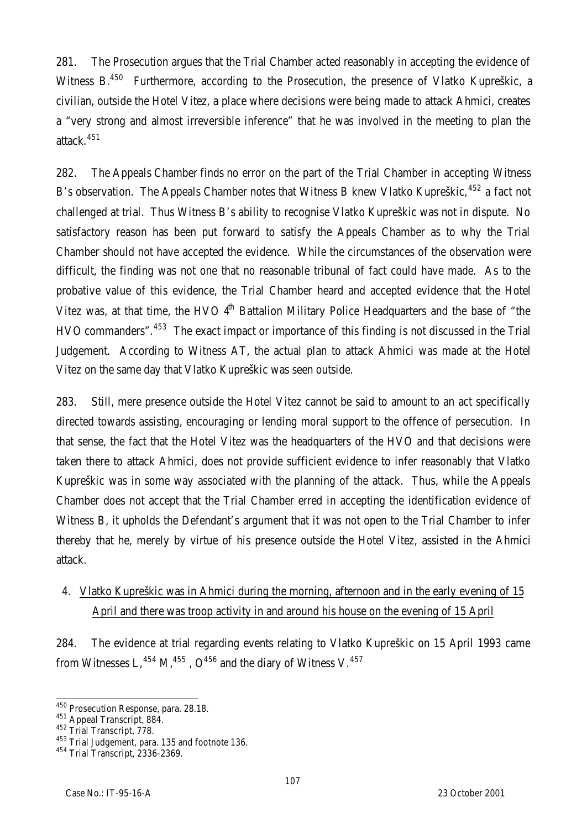281. The Prosecution argues that the Trial Chamber acted reasonably in accepting the evidence of Witness B.<sup>450</sup> Furthermore, according to the Prosecution, the presence of Vlatko Kupreškic, a civilian, outside the Hotel Vitez, a place where decisions were being made to attack Ahmici, creates a "very strong and almost irreversible inference" that he was involved in the meeting to plan the attack.<sup>451</sup>

282. The Appeals Chamber finds no error on the part of the Trial Chamber in accepting Witness B's observation. The Appeals Chamber notes that Witness B knew Vlatko Kupreškic,  $452$  a fact not challenged at trial. Thus Witness B's ability to recognise Vlatko Kupreškic was not in dispute. No satisfactory reason has been put forward to satisfy the Appeals Chamber as to why the Trial Chamber should not have accepted the evidence. While the circumstances of the observation were difficult, the finding was not one that no reasonable tribunal of fact could have made. As to the probative value of this evidence, the Trial Chamber heard and accepted evidence that the Hotel Vitez was, at that time, the HVO  $4<sup>th</sup>$  Battalion Military Police Headquarters and the base of "the HVO commanders".<sup>453</sup> The exact impact or importance of this finding is not discussed in the Trial Judgement. According to Witness AT, the actual plan to attack Ahmici was made at the Hotel Vitez on the same day that Vlatko Kupreškic was seen outside.

283. Still, mere presence outside the Hotel Vitez cannot be said to amount to an act specifically directed towards assisting, encouraging or lending moral support to the offence of persecution. In that sense, the fact that the Hotel Vitez was the headquarters of the HVO and that decisions were taken there to attack Ahmici, does not provide sufficient evidence to infer reasonably that Vlatko Kupreškic was in some way associated with the planning of the attack. Thus, while the Appeals Chamber does not accept that the Trial Chamber erred in accepting the identification evidence of Witness B, it upholds the Defendant's argument that it was not open to the Trial Chamber to infer thereby that he, merely by virtue of his presence outside the Hotel Vitez, assisted in the Ahmici attack.

# 4. Vlatko Kupreškic was in Ahmici during the morning, afternoon and in the early evening of 15 April and there was troop activity in and around his house on the evening of 15 April

284. The evidence at trial regarding events relating to Vlatko Kupreškic on 15 April 1993 came from Witnesses L,  $^{454}$  M,  $^{455}$ , O<sup>456</sup> and the diary of Witness V.  $^{457}$ 

 $\overline{a}$ <sup>450</sup> Prosecution Response, para. 28.18.

<sup>451</sup> Appeal Transcript, 884.

<sup>452</sup> Trial Transcript, 778.

<sup>453</sup> Trial Judgement, para. 135 and footnote 136.

 $454$  Trial Transcript, 2336-2369.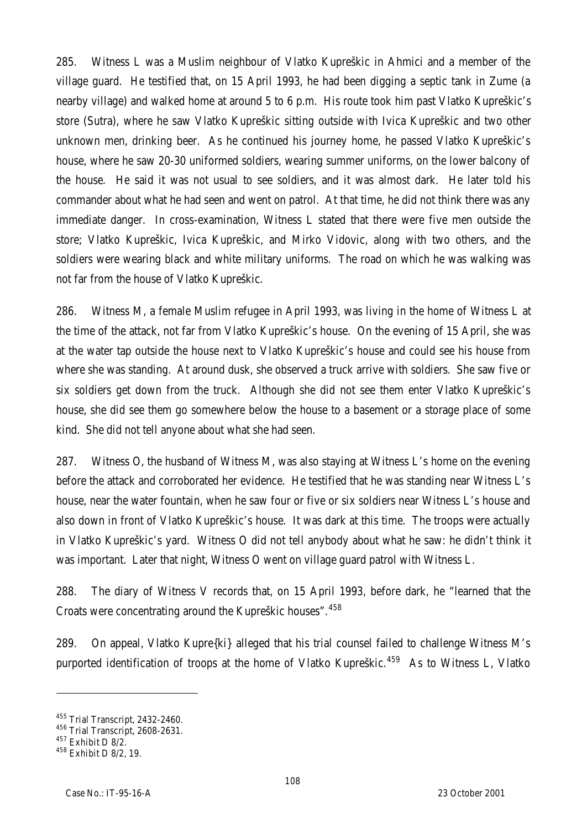285. Witness L was a Muslim neighbour of Vlatko Kupreškic in Ahmici and a member of the village guard. He testified that, on 15 April 1993, he had been digging a septic tank in Zume (a nearby village) and walked home at around 5 to 6 p.m. His route took him past Vlatko Kupreškic's store (Sutra), where he saw Vlatko Kupreškic sitting outside with Ivica Kupreškic and two other unknown men, drinking beer. As he continued his journey home, he passed Vlatko Kupreškic's house, where he saw 20-30 uniformed soldiers, wearing summer uniforms, on the lower balcony of the house. He said it was not usual to see soldiers, and it was almost dark. He later told his commander about what he had seen and went on patrol. At that time, he did not think there was any immediate danger. In cross-examination, Witness L stated that there were five men outside the store; Vlatko Kupreškic, Ivica Kupreškic, and Mirko Vidovic, along with two others, and the soldiers were wearing black and white military uniforms. The road on which he was walking was not far from the house of Vlatko Kupreškic.

286. Witness M, a female Muslim refugee in April 1993, was living in the home of Witness L at the time of the attack, not far from Vlatko Kupreškic's house. On the evening of 15 April, she was at the water tap outside the house next to Vlatko Kupreškic's house and could see his house from where she was standing. At around dusk, she observed a truck arrive with soldiers. She saw five or six soldiers get down from the truck. Although she did not see them enter Vlatko Kupreškic's house, she did see them go somewhere below the house to a basement or a storage place of some kind. She did not tell anyone about what she had seen.

287. Witness O, the husband of Witness M, was also staying at Witness L's home on the evening before the attack and corroborated her evidence. He testified that he was standing near Witness L's house, near the water fountain, when he saw four or five or six soldiers near Witness L's house and also down in front of Vlatko Kupreškic's house. It was dark at this time. The troops were actually in Vlatko Kupreškic's yard. Witness O did not tell anybody about what he saw: he didn't think it was important. Later that night, Witness O went on village guard patrol with Witness L.

288. The diary of Witness V records that, on 15 April 1993, before dark, he "learned that the Croats were concentrating around the Kupreškic houses". 458

289. On appeal, Vlatko Kupre{ki} alleged that his trial counsel failed to challenge Witness M's purported identification of troops at the home of Vlatko Kupreškic.<sup>459</sup> As to Witness L, Vlatko

<sup>455</sup> Trial Transcript, 2432-2460.

<sup>456</sup> Trial Transcript, 2608-2631.

<sup>457</sup> Exhibit D 8/2.

<sup>458</sup> Exhibit D 8/2, 19.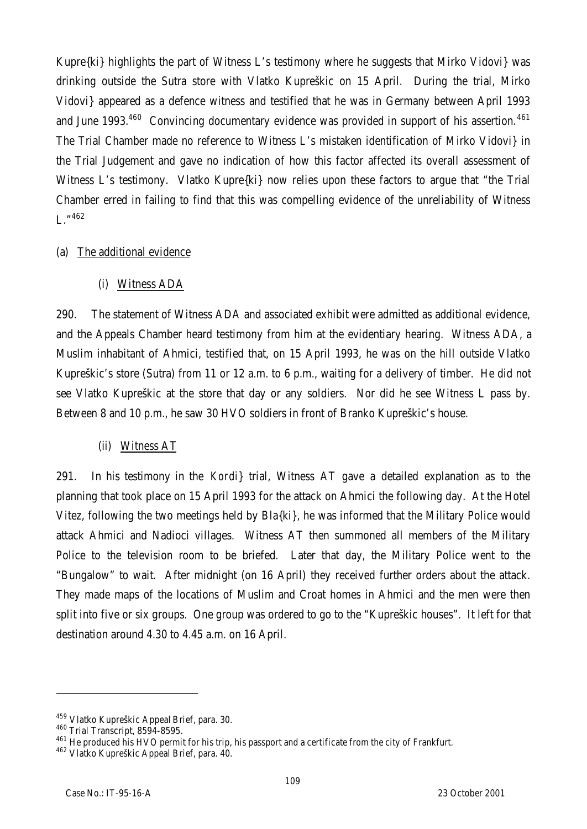Kupre{ki} highlights the part of Witness L's testimony where he suggests that Mirko Vidovi} was drinking outside the Sutra store with Vlatko Kupreškic on 15 April. During the trial, Mirko Vidovi} appeared as a defence witness and testified that he was in Germany between April 1993 and June 1993.<sup>460</sup> Convincing documentary evidence was provided in support of his assertion.<sup>461</sup> The Trial Chamber made no reference to Witness L's mistaken identification of Mirko Vidovi} in the Trial Judgement and gave no indication of how this factor affected its overall assessment of Witness L's testimony. Vlatko Kupre{ki} now relies upon these factors to argue that "the Trial Chamber erred in failing to find that this was compelling evidence of the unreliability of Witness  $L^{\prime}$   $^{462}$ 

#### (a) The additional evidence

## (i) Witness ADA

290. The statement of Witness ADA and associated exhibit were admitted as additional evidence, and the Appeals Chamber heard testimony from him at the evidentiary hearing. Witness ADA, a Muslim inhabitant of Ahmici, testified that, on 15 April 1993, he was on the hill outside Vlatko Kupreškic's store (Sutra) from 11 or 12 a.m. to 6 p.m., waiting for a delivery of timber. He did not see Vlatko Kupreškic at the store that day or any soldiers. Nor did he see Witness L pass by. Between 8 and 10 p.m., he saw 30 HVO soldiers in front of Branko Kupreškic's house.

#### (ii) Witness AT

291. In his testimony in the *Kordi}* trial, Witness AT gave a detailed explanation as to the planning that took place on 15 April 1993 for the attack on Ahmici the following day. At the Hotel Vitez, following the two meetings held by Bla{ki}, he was informed that the Military Police would attack Ahmici and Nadioci villages. Witness AT then summoned all members of the Military Police to the television room to be briefed. Later that day, the Military Police went to the "Bungalow" to wait. After midnight (on 16 April) they received further orders about the attack. They made maps of the locations of Muslim and Croat homes in Ahmici and the men were then split into five or six groups. One group was ordered to go to the "Kupreškic houses". It left for that destination around 4.30 to 4.45 a.m. on 16 April.

<sup>&</sup>lt;sup>459</sup> Vlatko Kupreškic Appeal Brief, para. 30.

<sup>460</sup> Trial Transcript, 8594-8595.

<sup>&</sup>lt;sup>461</sup> He produced his HVO permit for his trip, his passport and a certificate from the city of Frankfurt.

<sup>462</sup> Vlatko Kupreškic Appeal Brief, para. 40.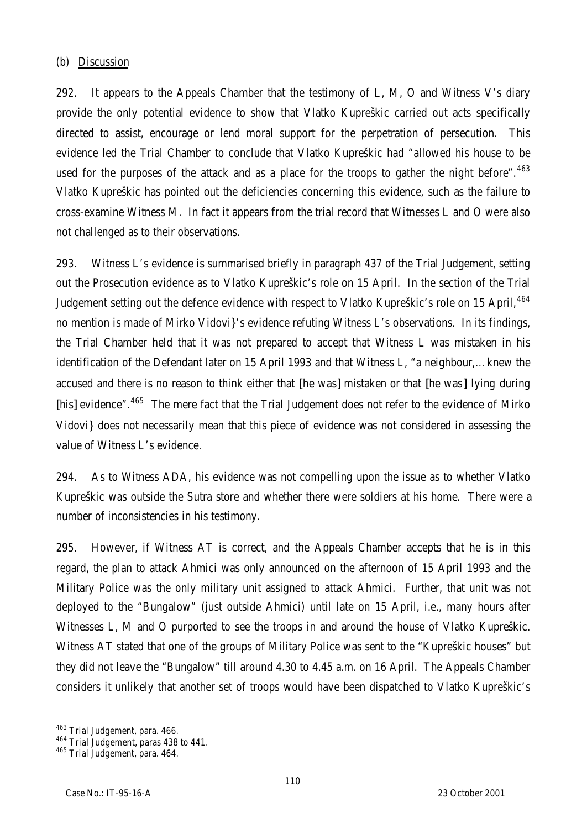#### (b) Discussion

292. It appears to the Appeals Chamber that the testimony of  $L$ , M, O and Witness V's diary provide the only potential evidence to show that Vlatko Kupreškic carried out acts specifically directed to assist, encourage or lend moral support for the perpetration of persecution. This evidence led the Trial Chamber to conclude that Vlatko Kupreškic had "allowed his house to be used for the purposes of the attack and as a place for the troops to gather the night before".  $463$ Vlatko Kupreškic has pointed out the deficiencies concerning this evidence, such as the failure to cross-examine Witness M. In fact it appears from the trial record that Witnesses L and O were also not challenged as to their observations.

293. Witness L's evidence is summarised briefly in paragraph 437 of the Trial Judgement, setting out the Prosecution evidence as to Vlatko Kupreškic's role on 15 April. In the section of the Trial Judgement setting out the defence evidence with respect to Vlatko Kupreškic's role on 15 April, <sup>464</sup> no mention is made of Mirko Vidovi}'s evidence refuting Witness L's observations. In its findings, the Trial Chamber held that it was not prepared to accept that Witness L was mistaken in his identification of the Defendant later on 15 April 1993 and that Witness L, "a neighbour,…knew the accused and there is no reason to think either that [he was] mistaken or that [he was] lying during [his] evidence".<sup>465</sup> The mere fact that the Trial Judgement does not refer to the evidence of Mirko Vidovi} does not necessarily mean that this piece of evidence was not considered in assessing the value of Witness L's evidence.

294. As to Witness ADA, his evidence was not compelling upon the issue as to whether Vlatko Kupreškic was outside the Sutra store and whether there were soldiers at his home. There were a number of inconsistencies in his testimony.

295. However, if Witness AT is correct, and the Appeals Chamber accepts that he is in this regard, the plan to attack Ahmici was only announced on the afternoon of 15 April 1993 and the Military Police was the only military unit assigned to attack Ahmici. Further, that unit was not deployed to the "Bungalow" (just outside Ahmici) until late on 15 April, i.e., many hours after Witnesses L, M and O purported to see the troops in and around the house of Vlatko Kupreškic. Witness AT stated that one of the groups of Military Police was sent to the "Kupreškic houses" but they did not leave the "Bungalow" till around 4.30 to 4.45 a.m. on 16 April. The Appeals Chamber considers it unlikely that another set of troops would have been dispatched to Vlatko Kupreškic's

 $\overline{a}$ <sup>463</sup> Trial Judgement, para. 466.

<sup>&</sup>lt;sup>464</sup> Trial Judgement, paras 438 to 441.

<sup>465</sup> Trial Judgement, para. 464.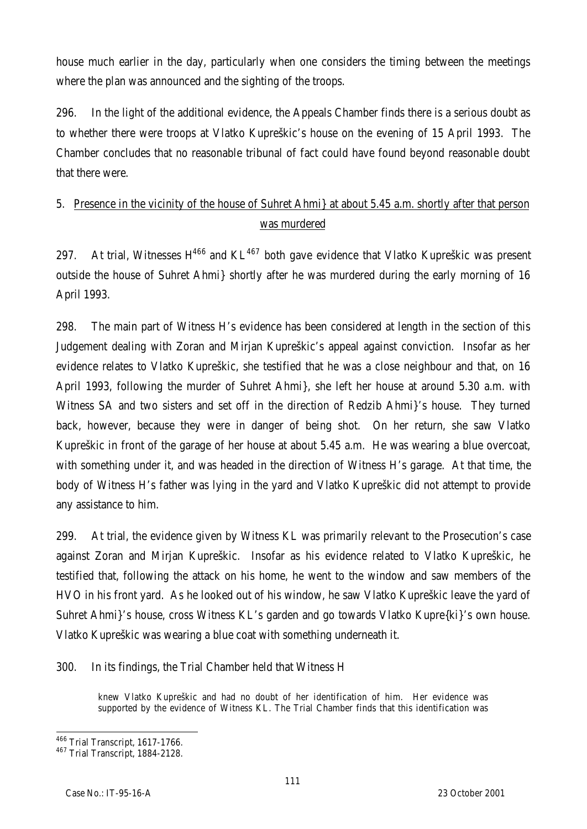house much earlier in the day, particularly when one considers the timing between the meetings where the plan was announced and the sighting of the troops.

296. In the light of the additional evidence, the Appeals Chamber finds there is a serious doubt as to whether there were troops at Vlatko Kupreškic's house on the evening of 15 April 1993. The Chamber concludes that no reasonable tribunal of fact could have found beyond reasonable doubt that there were.

# 5. Presence in the vicinity of the house of Suhret Ahmi} at about 5.45 a.m. shortly after that person was murdered

297. At trial, Witnesses  $H^{466}$  and  $KL^{467}$  both gave evidence that Vlatko Kupreškic was present outside the house of Suhret Ahmi} shortly after he was murdered during the early morning of 16 April 1993.

298. The main part of Witness H's evidence has been considered at length in the section of this Judgement dealing with Zoran and Mirjan Kupreškic's appeal against conviction. Insofar as her evidence relates to Vlatko Kupreškic, she testified that he was a close neighbour and that, on 16 April 1993, following the murder of Suhret Ahmi}, she left her house at around 5.30 a.m. with Witness SA and two sisters and set off in the direction of Redzib Ahmi}'s house. They turned back, however, because they were in danger of being shot. On her return, she saw Vlatko Kupreškic in front of the garage of her house at about 5.45 a.m. He was wearing a blue overcoat, with something under it, and was headed in the direction of Witness H's garage. At that time, the body of Witness H's father was lying in the yard and Vlatko Kupreškic did not attempt to provide any assistance to him.

299. At trial, the evidence given by Witness KL was primarily relevant to the Prosecution's case against Zoran and Mirjan Kupreškic. Insofar as his evidence related to Vlatko Kupreškic, he testified that, following the attack on his home, he went to the window and saw members of the HVO in his front yard. As he looked out of his window, he saw Vlatko Kupreškic leave the yard of Suhret Ahmi}'s house, cross Witness KL's garden and go towards Vlatko Kupre{ki}'s own house. Vlatko Kupreškic was wearing a blue coat with something underneath it.

300. In its findings, the Trial Chamber held that Witness H

knew Vlatko Kupreškic and had no doubt of her identification of him. Her evidence was supported by the evidence of Witness KL. The Trial Chamber finds that this identification was

 $\overline{a}$ <sup>466</sup> Trial Transcript, 1617-1766.

<sup>467</sup> Trial Transcript, 1884-2128.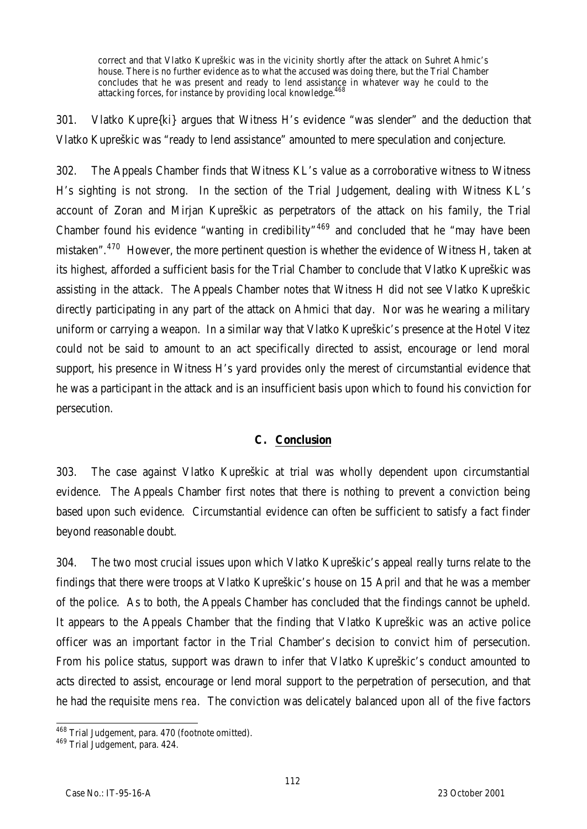correct and that Vlatko Kupreškic was in the vicinity shortly after the attack on Suhret Ahmic's house. There is no further evidence as to what the accused was doing there, but the Trial Chamber concludes that he was present and ready to lend assistance in whatever way he could to the attacking forces, for instance by providing local knowledge.<sup>468</sup>

301. Vlatko Kupre{ki} argues that Witness H's evidence "was slender" and the deduction that Vlatko Kupreškic was "ready to lend assistance" amounted to mere speculation and conjecture.

302. The Appeals Chamber finds that Witness KL's value as a corroborative witness to Witness H's sighting is not strong. In the section of the Trial Judgement, dealing with Witness KL's account of Zoran and Mirjan Kupreškic as perpetrators of the attack on his family, the Trial Chamber found his evidence "wanting in credibility"<sup>469</sup> and concluded that he "may have been mistaken".<sup>470</sup> However, the more pertinent question is whether the evidence of Witness H, taken at its highest, afforded a sufficient basis for the Trial Chamber to conclude that Vlatko Kupreškic was assisting in the attack. The Appeals Chamber notes that Witness H did not see Vlatko Kupreškic directly participating in any part of the attack on Ahmici that day. Nor was he wearing a military uniform or carrying a weapon. In a similar way that Vlatko Kupreškic's presence at the Hotel Vitez could not be said to amount to an act specifically directed to assist, encourage or lend moral support, his presence in Witness H's yard provides only the merest of circumstantial evidence that he was a participant in the attack and is an insufficient basis upon which to found his conviction for persecution.

#### **C. Conclusion**

303. The case against Vlatko Kupreškic at trial was wholly dependent upon circumstantial evidence. The Appeals Chamber first notes that there is nothing to prevent a conviction being based upon such evidence. Circumstantial evidence can often be sufficient to satisfy a fact finder beyond reasonable doubt.

304. The two most crucial issues upon which Vlatko Kupreškic's appeal really turns relate to the findings that there were troops at Vlatko Kupreškic's house on 15 April and that he was a member of the police. As to both, the Appeals Chamber has concluded that the findings cannot be upheld. It appears to the Appeals Chamber that the finding that Vlatko Kupreškic was an active police officer was an important factor in the Trial Chamber's decision to convict him of persecution. From his police status, support was drawn to infer that Vlatko Kupreškic's conduct amounted to acts directed to assist, encourage or lend moral support to the perpetration of persecution, and that he had the requisite *mens rea*. The conviction was delicately balanced upon all of the five factors

 $\overline{a}$ <sup>468</sup> Trial Judgement, para. 470 (footnote omitted).

<sup>469</sup> Trial Judgement, para. 424.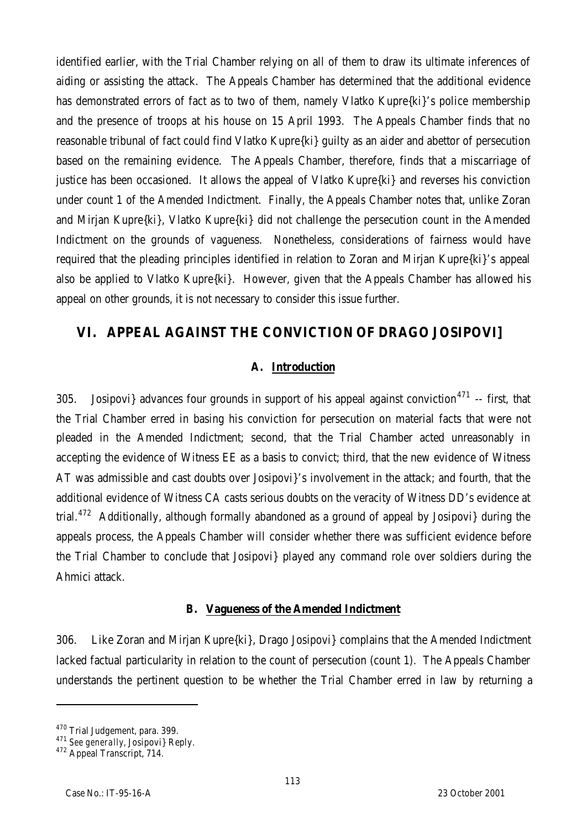identified earlier, with the Trial Chamber relying on all of them to draw its ultimate inferences of aiding or assisting the attack. The Appeals Chamber has determined that the additional evidence has demonstrated errors of fact as to two of them, namely Vlatko Kupre{ki}'s police membership and the presence of troops at his house on 15 April 1993. The Appeals Chamber finds that no reasonable tribunal of fact could find Vlatko Kupre{ki} guilty as an aider and abettor of persecution based on the remaining evidence. The Appeals Chamber, therefore, finds that a miscarriage of justice has been occasioned. It allows the appeal of Vlatko Kupre{ki} and reverses his conviction under count 1 of the Amended Indictment. Finally, the Appeals Chamber notes that, unlike Zoran and Mirjan Kupre{ki}, Vlatko Kupre{ki} did not challenge the persecution count in the Amended Indictment on the grounds of vagueness. Nonetheless, considerations of fairness would have required that the pleading principles identified in relation to Zoran and Mirjan Kupre{ki}'s appeal also be applied to Vlatko Kupre{ki}. However, given that the Appeals Chamber has allowed his appeal on other grounds, it is not necessary to consider this issue further.

# **VI. APPEAL AGAINST THE CONVICTION OF DRAGO JOSIPOVI]**

#### **A. Introduction**

305. Josipovi} advances four grounds in support of his appeal against conviction<sup>471</sup> -- first, that the Trial Chamber erred in basing his conviction for persecution on material facts that were not pleaded in the Amended Indictment; second, that the Trial Chamber acted unreasonably in accepting the evidence of Witness EE as a basis to convict; third, that the new evidence of Witness AT was admissible and cast doubts over Josipovi}'s involvement in the attack; and fourth, that the additional evidence of Witness CA casts serious doubts on the veracity of Witness DD's evidence at trial.<sup>472</sup> Additionally, although formally abandoned as a ground of appeal by Josipovi} during the appeals process, the Appeals Chamber will consider whether there was sufficient evidence before the Trial Chamber to conclude that Josipovi} played any command role over soldiers during the Ahmici attack.

#### **B. Vagueness of the Amended Indictment**

306. Like Zoran and Mirjan Kupre{ki}, Drago Josipovi} complains that the Amended Indictment lacked factual particularity in relation to the count of persecution (count 1). The Appeals Chamber understands the pertinent question to be whether the Trial Chamber erred in law by returning a

<sup>&</sup>lt;sup>470</sup> Trial Judgement, para. 399.

<sup>471</sup> *See generally,* Josipovi} Reply.

<sup>&</sup>lt;sup>472</sup> Appeal Transcript, 714.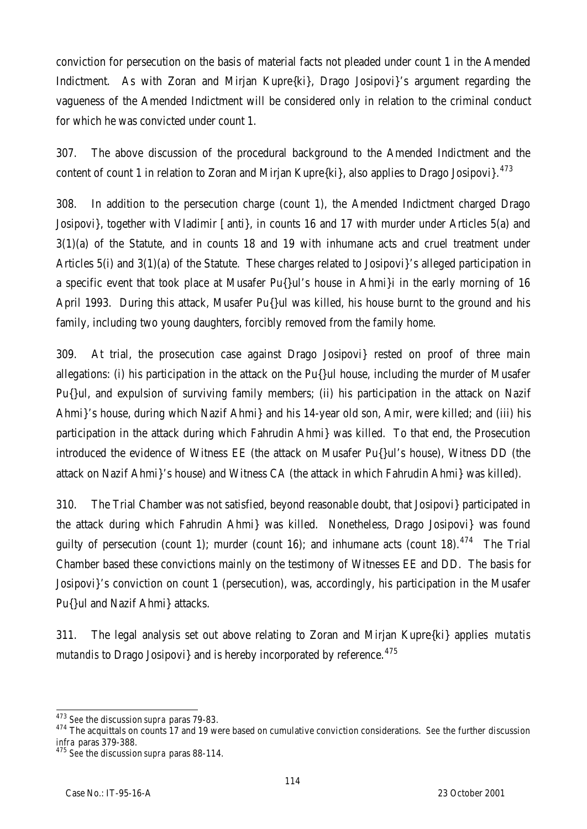conviction for persecution on the basis of material facts not pleaded under count 1 in the Amended Indictment. As with Zoran and Mirjan Kupre{ki}, Drago Josipovi}'s argument regarding the vagueness of the Amended Indictment will be considered only in relation to the criminal conduct for which he was convicted under count 1.

307. The above discussion of the procedural background to the Amended Indictment and the content of count 1 in relation to Zoran and Mirjan Kupre{ki}, also applies to Drago Josipovi}.<sup>473</sup>

308. In addition to the persecution charge (count 1), the Amended Indictment charged Drago Josipovi}, together with Vladimir [anti}, in counts 16 and 17 with murder under Articles 5(a) and 3(1)(a) of the Statute, and in counts 18 and 19 with inhumane acts and cruel treatment under Articles 5(i) and 3(1)(a) of the Statute. These charges related to Josipovi}'s alleged participation in a specific event that took place at Musafer Pu{}ul's house in Ahmi}i in the early morning of 16 April 1993. During this attack, Musafer Pu{}ul was killed, his house burnt to the ground and his family, including two young daughters, forcibly removed from the family home.

309. At trial, the prosecution case against Drago Josipovi} rested on proof of three main allegations: (i) his participation in the attack on the Pu{}ul house, including the murder of Musafer Pu{}ul, and expulsion of surviving family members; (ii) his participation in the attack on Nazif Ahmi}'s house, during which Nazif Ahmi} and his 14-year old son, Amir, were killed; and (iii) his participation in the attack during which Fahrudin Ahmi} was killed. To that end, the Prosecution introduced the evidence of Witness EE (the attack on Musafer Pu{}ul's house), Witness DD (the attack on Nazif Ahmi}'s house) and Witness CA (the attack in which Fahrudin Ahmi} was killed).

310. The Trial Chamber was not satisfied, beyond reasonable doubt, that Josipovi} participated in the attack during which Fahrudin Ahmi} was killed. Nonetheless, Drago Josipovi} was found quilty of persecution (count 1); murder (count 16); and inhumane acts (count 18).<sup>474</sup> The Trial Chamber based these convictions mainly on the testimony of Witnesses EE and DD. The basis for Josipovi}'s conviction on count 1 (persecution), was, accordingly, his participation in the Musafer Pu{}ul and Nazif Ahmi} attacks.

311. The legal analysis set out above relating to Zoran and Mirjan Kupre{ki} applies *mutatis mutandis* to Drago Josipovi} and is hereby incorporated by reference.<sup>475</sup>

 $\overline{a}$ <sup>473</sup> *See* the discussion *supra* paras 79-83.

<sup>474</sup> The acquittals on counts 17 and 19 were based on cumulative conviction considerations. *See* the further discussion *infra* paras 379-388.

<sup>475</sup> *See* the discussion *supra* paras 88-114.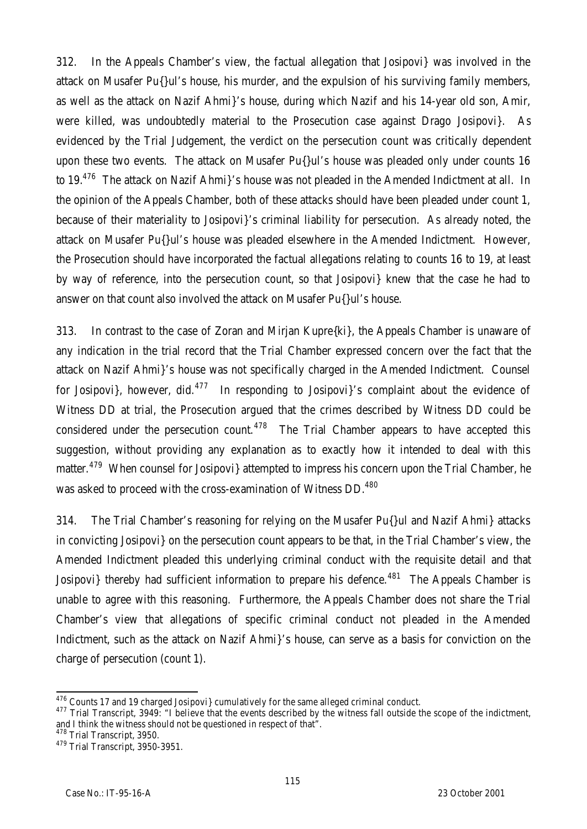312. In the Appeals Chamber's view, the factual allegation that Josipovi} was involved in the attack on Musafer Pu{}ul's house, his murder, and the expulsion of his surviving family members, as well as the attack on Nazif Ahmi}'s house, during which Nazif and his 14-year old son, Amir, were killed, was undoubtedly material to the Prosecution case against Drago Josipovi}. As evidenced by the Trial Judgement, the verdict on the persecution count was critically dependent upon these two events. The attack on Musafer Pu{}ul's house was pleaded only under counts 16 to 19.<sup>476</sup> The attack on Nazif Ahmi}'s house was not pleaded in the Amended Indictment at all. In the opinion of the Appeals Chamber, both of these attacks should have been pleaded under count 1, because of their materiality to Josipovi}'s criminal liability for persecution. As already noted, the attack on Musafer Pu{}ul's house was pleaded elsewhere in the Amended Indictment. However, the Prosecution should have incorporated the factual allegations relating to counts 16 to 19, at least by way of reference, into the persecution count, so that Josipovi} knew that the case he had to answer on that count also involved the attack on Musafer Pu{}ul's house.

313. In contrast to the case of Zoran and Mirjan Kupre{ki}, the Appeals Chamber is unaware of any indication in the trial record that the Trial Chamber expressed concern over the fact that the attack on Nazif Ahmi}'s house was not specifically charged in the Amended Indictment. Counsel for Josipovi}, however, did. $477$  In responding to Josipovi}'s complaint about the evidence of Witness DD at trial, the Prosecution argued that the crimes described by Witness DD could be considered under the persecution count.<sup>478</sup> The Trial Chamber appears to have accepted this suggestion, without providing any explanation as to exactly how it intended to deal with this matter.<sup>479</sup> When counsel for Josipovi} attempted to impress his concern upon the Trial Chamber, he was asked to proceed with the cross-examination of Witness DD.<sup>480</sup>

314. The Trial Chamber's reasoning for relying on the Musafer Pu{}ul and Nazif Ahmi} attacks in convicting Josipovi} on the persecution count appears to be that, in the Trial Chamber's view, the Amended Indictment pleaded this underlying criminal conduct with the requisite detail and that Josipovi} thereby had sufficient information to prepare his defence.<sup>481</sup> The Appeals Chamber is unable to agree with this reasoning. Furthermore, the Appeals Chamber does not share the Trial Chamber's view that allegations of specific criminal conduct not pleaded in the Amended Indictment, such as the attack on Nazif Ahmi}'s house, can serve as a basis for conviction on the charge of persecution (count 1).

 $\overline{a}$  $476$  Counts 17 and 19 charged Josipovi} cumulatively for the same alleged criminal conduct.

<sup>477</sup> Trial Transcript, 3949: "I believe that the events described by the witness fall outside the scope of the indictment, and I think the witness should not be questioned in respect of that".

<sup>&</sup>lt;sup>478</sup> Trial Transcript, 3950.

<sup>&</sup>lt;sup>479</sup> Trial Transcript, 3950-3951.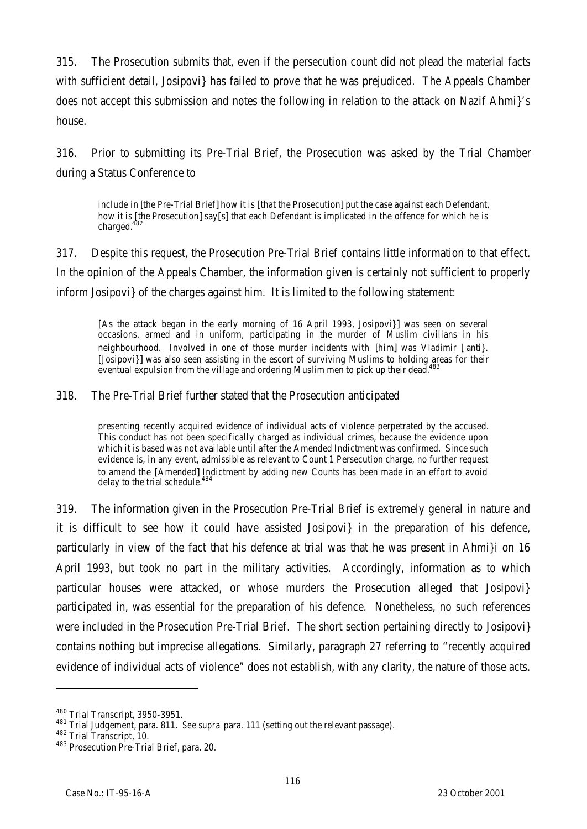315. The Prosecution submits that, even if the persecution count did not plead the material facts with sufficient detail, Josipovi} has failed to prove that he was prejudiced. The Appeals Chamber does not accept this submission and notes the following in relation to the attack on Nazif Ahmi}'s house.

316. Prior to submitting its Pre-Trial Brief, the Prosecution was asked by the Trial Chamber during a Status Conference to

include in [the Pre-Trial Brief] how it is [that the Prosecution] put the case against each Defendant, how it is [the Prosecution] say[s] that each Defendant is implicated in the offence for which he is charged.<sup>482</sup>

317. Despite this request, the Prosecution Pre-Trial Brief contains little information to that effect. In the opinion of the Appeals Chamber, the information given is certainly not sufficient to properly inform Josipovi} of the charges against him. It is limited to the following statement:

[As the attack began in the early morning of 16 April 1993, Josipovi}] was seen on several occasions, armed and in uniform, participating in the murder of Muslim civilians in his neighbourhood. Involved in one of those murder incidents with [him] was Vladimir [anti}. [Josipovi}] was also seen assisting in the escort of surviving Muslims to holding areas for their eventual expulsion from the village and ordering Muslim men to pick up their dead.<sup>483</sup>

#### 318. The Pre-Trial Brief further stated that the Prosecution anticipated

presenting recently acquired evidence of individual acts of violence perpetrated by the accused. This conduct has not been specifically charged as individual crimes, because the evidence upon which it is based was not available until after the Amended Indictment was confirmed. Since such evidence is, in any event, admissible as relevant to Count 1 Persecution charge, no further request to amend the [Amended] Indictment by adding new Counts has been made in an effort to avoid delay to the trial schedule.<sup>4</sup>

319. The information given in the Prosecution Pre-Trial Brief is extremely general in nature and it is difficult to see how it could have assisted Josipovi} in the preparation of his defence, particularly in view of the fact that his defence at trial was that he was present in Ahmi}i on 16 April 1993, but took no part in the military activities. Accordingly, information as to which particular houses were attacked, or whose murders the Prosecution alleged that Josipovi} participated in, was essential for the preparation of his defence. Nonetheless, no such references were included in the Prosecution Pre-Trial Brief. The short section pertaining directly to Josipovi} contains nothing but imprecise allegations. Similarly, paragraph 27 referring to "recently acquired evidence of individual acts of violence" does not establish, with any clarity, the nature of those acts.

<sup>480</sup> Trial Transcript, 3950-3951.

<sup>481</sup> Trial Judgement, para. 811. *See supra* para. 111 (setting out the relevant passage).

<sup>482</sup> Trial Transcript, 10.

<sup>483</sup> Prosecution Pre-Trial Brief, para. 20.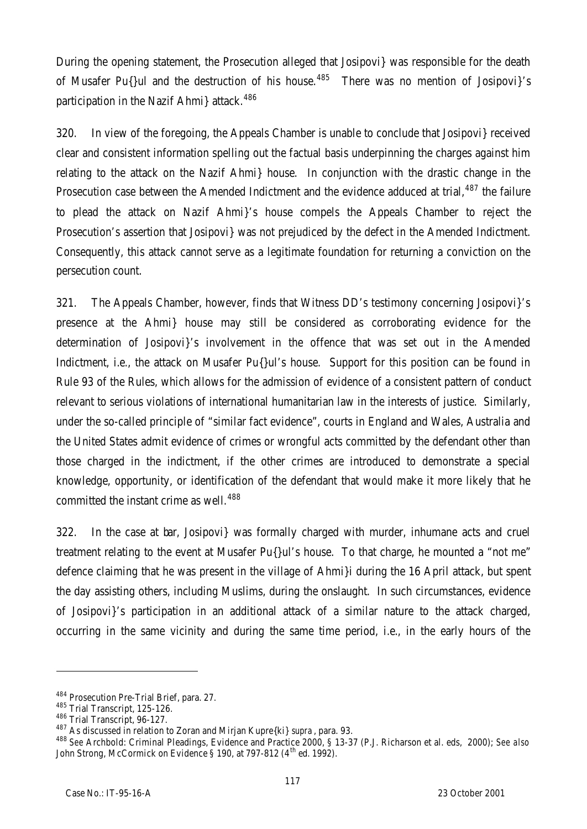During the opening statement, the Prosecution alleged that Josipovi} was responsible for the death of Musafer Pu{}ul and the destruction of his house.<sup>485</sup> There was no mention of Josipovi}'s participation in the Nazif Ahmi} attack.<sup>486</sup>

320. In view of the foregoing, the Appeals Chamber is unable to conclude that Josipovi} received clear and consistent information spelling out the factual basis underpinning the charges against him relating to the attack on the Nazif Ahmi} house. In conjunction with the drastic change in the Prosecution case between the Amended Indictment and the evidence adduced at trial,  $487$  the failure to plead the attack on Nazif Ahmi}'s house compels the Appeals Chamber to reject the Prosecution's assertion that Josipovi} was not prejudiced by the defect in the Amended Indictment. Consequently, this attack cannot serve as a legitimate foundation for returning a conviction on the persecution count.

321. The Appeals Chamber, however, finds that Witness DD's testimony concerning Josipovi}'s presence at the Ahmi} house may still be considered as corroborating evidence for the determination of Josipovi}'s involvement in the offence that was set out in the Amended Indictment, i.e*.*, the attack on Musafer Pu{}ul's house. Support for this position can be found in Rule 93 of the Rules, which allows for the admission of evidence of a consistent pattern of conduct relevant to serious violations of international humanitarian law in the interests of justice. Similarly, under the so-called principle of "similar fact evidence", courts in England and Wales, Australia and the United States admit evidence of crimes or wrongful acts committed by the defendant other than those charged in the indictment, if the other crimes are introduced to demonstrate a special knowledge, opportunity, or identification of the defendant that would make it more likely that he committed the instant crime as well.<sup>488</sup>

322. In the case at bar, Josipovi} was formally charged with murder, inhumane acts and cruel treatment relating to the event at Musafer Pu{}ul's house. To that charge, he mounted a "not me" defence claiming that he was present in the village of Ahmi}i during the 16 April attack, but spent the day assisting others, including Muslims, during the onslaught. In such circumstances, evidence of Josipovi}'s participation in an additional attack of a similar nature to the attack charged, occurring in the same vicinity and during the same time period, i.e., in the early hours of the

<sup>484</sup> Prosecution Pre-Trial Brief, para. 27.

<sup>485</sup> Trial Transcript, 125-126.

<sup>486</sup> Trial Transcript, 96-127.

<sup>487</sup> As discussed in relation to Zoran and Mirjan Kupre{ki} *supra* , para. 93.

<sup>488</sup> *See* Archbold: Criminal Pleadings, Evidence and Practice 2000, § 13-37 (P.J. Richarson et al. eds, 2000); *See also* John Strong, McCormick on Evidence § 190, at 797-812 (4<sup>th</sup> ed. 1992).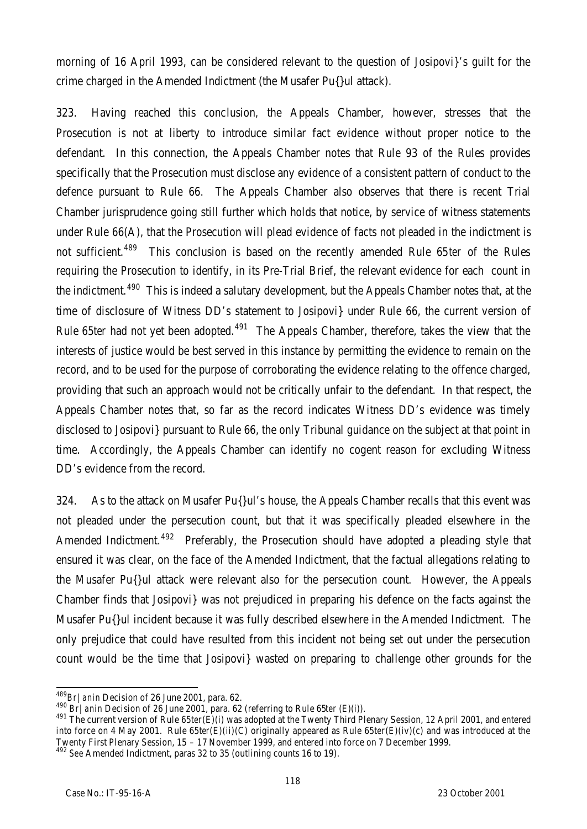morning of 16 April 1993, can be considered relevant to the question of Josipovi}'s guilt for the crime charged in the Amended Indictment (the Musafer Pu{}ul attack).

323. Having reached this conclusion, the Appeals Chamber, however, stresses that the Prosecution is not at liberty to introduce similar fact evidence without proper notice to the defendant. In this connection, the Appeals Chamber notes that Rule 93 of the Rules provides specifically that the Prosecution must disclose any evidence of a consistent pattern of conduct to the defence pursuant to Rule 66. The Appeals Chamber also observes that there is recent Trial Chamber jurisprudence going still further which holds that notice, by service of witness statements under Rule 66(A), that the Prosecution will plead evidence of facts not pleaded in the indictment is not sufficient.<sup>489</sup> This conclusion is based on the recently amended Rule 65*ter* of the Rules requiring the Prosecution to identify, in its Pre-Trial Brief, the relevant evidence for each count in the indictment.<sup>490</sup> This is indeed a salutary development, but the Appeals Chamber notes that, at the time of disclosure of Witness DD's statement to Josipovi} under Rule 66, the current version of Rule 65*ter* had not yet been adopted.<sup>491</sup> The Appeals Chamber, therefore, takes the view that the interests of justice would be best served in this instance by permitting the evidence to remain on the record, and to be used for the purpose of corroborating the evidence relating to the offence charged, providing that such an approach would not be critically unfair to the defendant. In that respect, the Appeals Chamber notes that, so far as the record indicates Witness DD's evidence was timely disclosed to Josipovi} pursuant to Rule 66, the only Tribunal guidance on the subject at that point in time. Accordingly, the Appeals Chamber can identify no cogent reason for excluding Witness DD's evidence from the record.

324. As to the attack on Musafer Pu{}ul's house, the Appeals Chamber recalls that this event was not pleaded under the persecution count, but that it was specifically pleaded elsewhere in the Amended Indictment.<sup>492</sup> Preferably, the Prosecution should have adopted a pleading style that ensured it was clear, on the face of the Amended Indictment, that the factual allegations relating to the Musafer Pu{}ul attack were relevant also for the persecution count. However, the Appeals Chamber finds that Josipovi} was not prejudiced in preparing his defence on the facts against the Musafer Pu{}ul incident because it was fully described elsewhere in the Amended Indictment. The only prejudice that could have resulted from this incident not being set out under the persecution count would be the time that Josipovi} wasted on preparing to challenge other grounds for the

 $\overline{a}$ <sup>489</sup>*Br|anin* Decision of 26 June 2001, para. 62.

<sup>490</sup> *Br|anin* Decision of 26 June 2001, para. 62 (referring to Rule 65*ter* (E)(i)).

<sup>491</sup> The current version of Rule 65*ter*(E)(i) was adopted at the Twenty Third Plenary Session, 12 April 2001, and entered into force on 4 May 2001. Rule 65*ter*(E)(ii)(C) originally appeared as Rule 65*ter*(E)(iv)(c) and was introduced at the Twenty First Plenary Session, 15 – 17 November 1999, and entered into force on 7 December 1999.

<sup>492</sup> *See* Amended Indictment, paras 32 to 35 (outlining counts 16 to 19).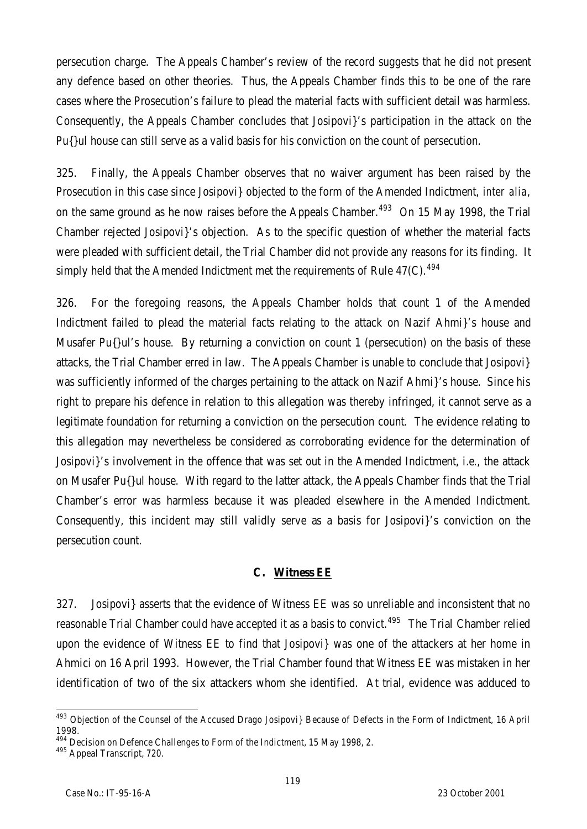persecution charge. The Appeals Chamber's review of the record suggests that he did not present any defence based on other theories. Thus, the Appeals Chamber finds this to be one of the rare cases where the Prosecution's failure to plead the material facts with sufficient detail was harmless. Consequently, the Appeals Chamber concludes that Josipovi}'s participation in the attack on the Pu{}ul house can still serve as a valid basis for his conviction on the count of persecution.

325. Finally, the Appeals Chamber observes that no waiver argument has been raised by the Prosecution in this case since Josipovi} objected to the form of the Amended Indictment, *inter alia*, on the same ground as he now raises before the Appeals Chamber.<sup>493</sup> On 15 May 1998, the Trial Chamber rejected Josipovi}'s objection. As to the specific question of whether the material facts were pleaded with sufficient detail, the Trial Chamber did not provide any reasons for its finding. It simply held that the Amended Indictment met the requirements of Rule 47(C).<sup>494</sup>

326. For the foregoing reasons, the Appeals Chamber holds that count 1 of the Amended Indictment failed to plead the material facts relating to the attack on Nazif Ahmi}'s house and Musafer Pu{}ul's house. By returning a conviction on count 1 (persecution) on the basis of these attacks, the Trial Chamber erred in law. The Appeals Chamber is unable to conclude that Josipovi} was sufficiently informed of the charges pertaining to the attack on Nazif Ahmi}'s house. Since his right to prepare his defence in relation to this allegation was thereby infringed, it cannot serve as a legitimate foundation for returning a conviction on the persecution count. The evidence relating to this allegation may nevertheless be considered as corroborating evidence for the determination of Josipovi}'s involvement in the offence that was set out in the Amended Indictment, i.e*.*, the attack on Musafer Pu{}ul house. With regard to the latter attack, the Appeals Chamber finds that the Trial Chamber's error was harmless because it was pleaded elsewhere in the Amended Indictment. Consequently, this incident may still validly serve as a basis for Josipovi}'s conviction on the persecution count.

#### **C. Witness EE**

327. Josipovi} asserts that the evidence of Witness EE was so unreliable and inconsistent that no reasonable Trial Chamber could have accepted it as a basis to convict.<sup>495</sup> The Trial Chamber relied upon the evidence of Witness EE to find that Josipovi} was one of the attackers at her home in Ahmici on 16 April 1993. However, the Trial Chamber found that Witness EE was mistaken in her identification of two of the six attackers whom she identified. At trial, evidence was adduced to

 $\overline{a}$ <sup>493</sup> Objection of the Counsel of the Accused Drago Josipovi} Because of Defects in the Form of Indictment, 16 April 1998.

 $^{494}$  Decision on Defence Challenges to Form of the Indictment, 15 May 1998, 2.

<sup>&</sup>lt;sup>495</sup> Appeal Transcript, 720.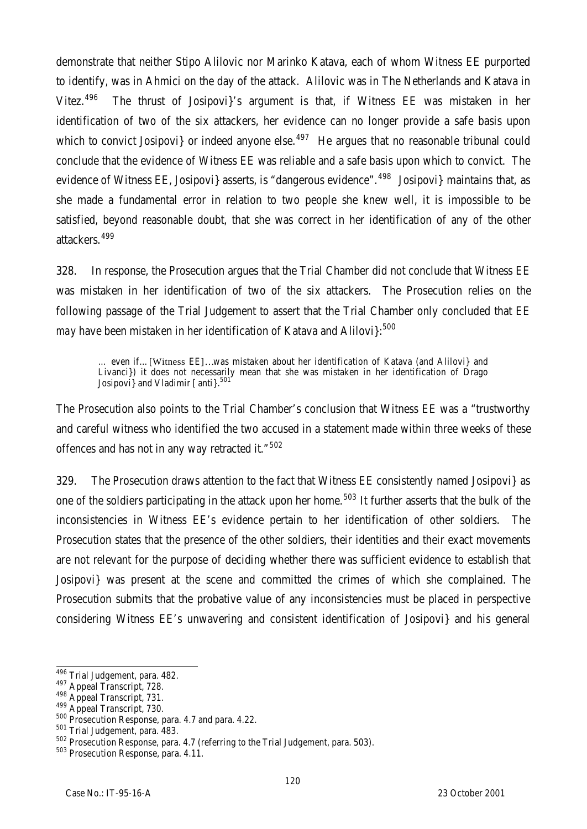demonstrate that neither Stipo Alilovic nor Marinko Katava, each of whom Witness EE purported to identify, was in Ahmici on the day of the attack. Alilovic was in The Netherlands and Katava in Vitez.<sup>496</sup> The thrust of Josipovi}'s argument is that, if Witness EE was mistaken in her identification of two of the six attackers, her evidence can no longer provide a safe basis upon which to convict Josipovi} or indeed anyone else.<sup>497</sup> He argues that no reasonable tribunal could conclude that the evidence of Witness EE was reliable and a safe basis upon which to convict. The evidence of Witness EE, Josipovi} asserts, is "dangerous evidence".  $498$  Josipovi} maintains that, as she made a fundamental error in relation to two people she knew well, it is impossible to be satisfied, beyond reasonable doubt, that she was correct in her identification of any of the other attackers. <sup>499</sup>

328. In response, the Prosecution argues that the Trial Chamber did not conclude that Witness EE was mistaken in her identification of two of the six attackers. The Prosecution relies on the following passage of the Trial Judgement to assert that the Trial Chamber only concluded that EE *may* have been mistaken in her identification of Katava and Alilovi}:<sup>500</sup>

… even if…[Witness EE]…was mistaken about her identification of Katava (and Alilovi} and Livanci}) it does not necessarily mean that she was mistaken in her identification of Drago Josipovi} and Vladimir [anti}.<sup>501</sup>

The Prosecution also points to the Trial Chamber's conclusion that Witness EE was a "trustworthy and careful witness who identified the two accused in a statement made within three weeks of these offences and has not in any way retracted it."<sup>502</sup>

329. The Prosecution draws attention to the fact that Witness EE consistently named Josipovi} as one of the soldiers participating in the attack upon her home.<sup>503</sup> It further asserts that the bulk of the inconsistencies in Witness EE's evidence pertain to her identification of other soldiers. The Prosecution states that the presence of the other soldiers, their identities and their exact movements are not relevant for the purpose of deciding whether there was sufficient evidence to establish that Josipovi} was present at the scene and committed the crimes of which she complained. The Prosecution submits that the probative value of any inconsistencies must be placed in perspective considering Witness EE's unwavering and consistent identification of Josipovi} and his general

 $\overline{a}$ <sup>496</sup> Trial Judgement, para. 482.

<sup>497</sup> Appeal Transcript, 728.

<sup>498</sup> Appeal Transcript, 731.

<sup>499</sup> Appeal Transcript, 730.

<sup>500</sup> Prosecution Response, para. 4.7 and para. 4.22.

<sup>501</sup> Trial Judgement, para. 483.

<sup>502</sup> Prosecution Response, para. 4.7 (referring to the Trial Judgement, para. 503).

<sup>503</sup> Prosecution Response, para. 4.11.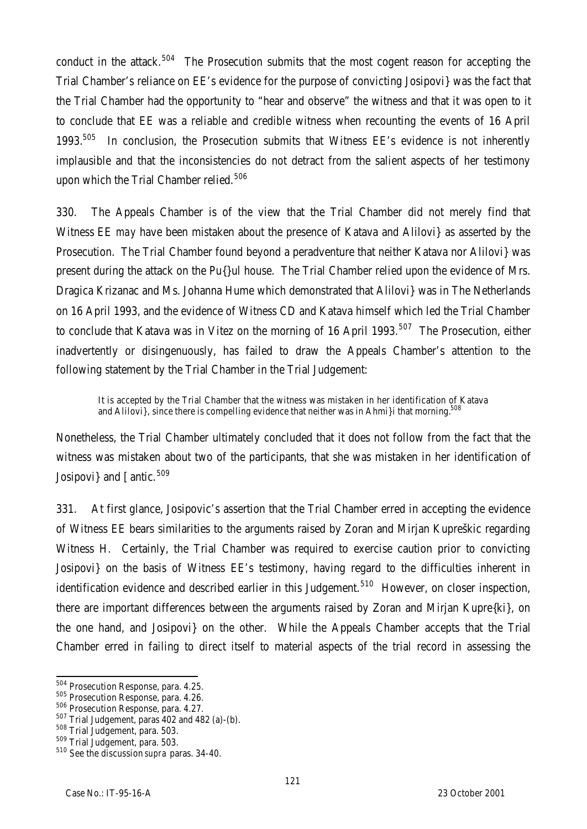conduct in the attack.<sup>504</sup> The Prosecution submits that the most cogent reason for accepting the Trial Chamber's reliance on EE's evidence for the purpose of convicting Josipovi} was the fact that the Trial Chamber had the opportunity to "hear and observe" the witness and that it was open to it to conclude that EE was a reliable and credible witness when recounting the events of 16 April 1993.<sup>505</sup> In conclusion, the Prosecution submits that Witness EE's evidence is not inherently implausible and that the inconsistencies do not detract from the salient aspects of her testimony upon which the Trial Chamber relied.<sup>506</sup>

330. The Appeals Chamber is of the view that the Trial Chamber did not merely find that Witness EE *may* have been mistaken about the presence of Katava and Alilovi} as asserted by the Prosecution. The Trial Chamber found beyond a peradventure that neither Katava nor Alilovi} was present during the attack on the Pu{}ul house. The Trial Chamber relied upon the evidence of Mrs. Dragica Krizanac and Ms. Johanna Hume which demonstrated that Alilovi} was in The Netherlands on 16 April 1993, and the evidence of Witness CD and Katava himself which led the Trial Chamber to conclude that Katava was in Vitez on the morning of 16 April 1993.<sup>507</sup> The Prosecution, either inadvertently or disingenuously, has failed to draw the Appeals Chamber's attention to the following statement by the Trial Chamber in the Trial Judgement:

It is accepted by the Trial Chamber that the witness was mistaken in her identification of Katava and Alilovi}, since there is compelling evidence that neither was in Ahmi}i that morning.<sup>508</sup>

Nonetheless, the Trial Chamber ultimately concluded that it does not follow from the fact that the witness was mistaken about two of the participants, that she was mistaken in her identification of Josipovi} and [antic.<sup>509</sup>

331. At first glance, Josipovic's assertion that the Trial Chamber erred in accepting the evidence of Witness EE bears similarities to the arguments raised by Zoran and Mirjan Kupreškic regarding Witness H. Certainly, the Trial Chamber was required to exercise caution prior to convicting Josipovi} on the basis of Witness EE's testimony, having regard to the difficulties inherent in identification evidence and described earlier in this Judgement.<sup>510</sup> However, on closer inspection, there are important differences between the arguments raised by Zoran and Mirjan Kupre{ki}, on the one hand, and Josipovi} on the other. While the Appeals Chamber accepts that the Trial Chamber erred in failing to direct itself to material aspects of the trial record in assessing the

 $\overline{a}$ 

<sup>&</sup>lt;sup>504</sup> Prosecution Response, para. 4.25.

<sup>505</sup> Prosecution Response, para. 4.26.

<sup>506</sup> Prosecution Response, para. 4.27.

<sup>507</sup> Trial Judgement, paras 402 and 482 (a)-(b).

<sup>508</sup> Trial Judgement, para. 503.

<sup>509</sup> Trial Judgement, para. 503.

<sup>510</sup> See the discussion *supra* paras. 34-40.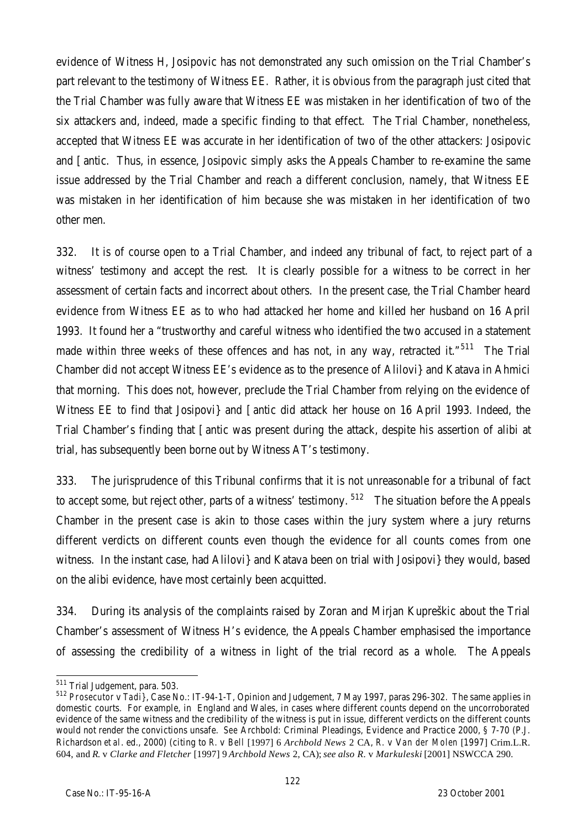evidence of Witness H, Josipovic has not demonstrated any such omission on the Trial Chamber's part relevant to the testimony of Witness EE. Rather, it is obvious from the paragraph just cited that the Trial Chamber was fully aware that Witness EE was mistaken in her identification of two of the six attackers and, indeed, made a specific finding to that effect. The Trial Chamber, nonetheless, accepted that Witness EE was accurate in her identification of two of the other attackers: Josipovic and [antic. Thus, in essence, Josipovic simply asks the Appeals Chamber to re-examine the same issue addressed by the Trial Chamber and reach a different conclusion, namely, that Witness EE was mistaken in her identification of him because she was mistaken in her identification of two other men.

332. It is of course open to a Trial Chamber, and indeed any tribunal of fact, to reject part of a witness' testimony and accept the rest. It is clearly possible for a witness to be correct in her assessment of certain facts and incorrect about others. In the present case, the Trial Chamber heard evidence from Witness EE as to who had attacked her home and killed her husband on 16 April 1993. It found her a "trustworthy and careful witness who identified the two accused in a statement made within three weeks of these offences and has not, in any way, retracted it."<sup>511</sup> The Trial Chamber did not accept Witness EE's evidence as to the presence of Alilovi} and Katava in Ahmici that morning. This does not, however, preclude the Trial Chamber from relying on the evidence of Witness EE to find that Josipovi} and [antic did attack her house on 16 April 1993. Indeed, the Trial Chamber's finding that [antic was present during the attack, despite his assertion of alibi at trial, has subsequently been borne out by Witness AT's testimony.

333. The jurisprudence of this Tribunal confirms that it is not unreasonable for a tribunal of fact to accept some, but reject other, parts of a witness' testimony. <sup>512</sup> The situation before the Appeals Chamber in the present case is akin to those cases within the jury system where a jury returns different verdicts on different counts even though the evidence for all counts comes from one witness. In the instant case, had Alilovi} and Katava been on trial with Josipovi} they would, based on the alibi evidence, have most certainly been acquitted.

334. During its analysis of the complaints raised by Zoran and Mirjan Kupreškic about the Trial Chamber's assessment of Witness H's evidence, the Appeals Chamber emphasised the importance of assessing the credibility of a witness in light of the trial record as a whole. The Appeals

 $\overline{a}$ <sup>511</sup> Trial Judgement, para. 503.

<sup>512</sup> *Prosecutor* v *Tadi}*, Case No.: IT-94-1-T, Opinion and Judgement, 7 May 1997, paras 296-302. The same applies in domestic courts. For example, in England and Wales, in cases where different counts depend on the uncorroborated evidence of the same witness and the credibility of the witness is put in issue, different verdicts on the different counts would not render the convictions unsafe. *See* Archbold: Criminal Pleadings, Evidence and Practice 2000, § 7-70 (P.J. Richardson *et al*. ed., 2000) (citing to *R.* v *Bell* [1997] 6 *Archbold News* 2 CA, *R.* v V*an der Molen* [1997] Crim.L.R. 604, and *R.* v *Clarke and Fletcher* [1997] 9 *Archbold News* 2, CA); *see also R.* v *Markuleski* [2001] NSWCCA 290.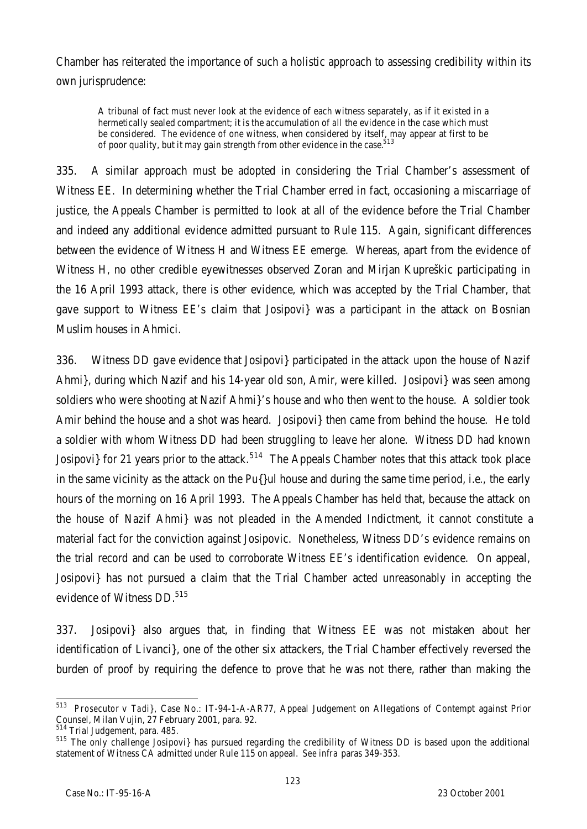Chamber has reiterated the importance of such a holistic approach to assessing credibility within its own jurisprudence:

A tribunal of fact must never look at the evidence of each witness separately, as if it existed in a hermetically sealed compartment; it is the accumulation of *all* the evidence in the case which must be considered. The evidence of one witness, when considered by itself, may appear at first to be of poor quality, but it may gain strength from other evidence in the case.<sup>513</sup>

335. A similar approach must be adopted in considering the Trial Chamber's assessment of Witness EE. In determining whether the Trial Chamber erred in fact, occasioning a miscarriage of justice, the Appeals Chamber is permitted to look at all of the evidence before the Trial Chamber and indeed any additional evidence admitted pursuant to Rule 115. Again, significant differences between the evidence of Witness H and Witness EE emerge. Whereas, apart from the evidence of Witness H, no other credible eyewitnesses observed Zoran and Mirjan Kupreškic participating in the 16 April 1993 attack, there is other evidence, which was accepted by the Trial Chamber, that gave support to Witness EE's claim that Josipovi} was a participant in the attack on Bosnian Muslim houses in Ahmici.

336. Witness DD gave evidence that Josipovi} participated in the attack upon the house of Nazif Ahmi}, during which Nazif and his 14-year old son, Amir, were killed. Josipovi} was seen among soldiers who were shooting at Nazif Ahmi}'s house and who then went to the house. A soldier took Amir behind the house and a shot was heard. Josipovi} then came from behind the house. He told a soldier with whom Witness DD had been struggling to leave her alone. Witness DD had known Josipovi} for 21 years prior to the attack.<sup>514</sup> The Appeals Chamber notes that this attack took place in the same vicinity as the attack on the Pu{}ul house and during the same time period, i.e*.,* the early hours of the morning on 16 April 1993. The Appeals Chamber has held that, because the attack on the house of Nazif Ahmi} was not pleaded in the Amended Indictment, it cannot constitute a material fact for the conviction against Josipovic. Nonetheless, Witness DD's evidence remains on the trial record and can be used to corroborate Witness EE's identification evidence. On appeal, Josipovi} has not pursued a claim that the Trial Chamber acted unreasonably in accepting the evidence of Witness DD.<sup>515</sup>

337. Josipovi} also argues that, in finding that Witness EE was not mistaken about her identification of Livanci}, one of the other six attackers, the Trial Chamber effectively reversed the burden of proof by requiring the defence to prove that he was not there, rather than making the

 513 *Prosecutor* v *Tadi}*, Case No.: IT-94-1-A-AR77, Appeal Judgement on Allegations of Contempt against Prior Counsel, Milan Vujin, 27 February 2001, para. 92.

<sup>514</sup> Trial Judgement, para. 485.

<sup>&</sup>lt;sup>515</sup> The only challenge Josipovi} has pursued regarding the credibility of Witness DD is based upon the additional statement of Witness CA admitted under Rule 115 on appeal. *See infra* paras 349-353.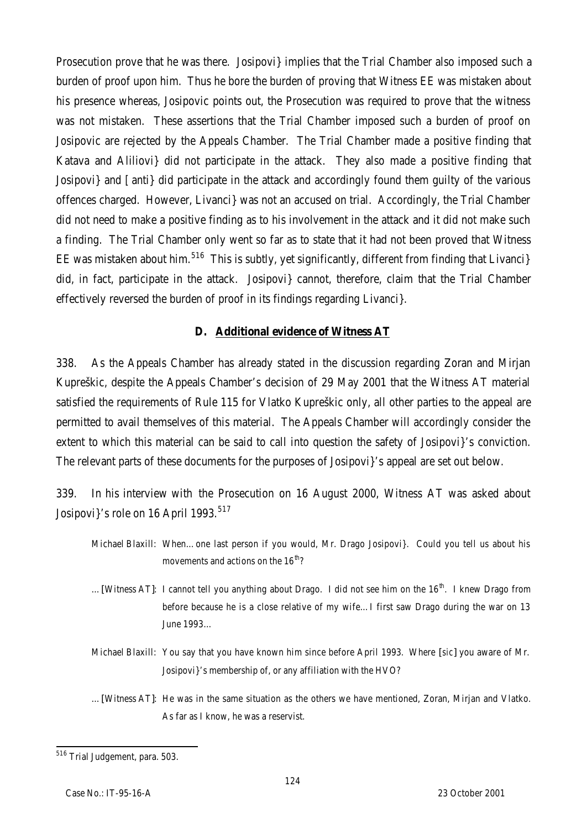Prosecution prove that he was there. Josipovi} implies that the Trial Chamber also imposed such a burden of proof upon him. Thus he bore the burden of proving that Witness EE was mistaken about his presence whereas, Josipovic points out, the Prosecution was required to prove that the witness was not mistaken. These assertions that the Trial Chamber imposed such a burden of proof on Josipovic are rejected by the Appeals Chamber. The Trial Chamber made a positive finding that Katava and Aliliovi} did not participate in the attack. They also made a positive finding that Josipovi} and [anti} did participate in the attack and accordingly found them guilty of the various offences charged. However, Livanci} was not an accused on trial. Accordingly, the Trial Chamber did not need to make a positive finding as to his involvement in the attack and it did not make such a finding. The Trial Chamber only went so far as to state that it had not been proved that Witness EE was mistaken about him.<sup>516</sup> This is subtly, yet significantly, different from finding that Livanci} did, in fact, participate in the attack. Josipovi} cannot, therefore, claim that the Trial Chamber effectively reversed the burden of proof in its findings regarding Livanci}.

## **D. Additional evidence of Witness AT**

338. As the Appeals Chamber has already stated in the discussion regarding Zoran and Mirjan Kupreškic, despite the Appeals Chamber's decision of 29 May 2001 that the Witness AT material satisfied the requirements of Rule 115 for Vlatko Kupreškic only, all other parties to the appeal are permitted to avail themselves of this material. The Appeals Chamber will accordingly consider the extent to which this material can be said to call into question the safety of Josipovi l's conviction. The relevant parts of these documents for the purposes of Josipovi}'s appeal are set out below.

339. In his interview with the Prosecution on 16 August 2000, Witness AT was asked about Josipovi<sup>3</sup>'s role on 16 April 1993.<sup>517</sup>

- Michael Blaxill: When…one last person if you would, Mr. Drago Josipovi}. Could you tell us about his movements and actions on the  $16^{th}$ ?
- ... [Witness AT]: I cannot tell you anything about Drago. I did not see him on the  $16<sup>th</sup>$ . I knew Drago from before because he is a close relative of my wife…I first saw Drago during the war on 13 June 1993…
- Michael Blaxill: You say that you have known him since before April 1993. Where [*sic*] you aware of Mr. Josipovi}'s membership of, or any affiliation with the HVO?
- …[Witness AT]: He was in the same situation as the others we have mentioned, Zoran, Mirjan and Vlatko. As far as I know, he was a reservist.

 $\overline{a}$ <sup>516</sup> Trial Judgement, para. 503.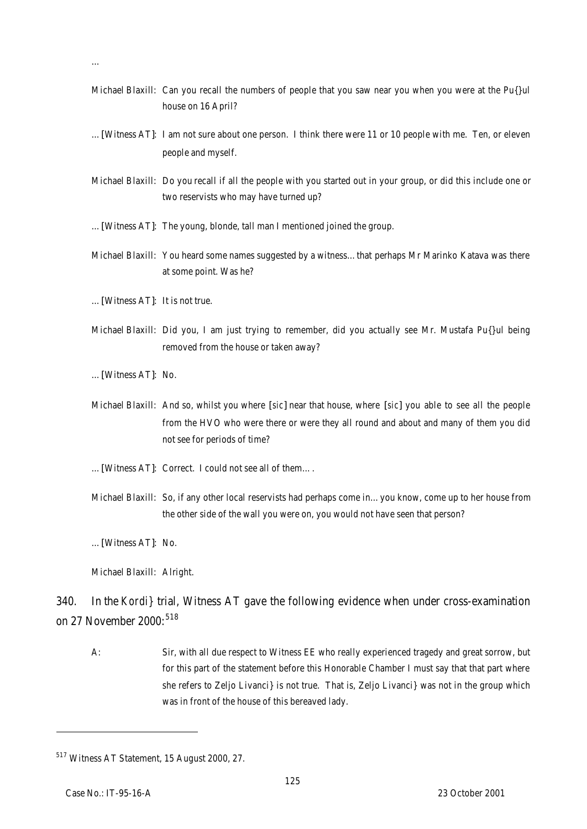- Michael Blaxill: Can you recall the numbers of people that you saw near you when you were at the Pu{}ul house on 16 April?
- …[Witness AT]: I am not sure about one person. I think there were 11 or 10 people with me. Ten, or eleven people and myself.
- Michael Blaxill: Do you recall if all the people with you started out in your group, or did this include one or two reservists who may have turned up?
- …[Witness AT]: The young, blonde, tall man I mentioned joined the group.
- Michael Blaxill: You heard some names suggested by a witness…that perhaps Mr Marinko Katava was there at some point. Was he?
- …[Witness AT]: It is not true.
- Michael Blaxill: Did you, I am just trying to remember, did you actually see Mr. Mustafa Pu{}ul being removed from the house or taken away?
- …[Witness AT]: No.

…

- Michael Blaxill: And so, whilst you where [*sic*] near that house, where [*sic*] you able to see all the people from the HVO who were there or were they all round and about and many of them you did not see for periods of time?
- …[Witness AT]: Correct. I could not see all of them….
- Michael Blaxill: So, if any other local reservists had perhaps come in…you know, come up to her house from the other side of the wall you were on, you would not have seen that person?

…[Witness AT]: No.

Michael Blaxill: Alright.

340. In the *Kordi}* trial, Witness AT gave the following evidence when under cross-examination on 27 November 2000: $518$ 

A: Sir, with all due respect to Witness EE who really experienced tragedy and great sorrow, but for this part of the statement before this Honorable Chamber I must say that that part where she refers to Zeljo Livanci} is not true. That is, Zeljo Livanci} was not in the group which was in front of the house of this bereaved lady.

<sup>517</sup> Witness AT Statement, 15 August 2000, 27.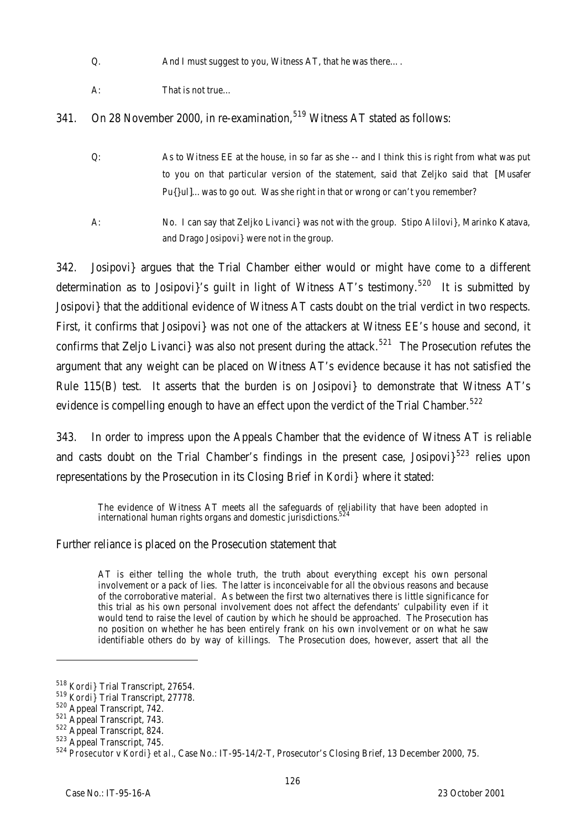Q. And I must suggest to you, Witness AT, that he was there....

A: That is not true…

341. On 28 November 2000, in re-examination,  $519$  Witness AT stated as follows:

- Q: As to Witness EE at the house, in so far as she -- and I think this is right from what was put to you on that particular version of the statement, said that Zeljko said that [Musafer Pu{}ul]...was to go out. Was she right in that or wrong or can't you remember?
- A: No. I can say that Zeljko Livanci} was not with the group. Stipo Alilovi}, Marinko Katava, and Drago Josipovi} were not in the group.

342. Josipovi} argues that the Trial Chamber either would or might have come to a different determination as to Josipovi}'s guilt in light of Witness AT's testimony.<sup>520</sup> It is submitted by Josipovi} that the additional evidence of Witness AT casts doubt on the trial verdict in two respects. First, it confirms that Josipovi} was not one of the attackers at Witness EE's house and second, it confirms that Zeljo Livanci was also not present during the attack.<sup>521</sup> The Prosecution refutes the argument that any weight can be placed on Witness AT's evidence because it has not satisfied the Rule 115(B) test. It asserts that the burden is on Josipovi} to demonstrate that Witness AT's evidence is compelling enough to have an effect upon the verdict of the Trial Chamber.<sup>522</sup>

343. In order to impress upon the Appeals Chamber that the evidence of Witness AT is reliable and casts doubt on the Trial Chamber's findings in the present case, Josipovi $3^{523}$  relies upon representations by the Prosecution in its Closing Brief in *Kordi}* where it stated:

The evidence of Witness AT meets all the safeguards of reliability that have been adopted in international human rights organs and domestic jurisdictions. $52$ 

Further reliance is placed on the Prosecution statement that

AT is either telling the whole truth, the truth about everything except his own personal involvement or a pack of lies. The latter is inconceivable for all the obvious reasons and because of the corroborative material. As between the first two alternatives there is little significance for this trial as his own personal involvement does not affect the defendants' culpability even if it would tend to raise the level of caution by which he should be approached. The Prosecution has no position on whether he has been entirely frank on his own involvement or on what he saw identifiable others do by way of killings. The Prosecution does, however, assert that all the

<sup>518</sup> *Kordi}* Trial Transcript, 27654.

<sup>519</sup> *Kordi}* Trial Transcript, 27778.

<sup>520</sup> Appeal Transcript, 742.

<sup>521</sup> Appeal Transcript, 743.

<sup>522</sup> Appeal Transcript, 824.

<sup>523</sup> Appeal Transcript, 745.

<sup>524</sup> *Prosecutor* v *Kordi} et al.*, Case No.: IT-95-14/2-T, Prosecutor's Closing Brief, 13 December 2000, 75.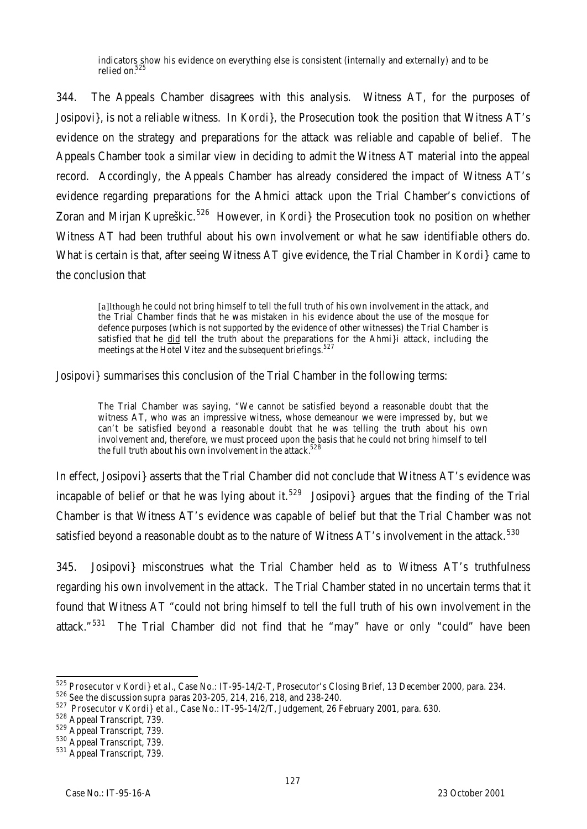indicators show his evidence on everything else is consistent (internally and externally) and to be relied on.<sup>525</sup>

344. The Appeals Chamber disagrees with this analysis. Witness AT, for the purposes of Josipovi}, is not a reliable witness. In *Kordi}*, the Prosecution took the position that Witness AT's evidence on the strategy and preparations for the attack was reliable and capable of belief. The Appeals Chamber took a similar view in deciding to admit the Witness AT material into the appeal record. Accordingly, the Appeals Chamber has already considered the impact of Witness AT's evidence regarding preparations for the Ahmici attack upon the Trial Chamber's convictions of Zoran and Mirjan Kupreškic.<sup>526</sup> However, in *Kordi*} the Prosecution took no position on whether Witness AT had been truthful about his own involvement or what he saw identifiable others do. What is certain is that, after seeing Witness AT give evidence, the Trial Chamber in *Kordi}* came to the conclusion that

[a]lthough he could not bring himself to tell the full truth of his own involvement in the attack, and the Trial Chamber finds that he was mistaken in his evidence about the use of the mosque for defence purposes (which is not supported by the evidence of other witnesses) the Trial Chamber is satisfied that he did tell the truth about the preparations for the Ahmi}i attack, including the meetings at the Hotel Vitez and the subsequent briefings.<sup>527</sup>

Josipovi} summarises this conclusion of the Trial Chamber in the following terms:

The Trial Chamber was saying, "We cannot be satisfied beyond a reasonable doubt that the witness AT, who was an impressive witness, whose demeanour we were impressed by, but we can't be satisfied beyond a reasonable doubt that he was telling the truth about his own involvement and, therefore, we must proceed upon the basis that he could not bring himself to tell the full truth about his own involvement in the attack.<sup>528</sup>

In effect, Josipovi} asserts that the Trial Chamber did not conclude that Witness AT's evidence was incapable of belief or that he was lying about it.<sup>529</sup> Josipovi argues that the finding of the Trial Chamber is that Witness AT's evidence was capable of belief but that the Trial Chamber was not satisfied beyond a reasonable doubt as to the nature of Witness AT's involvement in the attack.<sup>530</sup>

345. Josipovi} misconstrues what the Trial Chamber held as to Witness AT's truthfulness regarding his own involvement in the attack. The Trial Chamber stated in no uncertain terms that it found that Witness AT "could not bring himself to tell the full truth of his own involvement in the attack."<sup>531</sup> The Trial Chamber did not find that he "may" have or only "could" have been

 $\overline{a}$ <sup>525</sup> *Prosecutor* v *Kordi} et al.*, Case No.: IT-95-14/2-T, Prosecutor's Closing Brief, 13 December 2000, para. 234.

<sup>526</sup> *See* the discussion *supra* paras 203-205, 214, 216, 218, and 238-240.

<sup>527</sup> *Prosecutor* v *Kordi} et al.*, Case No.: IT-95-14/2/T, Judgement, 26 February 2001, para. 630.

<sup>528</sup> Appeal Transcript, 739.

<sup>529</sup> Appeal Transcript, 739.

<sup>530</sup> Appeal Transcript, 739.

<sup>531</sup> Appeal Transcript, 739.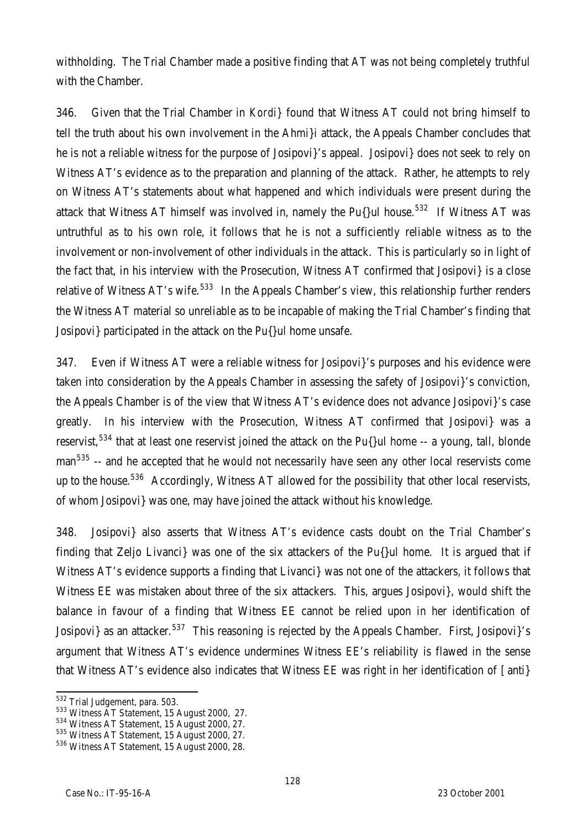withholding. The Trial Chamber made a positive finding that AT was not being completely truthful with the Chamber.

346. Given that the Trial Chamber in *Kordi}* found that Witness AT could not bring himself to tell the truth about his own involvement in the Ahmi}i attack, the Appeals Chamber concludes that he is not a reliable witness for the purpose of Josipovi}'s appeal. Josipovi} does not seek to rely on Witness AT's evidence as to the preparation and planning of the attack. Rather, he attempts to rely on Witness AT's statements about what happened and which individuals were present during the attack that Witness AT himself was involved in, namely the Pu $\{$ lul house.<sup>532</sup> If Witness AT was untruthful as to his own role, it follows that he is not a sufficiently reliable witness as to the involvement or non-involvement of other individuals in the attack. This is particularly so in light of the fact that, in his interview with the Prosecution, Witness AT confirmed that Josipovi} is a close relative of Witness AT's wife.<sup>533</sup> In the Appeals Chamber's view, this relationship further renders the Witness AT material so unreliable as to be incapable of making the Trial Chamber's finding that Josipovi} participated in the attack on the Pu{}ul home unsafe.

347. Even if Witness AT were a reliable witness for Josipovi}'s purposes and his evidence were taken into consideration by the Appeals Chamber in assessing the safety of Josipovi}'s conviction, the Appeals Chamber is of the view that Witness AT's evidence does not advance Josipovi}'s case greatly. In his interview with the Prosecution, Witness AT confirmed that Josipovi} was a reservist,<sup>534</sup> that at least one reservist joined the attack on the Pu{}ul home  $-$  a young, tall, blonde man<sup>535</sup> -- and he accepted that he would not necessarily have seen any other local reservists come up to the house.<sup>536</sup> Accordingly, Witness AT allowed for the possibility that other local reservists, of whom Josipovi} was one, may have joined the attack without his knowledge.

348. Josipovi} also asserts that Witness AT's evidence casts doubt on the Trial Chamber's finding that Zeljo Livanci} was one of the six attackers of the Pu{}ul home. It is argued that if Witness AT's evidence supports a finding that Livanci} was not one of the attackers, it follows that Witness EE was mistaken about three of the six attackers. This, argues Josipovi}, would shift the balance in favour of a finding that Witness EE cannot be relied upon in her identification of Josipovi} as an attacker.<sup>537</sup> This reasoning is rejected by the Appeals Chamber. First, Josipovi}'s argument that Witness AT's evidence undermines Witness EE's reliability is flawed in the sense that Witness AT's evidence also indicates that Witness EE was right in her identification of [anti}

 $\overline{a}$ 

<sup>&</sup>lt;sup>532</sup> Trial Judgement, para. 503.

<sup>533</sup> Witness AT Statement, 15 August 2000, 27.

<sup>&</sup>lt;sup>534</sup> Witness AT Statement, 15 August 2000, 27.

<sup>&</sup>lt;sup>535</sup> Witness AT Statement, 15 August 2000, 27.

<sup>536</sup> Witness AT Statement, 15 August 2000, 28.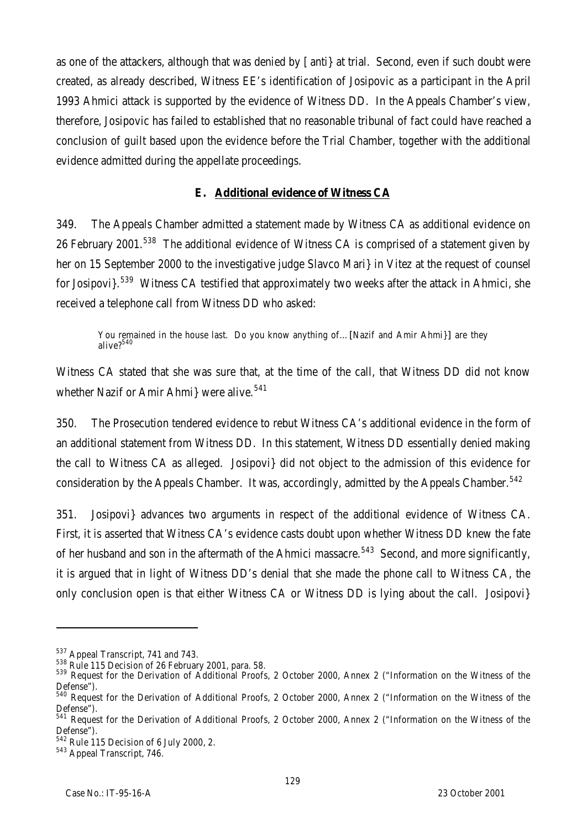as one of the attackers, although that was denied by [anti} at trial. Second, even if such doubt were created, as already described, Witness EE's identification of Josipovic as a participant in the April 1993 Ahmici attack is supported by the evidence of Witness DD. In the Appeals Chamber's view, therefore, Josipovic has failed to established that no reasonable tribunal of fact could have reached a conclusion of guilt based upon the evidence before the Trial Chamber, together with the additional evidence admitted during the appellate proceedings.

## **E. Additional evidence of Witness CA**

349. The Appeals Chamber admitted a statement made by Witness CA as additional evidence on 26 February 2001.<sup>538</sup> The additional evidence of Witness CA is comprised of a statement given by her on 15 September 2000 to the investigative judge Slavco Mari} in Vitez at the request of counsel for Josipovi}.<sup>539</sup> Witness CA testified that approximately two weeks after the attack in Ahmici, she received a telephone call from Witness DD who asked:

You remained in the house last. Do you know anything of...[Nazif and Amir Ahmi}] are they alive?<sup>540</sup>

Witness CA stated that she was sure that, at the time of the call, that Witness DD did not know whether Nazif or Amir Ahmi were alive.<sup>541</sup>

350. The Prosecution tendered evidence to rebut Witness CA's additional evidence in the form of an additional statement from Witness DD. In this statement, Witness DD essentially denied making the call to Witness CA as alleged. Josipovi} did not object to the admission of this evidence for consideration by the Appeals Chamber. It was, accordingly, admitted by the Appeals Chamber.<sup>542</sup>

351. Josipovi} advances two arguments in respect of the additional evidence of Witness CA. First, it is asserted that Witness CA's evidence casts doubt upon whether Witness DD knew the fate of her husband and son in the aftermath of the Ahmici massacre.<sup>543</sup> Second, and more significantly, it is argued that in light of Witness DD's denial that she made the phone call to Witness CA, the only conclusion open is that either Witness CA or Witness DD is lying about the call. Josipovi}

<sup>537</sup> Appeal Transcript, 741 and 743.

<sup>538</sup> Rule 115 Decision of 26 February 2001, para. 58.

<sup>539</sup> Request for the Derivation of Additional Proofs, 2 October 2000, Annex 2 ("Information on the Witness of the Defense").

<sup>540</sup> Request for the Derivation of Additional Proofs, 2 October 2000, Annex 2 ("Information on the Witness of the Defense").

<sup>&</sup>lt;sup>541</sup> Request for the Derivation of Additional Proofs, 2 October 2000, Annex 2 ("Information on the Witness of the Defense").

 $542$  Rule 115 Decision of 6 July 2000, 2.

<sup>543</sup> Appeal Transcript, 746.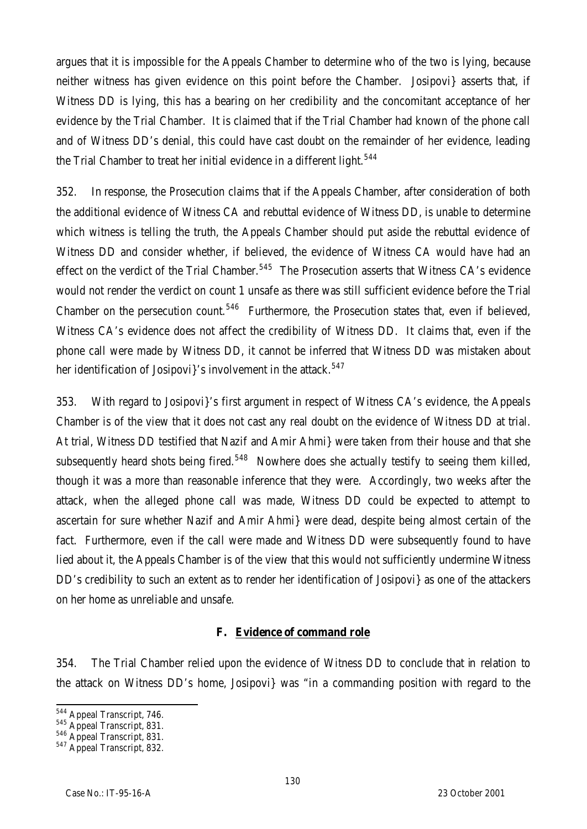argues that it is impossible for the Appeals Chamber to determine who of the two is lying, because neither witness has given evidence on this point before the Chamber. Josipovi} asserts that, if Witness DD is lying, this has a bearing on her credibility and the concomitant acceptance of her evidence by the Trial Chamber. It is claimed that if the Trial Chamber had known of the phone call and of Witness DD's denial, this could have cast doubt on the remainder of her evidence, leading the Trial Chamber to treat her initial evidence in a different light.<sup>544</sup>

352. In response, the Prosecution claims that if the Appeals Chamber, after consideration of both the additional evidence of Witness CA and rebuttal evidence of Witness DD, is unable to determine which witness is telling the truth, the Appeals Chamber should put aside the rebuttal evidence of Witness DD and consider whether, if believed, the evidence of Witness CA would have had an effect on the verdict of the Trial Chamber.<sup>545</sup> The Prosecution asserts that Witness CA's evidence would not render the verdict on count 1 unsafe as there was still sufficient evidence before the Trial Chamber on the persecution count.<sup>546</sup> Furthermore, the Prosecution states that, even if believed, Witness CA's evidence does not affect the credibility of Witness DD. It claims that, even if the phone call were made by Witness DD, it cannot be inferred that Witness DD was mistaken about her identification of Josipovi}'s involvement in the attack.<sup>547</sup>

353. With regard to Josipovi}'s first argument in respect of Witness CA's evidence, the Appeals Chamber is of the view that it does not cast any real doubt on the evidence of Witness DD at trial. At trial, Witness DD testified that Nazif and Amir Ahmi} were taken from their house and that she subsequently heard shots being fired.<sup>548</sup> Nowhere does she actually testify to seeing them killed, though it was a more than reasonable inference that they were. Accordingly, two weeks after the attack, when the alleged phone call was made, Witness DD could be expected to attempt to ascertain for sure whether Nazif and Amir Ahmi} were dead, despite being almost certain of the fact. Furthermore, even if the call were made and Witness DD were subsequently found to have lied about it, the Appeals Chamber is of the view that this would not sufficiently undermine Witness DD's credibility to such an extent as to render her identification of Josipovi} as one of the attackers on her home as unreliable and unsafe.

#### **F. Evidence of command role**

354. The Trial Chamber relied upon the evidence of Witness DD to conclude that in relation to the attack on Witness DD's home, Josipovi} was "in a commanding position with regard to the

 $\overline{a}$ 

<sup>&</sup>lt;sup>544</sup> Appeal Transcript, 746.

<sup>&</sup>lt;sup>545</sup> Appeal Transcript, 831.

<sup>546</sup> Appeal Transcript, 831.

<sup>&</sup>lt;sup>547</sup> Appeal Transcript, 832.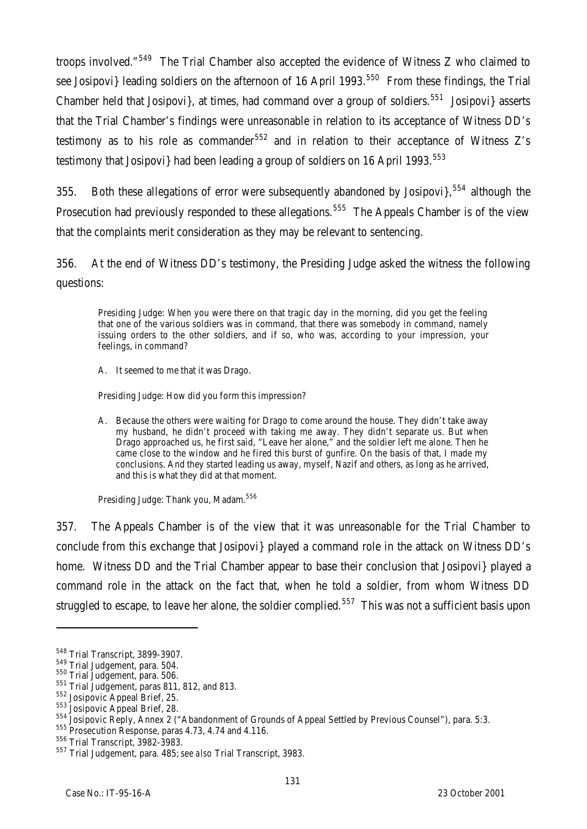troops involved."<sup>549</sup> The Trial Chamber also accepted the evidence of Witness Z who claimed to see Josipovi} leading soldiers on the afternoon of 16 April 1993.<sup>550</sup> From these findings, the Trial Chamber held that Josipovi}, at times, had command over a group of soldiers.<sup>551</sup> Josipovi} asserts that the Trial Chamber's findings were unreasonable in relation to its acceptance of Witness DD's testimony as to his role as commander<sup>552</sup> and in relation to their acceptance of Witness Z's testimony that Josipovi} had been leading a group of soldiers on 16 April 1993.<sup>553</sup>

355. Both these allegations of error were subsequently abandoned by Josipovi $\frac{554}{554}$  although the Prosecution had previously responded to these allegations.<sup>555</sup> The Appeals Chamber is of the view that the complaints merit consideration as they may be relevant to sentencing.

356. At the end of Witness DD's testimony, the Presiding Judge asked the witness the following questions:

Presiding Judge: When you were there on that tragic day in the morning, did you get the feeling that one of the various soldiers was in command, that there was somebody in command, namely issuing orders to the other soldiers, and if so, who was, according to your impression, your feelings, in command?

A. It seemed to me that it was Drago.

Presiding Judge: How did you form this impression?

A. Because the others were waiting for Drago to come around the house. They didn't take away my husband, he didn't proceed with taking me away. They didn't separate us. But when Drago approached us, he first said, "Leave her alone," and the soldier left me alone. Then he came close to the window and he fired this burst of gunfire. On the basis of that, I made my conclusions. And they started leading us away, myself, Nazif and others, as long as he arrived, and this is what they did at that moment.

Presiding Judge: Thank you, Madam.<sup>556</sup>

357. The Appeals Chamber is of the view that it was unreasonable for the Trial Chamber to conclude from this exchange that Josipovi} played a command role in the attack on Witness DD's home. Witness DD and the Trial Chamber appear to base their conclusion that Josipovi} played a command role in the attack on the fact that, when he told a soldier, from whom Witness DD struggled to escape, to leave her alone, the soldier complied.<sup>557</sup> This was not a sufficient basis upon

<sup>548</sup> Trial Transcript, 3899-3907.

<sup>549</sup> Trial Judgement, para. 504.

<sup>550</sup> Trial Judgement, para. 506.

<sup>551</sup> Trial Judgement, paras 811, 812, and 813.

<sup>552</sup> Josipovic Appeal Brief, 25.

<sup>553</sup> Josipovic Appeal Brief, 28.

<sup>554</sup> Josipovic Appear Brici, 20.<br>
<sub>---</sub> Josipovic Reply, Annex 2 ("Abandonment of Grounds of Appeal Settled by Previous Counsel"), para. 5:3.

 $555$  Prosecution Response, paras 4.73, 4.74 and 4.116.

<sup>556</sup> Trial Transcript, 3982-3983.

<sup>557</sup> Trial Judgement, para. 485; *see also* Trial Transcript, 3983.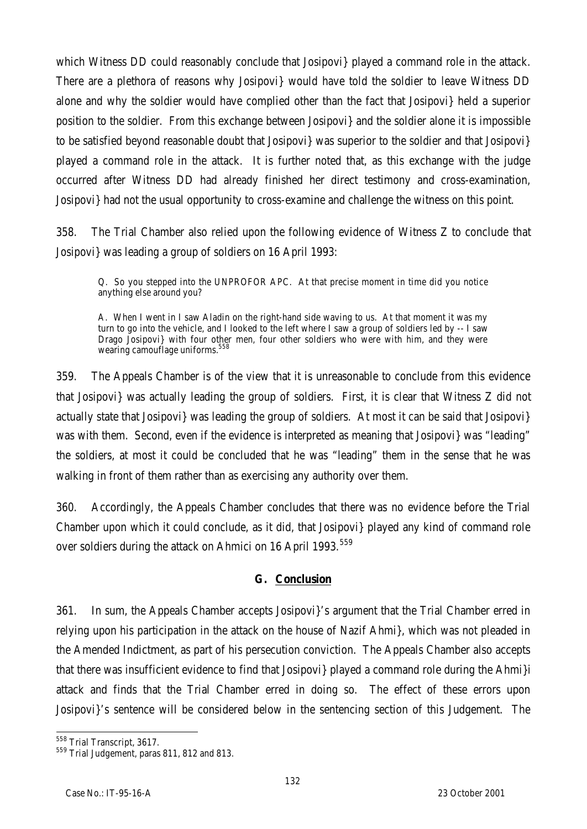which Witness DD could reasonably conclude that Josipovi} played a command role in the attack. There are a plethora of reasons why Josipovi} would have told the soldier to leave Witness DD alone and why the soldier would have complied other than the fact that Josipovi} held a superior position to the soldier. From this exchange between Josipovi} and the soldier alone it is impossible to be satisfied beyond reasonable doubt that Josipovi} was superior to the soldier and that Josipovi} played a command role in the attack. It is further noted that, as this exchange with the judge occurred after Witness DD had already finished her direct testimony and cross-examination, Josipovi} had not the usual opportunity to cross-examine and challenge the witness on this point.

358. The Trial Chamber also relied upon the following evidence of Witness Z to conclude that Josipovi} was leading a group of soldiers on 16 April 1993:

Q. So you stepped into the UNPROFOR APC. At that precise moment in time did you notice anything else around you?

A. When I went in I saw Aladin on the right-hand side waving to us. At that moment it was my turn to go into the vehicle, and I looked to the left where I saw a group of soldiers led by -- I saw Drago Josipovi} with four other men, four other soldiers who were with him, and they were wearing camouflage uniforms.<sup>55</sup>

359. The Appeals Chamber is of the view that it is unreasonable to conclude from this evidence that Josipovi} was actually leading the group of soldiers. First, it is clear that Witness Z did not actually state that Josipovi} was leading the group of soldiers. At most it can be said that Josipovi} was with them. Second, even if the evidence is interpreted as meaning that Josipovi} was "leading" the soldiers, at most it could be concluded that he was "leading" them in the sense that he was walking in front of them rather than as exercising any authority over them.

360. Accordingly, the Appeals Chamber concludes that there was no evidence before the Trial Chamber upon which it could conclude, as it did, that Josipovi} played any kind of command role over soldiers during the attack on Ahmici on 16 April 1993.<sup>559</sup>

#### **G. Conclusion**

361. In sum, the Appeals Chamber accepts Josipovi}'s argument that the Trial Chamber erred in relying upon his participation in the attack on the house of Nazif Ahmi}, which was not pleaded in the Amended Indictment, as part of his persecution conviction. The Appeals Chamber also accepts that there was insufficient evidence to find that Josipovi} played a command role during the Ahmi}i attack and finds that the Trial Chamber erred in doing so. The effect of these errors upon Josipovi}'s sentence will be considered below in the sentencing section of this Judgement. The

 $\overline{a}$ <sup>558</sup> Trial Transcript, 3617.

<sup>&</sup>lt;sup>559</sup> Trial Judgement, paras 811, 812 and 813.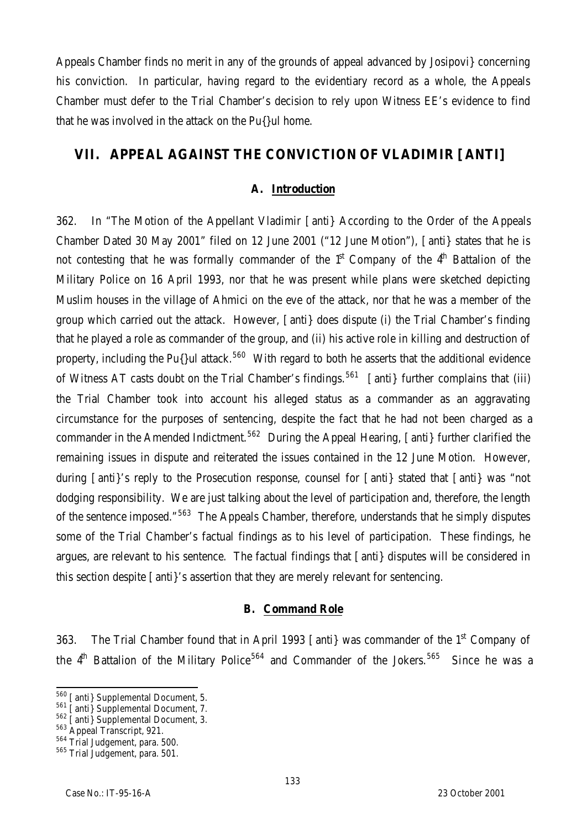Appeals Chamber finds no merit in any of the grounds of appeal advanced by Josipovi} concerning his conviction. In particular, having regard to the evidentiary record as a whole, the Appeals Chamber must defer to the Trial Chamber's decision to rely upon Witness EE's evidence to find that he was involved in the attack on the Pu $\{$ ul home.

# **VII. APPEAL AGAINST THE CONVICTION OF VLADIMIR [ANTI]**

#### **A. Introduction**

362. In "The Motion of the Appellant Vladimir [anti} According to the Order of the Appeals Chamber Dated 30 May 2001" filed on 12 June 2001 ("12 June Motion"), [anti} states that he is not contesting that he was formally commander of the  $1<sup>st</sup>$  Company of the  $4<sup>th</sup>$  Battalion of the Military Police on 16 April 1993, nor that he was present while plans were sketched depicting Muslim houses in the village of Ahmici on the eve of the attack, nor that he was a member of the group which carried out the attack. However, [anti} does dispute (i) the Trial Chamber's finding that he played a role as commander of the group, and (ii) his active role in killing and destruction of property, including the Pu $\{$ lul attack.<sup>560</sup> With regard to both he asserts that the additional evidence of Witness AT casts doubt on the Trial Chamber's findings.<sup>561</sup> [anti] further complains that (iii) the Trial Chamber took into account his alleged status as a commander as an aggravating circumstance for the purposes of sentencing, despite the fact that he had not been charged as a commander in the Amended Indictment.<sup>562</sup> During the Appeal Hearing, [anti] further clarified the remaining issues in dispute and reiterated the issues contained in the 12 June Motion. However, during [anti}'s reply to the Prosecution response, counsel for [anti} stated that [anti} was "not dodging responsibility. We are just talking about the level of participation and, therefore, the length of the sentence imposed."<sup>563</sup> The Appeals Chamber, therefore, understands that he simply disputes some of the Trial Chamber's factual findings as to his level of participation. These findings, he argues, are relevant to his sentence. The factual findings that [anti} disputes will be considered in this section despite [anti}'s assertion that they are merely relevant for sentencing.

#### **B. Command Role**

363. The Trial Chamber found that in April 1993 [anti] was commander of the 1<sup>st</sup> Company of the  $4<sup>th</sup>$  Battalion of the Military Police<sup>564</sup> and Commander of the Jokers.<sup>565</sup> Since he was a

 $\overline{a}$ 

<sup>&</sup>lt;sup>560</sup> [anti} Supplemental Document, 5.

<sup>561</sup> [anti} Supplemental Document, 7.

<sup>&</sup>lt;sup>562</sup> [anti} Supplemental Document, 3.

<sup>563</sup> Appeal Transcript, 921.

<sup>564</sup> Trial Judgement, para. 500.

<sup>565</sup> Trial Judgement, para. 501.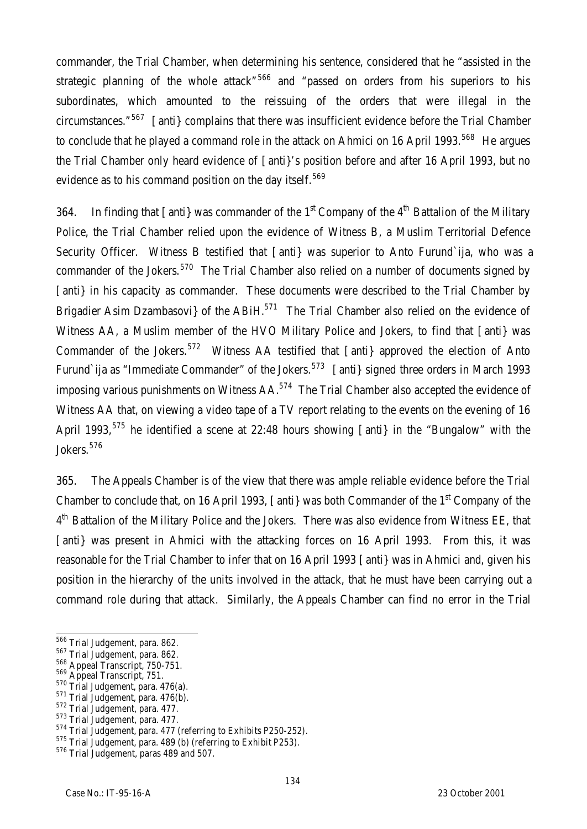commander, the Trial Chamber, when determining his sentence, considered that he "assisted in the strategic planning of the whole attack<sup> $r$ 566</sup> and "passed on orders from his superiors to his subordinates, which amounted to the reissuing of the orders that were illegal in the circumstances."<sup>567</sup> [anti} complains that there was insufficient evidence before the Trial Chamber to conclude that he played a command role in the attack on Ahmici on 16 April 1993.<sup>568</sup> He argues the Trial Chamber only heard evidence of [anti}'s position before and after 16 April 1993, but no evidence as to his command position on the day itself.<sup>569</sup>

364. In finding that  $\lceil$  anti  $\rceil$  was commander of the 1<sup>st</sup> Company of the 4<sup>th</sup> Battalion of the Military Police, the Trial Chamber relied upon the evidence of Witness B, a Muslim Territorial Defence Security Officer. Witness B testified that [anti] was superior to Anto Furund`ija, who was a commander of the Jokers.<sup>570</sup> The Trial Chamber also relied on a number of documents signed by [anti] in his capacity as commander. These documents were described to the Trial Chamber by Brigadier Asim Dzambasovi} of the ABiH.<sup>571</sup> The Trial Chamber also relied on the evidence of Witness AA, a Muslim member of the HVO Military Police and Jokers, to find that [anti} was Commander of the Jokers.<sup>572</sup> Witness AA testified that  $\lceil$  anti  $\rceil$  approved the election of Anto Furund`ija as "Immediate Commander" of the Jokers.<sup>573</sup> [anti} signed three orders in March 1993 imposing various punishments on Witness  $AA$ <sup>574</sup> The Trial Chamber also accepted the evidence of Witness AA that, on viewing a video tape of a TV report relating to the events on the evening of 16 April 1993,<sup>575</sup> he identified a scene at 22:48 hours showing  $\lceil$  anti  $\rceil$  in the "Bungalow" with the Jokers.<sup>576</sup>

365. The Appeals Chamber is of the view that there was ample reliable evidence before the Trial Chamber to conclude that, on 16 April 1993, [anti] was both Commander of the 1<sup>st</sup> Company of the 4<sup>th</sup> Battalion of the Military Police and the Jokers. There was also evidence from Witness EE, that [anti] was present in Ahmici with the attacking forces on 16 April 1993. From this, it was reasonable for the Trial Chamber to infer that on 16 April 1993 [anti} was in Ahmici and, given his position in the hierarchy of the units involved in the attack, that he must have been carrying out a command role during that attack. Similarly, the Appeals Chamber can find no error in the Trial

 $\overline{a}$ 

<sup>&</sup>lt;sup>566</sup> Trial Judgement, para. 862.

<sup>567</sup> Trial Judgement, para. 862.

 $_{-}^{568}$  Appeal Transcript, 750-751.

<sup>&</sup>lt;sup>569</sup> Appeal Transcript, 751.

<sup>570</sup> Trial Judgement, para. 476(a).

<sup>571</sup> Trial Judgement, para. 476(b).

<sup>572</sup> Trial Judgement, para. 477.

<sup>573</sup> Trial Judgement, para. 477.

<sup>574</sup> Trial Judgement, para. 477 (referring to Exhibits P250-252).

<sup>575</sup> Trial Judgement, para. 489 (b) (referring to Exhibit P253).

<sup>576</sup> Trial Judgement, paras 489 and 507.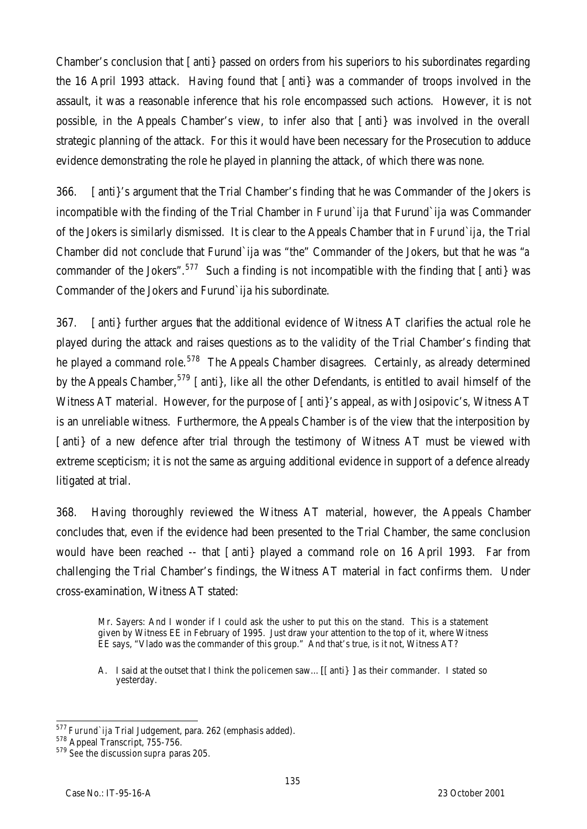Chamber's conclusion that [anti} passed on orders from his superiors to his subordinates regarding the 16 April 1993 attack. Having found that [anti} was a commander of troops involved in the assault, it was a reasonable inference that his role encompassed such actions. However, it is not possible, in the Appeals Chamber's view, to infer also that [anti} was involved in the overall strategic planning of the attack. For this it would have been necessary for the Prosecution to adduce evidence demonstrating the role he played in planning the attack, of which there was none.

366. [anti}'s argument that the Trial Chamber's finding that he was Commander of the Jokers is incompatible with the finding of the Trial Chamber in *Furund`ija* that Furund`ija was Commander of the Jokers is similarly dismissed. It is clear to the Appeals Chamber that in *Furund`ija*, the Trial Chamber did not conclude that Furund`ija was "the" Commander of the Jokers, but that he was "*a* commander of the Jokers".<sup>577</sup> Such a finding is not incompatible with the finding that [anti} was Commander of the Jokers and Furund`ija his subordinate.

367. [anti} further argues that the additional evidence of Witness AT clarifies the actual role he played during the attack and raises questions as to the validity of the Trial Chamber's finding that he played a command role.<sup>578</sup> The Appeals Chamber disagrees. Certainly, as already determined by the Appeals Chamber,<sup>579</sup> [anti], like all the other Defendants, is entitled to avail himself of the Witness AT material. However, for the purpose of [anti]'s appeal, as with Josipovic's, Witness AT is an unreliable witness. Furthermore, the Appeals Chamber is of the view that the interposition by [anti] of a new defence after trial through the testimony of Witness AT must be viewed with extreme scepticism; it is not the same as arguing additional evidence in support of a defence already litigated at trial.

368. Having thoroughly reviewed the Witness AT material, however, the Appeals Chamber concludes that, even if the evidence had been presented to the Trial Chamber, the same conclusion would have been reached -- that [anti} played a command role on 16 April 1993. Far from challenging the Trial Chamber's findings, the Witness AT material in fact confirms them. Under cross-examination, Witness AT stated:

Mr. Sayers: And I wonder if I could ask the usher to put this on the stand. This is a statement given by Witness EE in February of 1995. Just draw your attention to the top of it, where Witness EE says, "Vlado was the commander of this group." And that's true, is it not, Witness AT?

A. I said at the outset that I think the policemen saw…[[anti} ] as their commander. I stated so yesterday.

 $\overline{a}$ <sup>577</sup> *Furund`ija* Trial Judgement, para. 262 (emphasis added).

Furand Transcript, 755-756.

<sup>579</sup> *See* the discussion *supra* paras 205.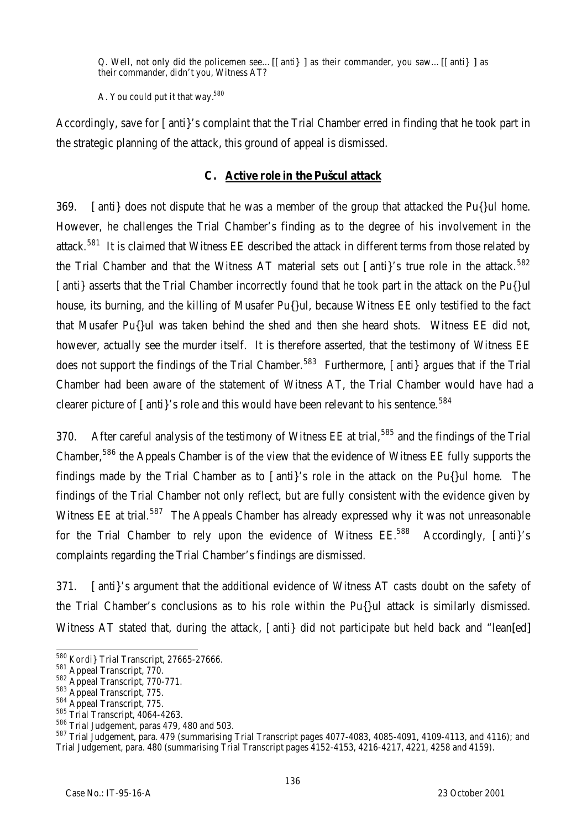Q. Well, not only did the policemen see…[[anti} ] as their commander, you saw…[[anti} ] as their commander, didn't you, Witness AT?

A. You could put it that way.<sup>580</sup>

Accordingly, save for [anti}'s complaint that the Trial Chamber erred in finding that he took part in the strategic planning of the attack, this ground of appeal is dismissed.

### **C. Active role in the Pušcul attack**

369. [anti} does not dispute that he was a member of the group that attacked the Pu{}ul home. However, he challenges the Trial Chamber's finding as to the degree of his involvement in the attack.<sup>581</sup> It is claimed that Witness EE described the attack in different terms from those related by the Trial Chamber and that the Witness AT material sets out  $\int$  anti $\int$ 's true role in the attack.<sup>582</sup> [anti] asserts that the Trial Chamber incorrectly found that he took part in the attack on the Pu{}ul house, its burning, and the killing of Musafer Pu{}ul, because Witness EE only testified to the fact that Musafer Pu{}ul was taken behind the shed and then she heard shots. Witness EE did not, however, actually see the murder itself. It is therefore asserted, that the testimony of Witness EE does not support the findings of the Trial Chamber.<sup>583</sup> Furthermore, [anti] argues that if the Trial Chamber had been aware of the statement of Witness AT, the Trial Chamber would have had a clearer picture of [anti}'s role and this would have been relevant to his sentence.<sup>584</sup>

370. After careful analysis of the testimony of Witness EE at trial,<sup>585</sup> and the findings of the Trial Chamber,<sup>586</sup> the Appeals Chamber is of the view that the evidence of Witness EE fully supports the findings made by the Trial Chamber as to [anti}'s role in the attack on the Pu{}ul home. The findings of the Trial Chamber not only reflect, but are fully consistent with the evidence given by Witness EE at trial.<sup>587</sup> The Appeals Chamber has already expressed why it was not unreasonable for the Trial Chamber to rely upon the evidence of Witness  $EE^{588}$  Accordingly,  $TantiYs$ complaints regarding the Trial Chamber's findings are dismissed.

371. [anti}'s argument that the additional evidence of Witness AT casts doubt on the safety of the Trial Chamber's conclusions as to his role within the Pu{}ul attack is similarly dismissed. Witness AT stated that, during the attack, [anti] did not participate but held back and "lean[ed]

 $\overline{a}$ <sup>580</sup> *Kordi}* Trial Transcript, 27665-27666.

<sup>581</sup> Appeal Transcript, 770.

<sup>582</sup> Appeal Transcript, 770-771.

<sup>583</sup> Appeal Transcript, 775.

<sup>584</sup> Appeal Transcript, 775.

<sup>585</sup> Trial Transcript, 4064-4263.

<sup>586</sup> Trial Judgement, paras 479, 480 and 503.

<sup>587</sup> Trial Judgement, para. 479 (summarising Trial Transcript pages 4077-4083, 4085-4091, 4109-4113, and 4116); and Trial Judgement, para. 480 (summarising Trial Transcript pages 4152-4153, 4216-4217, 4221, 4258 and 4159).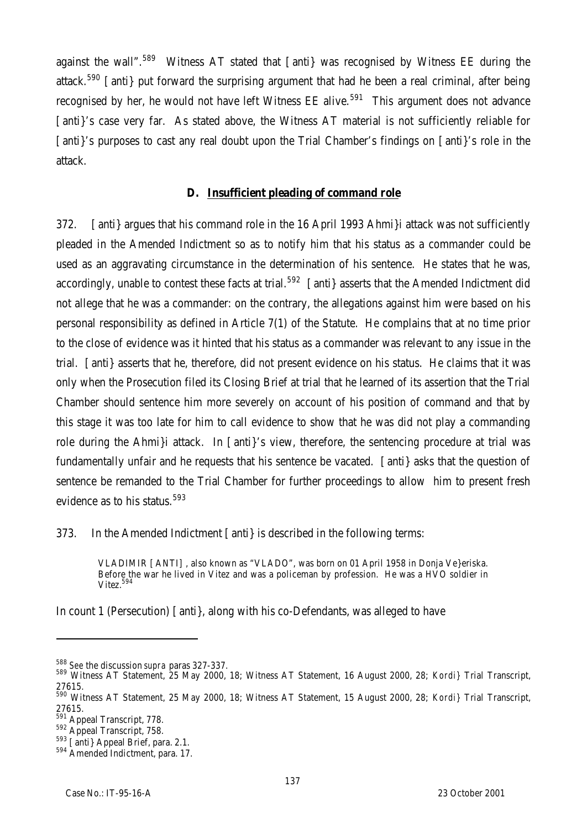against the wall".<sup>589</sup> Witness AT stated that [anti} was recognised by Witness EE during the attack.<sup>590</sup> [anti] put forward the surprising argument that had he been a real criminal, after being recognised by her, he would not have left Witness EE alive.<sup>591</sup> This argument does not advance [anti}'s case very far. As stated above, the Witness AT material is not sufficiently reliable for [anti}'s purposes to cast any real doubt upon the Trial Chamber's findings on [anti}'s role in the attack.

#### **D. Insufficient pleading of command role**

372. [anti} argues that his command role in the 16 April 1993 Ahmi}i attack was not sufficiently pleaded in the Amended Indictment so as to notify him that his status as a commander could be used as an aggravating circumstance in the determination of his sentence. He states that he was, accordingly, unable to contest these facts at trial.<sup>592</sup> [anti] asserts that the Amended Indictment did not allege that he was a commander: on the contrary, the allegations against him were based on his personal responsibility as defined in Article 7(1) of the Statute. He complains that at no time prior to the close of evidence was it hinted that his status as a commander was relevant to any issue in the trial. [anti} asserts that he, therefore, did not present evidence on his status. He claims that it was only when the Prosecution filed its Closing Brief at trial that he learned of its assertion that the Trial Chamber should sentence him more severely on account of his position of command and that by this stage it was too late for him to call evidence to show that he was did not play a commanding role during the Ahmi}i attack. In [anti}'s view, therefore, the sentencing procedure at trial was fundamentally unfair and he requests that his sentence be vacated. [anti} asks that the question of sentence be remanded to the Trial Chamber for further proceedings to allow him to present fresh evidence as to his status.<sup>593</sup>

373. In the Amended Indictment [anti} is described in the following terms:

VLADIMIR [ANTI], also known as "VLADO", was born on 01 April 1958 in Donja Ve}eriska. Before the war he lived in Vitez and was a policeman by profession. He was a HVO soldier in Vitez. $^{594}$ 

In count 1 (Persecution) [anti}, along with his co-Defendants, was alleged to have

<sup>588</sup> *See* the discussion *supra* paras 327-337.

<sup>589</sup> Witness AT Statement, 25 May 2000, 18; Witness AT Statement, 16 August 2000, 28; *Kordi}* Trial Transcript, 27615.

<sup>590</sup> Witness AT Statement, 25 May 2000, 18; Witness AT Statement, 15 August 2000, 28; *Kordi}* Trial Transcript, 27615.

<sup>&</sup>lt;sup>591</sup> Appeal Transcript, 778.

<sup>592</sup> Appeal Transcript, 758.

<sup>&</sup>lt;sup>593</sup> [anti} Appeal Brief, para. 2.1.

<sup>594</sup> Amended Indictment, para. 17.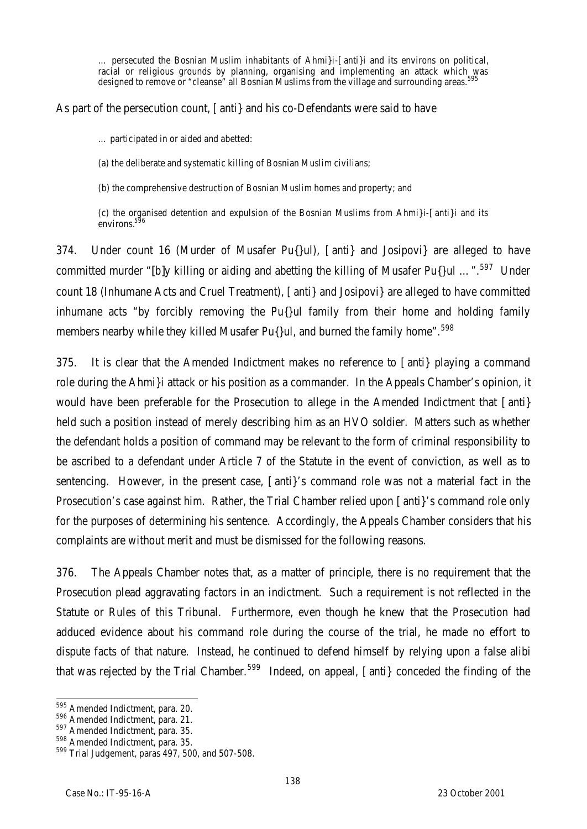… persecuted the Bosnian Muslim inhabitants of Ahmi}i-[anti}i and its environs on political, racial or religious grounds by planning, organising and implementing an attack which was designed to remove or "cleanse" all Bosnian Muslims from the village and surrounding areas. $^{\rm 595}$ 

As part of the persecution count, [anti} and his co-Defendants were said to have

… participated in or aided and abetted:

(a) the deliberate and systematic killing of Bosnian Muslim civilians;

(b) the comprehensive destruction of Bosnian Muslim homes and property; and

(c) the organised detention and expulsion of the Bosnian Muslims from Ahmi}i-[anti}i and its environs.<sup>596</sup>

374. Under count 16 (Murder of Musafer Pu{}ul), [anti} and Josipovi} are alleged to have committed murder "[b]y killing or aiding and abetting the killing of Musafer Pu{}ul ...".<sup>597</sup> Under count 18 (Inhumane Acts and Cruel Treatment), [anti} and Josipovi} are alleged to have committed inhumane acts "by forcibly removing the Pu{}ul family from their home and holding family members nearby while they killed Musafer Pu{}ul, and burned the family home".<sup>598</sup>

375. It is clear that the Amended Indictment makes no reference to [anti} playing a command role during the Ahmi}i attack or his position as a commander. In the Appeals Chamber's opinion, it would have been preferable for the Prosecution to allege in the Amended Indictment that [anti} held such a position instead of merely describing him as an HVO soldier. Matters such as whether the defendant holds a position of command may be relevant to the form of criminal responsibility to be ascribed to a defendant under Article 7 of the Statute in the event of conviction, as well as to sentencing. However, in the present case, [anti}'s command role was not a material fact in the Prosecution's case against him. Rather, the Trial Chamber relied upon [anti]'s command role only for the purposes of determining his sentence. Accordingly, the Appeals Chamber considers that his complaints are without merit and must be dismissed for the following reasons.

376. The Appeals Chamber notes that, as a matter of principle, there is no requirement that the Prosecution plead aggravating factors in an indictment. Such a requirement is not reflected in the Statute or Rules of this Tribunal. Furthermore, even though he knew that the Prosecution had adduced evidence about his command role during the course of the trial, he made no effort to dispute facts of that nature. Instead, he continued to defend himself by relying upon a false alibi that was rejected by the Trial Chamber.<sup>599</sup> Indeed, on appeal,  $\lceil$  anti $\rceil$  conceded the finding of the

 $\overline{a}$ <sup>595</sup> Amended Indictment, para. 20.

<sup>596</sup> Amended Indictment, para. 21.

<sup>597</sup> Amended Indictment, para. 35.

<sup>598</sup> Amended Indictment, para. 35.

<sup>599</sup> Trial Judgement, paras 497, 500, and 507-508.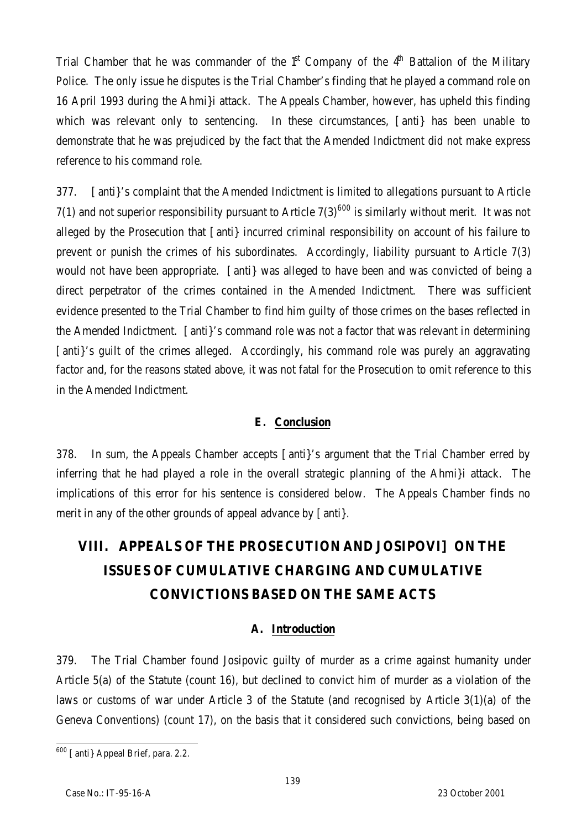Trial Chamber that he was commander of the  $1<sup>st</sup>$  Company of the  $4<sup>th</sup>$  Battalion of the Military Police. The only issue he disputes is the Trial Chamber's finding that he played a command role on 16 April 1993 during the Ahmi}i attack. The Appeals Chamber, however, has upheld this finding which was relevant only to sentencing. In these circumstances, [anti] has been unable to demonstrate that he was prejudiced by the fact that the Amended Indictment did not make express reference to his command role.

377. [anti}'s complaint that the Amended Indictment is limited to allegations pursuant to Article 7(1) and not superior responsibility pursuant to Article  $7(3)^{600}$  is similarly without merit. It was not alleged by the Prosecution that [anti} incurred criminal responsibility on account of his failure to prevent or punish the crimes of his subordinates. Accordingly, liability pursuant to Article 7(3) would not have been appropriate. [anti} was alleged to have been and was convicted of being a direct perpetrator of the crimes contained in the Amended Indictment. There was sufficient evidence presented to the Trial Chamber to find him guilty of those crimes on the bases reflected in the Amended Indictment. [anti}'s command role was not a factor that was relevant in determining [anti]'s quilt of the crimes alleged. Accordingly, his command role was purely an aggravating factor and, for the reasons stated above, it was not fatal for the Prosecution to omit reference to this in the Amended Indictment.

# **E. Conclusion**

378. In sum, the Appeals Chamber accepts [anti}'s argument that the Trial Chamber erred by inferring that he had played a role in the overall strategic planning of the Ahmi}i attack. The implications of this error for his sentence is considered below. The Appeals Chamber finds no merit in any of the other grounds of appeal advance by [anti}.

# **VIII. APPEALS OF THE PROSECUTION AND JOSIPOVI] ON THE ISSUES OF CUMULATIVE CHARGING AND CUMULATIVE CONVICTIONS BASED ON THE SAME ACTS**

# **A. Introduction**

379. The Trial Chamber found Josipovic guilty of murder as a crime against humanity under Article 5(a) of the Statute (count 16), but declined to convict him of murder as a violation of the laws or customs of war under Article 3 of the Statute (and recognised by Article 3(1)(a) of the Geneva Conventions) (count 17), on the basis that it considered such convictions, being based on

 $\overline{a}$ <sup>600</sup> [anti} Appeal Brief, para. 2.2.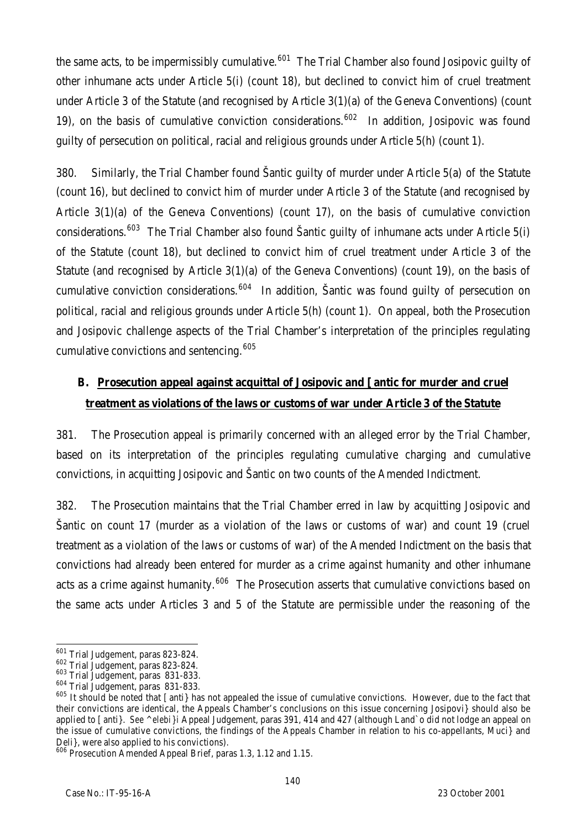the same acts, to be impermissibly cumulative.<sup>601</sup> The Trial Chamber also found Josipovic quilty of other inhumane acts under Article 5(i) (count 18), but declined to convict him of cruel treatment under Article 3 of the Statute (and recognised by Article 3(1)(a) of the Geneva Conventions) (count 19), on the basis of cumulative conviction considerations.<sup>602</sup> In addition, Josipovic was found guilty of persecution on political, racial and religious grounds under Article 5(h) (count 1).

380. Similarly, the Trial Chamber found Šantic guilty of murder under Article 5(a) of the Statute (count 16), but declined to convict him of murder under Article 3 of the Statute (and recognised by Article 3(1)(a) of the Geneva Conventions) (count 17), on the basis of cumulative conviction considerations.<sup>603</sup> The Trial Chamber also found Šantic quilty of inhumane acts under Article 5(i) of the Statute (count 18), but declined to convict him of cruel treatment under Article 3 of the Statute (and recognised by Article 3(1)(a) of the Geneva Conventions) (count 19), on the basis of cumulative conviction considerations.<sup>604</sup> In addition, Santic was found guilty of persecution on political, racial and religious grounds under Article 5(h) (count 1). On appeal, both the Prosecution and Josipovic challenge aspects of the Trial Chamber's interpretation of the principles regulating cumulative convictions and sentencing.<sup>605</sup>

# **B. Prosecution appeal against acquittal of Josipovic and [antic for murder and cruel treatment as violations of the laws or customs of war under Article 3 of the Statute**

381. The Prosecution appeal is primarily concerned with an alleged error by the Trial Chamber, based on its interpretation of the principles regulating cumulative charging and cumulative convictions, in acquitting Josipovic and Šantic on two counts of the Amended Indictment.

382. The Prosecution maintains that the Trial Chamber erred in law by acquitting Josipovic and Šantic on count 17 (murder as a violation of the laws or customs of war) and count 19 (cruel treatment as a violation of the laws or customs of war) of the Amended Indictment on the basis that convictions had already been entered for murder as a crime against humanity and other inhumane acts as a crime against humanity.<sup>606</sup> The Prosecution asserts that cumulative convictions based on the same acts under Articles 3 and 5 of the Statute are permissible under the reasoning of the

 $\overline{a}$ <sup>601</sup> Trial Judgement, paras 823-824.

<sup>602</sup> Trial Judgement, paras 823-824*.*

<sup>603</sup> Trial Judgement, paras 831-833.

<sup>604</sup> Trial Judgement, paras 831-833*.*

 $605$  It should be noted that [anti} has not appealed the issue of cumulative convictions. However, due to the fact that their convictions are identical, the Appeals Chamber's conclusions on this issue concerning Josipovi} should also be applied to [anti}. *See ^elebi}i* Appeal Judgement, paras 391, 414 and 427 (although Land`o did not lodge an appeal on the issue of cumulative convictions, the findings of the Appeals Chamber in relation to his co-appellants, Muci} and Deli}, were also applied to his convictions).

<sup>606</sup> Prosecution Amended Appeal Brief, paras 1.3, 1.12 and 1.15.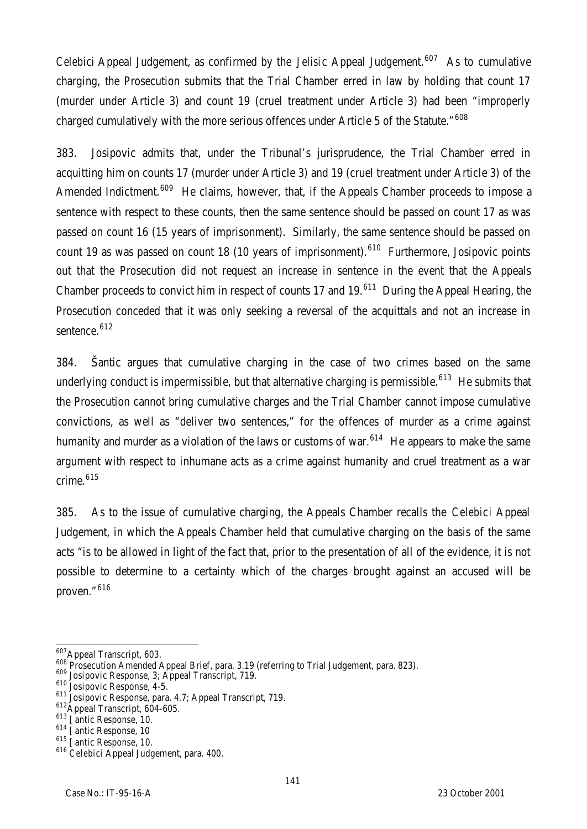*Celebi*c*i* Appeal Judgement, as confirmed by the *Jelisi*c Appeal Judgement.<sup>607</sup> As to cumulative charging, the Prosecution submits that the Trial Chamber erred in law by holding that count 17 (murder under Article 3) and count 19 (cruel treatment under Article 3) had been "improperly charged cumulatively with the more serious offences under Article 5 of the Statute."<sup>608</sup>

383. Josipovic admits that, under the Tribunal's jurisprudence, the Trial Chamber erred in acquitting him on counts 17 (murder under Article 3) and 19 (cruel treatment under Article 3) of the Amended Indictment.<sup>609</sup> He claims, however, that, if the Appeals Chamber proceeds to impose a sentence with respect to these counts, then the same sentence should be passed on count 17 as was passed on count 16 (15 years of imprisonment). Similarly, the same sentence should be passed on count 19 as was passed on count 18 (10 years of imprisonment).<sup>610</sup> Furthermore, Josipovic points out that the Prosecution did not request an increase in sentence in the event that the Appeals Chamber proceeds to convict him in respect of counts 17 and 19.<sup>611</sup> During the Appeal Hearing, the Prosecution conceded that it was only seeking a reversal of the acquittals and not an increase in sentence.<sup>612</sup>

384. Šantic argues that cumulative charging in the case of two crimes based on the same underlying conduct is impermissible, but that alternative charging is permissible.<sup>613</sup> He submits that the Prosecution cannot bring cumulative charges and the Trial Chamber cannot impose cumulative convictions, as well as "deliver two sentences," for the offences of murder as a crime against humanity and murder as a violation of the laws or customs of war.<sup>614</sup> He appears to make the same argument with respect to inhumane acts as a crime against humanity and cruel treatment as a war crime.<sup>615</sup>

385. As to the issue of cumulative charging, the Appeals Chamber recalls the *Celebi*c*i* Appeal Judgement, in which the Appeals Chamber held that cumulative charging on the basis of the same acts "is to be allowed in light of the fact that, prior to the presentation of all of the evidence, it is not possible to determine to a certainty which of the charges brought against an accused will be proven."<sup>616</sup>

 $\overline{a}$ <sup>607</sup>Appeal Transcript, 603.

<sup>608</sup> Prosecution Amended Appeal Brief, para. 3.19 (referring to Trial Judgement, para. 823).

<sup>609</sup> Josipovic Response, 3; Appeal Transcript, 719.

<sup>610</sup> Josipovic Response, 4-5.

<sup>&</sup>lt;sup>611</sup> Josipovic Response, para. 4.7; Appeal Transcript, 719.

<sup>612</sup>Appeal Transcript, 604-605.

<sup>&</sup>lt;sup>613</sup> [antic Response, 10.

<sup>&</sup>lt;sup>614</sup> [antic Response, 10

<sup>&</sup>lt;sup>615</sup> [antic Response, 10.

<sup>616</sup> *Celebi*c*i* Appeal Judgement, para. 400.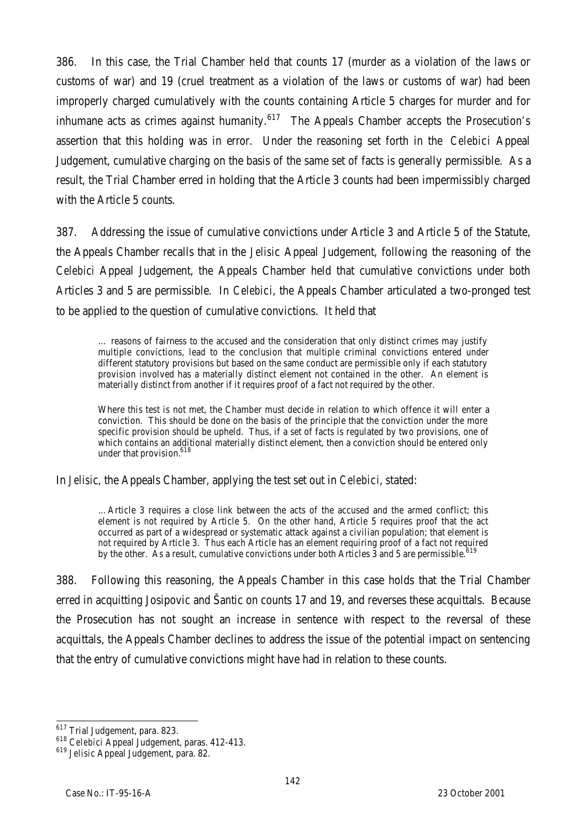386. In this case, the Trial Chamber held that counts 17 (murder as a violation of the laws or customs of war) and 19 (cruel treatment as a violation of the laws or customs of war) had been improperly charged cumulatively with the counts containing Article 5 charges for murder and for inhumane acts as crimes against humanity. $617$  The Appeals Chamber accepts the Prosecution's assertion that this holding was in error. Under the reasoning set forth in the *Celebi*c*i* Appeal Judgement, cumulative charging on the basis of the same set of facts is generally permissible. As a result, the Trial Chamber erred in holding that the Article 3 counts had been impermissibly charged with the Article 5 counts.

387. Addressing the issue of cumulative convictions under Article 3 and Article 5 of the Statute, the Appeals Chamber recalls that in the *Jelisi*c Appeal Judgement, following the reasoning of the *Celebi*c*i* Appeal Judgement, the Appeals Chamber held that cumulative convictions under both Articles 3 and 5 are permissible. In *Celebi*c*i*, the Appeals Chamber articulated a two-pronged test to be applied to the question of cumulative convictions. It held that

… reasons of fairness to the accused and the consideration that only distinct crimes may justify multiple convictions, lead to the conclusion that multiple criminal convictions entered under different statutory provisions but based on the same conduct are permissible only if each statutory provision involved has a materially distinct element not contained in the other. An element is materially distinct from another if it requires proof of a fact not required by the other.

Where this test is not met, the Chamber must decide in relation to which offence it will enter a conviction. This should be done on the basis of the principle that the conviction under the more specific provision should be upheld. Thus, if a set of facts is regulated by two provisions, one of which contains an additional materially distinct element, then a conviction should be entered only under that provision.<sup>618</sup>

In *Jelisi*c*,* the Appeals Chamber, applying the test set out in *Celebi*c*i*, stated:

…Article 3 requires a close link between the acts of the accused and the armed conflict; this element is not required by Article 5. On the other hand, Article 5 requires proof that the act occurred as part of a widespread or systematic attack against a civilian population; that element is not required by Article 3. Thus each Article has an element requiring proof of a fact not required by the other. As a result, cumulative convictions under both Articles 3 and 5 are permissible.<sup>6</sup>

388. Following this reasoning, the Appeals Chamber in this case holds that the Trial Chamber erred in acquitting Josipovic and Šantic on counts 17 and 19, and reverses these acquittals. Because the Prosecution has not sought an increase in sentence with respect to the reversal of these acquittals, the Appeals Chamber declines to address the issue of the potential impact on sentencing that the entry of cumulative convictions might have had in relation to these counts.

 $\overline{a}$ <sup>617</sup> Trial Judgement, para. 823.

<sup>618</sup> *Celebi*c*i* Appeal Judgement, paras. 412-413.

<sup>619</sup> *Jelisi*c Appeal Judgement, para. 82.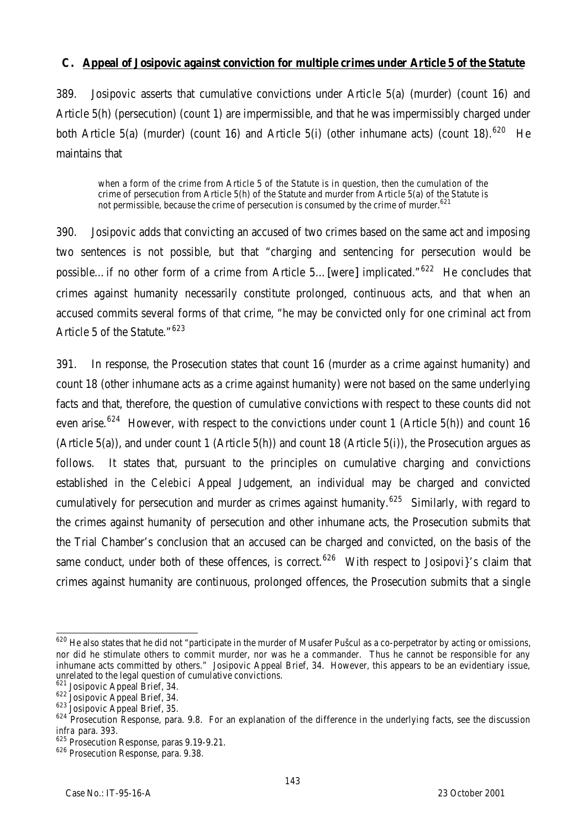#### **C. Appeal of Josipovic against conviction for multiple crimes under Article 5 of the Statute**

389. Josipovic asserts that cumulative convictions under Article 5(a) (murder) (count 16) and Article 5(h) (persecution) (count 1) are impermissible, and that he was impermissibly charged under both Article 5(a) (murder) (count 16) and Article 5(i) (other inhumane acts) (count 18).<sup>620</sup> He maintains that

when a form of the crime from Article 5 of the Statute is in question, then the cumulation of the crime of persecution from Article 5(h) of the Statute and murder from Article 5(a) of the Statute is not permissible, because the crime of persecution is consumed by the crime of murder.<sup>621</sup>

390. Josipovic adds that convicting an accused of two crimes based on the same act and imposing two sentences is not possible, but that "charging and sentencing for persecution would be possible…if no other form of a crime from Article 5…[were] implicated."<sup>622</sup> He concludes that crimes against humanity necessarily constitute prolonged, continuous acts, and that when an accused commits several forms of that crime, "he may be convicted only for one criminal act from Article 5 of the Statute." 623

391. In response, the Prosecution states that count 16 (murder as a crime against humanity) and count 18 (other inhumane acts as a crime against humanity) were not based on the same underlying facts and that, therefore, the question of cumulative convictions with respect to these counts did not even arise.<sup>624</sup> However, with respect to the convictions under count 1 (Article 5(h)) and count 16 (Article 5(a)), and under count 1 (Article 5(h)) and count 18 (Article 5(i)), the Prosecution argues as follows. It states that, pursuant to the principles on cumulative charging and convictions established in the *Celebi*c*i* Appeal Judgement, an individual may be charged and convicted cumulatively for persecution and murder as crimes against humanity.<sup>625</sup> Similarly, with regard to the crimes against humanity of persecution and other inhumane acts, the Prosecution submits that the Trial Chamber's conclusion that an accused can be charged and convicted, on the basis of the same conduct, under both of these offences, is correct.<sup>626</sup> With respect to Josipovi {'s claim that crimes against humanity are continuous, prolonged offences, the Prosecution submits that a single

 $\overline{a}$  $^{620}$  He also states that he did not "participate in the murder of Musafer Pušcul as a co-perpetrator by acting or omissions, nor did he stimulate others to commit murder, nor was he a commander. Thus he cannot be responsible for any inhumane acts committed by others." Josipovic Appeal Brief, 34. However, this appears to be an evidentiary issue, unrelated to the legal question of cumulative convictions.

<sup>&</sup>lt;sup>621</sup> Josipovic Appeal Brief, 34.

<sup>622</sup> Josipovic Appeal Brief, 34.

<sup>623</sup> Josipovic Appeal Brief, 35.

<sup>&</sup>lt;sup>624</sup> Prosecution Response, para. 9.8. For an explanation of the difference in the underlying facts, see the discussion *infra* para. 393.

<sup>&</sup>lt;sup>625</sup> Prosecution Response, paras 9.19-9.21.

<sup>&</sup>lt;sup>626</sup> Prosecution Response, para. 9.38.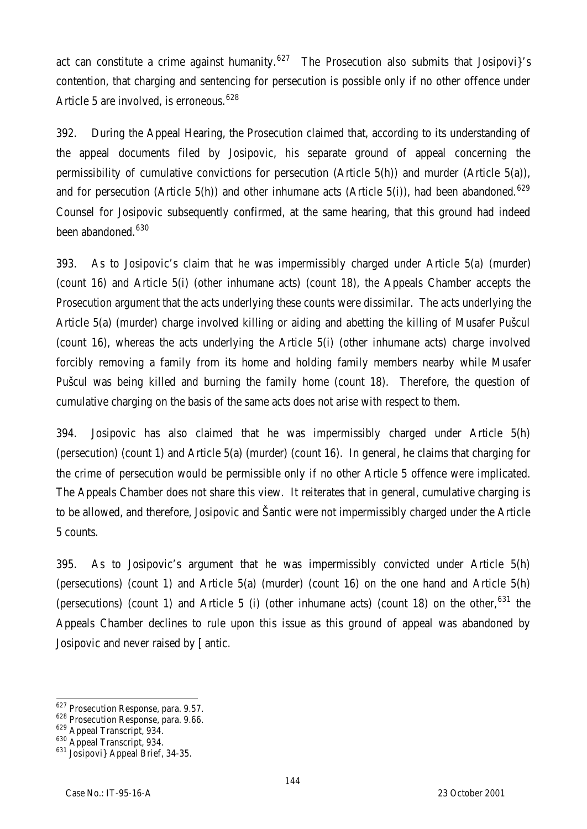act can constitute a crime against humanity.<sup>627</sup> The Prosecution also submits that Josipovi}'s contention, that charging and sentencing for persecution is possible only if no other offence under Article 5 are involved, is erroneous.  $628$ 

392. During the Appeal Hearing, the Prosecution claimed that, according to its understanding of the appeal documents filed by Josipovic, his separate ground of appeal concerning the permissibility of cumulative convictions for persecution (Article 5(h)) and murder (Article 5(a)), and for persecution (Article 5(h)) and other inhumane acts (Article 5(i)), had been abandoned.<sup>629</sup> Counsel for Josipovic subsequently confirmed, at the same hearing, that this ground had indeed been abandoned.<sup>630</sup>

393. As to Josipovic's claim that he was impermissibly charged under Article 5(a) (murder) (count 16) and Article 5(i) (other inhumane acts) (count 18), the Appeals Chamber accepts the Prosecution argument that the acts underlying these counts were dissimilar. The acts underlying the Article 5(a) (murder) charge involved killing or aiding and abetting the killing of Musafer Pušcul (count 16), whereas the acts underlying the Article 5(i) (other inhumane acts) charge involved forcibly removing a family from its home and holding family members nearby while Musafer Pušcul was being killed and burning the family home (count 18). Therefore, the question of cumulative charging on the basis of the same acts does not arise with respect to them.

394. Josipovic has also claimed that he was impermissibly charged under Article 5(h) (persecution) (count 1) and Article 5(a) (murder) (count 16). In general, he claims that charging for the crime of persecution would be permissible only if no other Article 5 offence were implicated. The Appeals Chamber does not share this view. It reiterates that in general, cumulative charging is to be allowed, and therefore, Josipovic and Šantic were not impermissibly charged under the Article 5 counts.

395. As to Josipovic's argument that he was impermissibly convicted under Article 5(h) (persecutions) (count 1) and Article 5(a) (murder) (count 16) on the one hand and Article 5(h) (persecutions) (count 1) and Article 5 (i) (other inhumane acts) (count 18) on the other,  $631$  the Appeals Chamber declines to rule upon this issue as this ground of appeal was abandoned by Josipovic and never raised by [antic.

 $\overline{a}$ 

<sup>&</sup>lt;sup>627</sup> Prosecution Response, para. 9.57.

<sup>628</sup> Prosecution Response, para. 9.66.

<sup>629</sup> Appeal Transcript, 934.

<sup>630</sup> Appeal Transcript, 934.

<sup>631</sup> Josipovi} Appeal Brief, 34-35.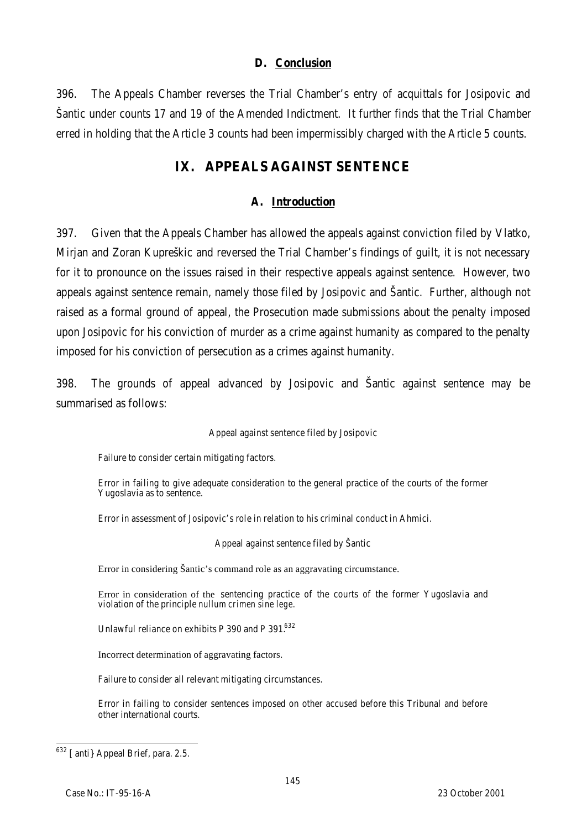#### **D. Conclusion**

396. The Appeals Chamber reverses the Trial Chamber's entry of acquittals for Josipovic and Šantic under counts 17 and 19 of the Amended Indictment. It further finds that the Trial Chamber erred in holding that the Article 3 counts had been impermissibly charged with the Article 5 counts.

# **IX. APPEALS AGAINST SENTENCE**

## **A. Introduction**

397. Given that the Appeals Chamber has allowed the appeals against conviction filed by Vlatko, Mirjan and Zoran Kupreškic and reversed the Trial Chamber's findings of guilt, it is not necessary for it to pronounce on the issues raised in their respective appeals against sentence. However, two appeals against sentence remain, namely those filed by Josipovic and Šantic. Further, although not raised as a formal ground of appeal, the Prosecution made submissions about the penalty imposed upon Josipovic for his conviction of murder as a crime against humanity as compared to the penalty imposed for his conviction of persecution as a crimes against humanity.

398. The grounds of appeal advanced by Josipovic and Šantic against sentence may be summarised as follows:

#### Appeal against sentence filed by Josipovic

Failure to consider certain mitigating factors.

Error in failing to give adequate consideration to the general practice of the courts of the former Yugoslavia as to sentence.

Error in assessment of Josipovic's role in relation to his criminal conduct in Ahmici.

Appeal against sentence filed by Šantic

Error in considering Šantic's command role as an aggravating circumstance.

Error in consideration of the sentencing practice of the courts of the former Yugoslavia and violation of the principle *nullum crimen sine lege.*

Unlawful reliance on exhibits P 390 and P 391.632

Incorrect determination of aggravating factors.

Failure to consider all relevant mitigating circumstances.

Error in failing to consider sentences imposed on other accused before this Tribunal and before other international courts.

 $\overline{a}$ <sup>632</sup> [anti} Appeal Brief, para. 2.5.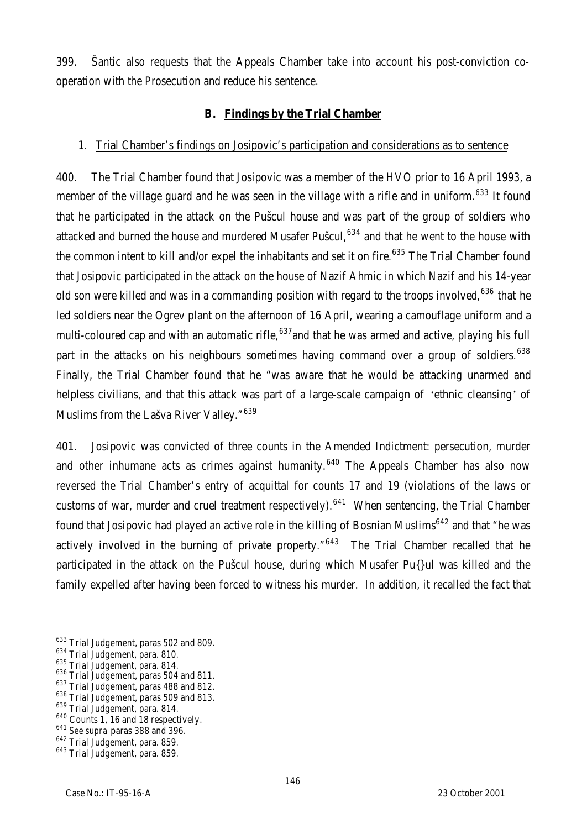399. Šantic also requests that the Appeals Chamber take into account his post-conviction cooperation with the Prosecution and reduce his sentence.

### **B. Findings by the Trial Chamber**

### 1. Trial Chamber's findings on Josipovic's participation and considerations as to sentence

400. The Trial Chamber found that Josipovic was a member of the HVO prior to 16 April 1993, a member of the village guard and he was seen in the village with a rifle and in uniform.<sup>633</sup> It found that he participated in the attack on the Pušcul house and was part of the group of soldiers who attacked and burned the house and murdered Musafer Pušcul,  $634$  and that he went to the house with the common intent to kill and/or expel the inhabitants and set it on fire.<sup>635</sup> The Trial Chamber found that Josipovic participated in the attack on the house of Nazif Ahmic in which Nazif and his 14-year old son were killed and was in a commanding position with regard to the troops involved, <sup>636</sup> that he led soldiers near the Ogrev plant on the afternoon of 16 April, wearing a camouflage uniform and a multi-coloured cap and with an automatic rifle,  $637$  and that he was armed and active, playing his full part in the attacks on his neighbours sometimes having command over a group of soldiers.<sup>638</sup> Finally, the Trial Chamber found that he "was aware that he would be attacking unarmed and helpless civilians, and that this attack was part of a large-scale campaign of 'ethnic cleansing' of Muslims from the Lašva River Valley."<sup>639</sup>

401. Josipovic was convicted of three counts in the Amended Indictment: persecution, murder and other inhumane acts as crimes against humanity.<sup>640</sup> The Appeals Chamber has also now reversed the Trial Chamber's entry of acquittal for counts 17 and 19 (violations of the laws or customs of war, murder and cruel treatment respectively).<sup>641</sup> When sentencing, the Trial Chamber found that Josipovic had played an active role in the killing of Bosnian Muslims<sup>642</sup> and that "he was actively involved in the burning of private property." $643$  The Trial Chamber recalled that he participated in the attack on the Pušcul house, during which Musafer Pu{}ul was killed and the family expelled after having been forced to witness his murder. In addition, it recalled the fact that

 $\overline{a}$  $633$  Trial Judgement, paras 502 and 809.

<sup>634</sup> Trial Judgement, para. 810.

<sup>635</sup> Trial Judgement, para. 814.

<sup>636</sup> Trial Judgement, paras 504 and 811.

<sup>&</sup>lt;sup>637</sup> Trial Judgement, paras 488 and 812.

<sup>&</sup>lt;sup>638</sup> Trial Judgement, paras 509 and 813.

<sup>639</sup> Trial Judgement, para. 814.

<sup>&</sup>lt;sup>640</sup> Counts 1, 16 and 18 respectively.

<sup>641</sup> *See supra* paras 388 and 396.

<sup>642</sup> Trial Judgement, para. 859.

<sup>643</sup> Trial Judgement, para. 859.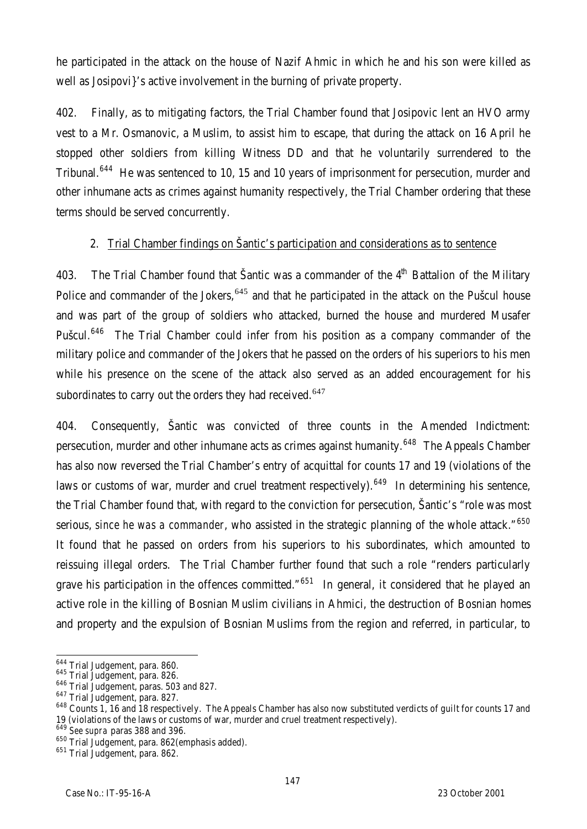he participated in the attack on the house of Nazif Ahmic in which he and his son were killed as well as Josipovi}'s active involvement in the burning of private property.

402. Finally, as to mitigating factors, the Trial Chamber found that Josipovic lent an HVO army vest to a Mr. Osmanovic, a Muslim, to assist him to escape, that during the attack on 16 April he stopped other soldiers from killing Witness DD and that he voluntarily surrendered to the Tribunal.<sup>644</sup> He was sentenced to 10, 15 and 10 years of imprisonment for persecution, murder and other inhumane acts as crimes against humanity respectively, the Trial Chamber ordering that these terms should be served concurrently.

## 2. Trial Chamber findings on Šantic's participation and considerations as to sentence

403. The Trial Chamber found that Šantic was a commander of the 4<sup>th</sup> Battalion of the Military Police and commander of the Jokers,<sup>645</sup> and that he participated in the attack on the Pušcul house and was part of the group of soldiers who attacked, burned the house and murdered Musafer Pušcul.<sup>646</sup> The Trial Chamber could infer from his position as a company commander of the military police and commander of the Jokers that he passed on the orders of his superiors to his men while his presence on the scene of the attack also served as an added encouragement for his subordinates to carry out the orders they had received.<sup>647</sup>

404. Consequently, Šantic was convicted of three counts in the Amended Indictment: persecution, murder and other inhumane acts as crimes against humanity.<sup>648</sup> The Appeals Chamber has also now reversed the Trial Chamber's entry of acquittal for counts 17 and 19 (violations of the laws or customs of war, murder and cruel treatment respectively).<sup>649</sup> In determining his sentence, the Trial Chamber found that, with regard to the conviction for persecution, Šantic's "role was most serious, *since he was a commander*, who assisted in the strategic planning of the whole attack."<sup>650</sup> It found that he passed on orders from his superiors to his subordinates, which amounted to reissuing illegal orders. The Trial Chamber further found that such a role "renders particularly grave his participation in the offences committed."<sup>651</sup> In general, it considered that he played an active role in the killing of Bosnian Muslim civilians in Ahmici, the destruction of Bosnian homes and property and the expulsion of Bosnian Muslims from the region and referred, in particular, to

 $\overline{a}$  $^{644}_{12}$  Trial Judgement, para. 860.

<sup>645</sup> Trial Judgement, para. 826.

<sup>646</sup> Trial Judgement, paras. 503 and 827.

<sup>&</sup>lt;sup>647</sup> Trial Judgement, para. 827.

<sup>&</sup>lt;sup>648</sup> Counts 1, 16 and 18 respectively. The Appeals Chamber has also now substituted verdicts of guilt for counts 17 and 19 (violations of the laws or customs of war, murder and cruel treatment respectively).

<sup>649</sup> *See supra* paras 388 and 396.

<sup>650</sup> Trial Judgement, para. 862(emphasis added).

<sup>651</sup> Trial Judgement, para. 862.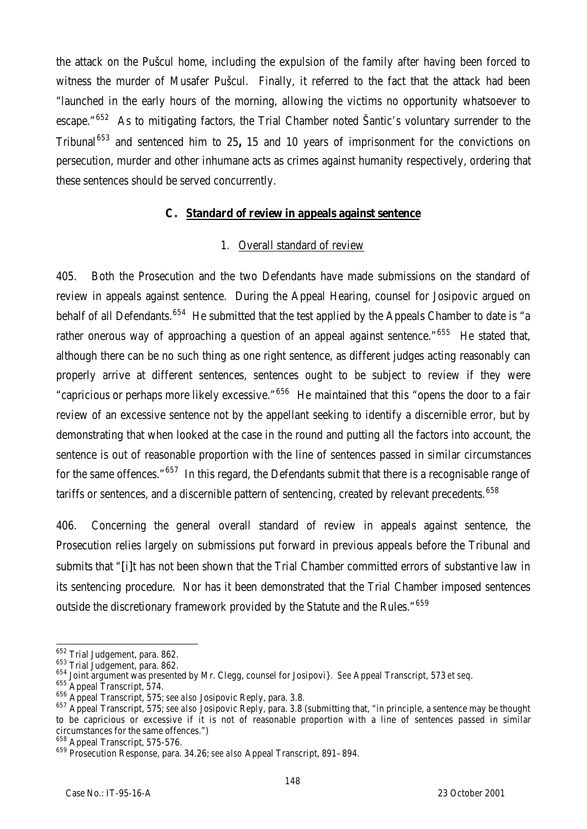the attack on the Pušcul home, including the expulsion of the family after having been forced to witness the murder of Musafer Pušcul. Finally, it referred to the fact that the attack had been "launched in the early hours of the morning, allowing the victims no opportunity whatsoever to escape."<sup>652</sup> As to mitigating factors, the Trial Chamber noted Santic's voluntary surrender to the Tribunal<sup>653</sup> and sentenced him to 25, 15 and 10 years of imprisonment for the convictions on persecution, murder and other inhumane acts as crimes against humanity respectively, ordering that these sentences should be served concurrently.

### **C. Standard of review in appeals against sentence**

## 1. Overall standard of review

405. Both the Prosecution and the two Defendants have made submissions on the standard of review in appeals against sentence. During the Appeal Hearing, counsel for Josipovic argued on behalf of all Defendants.<sup>654</sup> He submitted that the test applied by the Appeals Chamber to date is "a rather onerous way of approaching a question of an appeal against sentence."<sup>655</sup> He stated that, although there can be no such thing as one right sentence, as different judges acting reasonably can properly arrive at different sentences, sentences ought to be subject to review if they were "capricious or perhaps more likely excessive."<sup>656</sup> He maintained that this "opens the door to a fair review of an excessive sentence not by the appellant seeking to identify a discernible error, but by demonstrating that when looked at the case in the round and putting all the factors into account, the sentence is out of reasonable proportion with the line of sentences passed in similar circumstances for the same offences."<sup>657</sup> In this regard, the Defendants submit that there is a recognisable range of tariffs or sentences, and a discernible pattern of sentencing, created by relevant precedents. 658

406. Concerning the general overall standard of review in appeals against sentence, the Prosecution relies largely on submissions put forward in previous appeals before the Tribunal and submits that "[i]t has not been shown that the Trial Chamber committed errors of substantive law in its sentencing procedure. Nor has it been demonstrated that the Trial Chamber imposed sentences outside the discretionary framework provided by the Statute and the Rules."<sup>659</sup>

 $\overline{a}$ <sup>652</sup> Trial Judgement, para. 862.

<sup>653</sup> Trial Judgement, para. 862.

<sup>654</sup> Joint argument was presented by Mr. Clegg, counsel for Josipovi}. *See* Appeal Transcript, 573 *et seq.*

<sup>655</sup> Appeal Transcript, 574.

<sup>656</sup> Appeal Transcript, 575; *see also* Josipovic Reply, para. 3.8.

<sup>657</sup> Appeal Transcript, 575; *see also* Josipovic Reply, para. 3.8 (submitting that, "in principle, a sentence may be thought to be capricious or excessive if it is not of reasonable proportion with a line of sentences passed in similar circumstances for the same offences.")

<sup>658</sup> Appeal Transcript, 575-576.

<sup>659</sup> Prosecution Response, para. 34.26; *see also* Appeal Transcript, 891–894.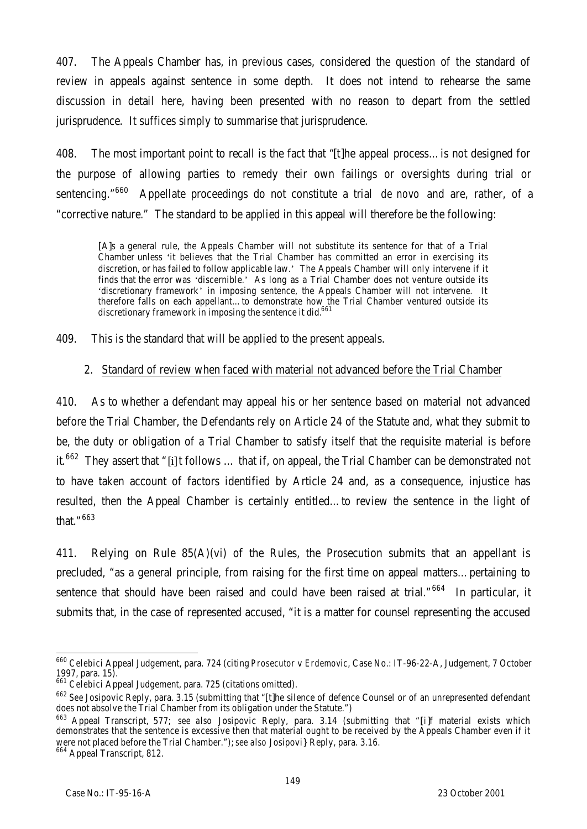407. The Appeals Chamber has, in previous cases, considered the question of the standard of review in appeals against sentence in some depth. It does not intend to rehearse the same discussion in detail here, having been presented with no reason to depart from the settled jurisprudence. It suffices simply to summarise that jurisprudence.

408. The most important point to recall is the fact that "[t]he appeal process…is not designed for the purpose of allowing parties to remedy their own failings or oversights during trial or sentencing."<sup>660</sup> Appellate proceedings do not constitute a trial *de novo* and are, rather, of a "corrective nature." The standard to be applied in this appeal will therefore be the following:

[A]s a general rule, the Appeals Chamber will not substitute its sentence for that of a Trial Chamber unless 'it believes that the Trial Chamber has committed an error in exercising its discretion, or has failed to follow applicable law.' The Appeals Chamber will only intervene if it finds that the error was 'discernible.' As long as a Trial Chamber does not venture outside its 'discretionary framework' in imposing sentence, the Appeals Chamber will not intervene. It therefore falls on each appellant…to demonstrate how the Trial Chamber ventured outside its discretionary framework in imposing the sentence it did.<sup>661</sup>

409. This is the standard that will be applied to the present appeals.

#### 2. Standard of review when faced with material not advanced before the Trial Chamber

410. As to whether a defendant may appeal his or her sentence based on material not advanced before the Trial Chamber, the Defendants rely on Article 24 of the Statute and, what they submit to be, the duty or obligation of a Trial Chamber to satisfy itself that the requisite material is before it.<sup>662</sup> They assert that "[i]t follows ... that if, on appeal, the Trial Chamber can be demonstrated not to have taken account of factors identified by Article 24 and, as a consequence, injustice has resulted, then the Appeal Chamber is certainly entitled…to review the sentence in the light of that."<sup>663</sup>

411. Relying on Rule 85(A)(vi) of the Rules, the Prosecution submits that an appellant is precluded, "as a general principle, from raising for the first time on appeal matters…pertaining to sentence that should have been raised and could have been raised at trial."<sup>664</sup> In particular, it submits that, in the case of represented accused, "it is a matter for counsel representing the accused

 $\overline{a}$ <sup>660</sup> *Celebici* Appeal Judgement, para. 724 (citing *Prosecutor* v *Erdemovic*, Case No.: IT-96-22-A, Judgement, 7 October 1997, para. 15).

<sup>661</sup> *Celebici* Appeal Judgement, para. 725 (citations omitted).

<sup>662</sup> *See* Josipovic Reply, para. 3.15 (submitting that "[t]he silence of defence Counsel or of an unrepresented defendant does not absolve the Trial Chamber from its obligation under the Statute.")

<sup>663</sup> Appeal Transcript, 577; *see also* Josipovic Reply, para. 3.14 (submitting that "[i]f material exists which demonstrates that the sentence is excessive then that material ought to be received by the Appeals Chamber even if it were not placed before the Trial Chamber."); *see also* Josipovi} Reply, para. 3.16.

<sup>664</sup> Appeal Transcript, 812.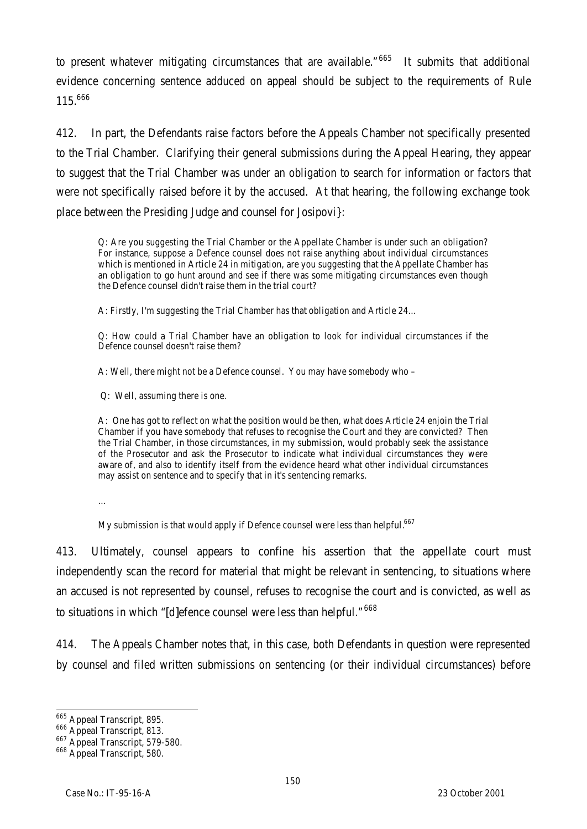to present whatever mitigating circumstances that are available."<sup>665</sup> It submits that additional evidence concerning sentence adduced on appeal should be subject to the requirements of Rule 115.666

412. In part, the Defendants raise factors before the Appeals Chamber not specifically presented to the Trial Chamber. Clarifying their general submissions during the Appeal Hearing, they appear to suggest that the Trial Chamber was under an obligation to search for information or factors that were not specifically raised before it by the accused. At that hearing, the following exchange took place between the Presiding Judge and counsel for Josipovi}:

Q: Are you suggesting the Trial Chamber or the Appellate Chamber is under such an obligation? For instance, suppose a Defence counsel does not raise anything about individual circumstances which is mentioned in Article 24 in mitigation, are you suggesting that the Appellate Chamber has an obligation to go hunt around and see if there was some mitigating circumstances even though the Defence counsel didn't raise them in the trial court?

A: Firstly, I'm suggesting the Trial Chamber has that obligation and Article 24…

Q: How could a Trial Chamber have an obligation to look for individual circumstances if the Defence counsel doesn't raise them?

A: Well, there might not be a Defence counsel. You may have somebody who –

Q: Well, assuming there is one.

A: One has got to reflect on what the position would be then, what does Article 24 enjoin the Trial Chamber if you have somebody that refuses to recognise the Court and they are convicted? Then the Trial Chamber, in those circumstances, in my submission, would probably seek the assistance of the Prosecutor and ask the Prosecutor to indicate what individual circumstances they were aware of, and also to identify itself from the evidence heard what other individual circumstances may assist on sentence and to specify that in it's sentencing remarks.

…

My submission is that would apply if Defence counsel were less than helpful.<sup>667</sup>

413. Ultimately, counsel appears to confine his assertion that the appellate court must independently scan the record for material that might be relevant in sentencing, to situations where an accused is not represented by counsel, refuses to recognise the court and is convicted, as well as to situations in which "[d]efence counsel were less than helpful." 668

414. The Appeals Chamber notes that, in this case, both Defendants in question were represented by counsel and filed written submissions on sentencing (or their individual circumstances) before

 $\overline{a}$ <sup>665</sup> Appeal Transcript, 895.

<sup>666</sup> Appeal Transcript, 813.

<sup>667</sup> Appeal Transcript, 579-580.

<sup>668</sup> Appeal Transcript, 580.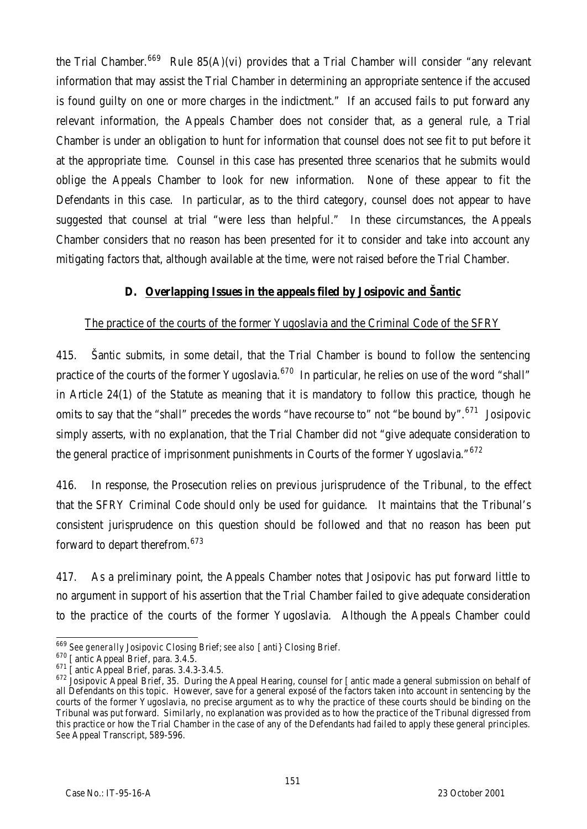the Trial Chamber.<sup>669</sup> Rule 85(A)(vi) provides that a Trial Chamber will consider "any relevant information that may assist the Trial Chamber in determining an appropriate sentence if the accused is found guilty on one or more charges in the indictment." If an accused fails to put forward any relevant information, the Appeals Chamber does not consider that, as a general rule, a Trial Chamber is under an obligation to hunt for information that counsel does not see fit to put before it at the appropriate time. Counsel in this case has presented three scenarios that he submits would oblige the Appeals Chamber to look for new information. None of these appear to fit the Defendants in this case. In particular, as to the third category, counsel does not appear to have suggested that counsel at trial "were less than helpful." In these circumstances, the Appeals Chamber considers that no reason has been presented for it to consider and take into account any mitigating factors that, although available at the time, were not raised before the Trial Chamber.

### **D. Overlapping Issues in the appeals filed by Josipovic and Šantic**

### The practice of the courts of the former Yugoslavia and the Criminal Code of the SFRY

415. Šantic submits, in some detail, that the Trial Chamber is bound to follow the sentencing practice of the courts of the former Yugoslavia.<sup>670</sup> In particular, he relies on use of the word "shall" in Article 24(1) of the Statute as meaning that it is mandatory to follow this practice, though he omits to say that the "shall" precedes the words "have recourse to" not "be bound by".<sup>671</sup> Josipovic simply asserts, with no explanation, that the Trial Chamber did not "give adequate consideration to the general practice of imprisonment punishments in Courts of the former Yugoslavia."672

416. In response, the Prosecution relies on previous jurisprudence of the Tribunal, to the effect that the SFRY Criminal Code should only be used for guidance. It maintains that the Tribunal's consistent jurisprudence on this question should be followed and that no reason has been put forward to depart therefrom.<sup>673</sup>

417. As a preliminary point, the Appeals Chamber notes that Josipovic has put forward little to no argument in support of his assertion that the Trial Chamber failed to give adequate consideration to the practice of the courts of the former Yugoslavia. Although the Appeals Chamber could

 $\overline{a}$ <sup>669</sup> *See generally* Josipovic Closing Brief; *see also* [anti} Closing Brief.

<sup>670</sup> [antic Appeal Brief, para. 3.4.5.

<sup>&</sup>lt;sup>671</sup> [antic Appeal Brief, paras. 3.4.3-3.4.5.

 $672$  Josipovic Appeal Brief, 35. During the Appeal Hearing, counsel for [antic made a general submission on behalf of all Defendants on this topic. However, save for a general exposé of the factors taken into account in sentencing by the courts of the former Yugoslavia, no precise argument as to why the practice of these courts should be binding on the Tribunal was put forward. Similarly, no explanation was provided as to how the practice of the Tribunal digressed from this practice or how the Trial Chamber in the case of any of the Defendants had failed to apply these general principles. *See* Appeal Transcript, 589-596.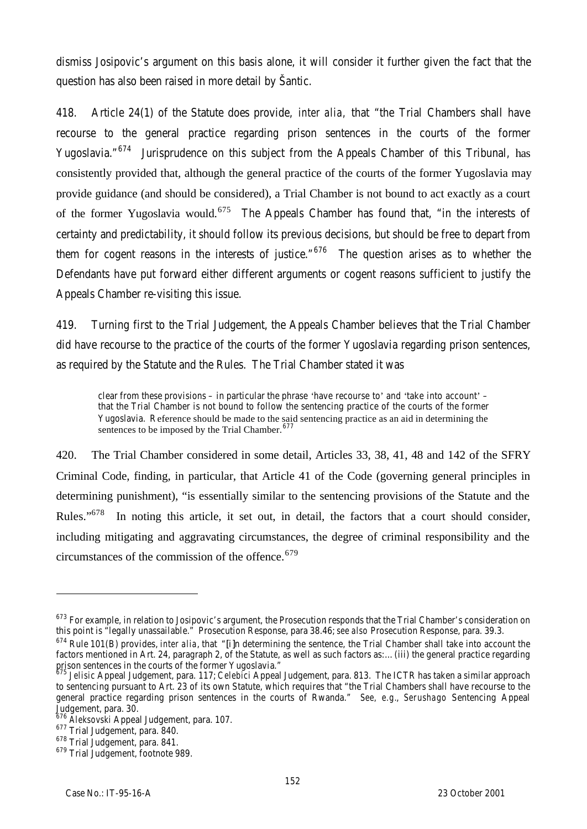dismiss Josipovic's argument on this basis alone, it will consider it further given the fact that the question has also been raised in more detail by Šantic.

418. Article 24(1) of the Statute does provide, *inter alia,* that "the Trial Chambers shall have recourse to the general practice regarding prison sentences in the courts of the former Yugoslavia."<sup>674</sup> Jurisprudence on this subject from the Appeals Chamber of this Tribunal, has consistently provided that, although the general practice of the courts of the former Yugoslavia may provide guidance (and should be considered), a Trial Chamber is not bound to act exactly as a court of the former Yugoslavia would.<sup>675</sup> The Appeals Chamber has found that, "in the interests of certainty and predictability, it should follow its previous decisions, but should be free to depart from them for cogent reasons in the interests of justice." $676$  The question arises as to whether the Defendants have put forward either different arguments or cogent reasons sufficient to justify the Appeals Chamber re-visiting this issue.

419. Turning first to the Trial Judgement, the Appeals Chamber believes that the Trial Chamber did have recourse to the practice of the courts of the former Yugoslavia regarding prison sentences, as required by the Statute and the Rules. The Trial Chamber stated it was

clear from these provisions – in particular the phrase 'have recourse to' and 'take into account' – that the Trial Chamber is not bound to follow the sentencing practice of the courts of the former Yugoslavia. Reference should be made to the said sentencing practice as an aid in determining the sentences to be imposed by the Trial Chamber.<sup>677</sup>

420. The Trial Chamber considered in some detail, Articles 33, 38, 41, 48 and 142 of the SFRY Criminal Code, finding, in particular, that Article 41 of the Code (governing general principles in determining punishment), "is essentially similar to the sentencing provisions of the Statute and the Rules."<sup>678</sup> In noting this article, it set out, in detail, the factors that a court should consider, including mitigating and aggravating circumstances, the degree of criminal responsibility and the circumstances of the commission of the offence.<sup>679</sup>

l

<sup>&</sup>lt;sup>673</sup> For example, in relation to Josipovic's argument, the Prosecution responds that the Trial Chamber's consideration on this point is "legally unassailable." Prosecution Response, para 38.46; *see also* Prosecution Response, para. 39.3.

<sup>674</sup> Rule 101(B) provides, *inter alia*, that "[i]n determining the sentence, the Trial Chamber shall take into account the factors mentioned in Art. 24, paragraph 2, of the Statute, as well as such factors as:…(iii) the general practice regarding prison sentences in the courts of the former Yugoslavia."

<sup>675</sup> *Jelisic* Appeal Judgement, para. 117; *Celebici* Appeal Judgement, para. 813. The ICTR has taken a similar approach to sentencing pursuant to Art. 23 of its own Statute, which requires that "the Trial Chambers shall have recourse to the general practice regarding prison sentences in the courts of Rwanda." *See, e.g.*, *Serushago* Sentencing Appeal Judgement, para. 30.

<sup>676</sup> *Aleksovski* Appeal Judgement, para. 107.

 $677$  Trial Judgement, para. 840.

<sup>678</sup> Trial Judgement, para. 841.

<sup>679</sup> Trial Judgement, footnote 989.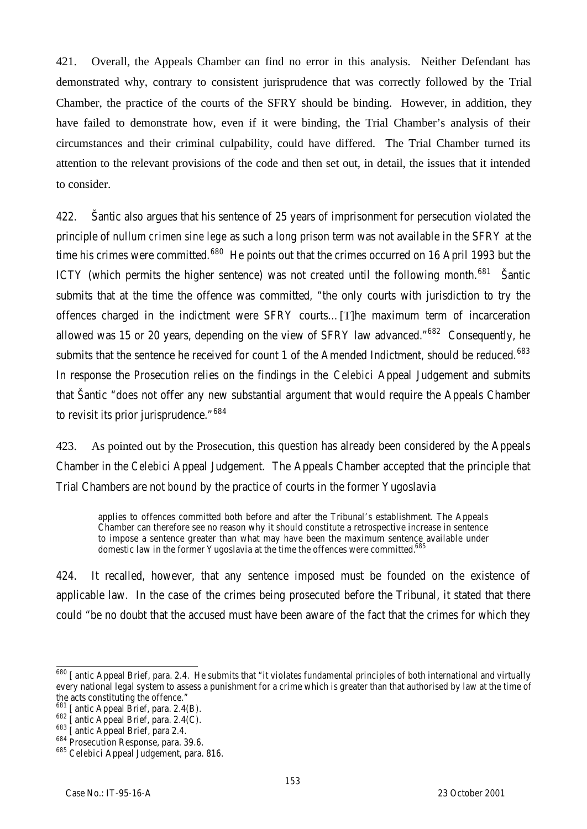421. Overall, the Appeals Chamber can find no error in this analysis. Neither Defendant has demonstrated why, contrary to consistent jurisprudence that was correctly followed by the Trial Chamber, the practice of the courts of the SFRY should be binding. However, in addition, they have failed to demonstrate how, even if it were binding, the Trial Chamber's analysis of their circumstances and their criminal culpability, could have differed. The Trial Chamber turned its attention to the relevant provisions of the code and then set out, in detail, the issues that it intended to consider.

422. Šantic also argues that his sentence of 25 years of imprisonment for persecution violated the principle of *nullum crimen sine lege* as such a long prison term was not available in the SFRY at the time his crimes were committed.<sup>680</sup> He points out that the crimes occurred on 16 April 1993 but the ICTY (which permits the higher sentence) was not created until the following month.<sup>681</sup> Santic submits that at the time the offence was committed, "the only courts with jurisdiction to try the offences charged in the indictment were SFRY courts…[T]he maximum term of incarceration allowed was 15 or 20 years, depending on the view of SFRY law advanced. $1682$  Consequently, he submits that the sentence he received for count 1 of the Amended Indictment, should be reduced.<sup>683</sup> In response the Prosecution relies on the findings in the *Celebici* Appeal Judgement and submits that Šantic "does not offer any new substantial argument that would require the Appeals Chamber to revisit its prior jurisprudence."<sup>684</sup>

423. As pointed out by the Prosecution, this question has already been considered by the Appeals Chamber in the *Celebici* Appeal Judgement. The Appeals Chamber accepted that the principle that Trial Chambers are not *bound* by the practice of courts in the former Yugoslavia

applies to offences committed both before and after the Tribunal's establishment. The Appeals Chamber can therefore see no reason why it should constitute a retrospective increase in sentence to impose a sentence greater than what may have been the maximum sentence available under domestic law in the former Yugoslavia at the time the offences were committed.<sup>685</sup>

424. It recalled, however, that any sentence imposed must be founded on the existence of applicable law. In the case of the crimes being prosecuted before the Tribunal, it stated that there could "be no doubt that the accused must have been aware of the fact that the crimes for which they

 $\overline{\phantom{a}}$  $^{680}$  [antic Appeal Brief, para. 2.4. He submits that "it violates fundamental principles of both international and virtually every national legal system to assess a punishment for a crime which is greater than that authorised by law at the time of the acts constituting the offence."

 $681$  [antic Appeal Brief, para. 2.4(B).

 $682$  [antic Appeal Brief, para. 2.4(C).

<sup>&</sup>lt;sup>683</sup> [antic Appeal Brief, para 2.4.

<sup>&</sup>lt;sup>684</sup> Prosecution Response, para. 39.6.

<sup>685</sup> *Celebici* Appeal Judgement, para. 816.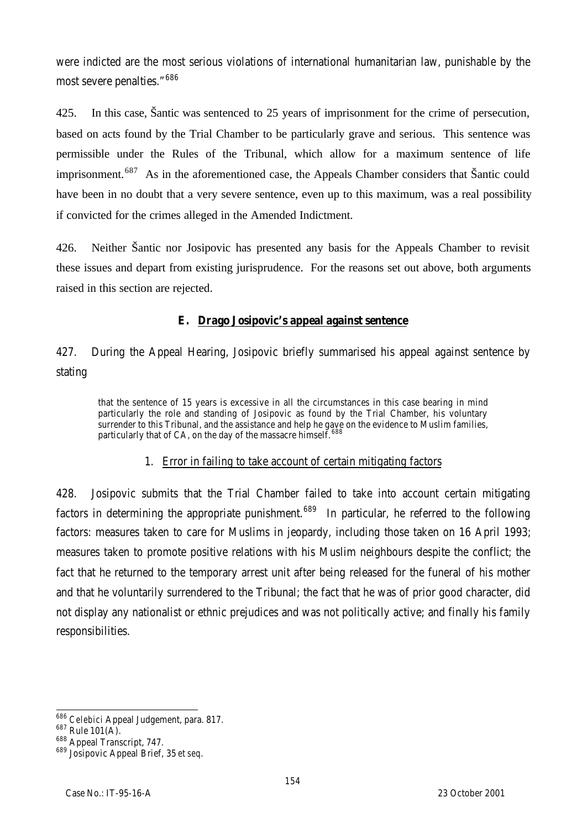were indicted are the most serious violations of international humanitarian law, punishable by the most severe penalties."<sup>686</sup>

425. In this case, Šantic was sentenced to 25 years of imprisonment for the crime of persecution, based on acts found by the Trial Chamber to be particularly grave and serious. This sentence was permissible under the Rules of the Tribunal, which allow for a maximum sentence of life imprisonment.<sup>687</sup> As in the aforementioned case, the Appeals Chamber considers that Šantic could have been in no doubt that a very severe sentence, even up to this maximum, was a real possibility if convicted for the crimes alleged in the Amended Indictment.

426. Neither Šantic nor Josipovic has presented any basis for the Appeals Chamber to revisit these issues and depart from existing jurisprudence. For the reasons set out above, both arguments raised in this section are rejected.

### **E. Drago Josipovic's appeal against sentence**

427. During the Appeal Hearing, Josipovic briefly summarised his appeal against sentence by stating

that the sentence of 15 years is excessive in all the circumstances in this case bearing in mind particularly the role and standing of Josipovic as found by the Trial Chamber, his voluntary surrender to this Tribunal, and the assistance and help he gave on the evidence to Muslim families, particularly that of CA, on the day of the massacre himself. 688

### 1. Error in failing to take account of certain mitigating factors

428. Josipovic submits that the Trial Chamber failed to take into account certain mitigating factors in determining the appropriate punishment.<sup>689</sup> In particular, he referred to the following factors: measures taken to care for Muslims in jeopardy, including those taken on 16 April 1993; measures taken to promote positive relations with his Muslim neighbours despite the conflict; the fact that he returned to the temporary arrest unit after being released for the funeral of his mother and that he voluntarily surrendered to the Tribunal; the fact that he was of prior good character, did not display any nationalist or ethnic prejudices and was not politically active; and finally his family responsibilities.

 $\overline{a}$ <sup>686</sup> *Celebici* Appeal Judgement, para. 817.

<sup>687</sup> Rule 101(A).

<sup>688</sup> Appeal Transcript, 747.

<sup>689</sup> Josipovic Appeal Brief, 35 *et seq*.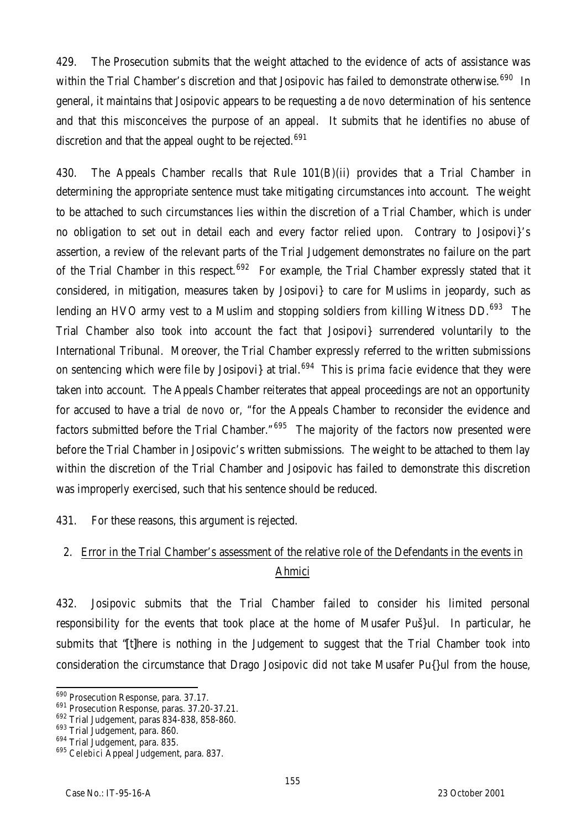429. The Prosecution submits that the weight attached to the evidence of acts of assistance was within the Trial Chamber's discretion and that Josipovic has failed to demonstrate otherwise.<sup>690</sup> In general, it maintains that Josipovic appears to be requesting a *de novo* determination of his sentence and that this misconceives the purpose of an appeal. It submits that he identifies no abuse of discretion and that the appeal ought to be rejected.<sup>691</sup>

430. The Appeals Chamber recalls that Rule 101(B)(ii) provides that a Trial Chamber in determining the appropriate sentence must take mitigating circumstances into account. The weight to be attached to such circumstances lies within the discretion of a Trial Chamber, which is under no obligation to set out in detail each and every factor relied upon. Contrary to Josipovi}'s assertion, a review of the relevant parts of the Trial Judgement demonstrates no failure on the part of the Trial Chamber in this respect.<sup>692</sup> For example, the Trial Chamber expressly stated that it considered, in mitigation, measures taken by Josipovi} to care for Muslims in jeopardy, such as lending an HVO army vest to a Muslim and stopping soldiers from killing Witness DD.<sup>693</sup> The Trial Chamber also took into account the fact that Josipovi} surrendered voluntarily to the International Tribunal. Moreover, the Trial Chamber expressly referred to the written submissions on sentencing which were file by Josipovi} at trial.<sup>694</sup> This is *prima facie* evidence that they were taken into account. The Appeals Chamber reiterates that appeal proceedings are not an opportunity for accused to have a trial *de novo* or, "for the Appeals Chamber to reconsider the evidence and factors submitted before the Trial Chamber."<sup>695</sup> The majority of the factors now presented were before the Trial Chamber in Josipovic's written submissions. The weight to be attached to them lay within the discretion of the Trial Chamber and Josipovic has failed to demonstrate this discretion was improperly exercised, such that his sentence should be reduced.

431. For these reasons, this argument is rejected.

# 2. Error in the Trial Chamber's assessment of the relative role of the Defendants in the events in Ahmici

432. Josipovic submits that the Trial Chamber failed to consider his limited personal responsibility for the events that took place at the home of Musafer Puš}ul. In particular, he submits that "[t]here is nothing in the Judgement to suggest that the Trial Chamber took into consideration the circumstance that Drago Josipovic did not take Musafer Pu{}ul from the house,

 $\overline{a}$ <sup>690</sup> Prosecution Response, para. 37.17.

<sup>691</sup> Prosecution Response, paras. 37.20-37.21.

<sup>692</sup> Trial Judgement, paras 834-838, 858-860.

<sup>693</sup> Trial Judgement, para. 860.

<sup>694</sup> Trial Judgement, para. 835.

<sup>695</sup> *Celebici* Appeal Judgement, para. 837.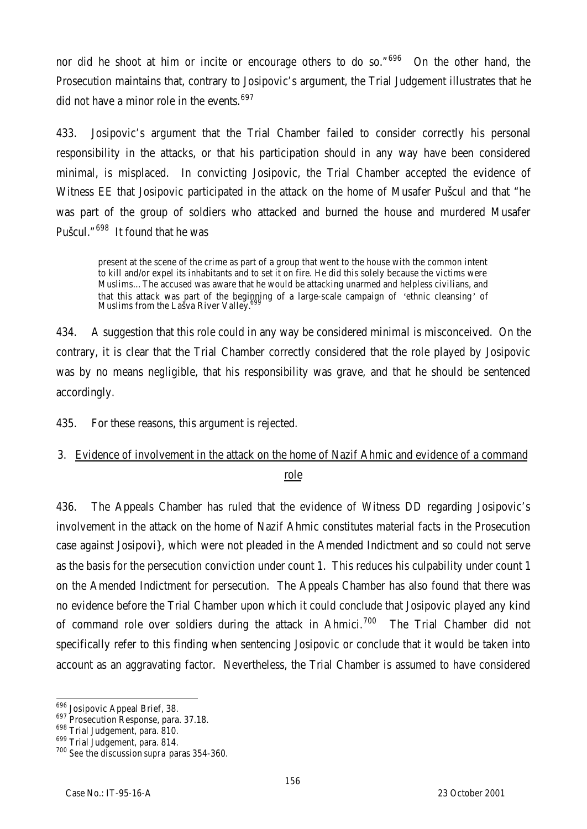nor did he shoot at him or incite or encourage others to do so." $696$  On the other hand, the Prosecution maintains that, contrary to Josipovic's argument, the Trial Judgement illustrates that he did not have a minor role in the events.  $697$ 

433. Josipovic's argument that the Trial Chamber failed to consider correctly his personal responsibility in the attacks, or that his participation should in any way have been considered minimal, is misplaced. In convicting Josipovic, the Trial Chamber accepted the evidence of Witness EE that Josipovic participated in the attack on the home of Musafer Pušcul and that "he was part of the group of soldiers who attacked and burned the house and murdered Musafer Pušcul."<sup>698</sup> It found that he was

present at the scene of the crime as part of a group that went to the house with the common intent to kill and/or expel its inhabitants and to set it on fire. He did this solely because the victims were Muslims…The accused was aware that he would be attacking unarmed and helpless civilians, and that this attack was part of the beginning of a large-scale campaign of 'ethnic cleansing' of<br>Muslims from the Lašva River Valley.<sup>699</sup>

434. A suggestion that this role could in any way be considered minimal is misconceived. On the contrary, it is clear that the Trial Chamber correctly considered that the role played by Josipovic was by no means negligible, that his responsibility was grave, and that he should be sentenced accordingly.

435. For these reasons, this argument is rejected.

# 3. Evidence of involvement in the attack on the home of Nazif Ahmic and evidence of a command role

436. The Appeals Chamber has ruled that the evidence of Witness DD regarding Josipovic's involvement in the attack on the home of Nazif Ahmic constitutes material facts in the Prosecution case against Josipovi}, which were not pleaded in the Amended Indictment and so could not serve as the basis for the persecution conviction under count 1. This reduces his culpability under count 1 on the Amended Indictment for persecution. The Appeals Chamber has also found that there was no evidence before the Trial Chamber upon which it could conclude that Josipovic played any kind of command role over soldiers during the attack in Ahmici.<sup>700</sup> The Trial Chamber did not specifically refer to this finding when sentencing Josipovic or conclude that it would be taken into account as an aggravating factor. Nevertheless, the Trial Chamber is assumed to have considered

 $\overline{a}$ <sup>696</sup> Josipovic Appeal Brief, 38.

<sup>697</sup> Prosecution Response, para. 37.18.

<sup>698</sup> Trial Judgement, para. 810.

<sup>699</sup> Trial Judgement, para. 814.

<sup>700</sup> *See* the discussion *supra* paras 354-360.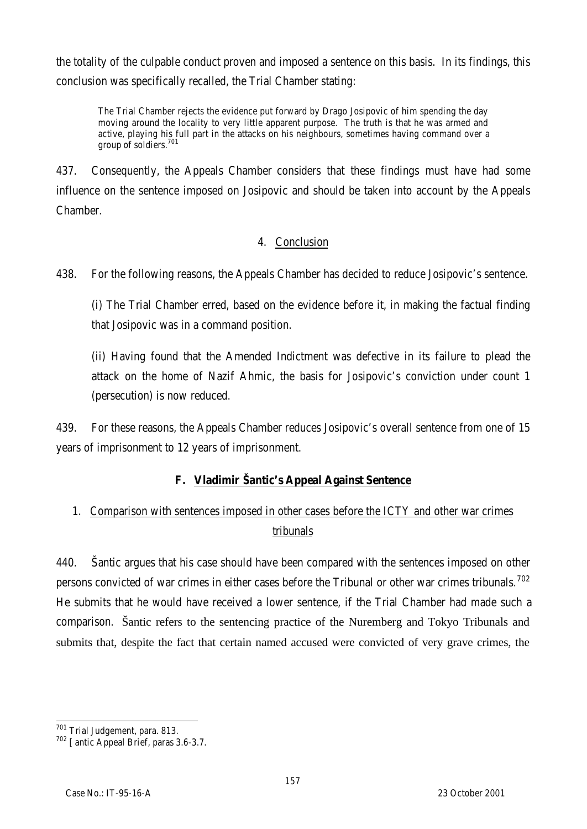the totality of the culpable conduct proven and imposed a sentence on this basis. In its findings, this conclusion was specifically recalled, the Trial Chamber stating:

The Trial Chamber rejects the evidence put forward by Drago Josipovic of him spending the day moving around the locality to very little apparent purpose. The truth is that he was armed and active, playing his full part in the attacks on his neighbours, sometimes having command over a group of soldiers.<sup>701</sup>

437. Consequently, the Appeals Chamber considers that these findings must have had some influence on the sentence imposed on Josipovic and should be taken into account by the Appeals Chamber.

### 4. Conclusion

438. For the following reasons, the Appeals Chamber has decided to reduce Josipovic's sentence.

(i) The Trial Chamber erred, based on the evidence before it, in making the factual finding that Josipovic was in a command position.

(ii) Having found that the Amended Indictment was defective in its failure to plead the attack on the home of Nazif Ahmic, the basis for Josipovic's conviction under count 1 (persecution) is now reduced.

439. For these reasons, the Appeals Chamber reduces Josipovic's overall sentence from one of 15 years of imprisonment to 12 years of imprisonment.

# **F. Vladimir Šantic's Appeal Against Sentence**

# 1. Comparison with sentences imposed in other cases before the ICTY and other war crimes tribunals

440. Šantic argues that his case should have been compared with the sentences imposed on other persons convicted of war crimes in either cases before the Tribunal or other war crimes tribunals.<sup>702</sup> He submits that he would have received a lower sentence, if the Trial Chamber had made such a comparison. Šantic refers to the sentencing practice of the Nuremberg and Tokyo Tribunals and submits that, despite the fact that certain named accused were convicted of very grave crimes, the

 $\overline{a}$ <sup>701</sup> Trial Judgement, para. 813.

<sup>702</sup> [antic Appeal Brief, paras 3.6-3.7.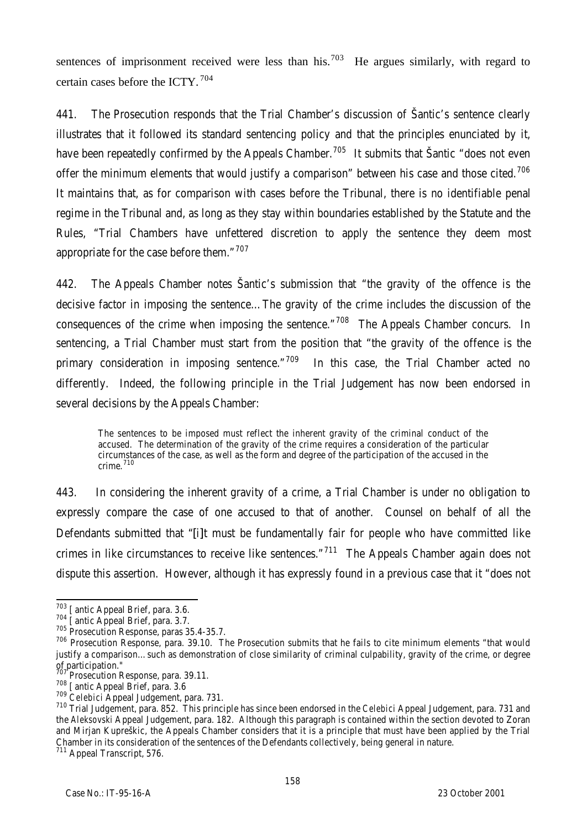sentences of imprisonment received were less than his.<sup>703</sup> He argues similarly, with regard to certain cases before the ICTY. <sup>704</sup>

441. The Prosecution responds that the Trial Chamber's discussion of Šantic's sentence clearly illustrates that it followed its standard sentencing policy and that the principles enunciated by it, have been repeatedly confirmed by the Appeals Chamber.<sup>705</sup> It submits that Šantic "does not even offer the minimum elements that would justify a comparison" between his case and those cited.<sup>706</sup> It maintains that, as for comparison with cases before the Tribunal, there is no identifiable penal regime in the Tribunal and, as long as they stay within boundaries established by the Statute and the Rules, "Trial Chambers have unfettered discretion to apply the sentence they deem most appropriate for the case before them. $107$ 

442. The Appeals Chamber notes Šantic's submission that "the gravity of the offence is the decisive factor in imposing the sentence…The gravity of the crime includes the discussion of the consequences of the crime when imposing the sentence."  $708$  The Appeals Chamber concurs. In sentencing, a Trial Chamber must start from the position that "the gravity of the offence is the primary consideration in imposing sentence."<sup>709</sup> In this case, the Trial Chamber acted no differently. Indeed, the following principle in the Trial Judgement has now been endorsed in several decisions by the Appeals Chamber:

The sentences to be imposed must reflect the inherent gravity of the criminal conduct of the accused. The determination of the gravity of the crime requires a consideration of the particular circumstances of the case, as well as the form and degree of the participation of the accused in the crime. $710$ 

443. In considering the inherent gravity of a crime, a Trial Chamber is under no obligation to expressly compare the case of one accused to that of another. Counsel on behalf of all the Defendants submitted that "[i]t must be fundamentally fair for people who have committed like crimes in like circumstances to receive like sentences."<sup>711</sup> The Appeals Chamber again does not dispute this assertion. However, although it has expressly found in a previous case that it "does not

 $\overline{a}$ 

<sup>&</sup>lt;sup>703</sup> [antic Appeal Brief, para. 3.6.

<sup>&</sup>lt;sup>704</sup> [antic Appeal Brief, para. 3.7.

<sup>705</sup> Prosecution Response, paras 35.4-35.7.

<sup>706</sup> Prosecution Response, para. 39.10. The Prosecution submits that he fails to cite minimum elements "that would justify a comparison…such as demonstration of close similarity of criminal culpability, gravity of the crime, or degree  $of$  participation."

Prosecution Response, para. 39.11.

<sup>&</sup>lt;sup>708</sup> [antic Appeal Brief, para. 3.6

<sup>709</sup> *Celebici* Appeal Judgement, para. 731.

<sup>710</sup> Trial Judgement, para. 852. This principle has since been endorsed in the *Celebici* Appeal Judgement, para. 731 and the *Aleksovski* Appeal Judgement, para. 182. Although this paragraph is contained within the section devoted to Zoran and Mirjan Kupreškic, the Appeals Chamber considers that it is a principle that must have been applied by the Trial Chamber in its consideration of the sentences of the Defendants collectively, being general in nature.

<sup>&</sup>lt;sup>711</sup> Appeal Transcript, 576.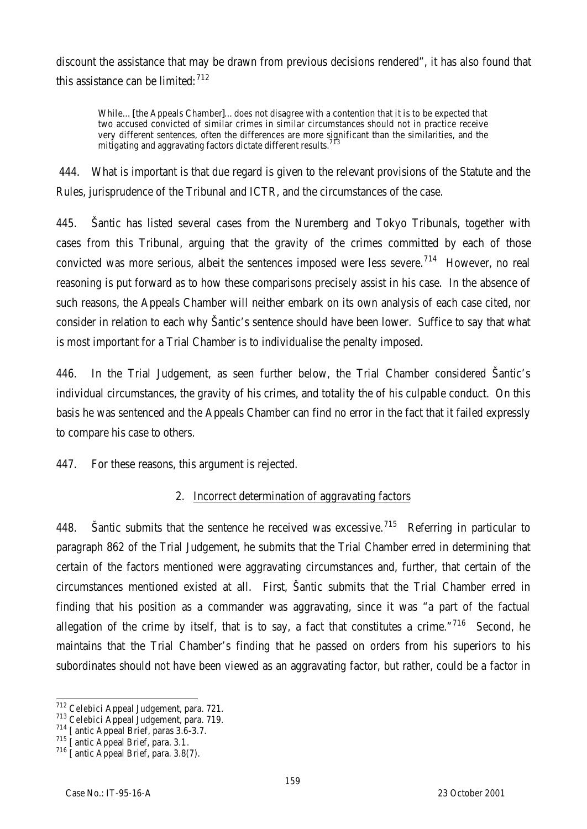discount the assistance that may be drawn from previous decisions rendered", it has also found that this assistance can be limited: $712$ 

While…[the Appeals Chamber]…does not disagree with a contention that it is to be expected that two accused convicted of similar crimes in similar circumstances should not in practice receive very different sentences, often the differences are more significant than the similarities, and the mitigating and aggravating factors dictate different results.

444. What is important is that due regard is given to the relevant provisions of the Statute and the Rules, jurisprudence of the Tribunal and ICTR, and the circumstances of the case.

445. Šantic has listed several cases from the Nuremberg and Tokyo Tribunals, together with cases from this Tribunal, arguing that the gravity of the crimes committed by each of those convicted was more serious, albeit the sentences imposed were less severe.<sup>714</sup> However, no real reasoning is put forward as to how these comparisons precisely assist in his case. In the absence of such reasons, the Appeals Chamber will neither embark on its own analysis of each case cited, nor consider in relation to each why Šantic's sentence should have been lower. Suffice to say that what is most important for a Trial Chamber is to individualise the penalty imposed.

446. In the Trial Judgement, as seen further below, the Trial Chamber considered Šantic's individual circumstances, the gravity of his crimes, and totality the of his culpable conduct. On this basis he was sentenced and the Appeals Chamber can find no error in the fact that it failed expressly to compare his case to others.

447. For these reasons, this argument is rejected.

# 2. Incorrect determination of aggravating factors

448. Santic submits that the sentence he received was excessive.<sup>715</sup> Referring in particular to paragraph 862 of the Trial Judgement, he submits that the Trial Chamber erred in determining that certain of the factors mentioned were aggravating circumstances and, further, that certain of the circumstances mentioned existed at all. First, Šantic submits that the Trial Chamber erred in finding that his position as a commander was aggravating, since it was "a part of the factual allegation of the crime by itself, that is to say, a fact that constitutes a crime."<sup>716</sup> Second, he maintains that the Trial Chamber's finding that he passed on orders from his superiors to his subordinates should not have been viewed as an aggravating factor, but rather, could be a factor in

 $\overline{a}$ <sup>712</sup> *Celebici* Appeal Judgement, para. 721.

<sup>713</sup> *Celebici* Appeal Judgement, para. 719.

<sup>&</sup>lt;sup>714</sup> [antic Appeal Brief, paras 3.6-3.7.

<sup>715</sup> [antic Appeal Brief, para. 3.1*.*

<sup>716</sup> [antic Appeal Brief, para. 3.8(7).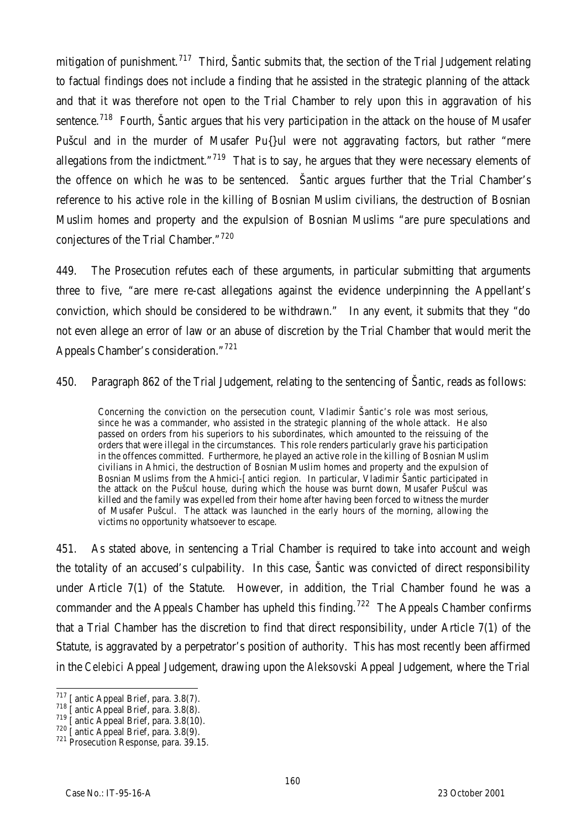mitigation of punishment.<sup>717</sup> Third, Šantic submits that, the section of the Trial Judgement relating to factual findings does not include a finding that he assisted in the strategic planning of the attack and that it was therefore not open to the Trial Chamber to rely upon this in aggravation of his sentence.<sup>718</sup> Fourth, Šantic argues that his very participation in the attack on the house of Musafer Pušcul and in the murder of Musafer Pu{}ul were not aggravating factors, but rather "mere allegations from the indictment."<sup>719</sup> That is to say, he argues that they were necessary elements of the offence on which he was to be sentenced. Šantic argues further that the Trial Chamber's reference to his active role in the killing of Bosnian Muslim civilians, the destruction of Bosnian Muslim homes and property and the expulsion of Bosnian Muslims "are pure speculations and conjectures of the Trial Chamber."<sup>720</sup>

449. The Prosecution refutes each of these arguments, in particular submitting that arguments three to five, "are mere re-cast allegations against the evidence underpinning the Appellant's conviction, which should be considered to be withdrawn." In any event, it submits that they "do not even allege an error of law or an abuse of discretion by the Trial Chamber that would merit the Appeals Chamber's consideration."<sup>721</sup>

450. Paragraph 862 of the Trial Judgement, relating to the sentencing of Šantic, reads as follows:

Concerning the conviction on the persecution count, Vladimir Šantic's role was most serious, since he was a commander, who assisted in the strategic planning of the whole attack. He also passed on orders from his superiors to his subordinates, which amounted to the reissuing of the orders that were illegal in the circumstances. This role renders particularly grave his participation in the offences committed. Furthermore, he played an active role in the killing of Bosnian Muslim civilians in Ahmici, the destruction of Bosnian Muslim homes and property and the expulsion of Bosnian Muslims from the Ahmici-[antici region. In particular, Vladimir Šantic participated in the attack on the Pušcul house, during which the house was burnt down, Musafer Pušcul was killed and the family was expelled from their home after having been forced to witness the murder of Musafer Pušcul. The attack was launched in the early hours of the morning, allowing the victims no opportunity whatsoever to escape.

451. As stated above, in sentencing a Trial Chamber is required to take into account and weigh the totality of an accused's culpability. In this case, Šantic was convicted of direct responsibility under Article 7(1) of the Statute. However, in addition, the Trial Chamber found he was a commander and the Appeals Chamber has upheld this finding.<sup>722</sup> The Appeals Chamber confirms that a Trial Chamber has the discretion to find that direct responsibility, under Article 7(1) of the Statute, is aggravated by a perpetrator's position of authority. This has most recently been affirmed in the *Celebici* Appeal Judgement, drawing upon the *Aleksovski* Appeal Judgement, where the Trial

 $\overline{a}$  $717$  [antic Appeal Brief, para. 3.8(7).

 $718$  [antic Appeal Brief, para. 3.8(8).

 $719$  [antic Appeal Brief, para. 3.8(10).

 $\frac{720}{26}$  [antic Appeal Brief, para. 3.8(9).

<sup>&</sup>lt;sup>721</sup> Prosecution Response, para. 39.15.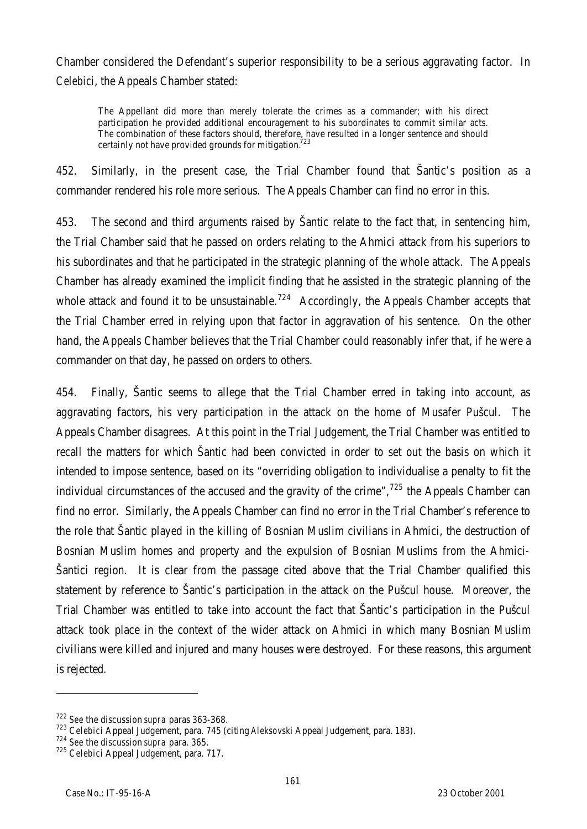Chamber considered the Defendant's superior responsibility to be a serious aggravating factor. In *Celebici*, the Appeals Chamber stated:

The Appellant did more than merely tolerate the crimes as a commander; with his direct participation he provided additional encouragement to his subordinates to commit similar acts. The combination of these factors should, therefore, have resulted in a longer sentence and should certainly not have provided grounds for mitigation.<sup>723</sup>

452. Similarly, in the present case, the Trial Chamber found that Šantic's position as a commander rendered his role more serious. The Appeals Chamber can find no error in this.

453. The second and third arguments raised by Šantic relate to the fact that, in sentencing him, the Trial Chamber said that he passed on orders relating to the Ahmici attack from his superiors to his subordinates and that he participated in the strategic planning of the whole attack. The Appeals Chamber has already examined the implicit finding that he assisted in the strategic planning of the whole attack and found it to be unsustainable.<sup>724</sup> Accordingly, the Appeals Chamber accepts that the Trial Chamber erred in relying upon that factor in aggravation of his sentence. On the other hand, the Appeals Chamber believes that the Trial Chamber could reasonably infer that, if he were a commander on that day, he passed on orders to others.

454. Finally, Šantic seems to allege that the Trial Chamber erred in taking into account, as aggravating factors, his very participation in the attack on the home of Musafer Pušcul. The Appeals Chamber disagrees. At this point in the Trial Judgement, the Trial Chamber was entitled to recall the matters for which Šantic had been convicted in order to set out the basis on which it intended to impose sentence, based on its "overriding obligation to individualise a penalty to fit the individual circumstances of the accused and the gravity of the crime",  $^{725}$  the Appeals Chamber can find no error. Similarly, the Appeals Chamber can find no error in the Trial Chamber's reference to the role that Šantic played in the killing of Bosnian Muslim civilians in Ahmici, the destruction of Bosnian Muslim homes and property and the expulsion of Bosnian Muslims from the Ahmici-Šantici region. It is clear from the passage cited above that the Trial Chamber qualified this statement by reference to Šantic's participation in the attack on the Pušcul house. Moreover, the Trial Chamber was entitled to take into account the fact that Šantic's participation in the Pušcul attack took place in the context of the wider attack on Ahmici in which many Bosnian Muslim civilians were killed and injured and many houses were destroyed. For these reasons, this argument is rejected.

l

<sup>722</sup> *See* the discussion *supra* paras 363-368.

<sup>723</sup> *Celebici* Appeal Judgement, para. 745 (citing *Aleksovski* Appeal Judgement, para. 183).

<sup>724</sup> *See* the discussion *supra* para. 365.

<sup>725</sup> *Celebici* Appeal Judgement, para. 717.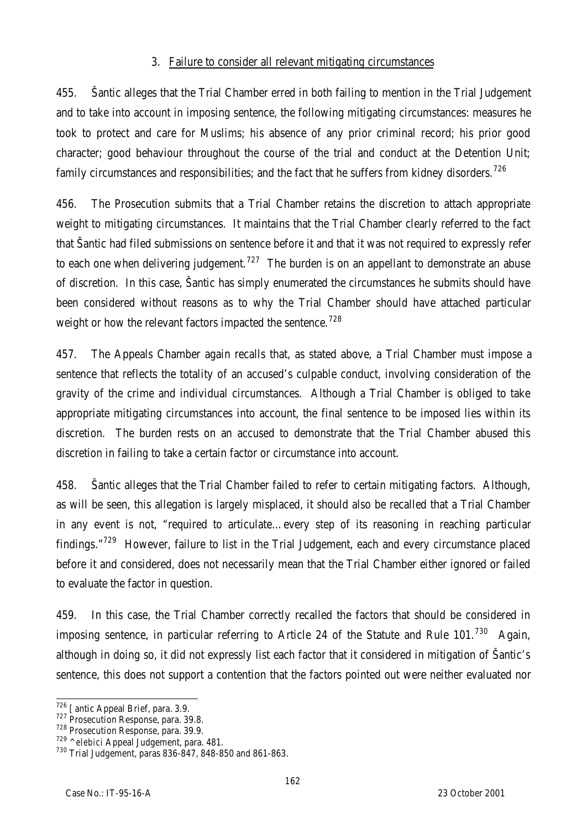#### 3. Failure to consider all relevant mitigating circumstances

455. Šantic alleges that the Trial Chamber erred in both failing to mention in the Trial Judgement and to take into account in imposing sentence, the following mitigating circumstances: measures he took to protect and care for Muslims; his absence of any prior criminal record; his prior good character; good behaviour throughout the course of the trial and conduct at the Detention Unit; family circumstances and responsibilities; and the fact that he suffers from kidney disorders.<sup>726</sup>

456. The Prosecution submits that a Trial Chamber retains the discretion to attach appropriate weight to mitigating circumstances. It maintains that the Trial Chamber clearly referred to the fact that Šantic had filed submissions on sentence before it and that it was not required to expressly refer to each one when delivering judgement.<sup>727</sup> The burden is on an appellant to demonstrate an abuse of discretion. In this case, Šantic has simply enumerated the circumstances he submits should have been considered without reasons as to why the Trial Chamber should have attached particular weight or how the relevant factors impacted the sentence.<sup>728</sup>

457. The Appeals Chamber again recalls that, as stated above, a Trial Chamber must impose a sentence that reflects the totality of an accused's culpable conduct, involving consideration of the gravity of the crime and individual circumstances. Although a Trial Chamber is obliged to take appropriate mitigating circumstances into account, the final sentence to be imposed lies within its discretion. The burden rests on an accused to demonstrate that the Trial Chamber abused this discretion in failing to take a certain factor or circumstance into account.

458. Šantic alleges that the Trial Chamber failed to refer to certain mitigating factors. Although, as will be seen, this allegation is largely misplaced, it should also be recalled that a Trial Chamber in any event is not, "required to articulate…every step of its reasoning in reaching particular findings."<sup>729</sup> However, failure to list in the Trial Judgement, each and every circumstance placed before it and considered, does not necessarily mean that the Trial Chamber either ignored or failed to evaluate the factor in question.

459. In this case, the Trial Chamber correctly recalled the factors that should be considered in imposing sentence, in particular referring to Article 24 of the Statute and Rule 101.<sup>730</sup> Again. although in doing so, it did not expressly list each factor that it considered in mitigation of Šantic's sentence, this does not support a contention that the factors pointed out were neither evaluated nor

 $\overline{a}$ <sup>726</sup> [antic Appeal Brief, para. 3.9.

<sup>727</sup> Prosecution Response, para. 39.8.

<sup>728</sup> Prosecution Response, para. 39.9.

<sup>729</sup> *^elebici* Appeal Judgement, para. 481.

<sup>730</sup> Trial Judgement, paras 836-847, 848-850 and 861-863.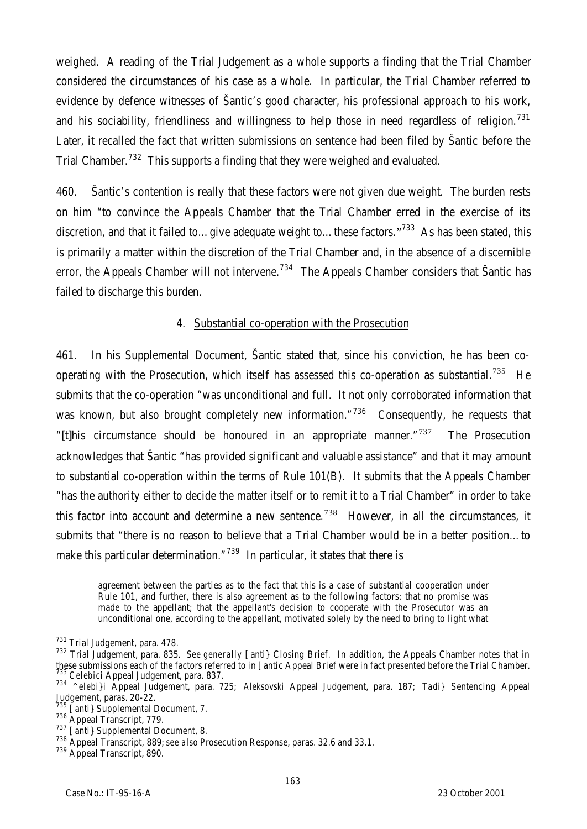weighed. A reading of the Trial Judgement as a whole supports a finding that the Trial Chamber considered the circumstances of his case as a whole. In particular, the Trial Chamber referred to evidence by defence witnesses of Šantic's good character, his professional approach to his work, and his sociability, friendliness and willingness to help those in need regardless of religion.<sup>731</sup> Later, it recalled the fact that written submissions on sentence had been filed by Šantic before the Trial Chamber.<sup>732</sup> This supports a finding that they were weighed and evaluated.

460. Šantic's contention is really that these factors were not given due weight. The burden rests on him "to convince the Appeals Chamber that the Trial Chamber erred in the exercise of its discretion, and that it failed to...give adequate weight to...these factors."<sup>733</sup> As has been stated, this is primarily a matter within the discretion of the Trial Chamber and, in the absence of a discernible error, the Appeals Chamber will not intervene.<sup>734</sup> The Appeals Chamber considers that Šantic has failed to discharge this burden.

#### 4. Substantial co-operation with the Prosecution

461. In his Supplemental Document, Šantic stated that, since his conviction, he has been cooperating with the Prosecution, which itself has assessed this co-operation as substantial.<sup>735</sup> He submits that the co-operation "was unconditional and full. It not only corroborated information that was known, but also brought completely new information."<sup>736</sup> Consequently, he requests that "[t]his circumstance should be honoured in an appropriate manner." $737$  The Prosecution acknowledges that Šantic "has provided significant and valuable assistance" and that it may amount to substantial co-operation within the terms of Rule 101(B). It submits that the Appeals Chamber "has the authority either to decide the matter itself or to remit it to a Trial Chamber" in order to take this factor into account and determine a new sentence*.* <sup>738</sup> However, in all the circumstances, it submits that "there is no reason to believe that a Trial Chamber would be in a better position…to make this particular determination."<sup>739</sup> In particular, it states that there is

agreement between the parties as to the fact that this is a case of substantial cooperation under Rule 101, and further, there is also agreement as to the following factors: that no promise was made to the appellant; that the appellant's decision to cooperate with the Prosecutor was an unconditional one, according to the appellant, motivated solely by the need to bring to light what

 $\overline{a}$ <sup>731</sup> Trial Judgement, para. 478.

<sup>732</sup> Trial Judgement, para. 835. *See generally* [anti} Closing Brief. In addition, the Appeals Chamber notes that in these submissions each of the factors referred to in [antic Appeal Brief were in fact presented before the Trial Chamber. <sup>733</sup> *Celebici* Appeal Judgement, para. 837.

<sup>734</sup> *^elebi}i* Appeal Judgement, para. 725; *Aleksovski* Appeal Judgement, para. 187; *Tadi}* Sentencing Appeal Judgement, paras. 20-22.

 $735$  [anti} Supplemental Document, 7.

<sup>&</sup>lt;sup>736</sup> Appeal Transcript, 779.

<sup>737 [</sup>anti} Supplemental Document, 8.

<sup>738</sup> Appeal Transcript, 889; *see also* Prosecution Response, paras. 32.6 and 33.1.

<sup>&</sup>lt;sup>739</sup> Appeal Transcript, 890.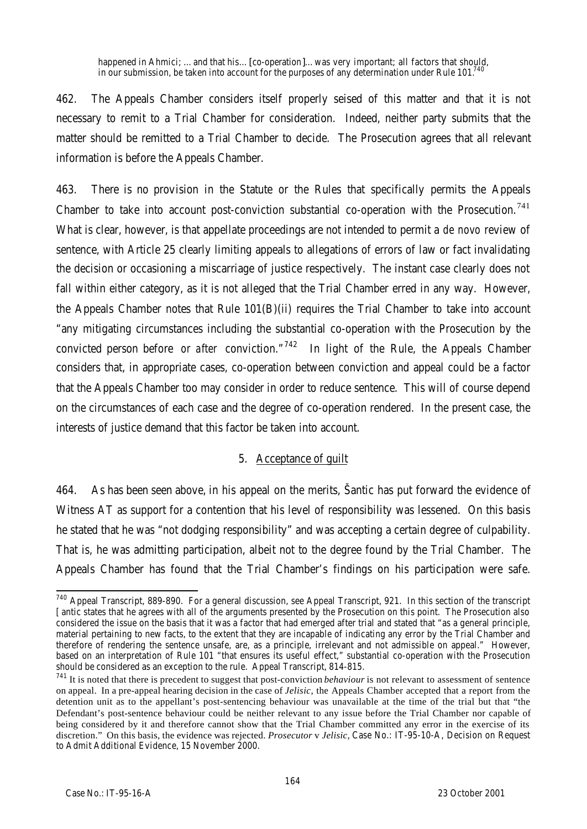happened in Ahmici; …and that his…[co-operation]…was very important; all factors that should, in our submission, be taken into account for the purposes of any determination under Rule 101.

462. The Appeals Chamber considers itself properly seised of this matter and that it is not necessary to remit to a Trial Chamber for consideration. Indeed, neither party submits that the matter should be remitted to a Trial Chamber to decide. The Prosecution agrees that all relevant information is before the Appeals Chamber.

463. There is no provision in the Statute or the Rules that specifically permits the Appeals Chamber to take into account post-conviction substantial co-operation with the Prosecution.<sup>741</sup> What is clear, however, is that appellate proceedings are not intended to permit a *de novo* review of sentence, with Article 25 clearly limiting appeals to allegations of errors of law or fact invalidating the decision or occasioning a miscarriage of justice respectively. The instant case clearly does not fall within either category, as it is not alleged that the Trial Chamber erred in any way. However, the Appeals Chamber notes that Rule 101(B)(ii) requires the Trial Chamber to take into account "any mitigating circumstances including the substantial co-operation with the Prosecution by the convicted person before *or after* conviction."<sup>742</sup> In light of the Rule, the Appeals Chamber considers that, in appropriate cases, co-operation between conviction and appeal could be a factor that the Appeals Chamber too may consider in order to reduce sentence. This will of course depend on the circumstances of each case and the degree of co-operation rendered. In the present case, the interests of justice demand that this factor be taken into account.

### 5. Acceptance of guilt

464. As has been seen above, in his appeal on the merits, Šantic has put forward the evidence of Witness AT as support for a contention that his level of responsibility was lessened. On this basis he stated that he was "not dodging responsibility" and was accepting a certain degree of culpability. That is, he was admitting participation, albeit not to the degree found by the Trial Chamber. The Appeals Chamber has found that the Trial Chamber's findings on his participation were safe.

 $\overline{a}$ <sup>740</sup> Appeal Transcript, 889-890. For a general discussion, see Appeal Transcript, 921. In this section of the transcript [antic states that he agrees with all of the arguments presented by the Prosecution on this point. The Prosecution also considered the issue on the basis that it was a factor that had emerged after trial and stated that "as a general principle, material pertaining to new facts, to the extent that they are incapable of indicating any error by the Trial Chamber and therefore of rendering the sentence unsafe, are, as a principle, irrelevant and not admissible on appeal." However, based on an interpretation of Rule 101 "that ensures its useful effect," substantial co-operation with the Prosecution should be considered as an exception to the rule. Appeal Transcript, 814-815.

<sup>&</sup>lt;sup>741</sup> It is noted that there is precedent to suggest that post-conviction *behaviour* is not relevant to assessment of sentence on appeal. In a pre-appeal hearing decision in the case of *Jelisic*, the Appeals Chamber accepted that a report from the detention unit as to the appellant's post-sentencing behaviour was unavailable at the time of the trial but that "the Defendant's post-sentence behaviour could be neither relevant to any issue before the Trial Chamber nor capable of being considered by it and therefore cannot show that the Trial Chamber committed any error in the exercise of its discretion." On this basis, the evidence was rejected. *Prosecutor* v *Jelisic,* Case No.: IT-95-10-A, Decision on Request to Admit Additional Evidence, 15 November 2000.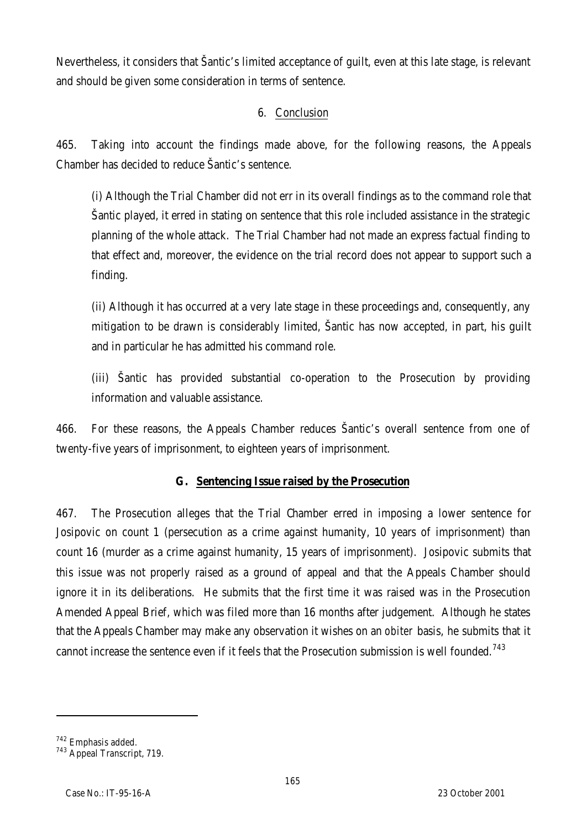Nevertheless, it considers that Šantic's limited acceptance of guilt, even at this late stage, is relevant and should be given some consideration in terms of sentence.

# 6. Conclusion

465. Taking into account the findings made above, for the following reasons, the Appeals Chamber has decided to reduce Šantic's sentence.

(i) Although the Trial Chamber did not err in its overall findings as to the command role that Šantic played, it erred in stating on sentence that this role included assistance in the strategic planning of the whole attack. The Trial Chamber had not made an express factual finding to that effect and, moreover, the evidence on the trial record does not appear to support such a finding.

(ii) Although it has occurred at a very late stage in these proceedings and, consequently, any mitigation to be drawn is considerably limited, Šantic has now accepted, in part, his guilt and in particular he has admitted his command role.

(iii) Šantic has provided substantial co-operation to the Prosecution by providing information and valuable assistance.

466. For these reasons, the Appeals Chamber reduces Šantic's overall sentence from one of twenty-five years of imprisonment, to eighteen years of imprisonment.

# **G. Sentencing Issue raised by the Prosecution**

467. The Prosecution alleges that the Trial Chamber erred in imposing a lower sentence for Josipovic on count 1 (persecution as a crime against humanity, 10 years of imprisonment) than count 16 (murder as a crime against humanity, 15 years of imprisonment). Josipovic submits that this issue was not properly raised as a ground of appeal and that the Appeals Chamber should ignore it in its deliberations. He submits that the first time it was raised was in the Prosecution Amended Appeal Brief, which was filed more than 16 months after judgement. Although he states that the Appeals Chamber may make any observation it wishes on an *obiter* basis, he submits that it cannot increase the sentence even if it feels that the Prosecution submission is well founded.<sup>743</sup>

l

<sup>742</sup> Emphasis added.

<sup>&</sup>lt;sup>743</sup> Appeal Transcript, 719.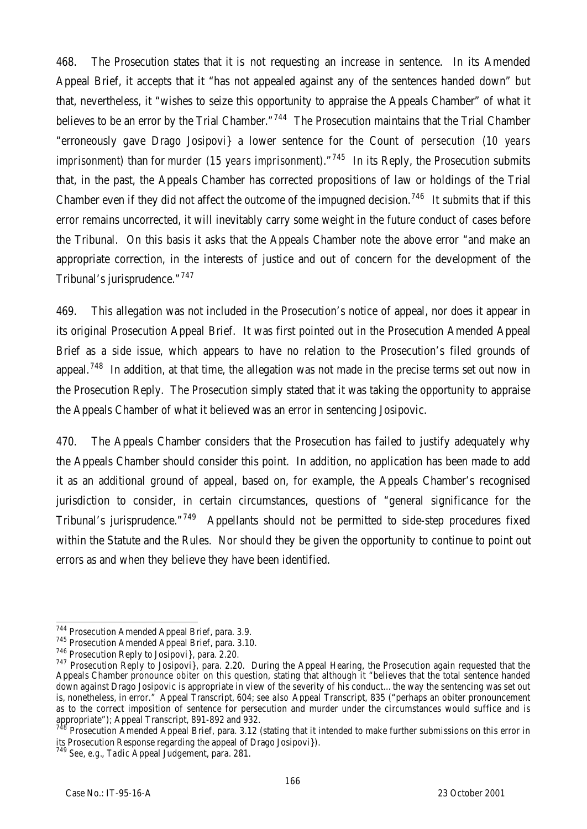468. The Prosecution states that it is not requesting an increase in sentence. In its Amended Appeal Brief, it accepts that it "has not appealed against any of the sentences handed down" but that, nevertheless, it "wishes to seize this opportunity to appraise the Appeals Chamber" of what it believes to be an error by the Trial Chamber."<sup>744</sup> The Prosecution maintains that the Trial Chamber "erroneously gave Drago Josipovi} a lower sentence for the Count of *persecution (10 years imprisonment)* than for *murder (15 years imprisonment)*."<sup>745</sup> In its Reply, the Prosecution submits that, in the past, the Appeals Chamber has corrected propositions of law or holdings of the Trial Chamber even if they did not affect the outcome of the impugned decision.<sup>746</sup> It submits that if this error remains uncorrected, it will inevitably carry some weight in the future conduct of cases before the Tribunal. On this basis it asks that the Appeals Chamber note the above error "and make an appropriate correction, in the interests of justice and out of concern for the development of the Tribunal's jurisprudence."<sup>747</sup>

469. This allegation was not included in the Prosecution's notice of appeal, nor does it appear in its original Prosecution Appeal Brief. It was first pointed out in the Prosecution Amended Appeal Brief as a side issue, which appears to have no relation to the Prosecution's filed grounds of appeal.<sup>748</sup> In addition, at that time, the allegation was not made in the precise terms set out now in the Prosecution Reply. The Prosecution simply stated that it was taking the opportunity to appraise the Appeals Chamber of what it believed was an error in sentencing Josipovic.

470. The Appeals Chamber considers that the Prosecution has failed to justify adequately why the Appeals Chamber should consider this point. In addition, no application has been made to add it as an additional ground of appeal, based on, for example, the Appeals Chamber's recognised jurisdiction to consider, in certain circumstances, questions of "general significance for the Tribunal's jurisprudence."<sup>749</sup> Appellants should not be permitted to side-step procedures fixed within the Statute and the Rules. Nor should they be given the opportunity to continue to point out errors as and when they believe they have been identified.

 $\overline{a}$ <sup>744</sup> Prosecution Amended Appeal Brief, para. 3.9.

<sup>745</sup> Prosecution Amended Appeal Brief, para. 3.10.

<sup>746</sup> Prosecution Reply to Josipovi}, para. 2.20.

 $747$  Prosecution Reply to Josipovi), para. 2.20. During the Appeal Hearing, the Prosecution again requested that the Appeals Chamber pronounce *obiter* on this question, stating that although it "believes that the total sentence handed down against Drago Josipovic is appropriate in view of the severity of his conduct…the way the sentencing was set out is, nonetheless, in error." Appeal Transcript, 604; *see also* Appeal Transcript, 835 ("perhaps an obiter pronouncement as to the correct imposition of sentence for persecution and murder under the circumstances would suffice and is appropriate"); Appeal Transcript, 891-892 and 932.

Prosecution Amended Appeal Brief, para. 3.12 (stating that it intended to make further submissions on this error in its Prosecution Response regarding the appeal of Drago Josipovi}).

<sup>749</sup> *See, e.g.*, *Tadic* Appeal Judgement, para. 281.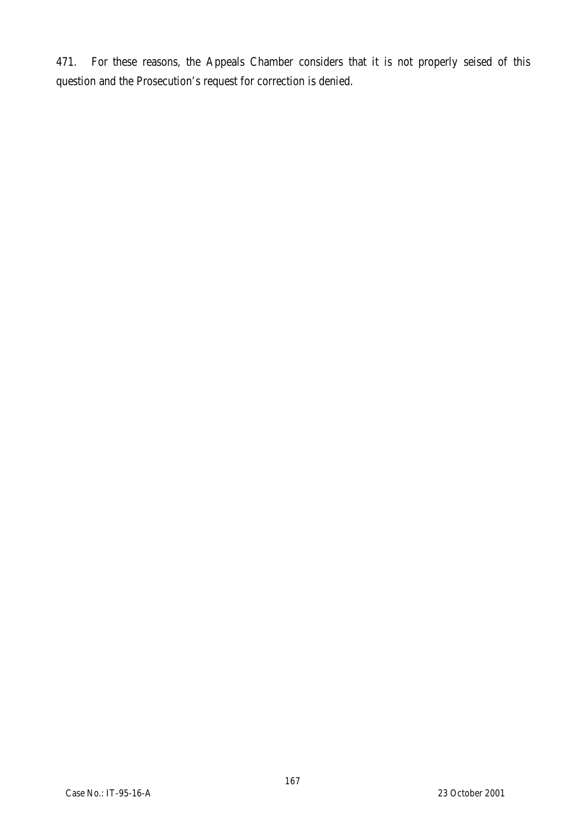471. For these reasons, the Appeals Chamber considers that it is not properly seised of this question and the Prosecution's request for correction is denied.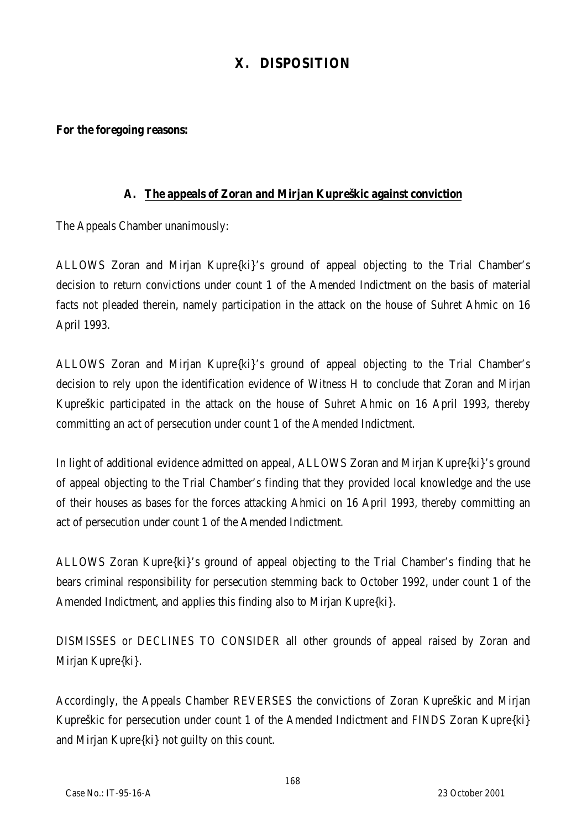# **X. DISPOSITION**

#### **For the foregoing reasons:**

### **A. The appeals of Zoran and Mirjan Kupreškic against conviction**

The Appeals Chamber unanimously:

ALLOWS Zoran and Mirjan Kupre{ki}'s ground of appeal objecting to the Trial Chamber's decision to return convictions under count 1 of the Amended Indictment on the basis of material facts not pleaded therein, namely participation in the attack on the house of Suhret Ahmic on 16 April 1993.

ALLOWS Zoran and Mirjan Kupre{ki}'s ground of appeal objecting to the Trial Chamber's decision to rely upon the identification evidence of Witness H to conclude that Zoran and Mirjan Kupreškic participated in the attack on the house of Suhret Ahmic on 16 April 1993, thereby committing an act of persecution under count 1 of the Amended Indictment.

In light of additional evidence admitted on appeal, ALLOWS Zoran and Mirjan Kupre{ki}'s ground of appeal objecting to the Trial Chamber's finding that they provided local knowledge and the use of their houses as bases for the forces attacking Ahmici on 16 April 1993, thereby committing an act of persecution under count 1 of the Amended Indictment.

ALLOWS Zoran Kupre{ki}'s ground of appeal objecting to the Trial Chamber's finding that he bears criminal responsibility for persecution stemming back to October 1992, under count 1 of the Amended Indictment, and applies this finding also to Mirjan Kupre{ki}.

DISMISSES or DECLINES TO CONSIDER all other grounds of appeal raised by Zoran and Mirjan Kupre{ki}.

Accordingly, the Appeals Chamber REVERSES the convictions of Zoran Kupreškic and Mirjan Kupreškic for persecution under count 1 of the Amended Indictment and FINDS Zoran Kupre{ki} and Mirjan Kupre{ki} not guilty on this count.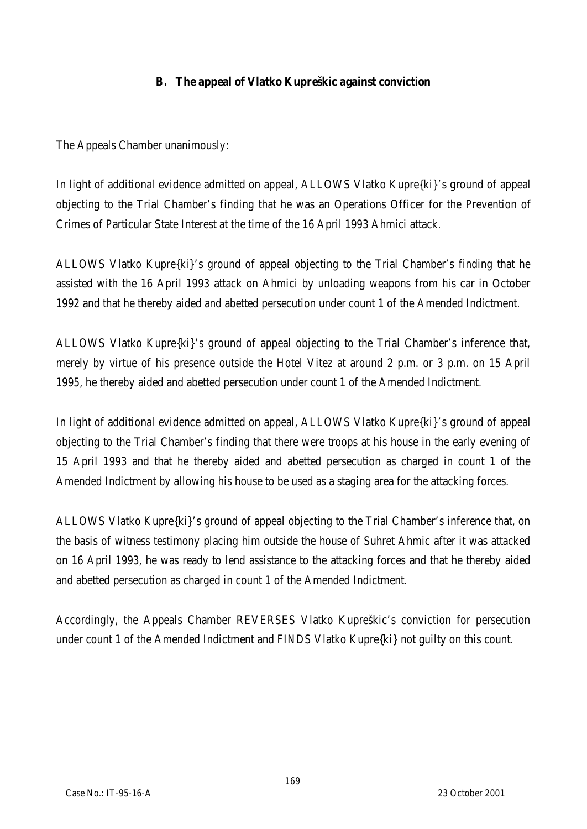## **B. The appeal of Vlatko Kupreškic against conviction**

The Appeals Chamber unanimously:

In light of additional evidence admitted on appeal, ALLOWS Vlatko Kupre{ki}'s ground of appeal objecting to the Trial Chamber's finding that he was an Operations Officer for the Prevention of Crimes of Particular State Interest at the time of the 16 April 1993 Ahmici attack.

ALLOWS Vlatko Kupre{ki}'s ground of appeal objecting to the Trial Chamber's finding that he assisted with the 16 April 1993 attack on Ahmici by unloading weapons from his car in October 1992 and that he thereby aided and abetted persecution under count 1 of the Amended Indictment.

ALLOWS Vlatko Kupre{ki}'s ground of appeal objecting to the Trial Chamber's inference that, merely by virtue of his presence outside the Hotel Vitez at around 2 p.m. or 3 p.m. on 15 April 1995, he thereby aided and abetted persecution under count 1 of the Amended Indictment.

In light of additional evidence admitted on appeal, ALLOWS Vlatko Kupre{ki}'s ground of appeal objecting to the Trial Chamber's finding that there were troops at his house in the early evening of 15 April 1993 and that he thereby aided and abetted persecution as charged in count 1 of the Amended Indictment by allowing his house to be used as a staging area for the attacking forces.

ALLOWS Vlatko Kupre{ki}'s ground of appeal objecting to the Trial Chamber's inference that, on the basis of witness testimony placing him outside the house of Suhret Ahmic after it was attacked on 16 April 1993, he was ready to lend assistance to the attacking forces and that he thereby aided and abetted persecution as charged in count 1 of the Amended Indictment.

Accordingly, the Appeals Chamber REVERSES Vlatko Kupreškic's conviction for persecution under count 1 of the Amended Indictment and FINDS Vlatko Kupre{ki} not guilty on this count.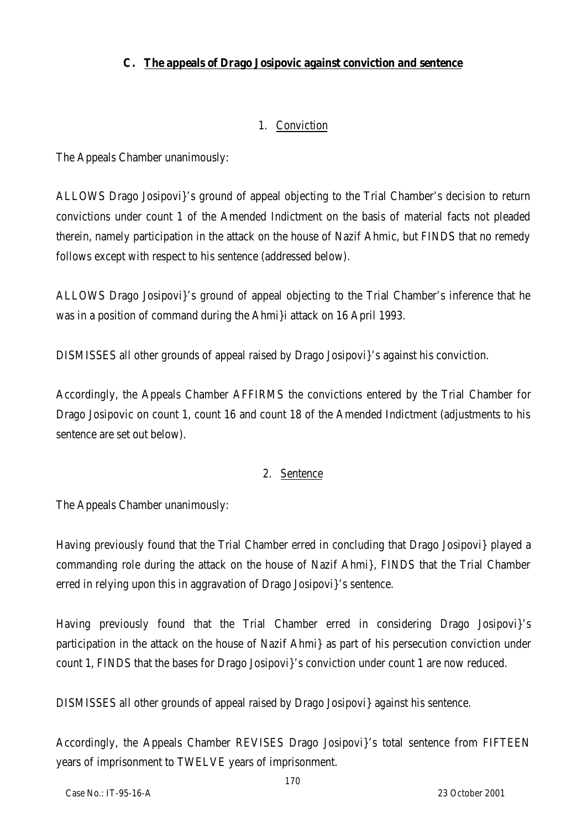## **C. The appeals of Drago Josipovic against conviction and sentence**

## 1. Conviction

The Appeals Chamber unanimously:

ALLOWS Drago Josipovi}'s ground of appeal objecting to the Trial Chamber's decision to return convictions under count 1 of the Amended Indictment on the basis of material facts not pleaded therein, namely participation in the attack on the house of Nazif Ahmic, but FINDS that no remedy follows except with respect to his sentence (addressed below).

ALLOWS Drago Josipovi}'s ground of appeal objecting to the Trial Chamber's inference that he was in a position of command during the Ahmi}i attack on 16 April 1993.

DISMISSES all other grounds of appeal raised by Drago Josipovi}'s against his conviction.

Accordingly, the Appeals Chamber AFFIRMS the convictions entered by the Trial Chamber for Drago Josipovic on count 1, count 16 and count 18 of the Amended Indictment (adjustments to his sentence are set out below).

### 2. Sentence

The Appeals Chamber unanimously:

Having previously found that the Trial Chamber erred in concluding that Drago Josipovi} played a commanding role during the attack on the house of Nazif Ahmi}, FINDS that the Trial Chamber erred in relying upon this in aggravation of Drago Josipovi}'s sentence.

Having previously found that the Trial Chamber erred in considering Drago Josipovi}'s participation in the attack on the house of Nazif Ahmi} as part of his persecution conviction under count 1, FINDS that the bases for Drago Josipovi}'s conviction under count 1 are now reduced.

DISMISSES all other grounds of appeal raised by Drago Josipovi} against his sentence.

Accordingly, the Appeals Chamber REVISES Drago Josipovi}'s total sentence from FIFTEEN years of imprisonment to TWELVE years of imprisonment.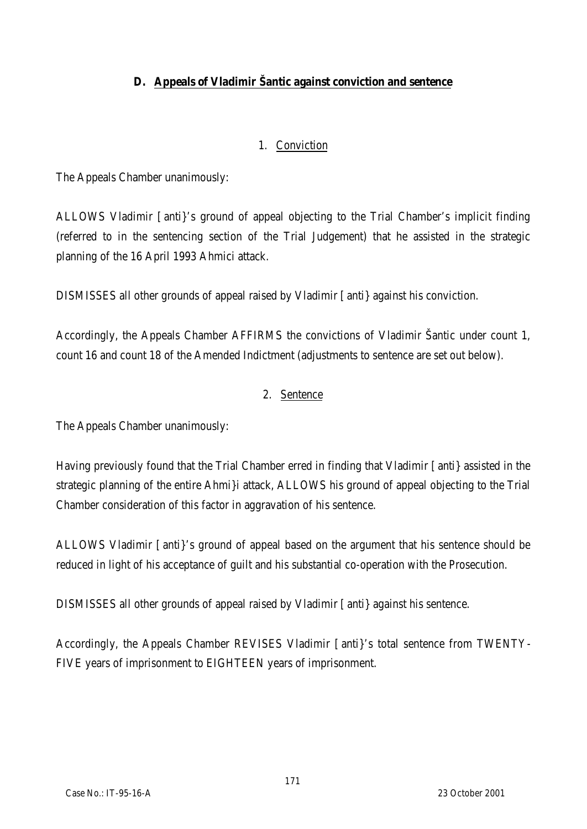# **D. Appeals of Vladimir Šantic against conviction and sentence**

### 1. Conviction

The Appeals Chamber unanimously:

ALLOWS Vladimir [anti}'s ground of appeal objecting to the Trial Chamber's implicit finding (referred to in the sentencing section of the Trial Judgement) that he assisted in the strategic planning of the 16 April 1993 Ahmici attack.

DISMISSES all other grounds of appeal raised by Vladimir [anti} against his conviction.

Accordingly, the Appeals Chamber AFFIRMS the convictions of Vladimir Šantic under count 1, count 16 and count 18 of the Amended Indictment (adjustments to sentence are set out below).

### 2. Sentence

The Appeals Chamber unanimously:

Having previously found that the Trial Chamber erred in finding that Vladimir [anti} assisted in the strategic planning of the entire Ahmi}i attack, ALLOWS his ground of appeal objecting to the Trial Chamber consideration of this factor in aggravation of his sentence.

ALLOWS Vladimir [anti}'s ground of appeal based on the argument that his sentence should be reduced in light of his acceptance of guilt and his substantial co-operation with the Prosecution.

DISMISSES all other grounds of appeal raised by Vladimir [anti} against his sentence.

Accordingly, the Appeals Chamber REVISES Vladimir [anti}'s total sentence from TWENTY-FIVE years of imprisonment to EIGHTEEN years of imprisonment.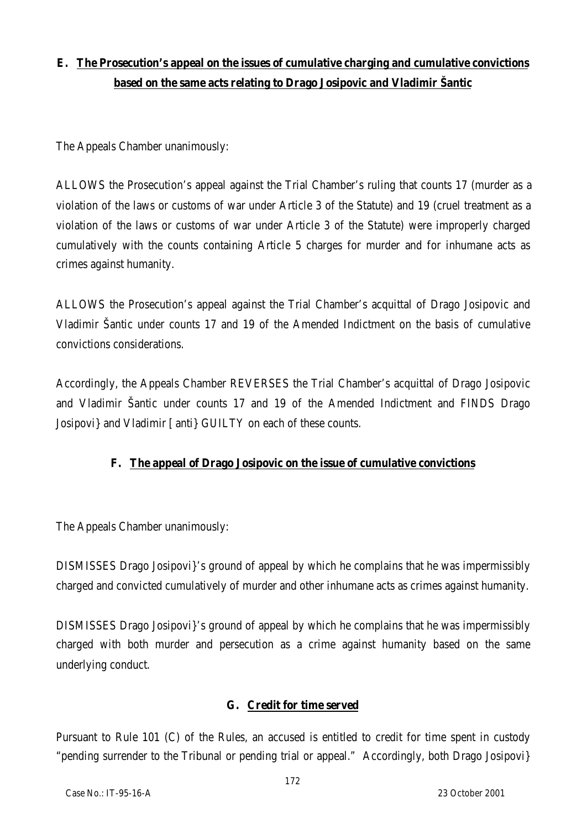# **E. The Prosecution's appeal on the issues of cumulative charging and cumulative convictions based on the same acts relating to Drago Josipovic and Vladimir Šantic**

The Appeals Chamber unanimously:

ALLOWS the Prosecution's appeal against the Trial Chamber's ruling that counts 17 (murder as a violation of the laws or customs of war under Article 3 of the Statute) and 19 (cruel treatment as a violation of the laws or customs of war under Article 3 of the Statute) were improperly charged cumulatively with the counts containing Article 5 charges for murder and for inhumane acts as crimes against humanity.

ALLOWS the Prosecution's appeal against the Trial Chamber's acquittal of Drago Josipovic and Vladimir Šantic under counts 17 and 19 of the Amended Indictment on the basis of cumulative convictions considerations.

Accordingly, the Appeals Chamber REVERSES the Trial Chamber's acquittal of Drago Josipovic and Vladimir Šantic under counts 17 and 19 of the Amended Indictment and FINDS Drago Josipovi} and Vladimir [anti} GUILTY on each of these counts.

# **F. The appeal of Drago Josipovic on the issue of cumulative convictions**

The Appeals Chamber unanimously:

DISMISSES Drago Josipovi}'s ground of appeal by which he complains that he was impermissibly charged and convicted cumulatively of murder and other inhumane acts as crimes against humanity.

DISMISSES Drago Josipovi}'s ground of appeal by which he complains that he was impermissibly charged with both murder and persecution as a crime against humanity based on the same underlying conduct.

### **G. Credit for time served**

Pursuant to Rule 101 (C) of the Rules, an accused is entitled to credit for time spent in custody "pending surrender to the Tribunal or pending trial or appeal." Accordingly, both Drago Josipovi}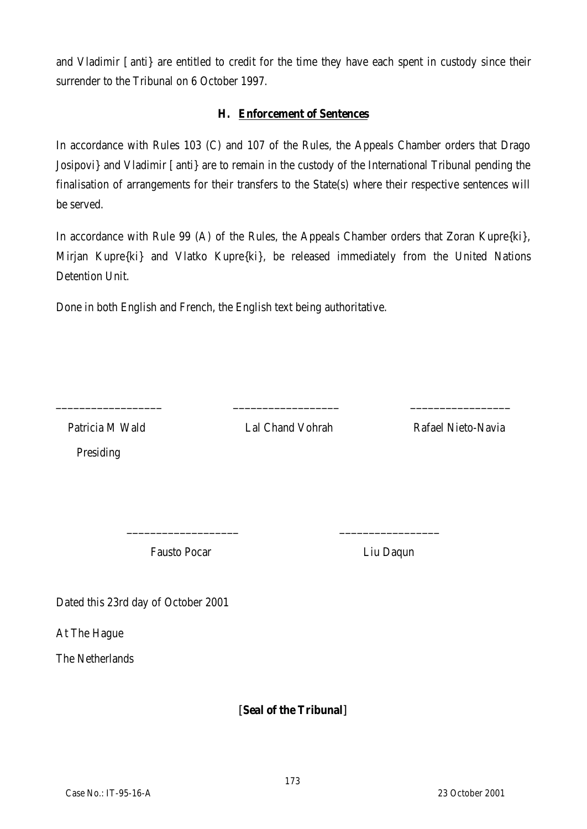and Vladimir [anti} are entitled to credit for the time they have each spent in custody since their surrender to the Tribunal on 6 October 1997.

#### **H. Enforcement of Sentences**

In accordance with Rules 103 (C) and 107 of the Rules, the Appeals Chamber orders that Drago Josipovi} and Vladimir [anti} are to remain in the custody of the International Tribunal pending the finalisation of arrangements for their transfers to the State(s) where their respective sentences will be served.

In accordance with Rule 99 (A) of the Rules, the Appeals Chamber orders that Zoran Kupre{ki}, Mirjan Kupre{ki} and Vlatko Kupre{ki}, be released immediately from the United Nations Detention Unit.

Done in both English and French, the English text being authoritative.

Presiding

\_\_\_\_\_\_\_\_\_\_\_\_\_\_\_\_\_\_ \_\_\_\_\_\_\_\_\_\_\_\_\_\_\_\_\_\_ \_\_\_\_\_\_\_\_\_\_\_\_\_\_\_\_\_

\_\_\_\_\_\_\_\_\_\_\_\_\_\_\_\_\_\_\_ \_\_\_\_\_\_\_\_\_\_\_\_\_\_\_\_\_

Patricia M Wald Lal Chand Vohrah Rafael Nieto-Navia

Fausto Pocar **Liu Daqun** 

Dated this 23rd day of October 2001

At The Hague

The Netherlands

**[Seal of the Tribunal]**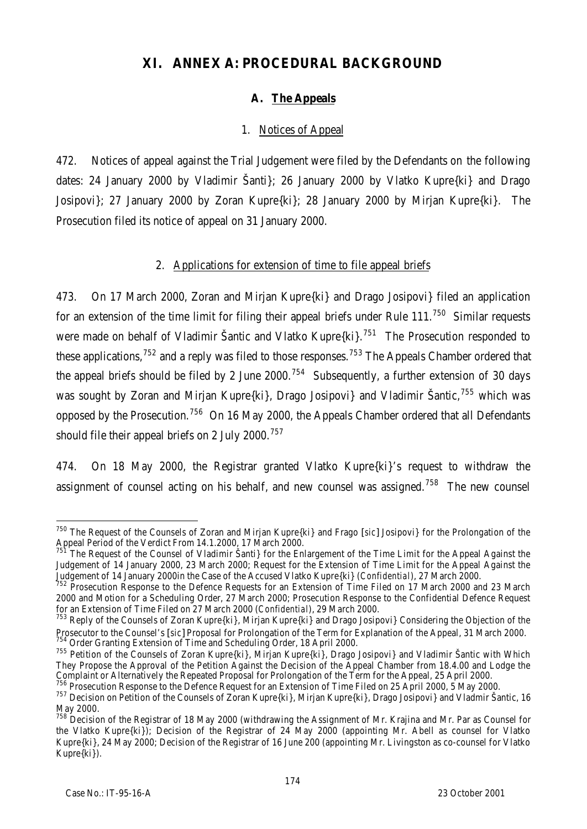# **XI. ANNEX A: PROCEDURAL BACKGROUND**

# **A. The Appeals**

## 1. Notices of Appeal

472. Notices of appeal against the Trial Judgement were filed by the Defendants on the following dates: 24 January 2000 by Vladimir Šanti}; 26 January 2000 by Vlatko Kupre{ki} and Drago Josipovi}; 27 January 2000 by Zoran Kupre{ki}; 28 January 2000 by Mirjan Kupre{ki}. The Prosecution filed its notice of appeal on 31 January 2000.

### 2. Applications for extension of time to file appeal briefs

473. On 17 March 2000, Zoran and Mirjan Kupre{ki} and Drago Josipovi} filed an application for an extension of the time limit for filing their appeal briefs under Rule  $111$ <sup>750</sup> Similar requests were made on behalf of Vladimir Šantic and Vlatko Kupre{ki}.<sup>751</sup> The Prosecution responded to these applications, $752$  and a reply was filed to those responses.<sup>753</sup> The Appeals Chamber ordered that the appeal briefs should be filed by 2 June 2000.<sup>754</sup> Subsequently, a further extension of 30 days was sought by Zoran and Mirjan Kupre{ki}, Drago Josipovi} and Vladimir Šantic,<sup>755</sup> which was opposed by the Prosecution.<sup>756</sup> On 16 May 2000, the Appeals Chamber ordered that all Defendants should file their appeal briefs on 2 July 2000.<sup>757</sup>

474. On 18 May 2000, the Registrar granted Vlatko Kupre{ki}'s request to withdraw the assignment of counsel acting on his behalf, and new counsel was assigned.<sup>758</sup> The new counsel

<sup>750</sup> The Request of the Counsels of Zoran and Mirjan Kupre{ki} and Frago [*sic*] Josipovi} for the Prolongation of the Appeal Period of the Verdict From 14.1.2000, 17 March 2000.

The Request of the Counsel of Vladimir Šanti} for the Enlargement of the Time Limit for the Appeal Against the Judgement of 14 January 2000, 23 March 2000; Request for the Extension of Time Limit for the Appeal Against the Judgement of 14 January 2000in the Case of the Accused Vlatko Kupre{ki} (*Confidential*), 27 March 2000.

<sup>&</sup>lt;sup>752</sup> Prosecution Response to the Defence Requests for an Extension of Time Filed on 17 March 2000 and 23 March 2000 and Motion for a Scheduling Order, 27 March 2000; Prosecution Response to the Confidential Defence Request for an Extension of Time Filed on 27 March 2000 (*Confidential*), 29 March 2000.

<sup>&</sup>lt;sup>753</sup> Reply of the Counsels of Zoran Kupre{ki}, Mirjan Kupre{ki} and Drago Josipovi} Considering the Objection of the Prosecutor to the Counsel's [*sic*] Proposal for Prolongation of the Term for Explanation of the Appeal, 31 March 2000. <sup>4</sup> Order Granting Extension of Time and Scheduling Order, 18 April 2000.

<sup>755</sup> Petition of the Counsels of Zoran Kupre{ki}, Mirjan Kupre{ki}, Drago Josipovi} and Vladimir Šantic with Which They Propose the Approval of the Petition Against the Decision of the Appeal Chamber from 18.4.00 and Lodge the Complaint or Alternatively the Repeated Proposal for Prolongation of the Term for the Appeal, 25 April 2000.

<sup>756</sup> Prosecution Response to the Defence Request for an Extension of Time Filed on 25 April 2000, 5 May 2000. <sup>757</sup> Decision on Petition of the Counsels of Zoran Kupre{ki}, Mirjan Kupre{ki}, Drago Josipovi} and Vladmir Šantic, 16

May 2000.

<sup>&</sup>lt;sup>758</sup> Decision of the Registrar of 18 May 2000 (withdrawing the Assignment of Mr. Krajina and Mr. Par as Counsel for the Vlatko Kupre{ki}); Decision of the Registrar of 24 May 2000 (appointing Mr. Abell as counsel for Vlatko Kupre{ki}, 24 May 2000; Decision of the Registrar of 16 June 200 (appointing Mr. Livingston as co-counsel for Vlatko Kupre{ki}).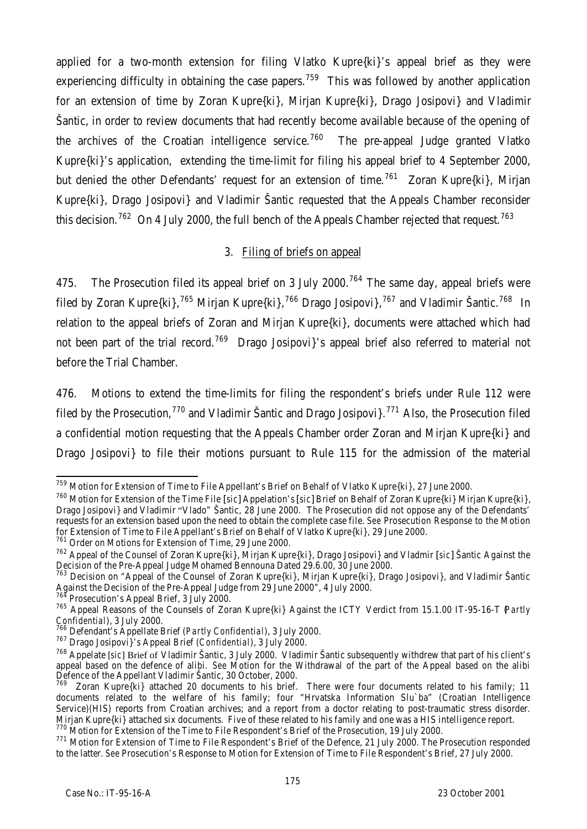applied for a two-month extension for filing Vlatko Kupre{ki}'s appeal brief as they were experiencing difficulty in obtaining the case papers.<sup>759</sup> This was followed by another application for an extension of time by Zoran Kupre{ki}, Mirjan Kupre{ki}, Drago Josipovi} and Vladimir Šantic, in order to review documents that had recently become available because of the opening of the archives of the Croatian intelligence service.<sup>760</sup> The pre-appeal Judge granted Vlatko Kupre{ki}'s application, extending the time-limit for filing his appeal brief to 4 September 2000, but denied the other Defendants' request for an extension of time.<sup>761</sup> Zoran Kupre{ki}, Mirjan Kupre{ki}, Drago Josipovi} and Vladimir Šantic requested that the Appeals Chamber reconsider this decision.<sup>762</sup> On 4 July 2000, the full bench of the Appeals Chamber rejected that request.<sup>763</sup>

## 3. Filing of briefs on appeal

475. The Prosecution filed its appeal brief on 3 July 2000.<sup>764</sup> The same day, appeal briefs were filed by Zoran Kupre{ki},<sup>765</sup> Mirjan Kupre{ki},<sup>766</sup> Drago Josipovi},<sup>767</sup> and Vladimir Šantic.<sup>768</sup> In relation to the appeal briefs of Zoran and Mirjan Kupre{ki}, documents were attached which had not been part of the trial record.<sup>769</sup> Drago Josipovi s appeal brief also referred to material not before the Trial Chamber.

476. Motions to extend the time-limits for filing the respondent's briefs under Rule 112 were filed by the Prosecution,<sup>770</sup> and Vladimir Šantic and Drago Josipovi}.<sup>771</sup> Also, the Prosecution filed a confidential motion requesting that the Appeals Chamber order Zoran and Mirjan Kupre{ki} and Drago Josipovi} to file their motions pursuant to Rule 115 for the admission of the material

Prosecution's Appeal Brief,  $3$  July 2000.

j <sup>759</sup> Motion for Extension of Time to File Appellant's Brief on Behalf of Vlatko Kupre{ki}, 27 June 2000.

<sup>760</sup> Motion for Extension of the Time File [*sic*] Appelation's [*sic*] Brief on Behalf of Zoran Kupre{ki} Mirjan Kupre{ki}, Drago Josipovi} and Vladimir "Vlado" Šantic, 28 June 2000. The Prosecution did not oppose any of the Defendants' requests for an extension based upon the need to obtain the complete case file. *See* Prosecution Response to the Motion for Extension of Time to File Appellant's Brief on Behalf of Vlatko Kupre{ki}, 29 June 2000.

<sup>761</sup> Order on Motions for Extension of Time, 29 June 2000.

<sup>762</sup> Appeal of the Counsel of Zoran Kupre{ki}, Mirjan Kupre{ki}, Drago Josipovi} and Vladmir [*sic*] Šantic Against the Decision of the Pre-Appeal Judge Mohamed Bennouna Dated 29.6.00, 30 June 2000.

<sup>&</sup>lt;sup>763</sup> Decision on "Appeal of the Counsel of Zoran Kupre{ki}, Mirjan Kupre{ki}, Drago Josipovi}, and Vladimir Šantic Against the Decision of the Pre-Appeal Judge from 29 June 2000", 4 July 2000.

<sup>765</sup> Appeal Reasons of the Counsels of Zoran Kupre{ki} Against the ICTY Verdict from 15.1.00 IT-95-16-T (*Partly* **Confidential**), 3 July 2000.

<sup>766</sup> Defendant's Appellate Brief (*Partly Confidential*), 3 July 2000.

<sup>767</sup> Drago Josipovi}'s Appeal Brief (*Confidential*), 3 July 2000.

<sup>768</sup> Appelate [*sic*] Brief of Vladimir Šantic, 3 July 2000. Vladimir Šantic subsequently withdrew that part of his client's appeal based on the defence of alibi. *See* Motion for the Withdrawal of the part of the Appeal based on the alibi Defence of the Appellant Vladimir Šantic, 30 October, 2000.

 $769$  Zoran Kupre{ki} attached 20 documents to his brief. There were four documents related to his family; 11 documents related to the welfare of his family; four "Hrvatska Information Slu`ba" (Croatian Intelligence Service)(HIS) reports from Croatian archives; and a report from a doctor relating to post-traumatic stress disorder. Mirjan Kupre{ki} attached six documents. Five of these related to his family and one was a HIS intelligence report.

<sup>770</sup> Motion for Extension of the Time to File Respondent's Brief of the Prosecution, 19 July 2000.

<sup>771</sup> Motion for Extension of Time to File Respondent's Brief of the Defence, 21 July 2000. The Prosecution responded to the latter. *See* Prosecution's Response to Motion for Extension of Time to File Respondent's Brief, 27 July 2000.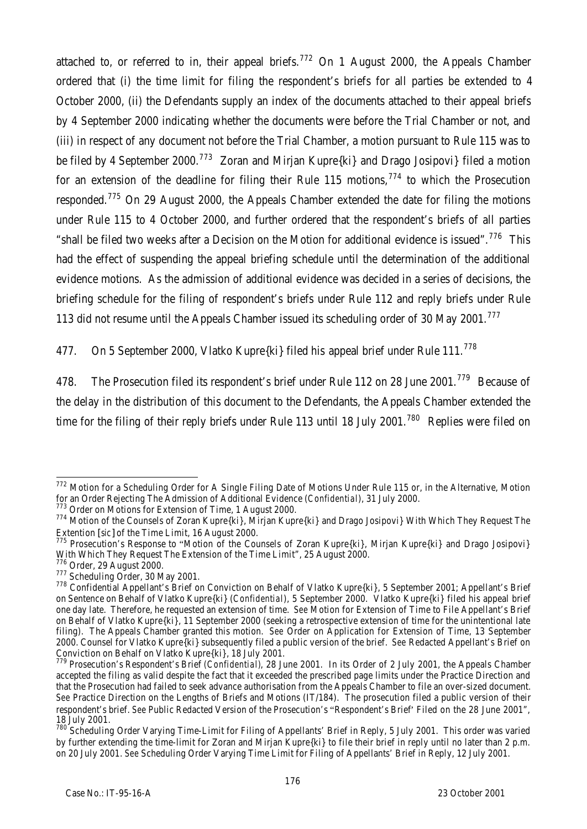attached to, or referred to in, their appeal briefs.<sup>772</sup> On 1 August 2000, the Appeals Chamber ordered that (i) the time limit for filing the respondent's briefs for all parties be extended to 4 October 2000, (ii) the Defendants supply an index of the documents attached to their appeal briefs by 4 September 2000 indicating whether the documents were before the Trial Chamber or not, and (iii) in respect of any document not before the Trial Chamber, a motion pursuant to Rule 115 was to be filed by 4 September 2000.<sup>773</sup> Zoran and Mirjan Kupre $\{ki\}$  and Drago Josipovi} filed a motion for an extension of the deadline for filing their Rule 115 motions,  $774$  to which the Prosecution responded.<sup>775</sup> On 29 August 2000, the Appeals Chamber extended the date for filing the motions under Rule 115 to 4 October 2000, and further ordered that the respondent's briefs of all parties "shall be filed two weeks after a Decision on the Motion for additional evidence is issued".<sup>776</sup> This had the effect of suspending the appeal briefing schedule until the determination of the additional evidence motions. As the admission of additional evidence was decided in a series of decisions, the briefing schedule for the filing of respondent's briefs under Rule 112 and reply briefs under Rule 113 did not resume until the Appeals Chamber issued its scheduling order of 30 May 2001.<sup>777</sup>

477. On 5 September 2000, Vlatko Kupre{ki} filed his appeal brief under Rule 111.<sup>778</sup>

478. The Prosecution filed its respondent's brief under Rule 112 on 28 June 2001.<sup>779</sup> Because of the delay in the distribution of this document to the Defendants, the Appeals Chamber extended the time for the filing of their reply briefs under Rule 113 until 18 July 2001.<sup>780</sup> Replies were filed on

j <sup>772</sup> Motion for a Scheduling Order for A Single Filing Date of Motions Under Rule 115 or, in the Alternative, Motion for an Order Rejecting The Admission of Additional Evidence (*Confidential*), 31 July 2000.

 $773$  Order on Motions for Extension of Time, 1 August 2000.

<sup>774</sup> Motion of the Counsels of Zoran Kupre{ki}, Mirjan Kupre{ki} and Drago Josipovi} With Which They Request The Extention [*sic*] of the Time Limit, 16 August 2000.

<sup>775</sup> Prosecution's Response to "Motion of the Counsels of Zoran Kupre{ki}, Mirjan Kupre{ki} and Drago Josipovi} With Which They Request The Extension of the Time Limit", 25 August 2000.

<sup>776</sup> Order, 29 August 2000.

<sup>&</sup>lt;sup>777</sup> Scheduling Order, 30 May 2001.

<sup>778</sup> Confidential Appellant's Brief on Conviction on Behalf of Vlatko Kupre{ki}, 5 September 2001; Appellant's Brief on Sentence on Behalf of Vlatko Kupre{ki} (*Confidential*), 5 September 2000. Vlatko Kupre{ki} filed his appeal brief one day late. Therefore, he requested an extension of time. *See* Motion for Extension of Time to File Appellant's Brief on Behalf of Vlatko Kupre{ki}, 11 September 2000 (seeking a retrospective extension of time for the unintentional late filing). The Appeals Chamber granted this motion. *See* Order on Application for Extension of Time, 13 September 2000. Counsel for Vlatko Kupre{ki} subsequently filed a public version of the brief. *See* Redacted Appellant's Brief on Conviction on Behalf on Vlatko Kupre{ki}, 18 July 2001.

<sup>779</sup> Prosecution's Respondent's Brief *(Confidential)*, 28 June 2001. In its Order of 2 July 2001, the Appeals Chamber accepted the filing as valid despite the fact that it exceeded the prescribed page limits under the Practice Direction and that the Prosecution had failed to seek advance authorisation from the Appeals Chamber to file an over-sized document. *See* Practice Direction on the Lengths of Briefs and Motions (IT/184). The prosecution filed a public version of their respondent's brief. *See* Public Redacted Version of the Prosecution's "Respondent's Brief' Filed on the 28 June 2001", 18 July 2001.

<sup>&</sup>lt;sup>780</sup> Scheduling Order Varying Time-Limit for Filing of Appellants' Brief in Reply, 5 July 2001. This order was varied by further extending the time-limit for Zoran and Mirjan Kupre{ki} to file their brief in reply until no later than 2 p.m. on 20 July 2001. *See* Scheduling Order Varying Time Limit for Filing of Appellants' Brief in Reply, 12 July 2001.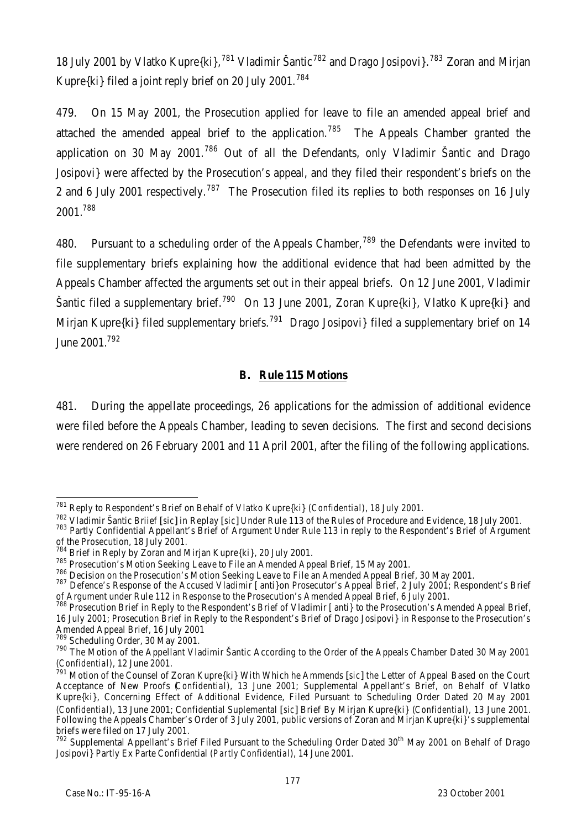18 July 2001 by Vlatko Kupre{ki},<sup>781</sup> Vladimir Šantic<sup>782</sup> and Drago Josipovi}.<sup>783</sup> Zoran and Mirjan Kupre $\{ki\}$  filed a joint reply brief on 20 July 2001.<sup>784</sup>

479. On 15 May 2001, the Prosecution applied for leave to file an amended appeal brief and attached the amended appeal brief to the application.<sup>785</sup> The Appeals Chamber granted the application on 30 May 2001.<sup>786</sup> Out of all the Defendants, only Vladimir Šantic and Drago Josipovi} were affected by the Prosecution's appeal, and they filed their respondent's briefs on the 2 and 6 July 2001 respectively.<sup>787</sup> The Prosecution filed its replies to both responses on 16 July 2001.<sup>788</sup>

480. Pursuant to a scheduling order of the Appeals Chamber,<sup>789</sup> the Defendants were invited to file supplementary briefs explaining how the additional evidence that had been admitted by the Appeals Chamber affected the arguments set out in their appeal briefs. On 12 June 2001, Vladimir Šantic filed a supplementary brief.<sup>790</sup> On 13 June 2001, Zoran Kupre{ki}, Vlatko Kupre{ki} and Mirjan Kupre{ki} filed supplementary briefs.<sup>791</sup> Drago Josipovi} filed a supplementary brief on 14 June 2001.<sup>792</sup>

# **B. Rule 115 Motions**

481. During the appellate proceedings, 26 applications for the admission of additional evidence were filed before the Appeals Chamber, leading to seven decisions. The first and second decisions were rendered on 26 February 2001 and 11 April 2001, after the filing of the following applications.

j <sup>781</sup> Reply to Respondent's Brief on Behalf of Vlatko Kupre{ki} (*Confidential*), 18 July 2001.

<sup>782</sup> Vladimir Šantic Briief [*sic*] in Replay [*sic*] Under Rule 113 of the Rules of Procedure and Evidence, 18 July 2001.

<sup>783</sup> Partly Confidential Appellant's Brief of Argument Under Rule 113 in reply to the Respondent's Brief of Argument of the Prosecution, 18 July 2001.

 $\frac{784}{784}$  Brief in Reply by Zoran and Mirjan Kupre{ki}, 20 July 2001.

<sup>&</sup>lt;sup>785</sup> Prosecution's Motion Seeking Leave to File an Amended Appeal Brief, 15 May 2001.

 $^{786}_{120}$  Decision on the Prosecution's Motion Seeking Leave to File an Amended Appeal Brief, 30 May 2001.

<sup>787</sup> Defence's Response of the Accused Vladimir [anti}on Prosecutor's Appeal Brief, 2 July 2001; Respondent's Brief of Argument under Rule 112 in Response to the Prosecution's Amended Appeal Brief, 6 July 2001.

<sup>&</sup>lt;sup>788</sup> Prosecution Brief in Reply to the Respondent's Brief of Vladimir [anti] to the Prosecution's Amended Appeal Brief, 16 July 2001; Prosecution Brief in Reply to the Respondent's Brief of Drago Josipovi} in Response to the Prosecution's Amended Appeal Brief, 16 July 2001

<sup>789</sup> Scheduling Order, 30 May 2001.

<sup>790</sup> The Motion of the Appellant Vladimir Šantic According to the Order of the Appeals Chamber Dated 30 May 2001 (*Confidential*), 12 June 2001.

<sup>791</sup> Motion of the Counsel of Zoran Kupre{ki} With Which he Ammends [*sic*] the Letter of Appeal Based on the Court Acceptance of New Proofs (*Confidential*), 13 June 2001; Supplemental Appellant's Brief, on Behalf of Vlatko Kupre{ki}, Concerning Effect of Additional Evidence, Filed Pursuant to Scheduling Order Dated 20 May 2001 (*Confidential*), 13 June 2001; Confidential Suplemental [*sic*] Brief By Mirjan Kupre{ki} (*Confidential*), 13 June 2001. Following the Appeals Chamber's Order of 3 July 2001, public versions of Zoran and Mirjan Kupre{ki}'s supplemental briefs were filed on 17 July 2001.

<sup>&</sup>lt;sup>792</sup> Supplemental Appellant's Brief Filed Pursuant to the Scheduling Order Dated 30<sup>th</sup> May 2001 on Behalf of Drago Josipovi} Partly Ex Parte Confidential (*Partly Confidential*), 14 June 2001.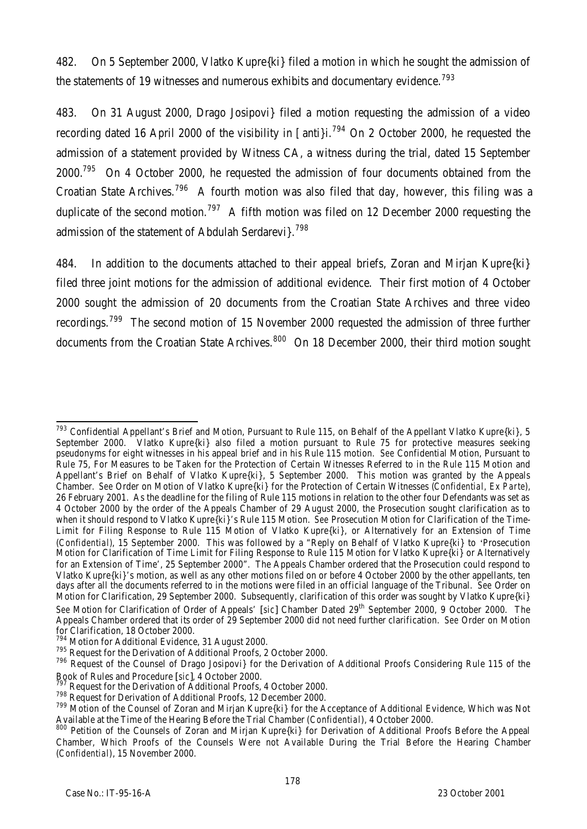482. On 5 September 2000, Vlatko Kupre{ki} filed a motion in which he sought the admission of the statements of 19 witnesses and numerous exhibits and documentary evidence.<sup>793</sup>

483. On 31 August 2000, Drago Josipovi} filed a motion requesting the admission of a video recording dated 16 April 2000 of the visibility in [anti}i.<sup>794</sup> On 2 October 2000, he requested the admission of a statement provided by Witness CA, a witness during the trial, dated 15 September 2000.<sup>795</sup> On 4 October 2000, he requested the admission of four documents obtained from the Croatian State Archives.<sup>796</sup> A fourth motion was also filed that day, however, this filing was a duplicate of the second motion.<sup>797</sup> A fifth motion was filed on 12 December 2000 requesting the admission of the statement of Abdulah Serdarevi?<sup>798</sup>

484. In addition to the documents attached to their appeal briefs, Zoran and Mirjan Kupre{ki} filed three joint motions for the admission of additional evidence. Their first motion of 4 October 2000 sought the admission of 20 documents from the Croatian State Archives and three video recordings.<sup>799</sup> The second motion of 15 November 2000 requested the admission of three further documents from the Croatian State Archives.<sup>800</sup> On 18 December 2000, their third motion sought

j <sup>793</sup> Confidential Appellant's Brief and Motion, Pursuant to Rule 115, on Behalf of the Appellant Vlatko Kupre{ki}, 5 September 2000. Vlatko Kupre{ki} also filed a motion pursuant to Rule 75 for protective measures seeking pseudonyms for eight witnesses in his appeal brief and in his Rule 115 motion. *See* Confidential Motion, Pursuant to Rule 75, For Measures to be Taken for the Protection of Certain Witnesses Referred to in the Rule 115 Motion and Appellant's Brief on Behalf of Vlatko Kupre{ki}, 5 September 2000. This motion was granted by the Appeals Chamber. *See* Order on Motion of Vlatko Kupre{ki} for the Protection of Certain Witnesses (*Confidential, Ex Parte*), 26 February 2001. As the deadline for the filing of Rule 115 motions in relation to the other four Defendants was set as 4 October 2000 by the order of the Appeals Chamber of 29 August 2000, the Prosecution sought clarification as to when it should respond to Vlatko Kupre{ki}'s Rule 115 Motion. *See* Prosecution Motion for Clarification of the Time-Limit for Filing Response to Rule 115 Motion of Vlatko Kupre{ki}, or Alternatively for an Extension of Time (*Confidential)*, 15 September 2000. This was followed by a "Reply on Behalf of Vlatko Kupre{ki} to 'Prosecution Motion for Clarification of Time Limit for Filing Response to Rule 115 Motion for Vlatko Kupre{ki} or Alternatively for an Extension of Time', 25 September 2000". The Appeals Chamber ordered that the Prosecution could respond to Vlatko Kupre{ki}'s motion, as well as any other motions filed on or before 4 October 2000 by the other appellants, ten days after all the documents referred to in the motions were filed in an official language of the Tribunal. *See* Order on Motion for Clarification, 29 September 2000. Subsequently, clarification of this order was sought by Vlatko Kupre{ki} *See* Motion for Clarification of Order of Appeals' [*sic*] Chamber Dated 29th September 2000, 9 October 2000. The Appeals Chamber ordered that its order of 29 September 2000 did not need further clarification. *See* Order on Motion for Clarification, 18 October 2000.

<sup>&</sup>lt;sup>794</sup> Motion for Additional Evidence, 31 August 2000.

<sup>795</sup> Request for the Derivation of Additional Proofs, 2 October 2000.

<sup>&</sup>lt;sup>796</sup> Request of the Counsel of Drago Josipovi} for the Derivation of Additional Proofs Considering Rule 115 of the Book of Rules and Procedure [*sic*], 4 October 2000.

<sup>797</sup> Request for the Derivation of Additional Proofs, 4 October 2000.

<sup>798</sup> Request for Derivation of Additional Proofs, 12 December 2000.

<sup>799</sup> Motion of the Counsel of Zoran and Mirjan Kupre{ki} for the Acceptance of Additional Evidence, Which was Not Available at the Time of the Hearing Before the Trial Chamber (*Confidential*), 4 October 2000.

<sup>800</sup> Petition of the Counsels of Zoran and Mirjan Kupre{ki} for Derivation of Additional Proofs Before the Appeal Chamber, Which Proofs of the Counsels Were not Available During the Trial Before the Hearing Chamber (*Confidential*), 15 November 2000.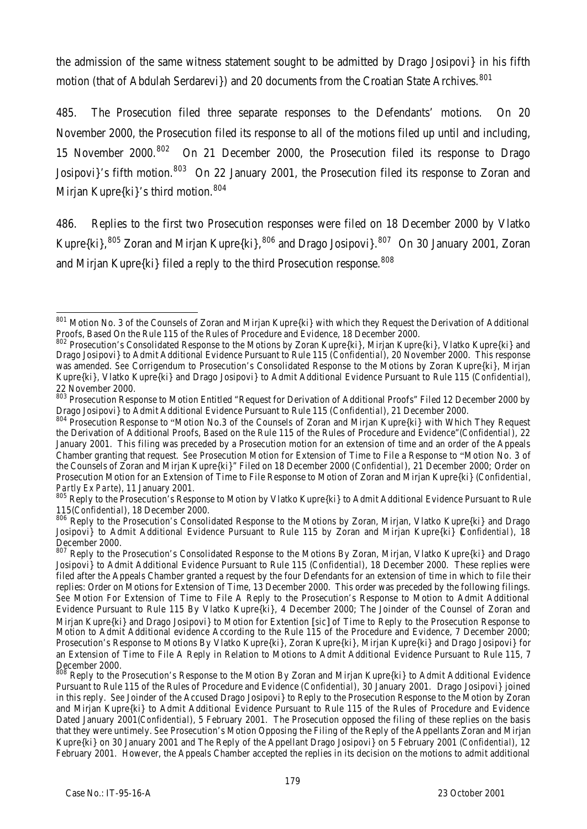the admission of the same witness statement sought to be admitted by Drago Josipovi} in his fifth motion (that of Abdulah Serdarevi}) and 20 documents from the Croatian State Archives.<sup>801</sup>

485. The Prosecution filed three separate responses to the Defendants' motions. On 20 November 2000, the Prosecution filed its response to all of the motions filed up until and including, 15 November 2000.<sup>802</sup> On 21 December 2000, the Prosecution filed its response to Drago Josipovi}'s fifth motion.<sup>803</sup> On 22 January 2001, the Prosecution filed its response to Zoran and Mirjan Kupre{ki}'s third motion.<sup>804</sup>

486. Replies to the first two Prosecution responses were filed on 18 December 2000 by Vlatko Kupre $\{ki\}$ ,  $805$  Zoran and Mirjan Kupre $\{ki\}$ ,  $806$  and Drago Josipovi $\}$ .  $807$  On 30 January 2001, Zoran and Mirjan Kupre{ki} filed a reply to the third Prosecution response.<sup>808</sup>

j <sup>801</sup> Motion No. 3 of the Counsels of Zoran and Mirjan Kupre{ki} with which they Request the Derivation of Additional Proofs, Based On the Rule 115 of the Rules of Procedure and Evidence, 18 December 2000.

<sup>802</sup> Prosecution's Consolidated Response to the Motions by Zoran Kupre{ki}, Mirjan Kupre{ki}, Vlatko Kupre{ki} and Drago Josipovi} to Admit Additional Evidence Pursuant to Rule 115 (*Confidential*), 20 November 2000. This response was amended. *See* Corrigendum to Prosecution's Consolidated Response to the Motions by Zoran Kupre{ki}, Mirjan Kupre{ki}, Vlatko Kupre{ki} and Drago Josipovi} to Admit Additional Evidence Pursuant to Rule 115 (*Confidential*), 22 November 2000.

<sup>803</sup> Prosecution Response to Motion Entitled "Request for Derivation of Additional Proofs" Filed 12 December 2000 by Drago Josipovi} to Admit Additional Evidence Pursuant to Rule 115 (*Confidential*), 21 December 2000.

<sup>&</sup>lt;sup>804</sup> Prosecution Response to "Motion No.3 of the Counsels of Zoran and Mirjan Kupre{ki} with Which They Request the Derivation of Additional Proofs, Based on the Rule 115 of the Rules of Procedure and Evidence"(*Confidential*), 22 January 2001. This filing was preceded by a Prosecution motion for an extension of time and an order of the Appeals Chamber granting that request. *See* Prosecution Motion for Extension of Time to File a Response to "Motion No. 3 of the Counsels of Zoran and Mirjan Kupre{ki}" Filed on 18 December 2000 (*Confidential*), 21 December 2000; Order on Prosecution Motion for an Extension of Time to File Response to Motion of Zoran and Mirjan Kupre{ki} (*Confidential, Partly Ex Parte*), 11 January 2001.

<sup>805</sup> Reply to the Prosecution's Response to Motion by Vlatko Kupre{ki} to Admit Additional Evidence Pursuant to Rule 115(*Confidential*), 18 December 2000.

<sup>&</sup>lt;sup>806</sup> Reply to the Prosecution's Consolidated Response to the Motions by Zoran, Mirjan, Vlatko Kupre{ki} and Drago Josipovi} to Admit Additional Evidence Pursuant to Rule 115 by Zoran and Mirjan Kupre{ki} (*Confidential*), 18 December 2000.

<sup>&</sup>lt;sup>807</sup> Reply to the Prosecution's Consolidated Response to the Motions By Zoran, Mirjan, Vlatko Kupre{ki} and Drago Josipovi} to Admit Additional Evidence Pursuant to Rule 115 (*Confidential*), 18 December 2000. These replies were filed after the Appeals Chamber granted a request by the four Defendants for an extension of time in which to file their replies: Order on Motions for Extension of Time, 13 December 2000. This order was preceded by the following filings. *See* Motion For Extension of Time to File A Reply to the Prosecution's Response to Motion to Admit Additional Evidence Pursuant to Rule 115 By Vlatko Kupre{ki}, 4 December 2000; The Joinder of the Counsel of Zoran and Mirjan Kupre{ki} and Drago Josipovi} to Motion for Extention [*sic*] of Time to Reply to the Prosecution Response to Motion to Admit Additional evidence According to the Rule 115 of the Procedure and Evidence, 7 December 2000; Prosecution's Response to Motions By Vlatko Kupre{ki}, Zoran Kupre{ki}, Mirjan Kupre{ki} and Drago Josipovi} for an Extension of Time to File A Reply in Relation to Motions to Admit Additional Evidence Pursuant to Rule 115, 7 December 2000.

Reply to the Prosecution's Response to the Motion By Zoran and Mirjan Kupre{ki} to Admit Additional Evidence Pursuant to Rule 115 of the Rules of Procedure and Evidence (*Confidential*), 30 January 2001. Drago Josipovi} joined in this reply. *See* Joinder of the Accused Drago Josipovi} to Reply to the Prosecution Response to the Motion by Zoran and Mirjan Kupre{ki} to Admit Additional Evidence Pursuant to Rule 115 of the Rules of Procedure and Evidence Dated January 2001(*Confidential*), 5 February 2001. The Prosecution opposed the filing of these replies on the basis that they were untimely. *See* Prosecution's Motion Opposing the Filing of the Reply of the Appellants Zoran and Mirjan Kupre{ki} on 30 January 2001 and The Reply of the Appellant Drago Josipovi} on 5 February 2001 (*Confidential*), 12 February 2001. However, the Appeals Chamber accepted the replies in its decision on the motions to admit additional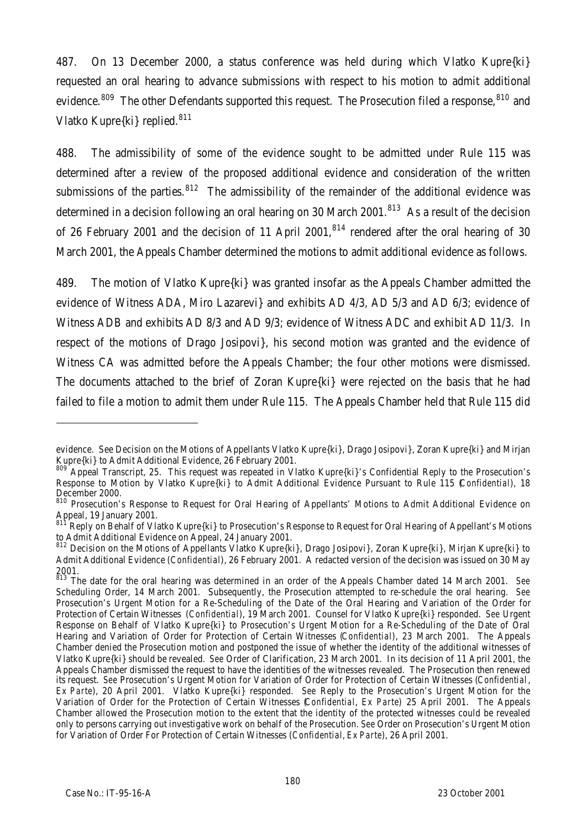487. On 13 December 2000, a status conference was held during which Vlatko Kupre{ki} requested an oral hearing to advance submissions with respect to his motion to admit additional evidence.<sup>809</sup> The other Defendants supported this request. The Prosecution filed a response, <sup>810</sup> and Vlatko Kupre{ki} replied.<sup>811</sup>

488. The admissibility of some of the evidence sought to be admitted under Rule 115 was determined after a review of the proposed additional evidence and consideration of the written submissions of the parties. $812$  The admissibility of the remainder of the additional evidence was determined in a decision following an oral hearing on 30 March 2001.<sup>813</sup> As a result of the decision of 26 February 2001 and the decision of 11 April 2001.<sup>814</sup> rendered after the oral hearing of 30 March 2001, the Appeals Chamber determined the motions to admit additional evidence as follows.

489. The motion of Vlatko Kupre{ki} was granted insofar as the Appeals Chamber admitted the evidence of Witness ADA, Miro Lazarevi} and exhibits AD 4/3, AD 5/3 and AD 6/3; evidence of Witness ADB and exhibits AD 8/3 and AD 9/3; evidence of Witness ADC and exhibit AD 11/3. In respect of the motions of Drago Josipovi}, his second motion was granted and the evidence of Witness CA was admitted before the Appeals Chamber; the four other motions were dismissed. The documents attached to the brief of Zoran Kupre{ki} were rejected on the basis that he had failed to file a motion to admit them under Rule 115. The Appeals Chamber held that Rule 115 did

j

evidence. See Decision on the Motions of Appellants Vlatko Kupre{ki}, Drago Josipovi}, Zoran Kupre{ki} and Mirjan Kupre{ki} to Admit Additional Evidence, 26 February 2001.

<sup>809</sup> Appeal Transcript, 25. This request was repeated in Vlatko Kupre{ki}'s Confidential Reply to the Prosecution's Response to Motion by Vlatko Kupre{ki} to Admit Additional Evidence Pursuant to Rule 115 (*Confidential*), 18 December 2000.

<sup>&</sup>lt;sup>810</sup> Prosecution's Response to Request for Oral Hearing of Appellants' Motions to Admit Additional Evidence on Appeal, 19 January 2001.

<sup>&</sup>lt;sup>811</sup> Reply on Behalf of Vlatko Kupre{ki} to Prosecution's Response to Request for Oral Hearing of Appellant's Motions to Admit Additional Evidence on Appeal, 24 January 2001.

<sup>812</sup> Decision on the Motions of Appellants Vlatko Kupre{ki}, Drago Josipovi}, Zoran Kupre{ki}, Mirjan Kupre{ki} to Admit Additional Evidence (*Confidential*), 26 February 2001. A redacted version of the decision was issued on 30 May 2001.

<sup>813</sup> The date for the oral hearing was determined in an order of the Appeals Chamber dated 14 March 2001. *See* Scheduling Order, 14 March 2001. Subsequently, the Prosecution attempted to re-schedule the oral hearing. *See* Prosecution's Urgent Motion for a Re-Scheduling of the Date of the Oral Hearing and Variation of the Order for Protection of Certain Witnesses (*Confidential*), 19 March 2001. Counsel for Vlatko Kupre{ki} responded. *See* Urgent Response on Behalf of Vlatko Kupre{ki} to Prosecution's Urgent Motion for a Re-Scheduling of the Date of Oral Hearing and Variation of Order for Protection of Certain Witnesses (*Confidential*), 23 March 2001. The Appeals Chamber denied the Prosecution motion and postponed the issue of whether the identity of the additional witnesses of Vlatko Kupre{ki} should be revealed. *See* Order of Clarification, 23 March 2001. In its decision of 11 April 2001, the Appeals Chamber dismissed the request to have the identities of the witnesses revealed. The Prosecution then renewed its request. *See* Prosecution's Urgent Motion for Variation of Order for Protection of Certain Witnesses (*Confidential*, *Ex Parte*), 20 April 2001. Vlatko Kupre{ki} responded. *See* Reply to the Prosecution's Urgent Motion for the Variation of Order for the Protection of Certain Witnesses (*Confidential*, *Ex Parte*) 25 April 2001. The Appeals Chamber allowed the Prosecution motion to the extent that the identity of the protected witnesses could be revealed only to persons carrying out investigative work on behalf of the Prosecution. *See* Order on Prosecution's Urgent Motion for Variation of Order For Protection of Certain Witnesses (*Confidential*, *Ex Parte*), 26 April 2001.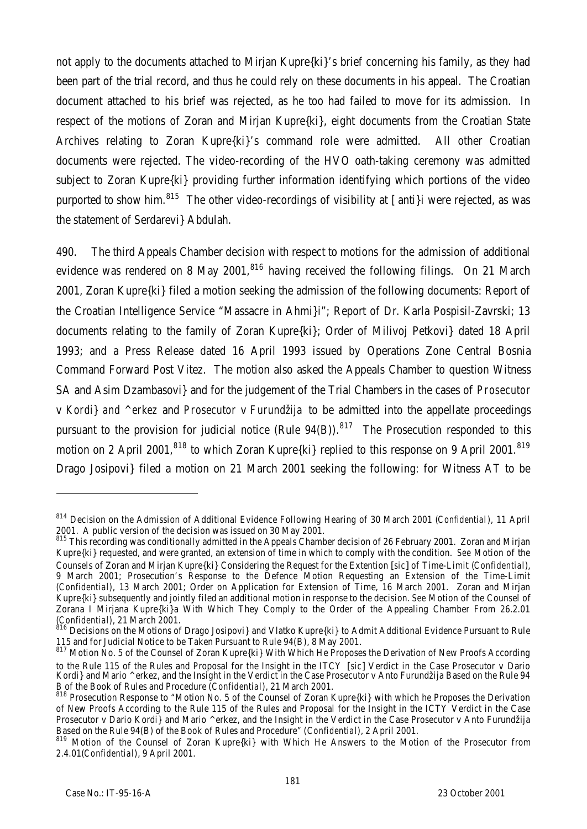not apply to the documents attached to Mirjan Kupre{ki}'s brief concerning his family, as they had been part of the trial record, and thus he could rely on these documents in his appeal. The Croatian document attached to his brief was rejected, as he too had failed to move for its admission. In respect of the motions of Zoran and Mirjan Kupre{ki}, eight documents from the Croatian State Archives relating to Zoran Kupre{ki}'s command role were admitted. All other Croatian documents were rejected. The video-recording of the HVO oath-taking ceremony was admitted subject to Zoran Kupre{ki} providing further information identifying which portions of the video purported to show him.<sup>815</sup> The other video-recordings of visibility at [anti}i were rejected, as was the statement of Serdarevi} Abdulah.

490. The third Appeals Chamber decision with respect to motions for the admission of additional evidence was rendered on 8 May 2001, $816$  having received the following filings. On 21 March 2001, Zoran Kupre{ki} filed a motion seeking the admission of the following documents: Report of the Croatian Intelligence Service "Massacre in Ahmi}i"; Report of Dr. Karla Pospisil-Zavrski; 13 documents relating to the family of Zoran Kupre{ki}; Order of Milivoj Petkovi} dated 18 April 1993; and a Press Release dated 16 April 1993 issued by Operations Zone Central Bosnia Command Forward Post Vitez. The motion also asked the Appeals Chamber to question Witness SA and Asim Dzambasovi} and for the judgement of the Trial Chambers in the cases of *Prosecutor* v *Kordi} and ^erkez* and *Prosecutor* v *Furundžija* to be admitted into the appellate proceedings pursuant to the provision for judicial notice (Rule  $94(B)$ ).<sup>817</sup> The Prosecution responded to this motion on 2 April 2001,  $818$  to which Zoran Kupre $\{ki\}$  replied to this response on 9 April 2001.  $819$ Drago Josipovi} filed a motion on 21 March 2001 seeking the following: for Witness AT to be

j

<sup>814</sup> Decision on the Admission of Additional Evidence Following Hearing of 30 March 2001 (*Confidential*), 11 April 2001. A public version of the decision was issued on 30 May 2001.

<sup>815</sup> This recording was conditionally admitted in the Appeals Chamber decision of 26 February 2001. Zoran and Mirjan Kupre{ki} requested, and were granted, an extension of time in which to comply with the condition. *See* Motion of the Counsels of Zoran and Mirjan Kupre{ki} Considering the Request for the Extention [*sic*] of Time-Limit (*Confidential*), 9 March 2001; Prosecution's Response to the Defence Motion Requesting an Extension of the Time-Limit (*Confidential*), 13 March 2001; Order on Application for Extension of Time, 16 March 2001. Zoran and Mirjan Kupre{ki} subsequently and jointly filed an additional motion in response to the decision. *See* Motion of the Counsel of Zorana I Mirjana Kupre{ki}a With Which They Comply to the Order of the Appealing Chamber From 26.2.01 (*Confidential*), 21 March 2001.

<sup>&</sup>lt;sup>5</sup> Decisions on the Motions of Drago Josipovi} and Vlatko Kupre{ki} to Admit Additional Evidence Pursuant to Rule 115 and for Judicial Notice to be Taken Pursuant to Rule 94(B), 8 May 2001.

<sup>817</sup> Motion No. 5 of the Counsel of Zoran Kupre{ki} With Which He Proposes the Derivation of New Proofs According to the Rule 115 of the Rules and Proposal for the Insight in the ITCY [*sic*] Verdict in the Case Prosecutor v Dario Kordi} and Mario ^erkez, and the Insight in the Verdict in the Case Prosecutor v Anto Furundžija Based on the Rule 94 B of the Book of Rules and Procedure (*Confidential*), 21 March 2001.

<sup>818</sup> Prosecution Response to "Motion No. 5 of the Counsel of Zoran Kupre{ki} with which he Proposes the Derivation of New Proofs According to the Rule 115 of the Rules and Proposal for the Insight in the ICTY Verdict in the Case Prosecutor v Dario Kordi} and Mario ^erkez, and the Insight in the Verdict in the Case Prosecutor v Anto Furundžija Based on the Rule 94(B) of the Book of Rules and Procedure" (*Confidential*), 2 April 2001.

<sup>819</sup> Motion of the Counsel of Zoran Kupre{ki} with Which He Answers to the Motion of the Prosecutor from 2.4.01(*Confidential*), 9 April 2001.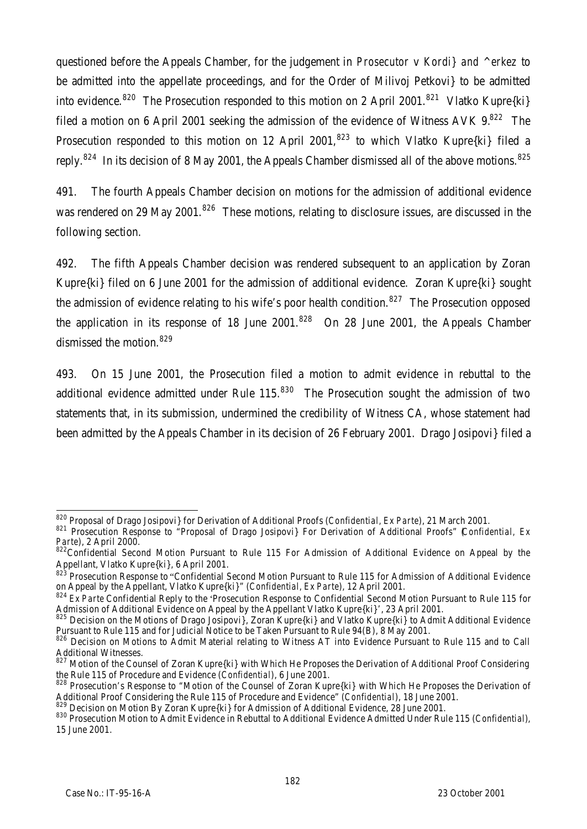questioned before the Appeals Chamber, for the judgement in *Prosecutor* v *Kordi} and ^erkez* to be admitted into the appellate proceedings, and for the Order of Milivoj Petkovi} to be admitted into evidence.<sup>820</sup> The Prosecution responded to this motion on 2 April 2001.<sup>821</sup> Vlatko Kupre{ki} filed a motion on 6 April 2001 seeking the admission of the evidence of Witness AVK  $9^{822}$  The Prosecution responded to this motion on 12 April 2001,<sup>823</sup> to which Vlatko Kupre{ki} filed a reply.<sup>824</sup> In its decision of 8 May 2001, the Appeals Chamber dismissed all of the above motions.<sup>825</sup>

491. The fourth Appeals Chamber decision on motions for the admission of additional evidence was rendered on 29 May 2001.<sup>826</sup> These motions, relating to disclosure issues, are discussed in the following section.

492. The fifth Appeals Chamber decision was rendered subsequent to an application by Zoran Kupre{ki} filed on 6 June 2001 for the admission of additional evidence. Zoran Kupre{ki} sought the admission of evidence relating to his wife's poor health condition.<sup>827</sup> The Prosecution opposed the application in its response of 18 June 2001.<sup>828</sup> On 28 June 2001, the Appeals Chamber dismissed the motion. 829

493. On 15 June 2001, the Prosecution filed a motion to admit evidence in rebuttal to the additional evidence admitted under Rule  $115$ .  $830$  The Prosecution sought the admission of two statements that, in its submission, undermined the credibility of Witness CA, whose statement had been admitted by the Appeals Chamber in its decision of 26 February 2001. Drago Josipovi} filed a

j <sup>820</sup> Proposal of Drago Josipovi} for Derivation of Additional Proofs (*Confidential, Ex Parte*), 21 March 2001.

<sup>821</sup> Prosecution Response to "Proposal of Drago Josipovi} For Derivation of Additional Proofs" (*Confidential, Ex Parte*), 2 April 2000.

<sup>822</sup>Confidential Second Motion Pursuant to Rule 115 For Admission of Additional Evidence on Appeal by the Appellant, Vlatko Kupre{ki}, 6 April 2001.

<sup>823</sup> Prosecution Response to "Confidential Second Motion Pursuant to Rule 115 for Admission of Additional Evidence on Appeal by the Appellant, Vlatko Kupre{ki}" (*Confidential, Ex Parte*), 12 April 2001.

<sup>824</sup> *Ex Parte* Confidential Reply to the 'Prosecution Response to Confidential Second Motion Pursuant to Rule 115 for Admission of Additional Evidence on Appeal by the Appellant Vlatko Kupre{ki}', 23 April 2001.

<sup>825</sup> Decision on the Motions of Drago Josipovi}, Zoran Kupre{ki} and Vlatko Kupre{ki} to Admit Additional Evidence Pursuant to Rule 115 and for Judicial Notice to be Taken Pursuant to Rule 94(B), 8 May 2001.

<sup>826</sup> Decision on Motions to Admit Material relating to Witness AT into Evidence Pursuant to Rule 115 and to Call Additional Witnesses.

<sup>827</sup> Motion of the Counsel of Zoran Kupre{ki} with Which He Proposes the Derivation of Additional Proof Considering the Rule 115 of Procedure and Evidence (*Confidential*), 6 June 2001.

<sup>828</sup> Prosecution's Response to "Motion of the Counsel of Zoran Kupre{ki} with Which He Proposes the Derivation of Additional Proof Considering the Rule 115 of Procedure and Evidence" (*Confidential*), 18 June 2001.

 $^9$  Decision on Motion By Zoran Kupre{ki} for Admission of Additional Evidence, 28 June 2001.

<sup>830</sup> Prosecution Motion to Admit Evidence in Rebuttal to Additional Evidence Admitted Under Rule 115 (*Confidential*), 15 June 2001.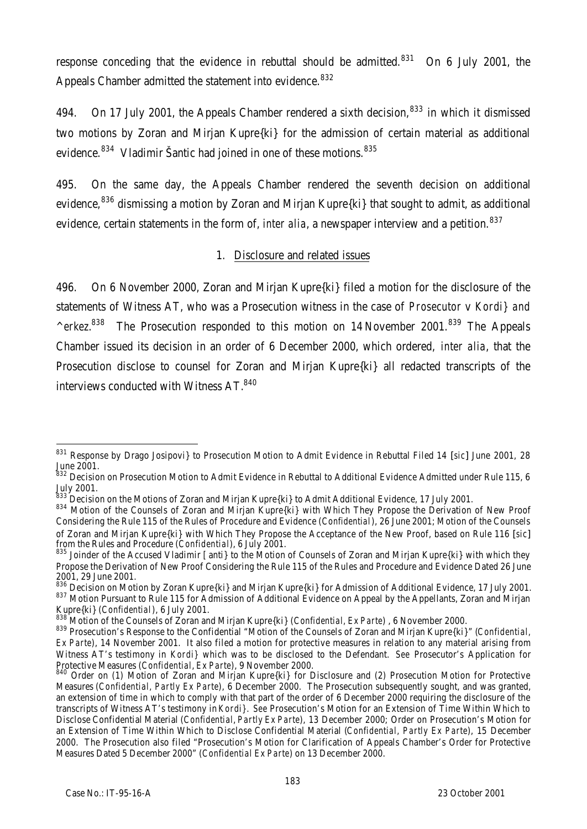response conceding that the evidence in rebuttal should be admitted.<sup>831</sup> On 6 July 2001, the Appeals Chamber admitted the statement into evidence.<sup>832</sup>

494. On 17 July 2001, the Appeals Chamber rendered a sixth decision,  $833$  in which it dismissed two motions by Zoran and Mirjan Kupre{ki} for the admission of certain material as additional evidence.<sup>834</sup> Vladimir Šantic had joined in one of these motions.<sup>835</sup>

495. On the same day, the Appeals Chamber rendered the seventh decision on additional evidence,<sup>836</sup> dismissing a motion by Zoran and Mirjan Kupre{ki} that sought to admit, as additional evidence, certain statements in the form of, *inter alia*, a newspaper interview and a petition.<sup>837</sup>

#### 1. Disclosure and related issues

496. On 6 November 2000, Zoran and Mirjan Kupre{ki} filed a motion for the disclosure of the statements of Witness AT, who was a Prosecution witness in the case of *Prosecutor* v *Kordi} and* <sup>2</sup> *^erkez*.<sup>838</sup> The Prosecution responded to this motion on 14 November 2001.<sup>839</sup> The Appeals Chamber issued its decision in an order of 6 December 2000, which ordered, *inter alia*, that the Prosecution disclose to counsel for Zoran and Mirjan Kupre{ki} all redacted transcripts of the interviews conducted with Witness AT.<sup>840</sup>

j

<sup>831</sup> Response by Drago Josipovi} to Prosecution Motion to Admit Evidence in Rebuttal Filed 14 [*sic*] June 2001, 28 June 2001.

<sup>&</sup>lt;sup>832</sup> Decision on Prosecution Motion to Admit Evidence in Rebuttal to Additional Evidence Admitted under Rule 115, 6 July 2001.

 $^3$  Decision on the Motions of Zoran and Mirjan Kupre{ki} to Admit Additional Evidence, 17 July 2001.

<sup>834</sup> Motion of the Counsels of Zoran and Mirjan Kupre{ki} with Which They Propose the Derivation of New Proof Considering the Rule 115 of the Rules of Procedure and Evidence (*Confidential*), 26 June 2001; Motion of the Counsels of Zoran and Mirjan Kupre{ki} with Which They Propose the Acceptance of the New Proof, based on Rule 116 [*sic*] from the Rules and Procedure (*Confidential*), 6 July 2001.

<sup>835</sup> Joinder of the Accused Vladimir [anti} to the Motion of Counsels of Zoran and Mirjan Kupre{ki} with which they Propose the Derivation of New Proof Considering the Rule 115 of the Rules and Procedure and Evidence Dated 26 June 2001, 29 June 2001.

<sup>836</sup> Decision on Motion by Zoran Kupre{ki} and Mirjan Kupre{ki} for Admission of Additional Evidence, 17 July 2001. 837 Motion Pursuant to Rule 115 for Admission of Additional Evidence on Appeal by the Appellants, Zoran and Mirjan Kupre{ki} (*Confidential*), 6 July 2001.

<sup>838</sup> Motion of the Counsels of Zoran and Mirjan Kupre{ki} (*Confidential, Ex Parte*) , 6 November 2000.

<sup>839</sup> Prosecution's Response to the Confidential "Motion of the Counsels of Zoran and Mirjan Kupre{ki}" (*Confidential, Ex Parte*), 14 November 2001. It also filed a motion for protective measures in relation to any material arising from Witness AT's testimony in *Kordi}* which was to be disclosed to the Defendant. *See* Prosecutor's Application for Protective Measures (*Confidential*, *Ex Parte*), 9 November 2000.

<sup>840</sup> Order on (1) Motion of Zoran and Mirjan Kupre{ki} for Disclosure and (2) Prosecution Motion for Protective Measures (*Confidential, Partly Ex Parte*), 6 December 2000. The Prosecution subsequently sought, and was granted, an extension of time in which to comply with that part of the order of 6 December 2000 requiring the disclosure of the transcripts of Witness AT's testimony in *Kordi}*. *See* Prosecution's Motion for an Extension of Time Within Which to Disclose Confidential Material (*Confidential*, *Partly Ex Parte*), 13 December 2000; Order on Prosecution's Motion for an Extension of Time Within Which to Disclose Confidential Material (*Confidential, Partly Ex Parte*), 15 December 2000. The Prosecution also filed "Prosecution's Motion for Clarification of Appeals Chamber's Order for Protective Measures Dated 5 December 2000" (*Confidential Ex Parte*) on 13 December 2000.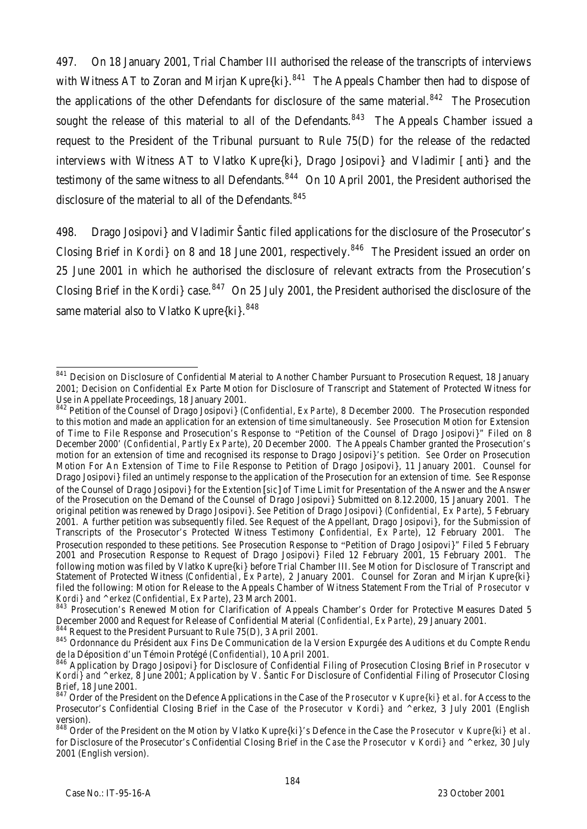497. On 18 January 2001, Trial Chamber III authorised the release of the transcripts of interviews with Witness AT to Zoran and Mirjan Kupre $\{ki\}$ .<sup>841</sup> The Appeals Chamber then had to dispose of the applications of the other Defendants for disclosure of the same material. $842$  The Prosecution sought the release of this material to all of the Defendants.<sup>843</sup> The Appeals Chamber issued a request to the President of the Tribunal pursuant to Rule 75(D) for the release of the redacted interviews with Witness AT to Vlatko Kupre{ki}, Drago Josipovi} and Vladimir [anti} and the testimony of the same witness to all Defendants.<sup>844</sup> On 10 April 2001, the President authorised the disclosure of the material to all of the Defendants.  $845$ 

498. Drago Josipovi} and Vladimir Šantic filed applications for the disclosure of the Prosecutor's Closing Brief in *Kordi* } on 8 and 18 June 2001, respectively.<sup>846</sup> The President issued an order on 25 June 2001 in which he authorised the disclosure of relevant extracts from the Prosecution's Closing Brief in the *Kordi*} case.<sup>847</sup> On 25 July 2001, the President authorised the disclosure of the same material also to Vlatko Kupre{ki}.<sup>848</sup>

<sup>844</sup> Request to the President Pursuant to Rule 75(D), 3 April 2001.

j <sup>841</sup> Decision on Disclosure of Confidential Material to Another Chamber Pursuant to Prosecution Request, 18 January 2001; Decision on Confidential Ex Parte Motion for Disclosure of Transcript and Statement of Protected Witness for Use in Appellate Proceedings, 18 January 2001.

<sup>842</sup> Petition of the Counsel of Drago Josipovi} (*Confidential, Ex Parte*), 8 December 2000. The Prosecution responded to this motion and made an application for an extension of time simultaneously. *See* Prosecution Motion for Extension of Time to File Response and Prosecution's Response to "Petition of the Counsel of Drago Josipovi}" Filed on 8 December 2000' (*Confidential, Partly Ex Parte*), 20 December 2000. The Appeals Chamber granted the Prosecution's motion for an extension of time and recognised its response to Drago Josipovi}'s petition. *See* Order on Prosecution Motion For An Extension of Time to File Response to Petition of Drago Josipovi}, 11 January 2001. Counsel for Drago Josipovi} filed an untimely response to the application of the Prosecution for an extension of time. *See* Response of the Counsel of Drago Josipovi} for the Extention [*sic*] of Time Limit for Presentation of the Answer and the Answer of the Prosecution on the Demand of the Counsel of Drago Josipovi} Submitted on 8.12.2000, 15 January 2001. The original petition was renewed by Drago Josipovi}. *See* Petition of Drago Josipovi} (*Confidential, Ex Parte*), 5 February 2001. A further petition was subsequently filed. *See* Request of the Appellant, Drago Josipovi}, for the Submission of Transcripts of the Prosecutor's Protected Witness Testimony (*Confidential, Ex Parte*), 12 February 2001. The Prosecution responded to these petitions. *See* Prosecution Response to "Petition of Drago Josipovi}" Filed 5 February 2001 and Prosecution Response to Request of Drago Josipovi} Filed 12 February 2001, 15 February 2001. The following motion was filed by Vlatko Kupre{ki} before Trial Chamber III. *See* Motion for Disclosure of Transcript and Statement of Protected Witness (*Confidential*, *Ex Parte*), 2 January 2001. Counsel for Zoran and Mirjan Kupre{ki} filed the following: Motion for Release to the Appeals Chamber of Witness Statement From the Trial of *Prosecutor* v *Kordi} and ^erkez* (*Confidential, Ex Parte*), 23 March 2001.

<sup>843</sup> Prosecution's Renewed Motion for Clarification of Appeals Chamber's Order for Protective Measures Dated 5 December 2000 and Request for Release of Confidential Material (*Confidential, Ex Parte*), 29 January 2001.

<sup>845</sup> Ordonnance du Président aux Fins De Communication de la Version Expurgée des Auditions et du Compte Rendu de la Déposition d'un Témoin Protégé (*Confidential*), 10 April 2001.

<sup>846</sup> Application by Drago Josipovi} for Disclosure of Confidential Filing of Prosecution Closing Brief in *Prosecutor* v *Kordi} and ^erkez*, 8 June 2001; Application by V. Šantic For Disclosure of Confidential Filing of Prosecutor Closing Brief, 18 June 2001.

<sup>847</sup> Order of the President on the Defence Applications in the Case of *the Prosecutor* v *Kupre{ki} et al*. for Access to the Prosecutor's Confidential Closing Brief in the Case of *the Prosecutor* v *Kordi} and ^erkez*, 3 July 2001 (English version).

<sup>848</sup> Order of the President on the Motion by Vlatko Kupre{ki}'s Defence in the Case *the Prosecutor* v *Kupre{ki} et al*. for Disclosure of the Prosecutor's Confidential Closing Brief in the *Case the Prosecutor* v *Kordi} and ^erkez*, 30 July 2001 (English version).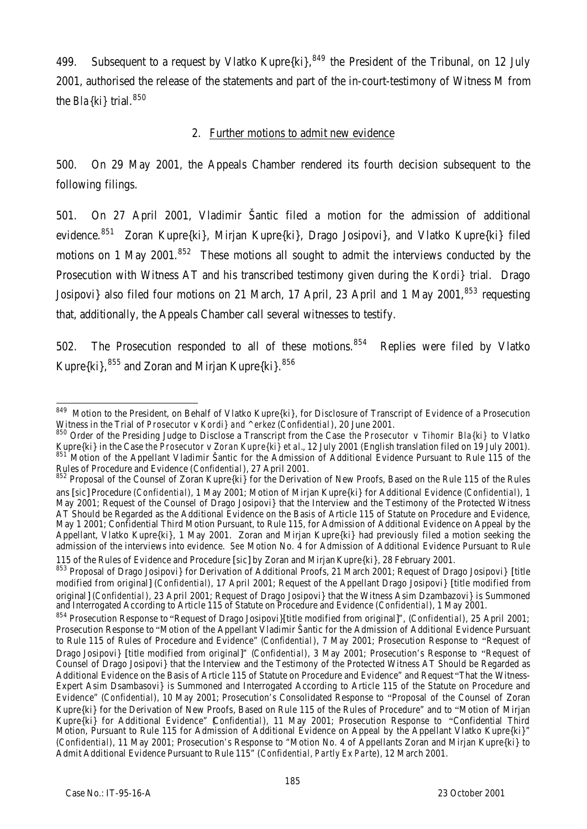499. Subsequent to a request by Vlatko Kupre $\{ki\}^{849}$  the President of the Tribunal, on 12 July 2001, authorised the release of the statements and part of the in-court-testimony of Witness M from the *Bla{ki}* trial.<sup>850</sup>

#### 2. Further motions to admit new evidence

500. On 29 May 2001, the Appeals Chamber rendered its fourth decision subsequent to the following filings.

501. On 27 April 2001, Vladimir Šantic filed a motion for the admission of additional evidence.<sup>851</sup> Zoran Kupre{ki}, Mirjan Kupre{ki}, Drago Josipovi}, and Vlatko Kupre{ki} filed motions on 1 May 2001.<sup>852</sup> These motions all sought to admit the interviews conducted by the Prosecution with Witness AT and his transcribed testimony given during the *Kordi}* trial. Drago Josipovi} also filed four motions on 21 March, 17 April, 23 April and 1 May 2001.<sup>853</sup> requesting that, additionally, the Appeals Chamber call several witnesses to testify.

502. The Prosecution responded to all of these motions.<sup>854</sup> Replies were filed by Vlatko Kupre $\{k\}$ ,  $855$  and Zoran and Mirjan Kupre $\{k\}$ ,  $856$ 

j <sup>849</sup> Motion to the President, on Behalf of Vlatko Kupre{ki}, for Disclosure of Transcript of Evidence of a Prosecution Witness in the Trial of *Prosecutor* v *Kordi} and ^erkez* (*Confidential*), 20 June 2001.

<sup>850</sup> Order of the Presiding Judge to Disclose a Transcript from the Case *the Prosecutor* v *Tihomir Bla{ki}* to Vlatko Kupre{ki} in the Case *the Prosecutor* v *Zoran Kupre{ki} et al.*, 12 July 2001 (English translation filed on 19 July 2001). 851 Motion of the Appellant Vladimir Šantic for the Admission of Additional Evidence Pursuant to Rule 115 of the Rules of Procedure and Evidence (*Confidential*), 27 April 2001.

 $852$  Proposal of the Counsel of Zoran Kupre{ki} for the Derivation of New Proofs, Based on the Rule 115 of the Rules ans [*sic*] Procedure (*Confidential*), 1 May 2001; Motion of Mirjan Kupre{ki} for Additional Evidence (*Confidential*), 1 May 2001; Request of the Counsel of Drago Josipovi} that the Interview and the Testimony of the Protected Witness AT Should be Regarded as the Additional Evidence on the Basis of Article 115 of Statute on Procedure and Evidence, May 1 2001; Confidential Third Motion Pursuant, to Rule 115, for Admission of Additional Evidence on Appeal by the Appellant, Vlatko Kupre{ki}, 1 May 2001. Zoran and Mirjan Kupre{ki} had previously filed a motion seeking the admission of the interviews into evidence. *See* Motion No. 4 for Admission of Additional Evidence Pursuant to Rule 115 of the Rules of Evidence and Procedure [*sic*] by Zoran and Mirjan Kupre{ki}, 28 February 2001.

<sup>853</sup> Proposal of Drago Josipovi} for Derivation of Additional Proofs, 21 March 2001; Request of Drago Josipovi} [title modified from original] (*Confidential*), 17 April 2001; Request of the Appellant Drago Josipovi} [title modified from original] (*Confidential*), 23 April 2001; Request of Drago Josipovi} that the Witness Asim Dzambazovi} is Summoned and Interrogated According to Article 115 of Statute on Procedure and Evidence (*Confidential*), 1 May 2001.

<sup>854</sup> Prosecution Response to "Request of Drago Josipovi}[title modified from original]", (*Confidential*), 25 April 2001; Prosecution Response to "Motion of the Appellant Vladimir Šantic for the Admission of Additional Evidence Pursuant to Rule 115 of Rules of Procedure and Evidence" (*Confidential*), 7 May 2001; Prosecution Response to "Request of Drago Josipovi} [title modified from original]" (*Confidential*), 3 May 2001; Prosecution's Response to "Request of Counsel of Drago Josipovi} that the Interview and the Testimony of the Protected Witness AT Should be Regarded as Additional Evidence on the Basis of Article 115 of Statute on Procedure and Evidence" and Request "That the Witness-Expert Asim Dsambasovi} is Summoned and Interrogated According to Article 115 of the Statute on Procedure and Evidence" (*Confidential*), 10 May 2001; Prosecution's Consolidated Response to "Proposal of the Counsel of Zoran Kupre{ki} for the Derivation of New Proofs, Based on Rule 115 of the Rules of Procedure" and to "Motion of Mirjan Kupre{ki} for Additional Evidence" (*Confidential*), 11 May 2001; Prosecution Response to "Confidential Third Motion, Pursuant to Rule 115 for Admission of Additional Evidence on Appeal by the Appellant Vlatko Kupre{ki}" (*Confidential*), 11 May 2001; Prosecution's Response to "Motion No. 4 of Appellants Zoran and Mirjan Kupre{ki} to Admit Additional Evidence Pursuant to Rule 115" (*Confidential, Partly Ex Parte*), 12 March 2001.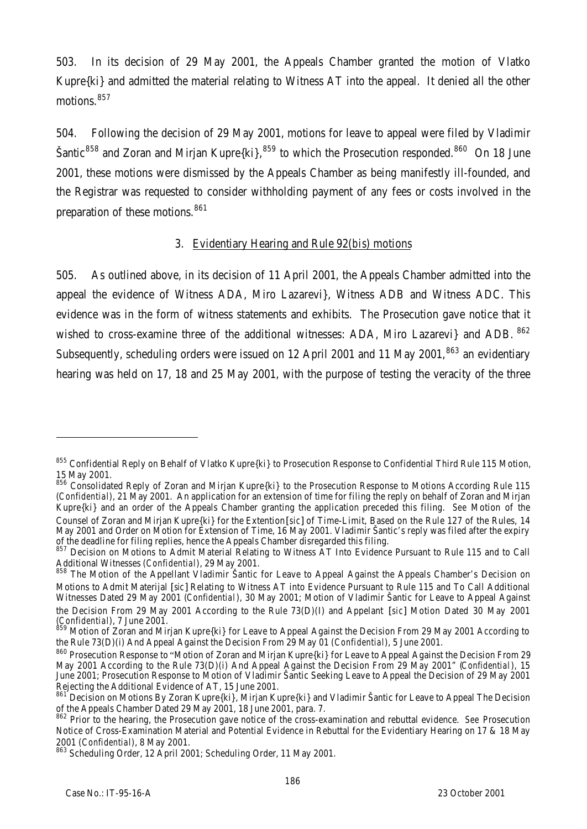503. In its decision of 29 May 2001, the Appeals Chamber granted the motion of Vlatko Kupre{ki} and admitted the material relating to Witness AT into the appeal. It denied all the other motions.<sup>857</sup>

504. Following the decision of 29 May 2001, motions for leave to appeal were filed by Vladimir Šantic<sup>858</sup> and Zoran and Mirjan Kupre $\{k_i\}$ ,  $859$  to which the Prosecution responded.<sup>860</sup> On 18 June 2001, these motions were dismissed by the Appeals Chamber as being manifestly ill-founded, and the Registrar was requested to consider withholding payment of any fees or costs involved in the preparation of these motions.<sup>861</sup>

#### 3. Evidentiary Hearing and Rule 92(*bis*) motions

505. As outlined above, in its decision of 11 April 2001, the Appeals Chamber admitted into the appeal the evidence of Witness ADA, Miro Lazarevi}, Witness ADB and Witness ADC. This evidence was in the form of witness statements and exhibits. The Prosecution gave notice that it wished to cross-examine three of the additional witnesses: ADA, Miro Lazarevi} and ADB. <sup>862</sup> Subsequently, scheduling orders were issued on 12 April 2001 and 11 May 2001,<sup>863</sup> an evidentiary hearing was held on 17, 18 and 25 May 2001, with the purpose of testing the veracity of the three

j

<sup>&</sup>lt;sup>855</sup> Confidential Reply on Behalf of Vlatko Kupre{ki} to Prosecution Response to Confidential Third Rule 115 Motion, 15 May 2001.

<sup>856</sup> Consolidated Reply of Zoran and Mirjan Kupre{ki} to the Prosecution Response to Motions According Rule 115 (*Confidential*), 21 May 2001. An application for an extension of time for filing the reply on behalf of Zoran and Mirjan Kupre{ki} and an order of the Appeals Chamber granting the application preceded this filing. *See* Motion of the Counsel of Zoran and Mirjan Kupre{ki} for the Extention [*sic*] of Time-Limit, Based on the Rule 127 of the Rules, 14 May 2001 and Order on Motion for Extension of Time, 16 May 2001. Vladimir Šantic's reply was filed after the expiry of the deadline for filing replies, hence the Appeals Chamber disregarded this filing.

<sup>857</sup> Decision on Motions to Admit Material Relating to Witness AT Into Evidence Pursuant to Rule 115 and to Call Additional Witnesses (*Confidential*), 29 May 2001.

<sup>858</sup> The Motion of the Appellant Vladimir Santic for Leave to Appeal Against the Appeals Chamber's Decision on Motions to Admit Materijal [*sic*] Relating to Witness AT into Evidence Pursuant to Rule 115 and To Call Additional Witnesses Dated 29 May 2001 (*Confidential*), 30 May 2001; Motion of Vladimir Šantic for Leave to Appeal Against the Decision From 29 May 2001 According to the Rule 73(D)(I) and Appelant [*sic*] Motion Dated 30 May 2001 (*Confidential*), 7 June 2001.

<sup>859</sup> Motion of Zoran and Mirjan Kupre{ki} for Leave to Appeal Against the Decision From 29 May 2001 According to the Rule 73(D)(i) And Appeal Against the Decision From 29 May 01 (*Confidential*), 5 June 2001.

<sup>860</sup> Prosecution Response to "Motion of Zoran and Mirjan Kupre{ki} for Leave to Appeal Against the Decision From 29 May 2001 According to the Rule 73(D)(i) And Appeal Against the Decision From 29 May 2001" (*Confidential*), 15 June 2001; Prosecution Response to Motion of Vladimir Šantic Seeking Leave to Appeal the Decision of 29 May 2001 Rejecting the Additional Evidence of AT, 15 June 2001.

<sup>861</sup> Decision on Motions By Zoran Kupre{ki}, Mirjan Kupre{ki} and Vladimir Šantic for Leave to Appeal The Decision of the Appeals Chamber Dated 29 May 2001, 18 June 2001, para. 7.

<sup>862</sup> Prior to the hearing, the Prosecution gave notice of the cross-examination and rebuttal evidence. *See* Prosecution Notice of Cross-Examination Material and Potential Evidence in Rebuttal for the Evidentiary Hearing on 17 & 18 May 2001 (*Confidential*), 8 May 2001.

<sup>863</sup> Scheduling Order, 12 April 2001; Scheduling Order, 11 May 2001.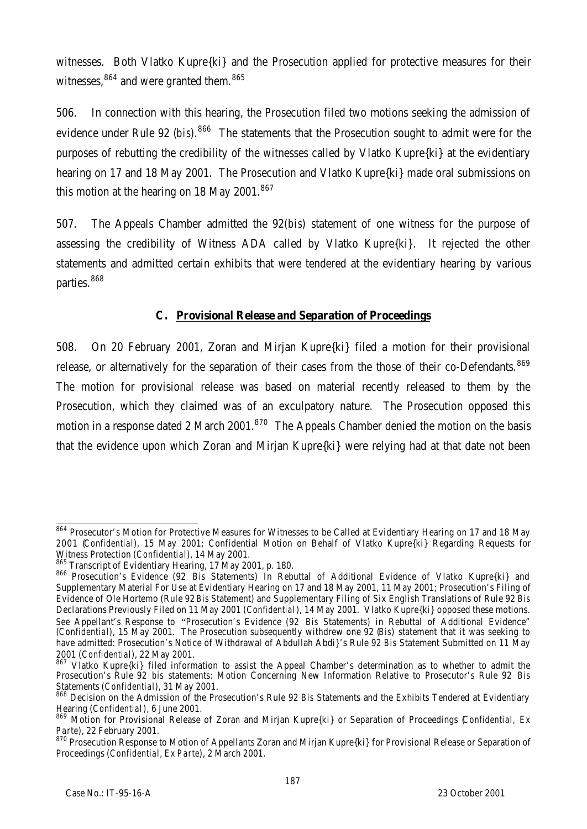witnesses. Both Vlatko Kupre{ki} and the Prosecution applied for protective measures for their witnesses, <sup>864</sup> and were granted them. <sup>865</sup>

506. In connection with this hearing, the Prosecution filed two motions seeking the admission of evidence under Rule 92 (*bis*).<sup>866</sup> The statements that the Prosecution sought to admit were for the purposes of rebutting the credibility of the witnesses called by Vlatko Kupre{ki} at the evidentiary hearing on 17 and 18 May 2001. The Prosecution and Vlatko Kupre{ki} made oral submissions on this motion at the hearing on 18 May 2001. $867$ 

507. The Appeals Chamber admitted the 92(*bis*) statement of one witness for the purpose of assessing the credibility of Witness ADA called by Vlatko Kupre{ki}. It rejected the other statements and admitted certain exhibits that were tendered at the evidentiary hearing by various parties.<sup>868</sup>

# **C. Provisional Release and Separation of Proceedings**

508. On 20 February 2001, Zoran and Mirjan Kupre{ki} filed a motion for their provisional release, or alternatively for the separation of their cases from the those of their co-Defendants.<sup>869</sup> The motion for provisional release was based on material recently released to them by the Prosecution, which they claimed was of an exculpatory nature. The Prosecution opposed this motion in a response dated 2 March 2001.<sup>870</sup> The Appeals Chamber denied the motion on the basis that the evidence upon which Zoran and Mirjan Kupre{ki} were relying had at that date not been

 $\overline{\phantom{a}}$ 864 Prosecutor's Motion for Protective Measures for Witnesses to be Called at Evidentiary Hearing on 17 and 18 May 2001 (*Confidential*), 15 May 2001; Confidential Motion on Behalf of Vlatko Kupre{ki} Regarding Requests for Witness Protection (*Confidential*), 14 May 2001.

<sup>865</sup> Transcript of Evidentiary Hearing, 17 May 2001, p. 180.

<sup>866</sup> Prosecution's Evidence (92 *Bis* Statements) In Rebuttal of Additional Evidence of Vlatko Kupre{ki} and Supplementary Material For Use at Evidentiary Hearing on 17 and 18 May 2001, 11 May 2001; Prosecution's Filing of Evidence of Ole Hortemo (Rule 92 *Bis* Statement) and Supplementary Filing of Six English Translations of Rule 92 *Bis* Declarations Previously Filed on 11 May 2001 (*Confidential*), 14 May 2001. Vlatko Kupre{ki} opposed these motions. *See* Appellant's Response to "Prosecution's Evidence (92 *Bis* Statements) in Rebuttal of Additional Evidence" (*Confidential*), 15 May 2001. The Prosecution subsequently withdrew one 92 (*Bis*) statement that it was seeking to have admitted: Prosecution's Notice of Withdrawal of Abdullah Abdi}'s Rule 92 *Bis* Statement Submitted on 11 May 2001 (*Confidential*), 22 May 2001.

<sup>867</sup> Vlatko Kupre{ki} filed information to assist the Appeal Chamber's determination as to whether to admit the Prosecution's Rule 92 *bis* statements: Motion Concerning New Information Relative to Prosecutor's Rule 92 *Bis* Statements (*Confidential*), 31 May 2001.

<sup>868</sup> Decision on the Admission of the Prosecution's Rule 92 *Bis* Statements and the Exhibits Tendered at Evidentiary Hearing (*Confidential*), 6 June 2001.

<sup>869</sup> Motion for Provisional Release of Zoran and Mirjan Kupre{ki} or Separation of Proceedings (*Confidential, Ex Parte*), 22 February 2001.

<sup>870</sup> Prosecution Response to Motion of Appellants Zoran and Mirjan Kupre{ki} for Provisional Release or Separation of Proceedings (*Confidential, Ex Parte*), 2 March 2001.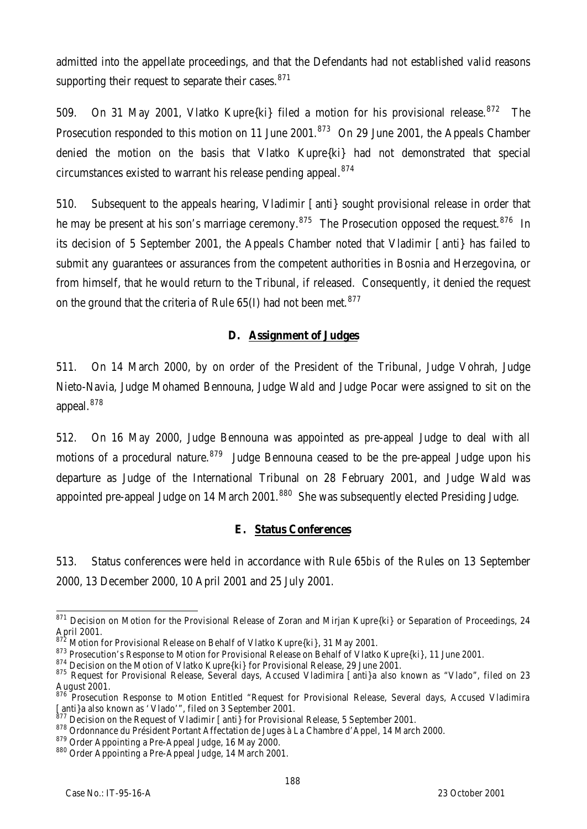admitted into the appellate proceedings, and that the Defendants had not established valid reasons supporting their request to separate their cases.<sup>871</sup>

509. On 31 May 2001, Vlatko Kupre{ki} filed a motion for his provisional release.<sup>872</sup> The Prosecution responded to this motion on 11 June 2001.<sup>873</sup> On 29 June 2001, the Appeals Chamber denied the motion on the basis that Vlatko Kupre{ki} had not demonstrated that special circumstances existed to warrant his release pending appeal.<sup>874</sup>

510. Subsequent to the appeals hearing, Vladimir [anti} sought provisional release in order that he may be present at his son's marriage ceremony.<sup>875</sup> The Prosecution opposed the request.<sup>876</sup> In its decision of 5 September 2001, the Appeals Chamber noted that Vladimir [anti} has failed to submit any guarantees or assurances from the competent authorities in Bosnia and Herzegovina, or from himself, that he would return to the Tribunal, if released. Consequently, it denied the request on the ground that the criteria of Rule  $65(1)$  had not been met.<sup>877</sup>

#### **D. Assignment of Judges**

511. On 14 March 2000, by on order of the President of the Tribunal, Judge Vohrah, Judge Nieto-Navia, Judge Mohamed Bennouna, Judge Wald and Judge Pocar were assigned to sit on the appeal.<sup>878</sup>

512. On 16 May 2000, Judge Bennouna was appointed as pre-appeal Judge to deal with all motions of a procedural nature.<sup>879</sup> Judge Bennouna ceased to be the pre-appeal Judge upon his departure as Judge of the International Tribunal on 28 February 2001, and Judge Wald was appointed pre-appeal Judge on 14 March 2001.<sup>880</sup> She was subsequently elected Presiding Judge.

#### **E. Status Conferences**

513. Status conferences were held in accordance with Rule 65*bis* of the Rules on 13 September 2000, 13 December 2000, 10 April 2001 and 25 July 2001.

 $\overline{a}$  $871$  Decision on Motion for the Provisional Release of Zoran and Mirjan Kupre{ki} or Separation of Proceedings, 24 April 2001.

 $\overline{R}$  Motion for Provisional Release on Behalf of Vlatko Kupre $\{ki\}$ , 31 May 2001.

<sup>873</sup> Prosecution's Response to Motion for Provisional Release on Behalf of Vlatko Kupre{ki}, 11 June 2001.

<sup>874</sup> Decision on the Motion of Vlatko Kupre{ki} for Provisional Release, 29 June 2001.

<sup>875</sup> Request for Provisional Release, Several days, Accused Vladimira [anti}a also known as "Vlado", filed on 23 August 2001.

<sup>&</sup>lt;sup>876</sup> Prosecution Response to Motion Entitled "Request for Provisional Release, Several days, Accused Vladimira [anti}a also known as 'Vlado'", filed on 3 September 2001.

Becision on the Request of Vladimir [anti] for Provisional Release, 5 September 2001.

<sup>878</sup> Ordonnance du Président Portant Affectation de Juges à La Chambre d'Appel, 14 March 2000.

<sup>879</sup> Order Appointing a Pre-Appeal Judge, 16 May 2000.

<sup>880</sup> Order Appointing a Pre-Appeal Judge, 14 March 2001.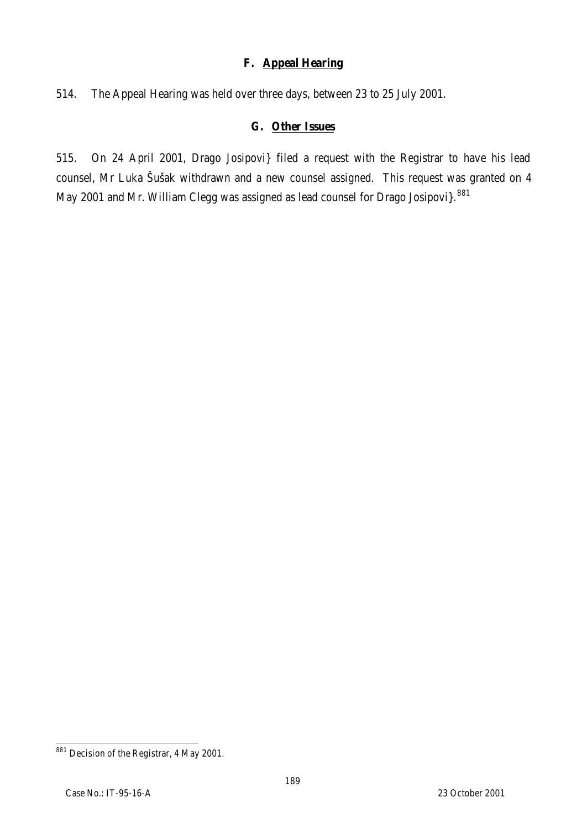#### **F. Appeal Hearing**

514. The Appeal Hearing was held over three days, between 23 to 25 July 2001.

# **G. Other Issues**

515. On 24 April 2001, Drago Josipovi} filed a request with the Registrar to have his lead counsel, Mr Luka Šušak withdrawn and a new counsel assigned. This request was granted on 4 May 2001 and Mr. William Clegg was assigned as lead counsel for Drago Josipovi}.<sup>881</sup>

 $\overline{a}$  $^{881}$  Decision of the Registrar, 4 May 2001.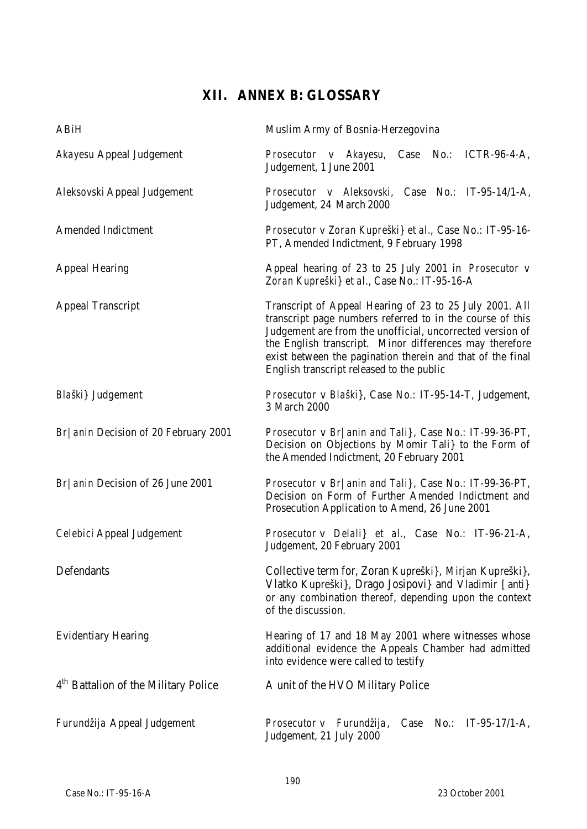# **XII. ANNEX B: GLOSSARY**

| ABiH                                             | Muslim Army of Bosnia-Herzegovina                                                                                                                                                                                                                                                                                                                       |
|--------------------------------------------------|---------------------------------------------------------------------------------------------------------------------------------------------------------------------------------------------------------------------------------------------------------------------------------------------------------------------------------------------------------|
| Akayesu Appeal Judgement                         | Prosecutor v Akayesu, Case No.: ICTR-96-4-A,<br>Judgement, 1 June 2001                                                                                                                                                                                                                                                                                  |
| Aleksovski Appeal Judgement                      | Prosecutor v Aleksovski, Case No.: IT-95-14/1-A,<br>Judgement, 24 March 2000                                                                                                                                                                                                                                                                            |
| Amended Indictment                               | Prosecutor v Zoran Kupreški} et al., Case No.: IT-95-16-<br>PT, Amended Indictment, 9 February 1998                                                                                                                                                                                                                                                     |
| <b>Appeal Hearing</b>                            | Appeal hearing of 23 to 25 July 2001 in Prosecutor v<br>Zoran Kupreški} et al., Case No.: IT-95-16-A                                                                                                                                                                                                                                                    |
| <b>Appeal Transcript</b>                         | Transcript of Appeal Hearing of 23 to 25 July 2001. All<br>transcript page numbers referred to in the course of this<br>Judgement are from the unofficial, uncorrected version of<br>the English transcript. Minor differences may therefore<br>exist between the pagination therein and that of the final<br>English transcript released to the public |
| Blaški} Judgement                                | Prosecutor v Blaški}, Case No.: IT-95-14-T, Judgement,<br>3 March 2000                                                                                                                                                                                                                                                                                  |
| Br   anin Decision of 20 February 2001           | Prosecutor v Br/anin and Tali}, Case No.: IT-99-36-PT,<br>Decision on Objections by Momir Tali} to the Form of<br>the Amended Indictment, 20 February 2001                                                                                                                                                                                              |
| Br   anin Decision of 26 June 2001               | Prosecutor v Br/anin and Tali}, Case No.: IT-99-36-PT,<br>Decision on Form of Further Amended Indictment and<br>Prosecution Application to Amend, 26 June 2001                                                                                                                                                                                          |
| Celebici Appeal Judgement                        | Prosecutor v Delali} et al., Case No.: IT-96-21-A,<br>Judgement, 20 February 2001                                                                                                                                                                                                                                                                       |
| Defendants                                       | Collective term for, Zoran Kupreški}, Mirjan Kupreški},<br>Vlatko Kupreški}, Drago Josipovi} and Vladimir [anti}<br>or any combination thereof, depending upon the context<br>of the discussion.                                                                                                                                                        |
| <b>Evidentiary Hearing</b>                       | Hearing of 17 and 18 May 2001 where witnesses whose<br>additional evidence the Appeals Chamber had admitted<br>into evidence were called to testify                                                                                                                                                                                                     |
| 4 <sup>th</sup> Battalion of the Military Police | A unit of the HVO Military Police                                                                                                                                                                                                                                                                                                                       |
| Furundžija Appeal Judgement                      | Prosecutor v Furundžija,<br>$No.$ :<br>$IT-95-17/1-A,$<br>Case<br>Judgement, 21 July 2000                                                                                                                                                                                                                                                               |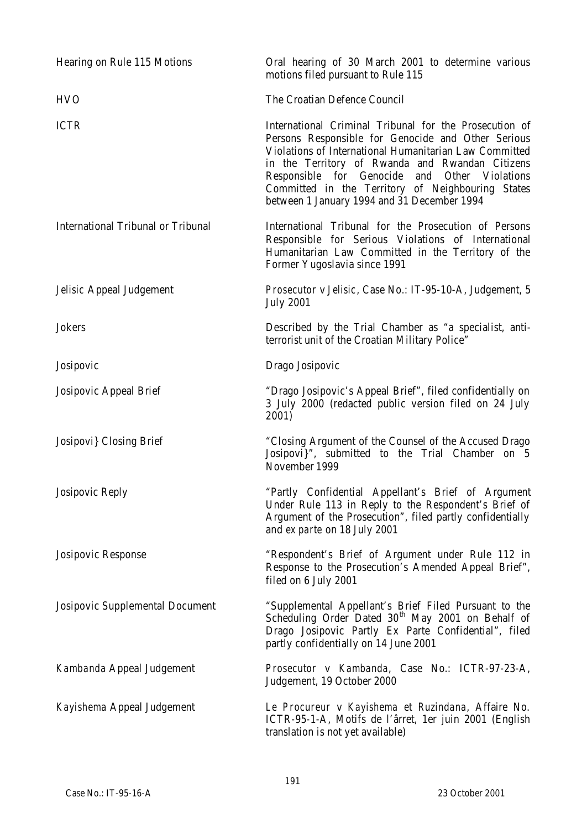| Hearing on Rule 115 Motions        | Oral hearing of 30 March 2001 to determine various<br>motions filed pursuant to Rule 115                                                                                                                                                                                                                                                                                             |
|------------------------------------|--------------------------------------------------------------------------------------------------------------------------------------------------------------------------------------------------------------------------------------------------------------------------------------------------------------------------------------------------------------------------------------|
| <b>HVO</b>                         | The Croatian Defence Council                                                                                                                                                                                                                                                                                                                                                         |
| <b>ICTR</b>                        | International Criminal Tribunal for the Prosecution of<br>Persons Responsible for Genocide and Other Serious<br>Violations of International Humanitarian Law Committed<br>in the Territory of Rwanda and Rwandan Citizens<br>Responsible for Genocide<br>and<br>Other Violations<br>Committed in the Territory of Neighbouring States<br>between 1 January 1994 and 31 December 1994 |
| International Tribunal or Tribunal | International Tribunal for the Prosecution of Persons<br>Responsible for Serious Violations of International<br>Humanitarian Law Committed in the Territory of the<br>Former Yugoslavia since 1991                                                                                                                                                                                   |
| Jelisic Appeal Judgement           | Prosecutor v Jelisic, Case No.: IT-95-10-A, Judgement, 5<br><b>July 2001</b>                                                                                                                                                                                                                                                                                                         |
| Jokers                             | Described by the Trial Chamber as "a specialist, anti-<br>terrorist unit of the Croatian Military Police"                                                                                                                                                                                                                                                                            |
| Josipovic                          | Drago Josipovic                                                                                                                                                                                                                                                                                                                                                                      |
| Josipovic Appeal Brief             | "Drago Josipovic's Appeal Brief", filed confidentially on<br>3 July 2000 (redacted public version filed on 24 July<br>2001)                                                                                                                                                                                                                                                          |
| Josipovi} Closing Brief            | "Closing Argument of the Counsel of the Accused Drago<br>Josipovi}", submitted to the Trial Chamber on 5<br>November 1999                                                                                                                                                                                                                                                            |
| Josipovic Reply                    | "Partly Confidential Appellant's Brief of Argument<br>Under Rule 113 in Reply to the Respondent's Brief of<br>Argument of the Prosecution", filed partly confidentially<br>and ex parte on 18 July 2001                                                                                                                                                                              |
| Josipovic Response                 | "Respondent's Brief of Argument under Rule 112 in<br>Response to the Prosecution's Amended Appeal Brief",<br>filed on 6 July 2001                                                                                                                                                                                                                                                    |
| Josipovic Supplemental Document    | "Supplemental Appellant's Brief Filed Pursuant to the<br>Scheduling Order Dated 30 <sup>th</sup> May 2001 on Behalf of<br>Drago Josipovic Partly Ex Parte Confidential", filed<br>partly confidentially on 14 June 2001                                                                                                                                                              |
| Kambanda Appeal Judgement          | Prosecutor v Kambanda, Case No.: ICTR-97-23-A,<br>Judgement, 19 October 2000                                                                                                                                                                                                                                                                                                         |
| Kayishema Appeal Judgement         | Le Procureur v Kayishema et Ruzindana, Affaire No.<br>ICTR-95-1-A, Motifs de l'ârret, 1er juin 2001 (English<br>translation is not yet available)                                                                                                                                                                                                                                    |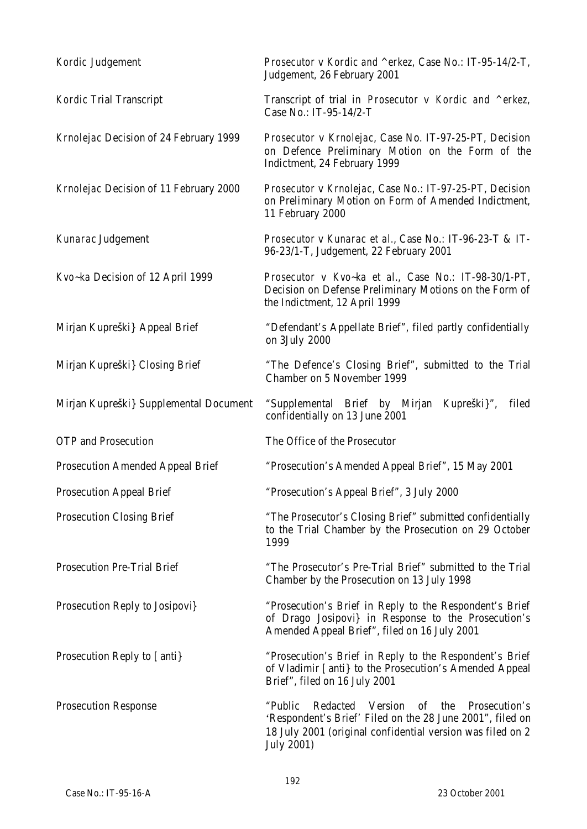| Kordic Judgement                       | Prosecutor v Kordic and ^erkez, Case No.: IT-95-14/2-T,<br>Judgement, 26 February 2001                                                                                                              |
|----------------------------------------|-----------------------------------------------------------------------------------------------------------------------------------------------------------------------------------------------------|
| Kordic Trial Transcript                | Transcript of trial in Prosecutor v Kordic and ^erkez,<br>Case No.: IT-95-14/2-T                                                                                                                    |
| Krnolejac Decision of 24 February 1999 | Prosecutor v Krnolejac, Case No. IT-97-25-PT, Decision<br>on Defence Preliminary Motion on the Form of the<br>Indictment, 24 February 1999                                                          |
| Krnolejac Decision of 11 February 2000 | Prosecutor v Krnolejac, Case No.: IT-97-25-PT, Decision<br>on Preliminary Motion on Form of Amended Indictment,<br>11 February 2000                                                                 |
| Kunarac Judgement                      | Prosecutor v Kunarac et al., Case No.: IT-96-23-T & IT-<br>96-23/1-T, Judgement, 22 February 2001                                                                                                   |
| Kvo-ka Decision of 12 April 1999       | Prosecutor v Kvo~ka et al., Case No.: IT-98-30/1-PT,<br>Decision on Defense Preliminary Motions on the Form of<br>the Indictment, 12 April 1999                                                     |
| Mirjan Kupreški} Appeal Brief          | "Defendant's Appellate Brief", filed partly confidentially<br>on 3July 2000                                                                                                                         |
| Mirjan Kupreški} Closing Brief         | "The Defence's Closing Brief", submitted to the Trial<br>Chamber on 5 November 1999                                                                                                                 |
| Mirjan Kupreški} Supplemental Document | "Supplemental Brief by Mirjan<br>Kupreški}",<br>filed<br>confidentially on 13 June 2001                                                                                                             |
| OTP and Prosecution                    | The Office of the Prosecutor                                                                                                                                                                        |
| Prosecution Amended Appeal Brief       | "Prosecution's Amended Appeal Brief", 15 May 2001                                                                                                                                                   |
| Prosecution Appeal Brief               | "Prosecution's Appeal Brief", 3 July 2000                                                                                                                                                           |
| <b>Prosecution Closing Brief</b>       | "The Prosecutor's Closing Brief" submitted confidentially<br>to the Trial Chamber by the Prosecution on 29 October<br>1999                                                                          |
| <b>Prosecution Pre-Trial Brief</b>     | "The Prosecutor's Pre-Trial Brief" submitted to the Trial<br>Chamber by the Prosecution on 13 July 1998                                                                                             |
| Prosecution Reply to Josipovi}         | "Prosecution's Brief in Reply to the Respondent's Brief<br>of Drago Josipovi} in Response to the Prosecution's<br>Amended Appeal Brief", filed on 16 July 2001                                      |
| Prosecution Reply to [anti}            | "Prosecution's Brief in Reply to the Respondent's Brief<br>of Vladimir [anti} to the Prosecution's Amended Appeal<br>Brief", filed on 16 July 2001                                                  |
| <b>Prosecution Response</b>            | Redacted Version of the<br>"Public<br>Prosecution's<br>'Respondent's Brief' Filed on the 28 June 2001", filed on<br>18 July 2001 (original confidential version was filed on 2<br><b>July 2001)</b> |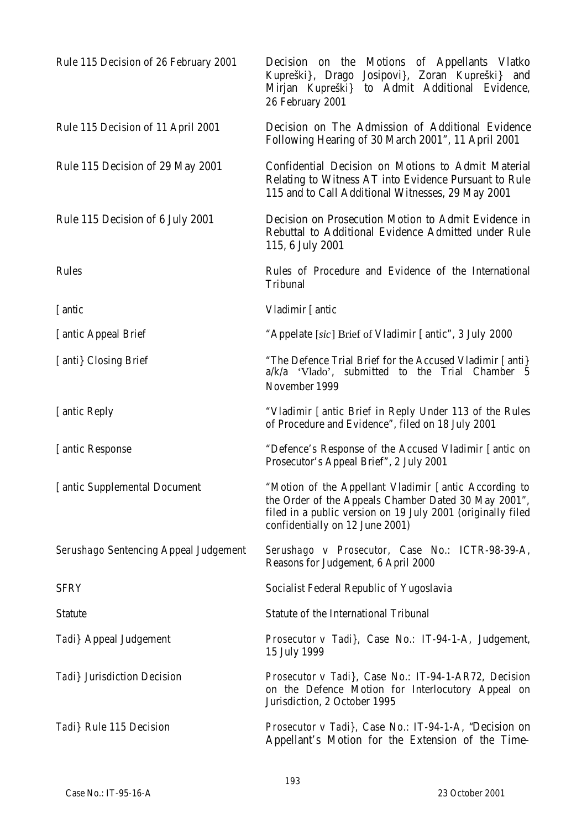| Rule 115 Decision of 26 February 2001 | Decision on the Motions of Appellants Vlatko<br>Kupreški}, Drago<br>Josipovi}, Zoran Kupreški} and<br>to Admit Additional Evidence,<br>Mirjan Kupreški}<br>26 February 2001                                     |
|---------------------------------------|-----------------------------------------------------------------------------------------------------------------------------------------------------------------------------------------------------------------|
| Rule 115 Decision of 11 April 2001    | Decision on The Admission of Additional Evidence<br>Following Hearing of 30 March 2001", 11 April 2001                                                                                                          |
| Rule 115 Decision of 29 May 2001      | Confidential Decision on Motions to Admit Material<br>Relating to Witness AT into Evidence Pursuant to Rule<br>115 and to Call Additional Witnesses, 29 May 2001                                                |
| Rule 115 Decision of 6 July 2001      | Decision on Prosecution Motion to Admit Evidence in<br>Rebuttal to Additional Evidence Admitted under Rule<br>115, 6 July 2001                                                                                  |
| Rules                                 | Rules of Procedure and Evidence of the International<br>Tribunal                                                                                                                                                |
| [antic                                | Vladimir [antic                                                                                                                                                                                                 |
| [antic Appeal Brief                   | "Appelate [sic] Brief of Vladimir [antic", 3 July 2000                                                                                                                                                          |
| [anti} Closing Brief                  | "The Defence Trial Brief for the Accused Vladimir [anti]<br>a/k/a 'Vlado', submitted to the Trial Chamber 5<br>November 1999                                                                                    |
| [antic Reply                          | "Vladimir [antic Brief in Reply Under 113 of the Rules<br>of Procedure and Evidence", filed on 18 July 2001                                                                                                     |
| [antic Response]                      | "Defence's Response of the Accused Vladimir [antic on<br>Prosecutor's Appeal Brief", 2 July 2001                                                                                                                |
| [antic Supplemental Document          | "Motion of the Appellant Vladimir [antic According to<br>the Order of the Appeals Chamber Dated 30 May 2001",<br>filed in a public version on 19 July 2001 (originally filed<br>confidentially on 12 June 2001) |
| Serushago Sentencing Appeal Judgement | Serushago v Prosecutor, Case No.: ICTR-98-39-A,<br>Reasons for Judgement, 6 April 2000                                                                                                                          |
| <b>SFRY</b>                           | Socialist Federal Republic of Yugoslavia                                                                                                                                                                        |
| Statute                               | Statute of the International Tribunal                                                                                                                                                                           |
| Tadi} Appeal Judgement                | Prosecutor v Tadi}, Case No.: IT-94-1-A, Judgement,<br>15 July 1999                                                                                                                                             |
| Tadi} Jurisdiction Decision           | <i>Prosecutor v Tadi}, Case No.: IT-94-1-AR72, Decision</i><br>on the Defence Motion for Interlocutory Appeal on<br>Jurisdiction, 2 October 1995                                                                |
| Tadi} Rule 115 Decision               | <i>Prosecutor v Tadi}</i> , Case No.: IT-94-1-A, "Decision on<br>Appellant's Motion for the Extension of the Time-                                                                                              |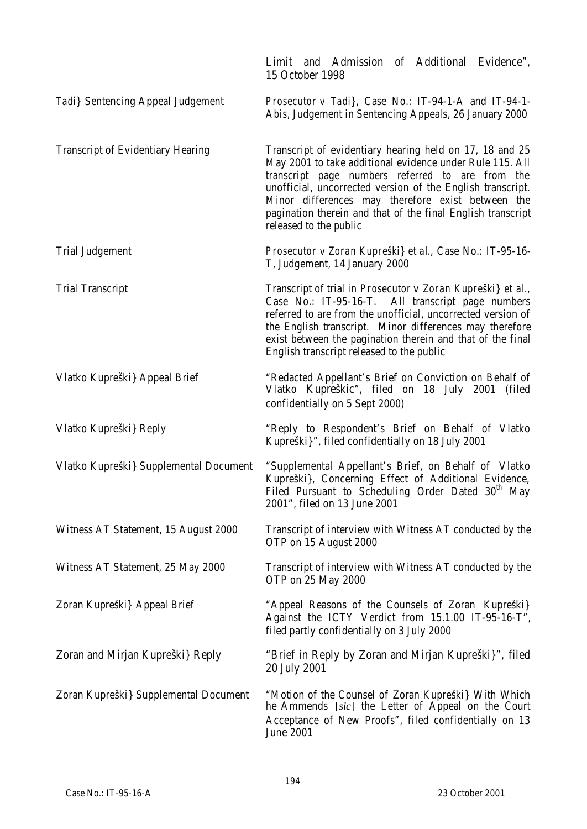|                                          | Limit and Admission of Additional Evidence",<br>15 October 1998                                                                                                                                                                                                                                                                                                                     |
|------------------------------------------|-------------------------------------------------------------------------------------------------------------------------------------------------------------------------------------------------------------------------------------------------------------------------------------------------------------------------------------------------------------------------------------|
| Tadi} Sentencing Appeal Judgement        | Prosecutor v Tadi}, Case No.: IT-94-1-A and IT-94-1-<br>Abis, Judgement in Sentencing Appeals, 26 January 2000                                                                                                                                                                                                                                                                      |
| <b>Transcript of Evidentiary Hearing</b> | Transcript of evidentiary hearing held on 17, 18 and 25<br>May 2001 to take additional evidence under Rule 115. All<br>transcript page numbers referred to are from the<br>unofficial, uncorrected version of the English transcript.<br>Minor differences may therefore exist between the<br>pagination therein and that of the final English transcript<br>released to the public |
| <b>Trial Judgement</b>                   | Prosecutor v Zoran Kupreški} et al., Case No.: IT-95-16-<br>T, Judgement, 14 January 2000                                                                                                                                                                                                                                                                                           |
| <b>Trial Transcript</b>                  | Transcript of trial in Prosecutor v Zoran Kupreški} et al.,<br>Case No.: IT-95-16-T. All transcript page numbers<br>referred to are from the unofficial, uncorrected version of<br>the English transcript. Minor differences may therefore<br>exist between the pagination therein and that of the final<br>English transcript released to the public                               |
| Vlatko Kupreški} Appeal Brief            | "Redacted Appellant's Brief on Conviction on Behalf of<br>Vlatko Kupreškic", filed on 18 July 2001<br>(filed<br>confidentially on 5 Sept 2000)                                                                                                                                                                                                                                      |
| Vlatko Kupreški} Reply                   | "Reply to Respondent's Brief on Behalf of Vlatko<br>Kupreški}", filed confidentially on 18 July 2001                                                                                                                                                                                                                                                                                |
| Vlatko Kupreški} Supplemental Document   | "Supplemental Appellant's Brief, on Behalf of Vlatko<br>Kupreški}, Concerning Effect of Additional Evidence,<br>Filed Pursuant to Scheduling Order Dated 30 <sup>th</sup> May<br>2001", filed on 13 June 2001                                                                                                                                                                       |
| Witness AT Statement, 15 August 2000     | Transcript of interview with Witness AT conducted by the<br>OTP on 15 August 2000                                                                                                                                                                                                                                                                                                   |
| Witness AT Statement, 25 May 2000        | Transcript of interview with Witness AT conducted by the<br>OTP on 25 May 2000                                                                                                                                                                                                                                                                                                      |
| Zoran Kupreški} Appeal Brief             | "Appeal Reasons of the Counsels of Zoran Kupreški}<br>Against the ICTY Verdict from 15.1.00 IT-95-16-T",<br>filed partly confidentially on 3 July 2000                                                                                                                                                                                                                              |
| Zoran and Mirjan Kupreški} Reply         | "Brief in Reply by Zoran and Mirjan Kupreški}", filed<br>20 July 2001                                                                                                                                                                                                                                                                                                               |
| Zoran Kupreški} Supplemental Document    | "Motion of the Counsel of Zoran Kupreški} With Which<br>he Ammends [sic] the Letter of Appeal on the Court<br>Acceptance of New Proofs", filed confidentially on 13<br>June 2001                                                                                                                                                                                                    |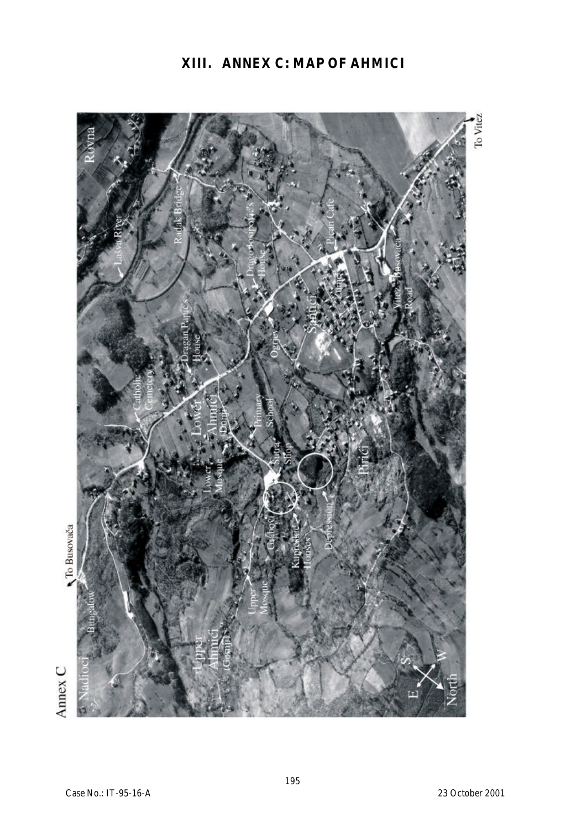# **XIII. ANNEX C: MAP OF AHMICI**



195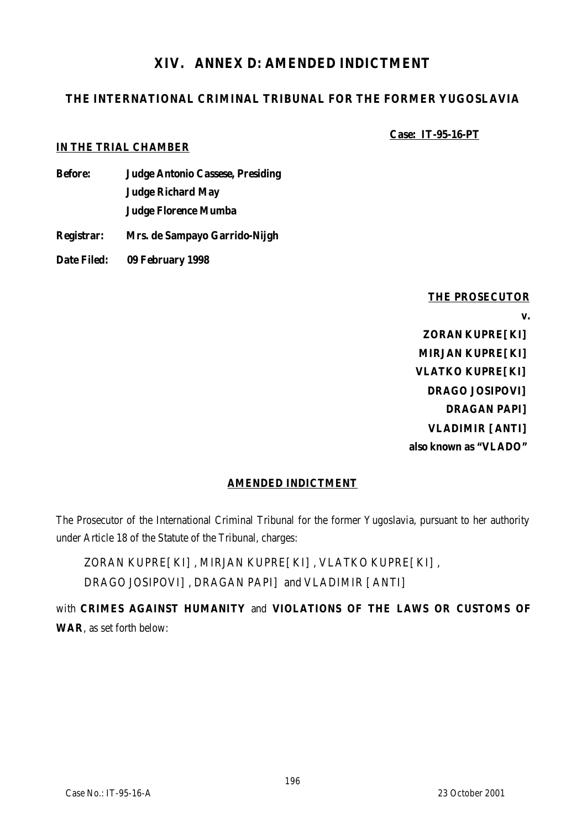# **XIV. ANNEX D: AMENDED INDICTMENT**

# **THE INTERNATIONAL CRIMINAL TRIBUNAL FOR THE FORMER YUGOSLAVIA**

**Case: IT-95-16-PT**

#### **IN THE TRIAL CHAMBER**

- **Before: Judge Antonio Cassese, Presiding Judge Richard May Judge Florence Mumba**
- **Registrar: Mrs. de Sampayo Garrido-Nijgh**
- **Date Filed: 09 February 1998**

**THE PROSECUTOR v. ZORAN KUPRE[KI] MIRJAN KUPRE[KI] VLATKO KUPRE[KI] DRAGO JOSIPOVI] DRAGAN PAPI] VLADIMIR [ANTI] also known as "VLADO"**

#### **AMENDED INDICTMENT**

The Prosecutor of the International Criminal Tribunal for the former Yugoslavia, pursuant to her authority under Article 18 of the Statute of the Tribunal, charges:

ZORAN KUPRE[KI], MIRJAN KUPRE[KI], VLATKO KUPRE[KI], DRAGO JOSIPOVI], DRAGAN PAPI] and VLADIMIR [ANTI]

with **CRIMES AGAINST HUMANITY** and **VIOLATIONS OF THE LAWS OR CUSTOMS OF WAR**, as set forth below: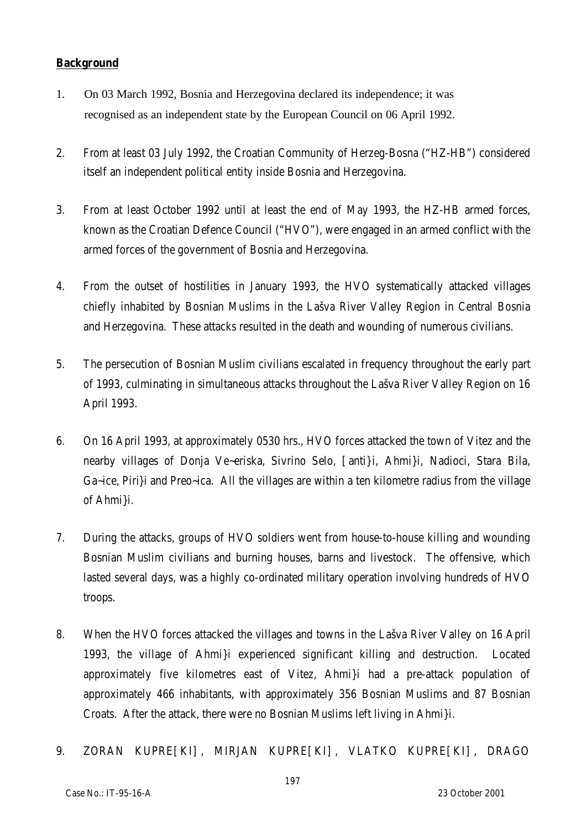#### **Background**

- 1. On 03 March 1992, Bosnia and Herzegovina declared its independence; it was recognised as an independent state by the European Council on 06 April 1992.
- 2. From at least 03 July 1992, the Croatian Community of Herzeg-Bosna ("HZ-HB") considered itself an independent political entity inside Bosnia and Herzegovina.
- 3. From at least October 1992 until at least the end of May 1993, the HZ-HB armed forces, known as the Croatian Defence Council ("HVO"), were engaged in an armed conflict with the armed forces of the government of Bosnia and Herzegovina.
- 4. From the outset of hostilities in January 1993, the HVO systematically attacked villages chiefly inhabited by Bosnian Muslims in the Lašva River Valley Region in Central Bosnia and Herzegovina. These attacks resulted in the death and wounding of numerous civilians.
- 5. The persecution of Bosnian Muslim civilians escalated in frequency throughout the early part of 1993, culminating in simultaneous attacks throughout the Lašva River Valley Region on 16 April 1993.
- 6. On 16 April 1993, at approximately 0530 hrs., HVO forces attacked the town of Vitez and the nearby villages of Donja Ve~eriska, Sivrino Selo, [anti}i, Ahmi}i, Nadioci, Stara Bila, Ga~ice, Piri}i and Preo~ica. All the villages are within a ten kilometre radius from the village of Ahmi}i.
- 7. During the attacks, groups of HVO soldiers went from house-to-house killing and wounding Bosnian Muslim civilians and burning houses, barns and livestock. The offensive, which lasted several days, was a highly co-ordinated military operation involving hundreds of HVO troops.
- 8. When the HVO forces attacked the villages and towns in the Lašva River Valley on 16 April 1993, the village of Ahmi}i experienced significant killing and destruction. Located approximately five kilometres east of Vitez, Ahmi}i had a pre-attack population of approximately 466 inhabitants, with approximately 356 Bosnian Muslims and 87 Bosnian Croats. After the attack, there were no Bosnian Muslims left living in Ahmi}i.
- 9. ZORAN KUPRE[KI], MIRJAN KUPRE[KI], VLATKO KUPRE[KI], DRAGO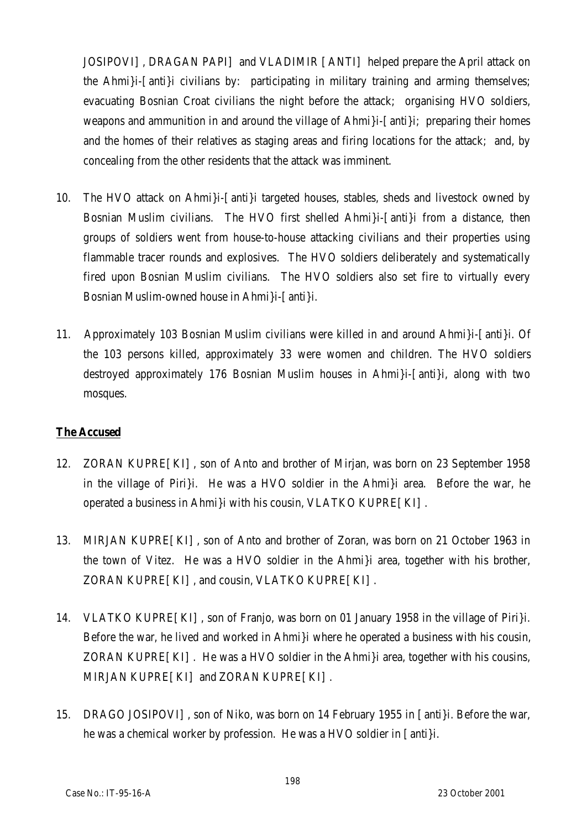JOSIPOVI], DRAGAN PAPI] and VLADIMIR [ANTI] helped prepare the April attack on the Ahmi}i-[anti}i civilians by: participating in military training and arming themselves; evacuating Bosnian Croat civilians the night before the attack; organising HVO soldiers, weapons and ammunition in and around the village of Ahmi}i-[anti}i; preparing their homes and the homes of their relatives as staging areas and firing locations for the attack; and, by concealing from the other residents that the attack was imminent.

- 10. The HVO attack on Ahmi}i-[anti}i targeted houses, stables, sheds and livestock owned by Bosnian Muslim civilians. The HVO first shelled Ahmi}i-[anti}i from a distance, then groups of soldiers went from house-to-house attacking civilians and their properties using flammable tracer rounds and explosives. The HVO soldiers deliberately and systematically fired upon Bosnian Muslim civilians. The HVO soldiers also set fire to virtually every Bosnian Muslim-owned house in Ahmi}i-[anti}i.
- 11. Approximately 103 Bosnian Muslim civilians were killed in and around Ahmi}i-[anti}i. Of the 103 persons killed, approximately 33 were women and children. The HVO soldiers destroyed approximately 176 Bosnian Muslim houses in Ahmi}i-[anti}i, along with two mosques.

#### **The Accused**

- 12. ZORAN KUPRE[KI], son of Anto and brother of Mirjan, was born on 23 September 1958 in the village of Piri}i. He was a HVO soldier in the Ahmi}i area. Before the war, he operated a business in Ahmi}i with his cousin, VLATKO KUPRE[KI].
- 13. MIRJAN KUPRE[KI], son of Anto and brother of Zoran, was born on 21 October 1963 in the town of Vitez. He was a HVO soldier in the Ahmi}i area, together with his brother, ZORAN KUPRE[KI], and cousin, VLATKO KUPRE[KI].
- 14. VLATKO KUPRE[KI], son of Franjo, was born on 01 January 1958 in the village of Piri}i. Before the war, he lived and worked in Ahmi}i where he operated a business with his cousin, ZORAN KUPRE[KI]. He was a HVO soldier in the Ahmi}i area, together with his cousins, MIRJAN KUPRE[KI] and ZORAN KUPRE[KI].
- 15. DRAGO JOSIPOVI], son of Niko, was born on 14 February 1955 in [anti}i. Before the war, he was a chemical worker by profession. He was a HVO soldier in [anti}i.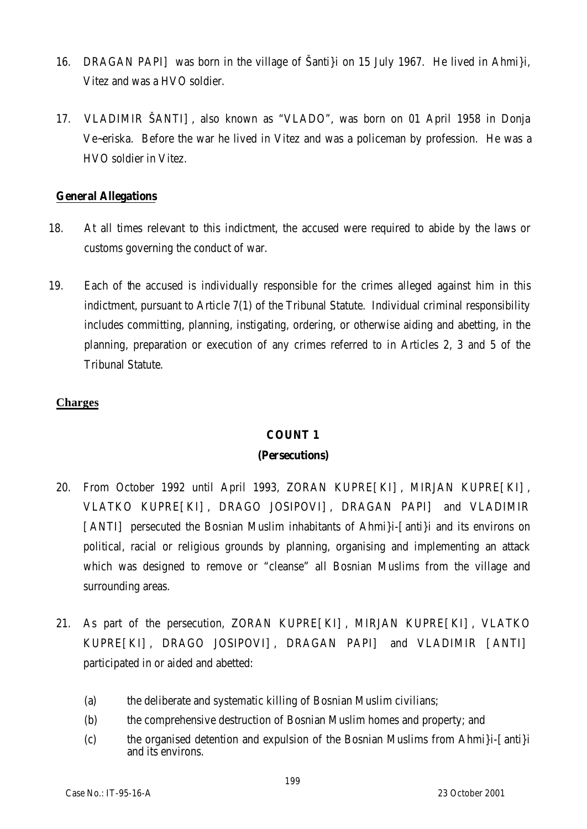- 16. DRAGAN PAPI] was born in the village of Šanti}i on 15 July 1967. He lived in Ahmi}i, Vitez and was a HVO soldier.
- 17. VLADIMIR ŠANTI], also known as "VLADO", was born on 01 April 1958 in Donja Ve~eriska. Before the war he lived in Vitez and was a policeman by profession. He was a HVO soldier in Vitez.

#### **General Allegations**

- 18. At all times relevant to this indictment, the accused were required to abide by the laws or customs governing the conduct of war.
- 19. Each of the accused is individually responsible for the crimes alleged against him in this indictment, pursuant to Article 7(1) of the Tribunal Statute. Individual criminal responsibility includes committing, planning, instigating, ordering, or otherwise aiding and abetting, in the planning, preparation or execution of any crimes referred to in Articles 2, 3 and 5 of the Tribunal Statute.

#### **Charges**

#### **COUNT 1**

#### **(Persecutions)**

- 20. From October 1992 until April 1993, ZORAN KUPRE[KI], MIRJAN KUPRE[KI], VLATKO KUPRE[KI], DRAGO JOSIPOVI], DRAGAN PAPI] and VLADIMIR [ANTI] persecuted the Bosnian Muslim inhabitants of Ahmi}i-[anti}i and its environs on political, racial or religious grounds by planning, organising and implementing an attack which was designed to remove or "cleanse" all Bosnian Muslims from the village and surrounding areas.
- 21. As part of the persecution, ZORAN KUPRE[KI], MIRJAN KUPRE[KI], VLATKO KUPRE[KI], DRAGO JOSIPOVI], DRAGAN PAPI] and VLADIMIR [ANTI] participated in or aided and abetted:
	- (a) the deliberate and systematic killing of Bosnian Muslim civilians;
	- (b) the comprehensive destruction of Bosnian Muslim homes and property; and
	- (c) the organised detention and expulsion of the Bosnian Muslims from Ahmi}i-[anti}i and its environs.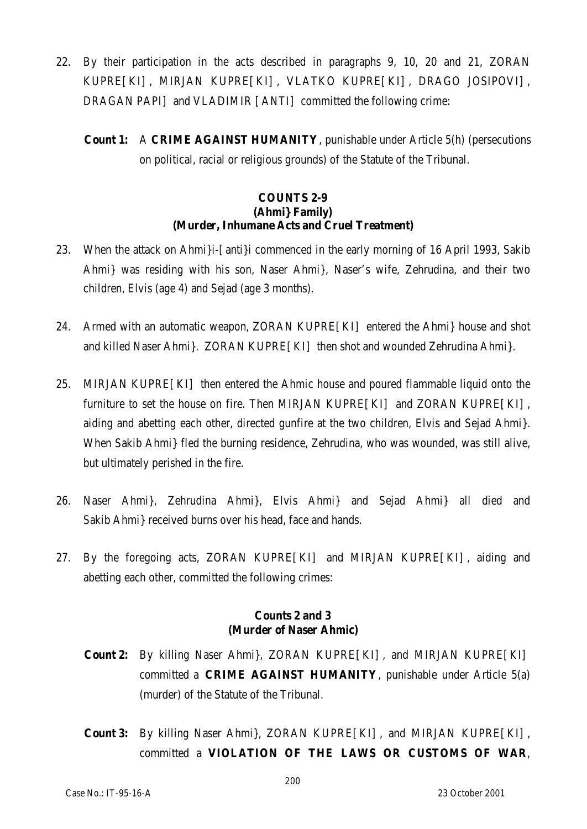- 22. By their participation in the acts described in paragraphs 9, 10, 20 and 21, ZORAN KUPRE[KI], MIRJAN KUPRE[KI], VLATKO KUPRE[KI], DRAGO JOSIPOVI], DRAGAN PAPI] and VLADIMIR [ANTI] committed the following crime:
	- **Count 1:** A **CRIME AGAINST HUMANITY**, punishable under Article 5(h) (persecutions on political, racial or religious grounds) of the Statute of the Tribunal.

#### **COUNTS 2-9 (Ahmi} Family) (Murder, Inhumane Acts and Cruel Treatment)**

- 23. When the attack on Ahmi}i-[anti}i commenced in the early morning of 16 April 1993, Sakib Ahmi} was residing with his son, Naser Ahmi}, Naser's wife, Zehrudina, and their two children, Elvis (age 4) and Sejad (age 3 months).
- 24. Armed with an automatic weapon, ZORAN KUPRE[KI] entered the Ahmi} house and shot and killed Naser Ahmi}. ZORAN KUPRE[KI] then shot and wounded Zehrudina Ahmi}.
- 25. MIRJAN KUPRE[KI] then entered the Ahmic house and poured flammable liquid onto the furniture to set the house on fire. Then MIRJAN KUPRE[KI] and ZORAN KUPRE[KI], aiding and abetting each other, directed gunfire at the two children, Elvis and Sejad Ahmi}. When Sakib Ahmi} fled the burning residence, Zehrudina, who was wounded, was still alive, but ultimately perished in the fire.
- 26. Naser Ahmi}, Zehrudina Ahmi}, Elvis Ahmi} and Sejad Ahmi} all died and Sakib Ahmi} received burns over his head, face and hands.
- 27. By the foregoing acts, ZORAN KUPRE[KI] and MIRJAN KUPRE[KI], aiding and abetting each other, committed the following crimes:

#### **Counts 2 and 3 (Murder of Naser Ahmic)**

- **Count 2:** By killing Naser Ahmi}, ZORAN KUPRE[KI], and MIRJAN KUPRE[KI] committed a **CRIME AGAINST HUMANITY**, punishable under Article 5(a) (murder) of the Statute of the Tribunal.
- **Count 3:** By killing Naser Ahmi}, ZORAN KUPRE[KI], and MIRJAN KUPRE[KI], committed a **VIOLATION OF THE LAWS OR CUSTOMS OF WAR**,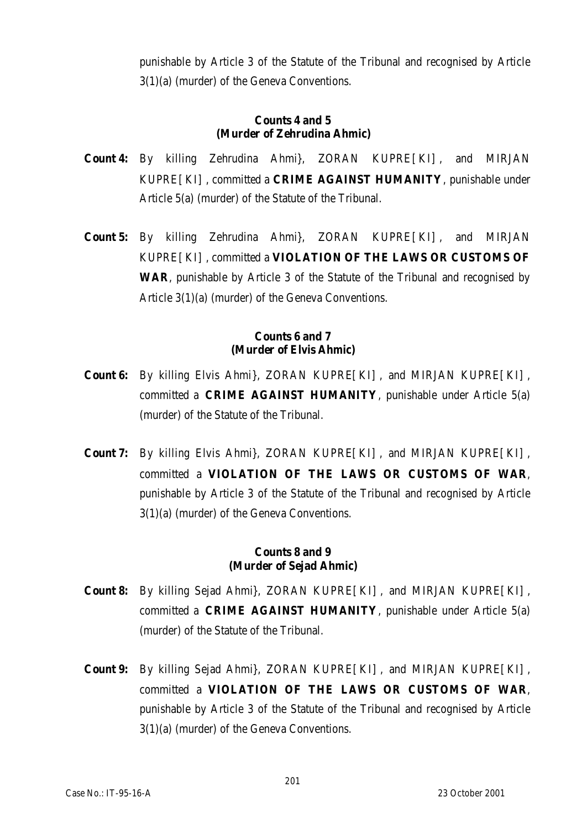punishable by Article 3 of the Statute of the Tribunal and recognised by Article 3(1)(a) (murder) of the Geneva Conventions.

#### **Counts 4 and 5 (Murder of Zehrudina Ahmic)**

- **Count 4:** By killing Zehrudina Ahmi}, ZORAN KUPRE[KI], and MIRJAN KUPRE[KI], committed a **CRIME AGAINST HUMANITY**, punishable under Article 5(a) (murder) of the Statute of the Tribunal.
- **Count 5:** By killing Zehrudina Ahmi}, ZORAN KUPRE[KI], and MIRJAN KUPRE[KI], committed a **VIOLATION OF THE LAWS OR CUSTOMS OF WAR**, punishable by Article 3 of the Statute of the Tribunal and recognised by Article 3(1)(a) (murder) of the Geneva Conventions.

#### **Counts 6 and 7 (Murder of Elvis Ahmic)**

- **Count 6:** By killing Elvis Ahmi}, ZORAN KUPRE[KI], and MIRJAN KUPRE[KI], committed a **CRIME AGAINST HUMANITY**, punishable under Article 5(a) (murder) of the Statute of the Tribunal.
- **Count 7:** By killing Elvis Ahmi}, ZORAN KUPRE[KI], and MIRJAN KUPRE[KI], committed a **VIOLATION OF THE LAWS OR CUSTOMS OF WAR**, punishable by Article 3 of the Statute of the Tribunal and recognised by Article 3(1)(a) (murder) of the Geneva Conventions.

#### **Counts 8 and 9 (Murder of Sejad Ahmic)**

- **Count 8:** By killing Sejad Ahmi}, ZORAN KUPRE[KI], and MIRJAN KUPRE[KI], committed a **CRIME AGAINST HUMANITY**, punishable under Article 5(a) (murder) of the Statute of the Tribunal.
- **Count 9:** By killing Sejad Ahmi}, ZORAN KUPRE[KI], and MIRJAN KUPRE[KI], committed a **VIOLATION OF THE LAWS OR CUSTOMS OF WAR**, punishable by Article 3 of the Statute of the Tribunal and recognised by Article 3(1)(a) (murder) of the Geneva Conventions.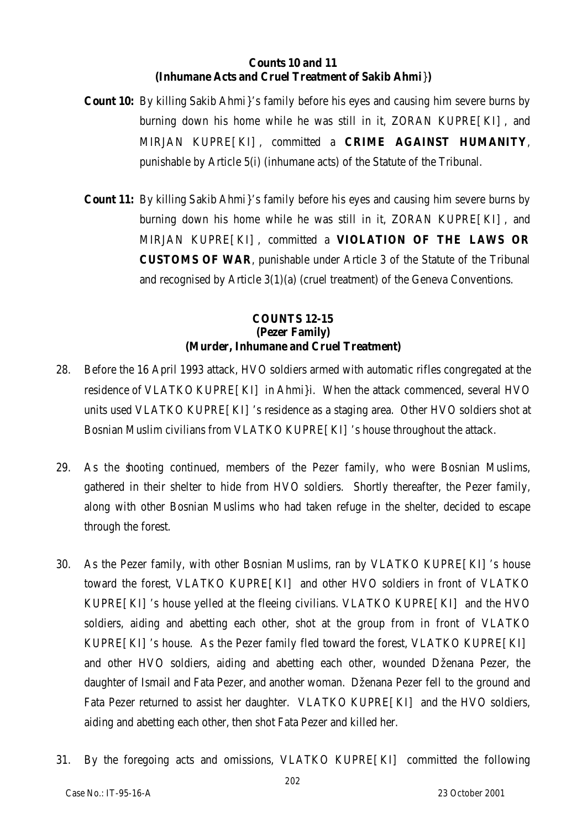#### **Counts 10 and 11 (Inhumane Acts and Cruel Treatment of Sakib Ahmi**}**)**

- **Count 10:** By killing Sakib Ahmi}'s family before his eyes and causing him severe burns by burning down his home while he was still in it, ZORAN KUPRE[KI], and MIRJAN KUPRE[KI], committed a **CRIME AGAINST HUMANITY**, punishable by Article 5(i) (inhumane acts) of the Statute of the Tribunal.
- **Count 11:** By killing Sakib Ahmi}'s family before his eyes and causing him severe burns by burning down his home while he was still in it, ZORAN KUPRE[KI], and MIRJAN KUPRE[KI], committed a **VIOLATION OF THE LAWS OR CUSTOMS OF WAR**, punishable under Article 3 of the Statute of the Tribunal and recognised by Article 3(1)(a) (cruel treatment) of the Geneva Conventions.

#### **COUNTS 12-15 (Pezer Family) (Murder, Inhumane and Cruel Treatment)**

- 28. Before the 16 April 1993 attack, HVO soldiers armed with automatic rifles congregated at the residence of VLATKO KUPRE[KI] in Ahmi}i. When the attack commenced, several HVO units used VLATKO KUPRE[KI]'s residence as a staging area. Other HVO soldiers shot at Bosnian Muslim civilians from VLATKO KUPRE [KI] 's house throughout the attack.
- 29. As the shooting continued, members of the Pezer family, who were Bosnian Muslims, gathered in their shelter to hide from HVO soldiers. Shortly thereafter, the Pezer family, along with other Bosnian Muslims who had taken refuge in the shelter, decided to escape through the forest.
- 30. As the Pezer family, with other Bosnian Muslims, ran by VLATKO KUPRE[KI]'s house toward the forest, VLATKO KUPRE[KI] and other HVO soldiers in front of VLATKO KUPRE[KI]'s house yelled at the fleeing civilians. VLATKO KUPRE[KI] and the HVO soldiers, aiding and abetting each other, shot at the group from in front of VLATKO KUPRE[KI]'s house. As the Pezer family fled toward the forest, VLATKO KUPRE[KI] and other HVO soldiers, aiding and abetting each other, wounded Dženana Pezer, the daughter of Ismail and Fata Pezer, and another woman. Dženana Pezer fell to the ground and Fata Pezer returned to assist her daughter. VLATKO KUPRE[KI] and the HVO soldiers, aiding and abetting each other, then shot Fata Pezer and killed her.
- 31. By the foregoing acts and omissions, VLATKO KUPRE[KI] committed the following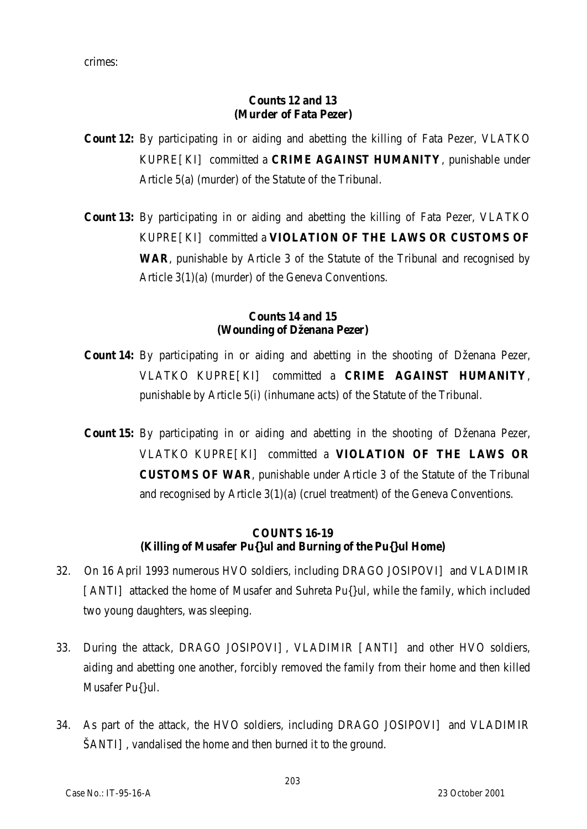crimes:

### **Counts 12 and 13 (Murder of Fata Pezer)**

- **Count 12:** By participating in or aiding and abetting the killing of Fata Pezer, VLATKO KUPRE[KI] committed a **CRIME AGAINST HUMANITY**, punishable under Article 5(a) (murder) of the Statute of the Tribunal.
- **Count 13:** By participating in or aiding and abetting the killing of Fata Pezer, VLATKO KUPRE[KI] committed a **VIOLATION OF THE LAWS OR CUSTOMS OF WAR**, punishable by Article 3 of the Statute of the Tribunal and recognised by Article 3(1)(a) (murder) of the Geneva Conventions.

#### **Counts 14 and 15 (Wounding of Dženana Pezer)**

- **Count 14:** By participating in or aiding and abetting in the shooting of Dženana Pezer, VLATKO KUPRE[KI] committed a **CRIME AGAINST HUMANITY**, punishable by Article 5(i) (inhumane acts) of the Statute of the Tribunal.
- **Count 15:** By participating in or aiding and abetting in the shooting of Dženana Pezer, VLATKO KUPRE[KI] committed a **VIOLATION OF THE LAWS OR CUSTOMS OF WAR**, punishable under Article 3 of the Statute of the Tribunal and recognised by Article 3(1)(a) (cruel treatment) of the Geneva Conventions.

# **COUNTS 16-19 (Killing of Musafer Pu{}ul and Burning of the Pu{}ul Home)**

- 32. On 16 April 1993 numerous HVO soldiers, including DRAGO JOSIPOVI] and VLADIMIR [ANTI] attacked the home of Musafer and Suhreta Pu{}ul, while the family, which included two young daughters, was sleeping.
- 33. During the attack, DRAGO JOSIPOVI], VLADIMIR [ANTI] and other HVO soldiers, aiding and abetting one another, forcibly removed the family from their home and then killed Musafer Pu{}ul.
- 34. As part of the attack, the HVO soldiers, including DRAGO JOSIPOVI] and VLADIMIR ŠANTI], vandalised the home and then burned it to the ground.